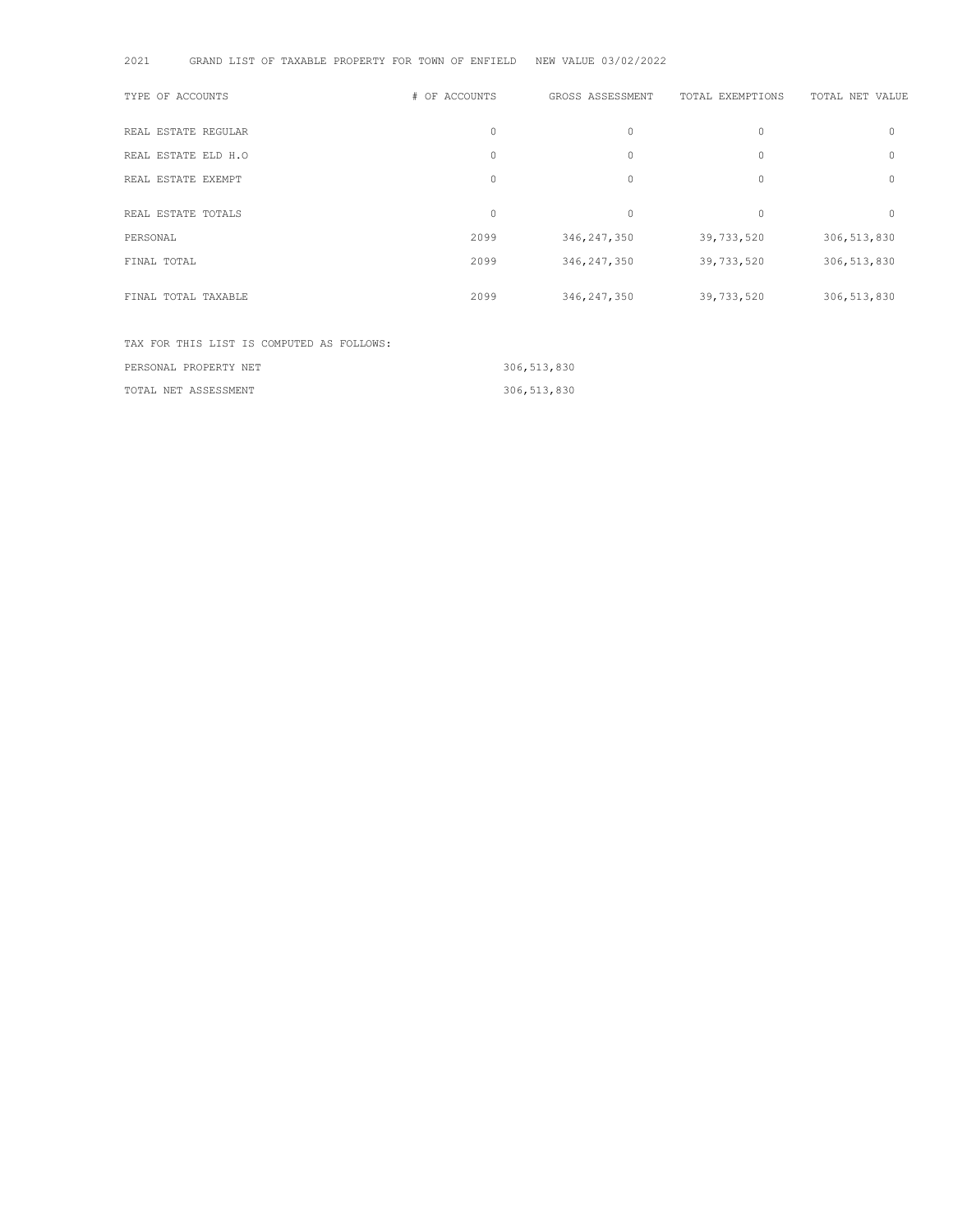| 2021<br>GRAND LIST OF TAXABLE PROPERTY FOR TOWN OF ENFIELD |               | NEW VALUE 03/02/2022 |                  |                 |
|------------------------------------------------------------|---------------|----------------------|------------------|-----------------|
| TYPE OF ACCOUNTS                                           | # OF ACCOUNTS | GROSS ASSESSMENT     | TOTAL EXEMPTIONS | TOTAL NET VALUE |
| REAL ESTATE REGULAR                                        | $\circ$       | $\circ$              | $\circ$          | 0               |
| REAL ESTATE ELD H.O                                        | $\circ$       | $\circ$              | $\mathbf{0}$     | 0               |
| REAL ESTATE EXEMPT                                         | $\circ$       | $\circ$              | $\circ$          | 0               |
| REAL ESTATE TOTALS                                         | $\circ$       | $\circ$              | $\mathbf{0}$     | $\Omega$        |
| PERSONAL                                                   | 2099          | 346, 247, 350        | 39,733,520       | 306, 513, 830   |
| FINAL TOTAL                                                | 2099          | 346, 247, 350        | 39,733,520       | 306,513,830     |
| FINAL TOTAL TAXABLE                                        | 2099          | 346,247,350          | 39,733,520       | 306, 513, 830   |
| TAX FOR THIS LIST IS COMPUTED AS FOLLOWS:                  |               |                      |                  |                 |

| PERSONAL PROPERTY NET | 306,513,830 |
|-----------------------|-------------|
| TOTAL NET ASSESSMENT  | 306,513,830 |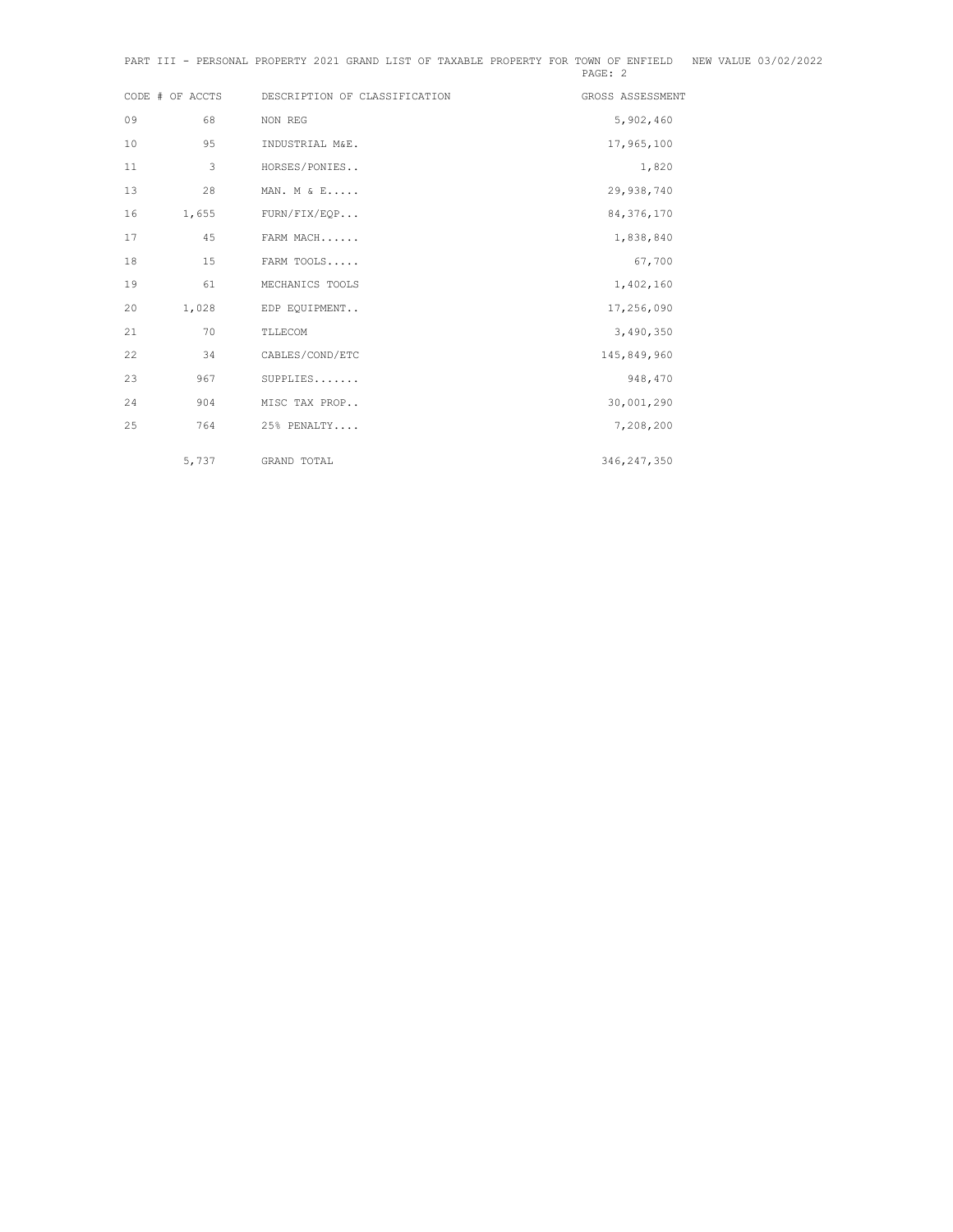|    | CODE # OF ACCTS | DESCRIPTION OF CLASSIFICATION | GROSS ASSESSMENT |
|----|-----------------|-------------------------------|------------------|
| 09 | 68              | NON REG                       | 5,902,460        |
| 10 | 95              | INDUSTRIAL M&E.               | 17,965,100       |
| 11 | 3               | HORSES/PONIES                 | 1,820            |
| 13 | 28              | MAN. M & E                    | 29,938,740       |
| 16 | 1,655           | FURN/FIX/EQP                  | 84, 376, 170     |
| 17 | 45              | FARM MACH                     | 1,838,840        |
| 18 | 15              | FARM TOOLS                    | 67,700           |
| 19 | 61              | MECHANICS TOOLS               | 1,402,160        |
| 20 | 1,028           | EDP EQUIPMENT                 | 17,256,090       |
| 21 | 70              | TLLECOM                       | 3,490,350        |
| 22 | 34              | CABLES/COND/ETC               | 145,849,960      |
| 23 | 967             | $SUPPLIES$                    | 948,470          |
| 24 | 904             | MISC TAX PROP                 | 30,001,290       |
| 25 | 764             | 25% PENALTY                   | 7,208,200        |
|    |                 |                               |                  |
|    | 5,737           | GRAND TOTAL                   | 346, 247, 350    |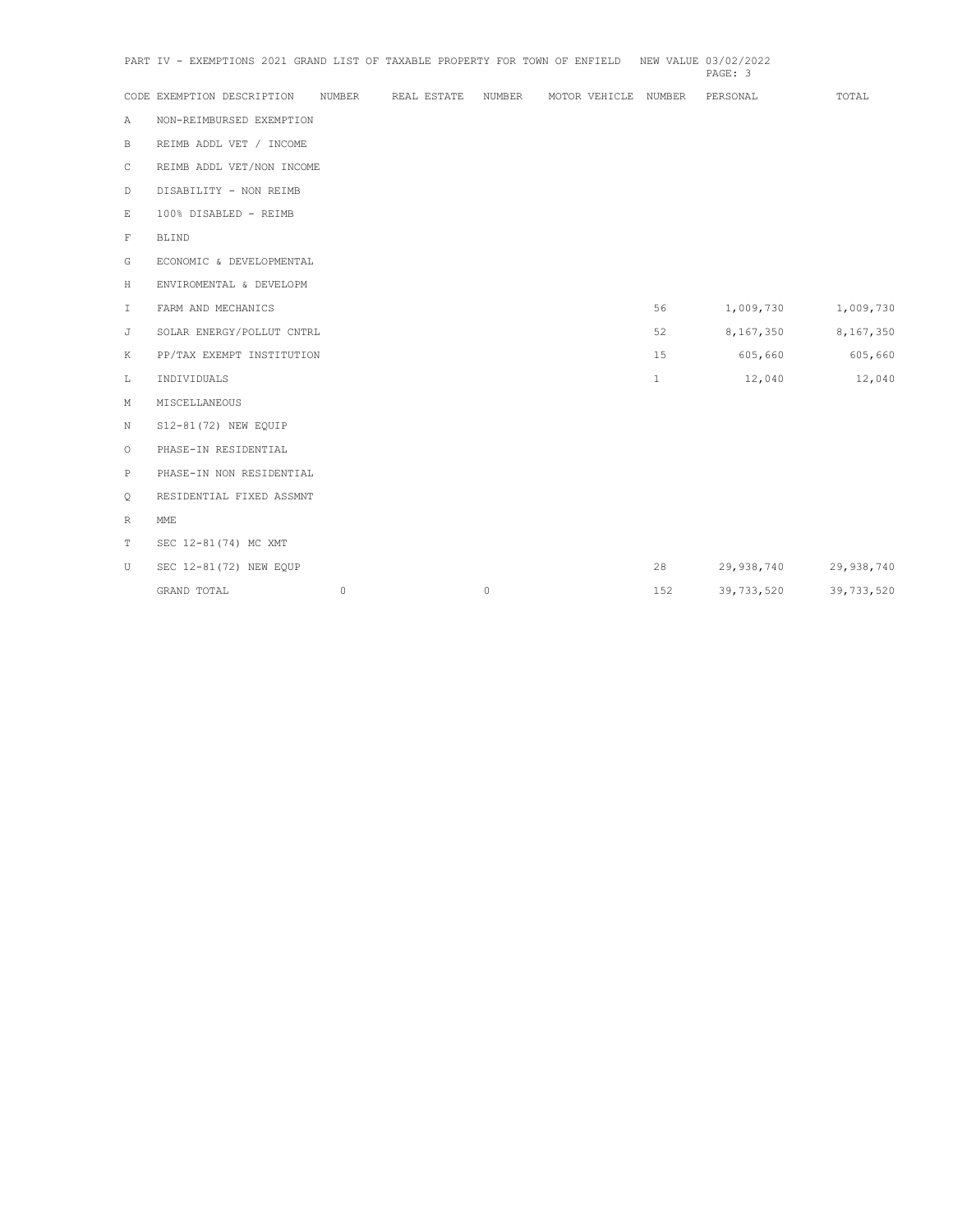|              | PART IV - EXEMPTIONS 2021 GRAND LIST OF TAXABLE PROPERTY FOR TOWN OF ENFIELD |         |             |         |                      |              | NEW VALUE 03/02/2022<br>PAGE: 3 |            |
|--------------|------------------------------------------------------------------------------|---------|-------------|---------|----------------------|--------------|---------------------------------|------------|
|              | CODE EXEMPTION DESCRIPTION                                                   | NUMBER  | REAL ESTATE | NUMBER  | MOTOR VEHICLE NUMBER |              | PERSONAL                        | TOTAL      |
| Α            | NON-REIMBURSED EXEMPTION                                                     |         |             |         |                      |              |                                 |            |
| $\, {\bf B}$ | REIMB ADDL VET / INCOME                                                      |         |             |         |                      |              |                                 |            |
| C            | REIMB ADDL VET/NON INCOME                                                    |         |             |         |                      |              |                                 |            |
| $\mathbb D$  | DISABILITY - NON REIMB                                                       |         |             |         |                      |              |                                 |            |
| E            | 100% DISABLED - REIMB                                                        |         |             |         |                      |              |                                 |            |
| $\mathbb F$  | <b>BLIND</b>                                                                 |         |             |         |                      |              |                                 |            |
| G            | ECONOMIC & DEVELOPMENTAL                                                     |         |             |         |                      |              |                                 |            |
| Н            | ENVIROMENTAL & DEVELOPM                                                      |         |             |         |                      |              |                                 |            |
| I.           | FARM AND MECHANICS                                                           |         |             |         |                      | 56           | 1,009,730                       | 1,009,730  |
| J            | SOLAR ENERGY/POLLUT CNTRL                                                    |         |             |         |                      | 52           | 8,167,350                       | 8,167,350  |
| K            | PP/TAX EXEMPT INSTITUTION                                                    |         |             |         |                      | 15           | 605,660                         | 605,660    |
| L            | INDIVIDUALS                                                                  |         |             |         |                      | $\mathbf{1}$ | 12,040                          | 12,040     |
| М            | MISCELLANEOUS                                                                |         |             |         |                      |              |                                 |            |
| N            | S12-81 (72) NEW EQUIP                                                        |         |             |         |                      |              |                                 |            |
| O            | PHASE-IN RESIDENTIAL                                                         |         |             |         |                      |              |                                 |            |
| $\, {\bf P}$ | PHASE-IN NON RESIDENTIAL                                                     |         |             |         |                      |              |                                 |            |
| Q            | RESIDENTIAL FIXED ASSMNT                                                     |         |             |         |                      |              |                                 |            |
| R            | MME                                                                          |         |             |         |                      |              |                                 |            |
| T            | SEC 12-81 (74) MC XMT                                                        |         |             |         |                      |              |                                 |            |
| U            | SEC 12-81 (72) NEW EQUP                                                      |         |             |         |                      | 28           | 29,938,740                      | 29,938,740 |
|              | GRAND TOTAL                                                                  | $\circ$ |             | $\circ$ |                      | 152          | 39,733,520                      | 39,733,520 |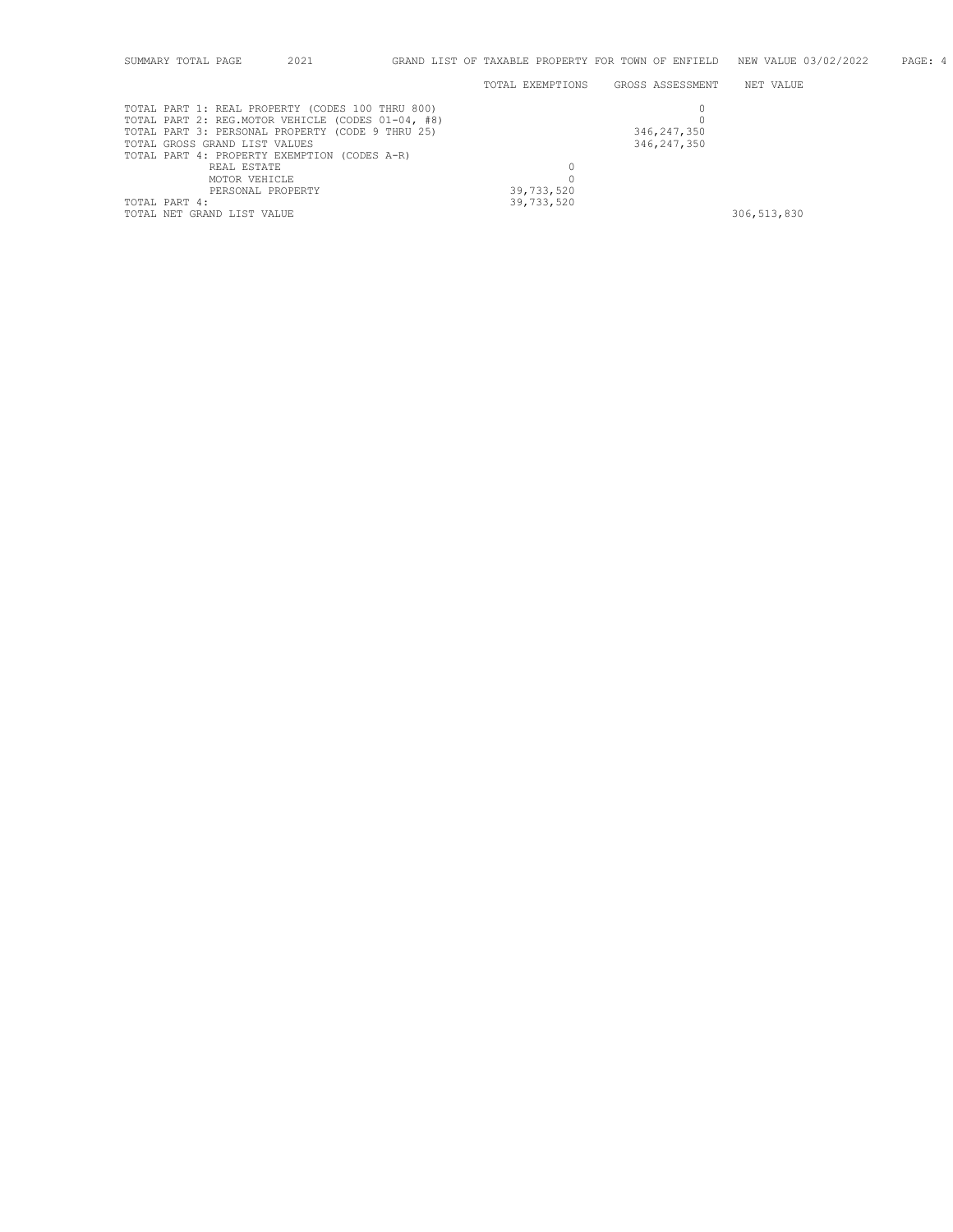|               | SUMMARY TOTAL PAGE | 2021                                              | GRAND LIST OF TAXABLE PROPERTY FOR TOWN OF ENFIELD |                  | NEW VALUE 03/02/2022 | PAGE: 4 |
|---------------|--------------------|---------------------------------------------------|----------------------------------------------------|------------------|----------------------|---------|
|               |                    |                                                   | TOTAL EXEMPTIONS                                   | GROSS ASSESSMENT | NET VALUE            |         |
|               |                    | TOTAL PART 1: REAL PROPERTY (CODES 100 THRU 800)  |                                                    |                  |                      |         |
|               |                    | TOTAL PART 2: REG.MOTOR VEHICLE (CODES 01-04, #8) |                                                    |                  |                      |         |
|               |                    | TOTAL PART 3: PERSONAL PROPERTY (CODE 9 THRU 25)  |                                                    | 346, 247, 350    |                      |         |
|               |                    | TOTAL GROSS GRAND LIST VALUES                     |                                                    | 346, 247, 350    |                      |         |
|               |                    | TOTAL PART 4: PROPERTY EXEMPTION (CODES A-R)      |                                                    |                  |                      |         |
|               |                    | REAL ESTATE                                       |                                                    |                  |                      |         |
|               |                    | MOTOR VEHICLE                                     |                                                    |                  |                      |         |
|               |                    | PERSONAL PROPERTY                                 | 39,733,520                                         |                  |                      |         |
| TOTAL PART 4: |                    |                                                   | 39,733,520                                         |                  |                      |         |
|               |                    | TOTAL NET GRAND LIST VALUE                        |                                                    |                  | 306, 513, 830        |         |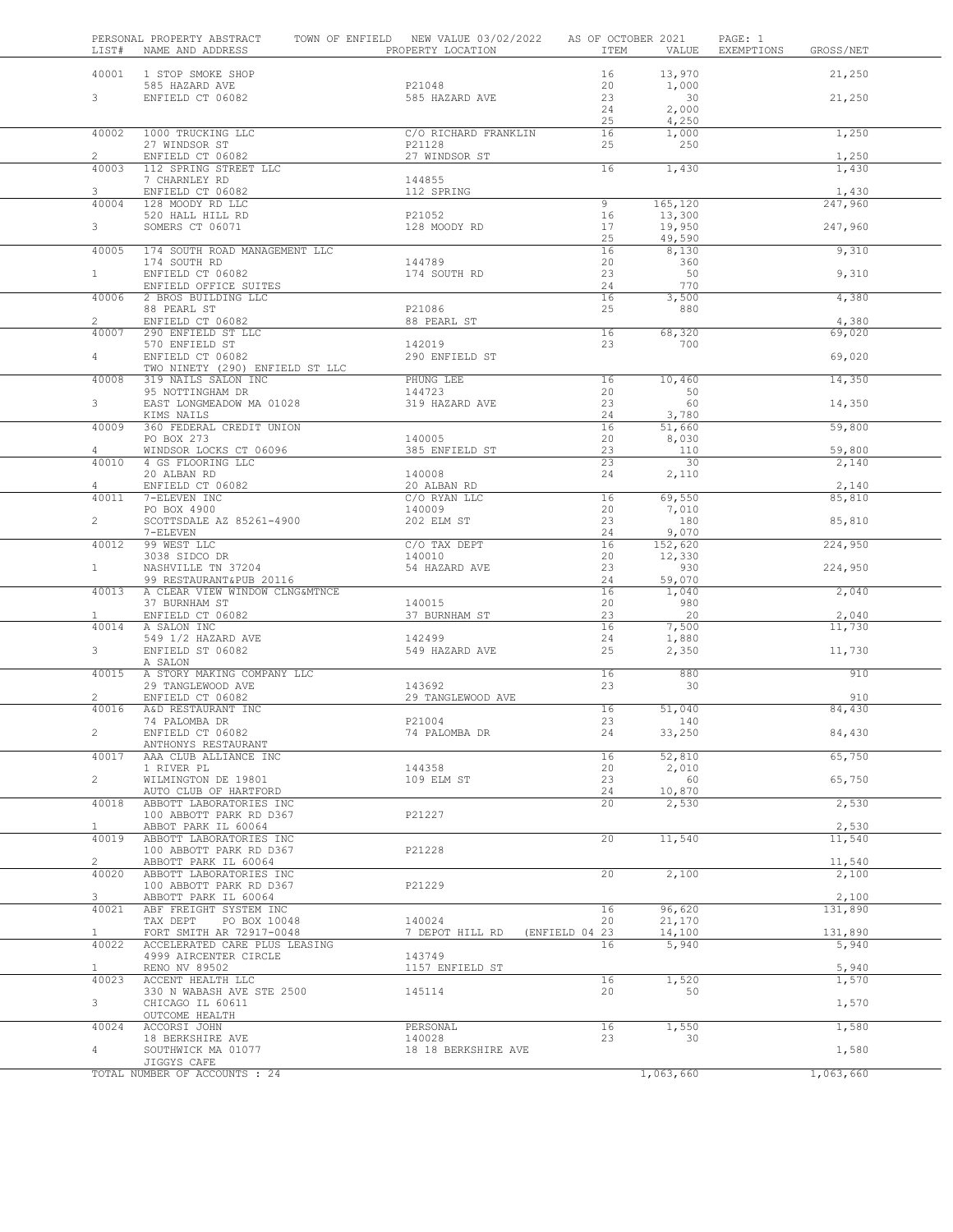| LIST#                   | PERSONAL PROPERTY ABSTRACT<br>NAME AND ADDRESS            | TOWN OF ENFIELD NEW VALUE 03/02/2022 AS OF OCTOBER 2021<br>PROPERTY LOCATION | ITEM                 | VALUE            | PAGE: 1<br>EXEMPTIONS | GROSS/NET      |
|-------------------------|-----------------------------------------------------------|------------------------------------------------------------------------------|----------------------|------------------|-----------------------|----------------|
| 40001                   | 1 STOP SMOKE SHOP                                         |                                                                              | 16                   | 13,970           |                       | 21,250         |
|                         | 585 HAZARD AVE                                            | P21048                                                                       | 20                   | 1,000            |                       |                |
| $3^{\circ}$             | ENFIELD CT 06082                                          | 585 HAZARD AVE                                                               | 23                   | 30               |                       | 21,250         |
|                         |                                                           |                                                                              | 24<br>25             | 2,000<br>4,250   |                       |                |
| 40002                   | 1000 TRUCKING LLC                                         | C/O RICHARD FRANKLIN                                                         | 16                   | 1,000            |                       | 1,250          |
|                         | 27 WINDSOR ST                                             | P21128                                                                       | 25                   | 250              |                       |                |
| $\overline{2}$<br>40003 | ENFIELD CT 06082<br>112 SPRING STREET LLC                 | 27 WINDSOR ST                                                                | 16                   | 1,430            |                       | 1,250<br>1,430 |
|                         | 7 CHARNLEY RD                                             | 144855                                                                       |                      |                  |                       |                |
| 3                       | ENFIELD CT 06082                                          | 112 SPRING                                                                   |                      |                  |                       | 1,430          |
| 40004                   | 128 MOODY RD LLC                                          | P21052                                                                       | 9<br>16              | 165, 120         |                       | 247,960        |
| 3 <sup>7</sup>          | 520 HALL HILL RD<br>SOMERS CT 06071                       | 128 MOODY RD                                                                 | 17                   | 13,300<br>19,950 |                       | 247,960        |
|                         |                                                           |                                                                              | 25                   | 49,590           |                       |                |
| 40005                   | 174 SOUTH ROAD MANAGEMENT LLC                             |                                                                              | 16                   | 8,130            |                       | 9,310          |
| 1                       | 174 SOUTH RD<br>ENFIELD CT 06082                          | 144789<br>174 SOUTH RD                                                       | 20<br>23             | 360<br>50        |                       | 9,310          |
|                         | ENFIELD OFFICE SUITES                                     |                                                                              | 24                   | 770              |                       |                |
| 40006                   | 2 BROS BUILDING LLC                                       |                                                                              | 16                   | 3,500            |                       | 4,380          |
| $\overline{2}$          | 88 PEARL ST<br>ENFIELD CT 06082                           | P21086<br>88 PEARL ST                                                        | 25                   | 880              |                       | 4,380          |
| 40007                   | 290 ENFIELD ST LLC                                        |                                                                              | 16                   | 68,320           |                       | 69,020         |
|                         | 570 ENFIELD ST                                            | 142019                                                                       | 23                   | 700              |                       |                |
| $4 -$                   | ENFIELD CT 06082                                          | 290 ENFIELD ST                                                               |                      |                  |                       | 69,020         |
| 40008                   | TWO NINETY (290) ENFIELD ST LLC<br>319 NAILS SALON INC    | PHUNG LEE                                                                    | 16                   | 10,460           |                       | 14,350         |
|                         | 95 NOTTINGHAM DR                                          | 144723                                                                       | 20                   | 50               |                       |                |
| 3 <sup>7</sup>          | EAST LONGMEADOW MA 01028                                  | 319 HAZARD AVE                                                               | 23                   | 60               |                       | 14,350         |
| 40009                   | KIMS NAILS<br>360 FEDERAL CREDIT UNION                    |                                                                              | 24<br>16             | 3,780<br>51,660  |                       | 59,800         |
|                         | PO BOX 273                                                | 140005                                                                       | 20                   | 8,030            |                       |                |
| 4                       | WINDSOR LOCKS CT 06096                                    | 385 ENFIELD ST                                                               | 23                   | 110              |                       | 59,800         |
| 40010                   | 4 GS FLOORING LLC<br>20 ALBAN RD                          | 140008                                                                       | 23<br>24             | 30               |                       | 2,140          |
| $4 -$                   | ENFIELD CT 06082                                          | 20 ALBAN RD                                                                  |                      | 2,110            |                       | 2,140          |
| 40011                   | 7-ELEVEN INC                                              | C/O RYAN LLC                                                                 | 16                   | 69,550           |                       | 85,810         |
|                         | PO BOX 4900                                               | 140009                                                                       | 20                   | 7,010            |                       |                |
| $\overline{2}$          | SCOTTSDALE AZ 85261-4900<br>7-ELEVEN                      | 202 ELM ST                                                                   | 23<br>24             | 180<br>9,070     |                       | 85,810         |
| 40012                   | 99 WEST LLC                                               | C/O TAX DEPT                                                                 | 16                   | 152,620          |                       | 224,950        |
|                         | 3038 SIDCO DR                                             | 140010                                                                       | 20                   | 12,330           |                       |                |
| 1                       | NASHVILLE TN 37204                                        | 54 HAZARD AVE                                                                | 23                   | 930              |                       | 224,950        |
| 40013                   | 99 RESTAURANT&PUB 20116<br>A CLEAR VIEW WINDOW CLNG&MTNCE |                                                                              | 24<br>16             | 59,070<br>1,040  |                       | 2,040          |
|                         | 37 BURNHAM ST                                             | 140015                                                                       | 20                   | 980              |                       |                |
| $\mathbf{1}$            | ENFIELD CT 06082                                          | 37 BURNHAM ST                                                                | 23                   | 20               |                       | 2,040          |
| 40014                   | A SALON INC<br>549 1/2 HAZARD AVE                         | 142499                                                                       | 16<br>24             | 7,500<br>1,880   |                       | 11,730         |
| 3                       | ENFIELD ST 06082                                          | 549 HAZARD AVE                                                               | 25                   | 2,350            |                       | 11,730         |
|                         | A SALON                                                   |                                                                              |                      |                  |                       |                |
| 40015                   | A STORY MAKING COMPANY LLC                                | 143692                                                                       | 16<br>23             | 880<br>30        |                       | 910            |
| $\overline{2}$          | 29 TANGLEWOOD AVE<br>ENFIELD CT 06082                     | 29 TANGLEWOOD AVE                                                            |                      |                  |                       | 910            |
| 40016                   | A&D RESTAURANT INC                                        |                                                                              | 16                   | 51,040           |                       | 84,430         |
|                         | 74 PALOMBA DR                                             | P21004                                                                       | 23                   | 140              |                       |                |
|                         | ENFIELD CT 06082<br>ANTHONYS RESTAURANT                   | 74 PALOMBA DR                                                                | 24                   | 33,250           |                       | 84,430         |
| 40017                   | AAA CLUB ALLIANCE INC                                     |                                                                              | 16                   | 52,810           |                       | 65,750         |
|                         | 1 RIVER PL                                                | 144358                                                                       | 20                   | 2,010            |                       |                |
| $\overline{2}$          | WILMINGTON DE 19801<br>AUTO CLUB OF HARTFORD              | 109 ELM ST                                                                   | 23<br>24             | 60<br>10,870     |                       | 65,750         |
| 40018                   | ABBOTT LABORATORIES INC                                   |                                                                              | 20                   | 2,530            |                       | 2,530          |
|                         | 100 ABBOTT PARK RD D367                                   | P21227                                                                       |                      |                  |                       |                |
| $\mathbf{1}$            | ABBOT PARK IL 60064                                       |                                                                              |                      |                  |                       | 2,530          |
| 40019                   | ABBOTT LABORATORIES INC<br>100 ABBOTT PARK RD D367        | P21228                                                                       | 20                   | 11,540           |                       | 11,540         |
| $\overline{2}$          | ABBOTT PARK IL 60064                                      |                                                                              |                      |                  |                       | 11,540         |
| 40020                   | ABBOTT LABORATORIES INC                                   |                                                                              | 20                   | 2,100            |                       | 2,100          |
| 3                       | 100 ABBOTT PARK RD D367<br>ABBOTT PARK IL 60064           | P21229                                                                       |                      |                  |                       | 2,100          |
| 40021                   | ABF FREIGHT SYSTEM INC                                    |                                                                              | 16                   | 96,620           |                       | 131,890        |
|                         | TAX DEPT<br>PO BOX 10048                                  | 140024                                                                       | 20                   | 21,170           |                       |                |
| $\mathbf{1}$<br>40022   | FORT SMITH AR 72917-0048                                  | 7 DEPOT HILL RD                                                              | (ENFIELD 04 23<br>16 | 14,100           |                       | 131,890        |
|                         | ACCELERATED CARE PLUS LEASING<br>4999 AIRCENTER CIRCLE    | 143749                                                                       |                      | 5,940            |                       | 5,940          |
| $\mathbf{1}$            | RENO NV 89502                                             | 1157 ENFIELD ST                                                              |                      |                  |                       | 5,940          |
| 40023                   | ACCENT HEALTH LLC                                         |                                                                              | 16                   | 1,520            |                       | 1,570          |
| 3                       | 330 N WABASH AVE STE 2500<br>CHICAGO IL 60611             | 145114                                                                       | 20                   | 50               |                       | 1,570          |
|                         | OUTCOME HEALTH                                            |                                                                              |                      |                  |                       |                |
| 40024                   | ACCORSI JOHN                                              | PERSONAL                                                                     | 16                   | 1,550            |                       | 1,580          |
|                         | 18 BERKSHIRE AVE                                          | 140028                                                                       | 23                   | 30               |                       |                |
| $\overline{4}$          | SOUTHWICK MA 01077<br>JIGGYS CAFE                         | 18 18 BERKSHIRE AVE                                                          |                      |                  |                       | 1,580          |
|                         | TOTAL NUMBER OF ACCOUNTS : 24                             |                                                                              |                      | 1,063,660        |                       | 1,063,660      |
|                         |                                                           |                                                                              |                      |                  |                       |                |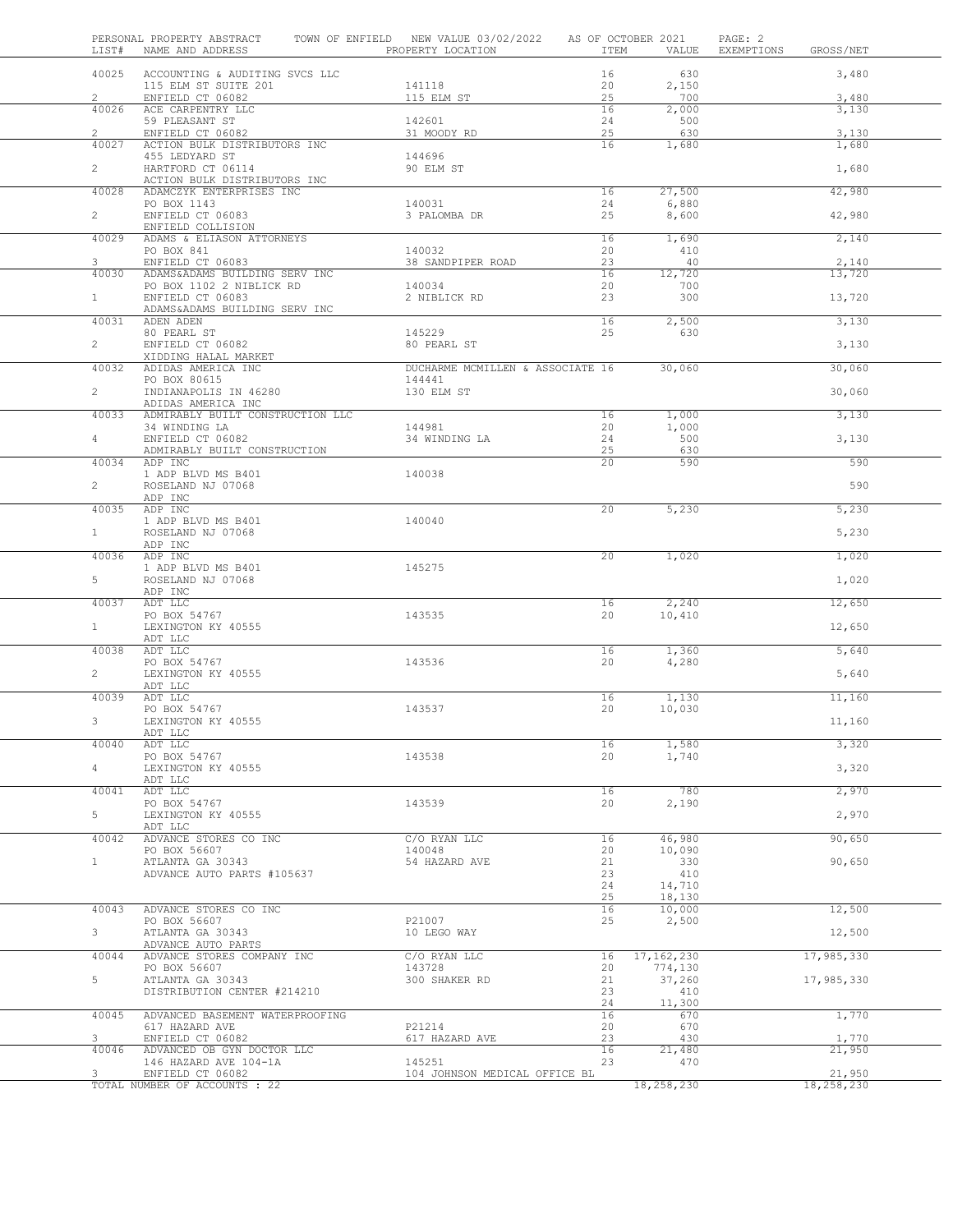| LIST#          | PERSONAL PROPERTY ABSTRACT<br>NAME AND ADDRESS           | TOWN OF ENFIELD NEW VALUE 03/02/2022<br>PROPERTY LOCATION | AS OF OCTOBER 2021<br>ITEM | VALUE         | PAGE: 2<br>EXEMPTIONS | GROSS/NET            |
|----------------|----------------------------------------------------------|-----------------------------------------------------------|----------------------------|---------------|-----------------------|----------------------|
| 40025          | ACCOUNTING & AUDITING SVCS LLC<br>115 ELM ST SUITE 201   | 141118                                                    | 16<br>20                   | 630<br>2,150  |                       | 3,480                |
| $\overline{2}$ | ENFIELD CT 06082                                         | 115 ELM ST                                                | 25                         | 700           |                       | 3,480                |
| 40026          | ACE CARPENTRY LLC<br>59 PLEASANT ST                      | 142601                                                    | 16<br>24                   | 2,000<br>500  |                       | 3,130                |
| $\overline{2}$ | ENFIELD CT 06082                                         | 31 MOODY RD                                               | 25                         | 630           |                       | 3,130                |
| 40027          | ACTION BULK DISTRIBUTORS INC                             |                                                           | 16                         | 1,680         |                       | 1,680                |
| $\overline{2}$ | 455 LEDYARD ST<br>HARTFORD CT 06114                      | 144696<br>90 ELM ST                                       |                            |               |                       | 1,680                |
| 40028          | ACTION BULK DISTRIBUTORS INC<br>ADAMCZYK ENTERPRISES INC |                                                           | 16                         | 27,500        |                       | 42,980               |
|                | PO BOX 1143                                              | 140031                                                    | 24                         | 6,880         |                       |                      |
| $\overline{2}$ | ENFIELD CT 06083                                         | 3 PALOMBA DR                                              | 25                         | 8,600         |                       | 42,980               |
| 40029          | ENFIELD COLLISION<br>ADAMS & ELIASON ATTORNEYS           |                                                           | 16                         | 1,690         |                       | 2,140                |
|                | PO BOX 841                                               | 140032                                                    | 20                         | 410           |                       |                      |
| $\mathbf{3}$   | ENFIELD CT 06083                                         | 38 SANDPIPER ROAD                                         | 23                         | 40            |                       | 2,140                |
| 40030          | ADAMS&ADAMS BUILDING SERV INC                            |                                                           | 16                         | 12,720        |                       | 13,720               |
| $\mathbf{1}$   | PO BOX 1102 2 NIBLICK RD<br>ENFIELD CT 06083             | 140034<br>2 NIBLICK RD                                    | 20<br>23                   | 700<br>300    |                       | 13,720               |
|                | ADAMS&ADAMS BUILDING SERV INC                            |                                                           |                            |               |                       |                      |
| 40031          | ADEN ADEN                                                |                                                           | 16                         | 2,500         |                       | 3,130                |
|                | 80 PEARL ST<br>ENFIELD CT 06082                          | 145229                                                    | 25                         | 630           |                       |                      |
| $\overline{2}$ | XIDDING HALAL MARKET                                     | 80 PEARL ST                                               |                            |               |                       | 3,130                |
| 40032          | ADIDAS AMERICA INC                                       | DUCHARME MCMILLEN & ASSOCIATE 16                          |                            | 30,060        |                       | 30,060               |
|                | PO BOX 80615                                             | 144441                                                    |                            |               |                       |                      |
| $\overline{2}$ | INDIANAPOLIS IN 46280                                    | 130 ELM ST                                                |                            |               |                       | 30,060               |
| 40033          | ADIDAS AMERICA INC<br>ADMIRABLY BUILT CONSTRUCTION LLC   |                                                           | 16                         | 1,000         |                       | 3,130                |
|                | 34 WINDING LA                                            | 144981                                                    | 20                         | 1,000         |                       |                      |
| 4              | ENFIELD CT 06082                                         | 34 WINDING LA                                             | 24                         | 500           |                       | 3,130                |
| 40034          | ADMIRABLY BUILT CONSTRUCTION<br>ADP INC                  |                                                           | 25<br>20                   | 630<br>590    |                       | 590                  |
|                | 1 ADP BLVD MS B401                                       | 140038                                                    |                            |               |                       |                      |
| $\overline{2}$ | ROSELAND NJ 07068                                        |                                                           |                            |               |                       | 590                  |
|                | ADP INC                                                  |                                                           |                            |               |                       |                      |
| 40035          | ADP INC<br>1 ADP BLVD MS B401                            | 140040                                                    | 20                         | 5,230         |                       | 5,230                |
| 1              | ROSELAND NJ 07068                                        |                                                           |                            |               |                       | 5,230                |
|                | ADP INC                                                  |                                                           |                            |               |                       |                      |
| 40036          | ADP INC<br>1 ADP BLVD MS B401                            | 145275                                                    | 20                         | 1,020         |                       | 1,020                |
| $5-1$          | ROSELAND NJ 07068                                        |                                                           |                            |               |                       | 1,020                |
|                | ADP INC                                                  |                                                           |                            |               |                       |                      |
| 40037          | ADT LLC                                                  |                                                           | 16                         | 2,240         |                       | 12,650               |
| $1 -$          | PO BOX 54767<br>LEXINGTON KY 40555                       | 143535                                                    | 20                         | 10,410        |                       | 12,650               |
|                | ADT LLC                                                  |                                                           |                            |               |                       |                      |
| 40038          | ADT LLC                                                  |                                                           | 16                         | 1,360         |                       | 5,640                |
| $\overline{2}$ | PO BOX 54767<br>LEXINGTON KY 40555                       | 143536                                                    | 20                         | 4,280         |                       | 5,640                |
|                | ADT LLC                                                  |                                                           |                            |               |                       |                      |
| 40039          | ADT LLC                                                  |                                                           | 16                         | 1,130         |                       | 11,160               |
| 3              | PO BOX 54767                                             | 143537                                                    | 20                         | 10,030        |                       |                      |
|                | LEXINGTON KY 40555<br>ADT LLC                            |                                                           |                            |               |                       | 11,160               |
| 40040          | ADT LLC                                                  |                                                           | 16                         | 1,580         |                       | 3,320                |
|                | PO BOX 54767                                             | 143538                                                    | 20                         | 1,740         |                       |                      |
| $4 -$          | LEXINGTON KY 40555<br>ADT LLC                            |                                                           |                            |               |                       | 3,320                |
| 40041          | ADT LLC                                                  |                                                           | 16                         | 780           |                       | 2,970                |
|                | PO BOX 54767                                             | 143539                                                    | 20                         | 2,190         |                       |                      |
| 5              | LEXINGTON KY 40555<br>ADT LLC                            |                                                           |                            |               |                       | 2,970                |
| 40042          | ADVANCE STORES CO INC                                    | C/O RYAN LLC                                              | 16                         | 46,980        |                       | 90,650               |
|                | PO BOX 56607                                             | 140048                                                    | 20                         | 10,090        |                       |                      |
| $\mathbf{1}$   | ATLANTA GA 30343                                         | 54 HAZARD AVE                                             | 21                         | 330           |                       | 90,650               |
|                | ADVANCE AUTO PARTS #105637                               |                                                           | 23<br>24                   | 410<br>14,710 |                       |                      |
|                |                                                          |                                                           | 25                         | 18,130        |                       |                      |
| 40043          | ADVANCE STORES CO INC                                    |                                                           | 16                         | 10,000        |                       | 12,500               |
| 3              | PO BOX 56607<br>ATLANTA GA 30343                         | P21007<br>10 LEGO WAY                                     | 25                         | 2,500         |                       | 12,500               |
|                | ADVANCE AUTO PARTS                                       |                                                           |                            |               |                       |                      |
| 40044          | ADVANCE STORES COMPANY INC                               | C/O RYAN LLC                                              | 16                         | 17, 162, 230  |                       | 17,985,330           |
|                | PO BOX 56607                                             | 143728                                                    | 20                         | 774,130       |                       |                      |
| 5              | ATLANTA GA 30343<br>DISTRIBUTION CENTER #214210          | 300 SHAKER RD                                             | 21<br>23                   | 37,260<br>410 |                       | 17,985,330           |
|                |                                                          |                                                           | 24                         | 11,300        |                       |                      |
| 40045          | ADVANCED BASEMENT WATERPROOFING                          |                                                           | 16                         | 670           |                       | 1,770                |
| 3              | 617 HAZARD AVE<br>ENFIELD CT 06082                       | P21214<br>617 HAZARD AVE                                  | 20<br>23                   | 670<br>430    |                       | 1,770                |
| 40046          | ADVANCED OB GYN DOCTOR LLC                               |                                                           | 16                         | 21,480        |                       | 21,950               |
|                | 146 HAZARD AVE 104-1A                                    | 145251                                                    | 23                         | 470           |                       |                      |
| 3              | ENFIELD CT 06082<br>TOTAL NUMBER OF ACCOUNTS : 22        | 104 JOHNSON MEDICAL OFFICE BL                             |                            | 18,258,230    |                       | 21,950<br>18,258,230 |
|                |                                                          |                                                           |                            |               |                       |                      |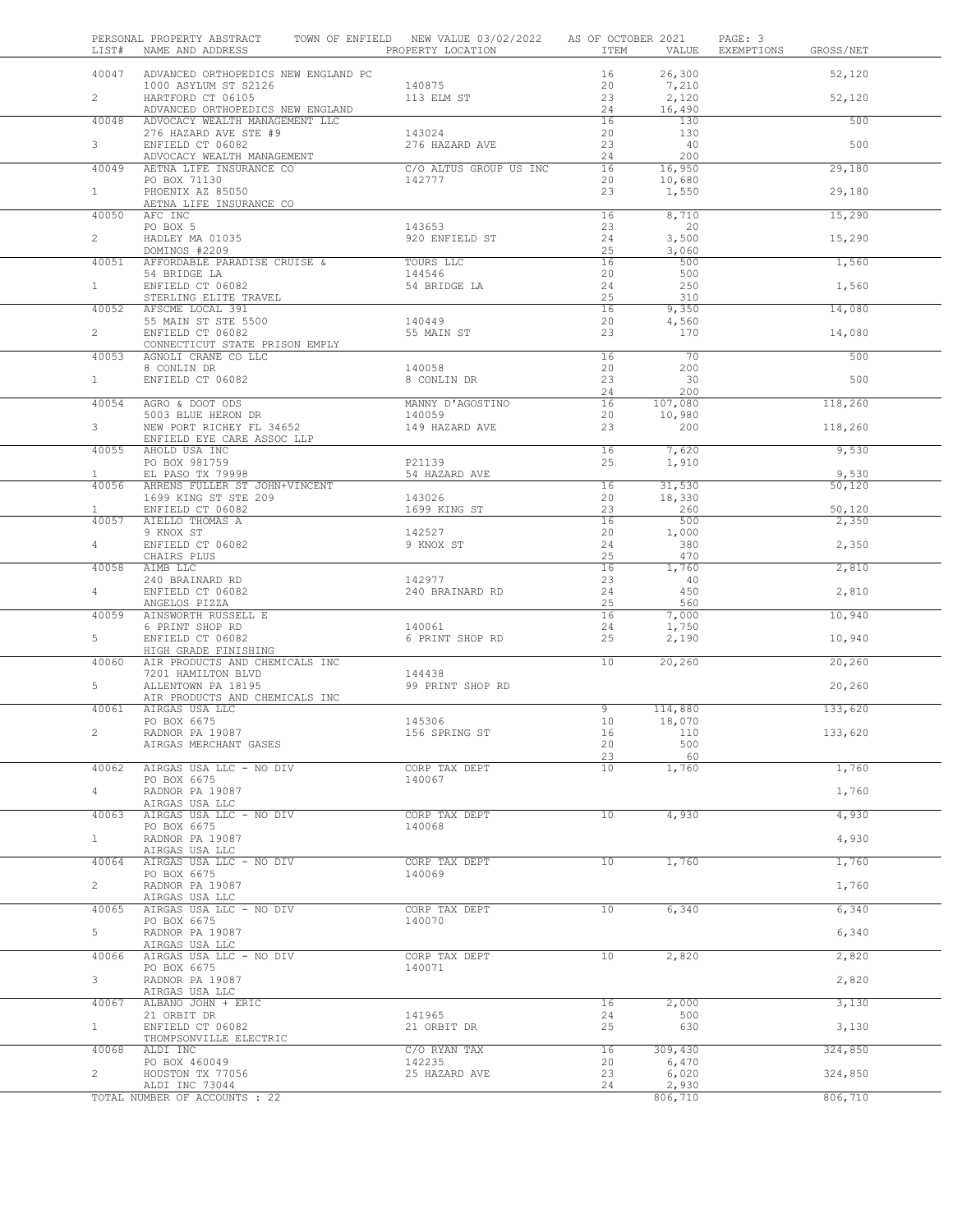|                       | PERSONAL PROPERTY ABSTRACT TOWN OF ENFIELD NEW VALUE 03/02/2022 AS OF OCTOBER 2021<br>LIST# NAME AND ADDRESS | PROPERTY LOCATION                | ITEM            | VALUE             | PAGE: 3<br>EXEMPTIONS GROSS/NET |  |
|-----------------------|--------------------------------------------------------------------------------------------------------------|----------------------------------|-----------------|-------------------|---------------------------------|--|
| 40047                 | ADVANCED ORTHOPEDICS NEW ENGLAND PC<br>1000 ASYLUM ST S2126                                                  | 140875                           | 16<br>20        | 26,300<br>7,210   | 52,120                          |  |
| $\overline{2}$        | HARTFORD CT 06105<br>ADVANCED ORTHOPEDICS NEW ENGLAND                                                        | 113 ELM ST                       | 23<br>24        | 2,120<br>16,490   | 52,120                          |  |
| 40048                 | ADVOCACY WEALTH MANAGEMENT LLC                                                                               |                                  | 16              | 130               | 500                             |  |
| 3                     | 276 HAZARD AVE STE #9<br>ENFIELD CT 06082                                                                    | 143024<br>276 HAZARD AVE         | 20<br>23        | 130<br>40         | 500                             |  |
|                       | ADVOCACY WEALTH MANAGEMENT                                                                                   |                                  | 24              | 200               |                                 |  |
| 40049                 | AETNA LIFE INSURANCE CO<br>PO BOX 71130                                                                      | C/O ALTUS GROUP US INC<br>142777 | 16<br>20        | 16,950<br>10,680  | 29,180                          |  |
| $\mathbf{1}$          | PHOENIX AZ 85050                                                                                             |                                  | 23              | 1,550             | 29,180                          |  |
| 40050                 | AETNA LIFE INSURANCE CO<br>AFC INC                                                                           |                                  | 16              | 8,710             | 15,290                          |  |
| $\overline{2}$        | PO BOX 5<br>HADLEY MA 01035                                                                                  | 143653<br>920 ENFIELD ST         | 23<br>24        | 20<br>3,500       | 15,290                          |  |
|                       | DOMINOS #2209<br>40051 AFFORDABLE PARADISE CRUISE &                                                          | TOURS LLC                        | 25<br>16        | 3,060<br>500      | 1,560                           |  |
|                       | 54 BRIDGE LA<br>ENFIELD CT 06082                                                                             | 144546                           | 20              | 500               |                                 |  |
| 1                     | STERLING ELITE TRAVEL                                                                                        | 54 BRIDGE LA                     | 24<br>25        | 250<br>310        | 1,560                           |  |
| 40052                 | AFSCME LOCAL 391                                                                                             |                                  | 16              | 9,350             | 14,080                          |  |
| $\overline{2}$        | 55 MAIN ST STE 5500<br>ENFIELD CT 06082                                                                      | 140449<br>55 MAIN ST             | 20<br>23        | 4,560<br>170      | 14,080                          |  |
|                       | CONNECTICUT STATE PRISON EMPLY                                                                               |                                  |                 |                   |                                 |  |
| 40053                 | AGNOLI CRANE CO LLC                                                                                          |                                  | 16              | 70                | 500                             |  |
| 1                     | 8 CONLIN DR<br>ENFIELD CT 06082                                                                              | 140058<br>8 CONLIN DR            | 20<br>23        | 200<br>30         | 500                             |  |
|                       |                                                                                                              |                                  | 24              | 200               |                                 |  |
| 40054                 | AGRO & DOOT ODS<br>5003 BLUE HERON DR                                                                        | MANNY D'AGOSTINO<br>140059       | 16<br>20        | 107,080<br>10,980 | 118,260                         |  |
| 3                     | NEW PORT RICHEY FL 34652                                                                                     | 149 HAZARD AVE                   | 23              | 200               | 118,260                         |  |
|                       | ENFIELD EYE CARE ASSOC LLP<br>40055 AHOLD USA INC                                                            |                                  | 16              | 7,620             | 9,530                           |  |
| $\mathbf{1}$          | PO BOX 981759<br>EL PASO TX 79998                                                                            | P21139<br>54 HAZARD AVE          | 25              | 1,910             |                                 |  |
| 40056                 | AHRENS FULLER ST JOHN+VINCENT                                                                                |                                  | 16              | 31,530            | 9,530<br>50,120                 |  |
|                       | 1699 KING ST STE 209                                                                                         | 143026                           | 20              | 18,330            |                                 |  |
| $\mathbf{1}$<br>40057 | ENFIELD CT 06082<br>AIELLO THOMAS A                                                                          | 1699 KING ST                     | 23<br>16        | 260<br>500        | 50,120<br>2,350                 |  |
|                       | 9 KNOX ST                                                                                                    | 142527                           | 20              | 1,000             |                                 |  |
| $4 -$                 | ENFIELD CT 06082<br>CHAIRS PLUS                                                                              | 9 KNOX ST                        | 24<br>25        | 380<br>470        | 2,350                           |  |
| 40058                 | AIMB LLC                                                                                                     |                                  | 16              | 1,760             | 2,810                           |  |
| 4                     | 240 BRAINARD RD<br>ENFIELD CT 06082                                                                          | 142977<br>240 BRAINARD RD        | 23<br>24        | 40<br>450         | 2,810                           |  |
|                       | ANGELOS PIZZA                                                                                                |                                  | 25              | 560               |                                 |  |
| 40059                 | AINSWORTH RUSSELL E<br>6 PRINT SHOP RD                                                                       | 140061                           | 16<br>24        | 7,000<br>1,750    | 10,940                          |  |
| 5                     | ENFIELD CT 06082                                                                                             | 6 PRINT SHOP RD                  | 25              | 2,190             | 10,940                          |  |
| 40060                 | HIGH GRADE FINISHING<br>AIR PRODUCTS AND CHEMICALS INC                                                       |                                  | $10^{-}$        | 20, 260           | 20,260                          |  |
|                       | 7201 HAMILTON BLVD                                                                                           | 144438                           |                 |                   |                                 |  |
| 5                     | ALLENTOWN PA 18195<br>AIR PRODUCTS AND CHEMICALS INC                                                         | 99 PRINT SHOP RD                 |                 |                   | 20,260                          |  |
| 40061                 | AIRGAS USA LLC                                                                                               |                                  | 9               | 114,880           | 133,620                         |  |
|                       | PO BOX 6675<br>RADNOR PA 19087                                                                               | 145306                           | 10 <sub>o</sub> | 18,070            |                                 |  |
| 2.                    | AIRGAS MERCHANT GASES                                                                                        | 156 SPRING ST                    | 16<br>20        | 110<br>500        | 133,620                         |  |
|                       |                                                                                                              |                                  | 23              | 60                |                                 |  |
| 40062                 | AIRGAS USA LLC - NO DIV<br>PO BOX 6675                                                                       | CORP TAX DEPT<br>140067          | 10              | 1,760             | 1,760                           |  |
| 4                     | RADNOR PA 19087                                                                                              |                                  |                 |                   | 1,760                           |  |
| 40063                 | AIRGAS USA LLC<br>AIRGAS USA LLC - NO DIV                                                                    | CORP TAX DEPT                    | 10              | 4,930             | 4,930                           |  |
|                       | PO BOX 6675                                                                                                  | 140068                           |                 |                   |                                 |  |
| 1                     | RADNOR PA 19087<br>AIRGAS USA LLC                                                                            |                                  |                 |                   | 4,930                           |  |
| 40064                 | AIRGAS USA LLC - NO DIV                                                                                      | CORP TAX DEPT                    | 10 <sub>1</sub> | 1,760             | 1,760                           |  |
| $\overline{2}$        | PO BOX 6675<br>RADNOR PA 19087                                                                               | 140069                           |                 |                   | 1,760                           |  |
|                       | AIRGAS USA LLC                                                                                               | CORP TAX DEPT                    | 10 <sub>1</sub> |                   |                                 |  |
| 40065                 | AIRGAS USA LLC - NO DIV<br>PO BOX 6675                                                                       | 140070                           |                 | 6,340             | 6,340                           |  |
| 5                     | RADNOR PA 19087                                                                                              |                                  |                 |                   | 6,340                           |  |
| 40066                 | AIRGAS USA LLC<br>AIRGAS USA LLC - NO DIV                                                                    | CORP TAX DEPT                    | 10 <sub>1</sub> | 2,820             | 2,820                           |  |
| 3                     | PO BOX 6675<br>RADNOR PA 19087                                                                               | 140071                           |                 |                   | 2,820                           |  |
|                       | AIRGAS USA LLC                                                                                               |                                  |                 |                   |                                 |  |
| 40067                 | ALBANO JOHN + ERIC<br>21 ORBIT DR                                                                            | 141965                           | 16<br>24        | 2,000<br>500      | 3,130                           |  |
| $\mathbf{1}$          | ENFIELD CT 06082                                                                                             | 21 ORBIT DR                      | 25              | 630               | 3,130                           |  |
| 40068                 | THOMPSONVILLE ELECTRIC<br>ALDI INC                                                                           | C/O RYAN TAX                     | 16              | 309,430           | 324,850                         |  |
|                       | PO BOX 460049                                                                                                | 142235                           | 20              | 6,470             |                                 |  |
| $\overline{2}$        | HOUSTON TX 77056<br>ALDI INC 73044                                                                           | 25 HAZARD AVE                    | 23<br>24        | 6,020<br>2,930    | 324,850                         |  |
|                       | TOTAL NUMBER OF ACCOUNTS : 22                                                                                |                                  |                 | 806,710           | 806,710                         |  |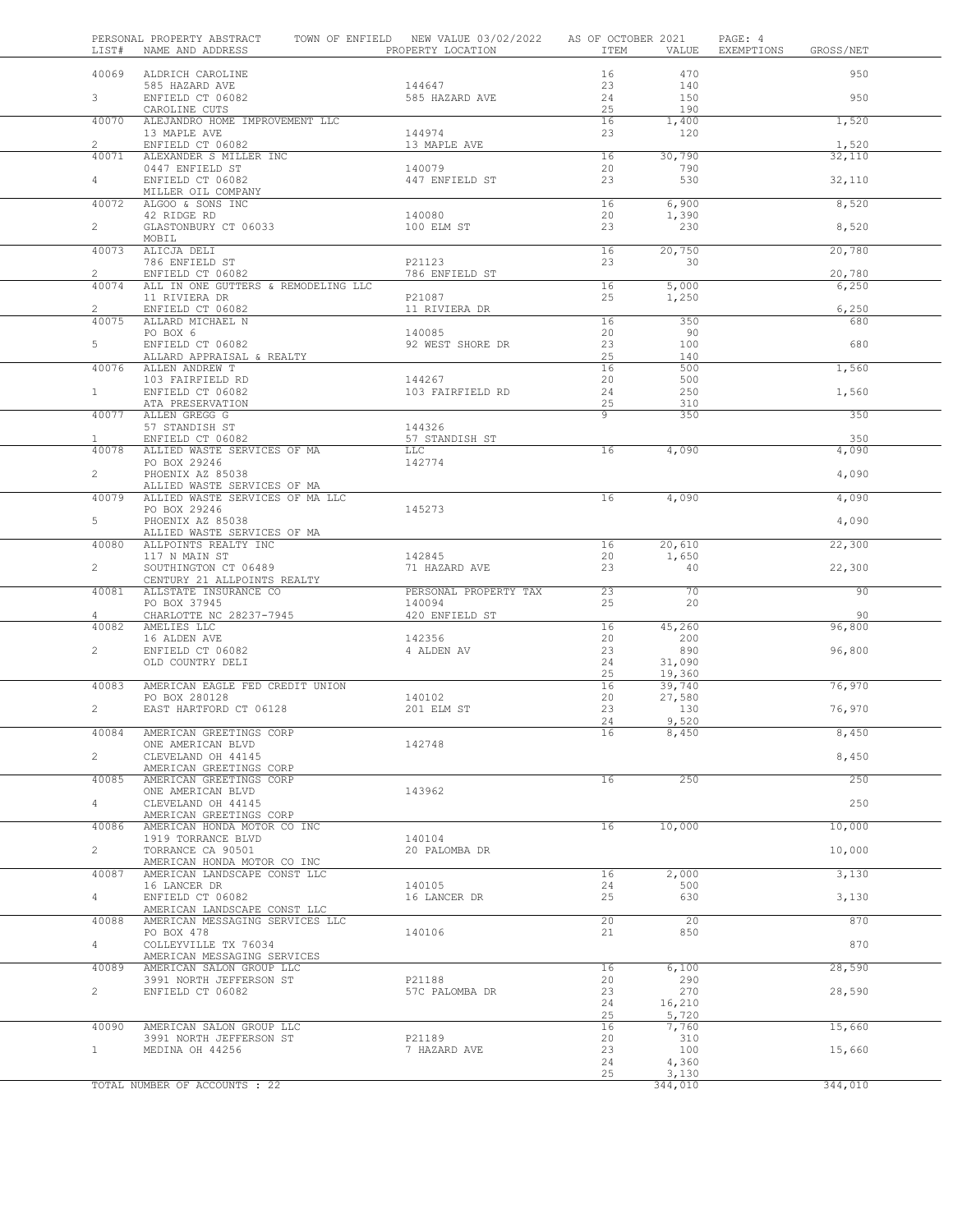| LIST#                          | PERSONAL PROPERTY ABSTRACT<br>NAME AND ADDRESS       | TOWN OF ENFIELD NEW VALUE 03/02/2022<br>PROPERTY LOCATION | AS OF OCTOBER 2021<br>ITEM | VALUE          | PAGE: 4<br>EXEMPTIONS | GROSS/NET       |
|--------------------------------|------------------------------------------------------|-----------------------------------------------------------|----------------------------|----------------|-----------------------|-----------------|
| 40069                          | ALDRICH CAROLINE                                     |                                                           | 16                         | 470            |                       | 950             |
|                                | 585 HAZARD AVE                                       | 144647                                                    | 23                         | 140            |                       |                 |
| 3 <sup>7</sup>                 | ENFIELD CT 06082<br>CAROLINE CUTS                    | 585 HAZARD AVE                                            | 24<br>25                   | 150<br>190     |                       | 950             |
| 40070                          | ALEJANDRO HOME IMPROVEMENT LLC                       |                                                           | 16                         | 1,400          |                       | 1,520           |
|                                | 13 MAPLE AVE                                         | 144974                                                    | 23                         | 120            |                       |                 |
| $\mathbf{2}^{\prime}$<br>40071 | ENFIELD CT 06082<br>ALEXANDER S MILLER INC           | 13 MAPLE AVE                                              | 16                         | 30,790         |                       | 1,520<br>32,110 |
|                                | 0447 ENFIELD ST                                      | 140079                                                    | 20                         | 790            |                       |                 |
| $\overline{4}$                 | ENFIELD CT 06082                                     | 447 ENFIELD ST                                            | 23                         | 530            |                       | 32,110          |
| 40072                          | MILLER OIL COMPANY<br>ALGOO & SONS INC               |                                                           | 16                         | 6,900          |                       | 8,520           |
|                                | 42 RIDGE RD                                          | 140080                                                    | 20                         | 1,390          |                       |                 |
| $\overline{2}$                 | GLASTONBURY CT 06033                                 | 100 ELM ST                                                | 23                         | 230            |                       | 8,520           |
| 40073                          | MOBIL<br>ALICJA DELI                                 |                                                           | 16                         | 20,750         |                       | 20,780          |
|                                | 786 ENFIELD ST                                       | P21123                                                    | 23                         | 30             |                       |                 |
| $\overline{2}$                 | ENFIELD CT 06082                                     | 786 ENFIELD ST                                            |                            |                |                       | 20,780          |
| 40074                          | ALL IN ONE GUTTERS & REMODELING LLC<br>11 RIVIERA DR | P21087                                                    | 16<br>25                   | 5,000<br>1,250 |                       | 6,250           |
| $\overline{2}$                 | ENFIELD CT 06082                                     | 11 RIVIERA DR                                             |                            |                |                       | 6,250           |
| 40075                          | ALLARD MICHAEL N                                     |                                                           | 16                         | 350            |                       | 680             |
| 5                              | PO BOX 6<br>ENFIELD CT 06082                         | 140085<br>92 WEST SHORE DR                                | 20<br>23                   | - 90<br>100    |                       | 680             |
|                                | ALLARD APPRAISAL & REALTY                            |                                                           | 25                         | 140            |                       |                 |
| 40076                          | ALLEN ANDREW T                                       |                                                           | 16                         | 500            |                       | 1,560           |
| $\mathbf{1}$                   | 103 FAIRFIELD RD<br>ENFIELD CT 06082                 | 144267<br>103 FAIRFIELD RD                                | 20<br>24                   | 500<br>250     |                       | 1,560           |
|                                | ATA PRESERVATION                                     |                                                           | 25                         | 310            |                       |                 |
| 40077                          | ALLEN GREGG G                                        |                                                           | 9                          | 350            |                       | 350             |
| $\mathbf{1}$                   | 57 STANDISH ST<br>ENFIELD CT 06082                   | 144326<br>57 STANDISH ST                                  |                            |                |                       | 350             |
| 40078                          | ALLIED WASTE SERVICES OF MA                          | LLC                                                       | 16                         | 4,090          |                       | 4,090           |
|                                | PO BOX 29246<br>PHOENIX AZ 85038                     | 142774                                                    |                            |                |                       |                 |
| $\overline{2}$                 | ALLIED WASTE SERVICES OF MA                          |                                                           |                            |                |                       | 4,090           |
| 40079                          | ALLIED WASTE SERVICES OF MA LLC                      |                                                           | 16                         | 4,090          |                       | 4,090           |
|                                | PO BOX 29246                                         | 145273                                                    |                            |                |                       |                 |
| 5                              | PHOENIX AZ 85038<br>ALLIED WASTE SERVICES OF MA      |                                                           |                            |                |                       | 4,090           |
| 40080                          | ALLPOINTS REALTY INC                                 |                                                           | 16                         | 20,610         |                       | 22,300          |
|                                | 117 N MAIN ST                                        | 142845                                                    | 20                         | 1,650          |                       |                 |
| $\overline{2}$                 | SOUTHINGTON CT 06489<br>CENTURY 21 ALLPOINTS REALTY  | 71 HAZARD AVE                                             | 23                         | 40             |                       | 22,300          |
| 40081                          | ALLSTATE INSURANCE CO                                | PERSONAL PROPERTY TAX                                     | 23                         | 70             |                       | 90              |
| $\overline{4}$                 | PO BOX 37945<br>CHARLOTTE NC 28237-7945              | 140094<br>420 ENFIELD ST                                  | 25                         | 20             |                       | 90              |
| 40082                          | AMELIES LLC                                          |                                                           | 16                         | 45,260         |                       | 96,800          |
|                                | 16 ALDEN AVE                                         | 142356                                                    | 20                         | 200            |                       |                 |
| $\mathbf{2}^{\prime}$          | ENFIELD CT 06082<br>OLD COUNTRY DELI                 | 4 ALDEN AV                                                | 23<br>24                   | 890<br>31,090  |                       | 96,800          |
|                                |                                                      |                                                           | 25                         | 19,360         |                       |                 |
| 40083                          | AMERICAN EAGLE FED CREDIT UNION                      |                                                           | 16                         | 39,740         |                       | 76,970          |
| $\overline{2}$                 | PO BOX 280128<br>EAST HARTFORD CT 06128              | 140102<br>201 ELM ST                                      | 20<br>23                   | 27,580<br>130  |                       | 76,970          |
|                                |                                                      |                                                           | 24                         | 9,520          |                       |                 |
| 40084                          | AMERICAN GREETINGS CORP                              |                                                           | 16                         | 8,450          |                       | 8,450           |
| $\overline{2}$                 | ONE AMERICAN BLVD<br>CLEVELAND OH 44145              | 142748                                                    |                            |                |                       | 8,450           |
|                                | AMERICAN GREETINGS CORP                              |                                                           |                            |                |                       |                 |
| 40085                          | AMERICAN GREETINGS CORP                              |                                                           | 16                         | 250            |                       | 250             |
| $\overline{4}$                 | ONE AMERICAN BLVD<br>CLEVELAND OH 44145              | 143962                                                    |                            |                |                       | 250             |
|                                | AMERICAN GREETINGS CORP                              |                                                           |                            |                |                       |                 |
| 40086                          | AMERICAN HONDA MOTOR CO INC                          |                                                           | 16                         | 10,000         |                       | 10,000          |
| $\overline{a}$                 | 1919 TORRANCE BLVD<br>TORRANCE CA 90501              | 140104<br>20 PALOMBA DR                                   |                            |                |                       | 10,000          |
|                                | AMERICAN HONDA MOTOR CO INC                          |                                                           |                            |                |                       |                 |
| 40087                          | AMERICAN LANDSCAPE CONST LLC<br>16 LANCER DR         | 140105                                                    | 16<br>24                   | 2,000<br>500   |                       | 3,130           |
| $4 -$                          | ENFIELD CT 06082                                     | 16 LANCER DR                                              | 25                         | 630            |                       | 3,130           |
|                                | AMERICAN LANDSCAPE CONST LLC                         |                                                           |                            |                |                       |                 |
| 40088                          | AMERICAN MESSAGING SERVICES LLC<br>PO BOX 478        | 140106                                                    | 20<br>21                   | 20<br>850      |                       | 870             |
| $4\degree$                     | COLLEYVILLE TX 76034                                 |                                                           |                            |                |                       | 870             |
|                                | AMERICAN MESSAGING SERVICES                          |                                                           |                            |                |                       |                 |
| 40089                          | AMERICAN SALON GROUP LLC<br>3991 NORTH JEFFERSON ST  | P21188                                                    | 16<br>20                   | 6,100<br>290   |                       | 28,590          |
| $\overline{2}$                 | ENFIELD CT 06082                                     | 57C PALOMBA DR                                            | 23                         | 270            |                       | 28,590          |
|                                |                                                      |                                                           | 24                         | 16,210         |                       |                 |
| 40090                          | AMERICAN SALON GROUP LLC                             |                                                           | 25<br>16                   | 5,720<br>7,760 |                       | 15,660          |
|                                | 3991 NORTH JEFFERSON ST                              | P21189                                                    | 20                         | 310            |                       |                 |
| 1                              | MEDINA OH 44256                                      | 7 HAZARD AVE                                              | 23                         | 100            |                       | 15,660          |
|                                |                                                      |                                                           | 24<br>25                   | 4,360<br>3,130 |                       |                 |
|                                | TOTAL NUMBER OF ACCOUNTS : 22                        |                                                           |                            | 344,010        |                       | 344,010         |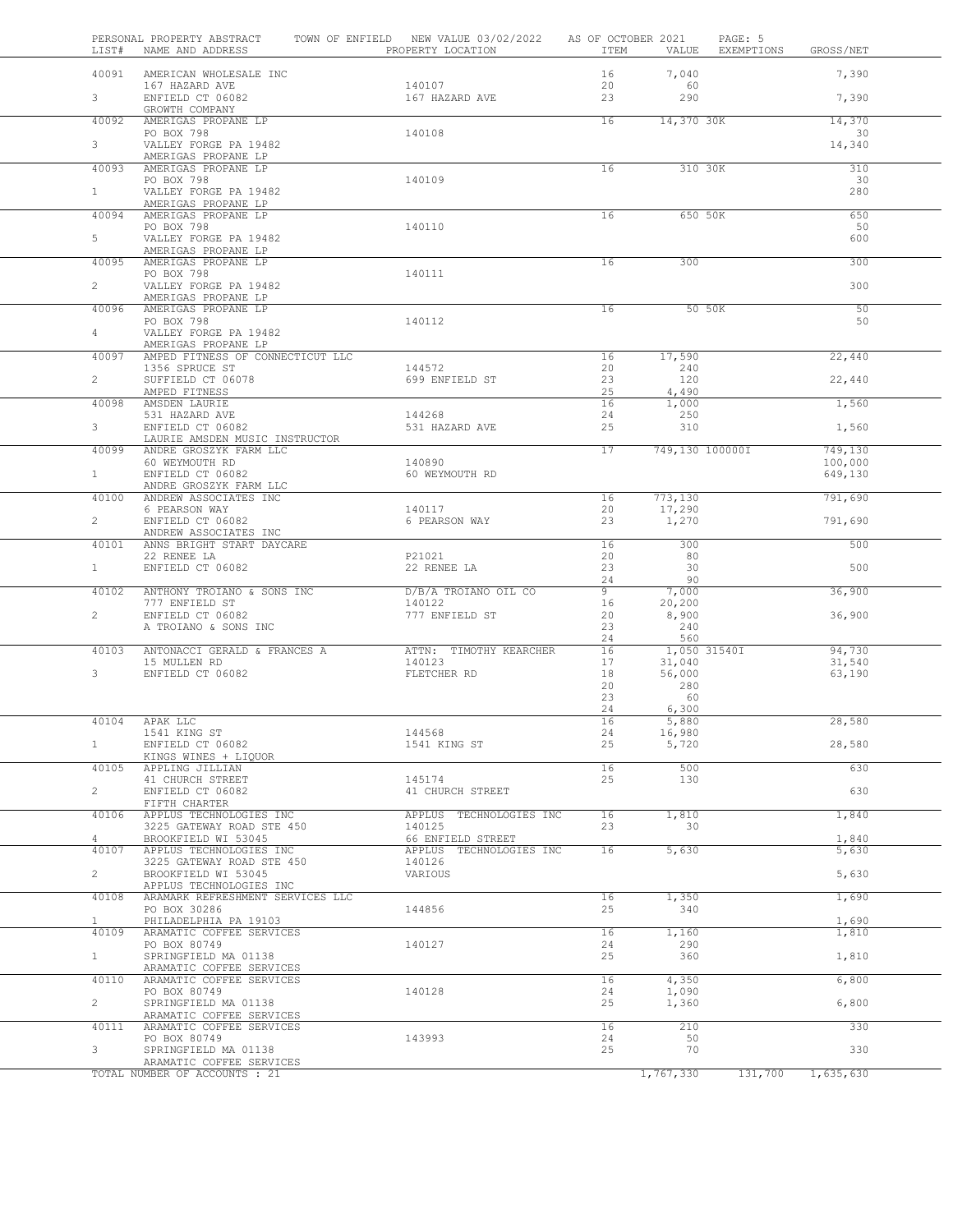| LIST#                   | PERSONAL PROPERTY ABSTRACT<br>NAME AND ADDRESS                   | TOWN OF ENFIELD NEW VALUE 03/02/2022<br>PROPERTY LOCATION | AS OF OCTOBER 2021<br>ITEM | VALUE               | PAGE: 5<br>EXEMPTIONS | GROSS/NET          |  |
|-------------------------|------------------------------------------------------------------|-----------------------------------------------------------|----------------------------|---------------------|-----------------------|--------------------|--|
| 40091                   | AMERICAN WHOLESALE INC                                           |                                                           | 16                         | 7,040               |                       | 7,390              |  |
| 3 <sup>7</sup>          | 167 HAZARD AVE<br>ENFIELD CT 06082                               | 140107<br>167 HAZARD AVE                                  | 20<br>23                   | 60<br>290           |                       | 7,390              |  |
| 40092                   | GROWTH COMPANY<br>AMERIGAS PROPANE LP                            |                                                           | 16                         | 14,370 30K          |                       | 14,370             |  |
| 3                       | PO BOX 798<br>VALLEY FORGE PA 19482                              | 140108                                                    |                            |                     |                       | 30<br>14,340       |  |
| 40093                   | AMERIGAS PROPANE LP<br>AMERIGAS PROPANE LP<br>PO BOX 798         | 140109                                                    | 16                         | 310 30K             |                       | 310<br>30          |  |
| 1                       | VALLEY FORGE PA 19482<br>AMERIGAS PROPANE LP                     |                                                           |                            |                     |                       | 280                |  |
| 40094                   | AMERIGAS PROPANE LP                                              |                                                           | 16                         | 650 50K             |                       | 650                |  |
| 5                       | PO BOX 798<br>VALLEY FORGE PA 19482<br>AMERIGAS PROPANE LP       | 140110                                                    |                            |                     |                       | 50<br>600          |  |
| 40095                   | AMERIGAS PROPANE LP                                              |                                                           | 16                         | 300                 |                       | 300                |  |
| $\overline{2}$          | PO BOX 798<br>VALLEY FORGE PA 19482<br>AMERIGAS PROPANE LP       | 140111                                                    |                            |                     |                       | 300                |  |
| 40096                   | AMERIGAS PROPANE LP                                              |                                                           | 16                         |                     | 50 50K                | 50                 |  |
| $\overline{4}$          | PO BOX 798<br>VALLEY FORGE PA 19482                              | 140112                                                    |                            |                     |                       | 50                 |  |
| 40097                   | AMERIGAS PROPANE LP<br>AMPED FITNESS OF CONNECTICUT LLC          |                                                           | 16                         | 17,590              |                       | 22,440             |  |
|                         | 1356 SPRUCE ST                                                   | 144572                                                    | 20                         | 240                 |                       |                    |  |
| $\overline{2}$          | SUFFIELD CT 06078<br>AMPED FITNESS                               | 699 ENFIELD ST                                            | 23<br>25                   | 120<br>4,490        |                       | 22,440             |  |
| 40098                   | AMSDEN LAURIE                                                    |                                                           | 16                         | 1,000               |                       | 1,560              |  |
| 3 <sup>7</sup>          | 531 HAZARD AVE<br>ENFIELD CT 06082                               | 144268<br>531 HAZARD AVE                                  | 24<br>25                   | 250<br>310          |                       | 1,560              |  |
| 40099                   | LAURIE AMSDEN MUSIC INSTRUCTOR<br>ANDRE GROSZYK FARM LLC         |                                                           | 17                         | 749,130 100000I     |                       | 749,130            |  |
| 1                       | 60 WEYMOUTH RD<br>ENFIELD CT 06082                               | 140890<br>60 WEYMOUTH RD                                  |                            |                     |                       | 100,000<br>649,130 |  |
| 40100                   | ANDRE GROSZYK FARM LLC<br>ANDREW ASSOCIATES INC                  |                                                           | 16                         | 773,130             |                       | 791,690            |  |
| $\overline{2}$          | 6 PEARSON WAY<br>ENFIELD CT 06082                                | 140117<br>6 PEARSON WAY                                   | 20<br>23                   | 17,290<br>1,270     |                       | 791,690            |  |
|                         | ANDREW ASSOCIATES INC                                            |                                                           |                            |                     |                       |                    |  |
| 40101                   | ANNS BRIGHT START DAYCARE<br>22 RENEE LA                         | P21021                                                    | 16<br>20                   | 300<br>80           |                       | 500                |  |
| $\mathbf{1}$            | ENFIELD CT 06082                                                 | 22 RENEE LA                                               | 23                         | 30                  |                       | 500                |  |
| 40102                   | ANTHONY TROIANO & SONS INC                                       | D/B/A TROIANO OIL CO                                      | 24<br>9                    | 90<br>7,000         |                       | 36,900             |  |
|                         | 777 ENFIELD ST                                                   | 140122                                                    | 16                         | 20,200              |                       |                    |  |
| $\overline{2}$          | ENFIELD CT 06082<br>A TROIANO & SONS INC                         | 777 ENFIELD ST                                            | 20<br>23                   | 8,900<br>240        |                       | 36,900             |  |
| 40103                   | ANTONACCI GERALD & FRANCES A                                     | ATTN: TIMOTHY KEARCHER                                    | 24<br>16                   | 560<br>1,050 31540I |                       | 94,730             |  |
|                         | 15 MULLEN RD                                                     | 140123                                                    | 17                         | 31,040              |                       | 31,540             |  |
| $\mathbf{3}$            | ENFIELD CT 06082                                                 | FLETCHER RD                                               | 18<br>20                   | 56,000<br>280       |                       | 63,190             |  |
|                         |                                                                  |                                                           | 23                         | 60                  |                       |                    |  |
|                         |                                                                  |                                                           | 24                         | 6,300               |                       |                    |  |
|                         | 40104 APAK LLC<br>1541 KING ST                                   | 144568                                                    | 16<br>24                   | 5,880<br>16,980     |                       | 28,580             |  |
| $\mathbf{1}$            | ENFIELD CT 06082                                                 | 1541 KING ST                                              | 25                         | 5,720               |                       | 28,580             |  |
| 40105                   | KINGS WINES + LIQUOR<br>APPLING JILLIAN                          |                                                           | 16                         | 500                 |                       | 630                |  |
|                         | 41 CHURCH STREET                                                 | 145174                                                    | 25                         | 130                 |                       |                    |  |
| $\overline{2}$          | ENFIELD CT 06082                                                 | 41 CHURCH STREET                                          |                            |                     |                       | 630                |  |
| 40106                   | FIFTH CHARTER<br>APPLUS TECHNOLOGIES INC                         | APPLUS TECHNOLOGIES INC                                   | 16                         | 1,810               |                       | 1,840              |  |
|                         | 3225 GATEWAY ROAD STE 450                                        | 140125                                                    | 23                         | 30                  |                       |                    |  |
| $\overline{4}$<br>40107 | BROOKFIELD WI 53045<br>APPLUS TECHNOLOGIES INC                   | 66 ENFIELD STREET<br>APPLUS TECHNOLOGIES INC              | 16                         | 5,630               |                       | 1,840<br>5,630     |  |
| $\overline{2}$          | 3225 GATEWAY ROAD STE 450<br>BROOKFIELD WI 53045                 | 140126<br>VARIOUS                                         |                            |                     |                       | 5,630              |  |
| 40108                   | APPLUS TECHNOLOGIES INC<br>ARAMARK REFRESHMENT SERVICES LLC      |                                                           | 16                         | 1,350               |                       | 1,690              |  |
| $\mathbf{1}$            | PO BOX 30286<br>PHILADELPHIA PA 19103                            | 144856                                                    | 25                         | 340                 |                       | 1,690              |  |
| 40109                   | ARAMATIC COFFEE SERVICES                                         |                                                           | 16                         | 1,160               |                       | 1,810              |  |
| $\mathbf{1}$            | PO BOX 80749<br>SPRINGFIELD MA 01138<br>ARAMATIC COFFEE SERVICES | 140127                                                    | 24<br>25                   | 290<br>360          |                       | 1,810              |  |
| 40110                   | ARAMATIC COFFEE SERVICES                                         |                                                           | 16                         | 4,350               |                       | 6,800              |  |
| $\overline{2}$          | PO BOX 80749<br>SPRINGFIELD MA 01138                             | 140128                                                    | 24<br>25                   | 1,090<br>1,360      |                       | 6,800              |  |
|                         | ARAMATIC COFFEE SERVICES                                         |                                                           |                            |                     |                       |                    |  |
| 40111                   | ARAMATIC COFFEE SERVICES<br>PO BOX 80749                         | 143993                                                    | 16<br>24                   | 210<br>50           |                       | 330                |  |
| 3                       | SPRINGFIELD MA 01138                                             |                                                           | 25                         | 70                  |                       | 330                |  |
|                         | ARAMATIC COFFEE SERVICES<br>TOTAL NUMBER OF ACCOUNTS : 21        |                                                           |                            | 1,767,330           | 131,700               | 1,635,630          |  |
|                         |                                                                  |                                                           |                            |                     |                       |                    |  |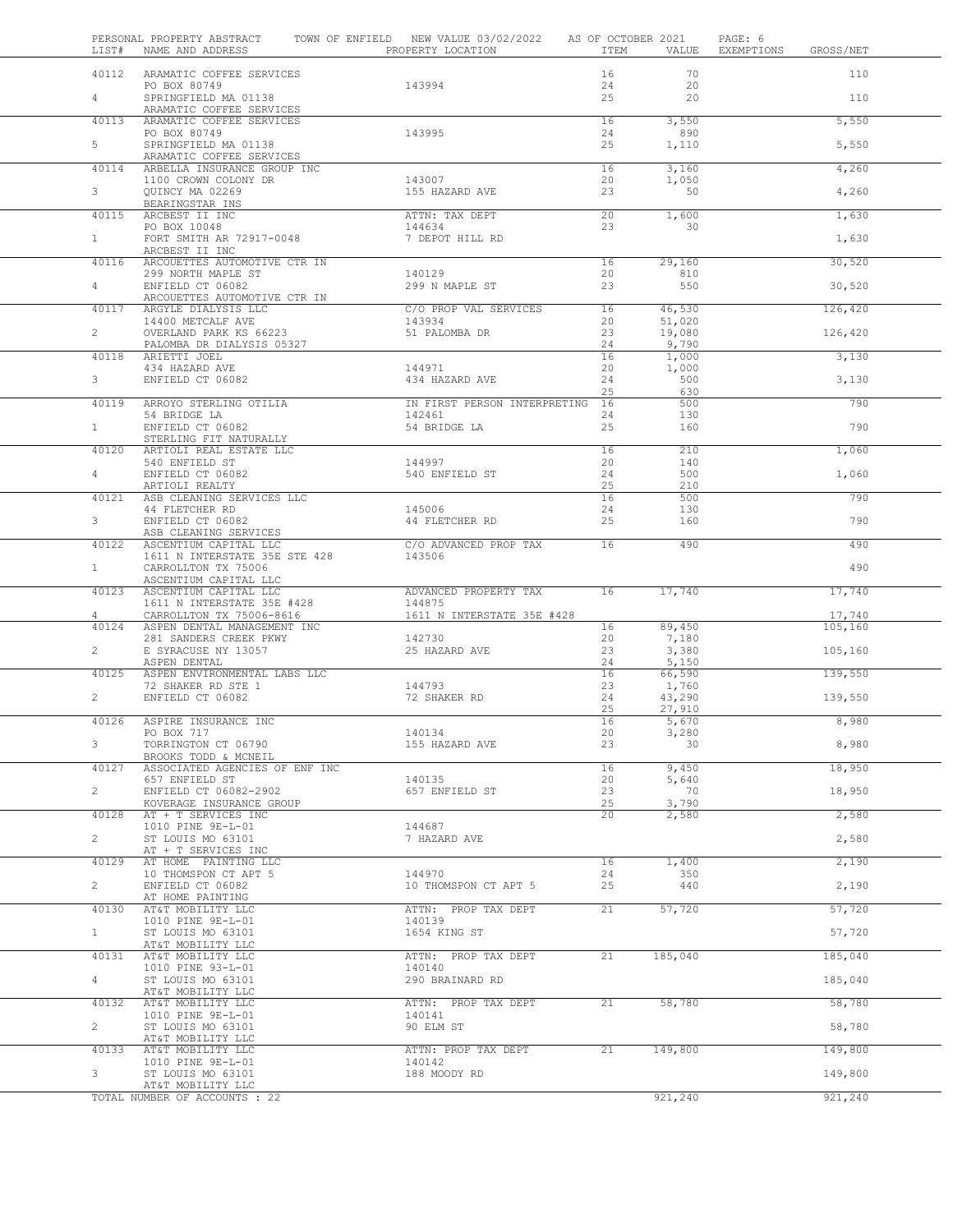| LIST#          | PERSONAL PROPERTY ABSTRACT<br>NAME AND ADDRESS         | TOWN OF ENFIELD NEW VALUE 03/02/2022<br>PROPERTY LOCATION | AS OF OCTOBER 2021<br>ITEM | VALUE           | PAGE: 6<br>EXEMPTIONS<br>GROSS/NET |
|----------------|--------------------------------------------------------|-----------------------------------------------------------|----------------------------|-----------------|------------------------------------|
| 40112          | ARAMATIC COFFEE SERVICES                               |                                                           | 16                         | 70              | 110                                |
| $4 -$          | PO BOX 80749<br>SPRINGFIELD MA 01138                   | 143994                                                    | 24<br>25                   | 20<br>20        | 110                                |
| 40113          | ARAMATIC COFFEE SERVICES                               |                                                           |                            |                 |                                    |
|                | ARAMATIC COFFEE SERVICES<br>PO BOX 80749               | 143995                                                    | 16<br>24                   | 3,550<br>890    | 5,550                              |
| 5              | SPRINGFIELD MA 01138<br>ARAMATIC COFFEE SERVICES       |                                                           | 25                         | 1,110           | 5,550                              |
| 40114          | ARBELLA INSURANCE GROUP INC<br>1100 CROWN COLONY DR    | 143007                                                    | 16<br>20                   | 3,160<br>1,050  | 4,260                              |
| 3              | QUINCY MA 02269<br>BEARINGSTAR INS                     | 155 HAZARD AVE                                            | 23                         | 50              | 4,260                              |
| 40115          | ARCBEST II INC                                         | ATTN: TAX DEPT                                            | 20                         | 1,600           | 1,630                              |
| $\mathbf{1}$   | PO BOX 10048<br>FORT SMITH AR 72917-0048               | 144634<br>7 DEPOT HILL RD                                 | 23                         | 30              | 1,630                              |
| 40116          | ARCBEST II INC<br>ARCOUETTES AUTOMOTIVE CTR IN         |                                                           | 16                         | 29,160          | 30,520                             |
| $\overline{4}$ | 299 NORTH MAPLE ST<br>ENFIELD CT 06082                 | 140129<br>299 N MAPLE ST                                  | 20<br>23                   | 810<br>550      | 30,520                             |
| 40117          | ARCOUETTES AUTOMOTIVE CTR IN<br>ARGYLE DIALYSIS LLC    | C/O PROP VAL SERVICES                                     | 16                         | 46,530          | 126,420                            |
|                | 14400 METCALF AVE                                      | 143934                                                    | 20                         | 51,020          |                                    |
| $\overline{2}$ | OVERLAND PARK KS 66223<br>PALOMBA DR DIALYSIS 05327    | 51 PALOMBA DR                                             | 23<br>24                   | 19,080<br>9,790 | 126,420                            |
| 40118          | ARIETTI JOEL<br>434 HAZARD AVE                         | 144971                                                    | 16<br>20                   | 1,000<br>1,000  | 3,130                              |
| 3              | ENFIELD CT 06082                                       | 434 HAZARD AVE                                            | 24<br>25                   | 500<br>630      | 3,130                              |
| 40119          | ARROYO STERLING OTILIA                                 | IN FIRST PERSON INTERPRETING 16                           |                            | 500             | 790                                |
| 1              | 54 BRIDGE LA<br>ENFIELD CT 06082                       | 142461<br>54 BRIDGE LA                                    | 24<br>25                   | 130<br>160      | 790                                |
| 40120          | STERLING FIT NATURALLY<br>ARTIOLI REAL ESTATE LLC      |                                                           | 16                         | 210             | 1,060                              |
| $4 -$          | 540 ENFIELD ST<br>ENFIELD CT 06082                     | 144997<br>540 ENFIELD ST                                  | 20<br>24                   | 140<br>500      | 1,060                              |
| 40121          | ARTIOLI REALTY<br>ASB CLEANING SERVICES LLC            |                                                           | 25<br>16                   | 210<br>500      | 790                                |
|                | 44 FLETCHER RD                                         | 145006                                                    | 24                         | 130             |                                    |
| 3              | ENFIELD CT 06082<br>ASB CLEANING SERVICES              | 44 FLETCHER RD                                            | 25                         | 160             | 790                                |
| 40122          | ASCENTIUM CAPITAL LLC<br>1611 N INTERSTATE 35E STE 428 | C/O ADVANCED PROP TAX<br>143506                           | 16                         | 490             | 490                                |
| $\mathbf{1}$   | CARROLLTON TX 75006<br>ASCENTIUM CAPITAL LLC           |                                                           |                            |                 | 490                                |
| 40123          | ASCENTIUM CAPITAL LLC<br>1611 N INTERSTATE 35E #428    | ADVANCED PROPERTY TAX<br>144875                           | 16                         | 17,740          | 17,740                             |
| 4              | CARROLLTON TX 75006-8616                               | 1611 N INTERSTATE 35E #428                                |                            |                 | 17,740                             |
| 40124          | ASPEN DENTAL MANAGEMENT INC<br>281 SANDERS CREEK PKWY  | 142730                                                    | 16<br>20                   | 89,450<br>7,180 | 105,160                            |
| $\overline{2}$ | E SYRACUSE NY 13057<br>ASPEN DENTAL                    | 25 HAZARD AVE                                             | 23<br>24                   | 3,380<br>5,150  | 105,160                            |
| 40125          | ASPEN ENVIRONMENTAL LABS LLC<br>72 SHAKER RD STE 1     | 144793                                                    | 16<br>23                   | 66,590<br>1,760 | 139,550                            |
| $\overline{2}$ | ENFIELD CT 06082                                       | 72 SHAKER RD                                              | 24                         | 43,290          | 139,550                            |
| 40126          | ASPIRE INSURANCE INC                                   |                                                           | 25<br>16                   | 27,910<br>5,670 | 8,980                              |
| 3              | PO BOX 717<br>TORRINGTON CT 06790                      | 140134<br>155 HAZARD AVE                                  | 20<br>23                   | 3,280<br>30     | 8,980                              |
| 40127          | BROOKS TODD & MCNEIL<br>ASSOCIATED AGENCIES OF ENF INC |                                                           | 16                         | 9,450           | 18,950                             |
| $\overline{2}$ | 657 ENFIELD ST<br>ENFIELD CT 06082-2902                | 140135<br>657 ENFIELD ST                                  | 20<br>23                   | 5,640<br>70     | 18,950                             |
|                | KOVERAGE INSURANCE GROUP                               |                                                           | 25<br>$\overline{20}$      | 3,790           |                                    |
| 40128          | AT + T SERVICES INC<br>1010 PINE 9E-L-01               | 144687                                                    |                            | 2,580           | 2,580                              |
| $\overline{2}$ | ST LOUIS MO 63101<br>AT + T SERVICES INC               | 7 HAZARD AVE                                              |                            |                 | 2,580                              |
| 40129          | AT HOME PAINTING LLC<br>10 THOMSPON CT APT 5           | 144970                                                    | 16<br>24                   | 1,400<br>350    | 2,190                              |
| $\overline{2}$ | ENFIELD CT 06082<br>AT HOME PAINTING                   | 10 THOMSPON CT APT 5                                      | 25                         | 440             | 2,190                              |
| 40130          | AT&T MOBILITY LLC<br>1010 PINE 9E-L-01                 | ATTN: PROP TAX DEPT<br>140139                             | 21                         | 57,720          | 57,720                             |
| $\mathbf{1}$   | ST LOUIS MO 63101                                      | 1654 KING ST                                              |                            |                 | 57,720                             |
| 40131          | AT&T MOBILITY LLC<br>AT&T MOBILITY LLC                 | ATTN: PROP TAX DEPT                                       | 21                         | 185,040         | 185,040                            |
| $\overline{4}$ | 1010 PINE 93-L-01<br>ST LOUIS MO 63101                 | 140140<br>290 BRAINARD RD                                 |                            |                 | 185,040                            |
| 40132          | AT&T MOBILITY LLC<br>AT&T MOBILITY LLC                 | ATTN: PROP TAX DEPT                                       | 21                         | 58,780          | 58,780                             |
| $\overline{2}$ | 1010 PINE 9E-L-01<br>ST LOUIS MO 63101                 | 140141<br>90 ELM ST                                       |                            |                 | 58,780                             |
|                | AT&T MOBILITY LLC                                      |                                                           |                            |                 |                                    |
| 40133          | AT&T MOBILITY LLC<br>1010 PINE 9E-L-01                 | ATTN: PROP TAX DEPT<br>140142                             | 21                         | 149,800         | 149,800                            |
| 3              | ST LOUIS MO 63101<br>AT&T MOBILITY LLC                 | 188 MOODY RD                                              |                            |                 | 149,800                            |
|                | TOTAL NUMBER OF ACCOUNTS : 22                          |                                                           |                            | 921,240         | 921,240                            |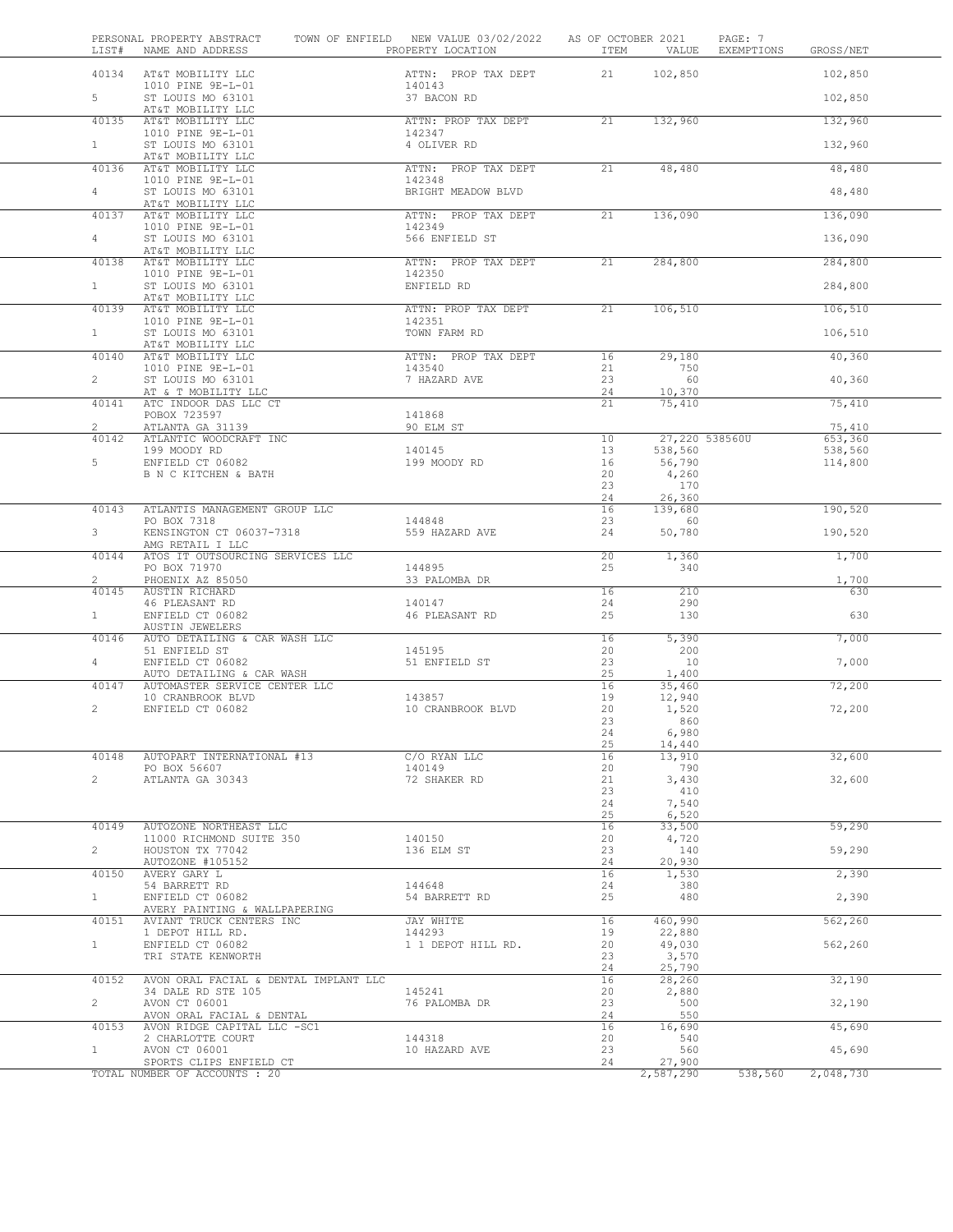| LIST#                          | PERSONAL PROPERTY ABSTRACT<br>NAME AND ADDRESS              | TOWN OF ENFIELD NEW VALUE 03/02/2022<br>PROPERTY LOCATION | AS OF OCTOBER 2021<br>ITEM | VALUE             | PAGE: 7<br>EXEMPTIONS<br>GROSS/NET |
|--------------------------------|-------------------------------------------------------------|-----------------------------------------------------------|----------------------------|-------------------|------------------------------------|
| 40134                          | AT&T MOBILITY LLC<br>1010 PINE 9E-L-01                      | ATTN: PROP TAX DEPT<br>140143                             | 21                         | 102,850           | 102,850                            |
| 5                              | ST LOUIS MO 63101<br>AT&T MOBILITY LLC                      | 37 BACON RD                                               |                            |                   | 102,850                            |
| 40135                          | AT&T MOBILITY LLC                                           | ATTN: PROP TAX DEPT                                       | 21                         | 132,960           | 132,960                            |
| $\mathbf{1}$                   | 1010 PINE 9E-L-01<br>ST LOUIS MO 63101<br>AT&T MOBILITY LLC | 142347<br>4 OLIVER RD                                     |                            |                   | 132,960                            |
| 40136                          | AT&T MOBILITY LLC<br>1010 PINE 9E-L-01                      | ATTN: PROP TAX DEPT<br>142348                             | 21                         | 48,480            | 48,480                             |
| $\overline{4}$                 | ST LOUIS MO 63101<br>AT&T MOBILITY LLC                      | BRIGHT MEADOW BLVD                                        |                            |                   | 48,480                             |
| 40137                          | AT&T MOBILITY LLC<br>1010 PINE 9E-L-01                      | ATTN: PROP TAX DEPT<br>142349                             | 21                         | 136,090           | 136,090                            |
| 4                              | ST LOUIS MO 63101<br>AT&T MOBILITY LLC                      | 566 ENFIELD ST                                            |                            |                   | 136,090                            |
| 40138                          | AT&T MOBILITY LLC                                           | ATTN: PROP TAX DEPT                                       | 21                         | 284,800           | 284,800                            |
| $\mathbf{1}$                   | 1010 PINE 9E-L-01<br>ST LOUIS MO 63101<br>AT&T MOBILITY LLC | 142350<br>ENFIELD RD                                      |                            |                   | 284,800                            |
| 40139                          | AT&T MOBILITY LLC<br>1010 PINE 9E-L-01                      | ATTN: PROP TAX DEPT<br>142351                             | 21                         | 106,510           | 106,510                            |
| $\mathbf{1}$                   | ST LOUIS MO 63101<br>AT&T MOBILITY LLC                      | TOWN FARM RD                                              |                            |                   | 106,510                            |
| 40140                          | AT&T MOBILITY LLC                                           | ATTN: PROP TAX DEPT                                       | 16                         | 29,180            | 40,360                             |
| $\overline{2}$                 | 1010 PINE 9E-L-01<br>ST LOUIS MO 63101                      | 143540<br>7 HAZARD AVE                                    | 21<br>23                   | 750<br>60         | 40,360                             |
| 40141                          | AT & T MOBILITY LLC<br>ATC INDOOR DAS LLC CT                |                                                           | 24<br>21                   | 10,370<br>75,410  | 75,410                             |
| $\overline{2}$                 | POBOX 723597<br>ATLANTA GA 31139                            | 141868<br>90 ELM ST                                       |                            |                   | 75,410                             |
| 40142                          | ATLANTIC WOODCRAFT INC                                      |                                                           | 10                         | 27,220 538560U    | 653,360                            |
| 5                              | 199 MOODY RD<br>ENFIELD CT 06082                            | 140145<br>199 MOODY RD                                    | 13<br>16                   | 538,560<br>56,790 | 538,560<br>114,800                 |
|                                | B N C KITCHEN & BATH                                        |                                                           | 20                         | 4,260             |                                    |
|                                |                                                             |                                                           | 23                         | 170               |                                    |
| 40143                          | ATLANTIS MANAGEMENT GROUP LLC                               |                                                           | 24<br>16                   | 26,360<br>139,680 | 190,520                            |
| 3                              | PO BOX 7318<br>KENSINGTON CT 06037-7318                     | 144848<br>559 HAZARD AVE                                  | 23<br>24                   | 60<br>50,780      | 190,520                            |
|                                | AMG RETAIL I LLC                                            |                                                           |                            |                   |                                    |
| 40144                          | ATOS IT OUTSOURCING SERVICES LLC<br>PO BOX 71970            | 144895                                                    | 20<br>25                   | 1,360<br>340      | 1,700                              |
| $\mathbf{2}^{\prime}$<br>40145 | PHOENIX AZ 85050<br>AUSTIN RICHARD                          | 33 PALOMBA DR                                             | 16                         | 210               | 1,700<br>630                       |
|                                | 46 PLEASANT RD                                              | 140147                                                    | 24                         | 290               |                                    |
| $\mathbf{1}$                   | ENFIELD CT 06082<br>AUSTIN JEWELERS                         | 46 PLEASANT RD                                            | 25                         | 130               | 630                                |
| 40146                          | AUTO DETAILING & CAR WASH LLC                               |                                                           | 16                         | 5,390             | 7,000                              |
| 4                              | 51 ENFIELD ST<br>ENFIELD CT 06082                           | 145195<br>51 ENFIELD ST                                   | 20<br>23                   | 200<br>10         | 7,000                              |
|                                | AUTO DETAILING & CAR WASH                                   |                                                           | 25                         | 1,400             |                                    |
| 40147                          | AUTOMASTER SERVICE CENTER LLC                               |                                                           | 16                         | 35,460            | 72,200                             |
| $\mathbf{2}^{\prime}$          | 10 CRANBROOK BLVD<br>ENFIELD CT 06082                       | 143857<br>10 CRANBROOK BLVD                               | 19<br>20                   | 12,940<br>1,520   | 72,200                             |
|                                |                                                             |                                                           | 23                         | 860               |                                    |
|                                |                                                             |                                                           | 24                         | 6,980             |                                    |
| 40148                          | AUTOPART INTERNATIONAL #13                                  | C/O RYAN LLC                                              | 25<br>16                   | 14,440<br>13,910  | 32,600                             |
|                                | PO BOX 56607                                                | 140149                                                    | 20                         | 790               |                                    |
| $\overline{2}$                 | ATLANTA GA 30343                                            | 72 SHAKER RD                                              | 21                         | 3,430             | 32,600                             |
|                                |                                                             |                                                           | 23<br>24                   | 410<br>7,540      |                                    |
|                                |                                                             |                                                           | 25                         | 6,520             |                                    |
| 40149                          | AUTOZONE NORTHEAST LLC<br>11000 RICHMOND SUITE 350          | 140150                                                    | 16<br>20                   | 33,500<br>4,720   | 59,290                             |
| $\overline{2}$                 | HOUSTON TX 77042                                            | 136 ELM ST                                                | 23                         | 140               | 59,290                             |
| 40150                          | AUTOZONE #105152<br>AVERY GARY L                            |                                                           | 24<br>16                   | 20,930<br>1,530   | 2,390                              |
|                                | 54 BARRETT RD                                               | 144648                                                    | 24                         | 380               |                                    |
| $\mathbf{1}$                   | ENFIELD CT 06082<br>AVERY PAINTING & WALLPAPERING           | 54 BARRETT RD                                             | 25                         | 480               | 2,390                              |
| 40151                          | AVIANT TRUCK CENTERS INC                                    | JAY WHITE<br>144293                                       | 16<br>19                   | 460,990           | 562,260                            |
| $\mathbf{1}$                   | 1 DEPOT HILL RD.<br>ENFIELD CT 06082                        | 1 1 DEPOT HILL RD.                                        | 20                         | 22,880<br>49,030  | 562,260                            |
|                                | TRI STATE KENWORTH                                          |                                                           | 23<br>24                   | 3,570<br>25,790   |                                    |
| 40152                          | AVON ORAL FACIAL & DENTAL IMPLANT LLC                       |                                                           | 16                         | 28,260            | 32,190                             |
|                                | 34 DALE RD STE 105                                          | 145241                                                    | 20                         | 2,880             |                                    |
| $\overline{2}$                 | AVON CT 06001<br>AVON ORAL FACIAL & DENTAL                  | 76 PALOMBA DR                                             | 23<br>24                   | 500<br>550        | 32,190                             |
| 40153                          | AVON RIDGE CAPITAL LLC -SC1                                 |                                                           | 16                         | 16,690            | 45,690                             |
| $\mathbf{1}$                   | 2 CHARLOTTE COURT<br>AVON CT 06001                          | 144318<br>10 HAZARD AVE                                   | 20<br>23                   | 540<br>560        | 45,690                             |
|                                | SPORTS CLIPS ENFIELD CT                                     |                                                           | 24                         | 27,900            |                                    |
|                                | TOTAL NUMBER OF ACCOUNTS : 20                               |                                                           |                            | 2,587,290         | 538,560<br>2,048,730               |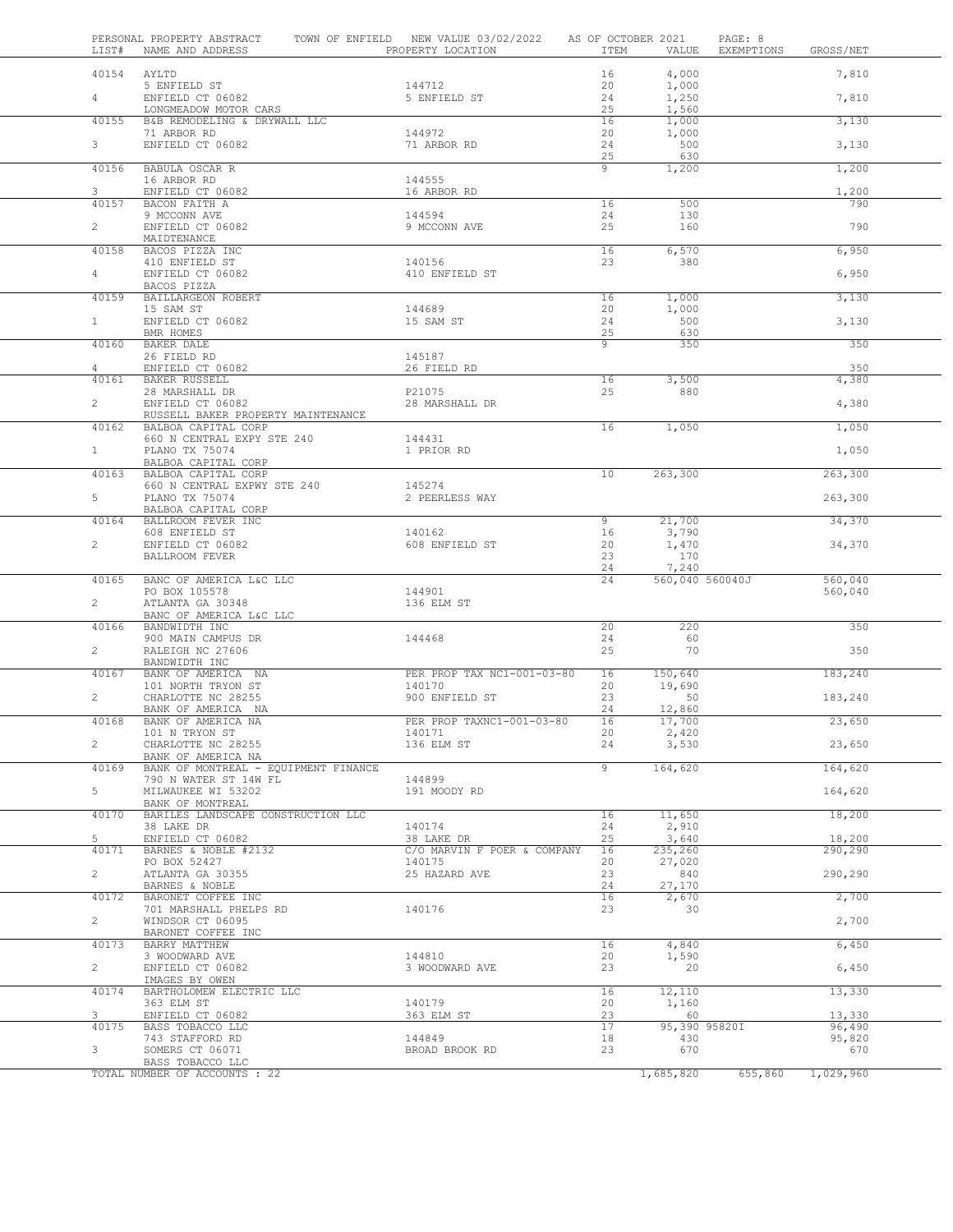| LIST#          | PERSONAL PROPERTY ABSTRACT<br>NAME AND ADDRESS        | TOWN OF ENFIELD NEW VALUE 03/02/2022<br>PROPERTY LOCATION | AS OF OCTOBER 2021<br>ITEM | VALUE                | PAGE: 8<br>EXEMPTIONS | GROSS/NET        |
|----------------|-------------------------------------------------------|-----------------------------------------------------------|----------------------------|----------------------|-----------------------|------------------|
| 40154          | AYLTD                                                 |                                                           | 16                         | 4,000                |                       | 7,810            |
|                | 5 ENFIELD ST                                          | 144712                                                    | 20                         | 1,000                |                       |                  |
| $4 -$          | ENFIELD CT 06082                                      | 5 ENFIELD ST                                              | 24                         | 1,250                |                       | 7,810            |
| 40155          | LONGMEADOW MOTOR CARS<br>B&B REMODELING & DRYWALL LLC |                                                           | 25<br>16                   | 1,560<br>1,000       |                       | 3,130            |
|                | 71 ARBOR RD                                           | 144972                                                    | 20                         | 1,000                |                       |                  |
| 3              | ENFIELD CT 06082                                      | 71 ARBOR RD                                               | 24                         | 500                  |                       | 3,130            |
|                |                                                       |                                                           | 25                         | 630                  |                       |                  |
| 40156          | BABULA OSCAR R                                        |                                                           | 9                          | 1,200                |                       | 1,200            |
| 3              | 16 ARBOR RD<br>ENFIELD CT 06082                       | 144555<br>16 ARBOR RD                                     |                            |                      |                       | 1,200            |
| 40157          | BACON FAITH A                                         |                                                           | 16                         | 500                  |                       | 790              |
|                | 9 MCCONN AVE                                          | 144594                                                    | 24                         | 130                  |                       |                  |
| $\overline{2}$ | ENFIELD CT 06082                                      | 9 MCCONN AVE                                              | 25                         | 160                  |                       | 790              |
|                | MAIDTENANCE                                           |                                                           |                            |                      |                       |                  |
| 40158          | BACOS PIZZA INC<br>410 ENFIELD ST                     | 140156                                                    | 16<br>23                   | 6,570<br>380         |                       | 6,950            |
| $\overline{4}$ | ENFIELD CT 06082                                      | 410 ENFIELD ST                                            |                            |                      |                       | 6,950            |
|                | BACOS PIZZA                                           |                                                           |                            |                      |                       |                  |
| 40159          | BAILLARGEON ROBERT                                    |                                                           | 16                         | 1,000                |                       | 3,130            |
|                | 15 SAM ST                                             | 144689                                                    | 20                         | 1,000                |                       |                  |
| 1              | ENFIELD CT 06082<br>BMR HOMES                         | 15 SAM ST                                                 | 24<br>25                   | 500<br>630           |                       | 3,130            |
| 40160          | BAKER DALE                                            |                                                           | 9                          | 350                  |                       | 350              |
|                | 26 FIELD RD                                           | 145187                                                    |                            |                      |                       |                  |
| $\overline{4}$ | ENFIELD CT 06082                                      | 26 FIELD RD                                               |                            |                      |                       | 350              |
| 40161          | BAKER RUSSELL                                         |                                                           | 16                         | 3,500                |                       | 4,380            |
| $\overline{2}$ | 28 MARSHALL DR<br>ENFIELD CT 06082                    | P21075<br>28 MARSHALL DR                                  | 25                         | 880                  |                       | 4,380            |
|                | RUSSELL BAKER PROPERTY MAINTENANCE                    |                                                           |                            |                      |                       |                  |
| 40162          | BALBOA CAPITAL CORP                                   |                                                           | 16                         | 1,050                |                       | 1,050            |
|                | 660 N CENTRAL EXPY STE 240                            | 144431                                                    |                            |                      |                       |                  |
| $1 -$          | PLANO TX 75074                                        | 1 PRIOR RD                                                |                            |                      |                       | 1,050            |
| 40163          | BALBOA CAPITAL CORP<br>BALBOA CAPITAL CORP            |                                                           | 10                         | 263,300              |                       | 263,300          |
|                | 660 N CENTRAL EXPWY STE 240                           | 145274                                                    |                            |                      |                       |                  |
| 5              | PLANO TX 75074                                        | 2 PEERLESS WAY                                            |                            |                      |                       | 263,300          |
|                | BALBOA CAPITAL CORP                                   |                                                           |                            |                      |                       |                  |
| 40164          | BALLROOM FEVER INC                                    |                                                           | 9                          | 21,700               |                       | 34,370           |
| $\overline{2}$ | 608 ENFIELD ST<br>ENFIELD CT 06082                    | 140162<br>608 ENFIELD ST                                  | 16<br>20                   | 3,790                |                       | 34,370           |
|                | BALLROOM FEVER                                        |                                                           | 23                         | 1,470<br>170         |                       |                  |
|                |                                                       |                                                           | 24                         | 7,240                |                       |                  |
| 40165          | BANC OF AMERICA L&C LLC                               |                                                           | 24                         | 560,040 560040J      |                       | 560,040          |
|                | PO BOX 105578                                         | 144901                                                    |                            |                      |                       | 560,040          |
| $\overline{2}$ | ATLANTA GA 30348<br>BANC OF AMERICA L&C LLC           | 136 ELM ST                                                |                            |                      |                       |                  |
| 40166          | BANDWIDTH INC                                         |                                                           | 20                         | 220                  |                       | 350              |
|                | 900 MAIN CAMPUS DR                                    | 144468                                                    | 24                         | 60                   |                       |                  |
| $\overline{2}$ | RALEIGH NC 27606                                      |                                                           | 25                         | 70                   |                       | 350              |
|                | BANDWIDTH INC                                         |                                                           |                            | 150,640              |                       |                  |
| 40167          | BANK OF AMERICA NA<br>101 NORTH TRYON ST              | PER PROP TAX NC1-001-03-80<br>140170                      | 16<br>20                   | 19,690               |                       | 183,240          |
| $\overline{2}$ | CHARLOTTE NC 28255                                    | 900 ENFIELD ST                                            | 23                         | 50                   |                       | 183,240          |
|                | BANK OF AMERICA NA                                    |                                                           | 24                         | 12,860               |                       |                  |
| 40168          | BANK OF AMERICA NA                                    | PER PROP TAXNC1-001-03-80                                 | 16                         | 17,700               |                       | 23,650           |
|                | 101 N TRYON ST                                        | 140171                                                    | 20                         | 2,420                |                       |                  |
| $\overline{c}$ | CHARLOTTE NC 28255<br>BANK OF AMERICA NA              | 136 ELM ST                                                | 24                         | 3,530                |                       | 23,650           |
| 40169          | BANK OF MONTREAL - EQUIPMENT FINANCE                  |                                                           | $\overline{9}$             | 164,620              |                       | 164,620          |
|                | 790 N WATER ST 14W FL                                 | 144899                                                    |                            |                      |                       |                  |
| 5              | MILWAUKEE WI 53202                                    | 191 MOODY RD                                              |                            |                      |                       | 164,620          |
|                | BANK OF MONTREAL                                      |                                                           |                            |                      |                       |                  |
| 40170          | BARILES LANDSCAPE CONSTRUCTION LLC<br>38 LAKE DR      | 140174                                                    | 16<br>24                   | 11,650<br>2,910      |                       | 18,200           |
| 5              | ENFIELD CT 06082                                      | 38 LAKE DR                                                | 25                         | 3,640                |                       | 18,200           |
| 40171          | BARNES & NOBLE #2132                                  | C/O MARVIN F POER & COMPANY                               | 16                         | 235,260              |                       | 290,290          |
|                | PO BOX 52427                                          | 140175                                                    | 20                         | 27,020               |                       |                  |
| $\overline{2}$ | ATLANTA GA 30355                                      | 25 HAZARD AVE                                             | 23<br>24                   | 840                  |                       | 290,290          |
| 40172          | BARNES & NOBLE<br>BARONET COFFEE INC                  |                                                           | 16                         | 27,170<br>2,670      |                       | 2,700            |
|                | 701 MARSHALL PHELPS RD                                | 140176                                                    | 23                         | 30                   |                       |                  |
| $\overline{2}$ | WINDSOR CT 06095                                      |                                                           |                            |                      |                       | 2,700            |
|                | BARONET COFFEE INC                                    |                                                           |                            |                      |                       |                  |
| 40173          | BARRY MATTHEW                                         |                                                           | 16                         | 4,840                |                       | 6,450            |
| $\overline{2}$ | 3 WOODWARD AVE<br>ENFIELD CT 06082                    | 144810<br>3 WOODWARD AVE                                  | 20<br>23                   | 1,590<br>20          |                       | 6,450            |
|                | IMAGES BY OWEN                                        |                                                           |                            |                      |                       |                  |
| 40174          | BARTHOLOMEW ELECTRIC LLC                              |                                                           | 16                         | 12,110               |                       | 13,330           |
|                | 363 ELM ST                                            | 140179                                                    | 20                         | 1,160                |                       |                  |
| 3              | ENFIELD CT 06082                                      | 363 ELM ST                                                | 23                         | 60                   |                       | 13,330           |
| 40175          | BASS TOBACCO LLC<br>743 STAFFORD RD                   | 144849                                                    | 17<br>18                   | 95,390 95820I<br>430 |                       | 96,490<br>95,820 |
| 3              | SOMERS CT 06071                                       | BROAD BROOK RD                                            | 23                         | 670                  |                       | 670              |
|                | BASS TOBACCO LLC                                      |                                                           |                            |                      |                       |                  |
|                | TOTAL NUMBER OF ACCOUNTS : 22                         |                                                           |                            | 1,685,820            | 655,860               | 1,029,960        |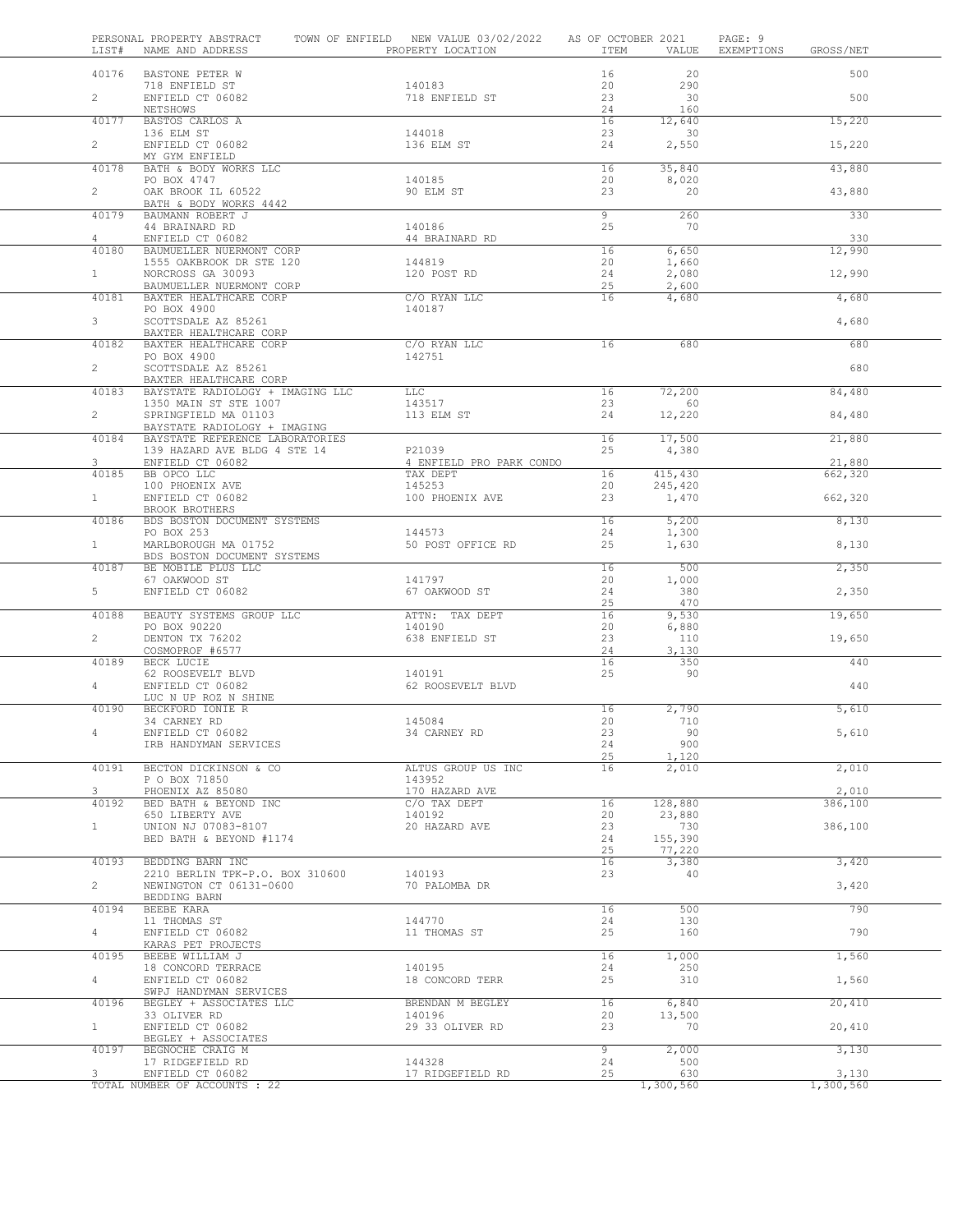| LIST#          | PERSONAL PROPERTY ABSTRACT<br>NAME AND ADDRESS             | TOWN OF ENFIELD NEW VALUE 03/02/2022<br>PROPERTY LOCATION | AS OF OCTOBER 2021<br>ITEM | VALUE         | PAGE: 9<br>EXEMPTIONS | GROSS/NET |  |
|----------------|------------------------------------------------------------|-----------------------------------------------------------|----------------------------|---------------|-----------------------|-----------|--|
| 40176          | BASTONE PETER W                                            |                                                           | 16                         | 20            |                       | 500       |  |
|                | 718 ENFIELD ST                                             | 140183                                                    | 20                         | 290           |                       |           |  |
| $\overline{2}$ | ENFIELD CT 06082<br>NETSHOWS                               | 718 ENFIELD ST                                            | 23<br>24                   | 30<br>160     |                       | 500       |  |
| 40177          | BASTOS CARLOS A                                            |                                                           | 16                         | 12,640        |                       | 15,220    |  |
|                | 136 ELM ST                                                 | 144018                                                    | 23                         | 30            |                       |           |  |
| $\overline{a}$ | ENFIELD CT 06082<br>MY GYM ENFIELD                         | 136 ELM ST                                                | 24                         | 2,550         |                       | 15,220    |  |
| 40178          | BATH & BODY WORKS LLC                                      |                                                           | 16                         | 35,840        |                       | 43,880    |  |
|                | PO BOX 4747                                                | 140185                                                    | 20                         | 8,020         |                       |           |  |
| $\overline{2}$ | OAK BROOK IL 60522<br>BATH & BODY WORKS 4442               | 90 ELM ST                                                 | 23                         | 20            |                       | 43,880    |  |
| 40179          | BAUMANN ROBERT J                                           |                                                           | $\overline{9}$             | 260           |                       | 330       |  |
|                | 44 BRAINARD RD                                             | 140186                                                    | 25                         | 70            |                       |           |  |
| 4<br>40180     | ENFIELD CT 06082<br>BAUMUELLER NUERMONT CORP               | 44 BRAINARD RD                                            | 16                         | 6,650         |                       | 330       |  |
|                | 1555 OAKBROOK DR STE 120                                   | 144819                                                    | 20                         | 1,660         |                       | 12,990    |  |
| 1              | NORCROSS GA 30093                                          | 120 POST RD                                               | 24                         | 2,080         |                       | 12,990    |  |
| 40181          | BAUMUELLER NUERMONT CORP                                   | C/O RYAN LLC                                              | 25<br>$\overline{16}$      | 2,600         |                       |           |  |
|                | BAXTER HEALTHCARE CORP<br>PO BOX 4900                      | 140187                                                    |                            | 4,680         |                       | 4,680     |  |
| $\mathcal{S}$  | SCOTTSDALE AZ 85261                                        |                                                           |                            |               |                       | 4,680     |  |
|                | BAXTER HEALTHCARE CORP                                     |                                                           |                            |               |                       |           |  |
| 40182          | BAXTER HEALTHCARE CORP<br>PO BOX 4900                      | C/O RYAN LLC<br>142751                                    | 16                         | 680           |                       | 680       |  |
| $\overline{2}$ | SCOTTSDALE AZ 85261                                        |                                                           |                            |               |                       | 680       |  |
|                | BAXTER HEALTHCARE CORP                                     |                                                           |                            |               |                       |           |  |
| 40183          | BAYSTATE RADIOLOGY + IMAGING LLC                           | $_{\rm LLC}$                                              | 16                         | 72,200        |                       | 84,480    |  |
| $\overline{2}$ | 1350 MAIN ST STE 1007<br>SPRINGFIELD MA 01103              | 143517<br>113 ELM ST                                      | 23<br>24                   | 60<br>12,220  |                       | 84,480    |  |
|                | BAYSTATE RADIOLOGY + IMAGING                               |                                                           |                            |               |                       |           |  |
| 40184          | BAYSTATE REFERENCE LABORATORIES                            |                                                           | 16                         | 17,500        |                       | 21,880    |  |
| 3              | 139 HAZARD AVE BLDG 4 STE 14<br>ENFIELD CT 06082           | P21039<br>4 ENFIELD PRO PARK CONDO                        | 25                         | 4,380         |                       | 21,880    |  |
| 40185          | BB OPCO LLC                                                | TAX DEPT                                                  | 16                         | 415,430       |                       | 662,320   |  |
|                | 100 PHOENIX AVE                                            | 145253                                                    | 20                         | 245,420       |                       |           |  |
| 1              | ENFIELD CT 06082<br>BROOK BROTHERS                         | 100 PHOENIX AVE                                           | 23                         | 1,470         |                       | 662,320   |  |
| 40186          | BDS BOSTON DOCUMENT SYSTEMS                                |                                                           | 16                         | 5,200         |                       | 8,130     |  |
|                | PO BOX 253                                                 | 144573                                                    | 24                         | 1,300         |                       |           |  |
| 1              | MARLBOROUGH MA 01752                                       | 50 POST OFFICE RD                                         | 25                         | 1,630         |                       | 8,130     |  |
| 40187          | BDS BOSTON DOCUMENT SYSTEMS<br>BE MOBILE PLUS LLC          |                                                           | 16                         | 500           |                       | 2,350     |  |
|                | 67 OAKWOOD ST                                              | 141797                                                    | 20                         | 1,000         |                       |           |  |
| 5              | ENFIELD CT 06082                                           | 67 OAKWOOD ST                                             | 24                         | 380           |                       | 2,350     |  |
| 40188          | BEAUTY SYSTEMS GROUP LLC                                   | ATTN: TAX DEPT                                            | 25<br>16                   | 470<br>9,530  |                       | 19,650    |  |
|                | PO BOX 90220                                               | 140190                                                    | 20                         | 6,880         |                       |           |  |
| $\overline{2}$ | DENTON TX 76202                                            | 638 ENFIELD ST                                            | 23                         | 110           |                       | 19,650    |  |
| 40189          | COSMOPROF #6577                                            |                                                           | 24<br>16                   | 3,130         |                       | 440       |  |
|                | BECK LUCIE<br>62 ROOSEVELT BLVD                            | 140191                                                    | 25                         | 350<br>90     |                       |           |  |
| $\overline{4}$ | ENFIELD CT 06082                                           | 62 ROOSEVELT BLVD                                         |                            |               |                       | 440       |  |
|                | LUC N UP ROZ N SHINE                                       |                                                           |                            |               |                       |           |  |
| 40190          | BECKFORD IONIE R<br>34 CARNEY RD                           | 145084                                                    | 16<br>20                   | 2,790<br>710  |                       | 5,610     |  |
|                | ENFIELD CT 06082                                           | 34 CARNEY RD                                              | 23                         | 90            |                       | 5,610     |  |
|                | IRB HANDYMAN SERVICES                                      |                                                           | 24                         | 900           |                       |           |  |
|                |                                                            |                                                           | 25                         | 1,120         |                       |           |  |
| 40191          | BECTON DICKINSON & CO<br>P O BOX 71850                     | ALTUS GROUP US INC<br>143952                              | 16                         | 2,010         |                       | 2,010     |  |
| 3              | PHOENIX AZ 85080                                           | 170 HAZARD AVE                                            |                            |               |                       | 2,010     |  |
| 40192          | BED BATH & BEYOND INC                                      | C/O TAX DEPT                                              | 16                         | 128,880       |                       | 386,100   |  |
| $\mathbf{1}$   | 650 LIBERTY AVE<br>UNION NJ 07083-8107                     | 140192<br>20 HAZARD AVE                                   | 20<br>23                   | 23,880<br>730 |                       | 386,100   |  |
|                | BED BATH & BEYOND #1174                                    |                                                           | 24                         | 155,390       |                       |           |  |
|                |                                                            |                                                           | 25                         | 77,220        |                       |           |  |
| 40193          | BEDDING BARN INC                                           |                                                           | 16                         | 3,380         |                       | 3,420     |  |
| $\overline{2}$ | 2210 BERLIN TPK-P.O. BOX 310600<br>NEWINGTON CT 06131-0600 | 140193<br>70 PALOMBA DR                                   | 23                         | 40            |                       | 3,420     |  |
|                | BEDDING BARN                                               |                                                           |                            |               |                       |           |  |
| 40194          | BEEBE KARA                                                 |                                                           | 16                         | 500           |                       | 790       |  |
| $\overline{4}$ | 11 THOMAS ST<br>ENFIELD CT 06082                           | 144770<br>11 THOMAS ST                                    | 24<br>25                   | 130<br>160    |                       | 790       |  |
|                | KARAS PET PROJECTS                                         |                                                           |                            |               |                       |           |  |
| 40195          | BEEBE WILLIAM J                                            |                                                           | 16                         | 1,000         |                       | 1,560     |  |
|                | 18 CONCORD TERRACE                                         | 140195                                                    | 24                         | 250           |                       |           |  |
| $\overline{4}$ | ENFIELD CT 06082<br>SWPJ HANDYMAN SERVICES                 | 18 CONCORD TERR                                           | 25                         | 310           |                       | 1,560     |  |
| 40196          | BEGLEY + ASSOCIATES LLC                                    | BRENDAN M BEGLEY                                          | 16                         | 6,840         |                       | 20,410    |  |
|                | 33 OLIVER RD                                               | 140196                                                    | 20                         | 13,500        |                       |           |  |
| $\mathbf{1}$   | ENFIELD CT 06082<br>BEGLEY + ASSOCIATES                    | 29 33 OLIVER RD                                           | 23                         | 70            |                       | 20,410    |  |
| 40197          | BEGNOCHE CRAIG M                                           |                                                           | 9                          | 2,000         |                       | 3,130     |  |
|                | 17 RIDGEFIELD RD                                           | 144328                                                    | 24                         | 500           |                       |           |  |
| 3              | ENFIELD CT 06082                                           | 17 RIDGEFIELD RD                                          | 25                         | 630           |                       | 3,130     |  |
|                | TOTAL NUMBER OF ACCOUNTS : 22                              |                                                           |                            | 1,300,560     |                       | 1,300,560 |  |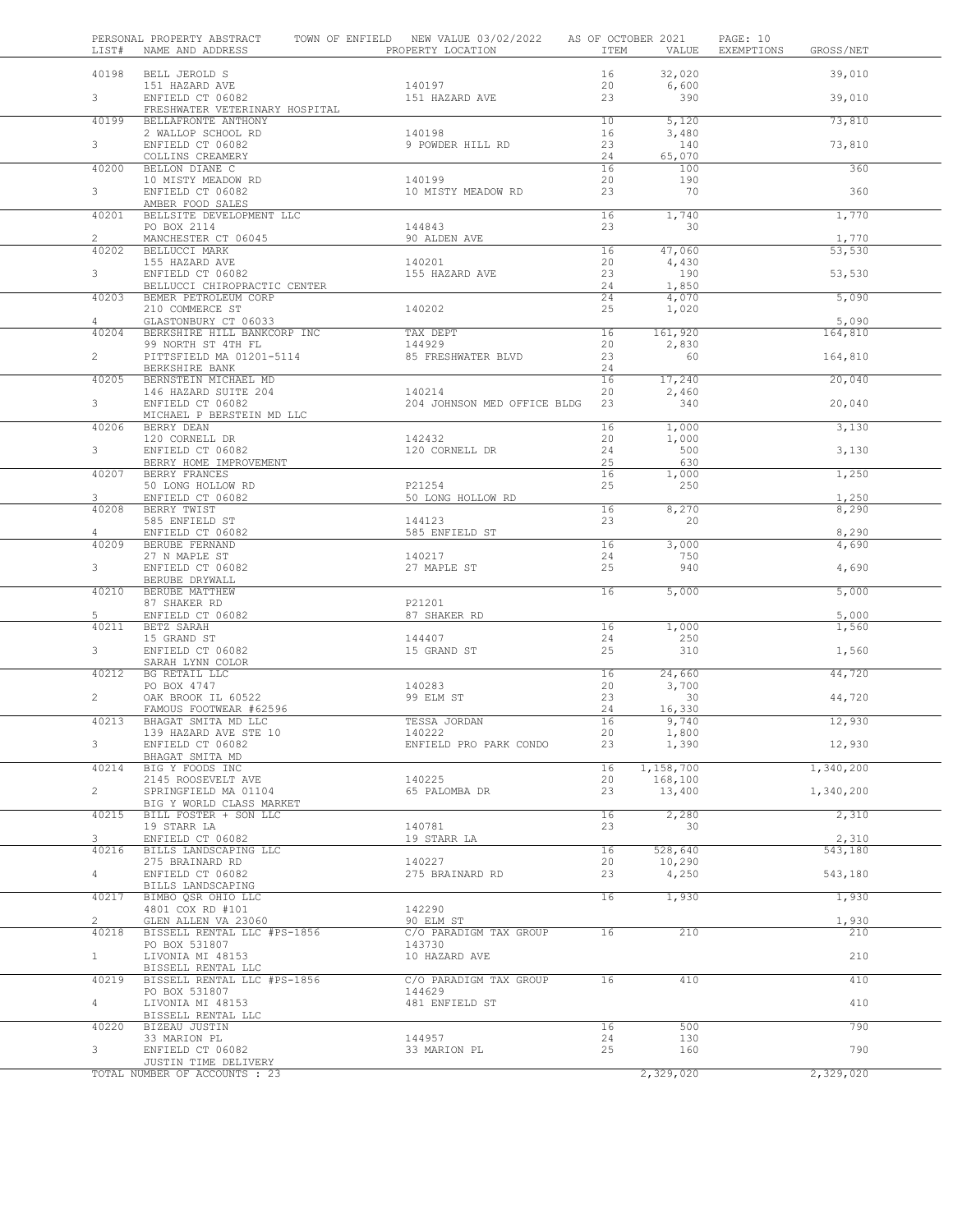| LIST#                   | NAME AND ADDRESS                                      | PERSONAL PROPERTY ABSTRACT TOWN OF ENFIELD NEW VALUE 03/02/2022 AS OF OCTOBER 2021<br>PROPERTY LOCATION | ITEM            | VALUE             | PAGE: 10<br>EXEMPTIONS | GROSS/NET        |
|-------------------------|-------------------------------------------------------|---------------------------------------------------------------------------------------------------------|-----------------|-------------------|------------------------|------------------|
| 40198                   | BELL JEROLD S                                         |                                                                                                         | 16              | 32,020            |                        | 39,010           |
| 3 <sup>7</sup>          | 151 HAZARD AVE<br>ENFIELD CT 06082                    | 140197<br>151 HAZARD AVE                                                                                | 20<br>23        | 6,600<br>390      |                        | 39,010           |
|                         | FRESHWATER VETERINARY HOSPITAL                        |                                                                                                         |                 |                   |                        |                  |
| 40199                   | BELLAFRONTE ANTHONY<br>2 WALLOP SCHOOL RD             | 140198                                                                                                  | 10<br>16        | 5,120<br>3,480    |                        | 73,810           |
| 3                       | ENFIELD CT 06082<br>COLLINS CREAMERY                  | 9 POWDER HILL RD                                                                                        | 23<br>24        | 140<br>65,070     |                        | 73,810           |
| 40200                   | BELLON DIANE C                                        |                                                                                                         | 16              | 100               |                        | 360              |
| 3                       | 10 MISTY MEADOW RD<br>ENFIELD CT 06082                | 140199<br>10 MISTY MEADOW RD                                                                            | 20<br>23        | 190<br>70         |                        | 360              |
| 40201                   | AMBER FOOD SALES<br>BELLSITE DEVELOPMENT LLC          |                                                                                                         | 16              | 1,740             |                        | 1,770            |
|                         | PO BOX 2114                                           | 144843                                                                                                  | 23              | 30                |                        |                  |
| $\overline{2}$<br>40202 | MANCHESTER CT 06045<br>BELLUCCI MARK                  | 90 ALDEN AVE                                                                                            | 16              | 47,060            |                        | 1,770<br>53,530  |
| 3                       | 155 HAZARD AVE<br>ENFIELD CT 06082                    | 140201<br>155 HAZARD AVE                                                                                | 20<br>23        | 4,430<br>190      |                        | 53,530           |
|                         | BELLUCCI CHIROPRACTIC CENTER                          |                                                                                                         | 24              | 1,850             |                        |                  |
| 40203                   | BEMER PETROLEUM CORP<br>210 COMMERCE ST               | 140202                                                                                                  | 24<br>25        | 4,070<br>1,020    |                        | 5,090            |
| $\overline{4}$          | GLASTONBURY CT 06033                                  |                                                                                                         |                 |                   |                        | 5,090            |
| 40204                   | BERKSHIRE HILL BANKCORP INC<br>99 NORTH ST 4TH FL     | TAX DEPT<br>144929                                                                                      | 16<br>20        | 161,920<br>2,830  |                        | 164,810          |
| $\overline{2}$          | PITTSFIELD MA 01201-5114                              | 85 FRESHWATER BLVD                                                                                      | 23              | 60                |                        | 164,810          |
| 40205                   | BERKSHIRE BANK<br>BERNSTEIN MICHAEL MD                |                                                                                                         | 24<br>16        | 17,240            |                        | 20,040           |
| 3 <sup>7</sup>          | 146 HAZARD SUITE 204<br>ENFIELD CT 06082              | 140214<br>204 JOHNSON MED OFFICE BLDG                                                                   | 20<br>23        | 2,460<br>340      |                        | 20,040           |
|                         | MICHAEL P BERSTEIN MD LLC                             |                                                                                                         |                 |                   |                        |                  |
| 40206                   | BERRY DEAN<br>120 CORNELL DR                          | 142432                                                                                                  | 16<br>20        | 1,000<br>1,000    |                        | 3,130            |
| 3 <sup>7</sup>          | ENFIELD CT 06082                                      | 120 CORNELL DR                                                                                          | 24              | 500               |                        | 3,130            |
| 40207                   | BERRY HOME IMPROVEMENT<br>BERRY FRANCES               |                                                                                                         | 25<br>16        | 630<br>1,000      |                        | 1,250            |
|                         | 50 LONG HOLLOW RD                                     | P21254                                                                                                  | 25              | 250               |                        |                  |
| 3 <sup>7</sup><br>40208 | ENFIELD CT 06082<br>BERRY TWIST                       | 50 LONG HOLLOW RD                                                                                       | 16              | 8,270             |                        | 1,250<br>8,290   |
| 4                       | 585 ENFIELD ST<br>ENFIELD CT 06082                    | 144123<br>585 ENFIELD ST                                                                                | 23              | 20                |                        | 8,290            |
| 40209                   | BERUBE FERNAND                                        |                                                                                                         | 16              | 3,000             |                        | 4,690            |
| 3                       | 27 N MAPLE ST<br>ENFIELD CT 06082                     | 140217<br>27 MAPLE ST                                                                                   | 24<br>25        | 750<br>940        |                        | 4,690            |
|                         | BERUBE DRYWALL                                        |                                                                                                         | $\overline{16}$ |                   |                        |                  |
| 40210                   | BERUBE MATTHEW<br>87 SHAKER RD                        | P21201                                                                                                  |                 | 5,000             |                        | 5,000            |
| 5<br>40211              | ENFIELD CT 06082<br>BETZ SARAH                        | 87 SHAKER RD                                                                                            | 16              | 1,000             |                        | 5,000<br>1,560   |
|                         | 15 GRAND ST                                           | 144407                                                                                                  | 24              | 250               |                        |                  |
| 3                       | ENFIELD CT 06082<br>SARAH LYNN COLOR                  | 15 GRAND ST                                                                                             | 25              | 310               |                        | 1,560            |
| 40212                   | BG RETAIL LLC                                         |                                                                                                         | 16              | 24,660            |                        | 44,720           |
| $\overline{2}$          | PO BOX 4747<br>OAK BROOK IL 60522                     | 140283<br>99 ELM ST                                                                                     | 20<br>23        | 3,700<br>30       |                        | 44,720           |
| 40213                   | FAMOUS FOOTWEAR #62596<br>BHAGAT SMITA MD LLC         | TESSA JORDAN                                                                                            | 24<br>16        | 16,330<br>9,740   |                        | 12,930           |
|                         | 139 HAZARD AVE STE 10                                 | 140222                                                                                                  | 20              | 1,800             |                        |                  |
| 3                       | ENFIELD CT 06082<br>BHAGAT SMITA MD                   | ENFIELD PRO PARK CONDO                                                                                  | 23              | 1,390             |                        | 12,930           |
| 40214                   | BIG Y FOODS INC                                       |                                                                                                         | 16              | 1,158,700         |                        | 1,340,200        |
| $\overline{2}$          | 2145 ROOSEVELT AVE<br>SPRINGFIELD MA 01104            | 140225<br>65 PALOMBA DR                                                                                 | 20<br>23        | 168,100<br>13,400 |                        | 1,340,200        |
| 40215                   | BIG Y WORLD CLASS MARKET                              |                                                                                                         | 16              | 2,280             |                        |                  |
|                         | BILL FOSTER + SON LLC<br>19 STARR LA                  | 140781                                                                                                  | 23              | 30                |                        | 2,310            |
| 3<br>40216              | ENFIELD CT 06082<br>BILLS LANDSCAPING LLC             | 19 STARR LA                                                                                             | 16              | 528,640           |                        | 2,310<br>543,180 |
|                         | 275 BRAINARD RD                                       | 140227                                                                                                  | 20              | 10,290            |                        |                  |
| $\overline{4}$          | ENFIELD CT 06082<br>BILLS LANDSCAPING                 | 275 BRAINARD RD                                                                                         | 23              | 4,250             |                        | 543,180          |
| 40217                   | BIMBO OSR OHIO LLC                                    |                                                                                                         | 16              | 1,930             |                        | 1,930            |
| $\overline{2}$          | 4801 COX RD #101<br>GLEN ALLEN VA 23060               | 142290<br>90 ELM ST                                                                                     |                 |                   |                        | 1,930            |
| 40218                   | BISSELL RENTAL LLC #PS-1856                           | C/O PARADIGM TAX GROUP<br>143730                                                                        | 16              | 210               |                        | 210              |
| 1                       | PO BOX 531807<br>LIVONIA MI 48153                     | 10 HAZARD AVE                                                                                           |                 |                   |                        | 210              |
| 40219                   | BISSELL RENTAL LLC<br>BISSELL RENTAL LLC #PS-1856     | C/O PARADIGM TAX GROUP                                                                                  | 16              | 410               |                        | 410              |
|                         | PO BOX 531807                                         | 144629                                                                                                  |                 |                   |                        |                  |
| 4                       | LIVONIA MI 48153<br>BISSELL RENTAL LLC                | 481 ENFIELD ST                                                                                          |                 |                   |                        | 410              |
| 40220                   | BIZEAU JUSTIN                                         |                                                                                                         | 16              | 500               |                        | 790              |
| 3                       | 33 MARION PL<br>ENFIELD CT 06082                      | 144957<br>33 MARION PL                                                                                  | 24<br>25        | 130<br>160        |                        | 790              |
|                         | JUSTIN TIME DELIVERY<br>TOTAL NUMBER OF ACCOUNTS : 23 |                                                                                                         |                 | 2,329,020         |                        | 2,329,020        |
|                         |                                                       |                                                                                                         |                 |                   |                        |                  |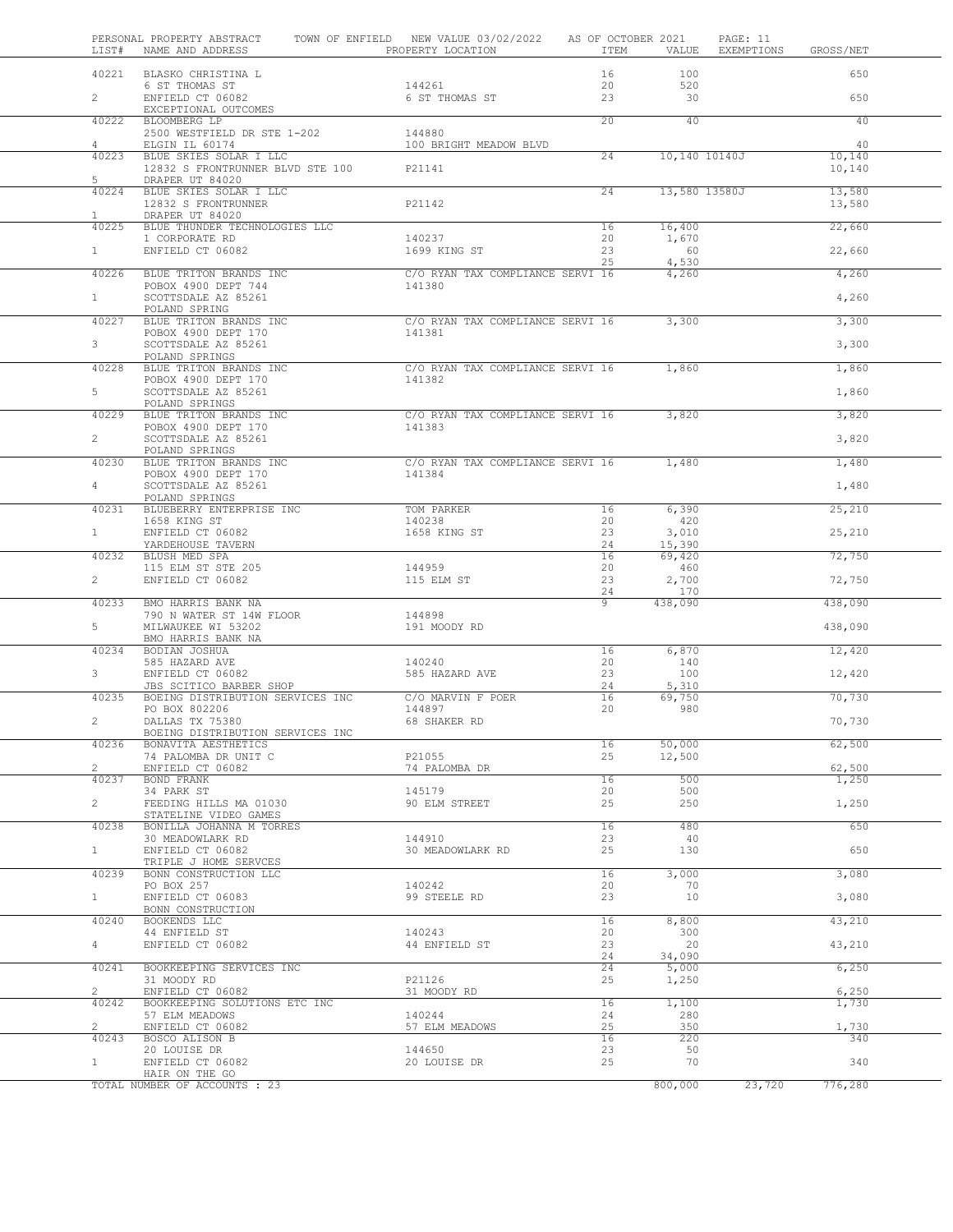| LIST#                   | PERSONAL PROPERTY ABSTRACT<br>NAME AND ADDRESS              | TOWN OF ENFIELD NEW VALUE 03/02/2022 AS OF OCTOBER 2021<br>PROPERTY LOCATION | ITEM            | VALUE           | PAGE: 11<br>EXEMPTIONS | GROSS/NET       |  |
|-------------------------|-------------------------------------------------------------|------------------------------------------------------------------------------|-----------------|-----------------|------------------------|-----------------|--|
|                         | 40221 BLASKO CHRISTINA L                                    |                                                                              | 16              | 100             |                        | 650             |  |
|                         | 6 ST THOMAS ST                                              | 144261                                                                       | 20              | 520             |                        |                 |  |
| $2^{\circ}$             | ENFIELD CT 06082<br>EXCEPTIONAL OUTCOMES                    | 6 ST THOMAS ST                                                               | 23              | 30              |                        | 650             |  |
| 40222                   | BLOOMBERG LP                                                |                                                                              | 20              | 40              |                        | 40              |  |
| $\overline{4}$          | 2500 WESTFIELD DR STE 1-202<br>ELGIN IL 60174               | 144880<br>100 BRIGHT MEADOW BLVD                                             |                 |                 |                        | 40              |  |
| 40223                   | BLUE SKIES SOLAR I LLC                                      |                                                                              | $\overline{24}$ | 10,140 10140J   |                        | 10,140          |  |
| $5 -$                   | 12832 S FRONTRUNNER BLVD STE 100                            | P21141                                                                       |                 |                 |                        | 10,140          |  |
|                         | DRAPER UT 84020<br>40224 BLUE SKIES SOLAR I LLC             |                                                                              | 24              |                 | 13,580 13580J          | 13,580          |  |
|                         | 12832 S FRONTRUNNER                                         | P21142                                                                       |                 |                 |                        | 13,580          |  |
| $\mathbf{1}$<br>40225   | DRAPER UT 84020<br>BLUE THUNDER TECHNOLOGIES LLC            |                                                                              | 16              | 16,400          |                        | 22,660          |  |
|                         | 1 CORPORATE RD                                              | 140237                                                                       | 20              | 1,670           |                        |                 |  |
| 1                       | ENFIELD CT 06082                                            | 1699 KING ST                                                                 | 23<br>25        | 60<br>4,530     |                        | 22,660          |  |
| 40226                   | BLUE TRITON BRANDS INC                                      | C/O RYAN TAX COMPLIANCE SERVI 16                                             |                 | 4,260           |                        | 4,260           |  |
|                         | POBOX 4900 DEPT 744                                         | 141380                                                                       |                 |                 |                        |                 |  |
| $\mathbf{1}$            | SCOTTSDALE AZ 85261<br>POLAND SPRING                        |                                                                              |                 |                 |                        | 4,260           |  |
| 40227                   | BLUE TRITON BRANDS INC                                      | C/O RYAN TAX COMPLIANCE SERVI 16                                             |                 | 3,300           |                        | 3,300           |  |
| $3 -$                   | POBOX 4900 DEPT 170<br>SCOTTSDALE AZ 85261                  | 141381                                                                       |                 |                 |                        | 3,300           |  |
|                         | POLAND SPRINGS                                              |                                                                              |                 |                 |                        |                 |  |
| 40228                   | BLUE TRITON BRANDS INC                                      | C/O RYAN TAX COMPLIANCE SERVI 16 1,860                                       |                 |                 |                        | 1,860           |  |
| $5-1$                   | POBOX 4900 DEPT 170<br>SCOTTSDALE AZ 85261                  | 141382                                                                       |                 |                 |                        | 1,860           |  |
|                         | POLAND SPRINGS                                              |                                                                              |                 |                 |                        |                 |  |
| 40229                   | BLUE TRITON BRANDS INC<br>POBOX 4900 DEPT 170               | C/O RYAN TAX COMPLIANCE SERVI 16<br>141383                                   |                 | 3,820           |                        | 3,820           |  |
| $\overline{2}$          | SCOTTSDALE AZ 85261                                         |                                                                              |                 |                 |                        | 3,820           |  |
| 40230                   | POLAND SPRINGS<br>BLUE TRITON BRANDS INC                    | C/O RYAN TAX COMPLIANCE SERVI 16 1,480                                       |                 |                 |                        | 1,480           |  |
|                         | POBOX 4900 DEPT 170                                         | 141384                                                                       |                 |                 |                        |                 |  |
| $4 -$                   | SCOTTSDALE AZ 85261                                         |                                                                              |                 |                 |                        | 1,480           |  |
| 40231                   | POLAND SPRINGS<br>BLUEBERRY ENTERPRISE INC                  | TOM PARKER                                                                   | 16              | 6,390           |                        | 25,210          |  |
|                         | 1658 KING ST                                                | 140238                                                                       | 20              | 420             |                        |                 |  |
| 1                       | ENFIELD CT 06082<br>YARDEHOUSE TAVERN                       | 1658 KING ST                                                                 | 23<br>24        | 3,010<br>15,390 |                        | 25,210          |  |
| 40232                   | BLUSH MED SPA                                               |                                                                              | 16              | 69,420          |                        | 72,750          |  |
| $2^{\circ}$             | 115 ELM ST STE 205<br>ENFIELD CT 06082                      | 144959<br>115 ELM ST                                                         | 20<br>23        | 460<br>2,700    |                        | 72,750          |  |
|                         |                                                             |                                                                              | 24              | 170             |                        |                 |  |
| 40233                   | BMO HARRIS BANK NA                                          |                                                                              | 9               | 438,090         |                        | 438,090         |  |
| $5 -$                   | 790 N WATER ST 14W FLOOR<br>MILWAUKEE WI 53202              | 144898<br>191 MOODY RD                                                       |                 |                 |                        | 438,090         |  |
|                         | BMO HARRIS BANK NA                                          |                                                                              |                 |                 |                        |                 |  |
| 40234                   | BODIAN JOSHUA<br>585 HAZARD AVE                             | 140240                                                                       | 16<br>20        | 6,870<br>140    |                        | 12,420          |  |
| $3^{\circ}$             | ENFIELD CT 06082                                            | 585 HAZARD AVE                                                               | 23              | 100             |                        | 12,420          |  |
| 40235                   | JBS SCITICO BARBER SHOP<br>BOEING DISTRIBUTION SERVICES INC | C/O MARVIN F POER                                                            | 24<br>16        | 5,310<br>69,750 |                        | 70,730          |  |
|                         | PO BOX 802206                                               | 144897                                                                       | 20              | 980             |                        |                 |  |
| $\overline{2}$          | DALLAS TX 75380<br>BOEING DISTRIBUTION SERVICES INC         | 68 SHAKER RD                                                                 |                 |                 |                        | 70,730          |  |
| 40236                   | BONAVITA AESTHETICS                                         |                                                                              | 16              | 50,000          |                        | 62,500          |  |
|                         | 74 PALOMBA DR UNIT C                                        | P21055                                                                       | 25              | 12,500          |                        |                 |  |
| $\overline{2}$<br>40237 | ENFIELD CT 06082<br>BOND FRANK                              | 74 PALOMBA DR                                                                | 16              | 500             |                        | 62,500<br>1,250 |  |
|                         | 34 PARK ST                                                  | 145179                                                                       | 20              | 500             |                        |                 |  |
| $\overline{2}$          | FEEDING HILLS MA 01030<br>STATELINE VIDEO GAMES             | 90 ELM STREET                                                                | 25              | 250             |                        | 1,250           |  |
| 40238                   | BONILLA JOHANNA M TORRES                                    |                                                                              | 16              | 480             |                        | 650             |  |
| 1                       | 30 MEADOWLARK RD<br>ENFIELD CT 06082                        | 144910                                                                       | 23<br>25        | 40<br>130       |                        | 650             |  |
|                         | TRIPLE J HOME SERVCES                                       | 30 MEADOWLARK RD                                                             |                 |                 |                        |                 |  |
| 40239                   | BONN CONSTRUCTION LLC                                       |                                                                              | 16              | 3,000           |                        | 3,080           |  |
| $\mathbf{1}$            | PO BOX 257<br>ENFIELD CT 06083                              | 140242<br>99 STEELE RD                                                       | 20<br>23        | 70<br>10        |                        | 3,080           |  |
|                         | BONN CONSTRUCTION                                           |                                                                              |                 |                 |                        |                 |  |
| 40240                   | BOOKENDS LLC<br>44 ENFIELD ST                               | 140243                                                                       | 16<br>20        | 8,800<br>300    |                        | 43,210          |  |
| $\overline{4}$          | ENFIELD CT 06082                                            | 44 ENFIELD ST                                                                | 23              | 20              |                        | 43,210          |  |
| 40241                   |                                                             |                                                                              | 24              | 34,090          |                        |                 |  |
|                         | BOOKKEEPING SERVICES INC<br>31 MOODY RD                     | P21126                                                                       | 24<br>25        | 5,000<br>1,250  |                        | 6,250           |  |
| $\overline{2}$          | ENFIELD CT 06082                                            | 31 MOODY RD                                                                  |                 |                 |                        | 6,250           |  |
| 40242                   | BOOKKEEPING SOLUTIONS ETC INC<br>57 ELM MEADOWS             | 140244                                                                       | 16<br>24        | 1,100<br>280    |                        | 1,730           |  |
| $\overline{2}$          | ENFIELD CT 06082                                            | 57 ELM MEADOWS                                                               | 25              | 350             |                        | 1,730           |  |
| 40243                   | BOSCO ALISON B<br>20 LOUISE DR                              | 144650                                                                       | 16<br>23        | 220<br>50       |                        | 340             |  |
| $\mathbf{1}$            | ENFIELD CT 06082                                            | 20 LOUISE DR                                                                 | 25              | 70              |                        | 340             |  |
|                         | HAIR ON THE GO<br>TOTAL NUMBER OF ACCOUNTS : 23             |                                                                              |                 | 800,000         | 23,720                 | 776,280         |  |
|                         |                                                             |                                                                              |                 |                 |                        |                 |  |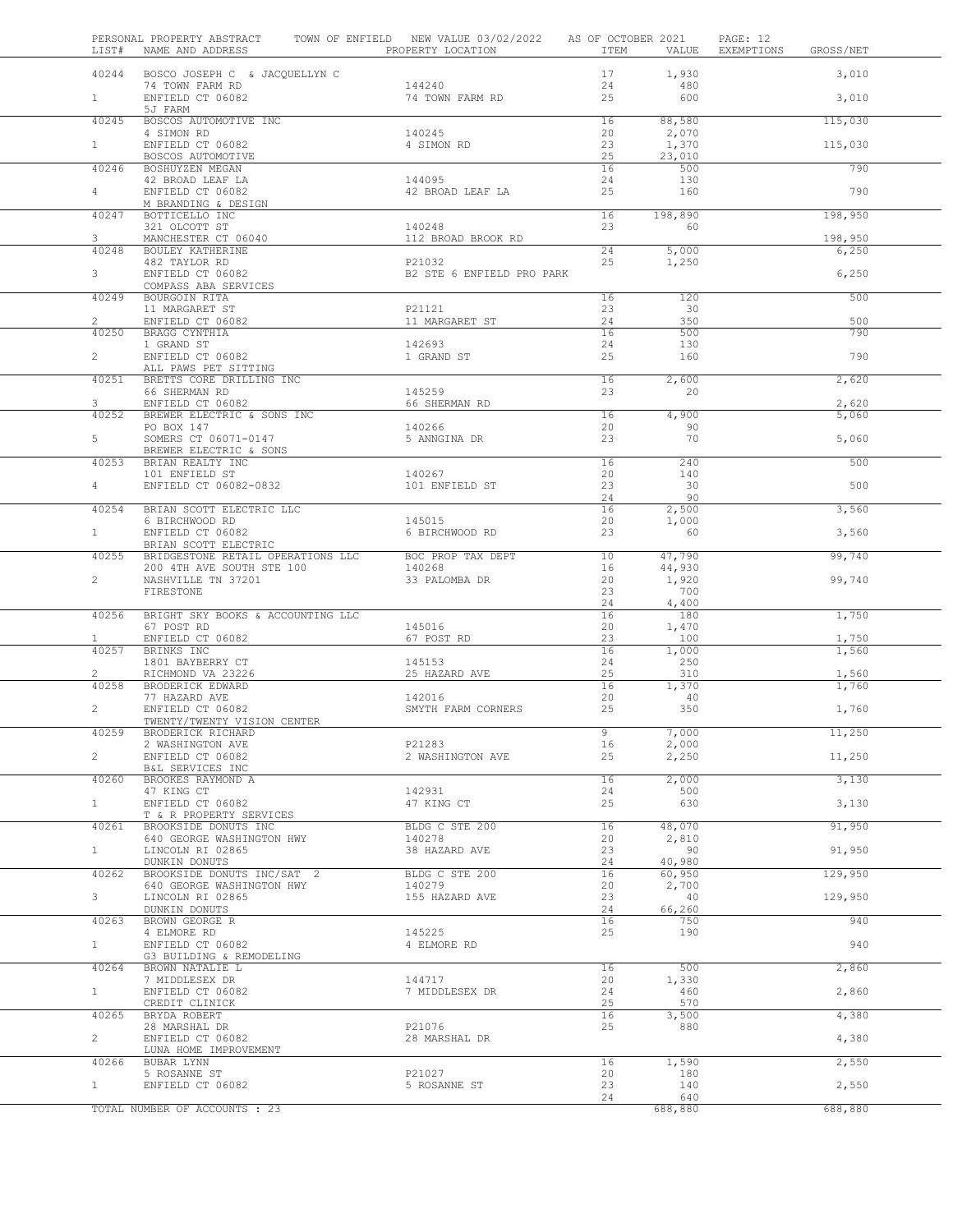| LIST#                 | PERSONAL PROPERTY ABSTRACT<br>NAME AND ADDRESS THE PROPERTY LOCATION  | TOWN OF ENFIELD NEW VALUE 03/02/2022 AS OF OCTOBER 2021 | ITEM            | VALUE           | PAGE: 12<br>EXEMPTIONS | GROSS/NET      |
|-----------------------|-----------------------------------------------------------------------|---------------------------------------------------------|-----------------|-----------------|------------------------|----------------|
| 40244                 | BOSCO JOSEPH C & JACQUELLYN C                                         |                                                         | 17              | 1,930           |                        | 3,010          |
| $1 -$                 | 74 TOWN FARM RD<br>ENFIELD CT 06082                                   | 144240<br>74 TOWN FARM RD                               | 24<br>25        | 480<br>600      |                        | 3,010          |
| 40245                 | 5J FARM<br>BOSCOS AUTOMOTIVE INC                                      |                                                         | 16              | 88,580          |                        | 115,030        |
|                       | 4 SIMON RD                                                            | 140245                                                  | 20              | 2,070           |                        |                |
| $\mathbf{1}$          | ENFIELD CT 06082<br>BOSCOS AUTOMOTIVE                                 | 4 SIMON RD                                              | 23<br>25        | 1,370<br>23,010 |                        | 115,030        |
| 40246                 | BOSHUYZEN MEGAN                                                       |                                                         | 16              | 500             |                        | 790            |
|                       | 42 BROAD LEAF LA                                                      | 144095                                                  | 24              | 130             |                        |                |
| $\overline{4}$        | ENFIELD CT 06082                                                      | 42 BROAD LEAF LA                                        | 25              | 160             |                        | 790            |
| 40247                 | M BRANDING & DESIGN<br>BOTTICELLO INC                                 |                                                         | 16              | 198,890         |                        | 198,950        |
|                       | 321 OLCOTT ST                                                         | 140248                                                  | 23              | 60              |                        |                |
| 3                     | MANCHESTER CT 06040                                                   | 112 BROAD BROOK RD                                      |                 |                 |                        | 198,950        |
| 40248                 | BOULEY KATHERINE<br>482 TAYLOR RD                                     | P21032                                                  | 24<br>25        | 5,000<br>1,250  |                        | 6,250          |
| 3                     | ENFIELD CT 06082                                                      | B2 STE 6 ENFIELD PRO PARK                               |                 |                 |                        | 6,250          |
|                       | COMPASS ABA SERVICES                                                  |                                                         |                 |                 |                        |                |
| 40249                 | BOURGOIN RITA<br>11 MARGARET ST                                       | P21121                                                  | 16<br>23        | 120<br>30       |                        | 500            |
| $\overline{2}$        | ENFIELD CT 06082                                                      | 11 MARGARET ST                                          | 24              | 350             |                        | 500            |
| 40250                 | BRAGG CYNTHIA                                                         |                                                         | 16              | 500             |                        | 790            |
| $2^{\circ}$           | 1 GRAND ST<br>ENFIELD CT 06082                                        | 142693<br>1 GRAND ST                                    | 24<br>25        | 130<br>160      |                        | 790            |
|                       | ALL PAWS PET SITTING                                                  |                                                         |                 |                 |                        |                |
| 40251                 | BRETTS CORE DRILLING INC                                              |                                                         | 16              | 2,600           |                        | 2,620          |
| 3                     | 66 SHERMAN RD                                                         | 145259                                                  | 23              | 20              |                        |                |
| 40252                 | ENFIELD CT 06082<br>BREWER ELECTRIC & SONS INC                        | 66 SHERMAN RD                                           | 16              | 4,900           |                        | 2,620<br>5,060 |
|                       | PO BOX 147                                                            | 140266                                                  | 20              | 90              |                        |                |
| 5                     | SOMERS CT 06071-0147                                                  | 5 ANNGINA DR                                            | 23              | 70              |                        | 5,060          |
| 40253                 | BREWER ELECTRIC & SONS<br>BRIAN REALTY INC                            |                                                         | 16              | 240             |                        | 500            |
|                       | 101 ENFIELD ST                                                        | 140267                                                  | 20              | 140             |                        |                |
| $4\degree$            | ENFIELD CT 06082-0832                                                 | 101 ENFIELD ST                                          | 23              | 30              |                        | 500            |
| 40254                 | BRIAN SCOTT ELECTRIC LLC                                              |                                                         | 24<br>16        | 90<br>2,500     |                        | 3,560          |
|                       | 6 BIRCHWOOD RD                                                        | 145015                                                  | 20              | 1,000           |                        |                |
| 1                     | ENFIELD CT 06082                                                      | 6 BIRCHWOOD RD                                          | 23              | 60              |                        | 3,560          |
| 40255                 | BRIAN SCOTT ELECTRIC<br>BRIDGESTONE RETAIL OPERATIONS LLC             | BOC PROP TAX DEPT                                       | 10 <sub>1</sub> | 47,790          |                        | 99,740         |
|                       |                                                                       | 140268                                                  | 16              | 44,930          |                        |                |
| $\overline{2}$        | 200 4TH AVE SOUTH STE 100<br>NASHVILLE TN 37201<br>NASHVILLE TN 37201 | 33 PALOMBA DR                                           | 20              | 1,920           |                        | 99,740         |
|                       | FIRESTONE                                                             |                                                         | 23<br>24        | 700<br>4,400    |                        |                |
| 40256                 | BRIGHT SKY BOOKS & ACCOUNTING LLC                                     |                                                         | 16              | 180             |                        | 1,750          |
|                       | 67 POST RD                                                            | 145016                                                  | 20              | 1,470           |                        |                |
| $\mathbf{1}$<br>40257 | ENFIELD CT 06082<br>BRINKS INC                                        | 67 POST RD                                              | 23<br>16        | 100<br>1,000    |                        | 1,750<br>1,560 |
|                       | 1801 BAYBERRY CT                                                      | 145153                                                  | 24              | 250             |                        |                |
| $\overline{2}$        | RICHMOND VA 23226                                                     | 25 HAZARD AVE                                           | 25              | 310             |                        | 1,560          |
| 40258                 | BRODERICK EDWARD<br>77 HAZARD AVE                                     | 142016                                                  | 16<br>20        | 1,370<br>40     |                        | 1,760          |
| $\overline{c}$        | ENFIELD CT 06082                                                      | SMYTH FARM CORNERS                                      | 25              | 350             |                        | 1,760          |
|                       | TWENTY/TWENTY VISION CENTER                                           |                                                         |                 |                 |                        |                |
| 40259                 | BRODERICK RICHARD                                                     |                                                         | 9               | 7,000           |                        | 11,250         |
| $\overline{2}$        | 2 WASHINGTON AVE<br>ENFIELD CT 06082                                  | P21283<br>2 WASHINGTON AVE                              | 16<br>25        | 2,000<br>2,250  |                        | 11,250         |
|                       | B&L SERVICES INC                                                      |                                                         |                 |                 |                        |                |
| 40260                 | BROOKES RAYMOND A                                                     |                                                         | 16              | 2,000           |                        | 3,130          |
| 1                     | 47 KING CT<br>ENFIELD CT 06082                                        | 142931<br>47 KING CT                                    | 24<br>25        | 500<br>630      |                        | 3,130          |
|                       | T & R PROPERTY SERVICES                                               |                                                         |                 |                 |                        |                |
| 40261                 | BROOKSIDE DONUTS INC                                                  | BLDG C STE 200                                          | 16              | 48,070          |                        | 91,950         |
| $1 -$                 | 640 GEORGE WASHINGTON HWY<br>LINCOLN RI 02865                         | 140278<br>38 HAZARD AVE                                 | 20<br>23        | 2,810<br>90     |                        | 91,950         |
|                       | DUNKIN DONUTS                                                         |                                                         | 24              | 40,980          |                        |                |
| 40262                 | BROOKSIDE DONUTS INC/SAT 2                                            | BLDG C STE 200                                          | 16              | 60,950          |                        | 129,950        |
| 3 <sup>7</sup>        | 640 GEORGE WASHINGTON HWY<br>LINCOLN RI 02865                         | 140279<br>155 HAZARD AVE                                | 20<br>23        | 2,700<br>40     |                        | 129,950        |
|                       | DUNKIN DONUTS                                                         |                                                         | 24              | 66,260          |                        |                |
| 40263                 | BROWN GEORGE R                                                        |                                                         | 16              | 750             |                        | 940            |
| 1                     | 4 ELMORE RD<br>ENFIELD CT 06082                                       | 145225<br>4 ELMORE RD                                   | 25              | 190             |                        | 940            |
|                       | G3 BUILDING & REMODELING                                              |                                                         |                 |                 |                        |                |
| 40264                 | BROWN NATALIE L                                                       |                                                         | 16              | 500             |                        | 2,860          |
| 1                     | 7 MIDDLESEX DR<br>ENFIELD CT 06082                                    | 144717<br>7 MIDDLESEX DR                                | 20<br>24        | 1,330<br>460    |                        | 2,860          |
|                       | CREDIT CLINICK                                                        |                                                         | 25              | 570             |                        |                |
| 40265                 | BRYDA ROBERT                                                          |                                                         | 16              | 3,500           |                        | 4,380          |
| $\overline{2}$        | 28 MARSHAL DR                                                         | P21076                                                  | 25              | 880             |                        |                |
|                       | ENFIELD CT 06082<br>LUNA HOME IMPROVEMENT                             | 28 MARSHAL DR                                           |                 |                 |                        | 4,380          |
| 40266                 | BUBAR LYNN                                                            |                                                         | 16              | 1,590           |                        | 2,550          |
|                       | 5 ROSANNE ST                                                          | P21027                                                  | 20              | 180             |                        |                |
| 1                     | ENFIELD CT 06082                                                      | 5 ROSANNE ST                                            | 23<br>24        | 140<br>640      |                        | 2,550          |
|                       | TOTAL NUMBER OF ACCOUNTS : 23                                         |                                                         |                 | 688,880         |                        | 688,880        |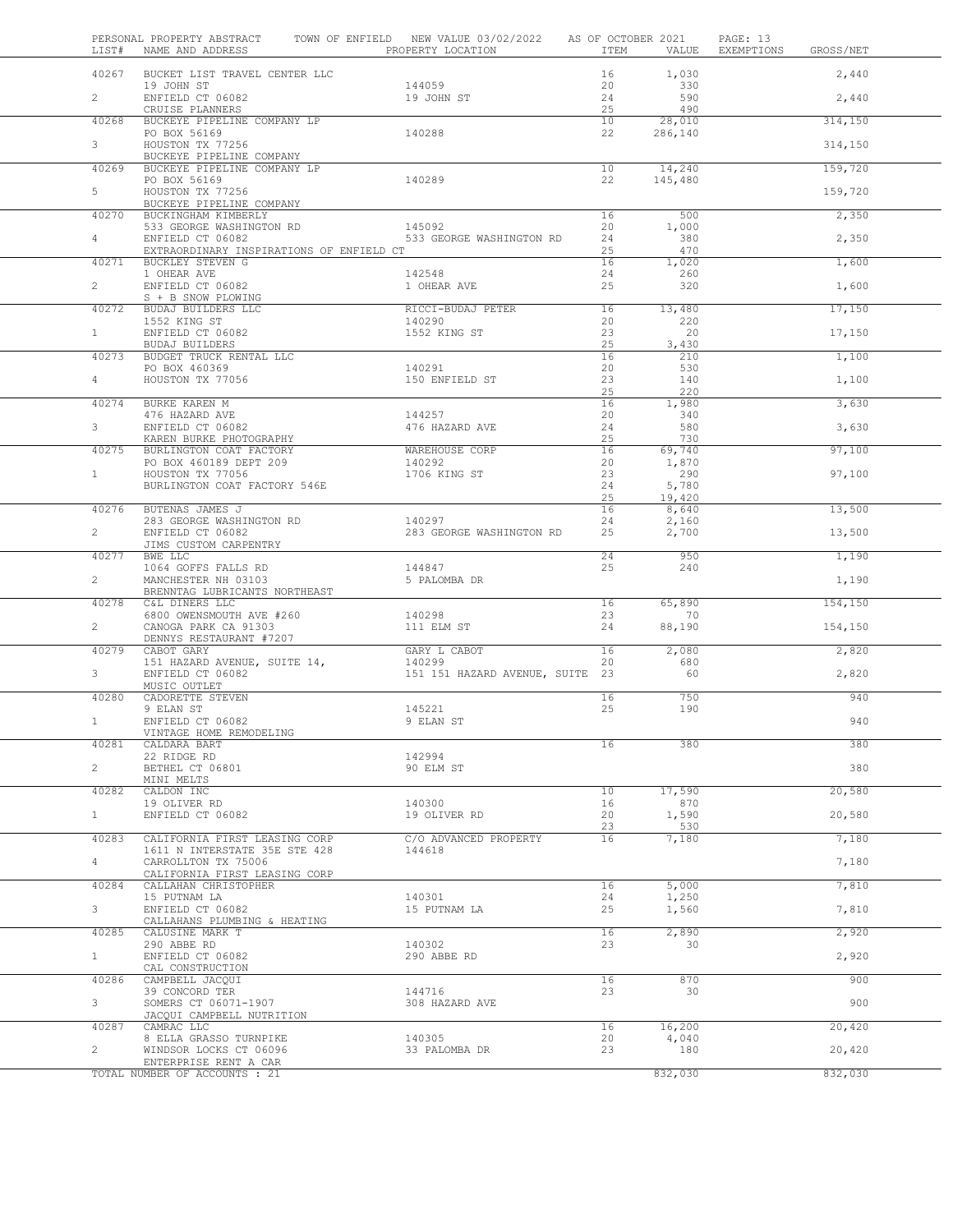| LIST#          | PERSONAL PROPERTY ABSTRACT TOWN OF ENFIELD NEW VALUE 03/02/2022 AS OF OCTOBER 2021<br>NAME AND ADDRESS TO PROPERTY LOCATION                                                                                  |                                           |                 |                   | PAGE: 13<br>ITEM VALUE EXEMPTIONS GROSS/NET |         |
|----------------|--------------------------------------------------------------------------------------------------------------------------------------------------------------------------------------------------------------|-------------------------------------------|-----------------|-------------------|---------------------------------------------|---------|
| 40267          | BUCKET LIST TRAVEL CENTER LLC                                                                                                                                                                                |                                           | 16              | 1,030             |                                             | 2,440   |
| $2^{\circ}$    | 19 JOHN ST<br>ENFIELD CT 06082<br>CRUISE PLANNERS                                                                                                                                                            | 144059<br>19 JOHN ST                      | 20<br>24<br>25  | 330<br>590<br>490 |                                             | 2,440   |
| 40268          | BUCKEYE PIPELINE COMPANY LP                                                                                                                                                                                  |                                           | 10              | 28,010            |                                             | 314,150 |
| 3 <sup>7</sup> | PO BOX 56169<br>HOUSTON TX 77256                                                                                                                                                                             | 140288                                    | 22              | 286,140           |                                             | 314,150 |
| 40269          | BUCKEYE PIPELINE COMPANY<br>BUCKEYE PIPELINE COMPANY LP                                                                                                                                                      |                                           | 10 <sup>7</sup> | 14,240            |                                             | 159,720 |
| $5 -$          | PO BOX 56169<br>HOUSTON TX 77256                                                                                                                                                                             | 140289                                    | 22              | 145,480           |                                             | 159,720 |
|                | BUCKEYE PIPELINE COMPANY                                                                                                                                                                                     |                                           |                 |                   |                                             |         |
| 40270          | BUCKINGHAM KIMBERLY                                                                                                                                                                                          |                                           | 16<br>20        | 500<br>1,000      |                                             | 2,350   |
| $4 \quad$      | ${\small \begin{tabular}{lclclcl}533 & GEORGE WASHINGTON & \text{RD} & & & 145092 \\ ENFIED CT & 06082 & & & 533 & GEORGE WASHINGTON & \text{RD} \end{tabular}}$<br>EXTRAORDINARY INSPIRATIONS OF ENFIELD CT |                                           | 24<br>25        | 380<br>470        |                                             | 2,350   |
|                | 40271 BUCKLEY STEVEN G                                                                                                                                                                                       |                                           | 16              | 1,020             |                                             | 1,600   |
| $2^{\circ}$    | 1 OHEAR AVE<br>ENFIELD CT 06082                                                                                                                                                                              | 142548<br>1 OHEAR AVE                     | 24<br>25        | 260<br>320        |                                             | 1,600   |
| 40272          | S + B SNOW PLOWING                                                                                                                                                                                           | RICCI-BUDAJ PETER                         | 16              | 13,480            |                                             | 17,150  |
|                | BUDAJ BUILDERS LLC<br>1552 KING ST<br>ENFIELD CT 06082<br>BUDAJ BUILDERS                                                                                                                                     | 140290 200                                | 20              | 220               |                                             |         |
| 1              |                                                                                                                                                                                                              | 1552 KING ST                              | 23<br>25        | 20<br>3,430       |                                             | 17,150  |
| 40273          |                                                                                                                                                                                                              |                                           | 16              | 210               |                                             | 1,100   |
| $4 \quad$      | BUDGET TRUCK RENTAL LLC<br>PO BOX 460369<br>HOUSTON TX 77056                                                                                                                                                 | 140291<br>150 ENFIELD ST                  | 20<br>23        | 530<br>140        |                                             | 1,100   |
|                | 40274 BURKE KAREN M                                                                                                                                                                                          |                                           | 25<br>16        | 220<br>1,980      |                                             | 3,630   |
|                |                                                                                                                                                                                                              | 144257                                    | 20              | 340               |                                             |         |
| $3^{\circ}$    | 476 HAZARD AVE<br>ENFIELD CT 06082<br>KAREN BURKE PHOTOGRAPHY                                                                                                                                                | 476 HAZARD AVE                            | 24<br>25        | 580<br>730        |                                             | 3,630   |
| 40275          | BURLINGTON COAT FACTORY<br>PO BOX 460189 DEPT 209<br>HOUSTON TX 77056                                                                                                                                        | WAREHOUSE CORP<br>140292                  | 16<br>20        | 69,740<br>1,870   |                                             | 97,100  |
| $1 \quad$      | HOUSTON TX 77056                                                                                                                                                                                             | 1706 KING ST                              | 23              | 290               |                                             | 97,100  |
|                | BURLINGTON COAT FACTORY 546E                                                                                                                                                                                 |                                           | 24<br>25        | 5,780<br>19,420   |                                             |         |
| 40276          | BUTENAS JAMES J<br>283 GEORGE WASHINGTON RD 140297                                                                                                                                                           |                                           | 16<br>24        | 8,640<br>2,160    |                                             | 13,500  |
| $2^{\circ}$    | ENFIELD CT 06082<br>JIMS CUSTOM CARPENTRY                                                                                                                                                                    | 283 GEORGE WASHINGTON RD                  | 25              | 2,700             |                                             | 13,500  |
| 40277          | BWE LLC                                                                                                                                                                                                      | 144847                                    | 24<br>25        | 950<br>240        |                                             | 1,190   |
| $2^{\circ}$    | 1064 GOFFS FALLS RD<br>MANCHESTER NH 03103<br>BRENNTAG LUBRICANTS NORTHEAST                                                                                                                                  | 5 PALOMBA DR                              |                 |                   |                                             | 1,190   |
| 40278          | C&L DINERS LLC                                                                                                                                                                                               | 140298                                    | 16<br>23        | 65,890<br>70      |                                             | 154,150 |
| $2^{\circ}$    | 6800 OWENSMOUTH AVE #260<br>CANOGA PARK CA 91303                                                                                                                                                             | 111 ELM ST                                | 24              | 88,190            |                                             | 154,150 |
| 40279          | DENNYS RESTAURANT #7207<br>CABOT GARY                                                                                                                                                                        | GARY L CABOT                              | 16              | 2,080             |                                             | 2,820   |
| $3^{\circ}$    | 151 HAZARD AVENUE, SUITE 14,<br>ENFIELD CT 06082                                                                                                                                                             | 140299<br>151 151 HAZARD AVENUE, SUITE 23 | 20              | 680<br>60         |                                             | 2,820   |
|                | MUSIC OUTLET                                                                                                                                                                                                 |                                           |                 |                   |                                             |         |
| 40280          | CADORETTE STEVEN<br>9 ELAN ST                                                                                                                                                                                | 145221                                    | 16<br>25        | 750<br>190        |                                             | 940     |
| 1              | ENFIELD CT 06082<br>VINTAGE HOME REMODELING                                                                                                                                                                  | 9 ELAN ST                                 |                 |                   |                                             | 940     |
| 40281          | CALDARA BART                                                                                                                                                                                                 |                                           | 16              | 380               |                                             | 380     |
| $\overline{2}$ | 22 RIDGE RD<br>BETHEL CT 06801                                                                                                                                                                               | 142994<br>90 ELM ST                       |                 |                   |                                             | 380     |
| 40282          | MINI MELTS<br>CALDON INC                                                                                                                                                                                     |                                           | 10              | 17,590            |                                             | 20,580  |
|                | 19 OLIVER RD                                                                                                                                                                                                 | 140300                                    | 16              | 870               |                                             |         |
| 1              | ENFIELD CT 06082                                                                                                                                                                                             | 19 OLIVER RD                              | 20<br>23        | 1,590<br>530      |                                             | 20,580  |
| 40283          | CALIFORNIA FIRST LEASING CORP<br>1611 N INTERSTATE 35E STE 428                                                                                                                                               | C/O ADVANCED PROPERTY<br>144618           | 16              | 7,180             |                                             | 7,180   |
| $4 -$          | CARROLLTON TX 75006<br>CALIFORNIA FIRST LEASING CORP                                                                                                                                                         |                                           |                 |                   |                                             | 7,180   |
| 40284          | CALLAHAN CHRISTOPHER                                                                                                                                                                                         |                                           | 16              | 5,000             |                                             | 7,810   |
| 3              | 15 PUTNAM LA<br>ENFIELD CT 06082                                                                                                                                                                             | 140301<br>15 PUTNAM LA                    | 24<br>25        | 1,250<br>1,560    |                                             | 7,810   |
| 40285          | CALLAHANS PLUMBING & HEATING<br>CALUSINE MARK T                                                                                                                                                              |                                           | 16              | 2,890             |                                             | 2,920   |
| 1              | 290 ABBE RD<br>ENFIELD CT 06082                                                                                                                                                                              | 140302<br>290 ABBE RD                     | 23              | 30                |                                             | 2,920   |
|                | CAL CONSTRUCTION                                                                                                                                                                                             |                                           |                 |                   |                                             |         |
| 40286          | CAMPBELL JACQUI<br>39 CONCORD TER                                                                                                                                                                            | 144716                                    | 16<br>23        | 870<br>30         |                                             | 900     |
| $3 -$          | SOMERS CT 06071-1907<br>JACQUI CAMPBELL NUTRITION                                                                                                                                                            | 308 HAZARD AVE                            |                 |                   |                                             | 900     |
| 40287          | CAMRAC LLC                                                                                                                                                                                                   |                                           | 16              | 16,200            |                                             | 20,420  |
| $\overline{2}$ | 8 ELLA GRASSO TURNPIKE<br>WINDSOR LOCKS CT 06096                                                                                                                                                             | 140305<br>33 PALOMBA DR                   | 20<br>23        | 4,040<br>180      |                                             | 20,420  |
|                | ENTERPRISE RENT A CAR<br>TOTAL NUMBER OF ACCOUNTS : 21                                                                                                                                                       |                                           |                 | 832,030           |                                             | 832,030 |
|                |                                                                                                                                                                                                              |                                           |                 |                   |                                             |         |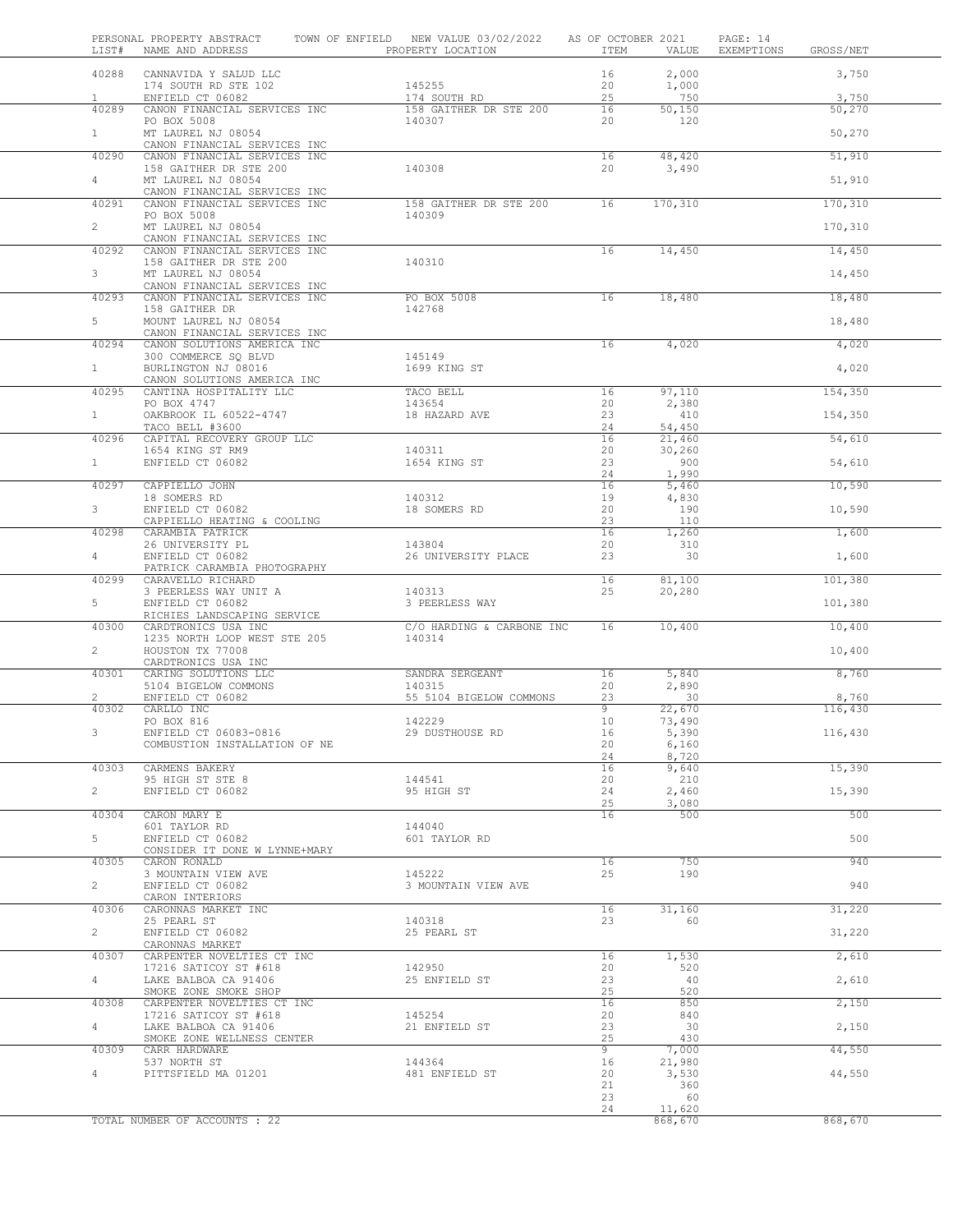| LIST#          | PERSONAL PROPERTY ABSTRACT<br>NAME AND ADDRESS               | TOWN OF ENFIELD NEW VALUE 03/02/2022<br>PROPERTY LOCATION | AS OF OCTOBER 2021<br>ITEM | VALUE           | PAGE: 14<br>EXEMPTIONS | GROSS/NET |
|----------------|--------------------------------------------------------------|-----------------------------------------------------------|----------------------------|-----------------|------------------------|-----------|
| 40288          | CANNAVIDA Y SALUD LLC                                        |                                                           | 16                         | 2,000           |                        | 3,750     |
|                | 174 SOUTH RD STE 102                                         | 145255                                                    | 20                         | 1,000           |                        |           |
| $\mathbf{1}$   | ENFIELD CT 06082                                             | 174 SOUTH RD                                              | 25                         | 750             |                        | 3,750     |
| 40289          | CANON FINANCIAL SERVICES INC                                 | 158 GAITHER DR STE 200                                    | 16                         | 50,150          |                        | 50,270    |
| $1 -$          | PO BOX 5008<br>MT LAUREL NJ 08054                            | 140307                                                    | 20                         | 120             |                        | 50,270    |
|                | CANON FINANCIAL SERVICES INC                                 |                                                           |                            |                 |                        |           |
| 40290          | CANON FINANCIAL SERVICES INC                                 |                                                           | 16                         | 48,420          |                        | 51,910    |
|                | 158 GAITHER DR STE 200                                       | 140308                                                    | 20                         | 3,490           |                        |           |
| $\overline{4}$ | MT LAUREL NJ 08054<br>CANON FINANCIAL SERVICES INC           |                                                           |                            |                 |                        | 51,910    |
| 40291          | CANON FINANCIAL SERVICES INC                                 | 158 GAITHER DR STE 200                                    | 16                         | 170,310         |                        | 170,310   |
|                | PO BOX 5008                                                  | 140309                                                    |                            |                 |                        |           |
| $\overline{2}$ | MT LAUREL NJ 08054                                           |                                                           |                            |                 |                        | 170,310   |
| 40292          | CANON FINANCIAL SERVICES INC<br>CANON FINANCIAL SERVICES INC |                                                           | 16                         | 14,450          |                        | 14,450    |
|                | 158 GAITHER DR STE 200                                       | 140310                                                    |                            |                 |                        |           |
| $\mathbf{3}$   | MT LAUREL NJ 08054                                           |                                                           |                            |                 |                        | 14,450    |
|                | CANON FINANCIAL SERVICES INC                                 |                                                           |                            |                 |                        |           |
| 40293          | CANON FINANCIAL SERVICES INC<br>158 GAITHER DR               | PO BOX 5008<br>142768                                     | 16                         | 18,480          |                        | 18,480    |
| 5              | MOUNT LAUREL NJ 08054                                        |                                                           |                            |                 |                        | 18,480    |
|                | CANON FINANCIAL SERVICES INC                                 |                                                           |                            |                 |                        |           |
| 40294          | CANON SOLUTIONS AMERICA INC                                  |                                                           | 16                         | 4,020           |                        | 4,020     |
| $\mathbf{1}$   | 300 COMMERCE SQ BLVD<br>BURLINGTON NJ 08016                  | 145149<br>1699 KING ST                                    |                            |                 |                        | 4,020     |
|                | CANON SOLUTIONS AMERICA INC                                  |                                                           |                            |                 |                        |           |
| 40295          | CANTINA HOSPITALITY LLC                                      | TACO BELL                                                 | 16                         | 97,110          |                        | 154,350   |
|                | PO BOX 4747                                                  | 143654                                                    | 20                         | 2,380           |                        |           |
| $\mathbf{1}$   | OAKBROOK IL 60522-4747<br>TACO BELL #3600                    | 18 HAZARD AVE                                             | 23<br>24                   | 410<br>54,450   |                        | 154,350   |
| 40296          | CAPITAL RECOVERY GROUP LLC                                   |                                                           | 16                         | 21,460          |                        | 54,610    |
|                | 1654 KING ST RM9                                             | 140311                                                    | 20                         | 30,260          |                        |           |
| $\mathbf{1}$   | ENFIELD CT 06082                                             | 1654 KING ST                                              | 23                         | 900             |                        | 54,610    |
| 40297          | CAPPIELLO JOHN                                               |                                                           | 24<br>16                   | 1,990<br>5,460  |                        | 10,590    |
|                | 18 SOMERS RD                                                 | 140312                                                    | 19                         | 4,830           |                        |           |
| 3              | ENFIELD CT 06082                                             | 18 SOMERS RD                                              | 20                         | 190             |                        | 10,590    |
|                | CAPPIELLO HEATING & COOLING                                  |                                                           | 23                         | 110             |                        |           |
| 40298          | CARAMBIA PATRICK                                             | 143804                                                    | 16                         | 1,260           |                        | 1,600     |
| $\overline{4}$ | 26 UNIVERSITY PL<br>ENFIELD CT 06082                         | 26 UNIVERSITY PLACE                                       | 20<br>23                   | 310<br>30       |                        | 1,600     |
|                | PATRICK CARAMBIA PHOTOGRAPHY                                 |                                                           |                            |                 |                        |           |
| 40299          | CARAVELLO RICHARD                                            |                                                           | 16                         | 81,100          |                        | 101,380   |
| 5              | 3 PEERLESS WAY UNIT A                                        | 140313<br>3 PEERLESS WAY                                  | 25                         | 20,280          |                        |           |
|                | ENFIELD CT 06082<br>RICHIES LANDSCAPING SERVICE              |                                                           |                            |                 |                        | 101,380   |
| 40300          | CARDTRONICS USA INC                                          | C/O HARDING & CARBONE INC                                 | 16                         | 10,400          |                        | 10,400    |
|                | 1235 NORTH LOOP WEST STE 205                                 | 140314                                                    |                            |                 |                        |           |
| $\overline{2}$ | HOUSTON TX 77008                                             |                                                           |                            |                 |                        | 10,400    |
| 40301          | CARDTRONICS USA INC<br>CARING SOLUTIONS LLC                  | SANDRA SERGEANT                                           | 16                         | 5,840           |                        | 8,760     |
|                | 5104 BIGELOW COMMONS                                         | 140315                                                    | 20                         | 2,890           |                        |           |
| $\overline{2}$ | ENFIELD CT 06082                                             | 55 5104 BIGELOW COMMONS                                   | 23                         | 30              |                        | 8,760     |
| 40302          | CARLLO INC                                                   |                                                           | 9                          | 22,670          |                        | 116,430   |
| 3              | PO BOX 816<br>ENFIELD CT 06083-0816                          | 142229<br>29 DUSTHOUSE RD                                 | 10<br>16                   | 73,490<br>5,390 |                        | 116,430   |
|                | COMBUSTION INSTALLATION OF NE                                |                                                           | 20                         | 6,160           |                        |           |
|                |                                                              |                                                           | 24                         | 8,720           |                        |           |
| 40303          | CARMENS BAKERY                                               |                                                           | 16                         | 9,640           |                        | 15,390    |
| $\overline{2}$ | 95 HIGH ST STE 8<br>ENFIELD CT 06082                         | 144541<br>95 HIGH ST                                      | 20<br>24                   | 210<br>2,460    |                        | 15,390    |
|                |                                                              |                                                           | 25                         | 3,080           |                        |           |
| 40304          | CARON MARY E                                                 |                                                           | 16                         | 500             |                        | 500       |
|                | 601 TAYLOR RD                                                | 144040                                                    |                            |                 |                        |           |
| 5              | ENFIELD CT 06082<br>CONSIDER IT DONE W LYNNE+MARY            | 601 TAYLOR RD                                             |                            |                 |                        | 500       |
| 40305          | CARON RONALD                                                 |                                                           | 16                         | 750             |                        | 940       |
|                | 3 MOUNTAIN VIEW AVE                                          | 145222                                                    | 25                         | 190             |                        |           |
| $\overline{2}$ | ENFIELD CT 06082                                             | 3 MOUNTAIN VIEW AVE                                       |                            |                 |                        | 940       |
| 40306          | CARON INTERIORS<br>CARONNAS MARKET INC                       |                                                           | 16                         | 31,160          |                        | 31,220    |
|                | 25 PEARL ST                                                  | 140318                                                    | 23                         | 60              |                        |           |
| $\overline{c}$ | ENFIELD CT 06082                                             | 25 PEARL ST                                               |                            |                 |                        | 31,220    |
|                | CARONNAS MARKET                                              |                                                           |                            |                 |                        |           |
| 40307          | CARPENTER NOVELTIES CT INC<br>17216 SATICOY ST #618          | 142950                                                    | 16<br>20                   | 1,530<br>520    |                        | 2,610     |
| $4 -$          | LAKE BALBOA CA 91406                                         | 25 ENFIELD ST                                             | 23                         | 40              |                        | 2,610     |
|                | SMOKE ZONE SMOKE SHOP                                        |                                                           | 25                         | 520             |                        |           |
| 40308          | CARPENTER NOVELTIES CT INC                                   |                                                           | 16                         | 850             |                        | 2,150     |
| 4              | 17216 SATICOY ST #618<br>LAKE BALBOA CA 91406                | 145254<br>21 ENFIELD ST                                   | 20<br>23                   | 840<br>30       |                        | 2,150     |
|                | SMOKE ZONE WELLNESS CENTER                                   |                                                           | 25                         | 430             |                        |           |
| 40309          | CARR HARDWARE                                                |                                                           | 9                          | 7,000           |                        | 44,550    |
|                | 537 NORTH ST                                                 | 144364                                                    | 16                         | 21,980          |                        |           |
| 4              | PITTSFIELD MA 01201                                          | 481 ENFIELD ST                                            | 20<br>21                   | 3,530<br>360    |                        | 44,550    |
|                |                                                              |                                                           | 23                         | 60              |                        |           |
|                |                                                              |                                                           | 24                         | 11,620          |                        |           |
|                | TOTAL NUMBER OF ACCOUNTS : 22                                |                                                           |                            | 868,670         |                        | 868,670   |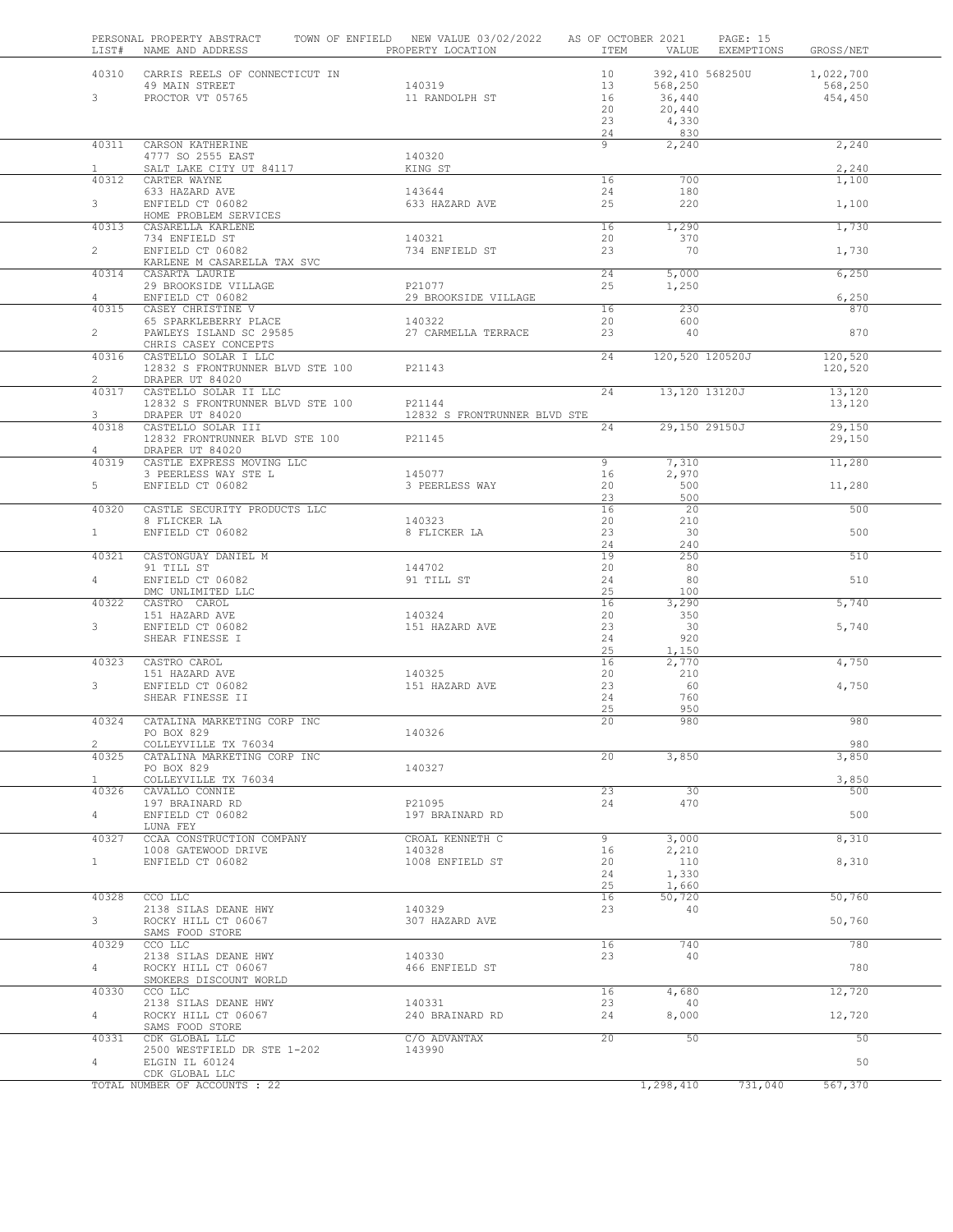| LIST#                   | PERSONAL PROPERTY ABSTRACT<br>NAME AND ADDRESS                             | TOWN OF ENFIELD NEW VALUE 03/02/2022<br>PROPERTY LOCATION | AS OF OCTOBER 2021<br>ITEM       | VALUE                                                          | PAGE: 15<br>EXEMPTIONS | GROSS/NET                       |  |
|-------------------------|----------------------------------------------------------------------------|-----------------------------------------------------------|----------------------------------|----------------------------------------------------------------|------------------------|---------------------------------|--|
| $3 -$                   | 40310 CARRIS REELS OF CONNECTICUT IN<br>49 MAIN STREET<br>PROCTOR VT 05765 | 140319<br>11 RANDOLPH ST                                  | 10<br>13<br>16<br>20<br>23<br>24 | 392,410 568250U<br>568,250<br>36,440<br>20,440<br>4,330<br>830 |                        | 1,022,700<br>568,250<br>454,450 |  |
| 40311                   | CARSON KATHERINE<br>4777 SO 2555 EAST                                      | 140320                                                    | 9                                | 2,240                                                          |                        | 2,240                           |  |
| $\mathbf{1}$            | SALT LAKE CITY UT 84117                                                    | KING ST                                                   |                                  |                                                                |                        | 2,240                           |  |
| 40312                   | CARTER WAYNE<br>633 HAZARD AVE                                             | 143644                                                    | 16<br>24                         | 700<br>180                                                     |                        | 1,100                           |  |
| 3                       | ENFIELD CT 06082<br>HOME PROBLEM SERVICES                                  | 633 HAZARD AVE                                            | 25                               | 220                                                            |                        | 1,100                           |  |
| 40313                   | CASARELLA KARLENE                                                          |                                                           | 16                               | 1,290                                                          |                        | 1,730                           |  |
| $\overline{2}$          | 734 ENFIELD ST<br>ENFIELD CT 06082                                         | 140321<br>734 ENFIELD ST                                  | 20<br>23                         | 370<br>70                                                      |                        | 1,730                           |  |
| 40314                   | KARLENE M CASARELLA TAX SVC<br>CASARTA LAURIE                              |                                                           | 24                               | 5,000                                                          |                        | 6,250                           |  |
| $\overline{4}$          | 29 BROOKSIDE VILLAGE<br>ENFIELD CT 06082                                   | P21077<br>29 BROOKSIDE VILLAGE                            | 25                               | 1,250                                                          |                        | 6,250                           |  |
| 40315                   | CASEY CHRISTINE V                                                          |                                                           | 16                               | 230                                                            |                        | 870                             |  |
| $\overline{2}$          | 65 SPARKLEBERRY PLACE<br>PAWLEYS ISLAND SC 29585                           | 140322<br>27 CARMELLA TERRACE                             | 20<br>23                         | 600<br>40                                                      |                        | 870                             |  |
| 40316                   | CHRIS CASEY CONCEPTS<br>CASTELLO SOLAR I LLC                               |                                                           | 24                               | 120,520 120520J                                                |                        | 120,520                         |  |
|                         | 12832 S FRONTRUNNER BLVD STE 100                                           | P21143                                                    |                                  |                                                                |                        | 120,520                         |  |
| $\overline{2}$<br>40317 | DRAPER UT 84020<br>CASTELLO SOLAR II LLC                                   |                                                           | 24                               | 13,120 13120J                                                  |                        | 13,120                          |  |
|                         | 12832 S FRONTRUNNER BLVD STE 100                                           | P21144                                                    |                                  |                                                                |                        | 13,120                          |  |
| 3<br>40318              | DRAPER UT 84020<br>CASTELLO SOLAR III                                      | 12832 S FRONTRUNNER BLVD STE                              | 24                               | 29,150 29150J                                                  |                        | 29.150                          |  |
| $\overline{4}$          | 12832 FRONTRUNNER BLVD STE 100<br>DRAPER UT 84020                          | P21145                                                    |                                  |                                                                |                        | 29,150                          |  |
| 40319                   | CASTLE EXPRESS MOVING LLC                                                  |                                                           | 9                                | 7,310                                                          |                        | 11,280                          |  |
| $5 -$                   | 3 PEERLESS WAY STE L<br>ENFIELD CT 06082                                   | 145077<br>3 PEERLESS WAY                                  | 16<br>20                         | 2,970<br>500                                                   |                        | 11,280                          |  |
|                         |                                                                            |                                                           | 23                               | 500                                                            |                        |                                 |  |
| 40320                   | CASTLE SECURITY PRODUCTS LLC<br>8 FLICKER LA                               | 140323                                                    | 16<br>20                         | 20<br>210                                                      |                        | 500                             |  |
| 1                       | ENFIELD CT 06082                                                           | 8 FLICKER LA                                              | 23<br>24                         | 30<br>240                                                      |                        | 500                             |  |
| 40321                   | CASTONGUAY DANIEL M                                                        |                                                           | 19                               | 250                                                            |                        | 510                             |  |
| 4                       | 91 TILL ST<br>ENFIELD CT 06082                                             | 144702<br>91 TILL ST                                      | 20<br>24                         | - 80<br>80                                                     |                        | 510                             |  |
|                         | DMC UNLIMITED LLC                                                          |                                                           | 25                               | 100                                                            |                        |                                 |  |
| 40322                   | CASTRO CAROL<br>151 HAZARD AVE                                             | 140324                                                    | 16<br>20                         | 3,290<br>350                                                   |                        | 5,740                           |  |
| 3 <sup>7</sup>          | ENFIELD CT 06082<br>SHEAR FINESSE I                                        | 151 HAZARD AVE                                            | 23<br>24                         | 30<br>920                                                      |                        | 5,740                           |  |
|                         |                                                                            |                                                           | 25                               | 1,150                                                          |                        |                                 |  |
| 40323                   | CASTRO CAROL<br>151 HAZARD AVE                                             | 140325                                                    | 16<br>20                         | 2,770<br>210                                                   |                        | 4,750                           |  |
| 3                       | ENFIELD CT 06082                                                           | 151 HAZARD AVE                                            | 23<br>24                         | 60<br>760                                                      |                        | 4,750                           |  |
|                         | SHEAR FINESSE II                                                           |                                                           | 25                               | 950                                                            |                        |                                 |  |
| 40324                   | CATALINA MARKETING CORP INC<br>PO BOX 829                                  | 140326                                                    | 20                               | 980                                                            |                        | 980                             |  |
| $\overline{c}$          | COLLEYVILLE TX 76034                                                       |                                                           |                                  |                                                                |                        | 980                             |  |
| 40325                   | CATALINA MARKETING CORP INC<br>PO BOX 829                                  | 140327                                                    | 20                               | 3,850                                                          |                        | 3,850                           |  |
| $\mathbf{1}$<br>40326   | COLLEYVILLE TX 76034<br>CAVALLO CONNIE                                     |                                                           | 23                               | 30                                                             |                        | 3,850<br>500                    |  |
|                         | 197 BRAINARD RD                                                            | P21095                                                    | 24                               | 470                                                            |                        |                                 |  |
| $4\degree$              | ENFIELD CT 06082<br>LUNA FEY                                               | 197 BRAINARD RD                                           |                                  |                                                                |                        | 500                             |  |
| 40327                   | CCAA CONSTRUCTION COMPANY                                                  | CROAL KENNETH C                                           | 9                                | 3,000                                                          |                        | 8,310                           |  |
| $\mathbf{1}$            | 1008 GATEWOOD DRIVE<br>ENFIELD CT 06082                                    | 140328<br>1008 ENFIELD ST                                 | 16<br>20                         | 2,210<br>110                                                   |                        | 8,310                           |  |
|                         |                                                                            |                                                           | 24<br>25                         | 1,330<br>1,660                                                 |                        |                                 |  |
| 40328                   | CCO LLC                                                                    |                                                           | 16                               | 50,720                                                         |                        | 50,760                          |  |
| 3 <sup>7</sup>          | 2138 SILAS DEANE HWY<br>ROCKY HILL CT 06067                                | 140329<br>307 HAZARD AVE                                  | 23                               | 40                                                             |                        | 50,760                          |  |
| 40329                   | SAMS FOOD STORE<br>CCO LLC                                                 |                                                           | 16                               | 740                                                            |                        | 780                             |  |
|                         | 2138 SILAS DEANE HWY                                                       | 140330                                                    | 23                               | 40                                                             |                        |                                 |  |
| 4                       | ROCKY HILL CT 06067<br>SMOKERS DISCOUNT WORLD                              | 466 ENFIELD ST                                            |                                  |                                                                |                        | 780                             |  |
| 40330                   | CCO LLC                                                                    |                                                           | 16                               | 4,680                                                          |                        | 12,720                          |  |
| 4                       | 2138 SILAS DEANE HWY<br>ROCKY HILL CT 06067                                | 140331<br>240 BRAINARD RD                                 | 23<br>24                         | -40<br>8,000                                                   |                        | 12,720                          |  |
| 40331                   | SAMS FOOD STORE<br>CDK GLOBAL LLC                                          | C/O ADVANTAX                                              | 20                               | 50                                                             |                        | 50                              |  |
|                         | 2500 WESTFIELD DR STE 1-202                                                | 143990                                                    |                                  |                                                                |                        |                                 |  |
| 4                       | ELGIN IL 60124<br>CDK GLOBAL LLC                                           |                                                           |                                  |                                                                |                        | 50                              |  |
|                         | TOTAL NUMBER OF ACCOUNTS : 22                                              |                                                           |                                  | 1,298,410                                                      | 731,040                | 567,370                         |  |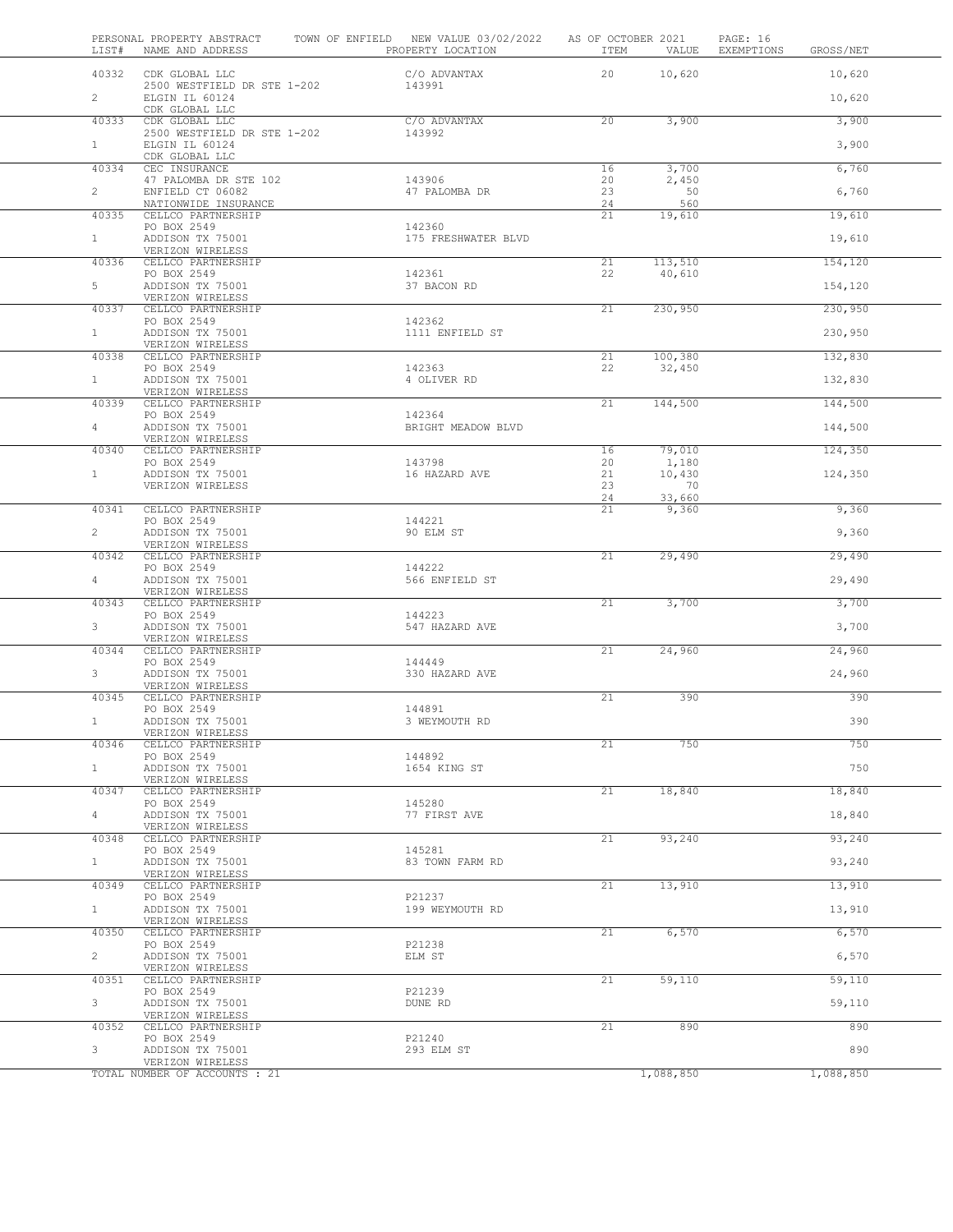| LIST#          | PERSONAL PROPERTY ABSTRACT<br>NAME AND ADDRESS    | TOWN OF ENFIELD NEW VALUE 03/02/2022<br>PROPERTY LOCATION | AS OF OCTOBER 2021<br>ITEM | VALUE             | PAGE: 16<br>EXEMPTIONS | GROSS/NET |
|----------------|---------------------------------------------------|-----------------------------------------------------------|----------------------------|-------------------|------------------------|-----------|
| 40332          | CDK GLOBAL LLC                                    | C/O ADVANTAX                                              | 20                         | 10,620            |                        | 10,620    |
| $\overline{2}$ | 2500 WESTFIELD DR STE 1-202<br>ELGIN IL 60124     | 143991                                                    |                            |                   |                        | 10,620    |
| 40333          | CDK GLOBAL LLC<br>CDK GLOBAL LLC                  | C/O ADVANTAX                                              | 20                         | 3,900             |                        | 3,900     |
| 1              | 2500 WESTFIELD DR STE 1-202<br>ELGIN IL 60124     | 143992                                                    |                            |                   |                        | 3,900     |
| 40334          | CDK GLOBAL LLC<br>CEC INSURANCE                   |                                                           | 16                         | 3,700             |                        | 6,760     |
|                | 47 PALOMBA DR STE 102                             | 143906                                                    | 20                         | 2,450             |                        |           |
| $\overline{2}$ | ENFIELD CT 06082<br>NATIONWIDE INSURANCE          | 47 PALOMBA DR                                             | 23<br>24                   | 50<br>560         |                        | 6,760     |
| 40335          | CELLCO PARTNERSHIP<br>PO BOX 2549                 | 142360                                                    | 21                         | 19,610            |                        | 19,610    |
| 1              | ADDISON TX 75001<br>VERIZON WIRELESS              | 175 FRESHWATER BLVD                                       |                            |                   |                        | 19,610    |
| 40336          | CELLCO PARTNERSHIP<br>PO BOX 2549                 | 142361                                                    | 21<br>22                   | 113,510<br>40,610 |                        | 154,120   |
| 5              | ADDISON TX 75001                                  | 37 BACON RD                                               |                            |                   |                        | 154,120   |
| 40337          | VERIZON WIRELESS<br>CELLCO PARTNERSHIP            |                                                           | 21                         | 230,950           |                        | 230,950   |
| $\mathbf{1}$   | PO BOX 2549<br>ADDISON TX 75001                   | 142362<br>1111 ENFIELD ST                                 |                            |                   |                        | 230,950   |
| 40338          | VERIZON WIRELESS<br>CELLCO PARTNERSHIP            |                                                           | 21                         | 100,380           |                        | 132,830   |
| 1              | PO BOX 2549<br>ADDISON TX 75001                   | 142363<br>4 OLIVER RD                                     | 22                         | 32,450            |                        | 132,830   |
|                | VERIZON WIRELESS                                  |                                                           |                            |                   |                        |           |
| 40339          | CELLCO PARTNERSHIP<br>PO BOX 2549                 | 142364                                                    | 21                         | 144,500           |                        | 144,500   |
| 4              | ADDISON TX 75001<br>VERIZON WIRELESS              | BRIGHT MEADOW BLVD                                        |                            |                   |                        | 144,500   |
| 40340          | CELLCO PARTNERSHIP<br>PO BOX 2549                 | 143798                                                    | 16<br>20                   | 79,010<br>1,180   |                        | 124,350   |
| $\mathbf{1}$   | ADDISON TX 75001                                  | 16 HAZARD AVE                                             | 21                         | 10,430            |                        | 124,350   |
|                | VERIZON WIRELESS                                  |                                                           | 23<br>24                   | 70<br>33,660      |                        |           |
| 40341          | CELLCO PARTNERSHIP<br>PO BOX 2549                 | 144221                                                    | 21                         | 9,360             |                        | 9,360     |
| $\overline{2}$ | ADDISON TX 75001<br>VERIZON WIRELESS              | 90 ELM ST                                                 |                            |                   |                        | 9,360     |
| 40342          | CELLCO PARTNERSHIP                                | 144222                                                    | 21                         | 29,490            |                        | 29,490    |
| 4              | PO BOX 2549<br>ADDISON TX 75001                   | 566 ENFIELD ST                                            |                            |                   |                        | 29,490    |
| 40343          | VERIZON WIRELESS<br>CELLCO PARTNERSHIP            |                                                           | 21                         | 3,700             |                        | 3,700     |
| $3 -$          | PO BOX 2549<br>ADDISON TX 75001                   | 144223<br>547 HAZARD AVE                                  |                            |                   |                        | 3,700     |
| 40344          | VERIZON WIRELESS<br>CELLCO PARTNERSHIP            |                                                           | 21                         | 24,960            |                        | 24,960    |
| $\mathbf{3}$   | PO BOX 2549<br>ADDISON TX 75001                   | 144449<br>330 HAZARD AVE                                  |                            |                   |                        | 24,960    |
|                | VERIZON WIRELESS                                  |                                                           |                            |                   |                        |           |
| 40345          | CELLCO PARTNERSHIP<br>PO BOX 2549                 | 144891                                                    | 21                         | 390               |                        | 390       |
| $\mathbf{1}$   | ADDISON TX 75001<br>VERIZON WIRELESS              | 3 WEYMOUTH RD                                             |                            |                   |                        | 390       |
| 40346          | CELLCO PARTNERSHIP<br>PO BOX 2549                 | 144892                                                    | 21                         | 750               |                        | 750       |
| $1 -$          | ADDISON TX 75001                                  | 1654 KING ST                                              |                            |                   |                        | 750       |
| 40347          | VERIZON WIRELESS<br>CELLCO PARTNERSHIP            |                                                           | 21                         | 18,840            |                        | 18,840    |
| 4              | PO BOX 2549<br>ADDISON TX 75001                   | 145280<br>77 FIRST AVE                                    |                            |                   |                        | 18,840    |
| 40348          | VERIZON WIRELESS<br>CELLCO PARTNERSHIP            |                                                           | 21                         | 93,240            |                        | 93,240    |
| 1              | PO BOX 2549<br>ADDISON TX 75001                   | 145281<br>83 TOWN FARM RD                                 |                            |                   |                        | 93,240    |
| 40349          | VERIZON WIRELESS                                  |                                                           | 21                         | 13,910            |                        | 13,910    |
|                | CELLCO PARTNERSHIP<br>PO BOX 2549                 | P21237                                                    |                            |                   |                        |           |
| $1 -$          | ADDISON TX 75001<br>VERIZON WIRELESS              | 199 WEYMOUTH RD                                           |                            |                   |                        | 13,910    |
| 40350          | CELLCO PARTNERSHIP<br>PO BOX 2549                 | P21238                                                    | 21                         | 6,570             |                        | 6,570     |
| $\overline{2}$ | ADDISON TX 75001<br>VERIZON WIRELESS              | ELM ST                                                    |                            |                   |                        | 6,570     |
| 40351          | CELLCO PARTNERSHIP                                |                                                           | 21                         | 59,110            |                        | 59,110    |
| 3              | PO BOX 2549<br>ADDISON TX 75001                   | P21239<br>DUNE RD                                         |                            |                   |                        | 59,110    |
| 40352          | VERIZON WIRELESS<br>CELLCO PARTNERSHIP            |                                                           | 21                         | 890               |                        | 890       |
| 3              | PO BOX 2549<br>ADDISON TX 75001                   | P21240<br>293 ELM ST                                      |                            |                   |                        | 890       |
|                | VERIZON WIRELESS<br>TOTAL NUMBER OF ACCOUNTS : 21 |                                                           |                            | 1,088,850         |                        | 1,088,850 |
|                |                                                   |                                                           |                            |                   |                        |           |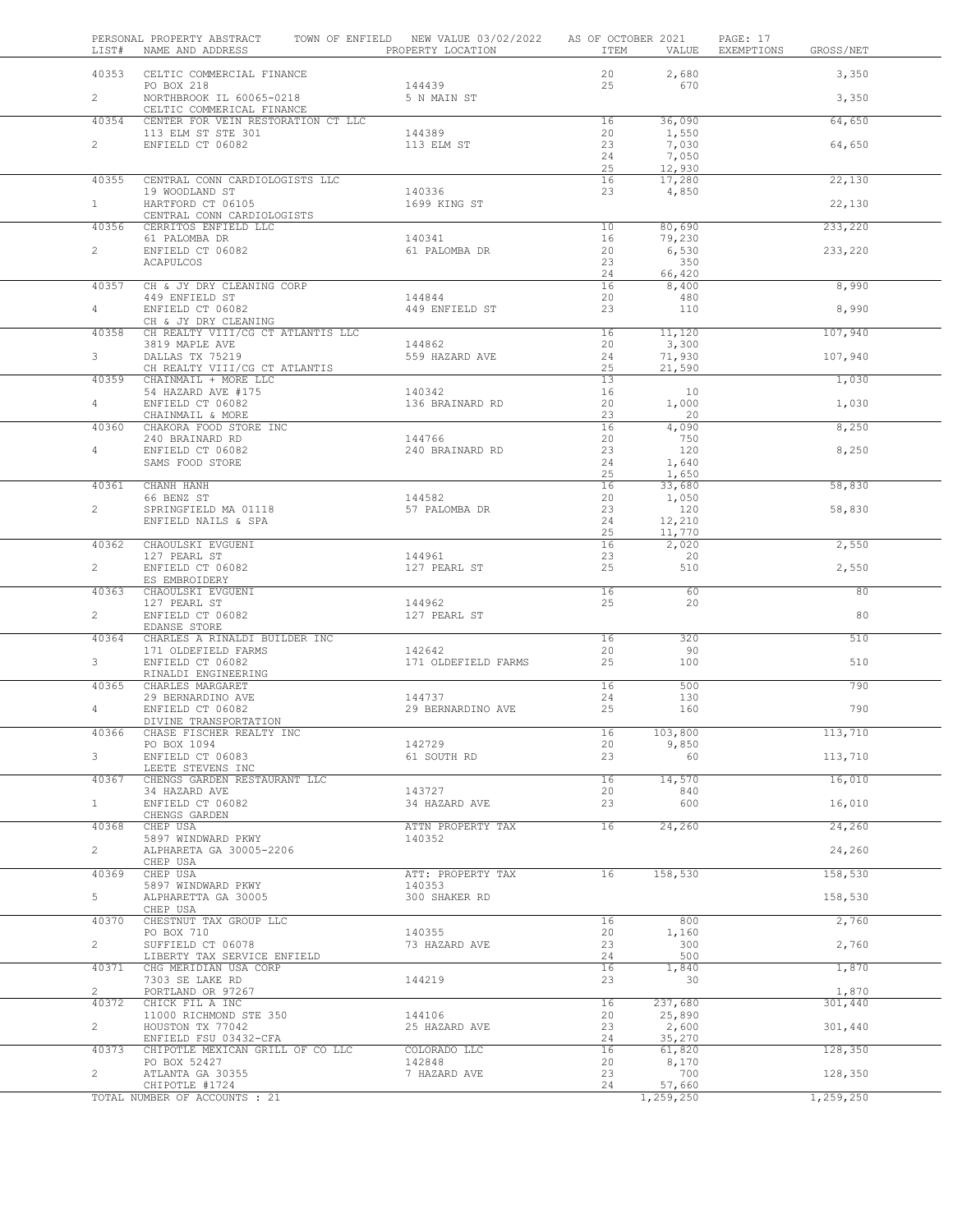| LIST#          | PERSONAL PROPERTY ABSTRACT<br>NAME AND ADDRESS                     | TOWN OF ENFIELD NEW VALUE 03/02/2022 AS OF OCTOBER 2021<br>PROPERTY LOCATION | ITEM                  | VALUE                             | PAGE: 17<br>EXEMPTIONS<br>GROSS/NET |     |
|----------------|--------------------------------------------------------------------|------------------------------------------------------------------------------|-----------------------|-----------------------------------|-------------------------------------|-----|
|                | 40353 CELTIC COMMERCIAL FINANCE<br>PO BOX 218                      | 144439                                                                       | 20<br>25              | 2,680<br>670                      | 3,350                               |     |
| $2^{\circ}$    | NORTHBROOK IL 60065-0218<br>CELTIC COMMERICAL FINANCE              | 5 N MAIN ST                                                                  |                       |                                   | 3,350                               |     |
| 40354          | CENTER FOR VEIN RESTORATION CT LLC                                 |                                                                              | 16                    | 36,090                            | 64,650                              |     |
| $\mathbf{2}$   | 113 ELM ST STE 301<br>ENFIELD CT 06082                             | 144389<br>113 ELM ST                                                         | 20<br>23<br>24<br>25  | 1,550<br>7,030<br>7,050<br>12,930 | 64,650                              |     |
| 40355          | CENTRAL CONN CARDIOLOGISTS LLC                                     |                                                                              | 16                    | 17,280                            | 22,130                              |     |
| 1              | 19 WOODLAND ST<br>HARTFORD CT 06105<br>CENTRAL CONN CARDIOLOGISTS  | 140336<br>1699 KING ST                                                       | 23                    | 4,850                             | 22,130                              |     |
| 40356          | CERRITOS ENFIELD LLC                                               |                                                                              | 10                    | 80,690                            | 233,220                             |     |
| $\overline{2}$ | 61 PALOMBA DR<br>ENFIELD CT 06082<br>ACAPULCOS                     | 140341<br>61 PALOMBA DR                                                      | 16<br>20<br>23        | 79,230<br>6,530<br>350            | 233,220                             |     |
| 40357          | CH & JY DRY CLEANING CORP                                          |                                                                              | 24<br>16              | 66,420<br>8,400                   | 8,990                               |     |
|                | 449 ENFIELD ST                                                     | 144844                                                                       | 20                    | 480                               |                                     |     |
| $4 -$          | ENFIELD CT 06082<br>CH & JY DRY CLEANING                           | 449 ENFIELD ST                                                               | 23                    | 110                               | 8,990                               |     |
| 40358          | CH REALTY VIII/CG CT ATLANTIS LLC                                  |                                                                              | 16                    | 11,120                            | 107,940                             |     |
| $3^{\circ}$    | 3819 MAPLE AVE<br>DALLAS TX 75219<br>CH REALTY VIII/CG CT ATLANTIS | 144862<br>559 HAZARD AVE                                                     | 20<br>24<br>25        | 3,300<br>71,930<br>21,590         | 107,940                             |     |
| 40359          | CHAINMAIL + MORE LLC                                               |                                                                              | 13                    |                                   | 1,030                               |     |
| $4 -$          | 54 HAZARD AVE #175<br>ENFIELD CT 06082                             | 140342<br>136 BRAINARD RD                                                    | 16<br>20              | 10<br>1,000                       | 1,030                               |     |
|                | CHAINMAIL & MORE                                                   |                                                                              | 23                    | 20                                |                                     |     |
| 40360          | CHAKORA FOOD STORE INC                                             | 144766                                                                       | 16<br>20              | 4,090<br>750                      | 8,250                               |     |
| $4 -$          | 240 BRAINARD RD<br>ENFIELD CT 06082                                | 240 BRAINARD RD                                                              | 23                    | 120                               | 8,250                               |     |
|                | SAMS FOOD STORE                                                    |                                                                              | 24                    | 1,640                             |                                     |     |
| 40361          | CHANH HANH                                                         |                                                                              | 25<br>16              | 1,650<br>33,680                   | 58,830                              |     |
|                | 66 BENZ ST                                                         | 144582                                                                       | 20                    | 1,050                             |                                     |     |
| $\overline{2}$ | SPRINGFIELD MA 01118<br>ENFIELD NAILS & SPA                        | 57 PALOMBA DR                                                                | 23<br>24<br>25        | 120<br>12,210<br>11,770           | 58,830                              |     |
| 40362          | CHAOULSKI EVGUENI                                                  |                                                                              | 16                    | $\overline{2}$ , 020              | 2,550                               |     |
| $\overline{2}$ | 127 PEARL ST<br>ENFIELD CT 06082<br>ES EMBROIDERY                  | 144961<br>127 PEARL ST                                                       | 23<br>25              | 20<br>510                         | 2,550                               |     |
| 40363          | CHAOULSKI EVGUENI<br>127 PEARL ST                                  | 144962                                                                       | $\overline{16}$<br>25 | 60<br>20                          |                                     | 80  |
| $\mathbf{2}$   | ENFIELD CT 06082<br>EDANSE STORE                                   | 127 PEARL ST                                                                 |                       |                                   |                                     | 80  |
| 40364          | CHARLES A RINALDI BUILDER INC                                      |                                                                              | 16                    | 320                               |                                     | 510 |
| 3              | 171 OLDEFIELD FARMS<br>ENFIELD CT 06082<br>RINALDI ENGINEERING     | 142642<br>171 OLDEFIELD FARMS                                                | 20<br>25              | 90<br>100                         |                                     | 510 |
| 40365          | CHARLES MARGARET                                                   | 144737                                                                       | 16<br>24              | 500<br>130                        |                                     | 790 |
| 4              | 29 BERNARDINO AVE<br>ENFIELD CT 06082                              | 29 BERNARDINO AVE                                                            | 25                    | 160                               |                                     | 790 |
| 40366          | DIVINE TRANSPORTATION<br>CHASE FISCHER REALTY INC                  |                                                                              | 16                    | 103,800                           | 113,710                             |     |
|                | PO BOX 1094                                                        | 142729                                                                       | 20                    | 9,850                             |                                     |     |
| $3 -$          | ENFIELD CT 06083<br>LEETE STEVENS INC                              | 61 SOUTH RD                                                                  | 23                    | 60                                | 113,710                             |     |
| 40367          | CHENGS GARDEN RESTAURANT LLC                                       |                                                                              | 16                    | 14,570                            | 16,010                              |     |
| 1              | 34 HAZARD AVE<br>ENFIELD CT 06082                                  | 143727<br>34 HAZARD AVE                                                      | 20<br>23              | 840<br>600                        | 16,010                              |     |
|                | CHENGS GARDEN                                                      |                                                                              |                       |                                   |                                     |     |
| 40368          | CHEP USA<br>5897 WINDWARD PKWY                                     | ATTN PROPERTY TAX<br>140352                                                  | 16                    | 24,260                            | 24,260                              |     |
| $\overline{2}$ | ALPHARETA GA 30005-2206<br>CHEP USA                                |                                                                              |                       |                                   | 24,260                              |     |
| 40369          | CHEP USA                                                           | ATT: PROPERTY TAX                                                            | 16                    | 158,530                           | 158,530                             |     |
| 5              | 5897 WINDWARD PKWY<br>ALPHARETTA GA 30005<br>CHEP USA              | 140353<br>300 SHAKER RD                                                      |                       |                                   | 158,530                             |     |
| 40370          | CHESTNUT TAX GROUP LLC                                             |                                                                              | 16                    | 800                               | 2,760                               |     |
| $\overline{2}$ | PO BOX 710<br>SUFFIELD CT 06078                                    | 140355<br>73 HAZARD AVE                                                      | 20<br>23              | 1,160<br>300                      | 2,760                               |     |
|                | LIBERTY TAX SERVICE ENFIELD                                        |                                                                              | 24                    | 500                               |                                     |     |
| 40371          | CHG MERIDIAN USA CORP<br>7303 SE LAKE RD                           | 144219                                                                       | 16<br>23              | 1,840<br>30                       | 1,870                               |     |
| $\overline{2}$ | PORTLAND OR 97267                                                  |                                                                              |                       |                                   | 1,870                               |     |
| 40372          | CHICK FIL A INC<br>11000 RICHMOND STE 350                          | 144106                                                                       | 16<br>20              | 237,680<br>25,890                 | 301,440                             |     |
| $\overline{2}$ | HOUSTON TX 77042                                                   | 25 HAZARD AVE                                                                | 23                    | 2,600                             | 301,440                             |     |
| 40373          | ENFIELD FSU 03432-CFA<br>CHIPOTLE MEXICAN GRILL OF CO LLC          | COLORADO LLC                                                                 | 24<br>16              | 35,270<br>61,820                  | 128,350                             |     |
|                | PO BOX 52427                                                       | 142848                                                                       | 20                    | 8,170                             |                                     |     |
| $\overline{2}$ | ATLANTA GA 30355<br>CHIPOTLE #1724                                 | 7 HAZARD AVE                                                                 | 23<br>24              | 700<br>57,660                     | 128,350                             |     |
|                | TOTAL NUMBER OF ACCOUNTS : 21                                      |                                                                              |                       | 1,259,250                         | 1,259,250                           |     |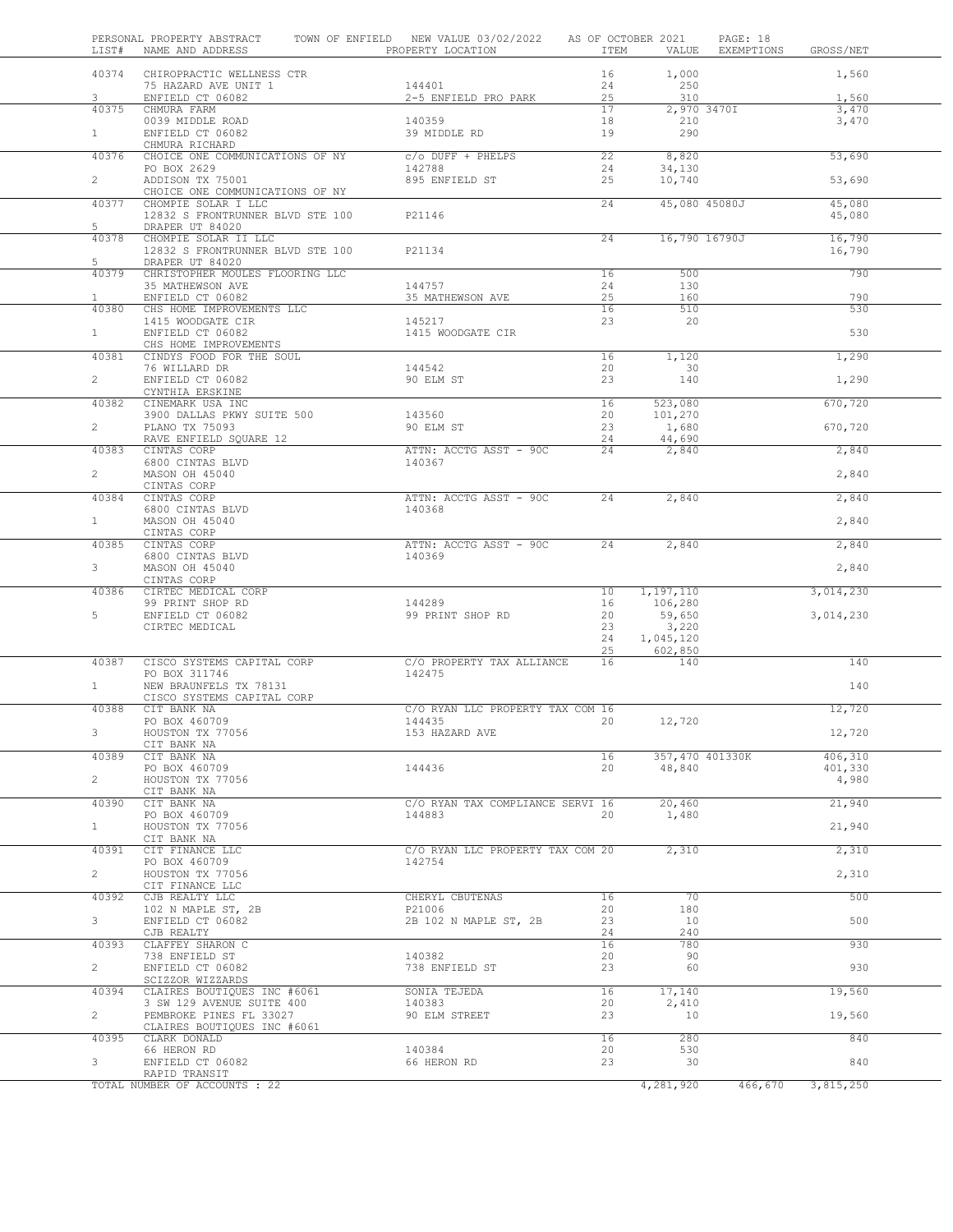|                | PERSONAL PROPERTY ABSTRACT<br>LIST# NAME AND ADDRESS                       | TOWN OF ENFIELD NEW VALUE 03/02/2022<br>PROPERTY LOCATION | AS OF OCTOBER 2021<br>ITEM |                           | PAGE: 18<br>VALUE EXEMPTIONS | GROSS/NET        |  |
|----------------|----------------------------------------------------------------------------|-----------------------------------------------------------|----------------------------|---------------------------|------------------------------|------------------|--|
|                | 40374 CHIROPRACTIC WELLNESS CTR<br>75 HAZARD AVE UNIT 1                    | 144401                                                    | 16<br>24                   | 1,000<br>250              |                              | 1,560            |  |
| 3              | ENFIELD CT 06082                                                           | 2-5 ENFIELD PRO PARK                                      | 25                         | 310                       |                              | 1,560            |  |
| 40375<br>1     | CHMURA FARM<br>0039 MIDDLE ROAD<br>ENFIELD CT 06082                        | 140359<br>39 MIDDLE RD                                    | 17<br>18<br>19             | 2,970 3470I<br>210<br>290 |                              | 3,470<br>3,470   |  |
|                | CHMURA RICHARD                                                             |                                                           |                            |                           |                              |                  |  |
| 40376          | CHOICE ONE COMMUNICATIONS OF NY<br>PO BOX 2629                             | $C/O$ DUFF + PHELPS<br>142788                             | 22<br>24                   | 8,820<br>34,130           |                              | 53,690           |  |
| $\overline{2}$ | ADDISON TX 75001<br>CHOICE ONE COMMUNICATIONS OF NY                        | 895 ENFIELD ST                                            | 25                         | 10,740                    |                              | 53,690           |  |
| 40377<br>5     | CHOMPIE SOLAR I LLC<br>12832 S FRONTRUNNER BLVD STE 100<br>DRAPER UT 84020 | P21146                                                    | 24                         | 45,080 45080J             |                              | 45,080<br>45,080 |  |
|                | 40378 CHOMPIE SOLAR II LLC<br>12832 S FRONTRUNNER BLVD STE 100             | P21134                                                    | 24                         | 16,790 16790J             |                              | 16,790<br>16,790 |  |
| 5<br>40379     | DRAPER UT 84020<br>CHRISTOPHER MOULES FLOORING LLC                         |                                                           | 16                         | 500                       |                              | 790              |  |
|                | 35 MATHEWSON AVE                                                           | 144757                                                    | 24                         | 130                       |                              |                  |  |
| $\mathbf{1}$   | ENFIELD CT 06082                                                           | 35 MATHEWSON AVE                                          | 25<br>$\overline{16}$      | 160<br>510                |                              | 790<br>530       |  |
|                | 40380 CHS HOME IMPROVEMENTS LLC<br>1415 WOODGATE CIR                       | 145217                                                    | 23                         | 20                        |                              |                  |  |
| $1 -$          | ENFIELD CT 06082                                                           | 1415 WOODGATE CIR                                         |                            |                           |                              | 530              |  |
|                | CHS HOME IMPROVEMENTS                                                      |                                                           |                            |                           |                              |                  |  |
| 40381          | CINDYS FOOD FOR THE SOUL<br>76 WILLARD DR                                  | 144542                                                    | 16<br>20                   | 1,120<br>30               |                              | 1,290            |  |
| $\overline{2}$ | ENFIELD CT 06082<br>CYNTHIA ERSKINE                                        | 90 ELM ST                                                 | 23                         | 140                       |                              | 1,290            |  |
| 40382          | CINEMARK USA INC                                                           | 143560                                                    | 16<br>20                   | 523,080                   |                              | 670,720          |  |
| $\overline{2}$ | 3900 DALLAS PKWY SUITE 500<br>PLANO TX 75093                               | 90 ELM ST                                                 | 23                         | 101,270<br>1,680          |                              | 670,720          |  |
| 40383          | RAVE ENFIELD SQUARE 12<br>CINTAS CORP                                      | ATTN: ACCTG ASST - 90C                                    | 24<br>24                   | 44,690<br>2,840           |                              | 2,840            |  |
| $\mathbf{2}$   | 6800 CINTAS BLVD<br>MASON OH 45040                                         | 140367                                                    |                            |                           |                              | 2,840            |  |
|                | CINTAS CORP                                                                |                                                           |                            |                           |                              |                  |  |
| 40384          | CINTAS CORP<br>6800 CINTAS BLVD                                            | ATTN: ACCTG ASST - 90C<br>140368                          | 24                         | 2,840                     |                              | 2,840            |  |
| 1              | MASON OH 45040<br>CINTAS CORP                                              |                                                           |                            |                           |                              | 2,840            |  |
|                | 40385 CINTAS CORP<br>6800 CINTAS BLVD                                      | ATTN: ACCTG ASST - 90C<br>140369                          | 24                         | 2,840                     |                              | 2,840            |  |
| $3 -$          | MASON OH 45040                                                             |                                                           |                            |                           |                              | 2,840            |  |
| 40386          | CINTAS CORP<br>CIRTEC MEDICAL CORP                                         |                                                           | 10                         | 1,197,110                 |                              | 3,014,230        |  |
| 5              | 99 PRINT SHOP RD<br>ENFIELD CT 06082                                       | 144289<br>99 PRINT SHOP RD                                | 16<br>20                   | 106,280<br>59,650         |                              |                  |  |
|                | CIRTEC MEDICAL                                                             |                                                           | 23                         | 3,220                     |                              | 3,014,230        |  |
|                |                                                                            |                                                           | 24<br>25                   | 1,045,120<br>602,850      |                              |                  |  |
| 40387          | CISCO SYSTEMS CAPITAL CORP                                                 | C/O PROPERTY TAX ALLIANCE<br>142475                       | 16                         | 140                       |                              | 140              |  |
| $\mathbf{1}$   | PO BOX 311746<br>NEW BRAUNFELS TX 78131                                    |                                                           |                            |                           |                              | 140              |  |
|                | CISCO SYSTEMS CAPITAL CORP                                                 |                                                           |                            |                           |                              |                  |  |
| 40388          | CIT BANK NA<br>PO BOX 460709                                               | C/O RYAN LLC PROPERTY TAX COM 16<br>144435                | 20                         | 12,720                    |                              | 12,720           |  |
| 3.             | HOUSTON TX 77056                                                           | 153 HAZARD AVE                                            |                            |                           |                              | 12,720           |  |
| 40389          | CIT BANK NA<br>CIT BANK NA                                                 |                                                           | 16                         | 357,470 401330K           |                              | 406,310          |  |
| $\overline{2}$ | PO BOX 460709<br>HOUSTON TX 77056                                          | 144436                                                    | 20                         | 48,840                    |                              | 401,330<br>4,980 |  |
| 40390          | CIT BANK NA<br>CIT BANK NA                                                 | C/O RYAN TAX COMPLIANCE SERVI 16                          |                            | 20,460                    |                              | 21,940           |  |
| $\mathbf{1}$   | PO BOX 460709<br>HOUSTON TX 77056<br>CIT BANK NA                           | 144883                                                    | 20                         | 1,480                     |                              | 21,940           |  |
| 40391          | CIT FINANCE LLC                                                            | C/O RYAN LLC PROPERTY TAX COM 20<br>142754                |                            | 2,310                     |                              | 2,310            |  |
| $\overline{2}$ | PO BOX 460709<br>HOUSTON TX 77056<br>CIT FINANCE LLC                       |                                                           |                            |                           |                              | 2,310            |  |
| 40392          | CJB REALTY LLC<br>102 N MAPLE ST, 2B                                       | CHERYL CBUTENAS<br>P21006                                 | 16<br>20                   | 70<br>180                 |                              | 500              |  |
| 3 <sup>7</sup> | ENFIELD CT 06082                                                           | 2B 102 N MAPLE ST, 2B                                     | 23                         | 10                        |                              | 500              |  |
| 40393          | CJB REALTY<br>CLAFFEY SHARON C                                             |                                                           | 24<br>16                   | 240<br>780                |                              | 930              |  |
| $\overline{2}$ | 738 ENFIELD ST<br>ENFIELD CT 06082                                         | 140382<br>738 ENFIELD ST                                  | 20<br>23                   | 90<br>60                  |                              | 930              |  |
|                | SCIZZOR WIZZARDS                                                           |                                                           |                            |                           |                              |                  |  |
| 40394          | CLAIRES BOUTIQUES INC #6061<br>3 SW 129 AVENUE SUITE 400                   | SONIA TEJEDA<br>140383                                    | 16<br>20                   | 17,140<br>2,410           |                              | 19,560           |  |
| $\overline{2}$ | PEMBROKE PINES FL 33027<br>CLAIRES BOUTIQUES INC #6061                     | 90 ELM STREET                                             | 23                         | 10                        |                              | 19,560           |  |
| 40395          | CLARK DONALD<br>66 HERON RD                                                | 140384                                                    | 16<br>20                   | 280<br>530                |                              | 840              |  |
| 3              | ENFIELD CT 06082                                                           | 66 HERON RD                                               | 23                         | 30                        |                              | 840              |  |
|                | RAPID TRANSIT<br>TOTAL NUMBER OF ACCOUNTS : 22                             |                                                           |                            | 4,281,920                 | 466,670                      | 3,815,250        |  |
|                |                                                                            |                                                           |                            |                           |                              |                  |  |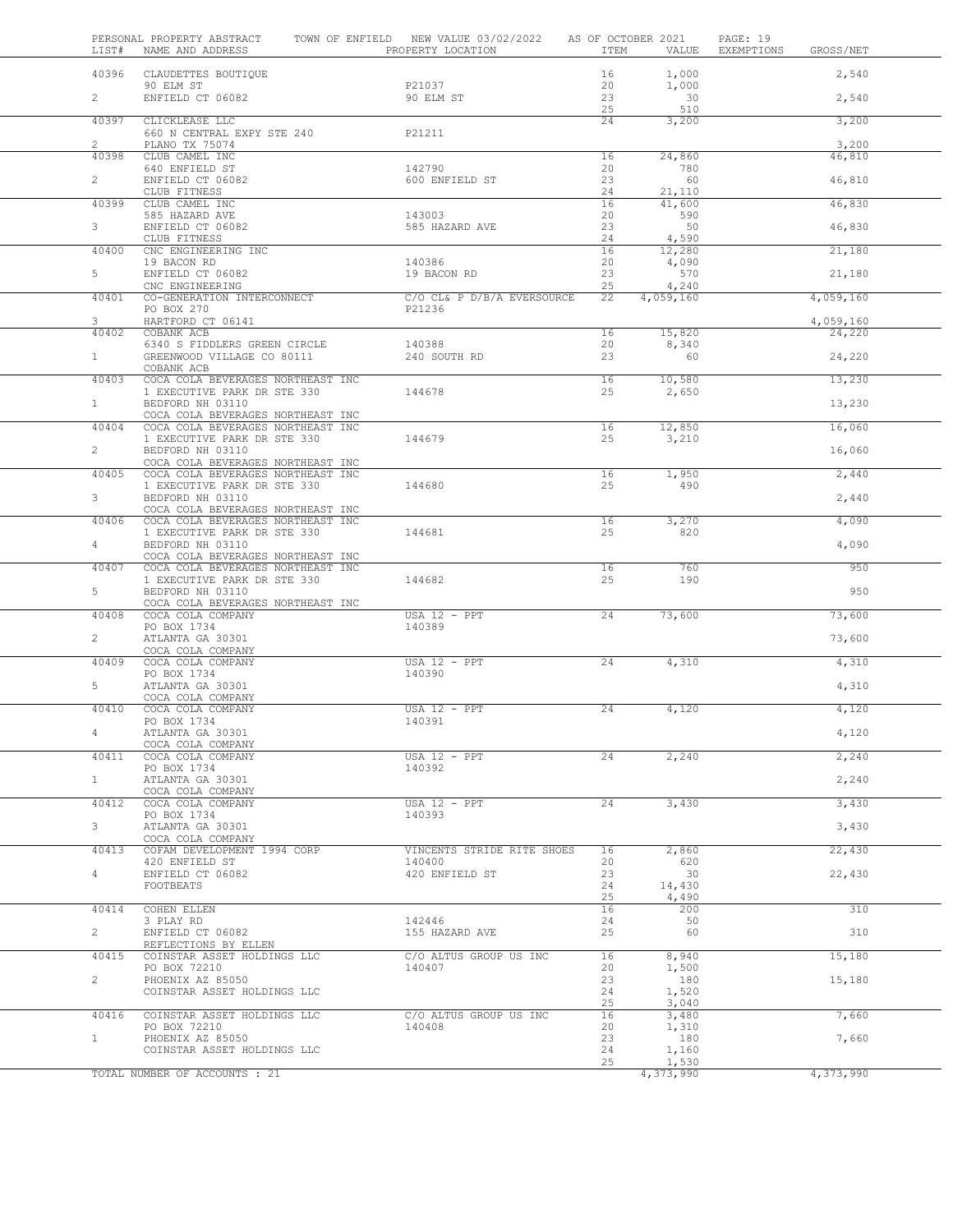| LIST#                   | PERSONAL PROPERTY ABSTRACT<br>NAME AND ADDRESS                   | TOWN OF ENFIELD NEW VALUE 03/02/2022 AS OF OCTOBER 2021<br>PROPERTY LOCATION | ITEM                  | VALUE              | PAGE: 19<br>EXEMPTIONS | GROSS/NET       |
|-------------------------|------------------------------------------------------------------|------------------------------------------------------------------------------|-----------------------|--------------------|------------------------|-----------------|
| 40396                   | CLAUDETTES BOUTIQUE                                              |                                                                              | 16                    | 1,000              |                        | 2,540           |
| $\overline{2}$          | 90 ELM ST<br>ENFIELD CT 06082                                    | P21037<br>90 ELM ST                                                          | 20<br>23<br>25        | 1,000<br>30<br>510 |                        | 2,540           |
| 40397                   | CLICKLEASE LLC<br>660 N CENTRAL EXPY STE 240                     | P21211                                                                       | 24                    | 3,200              |                        | 3,200           |
| $\overline{2}$<br>40398 | PLANO TX 75074<br>CLUB CAMEL INC                                 |                                                                              | 16                    | 24,860             |                        | 3,200<br>46,810 |
| $\overline{2}$          | 640 ENFIELD ST<br>ENFIELD CT 06082                               | 142790<br>600 ENFIELD ST                                                     | 20<br>23              | 780<br>60          |                        | 46,810          |
| 40399                   | CLUB FITNESS<br>CLUB CAMEL INC                                   |                                                                              | 24<br>16              | 21,110<br>41,600   |                        | 46,830          |
| 3 <sup>7</sup>          | 585 HAZARD AVE<br>ENFIELD CT 06082                               | 143003<br>585 HAZARD AVE                                                     | 20<br>23              | 590<br>50          |                        | 46,830          |
| 40400                   | CLUB FITNESS<br>CNC ENGINEERING INC                              |                                                                              | 24<br>16              | 4,590<br>12,280    |                        | 21,180          |
| 5                       | 19 BACON RD<br>ENFIELD CT 06082                                  | 140386<br>19 BACON RD                                                        | 20<br>23              | 4,090<br>570       |                        | 21,180          |
| 40401                   | CNC ENGINEERING<br>CO-GENERATION INTERCONNECT                    | C/O CL& P D/B/A EVERSOURCE                                                   | 25<br>$\overline{22}$ | 4,240<br>4,059,160 |                        | 4,059,160       |
| 3                       | PO BOX 270<br>HARTFORD CT 06141                                  | P21236                                                                       |                       |                    |                        | 4,059,160       |
| 40402                   | COBANK ACB<br>6340 S FIDDLERS GREEN CIRCLE                       | 140388                                                                       | 16<br>20              | 15,820<br>8,340    |                        | 24,220          |
| $1 -$                   | GREENWOOD VILLAGE CO 80111<br>COBANK ACB                         | 240 SOUTH RD                                                                 | 23                    | 60                 |                        | 24,220          |
| 40403                   | COCA COLA BEVERAGES NORTHEAST INC<br>1 EXECUTIVE PARK DR STE 330 | 144678                                                                       | 16<br>25              | 10,580<br>2,650    |                        | 13,230          |
| 1                       | BEDFORD NH 03110<br>COCA COLA BEVERAGES NORTHEAST INC            |                                                                              |                       |                    |                        | 13,230          |
| 40404                   | COCA COLA BEVERAGES NORTHEAST INC<br>1 EXECUTIVE PARK DR STE 330 | 144679                                                                       | 16<br>25              | 12,850<br>3,210    |                        | 16,060          |
| $\overline{2}$          | BEDFORD NH 03110<br>COCA COLA BEVERAGES NORTHEAST INC            |                                                                              |                       |                    |                        | 16,060          |
| 40405                   | COCA COLA BEVERAGES NORTHEAST INC<br>1 EXECUTIVE PARK DR STE 330 | 144680                                                                       | 16<br>25              | 1,950<br>490       |                        | 2,440           |
| 3 <sup>7</sup>          | BEDFORD NH 03110<br>COCA COLA BEVERAGES NORTHEAST INC            |                                                                              |                       |                    |                        | 2,440           |
| 40406                   | COCA COLA BEVERAGES NORTHEAST INC<br>1 EXECUTIVE PARK DR STE 330 | 144681                                                                       | 16<br>25              | 3,270<br>820       |                        | 4,090           |
| $4\degree$              | BEDFORD NH 03110<br>COCA COLA BEVERAGES NORTHEAST INC            |                                                                              |                       |                    |                        | 4,090           |
| 40407                   | COCA COLA BEVERAGES NORTHEAST INC<br>1 EXECUTIVE PARK DR STE 330 | 144682                                                                       | 16<br>25              | 760<br>190         |                        | 950             |
| 5                       | BEDFORD NH 03110<br>COCA COLA BEVERAGES NORTHEAST INC            |                                                                              |                       |                    |                        | 950             |
| 40408                   | COCA COLA COMPANY<br>PO BOX 1734                                 | $\overline{USA 12 - PPT}$<br>140389                                          | 24                    | 73,600             |                        | 73,600          |
| $\overline{2}$          | ATLANTA GA 30301<br>COCA COLA COMPANY                            |                                                                              |                       |                    |                        | 73,600          |
| 40409                   | COCA COLA COMPANY<br>PO BOX 1734                                 | $USA$ 12 - PPT<br>140390                                                     | 24                    | 4,310              |                        | 4,310           |
| 5                       | ATLANTA GA 30301<br>COCA COLA COMPANY                            |                                                                              |                       |                    |                        | 4,310           |
| 40410                   | COCA COLA COMPANY<br>PO BOX 1734                                 | $USA$ $12$ - $PPT$<br>140391                                                 | 24                    | 4,120              |                        | 4,120           |
|                         | ATLANTA GA 30301<br>COCA COLA COMPANY                            |                                                                              |                       |                    |                        | 4,120           |
| 40411                   | COCA COLA COMPANY<br>PO BOX 1734                                 | $USA 12 - PPT$<br>140392                                                     | 24                    | 2,240              |                        | 2,240           |
| $\mathbf{1}$            | ATLANTA GA 30301<br>COCA COLA COMPANY                            |                                                                              |                       |                    |                        | 2,240           |
| 40412                   | COCA COLA COMPANY<br>PO BOX 1734                                 | $USA 12 - PPT$<br>140393                                                     | 24                    | 3,430              |                        | 3,430           |
| 3                       | ATLANTA GA 30301<br>COCA COLA COMPANY                            |                                                                              |                       |                    |                        | 3,430           |
| 40413                   | COFAM DEVELOPMENT 1994 CORP<br>420 ENFIELD ST                    | VINCENTS STRIDE RITE SHOES<br>140400                                         | 16<br>20              | 2,860<br>620       |                        | 22,430          |
| 4                       | ENFIELD CT 06082<br>FOOTBEATS                                    | 420 ENFIELD ST                                                               | 23<br>24              | 30<br>14,430       |                        | 22,430          |
| 40414                   | COHEN ELLEN                                                      |                                                                              | 25<br>16              | 4,490<br>200       |                        | 310             |
| $\overline{2}$          | 3 PLAY RD<br>ENFIELD CT 06082                                    | 142446<br>155 HAZARD AVE                                                     | 24<br>25              | 50<br>60           |                        | 310             |
| 40415                   | REFLECTIONS BY ELLEN<br>COINSTAR ASSET HOLDINGS LLC              | C/O ALTUS GROUP US INC                                                       | 16                    | 8,940              |                        | 15,180          |
| $\overline{2}$          | PO BOX 72210<br>PHOENIX AZ 85050                                 | 140407                                                                       | 20<br>23              | 1,500<br>180       |                        | 15,180          |
|                         | COINSTAR ASSET HOLDINGS LLC                                      |                                                                              | 24<br>25              | 1,520<br>3,040     |                        |                 |
| 40416                   | COINSTAR ASSET HOLDINGS LLC<br>PO BOX 72210                      | C/O ALTUS GROUP US INC<br>140408                                             | 16<br>20              | 3,480<br>1,310     |                        | 7,660           |
| 1                       | PHOENIX AZ 85050<br>COINSTAR ASSET HOLDINGS LLC                  |                                                                              | 23<br>24              | 180                |                        | 7,660           |
|                         |                                                                  |                                                                              | 25                    | 1,160<br>1,530     |                        |                 |
|                         | TOTAL NUMBER OF ACCOUNTS : 21                                    |                                                                              |                       | 4,373,990          |                        | 4,373,990       |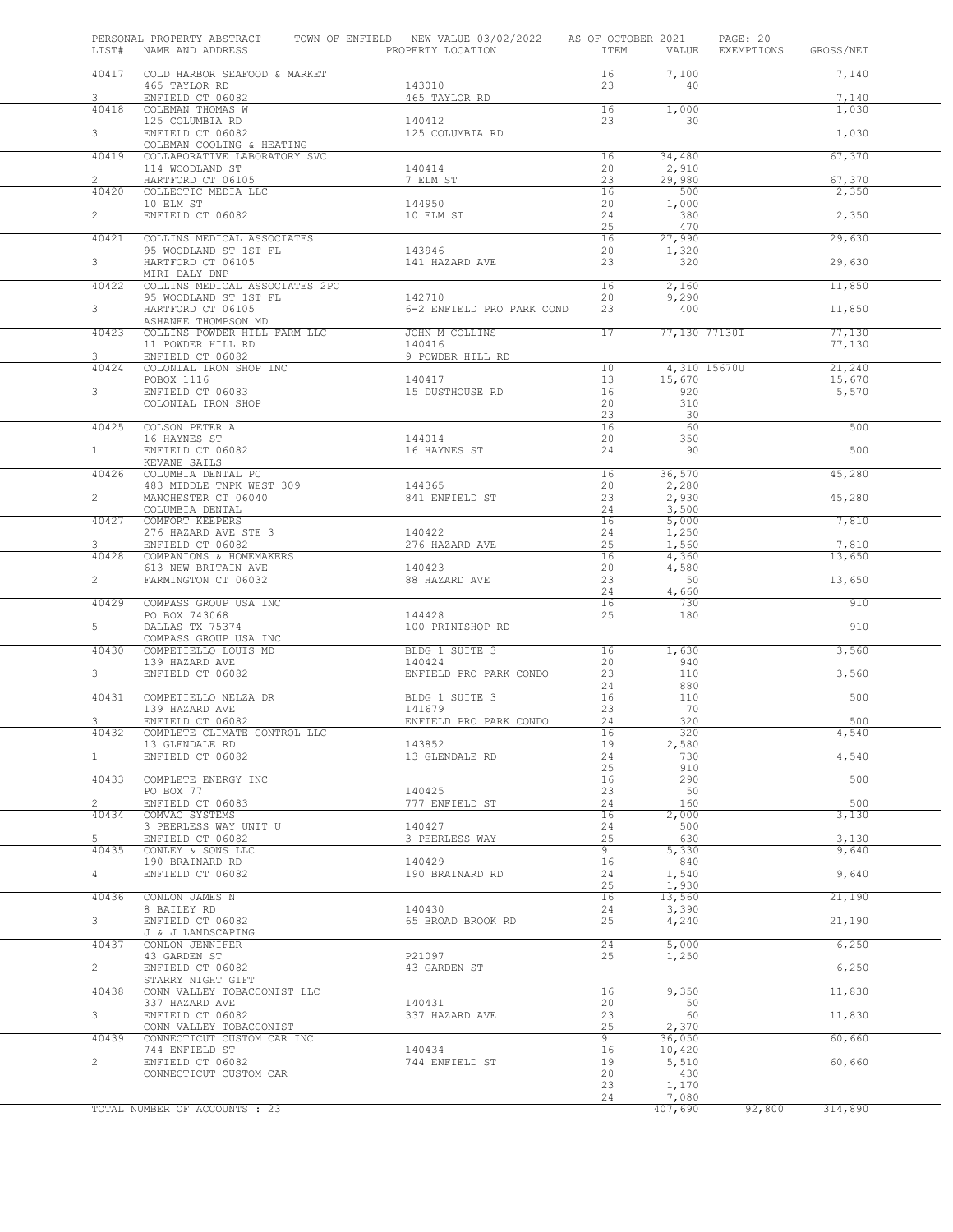| LIST#          | PERSONAL PROPERTY ABSTRACT<br>NAME AND ADDRESS        | TOWN OF ENFIELD NEW VALUE 03/02/2022<br>PROPERTY LOCATION | AS OF OCTOBER 2021<br>ITEM | VALUE           | PAGE: 20<br>EXEMPTIONS | GROSS/NET        |  |
|----------------|-------------------------------------------------------|-----------------------------------------------------------|----------------------------|-----------------|------------------------|------------------|--|
| 40417          | COLD HARBOR SEAFOOD & MARKET                          |                                                           | 16                         | 7,100           |                        | 7,140            |  |
|                | 465 TAYLOR RD                                         | 143010                                                    | 23                         | 40              |                        |                  |  |
| 3              | ENFIELD CT 06082                                      | 465 TAYLOR RD                                             |                            |                 |                        | 7,140            |  |
| 40418          | COLEMAN THOMAS W                                      |                                                           | 16                         | 1,000           |                        | 1,030            |  |
|                | 125 COLUMBIA RD                                       | 140412                                                    | 23                         | $\overline{30}$ |                        |                  |  |
| $3 -$          | ENFIELD CT 06082<br>COLEMAN COOLING & HEATING         | 125 COLUMBIA RD                                           |                            |                 |                        | 1,030            |  |
| 40419          | COLLABORATIVE LABORATORY SVC                          |                                                           | 16                         | 34,480          |                        | 67,370           |  |
|                | 114 WOODLAND ST                                       | 140414                                                    | 20                         | 2,910           |                        |                  |  |
| $\overline{2}$ | HARTFORD CT 06105                                     | 7 ELM ST                                                  | 23                         | 29,980          |                        | 67,370           |  |
| 40420          | COLLECTIC MEDIA LLC                                   |                                                           | 16                         | 500             |                        | 2,350            |  |
| $\overline{2}$ | 10 ELM ST<br>ENFIELD CT 06082                         | 144950<br>10 ELM ST                                       | 20<br>24                   | 1,000<br>380    |                        | 2,350            |  |
|                |                                                       |                                                           | 25                         | 470             |                        |                  |  |
| 40421          | COLLINS MEDICAL ASSOCIATES                            |                                                           | 16                         | 27,990          |                        | 29,630           |  |
|                | 95 WOODLAND ST 1ST FL                                 | 143946                                                    | 20                         | 1,320           |                        |                  |  |
| 3 <sup>7</sup> | HARTFORD CT 06105<br>MIRI DALY DNP                    | 141 HAZARD AVE                                            | 23                         | 320             |                        | 29,630           |  |
| 40422          | COLLINS MEDICAL ASSOCIATES 2PC                        |                                                           | 16                         | 2,160           |                        | 11,850           |  |
|                | 95 WOODLAND ST 1ST FL                                 | 142710                                                    | 20                         | 9,290           |                        |                  |  |
| 3 <sup>7</sup> | HARTFORD CT 06105                                     | 6-2 ENFIELD PRO PARK COND                                 | 23                         | 400             |                        | 11,850           |  |
|                | ASHANEE THOMPSON MD                                   |                                                           |                            |                 |                        |                  |  |
| 40423          | COLLINS POWDER HILL FARM LLC<br>11 POWDER HILL RD     | JOHN M COLLINS<br>140416                                  | 17                         | 77,130 77130I   |                        | 77,130<br>77,130 |  |
| $\mathbf{3}$   | ENFIELD CT 06082                                      | 9 POWDER HILL RD                                          |                            |                 |                        |                  |  |
| 40424          | COLONIAL IRON SHOP INC                                |                                                           | 10                         |                 | 4,310 15670U           | 21,240           |  |
|                | POBOX 1116                                            | 140417                                                    | 13                         | 15,670          |                        | 15,670           |  |
| 3              | ENFIELD CT 06083                                      | 15 DUSTHOUSE RD                                           | 16                         | 920             |                        | 5,570            |  |
|                | COLONIAL IRON SHOP                                    |                                                           | 20<br>23                   | 310<br>30       |                        |                  |  |
| 40425          | COLSON PETER A                                        |                                                           | 16                         | 60              |                        | 500              |  |
|                | 16 HAYNES ST                                          | 144014                                                    | 20                         | 350             |                        |                  |  |
| $1 -$          | ENFIELD CT 06082                                      | 16 HAYNES ST                                              | 24                         | 90              |                        | 500              |  |
| 40426          | KEVANE SAILS<br>COLUMBIA DENTAL PC                    |                                                           | 16                         | 36,570          |                        | 45,280           |  |
|                | 483 MIDDLE TNPK WEST 309                              | 144365                                                    | 20                         | 2,280           |                        |                  |  |
| $\mathbf{2}$   | MANCHESTER CT 06040                                   | 841 ENFIELD ST                                            | 23                         | 2,930           |                        | 45,280           |  |
|                | COLUMBIA DENTAL                                       |                                                           | 24                         | 3,500           |                        |                  |  |
| 40427          | COMFORT KEEPERS                                       |                                                           | 16                         | 5,000           |                        | 7,810            |  |
| 3              | 276 HAZARD AVE STE 3<br>ENFIELD CT 06082              | 140422<br>276 HAZARD AVE                                  | 24<br>25                   | 1,250<br>1,560  |                        | 7,810            |  |
| 40428          | COMPANIONS & HOMEMAKERS                               |                                                           | 16                         | 4,360           |                        | 13,650           |  |
|                | 613 NEW BRITAIN AVE                                   | 140423                                                    | 20                         | 4,580           |                        |                  |  |
| $\overline{2}$ | FARMINGTON CT 06032                                   | 88 HAZARD AVE                                             | 23                         | 50              |                        | 13,650           |  |
| 40429          | COMPASS GROUP USA INC                                 |                                                           | 24<br>16                   | 4,660<br>730    |                        | 910              |  |
|                | PO BOX 743068                                         | 144428                                                    | 25                         | 180             |                        |                  |  |
| 5              | DALLAS TX 75374                                       | 100 PRINTSHOP RD                                          |                            |                 |                        | 910              |  |
|                | COMPASS GROUP USA INC                                 |                                                           |                            |                 |                        |                  |  |
| 40430          | COMPETIELLO LOUIS MD<br>139 HAZARD AVE                | BLDG 1 SUITE 3<br>140424                                  | 16<br>20                   | 1,630<br>940    |                        | 3,560            |  |
| 3 <sup>7</sup> | ENFIELD CT 06082                                      | ENFIELD PRO PARK CONDO                                    | 23                         | 110             |                        | 3,560            |  |
|                |                                                       |                                                           | 24                         | 880             |                        |                  |  |
| 40431          | COMPETIELLO NELZA DR                                  | BLDG 1 SUITE 3                                            | 16                         | 110             |                        | 500              |  |
| 3              | 139 HAZARD AVE                                        | 141679                                                    | 23<br>24                   | 70<br>320       |                        | 500              |  |
| 40432          | ENFIELD CT 06082<br>COMPLETE CLIMATE CONTROL LLC      | ENFIELD PRO PARK CONDO                                    | 16                         | 320             |                        | 4,540            |  |
|                | 13 GLENDALE RD                                        | 143852                                                    | 19                         | 2,580           |                        |                  |  |
| $\mathbf{1}$   | ENFIELD CT 06082                                      | 13 GLENDALE RD                                            | 24                         | 730             |                        | 4,540            |  |
|                |                                                       |                                                           | 25                         | 910             |                        |                  |  |
| 40433          | COMPLETE ENERGY INC<br>PO BOX 77                      | 140425                                                    | 16<br>23                   | 290<br>50       |                        | 500              |  |
| $\overline{2}$ | ENFIELD CT 06083                                      | 777 ENFIELD ST                                            | 24                         | 160             |                        | 500              |  |
| 40434          | COMVAC SYSTEMS                                        |                                                           | 16                         | 2,000           |                        | 3,130            |  |
|                | 3 PEERLESS WAY UNIT U                                 | 140427                                                    | 24                         | 500             |                        |                  |  |
| 5<br>40435     | ENFIELD CT 06082<br>CONLEY & SONS LLC                 | 3 PEERLESS WAY                                            | 25<br>9                    | 630<br>5,330    |                        | 3,130<br>9,640   |  |
|                | 190 BRAINARD RD                                       | 140429                                                    | 16                         | 840             |                        |                  |  |
| 4              | ENFIELD CT 06082                                      | 190 BRAINARD RD                                           | 24                         | 1,540           |                        | 9,640            |  |
|                |                                                       |                                                           | 25                         | 1,930           |                        |                  |  |
| 40436          | CONLON JAMES N<br>8 BAILEY RD                         | 140430                                                    | 16<br>24                   | 13,560          |                        | 21,190           |  |
| 3              | ENFIELD CT 06082                                      | 65 BROAD BROOK RD                                         | 25                         | 3,390<br>4,240  |                        | 21,190           |  |
|                | J & J LANDSCAPING                                     |                                                           |                            |                 |                        |                  |  |
| 40437          | CONLON JENNIFER                                       |                                                           | 24                         | 5,000           |                        | 6,250            |  |
|                | 43 GARDEN ST                                          | P21097                                                    | 25                         | 1,250           |                        |                  |  |
| $\overline{2}$ | ENFIELD CT 06082<br>STARRY NIGHT GIFT                 | 43 GARDEN ST                                              |                            |                 |                        | 6,250            |  |
| 40438          | CONN VALLEY TOBACCONIST LLC                           |                                                           | 16                         | 9,350           |                        | 11,830           |  |
|                | 337 HAZARD AVE                                        | 140431                                                    | 20                         | 50              |                        |                  |  |
| 3 <sup>7</sup> | ENFIELD CT 06082                                      | 337 HAZARD AVE                                            | 23                         | 60              |                        | 11,830           |  |
| 40439          | CONN VALLEY TOBACCONIST<br>CONNECTICUT CUSTOM CAR INC |                                                           | 25<br>9                    | 2,370<br>36,050 |                        | 60,660           |  |
|                | 744 ENFIELD ST                                        | 140434                                                    | 16                         | 10,420          |                        |                  |  |
| $\overline{c}$ | ENFIELD CT 06082                                      | 744 ENFIELD ST                                            | 19                         | 5,510           |                        | 60,660           |  |
|                | CONNECTICUT CUSTOM CAR                                |                                                           | 20                         | 430             |                        |                  |  |
|                |                                                       |                                                           | 23<br>24                   | 1,170<br>7,080  |                        |                  |  |
|                | TOTAL NUMBER OF ACCOUNTS : 23                         |                                                           |                            | 407,690         | 92,800                 | 314,890          |  |
|                |                                                       |                                                           |                            |                 |                        |                  |  |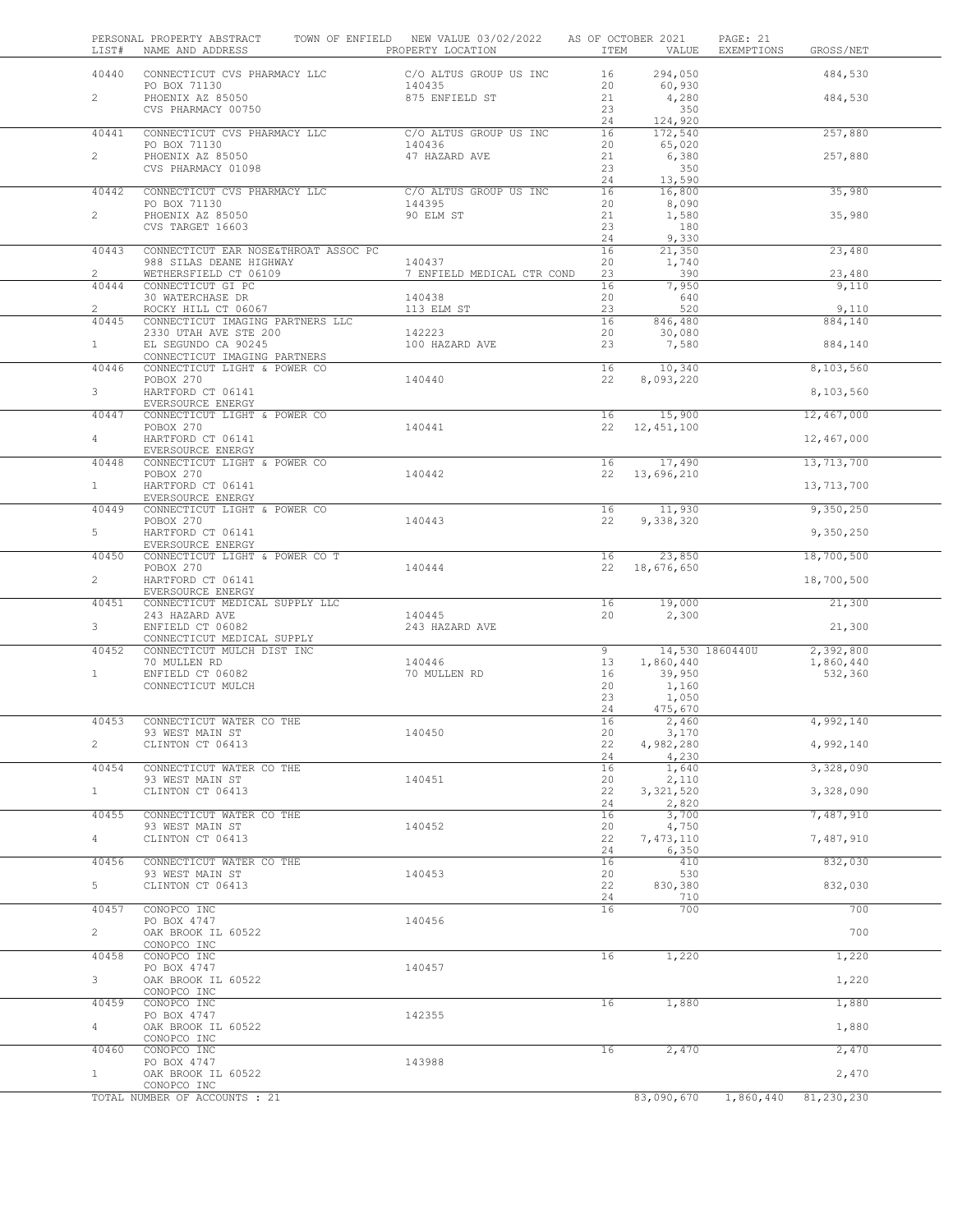| LIST#                   | PERSONAL PROPERTY ABSTRACT<br>NAME AND ADDRESS          | TOWN OF ENFIELD NEW VALUE 03/02/2022<br>PROPERTY LOCATION | ITEM           | AS OF OCTOBER 2021<br>VALUE  | PAGE: 21<br>EXEMPTIONS<br>GROSS/NET |
|-------------------------|---------------------------------------------------------|-----------------------------------------------------------|----------------|------------------------------|-------------------------------------|
| 40440                   | CONNECTICUT CVS PHARMACY LLC                            | C/O ALTUS GROUP US INC                                    | 16             | 294,050                      | 484,530                             |
|                         | PO BOX 71130                                            | 140435                                                    | 20             | 60,930                       |                                     |
| $\overline{2}$          | PHOENIX AZ 85050<br>CVS PHARMACY 00750                  | 875 ENFIELD ST                                            | 21<br>23<br>24 | 4,280<br>350<br>124,920      | 484,530                             |
| 40441                   | CONNECTICUT CVS PHARMACY LLC<br>PO BOX 71130            | C/O ALTUS GROUP US INC<br>140436                          | 16             | 172,540                      | 257,880                             |
| $\overline{2}$          | PHOENIX AZ 85050                                        | 47 HAZARD AVE                                             | 20<br>21       | 65,020<br>6,380              | 257,880                             |
|                         | CVS PHARMACY 01098                                      |                                                           | 23<br>24       | 350<br>13,590                |                                     |
| 40442                   | CONNECTICUT CVS PHARMACY LLC<br>PO BOX 71130            | C/O ALTUS GROUP US INC<br>144395                          | 16             | 16,800                       | 35,980                              |
| $\overline{2}$          | PHOENIX AZ 85050                                        | 90 ELM ST                                                 | 20<br>21       | 8,090<br>1,580               | 35,980                              |
|                         | CVS TARGET 16603                                        |                                                           | 23<br>24       | 180<br>9,330                 |                                     |
| 40443                   | CONNECTICUT EAR NOSE&THROAT ASSOC PC                    |                                                           | 16             | 21,350                       | 23,480                              |
| $\overline{2}$          | 988 SILAS DEANE HIGHWAY                                 | 140437                                                    | 20             | 1,740<br>390                 |                                     |
| 40444                   | WETHERSFIELD CT 06109<br>CONNECTICUT GI PC              | 7 ENFIELD MEDICAL CTR COND                                | 23<br>16       | 7,950                        | 23,480<br>9,110                     |
|                         | 30 WATERCHASE DR                                        | 140438                                                    | 20             | 640                          |                                     |
| $\overline{2}$<br>40445 | ROCKY HILL CT 06067<br>CONNECTICUT IMAGING PARTNERS LLC | 113 ELM ST                                                | 23<br>16       | 520<br>846,480               | 9,110<br>884,140                    |
|                         | 2330 UTAH AVE STE 200                                   | 142223                                                    | 20             | 30,080                       |                                     |
| $\mathbf{1}$            | EL SEGUNDO CA 90245<br>CONNECTICUT IMAGING PARTNERS     | 100 HAZARD AVE                                            | 23             | 7,580                        | 884,140                             |
| 40446                   | CONNECTICUT LIGHT & POWER CO                            |                                                           | 16             | 10,340                       | 8,103,560                           |
| 3                       | POBOX 270<br>HARTFORD CT 06141                          | 140440                                                    | 22             | 8,093,220                    | 8,103,560                           |
|                         | EVERSOURCE ENERGY                                       |                                                           |                |                              |                                     |
| 40447                   | CONNECTICUT LIGHT & POWER CO<br>POBOX 270               | 140441                                                    | 16<br>22       | 15,900<br>12,451,100         | 12,467,000                          |
| $\overline{4}$          | HARTFORD CT 06141                                       |                                                           |                |                              | 12,467,000                          |
| 40448                   | EVERSOURCE ENERGY<br>CONNECTICUT LIGHT & POWER CO       |                                                           | 16             | 17,490                       | 13,713,700                          |
|                         | POBOX 270                                               | 140442                                                    | 22             | 13,696,210                   |                                     |
| $\mathbf{1}$            | HARTFORD CT 06141<br>EVERSOURCE ENERGY                  |                                                           |                |                              | 13,713,700                          |
| 40449                   | CONNECTICUT LIGHT & POWER CO                            |                                                           | 16             | 11,930                       | 9,350,250                           |
| 5                       | POBOX 270<br>HARTFORD CT 06141                          | 140443                                                    | 22             | 9,338,320                    | 9,350,250                           |
| 40450                   | EVERSOURCE ENERGY<br>CONNECTICUT LIGHT & POWER CO T     |                                                           | 16             | 23,850                       | 18,700,500                          |
|                         | POBOX 270                                               | 140444                                                    | 22             | 18,676,650                   |                                     |
| $\overline{2}$          | HARTFORD CT 06141<br>EVERSOURCE ENERGY                  |                                                           |                |                              | 18,700,500                          |
| 40451                   | CONNECTICUT MEDICAL SUPPLY LLC                          |                                                           | 16             | 19,000                       | 21,300                              |
| $3 -$                   | 243 HAZARD AVE<br>ENFIELD CT 06082                      | 140445<br>243 HAZARD AVE                                  | 20             | 2,300                        | 21,300                              |
|                         | CONNECTICUT MEDICAL SUPPLY                              |                                                           |                |                              |                                     |
| 40452                   | CONNECTICUT MULCH DIST INC<br>70 MULLEN RD              | 140446                                                    | 9<br>13        | 14,530 1860440U<br>1,860,440 | 2,392,800<br>1,860,440              |
| $\mathbf{1}$            | ENFIELD CT 06082                                        | 70 MULLEN RD                                              | 16             | 39,950                       | 532,360                             |
|                         | CONNECTICUT MULCH                                       |                                                           | 20<br>23       | 1,160<br>1,050               |                                     |
|                         |                                                         |                                                           | 24             | 475,670                      |                                     |
| 40453                   | CONNECTICUT WATER CO THE                                | 140450                                                    | 16<br>20       | 2,460<br>3,170               | 4,992,140                           |
| $\overline{c}$          | 93 WEST MAIN ST<br>CLINTON CT 06413                     |                                                           | 22             | 4,982,280                    | 4,992,140                           |
| 40454                   | CONNECTICUT WATER CO THE                                |                                                           | 24<br>16       | 4,230<br>1,640               | 3,328,090                           |
|                         | 93 WEST MAIN ST                                         | 140451                                                    | 20             | 2,110                        |                                     |
| $\mathbf{1}$            | CLINTON CT 06413                                        |                                                           | 22             | 3, 321, 520                  | 3,328,090                           |
| 40455                   | CONNECTICUT WATER CO THE                                |                                                           | 24<br>16       | 2,820<br>3,700               | 7,487,910                           |
|                         | 93 WEST MAIN ST                                         | 140452                                                    | 20             | 4,750                        |                                     |
| $\overline{4}$          | CLINTON CT 06413                                        |                                                           | 22<br>24       | 7, 473, 110<br>6,350         | 7,487,910                           |
| 40456                   | CONNECTICUT WATER CO THE                                |                                                           | 16             | 410                          | 832,030                             |
| 5                       | 93 WEST MAIN ST<br>CLINTON CT 06413                     | 140453                                                    | 20<br>22       | 530<br>830,380               | 832,030                             |
| 40457                   | CONOPCO INC                                             |                                                           | 24<br>16       | 710<br>700                   | 700                                 |
|                         | PO BOX 4747                                             | 140456                                                    |                |                              |                                     |
| $\overline{2}$          | OAK BROOK IL 60522<br>CONOPCO INC                       |                                                           |                |                              | 700                                 |
| 40458                   | CONOPCO INC                                             |                                                           | 16             | 1,220                        | 1,220                               |
| 3                       | PO BOX 4747<br>OAK BROOK IL 60522                       | 140457                                                    |                |                              | 1,220                               |
|                         | CONOPCO INC                                             |                                                           |                |                              |                                     |
| 40459                   | CONOPCO INC<br>PO BOX 4747                              | 142355                                                    | 16             | 1,880                        | 1,880                               |
| 4                       | OAK BROOK IL 60522                                      |                                                           |                |                              | 1,880                               |
| 40460                   | CONOPCO INC<br>CONOPCO INC                              |                                                           | 16             | 2,470                        | 2,470                               |
|                         | PO BOX 4747                                             | 143988                                                    |                |                              |                                     |
| $\mathbf{1}$            | OAK BROOK IL 60522<br>CONOPCO INC                       |                                                           |                |                              | 2,470                               |
|                         | TOTAL NUMBER OF ACCOUNTS : 21                           |                                                           |                | 83,090,670                   | 81,230,230<br>1,860,440             |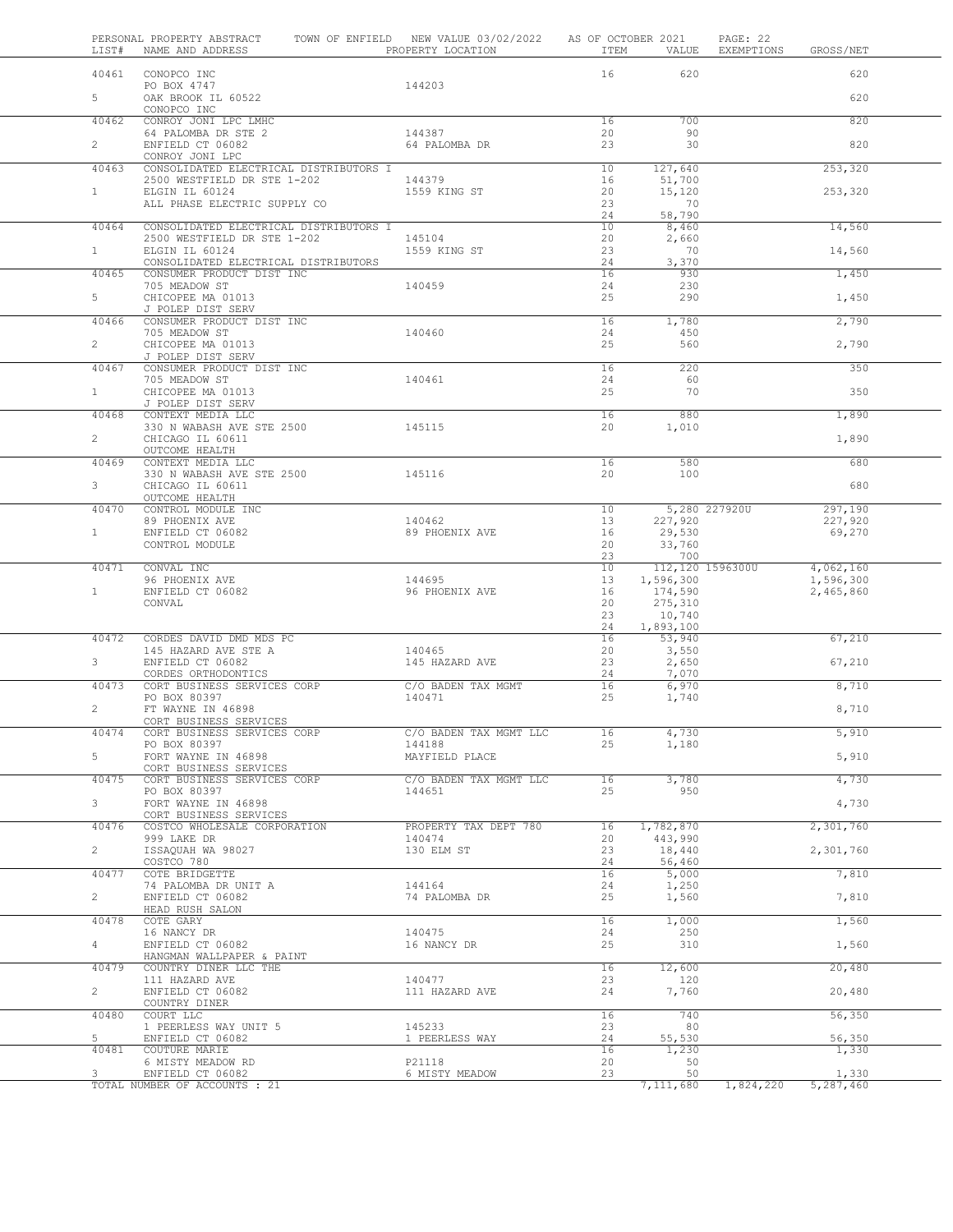| LIST#          | PERSONAL PROPERTY ABSTRACT<br>NAME AND ADDRESS                                        |        | TOWN OF ENFIELD NEW VALUE 03/02/2022<br>PROPERTY LOCATION | AS OF OCTOBER 2021<br>ITEM | VALUE                   | PAGE: 22<br>EXEMPTIONS | GROSS/NET              |
|----------------|---------------------------------------------------------------------------------------|--------|-----------------------------------------------------------|----------------------------|-------------------------|------------------------|------------------------|
| 40461          | CONOPCO INC                                                                           |        |                                                           | 16                         | 620                     |                        | 620                    |
| 5 <sup>5</sup> | PO BOX 4747<br>OAK BROOK IL 60522<br>CONOPCO INC                                      |        | 144203                                                    |                            |                         |                        | 620                    |
| 40462          | CONROY JONI LPC LMHC                                                                  |        |                                                           | 16                         | 700                     |                        | 820                    |
| $\mathbf{2}$   | 64 PALOMBA DR STE 2<br>ENFIELD CT 06082<br>CONROY JONI LPC                            |        | 144387<br>64 PALOMBA DR                                   | 20<br>23                   | 90<br>30                |                        | 820                    |
| 40463          | CONSOLIDATED ELECTRICAL DISTRIBUTORS I                                                |        |                                                           | 10                         | 127,640                 |                        | 253,320                |
|                | 2500 WESTFIELD DR STE 1-202                                                           |        | 144379<br>1559 KING ST                                    | 16                         | 51,700                  |                        |                        |
| $\mathbf{1}$   | ELGIN IL 60124<br>ALL PHASE ELECTRIC SUPPLY CO                                        |        |                                                           | 20<br>23<br>24             | 15,120<br>70<br>58,790  |                        | 253,320                |
| 40464          | CONSOLIDATED ELECTRICAL DISTRIBUTORS I                                                |        |                                                           | 10                         | 8,460                   |                        | 14,560                 |
| $\mathbf{1}$   | 2500 WESTFIELD DR STE 1-202<br>ELGIN IL 60124<br>CONSOLIDATED ELECTRICAL DISTRIBUTORS |        | 145104<br>1559 KING ST                                    | 20<br>23<br>24             | 2,660<br>70<br>3,370    |                        | 14,560                 |
| 40465          | CONSUMER PRODUCT DIST INC                                                             |        |                                                           | 16                         | 930                     |                        | 1,450                  |
| 5              | 705 MEADOW ST<br>CHICOPEE MA 01013                                                    |        | 140459                                                    | 24<br>25                   | 230<br>290              |                        | 1,450                  |
| 40466          | J POLEP DIST SERV<br>CONSUMER PRODUCT DIST INC                                        |        |                                                           | 16                         | 1,780                   |                        | 2,790                  |
| $\mathbf{2}$   | 705 MEADOW ST<br>CHICOPEE MA 01013                                                    |        | 140460                                                    | 24<br>25                   | 450<br>560              |                        | 2,790                  |
|                | J POLEP DIST SERV                                                                     |        |                                                           |                            |                         |                        |                        |
| 40467          | CONSUMER PRODUCT DIST INC<br>705 MEADOW ST                                            |        | 140461                                                    | 16<br>24                   | 220<br>- 60             |                        | 350                    |
| $\mathbf{1}$   | CHICOPEE MA 01013<br>J POLEP DIST SERV                                                |        |                                                           | 25                         | 70                      |                        | 350                    |
| 40468          | CONTEXT MEDIA LLC                                                                     |        |                                                           | 16                         | 880                     |                        | 1,890                  |
| $\overline{2}$ | 330 N WABASH AVE STE 2500<br>CHICAGO IL 60611                                         |        | 145115                                                    | 20                         | 1,010                   |                        | 1,890                  |
| 40469          | OUTCOME HEALTH<br>CONTEXT MEDIA LLC                                                   |        |                                                           | 16                         | 580                     |                        | 680                    |
| $3 -$          | 330 N WABASH AVE STE 2500<br>CHICAGO IL 60611                                         | 145116 |                                                           | 20                         | 100                     |                        | 680                    |
| 40470          | OUTCOME HEALTH<br>CONTROL MODULE INC                                                  |        |                                                           | 10                         |                         | 5,280 227920U          | 297,190                |
|                | 89 PHOENIX AVE                                                                        |        | 140462                                                    | 13                         | 227,920                 |                        | 227,920                |
| $\mathbf{1}$   | ENFIELD CT 06082<br>CONTROL MODULE                                                    |        | 89 PHOENIX AVE                                            | 16<br>20                   | 29,530<br>33,760        |                        | 69,270                 |
| 40471          | CONVAL INC                                                                            |        |                                                           | 23<br>10                   | 700<br>112,120 1596300U |                        | 4,062,160              |
| $\mathbf{1}$   | 96 PHOENIX AVE<br>ENFIELD CT 06082                                                    |        | 144695<br>96 PHOENIX AVE                                  | 13<br>16                   | 1,596,300<br>174,590    |                        | 1,596,300<br>2,465,860 |
|                | CONVAL                                                                                |        |                                                           | 20<br>23                   | 275,310<br>10,740       |                        |                        |
| 40472          | CORDES DAVID DMD MDS PC                                                               |        |                                                           | 24<br>16                   | 1,893,100               |                        | 67,210                 |
|                | 145 HAZARD AVE STE A                                                                  |        | 140465                                                    | 20                         | 53,940<br>3,550         |                        |                        |
| 3              | ENFIELD CT 06082                                                                      |        | 145 HAZARD AVE                                            | 23                         | 2,650                   |                        | 67,210                 |
| 40473          | CORDES ORTHODONTICS<br>CORT BUSINESS SERVICES CORP                                    |        | C/O BADEN TAX MGMT                                        | 24<br>16                   | 7,070<br>6,970          |                        | 8,710                  |
|                | PO BOX 80397                                                                          |        | 140471                                                    | 25                         | 1,740                   |                        |                        |
| $\overline{2}$ | FT WAYNE IN 46898<br>CORT BUSINESS SERVICES                                           |        |                                                           |                            |                         |                        | 8,710                  |
| 40474          | CORT BUSINESS SERVICES CORP                                                           |        | C/O BADEN TAX MGMT LLC                                    | 16                         | 4,730                   |                        | 5,910                  |
| 5              | PO BOX 80397<br>FORT WAYNE IN 46898                                                   |        | 144188<br>MAYFIELD PLACE                                  | 25                         | 1,180                   |                        | 5,910                  |
|                | CORT BUSINESS SERVICES                                                                |        |                                                           |                            |                         |                        |                        |
| 40475          | CORT BUSINESS SERVICES CORP<br>PO BOX 80397                                           |        | C/O BADEN TAX MGMT LLC<br>144651                          | 16<br>25                   | 3,780<br>950            |                        | 4,730                  |
| 3 <sup>7</sup> | FORT WAYNE IN 46898<br>CORT BUSINESS SERVICES                                         |        |                                                           |                            |                         |                        | 4,730                  |
| 40476          | COSTCO WHOLESALE CORPORATION                                                          |        | PROPERTY TAX DEPT 780                                     | 16                         | 1,782,870               |                        | 2,301,760              |
| $\overline{2}$ | 999 LAKE DR<br>ISSAQUAH WA 98027                                                      |        | 140474<br>130 ELM ST                                      | 20<br>23                   | 443,990<br>18,440       |                        | 2,301,760              |
|                | COSTCO 780                                                                            |        |                                                           | 24                         | 56,460                  |                        |                        |
| 40477          | COTE BRIDGETTE<br>74 PALOMBA DR UNIT A                                                |        | 144164                                                    | 16<br>24                   | 5,000<br>1,250          |                        | 7,810                  |
| $\overline{2}$ | ENFIELD CT 06082<br>HEAD RUSH SALON                                                   |        | 74 PALOMBA DR                                             | 25                         | 1,560                   |                        | 7,810                  |
| 40478          | COTE GARY                                                                             |        |                                                           | 16                         | 1,000                   |                        | 1,560                  |
| $\overline{4}$ | 16 NANCY DR<br>ENFIELD CT 06082<br>HANGMAN WALLPAPER & PAINT                          |        | 140475<br>16 NANCY DR                                     | 24<br>25                   | 250<br>310              |                        | 1,560                  |
| 40479          | COUNTRY DINER LLC THE                                                                 |        |                                                           | 16                         | 12,600                  |                        | 20,480                 |
| $\overline{2}$ | 111 HAZARD AVE<br>ENFIELD CT 06082                                                    |        | 140477<br>111 HAZARD AVE                                  | 23<br>24                   | 120<br>7,760            |                        | 20,480                 |
|                | COUNTRY DINER                                                                         |        |                                                           |                            |                         |                        |                        |
| 40480          | COURT LLC<br>1 PEERLESS WAY UNIT 5                                                    |        | 145233                                                    | 16<br>23                   | 740<br>80               |                        | 56,350                 |
| 5              | ENFIELD CT 06082                                                                      |        | 1 PEERLESS WAY                                            | 24                         | 55,530                  |                        | 56,350                 |
| 40481          | COUTURE MARIE                                                                         |        |                                                           | 16                         | 1,230                   |                        | 1,330                  |
| 3              | 6 MISTY MEADOW RD<br>ENFIELD CT 06082                                                 |        | P21118<br>6 MISTY MEADOW                                  | 20<br>23                   | 50<br>50                |                        | 1,330                  |
|                | TOTAL NUMBER OF ACCOUNTS : 21                                                         |        |                                                           |                            | 7,111,680               | 1,824,220              | 5,287,460              |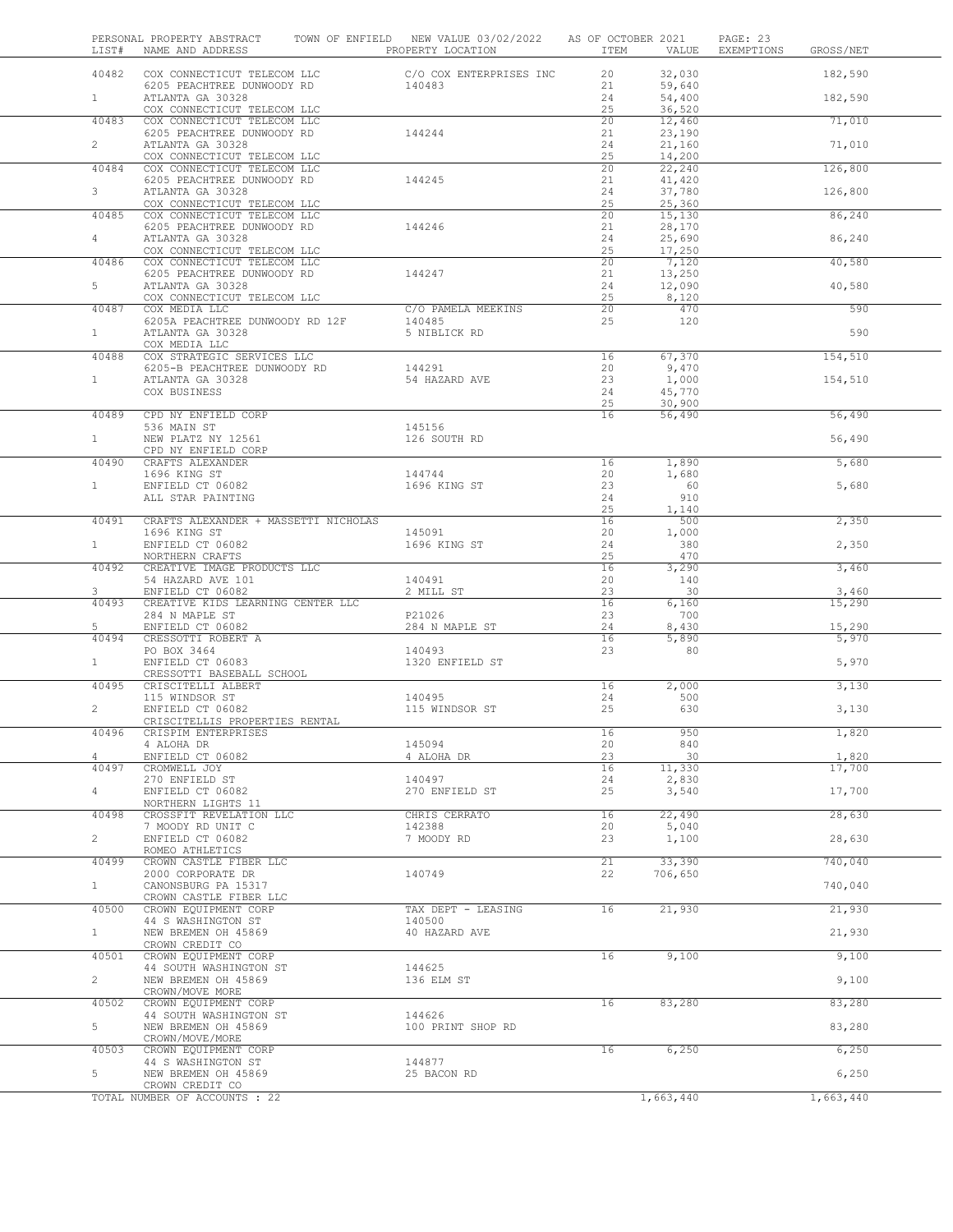| LIST#          | PERSONAL PROPERTY ABSTRACT TOWN OF ENFIELD NEW VALUE 03/02/2022 AS OF OCTOBER 2021<br>NAME AND ADDRESS THE REPORT OF PROPERTY LOCATION |                              | ITEM VALUE     |                            | PAGE: 23<br>EXEMPTIONS | GROSS/NET       |
|----------------|----------------------------------------------------------------------------------------------------------------------------------------|------------------------------|----------------|----------------------------|------------------------|-----------------|
| 40482          | COX CONNECTICUT TELECOM LLC $C/O COX$ ENTERPRISES INC                                                                                  |                              | 20             | 32,030                     |                        | 182,590         |
| 1              | 6205 PEACHTREE DUNWOODY RD<br>ATLANTA GA 30328<br>COX CONNECTICUT TELECOM LLC                                                          | 140483                       | 21<br>24<br>25 | 59,640<br>54,400<br>36,520 |                        | 182,590         |
| 40483          | COX CONNECTICUT TELECOM LLC                                                                                                            |                              | 20             | 12,460                     |                        | 71,010          |
| $\overline{2}$ | 6205 PEACHTREE DUNWOODY RD                                                                                                             | 144244                       | 21<br>24       | 23,190                     |                        |                 |
|                | ATLANTA GA 30328<br>COX CONNECTICUT TELECOM LLC                                                                                        |                              | 25             | 21,160<br>14,200           |                        | 71,010          |
| 40484          | COX CONNECTICUT TELECOM LLC                                                                                                            |                              | 20             | 22,240                     |                        | 126,800         |
| 3 <sup>7</sup> | 6205 PEACHTREE DUNWOODY RD<br>ATLANTA GA 30328                                                                                         | 144245                       | 21<br>24       | 41,420<br>37,780           |                        | 126,800         |
| 40485          | COX CONNECTICUT TELECOM LLC<br>COX CONNECTICUT TELECOM LLC                                                                             |                              | 25<br>20       | 25,360<br>15,130           |                        | 86,240          |
| $4 -$          | 6205 PEACHTREE DUNWOODY RD<br>ATLANTA GA 30328                                                                                         | 144246                       | 21<br>24       | 28,170<br>25,690           |                        | 86,240          |
| 40486          | COX CONNECTICUT TELECOM LLC<br>COX CONNECTICUT TELECOM LLC                                                                             |                              | 25<br>20       | 17,250<br>7,120            |                        | 40,580          |
|                | 6205 PEACHTREE DUNWOODY RD                                                                                                             | 144247                       | 21             | 13,250                     |                        |                 |
| $5 -$          | ATLANTA GA 30328<br>COX CONNECTICUT TELECOM LLC                                                                                        |                              | 24<br>25       | 12,090<br>8,120            |                        | 40,580          |
| 40487          | COX MEDIA LLC                                                                                                                          | C/O PAMELA MEEKINS<br>140485 | 20<br>25       | 470<br>120                 |                        | 590             |
| 1              | 6205A PEACHTREE DUNWOODY RD 12F<br>ATLANTA GA 30328                                                                                    | 5 NIBLICK RD                 |                |                            |                        | 590             |
| 40488          | COX MEDIA LLC<br>COX STRATEGIC SERVICES LLC                                                                                            |                              | 16             | 67,370                     |                        | 154,510         |
|                | 6205-B PEACHTREE DUNWOODY RD                                                                                                           | 144291                       | 20             | 9,470                      |                        |                 |
| 1              | ATLANTA GA 30328<br>COX BUSINESS                                                                                                       | 54 HAZARD AVE                | 23<br>24       | 1,000<br>45,770            |                        | 154,510         |
|                |                                                                                                                                        |                              | 25             | 30,900                     |                        |                 |
| 40489          | CPD NY ENFIELD CORP                                                                                                                    |                              | 16             | 56,490                     |                        | 56,490          |
| 1              | 536 MAIN ST<br>NEW PLATZ NY 12561                                                                                                      | 145156<br>126 SOUTH RD       |                |                            |                        | 56,490          |
| 40490          | CPD NY ENFIELD CORP<br>CRAFTS ALEXANDER                                                                                                |                              | 16             | 1,890                      |                        | 5,680           |
|                | 1696 KING ST                                                                                                                           | 144744                       | 20             | 1,680                      |                        |                 |
| 1              | ENFIELD CT 06082                                                                                                                       | 1696 KING ST                 | 23             | 60                         |                        | 5,680           |
|                | ALL STAR PAINTING                                                                                                                      |                              | 24<br>25       | 910<br>1,140               |                        |                 |
| 40491          | CRAFTS ALEXANDER + MASSETTI NICHOLAS                                                                                                   |                              | 16             | 500                        |                        | 2,350           |
|                | 1696 KING ST                                                                                                                           | 145091                       | 20             | 1,000                      |                        |                 |
| $1 -$          | ENFIELD CT 06082<br>NORTHERN CRAFTS                                                                                                    | 1696 KING ST                 | 24<br>25       | 380<br>470                 |                        | 2,350           |
| 40492          | CREATIVE IMAGE PRODUCTS LLC                                                                                                            |                              | 16             | 3,290                      |                        | 3,460           |
| 3              | 54 HAZARD AVE 101                                                                                                                      | 140491                       | 20<br>23       | 140<br>30                  |                        |                 |
| 40493          | ENFIELD CT 06082<br>CREATIVE KIDS LEARNING CENTER LLC                                                                                  | 2 MILL ST                    | 16             | 6,160                      |                        | 3,460<br>15,290 |
|                | 284 N MAPLE ST                                                                                                                         | P21026                       | 23             | 700                        |                        |                 |
| 5<br>40494     | ENFIELD CT 06082<br>CRESSOTTI ROBERT A                                                                                                 | 284 N MAPLE ST               | 24<br>16       | 8,430<br>5,890             |                        | 15,290<br>5,970 |
|                | PO BOX 3464                                                                                                                            | 140493                       | 23             | 80                         |                        |                 |
| $\mathbf{1}$   | ENFIELD CT 06083<br>CRESSOTTI BASEBALL SCHOOL                                                                                          | 1320 ENFIELD ST              |                |                            |                        | 5,970           |
| 40495          | CRISCITELLI ALBERT                                                                                                                     |                              | 16             | 2,000                      |                        | 3,130           |
| $\overline{2}$ | 115 WINDSOR ST<br>ENFIELD CT 06082                                                                                                     | 140495<br>115 WINDSOR ST     | 24<br>25       | 500<br>630                 |                        | 3,130           |
|                | CRISCITELLIS PROPERTIES RENTAL                                                                                                         |                              |                |                            |                        |                 |
| 40496          | CRISPIM ENTERPRISES                                                                                                                    |                              | 16             | 950                        |                        | 1,820           |
| 4              | 4 ALOHA DR<br>ENFIELD CT 06082                                                                                                         | 145094<br>4 ALOHA DR         | 20<br>23       | 840<br>30                  |                        | 1,820           |
| 40497          | CROMWELL JOY                                                                                                                           |                              | 16             | 11,330                     |                        | 17,700          |
|                | 270 ENFIELD ST                                                                                                                         | 140497                       | 24             | 2,830                      |                        |                 |
| $\overline{4}$ | ENFIELD CT 06082<br>NORTHERN LIGHTS 11                                                                                                 | 270 ENFIELD ST               | 25             | 3,540                      |                        | 17,700          |
| 40498          | CROSSFIT REVELATION LLC                                                                                                                | CHRIS CERRATO                | 16             | 22,490                     |                        | 28,630          |
| $\overline{2}$ | 7 MOODY RD UNIT C<br>ENFIELD CT 06082                                                                                                  | 142388<br>7 MOODY RD         | 20<br>23       | 5,040                      |                        |                 |
|                | ROMEO ATHLETICS                                                                                                                        |                              |                | 1,100                      |                        | 28,630          |
| 40499          | CROWN CASTLE FIBER LLC                                                                                                                 |                              | 21             | 33,390                     |                        | 740,040         |
| $\mathbf{1}$   | 2000 CORPORATE DR<br>CANONSBURG PA 15317                                                                                               | 140749                       | 22             | 706,650                    |                        | 740,040         |
|                | CROWN CASTLE FIBER LLC                                                                                                                 |                              |                |                            |                        |                 |
| 40500          | CROWN EQUIPMENT CORP<br>44 S WASHINGTON ST                                                                                             | TAX DEPT - LEASING<br>140500 | 16             | 21,930                     |                        | 21,930          |
| $\mathbf{1}$   | NEW BREMEN OH 45869                                                                                                                    | 40 HAZARD AVE                |                |                            |                        | 21,930          |
| 40501          | CROWN CREDIT CO<br>CROWN EQUIPMENT CORP                                                                                                |                              | 16             | 9,100                      |                        | 9,100           |
|                | 44 SOUTH WASHINGTON ST                                                                                                                 | 144625                       |                |                            |                        |                 |
| $\overline{2}$ | NEW BREMEN OH 45869<br>CROWN/MOVE MORE                                                                                                 | 136 ELM ST                   |                |                            |                        | 9,100           |
| 40502          | CROWN EQUIPMENT CORP                                                                                                                   |                              | 16             | 83,280                     |                        | 83,280          |
| 5              | 44 SOUTH WASHINGTON ST<br>NEW BREMEN OH 45869                                                                                          | 144626<br>100 PRINT SHOP RD  |                |                            |                        | 83,280          |
|                | CROWN/MOVE/MORE                                                                                                                        |                              |                |                            |                        |                 |
| 40503          | CROWN EQUIPMENT CORP                                                                                                                   |                              | 16             | 6,250                      |                        | 6,250           |
| 5              | 44 S WASHINGTON ST<br>NEW BREMEN OH 45869                                                                                              | 144877<br>25 BACON RD        |                |                            |                        | 6,250           |
|                | CROWN CREDIT CO                                                                                                                        |                              |                |                            |                        |                 |
|                | TOTAL NUMBER OF ACCOUNTS : 22                                                                                                          |                              |                | 1,663,440                  |                        | 1,663,440       |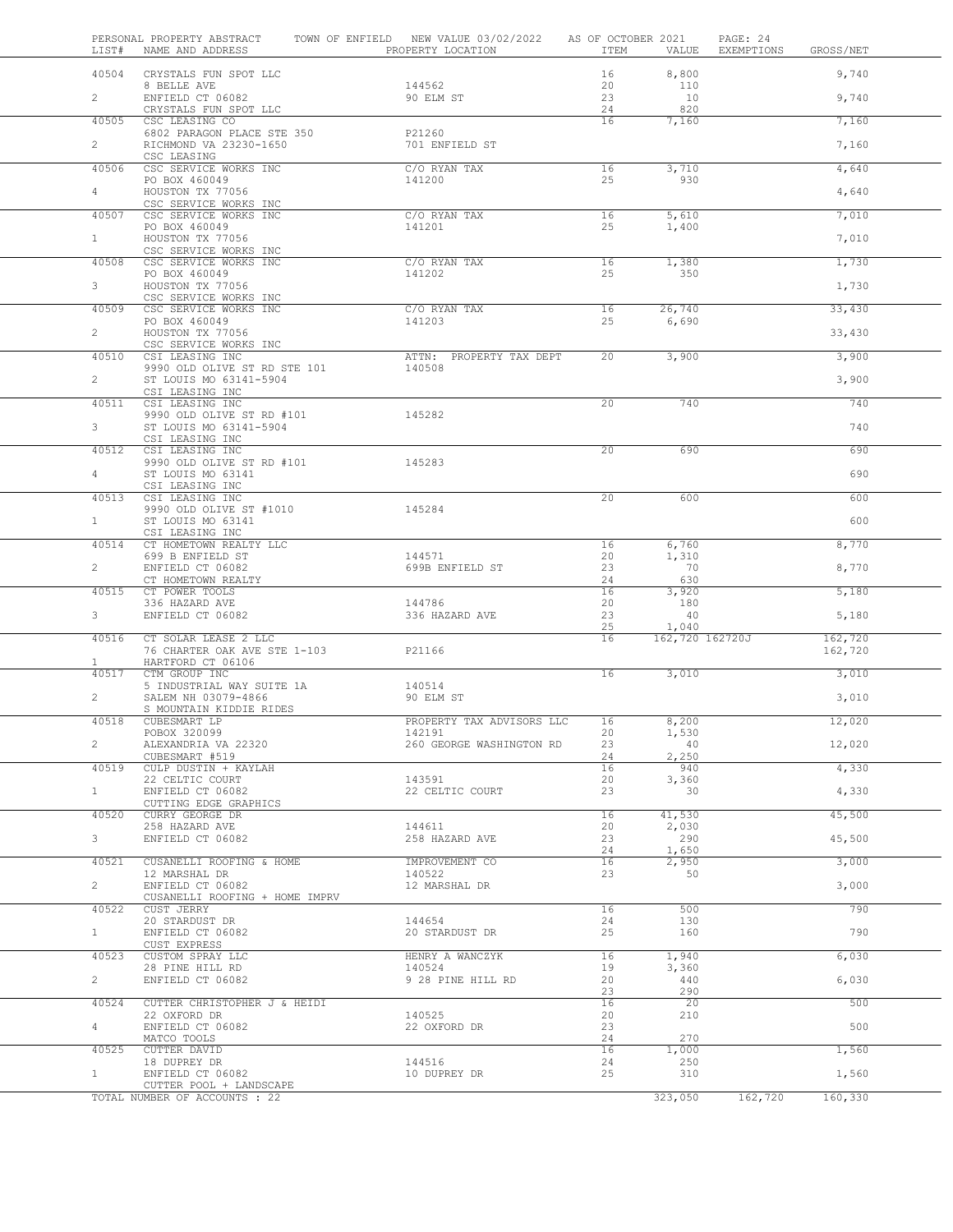| LIST#          | PERSONAL PROPERTY ABSTRACT<br>NAME AND ADDRESS           | TOWN OF ENFIELD NEW VALUE 03/02/2022 AS OF OCTOBER 2021<br>PROPERTY LOCATION | ITEM            | VALUE                    | PAGE: 24<br>EXEMPTIONS | GROSS/NET |  |
|----------------|----------------------------------------------------------|------------------------------------------------------------------------------|-----------------|--------------------------|------------------------|-----------|--|
|                | 40504 CRYSTALS FUN SPOT LLC                              |                                                                              | 16              | 8,800                    |                        | 9,740     |  |
| $\overline{2}$ | 8 BELLE AVE<br>ENFIELD CT 06082<br>CRYSTALS FUN SPOT LLC | 144562<br>90 ELM ST                                                          | 20<br>23<br>24  | 110<br>10<br>820         |                        | 9,740     |  |
| 40505          | CSC LEASING CO                                           |                                                                              | 16              | 7,160                    |                        | 7,160     |  |
| $\overline{2}$ | 6802 PARAGON PLACE STE 350<br>RICHMOND VA 23230-1650     | P21260<br>701 ENFIELD ST                                                     |                 |                          |                        | 7,160     |  |
| 40506          | CSC LEASING<br>CSC SERVICE WORKS INC                     | C/O RYAN TAX                                                                 | 16              | 3,710                    |                        | 4,640     |  |
| $4 -$          | PO BOX 460049<br>HOUSTON TX 77056                        | 141200                                                                       | 25              | 930                      |                        | 4,640     |  |
|                | CSC SERVICE WORKS INC                                    |                                                                              |                 |                          |                        |           |  |
| 40507          | CSC SERVICE WORKS INC<br>PO BOX 460049                   | C/O RYAN TAX<br>141201                                                       | 16<br>25        | 5,610<br>1,400           |                        | 7,010     |  |
| $\mathbf{1}$   | HOUSTON TX 77056<br>CSC SERVICE WORKS INC                |                                                                              |                 |                          |                        | 7,010     |  |
| 40508          | CSC SERVICE WORKS INC<br>PO BOX 460049                   | C/O RYAN TAX<br>141202                                                       | 16<br>25        | 1,380<br>350             |                        | 1,730     |  |
| $3^{\circ}$    | HOUSTON TX 77056                                         |                                                                              |                 |                          |                        | 1,730     |  |
| 40509          | CSC SERVICE WORKS INC<br>CSC SERVICE WORKS INC           | C/O RYAN TAX                                                                 | 16              | 26,740                   |                        | 33,430    |  |
| $\overline{2}$ | PO BOX 460049<br>HOUSTON TX 77056                        | 141203                                                                       | 25              | 6,690                    |                        | 33,430    |  |
|                | CSC SERVICE WORKS INC                                    |                                                                              |                 |                          |                        |           |  |
| 40510          | CSI LEASING INC<br>9990 OLD OLIVE ST RD STE 101          | ATTN: PROPERTY TAX DEPT<br>140508                                            | 20              | 3,900                    |                        | 3,900     |  |
| $2^{\circ}$    | ST LOUIS MO 63141-5904<br>CSI LEASING INC                |                                                                              |                 |                          |                        | 3,900     |  |
| 40511          | CSI LEASING INC                                          |                                                                              | 20              | 740                      |                        | 740       |  |
| 3 <sup>7</sup> | 9990 OLD OLIVE ST RD #101<br>ST LOUIS MO 63141-5904      | 145282                                                                       |                 |                          |                        | 740       |  |
| 40512          | CSI LEASING INC<br>CSI LEASING INC                       |                                                                              | 20              | 690                      |                        | 690       |  |
| 4              | 9990 OLD OLIVE ST RD #101 145283<br>ST LOUIS MO 63141    |                                                                              |                 |                          |                        | 690       |  |
|                | CSI LEASING INC                                          |                                                                              |                 |                          |                        |           |  |
| 40513          | CSI LEASING INC<br>9990 OLD OLIVE ST #1010               | 145284                                                                       | $\overline{20}$ | 600                      |                        | 600       |  |
| 1              | ST LOUIS MO 63141<br>CSI LEASING INC                     |                                                                              |                 |                          |                        | 600       |  |
| 40514          | CT HOMETOWN REALTY LLC<br>699 B ENFIELD ST               | 144571                                                                       | 16<br>20        | 6,760<br>1,310           |                        | 8,770     |  |
| $\overline{2}$ | ENFIELD CT 06082                                         | 699B ENFIELD ST                                                              | 23              | 70                       |                        | 8,770     |  |
| 40515          | CT HOMETOWN REALTY<br>CT POWER TOOLS                     |                                                                              | 24<br>16        | 630<br>3,920             |                        | 5,180     |  |
| 3 <sup>7</sup> | 336 HAZARD AVE<br>ENFIELD CT 06082                       | 144786<br>336 HAZARD AVE                                                     | 20<br>23        | 180<br>40                |                        | 5,180     |  |
| 40516          | CT SOLAR LEASE 2 LLC                                     |                                                                              | 25<br>16        | 1,040<br>162,720 162720J |                        | 162,720   |  |
| $\mathbf{1}$   | 76 CHARTER OAK AVE STE 1-103<br>HARTFORD CT 06106        | P21166                                                                       |                 |                          |                        | 162,720   |  |
| 40517          | CTM GROUP INC                                            | 140514                                                                       | 16              | 3,010                    |                        | 3,010     |  |
| $\overline{2}$ | 5 INDUSTRIAL WAY SUITE 1A<br>SALEM NH 03079-4866         | 90 ELM ST                                                                    |                 |                          |                        | 3,010     |  |
| 40518          | S MOUNTAIN KIDDIE RIDES<br>CUBESMART LP                  | PROPERTY TAX ADVISORS LLC                                                    | 16              | 8,200                    |                        | 12,020    |  |
|                | POBOX 320099                                             | 142191                                                                       | 20              | 1,530                    |                        |           |  |
| $\overline{2}$ | ALEXANDRIA VA 22320<br>CUBESMART #519                    | 260 GEORGE WASHINGTON RD                                                     | 23<br>24        | -40<br>2,250             |                        | 12,020    |  |
| 40519          | CULP DUSTIN + KAYLAH<br>22 CELTIC COURT                  | 143591                                                                       | 16<br>20        | 940<br>3,360             |                        | 4,330     |  |
| 1              | ENFIELD CT 06082<br>CUTTING EDGE GRAPHICS                | 22 CELTIC COURT                                                              | 23              | 30                       |                        | 4,330     |  |
| 40520          | CURRY GEORGE DR                                          |                                                                              | 16              | 41,530                   |                        | 45,500    |  |
| 3 <sup>7</sup> | 258 HAZARD AVE<br>ENFIELD CT 06082                       | 144611<br>258 HAZARD AVE                                                     | 20<br>23        | 2,030<br>290             |                        | 45,500    |  |
| 40521          | CUSANELLI ROOFING & HOME                                 | IMPROVEMENT CO                                                               | 24<br>16        | 1,650<br>2,950           |                        | 3,000     |  |
| $\overline{2}$ | 12 MARSHAL DR<br>ENFIELD CT 06082                        | 140522<br>12 MARSHAL DR                                                      | 23              | 50                       |                        | 3,000     |  |
|                | CUSANELLI ROOFING + HOME IMPRV                           |                                                                              |                 |                          |                        | 790       |  |
| 40522          | CUST JERRY<br>20 STARDUST DR                             | 144654                                                                       | 16<br>24        | 500<br>130               |                        |           |  |
| $\mathbf{1}$   | ENFIELD CT 06082<br>CUST EXPRESS                         | 20 STARDUST DR                                                               | 25              | 160                      |                        | 790       |  |
| 40523          | CUSTOM SPRAY LLC<br>28 PINE HILL RD                      | HENRY A WANCZYK<br>140524                                                    | 16<br>19        | 1,940<br>3,360           |                        | 6,030     |  |
| $\overline{2}$ | ENFIELD CT 06082                                         | 9 28 PINE HILL RD                                                            | 20              | 440                      |                        | 6,030     |  |
| 40524          | CUTTER CHRISTOPHER J & HEIDI                             |                                                                              | 23<br>16        | 290<br>20                |                        | 500       |  |
| $\overline{4}$ | 22 OXFORD DR<br>ENFIELD CT 06082                         | 140525<br>22 OXFORD DR                                                       | 20<br>23        | 210                      |                        | 500       |  |
| 40525          | MATCO TOOLS<br>CUTTER DAVID                              |                                                                              | 24<br>16        | 270<br>1,000             |                        | 1,560     |  |
|                | 18 DUPREY DR                                             | 144516                                                                       | 24              | 250                      |                        |           |  |
| 1              | ENFIELD CT 06082<br>CUTTER POOL + LANDSCAPE              | 10 DUPREY DR                                                                 | 25              | 310                      |                        | 1,560     |  |
|                | TOTAL NUMBER OF ACCOUNTS : 22                            |                                                                              |                 | 323,050                  | 162,720                | 160,330   |  |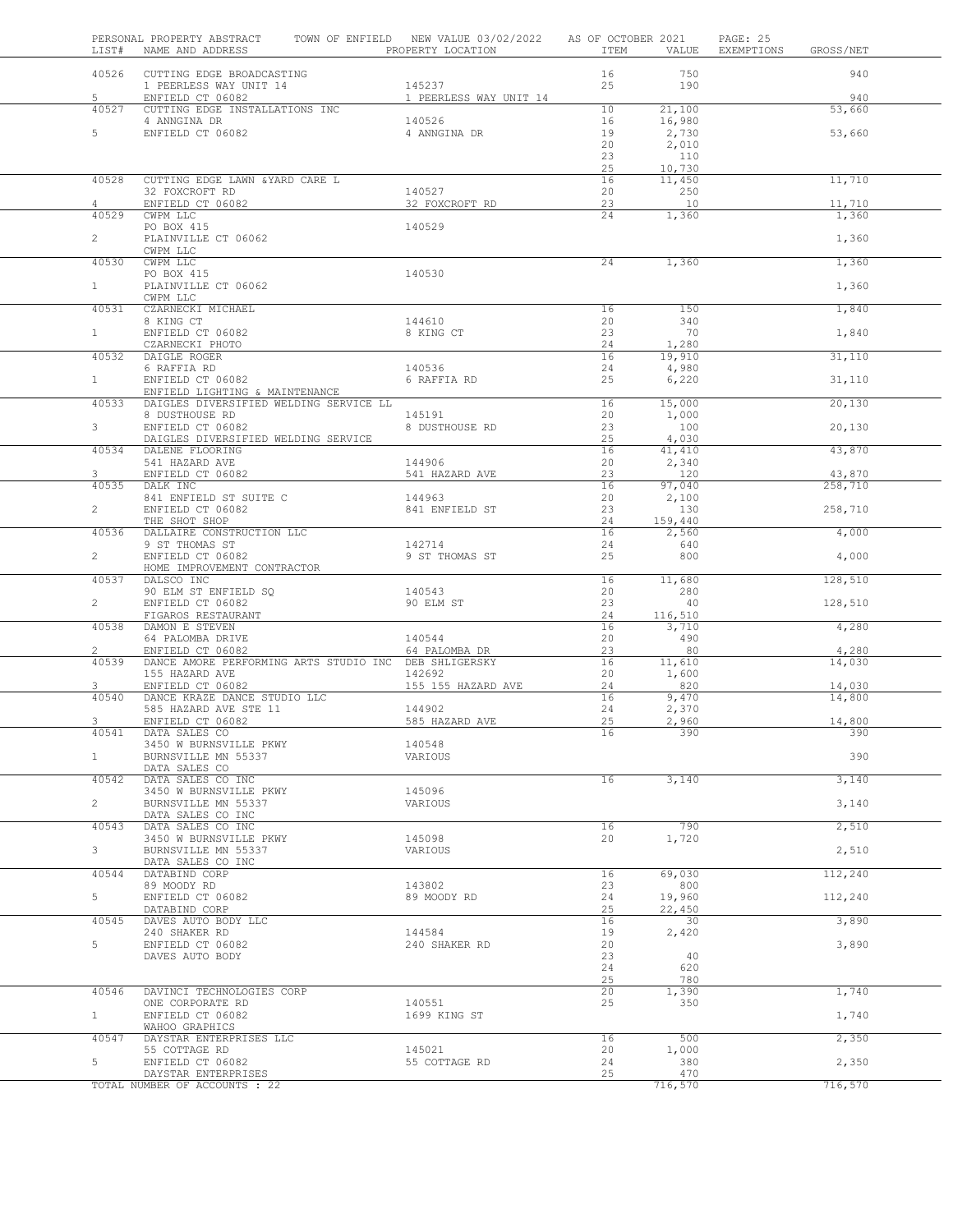| LIST#          | PERSONAL PROPERTY ABSTRACT<br>NAME AND ADDRESS                           | TOWN OF ENFIELD NEW VALUE 03/02/2022<br>PROPERTY LOCATION | AS OF OCTOBER 2021<br>ITEM | VALUE           | PAGE: 25<br>EXEMPTIONS | GROSS/NET     |
|----------------|--------------------------------------------------------------------------|-----------------------------------------------------------|----------------------------|-----------------|------------------------|---------------|
|                | 40526 CUTTING EDGE BROADCASTING                                          |                                                           | 16                         | 750             |                        | 940           |
|                | 1 PEERLESS WAY UNIT 14                                                   | 145237                                                    | 25                         | 190             |                        |               |
| 5<br>40527     | ENFIELD CT 06082<br>CUTTING EDGE INSTALLATIONS INC                       | 1 PEERLESS WAY UNIT 14                                    | 10                         | 21,100          |                        | 940<br>53,660 |
|                | 4 ANNGINA DR                                                             | 140526                                                    | 16                         | 16,980          |                        |               |
| 5              | ENFIELD CT 06082                                                         | 4 ANNGINA DR                                              | 19                         | 2,730           |                        | 53,660        |
|                |                                                                          |                                                           | 20<br>23                   | 2,010<br>110    |                        |               |
|                |                                                                          |                                                           | 25                         | 10,730          |                        |               |
| 40528          | CUTTING EDGE LAWN & YARD CARE L                                          |                                                           | 16                         | 11,450          |                        | 11,710        |
| 4              | 32 FOXCROFT RD<br>ENFIELD CT 06082                                       | 140527<br>32 FOXCROFT RD                                  | 20<br>23                   | 250<br>10       |                        | 11,710        |
| 40529          | CWPM LLC                                                                 |                                                           | 24                         | 1,360           |                        | 1,360         |
|                | PO BOX 415                                                               | 140529                                                    |                            |                 |                        |               |
| $\overline{2}$ | PLAINVILLE CT 06062                                                      |                                                           |                            |                 |                        | 1,360         |
| 40530          | CWPM LLC<br>CWPM LLC                                                     |                                                           | 24                         | 1,360           |                        | 1,360         |
|                | PO BOX 415                                                               | 140530                                                    |                            |                 |                        |               |
| 1              | PLAINVILLE CT 06062                                                      |                                                           |                            |                 |                        | 1,360         |
| 40531          | CWPM LLC<br>CZARNECKI MICHAEL                                            |                                                           | 16                         | 150             |                        | 1,840         |
|                | 8 KING CT                                                                | 144610                                                    | 20                         | 340             |                        |               |
| 1              | ENFIELD CT 06082                                                         | 8 KING CT                                                 | 23                         | 70              |                        | 1,840         |
| 40532          | CZARNECKI PHOTO<br>DAIGLE ROGER                                          |                                                           | 24<br>16                   | 1,280<br>19,910 |                        | 31,110        |
|                | 6 RAFFIA RD                                                              | 140536                                                    | 24                         | 4,980           |                        |               |
| 1              | ENFIELD CT 06082                                                         | 6 RAFFIA RD                                               | 25                         | 6,220           |                        | 31,110        |
| 40533          | ENFIELD LIGHTING & MAINTENANCE<br>DAIGLES DIVERSIFIED WELDING SERVICE LL |                                                           | 16                         | 15,000          |                        | 20,130        |
|                | 8 DUSTHOUSE RD                                                           | 145191                                                    | 20                         | 1,000           |                        |               |
| 3              | ENFIELD CT 06082                                                         | 8 DUSTHOUSE RD                                            | 23                         | 100             |                        | 20,130        |
| 40534          | DAIGLES DIVERSIFIED WELDING SERVICE<br>DALENE FLOORING                   |                                                           | 25<br>16                   | 4,030<br>41,410 |                        | 43,870        |
|                | 541 HAZARD AVE                                                           | 144906                                                    | 20                         | 2,340           |                        |               |
| 3              | ENFIELD CT 06082                                                         | 541 HAZARD AVE                                            | 23                         | 120             |                        | 43,870        |
| 40535          | DALK INC<br>841 ENFIELD ST SUITE C                                       | 144963                                                    | 16<br>20                   | 97,040<br>2,100 |                        | 258,710       |
| $\overline{2}$ | ENFIELD CT 06082                                                         | 841 ENFIELD ST                                            | 23                         | 130             |                        | 258,710       |
|                | THE SHOT SHOP                                                            |                                                           | 24                         | 159,440         |                        |               |
| 40536          | DALLAIRE CONSTRUCTION LLC<br>9 ST THOMAS ST                              | 142714                                                    | 16<br>24                   | 2,560<br>640    |                        | 4,000         |
| $\overline{2}$ | ENFIELD CT 06082                                                         | 9 ST THOMAS ST                                            | 25                         | 800             |                        | 4,000         |
|                | HOME IMPROVEMENT CONTRACTOR                                              |                                                           |                            |                 |                        |               |
| 40537          | DALSCO INC<br>90 ELM ST ENFIELD SQ                                       | 140543                                                    | 16<br>20                   | 11,680<br>280   |                        | 128,510       |
| $\overline{2}$ | ENFIELD CT 06082                                                         | 90 ELM ST                                                 | 23                         | 40              |                        | 128,510       |
|                | FIGAROS RESTAURANT                                                       |                                                           | 24                         | 116,510         |                        |               |
| 40538          | DAMON E STEVEN<br>64 PALOMBA DRIVE                                       | 140544                                                    | 16<br>20                   | 3,710<br>490    |                        | 4,280         |
| $\overline{2}$ | ENFIELD CT 06082                                                         | 64 PALOMBA DR                                             | 23                         | 80              |                        | 4,280         |
| 40539          | DANCE AMORE PERFORMING ARTS STUDIO INC DEB SHLIGERSKY                    |                                                           | 16                         | 11,610          |                        | 14,030        |
| 3              | 155 HAZARD AVE<br>ENFIELD CT 06082                                       | 142692<br>155 155 HAZARD AVE                              | 20<br>24                   | 1,600<br>820    |                        | 14,030        |
| 40540          | DANCE KRAZE DANCE STUDIO LLC                                             |                                                           | 16                         | 9,470           |                        | 14,800        |
|                | 585 HAZARD AVE STE 11                                                    | 144902                                                    | 24                         | 2,370           |                        |               |
| 3<br>40541     | ENFIELD CT 06082<br>DATA SALES CO                                        | 585 HAZARD AVE                                            | 25<br>16                   | 2,960<br>390    |                        | 14,800<br>390 |
|                | 3450 W BURNSVILLE PKWY                                                   | 140548                                                    |                            |                 |                        |               |
| $\mathbf{1}$   | BURNSVILLE MN 55337                                                      | VARIOUS                                                   |                            |                 |                        | 390           |
| 40542          | DATA SALES CO<br>DATA SALES CO INC                                       |                                                           | 16                         | 3,140           |                        | 3,140         |
|                | 3450 W BURNSVILLE PKWY                                                   | 145096                                                    |                            |                 |                        |               |
| $\overline{c}$ | BURNSVILLE MN 55337                                                      | VARIOUS                                                   |                            |                 |                        | 3,140         |
| 40543          | DATA SALES CO INC<br>DATA SALES CO INC                                   |                                                           | 16                         | 790             |                        | 2,510         |
|                | 3450 W BURNSVILLE PKWY                                                   | 145098                                                    | 20                         | 1,720           |                        |               |
| 3              | BURNSVILLE MN 55337                                                      | VARIOUS                                                   |                            |                 |                        | 2,510         |
| 40544          | DATA SALES CO INC<br>DATABIND CORP                                       |                                                           | 16                         | 69,030          |                        | 112,240       |
|                | 89 MOODY RD                                                              | 143802                                                    | 23                         | 800             |                        |               |
| 5              | ENFIELD CT 06082                                                         | 89 MOODY RD                                               | 24                         | 19,960          |                        | 112,240       |
| 40545          | DATABIND CORP<br>DAVES AUTO BODY LLC                                     |                                                           | 25<br>16                   | 22,450<br>30    |                        | 3,890         |
|                | 240 SHAKER RD                                                            | 144584                                                    | 19                         | 2,420           |                        |               |
| 5              | ENFIELD CT 06082                                                         | 240 SHAKER RD                                             | 20                         |                 |                        | 3,890         |
|                | DAVES AUTO BODY                                                          |                                                           | 23<br>24                   | 40<br>620       |                        |               |
|                |                                                                          |                                                           | 25                         | 780             |                        |               |
| 40546          | DAVINCI TECHNOLOGIES CORP                                                |                                                           | 20                         | 1,390           |                        | 1,740         |
| 1              | ONE CORPORATE RD<br>ENFIELD CT 06082                                     | 140551<br>1699 KING ST                                    | 25                         | 350             |                        | 1,740         |
|                | WAHOO GRAPHICS                                                           |                                                           |                            |                 |                        |               |
| 40547          | DAYSTAR ENTERPRISES LLC                                                  |                                                           | 16                         | 500             |                        | 2,350         |
| 5              | 55 COTTAGE RD<br>ENFIELD CT 06082                                        | 145021<br>55 COTTAGE RD                                   | 20<br>24                   | 1,000<br>380    |                        | 2,350         |
|                | DAYSTAR ENTERPRISES                                                      |                                                           | 25                         | 470             |                        |               |
|                | TOTAL NUMBER OF ACCOUNTS : 22                                            |                                                           |                            | 716,570         |                        | 716,570       |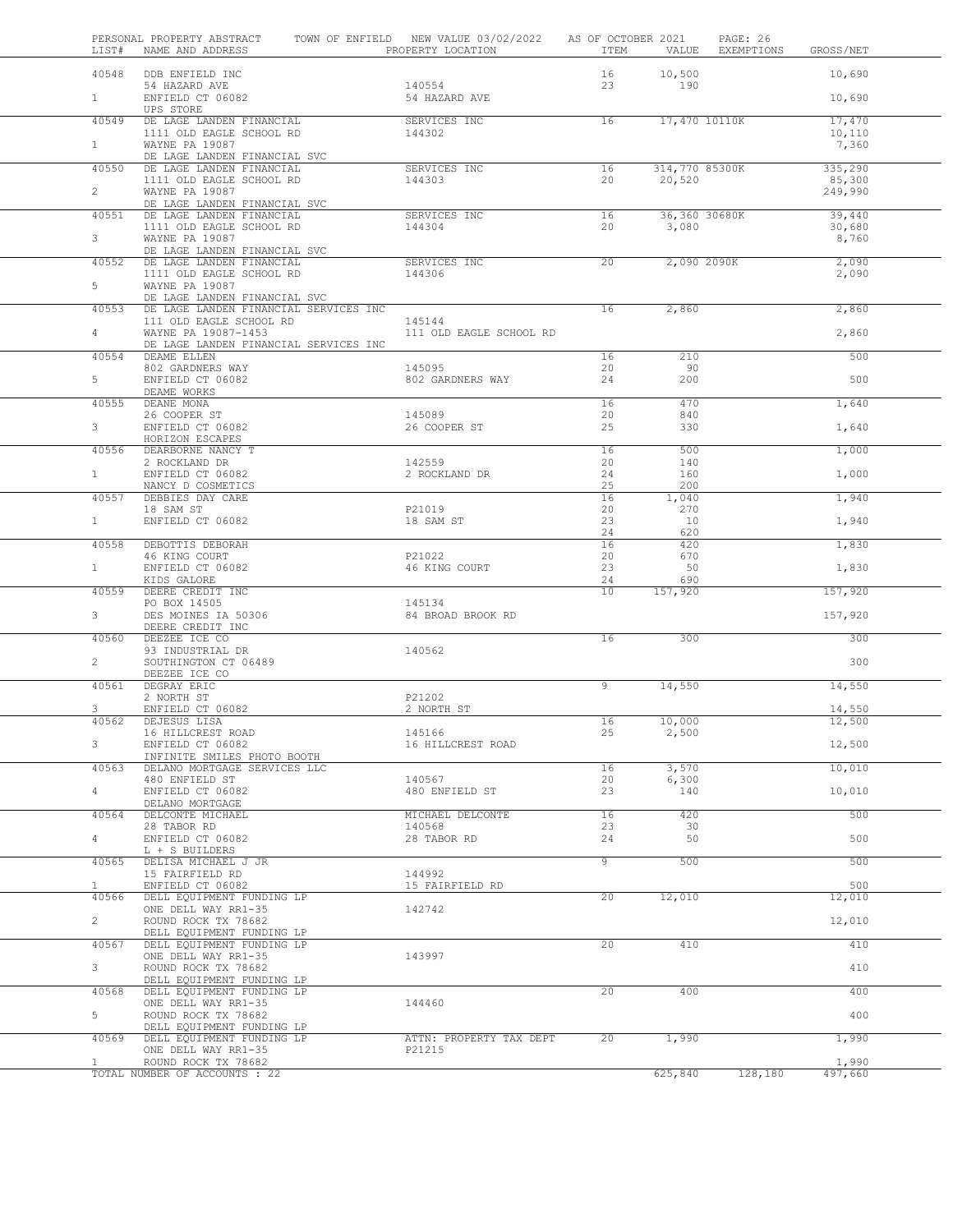| LIST#                          | PERSONAL PROPERTY ABSTRACT TOWN OF ENFIELD NEW VALUE 03/02/2022 AS OF OCTOBER 2021<br>NAME AND ADDRESS GROSS/NET CONSERTY LOCATION THEM THEM VALUE EXEMPTIONS GROSS/NET   |                             |                       |                        | PAGE: 26                      |
|--------------------------------|---------------------------------------------------------------------------------------------------------------------------------------------------------------------------|-----------------------------|-----------------------|------------------------|-------------------------------|
|                                | 40548 DDB ENFIELD INC                                                                                                                                                     |                             |                       | 16 10,500              | 10,690                        |
| $1 \quad \blacksquare$         | $\frac{140554}{140554}$<br>ENFIELD CT 06082<br><u>UPS STORE</u><br><u>NE TROTES</u>                                                                                       |                             | 23                    | 190                    | 10,690                        |
| 40549                          | DE LAGE LANDEN FINANCIAL SERVICES INC<br>1111 OLD EAGLE SCHOOL RD 144302                                                                                                  |                             | $\overline{16}$       | 17,470 10110K          | 17,470                        |
| $1 \quad \blacksquare$         | WAYNE PA 19087                                                                                                                                                            |                             |                       |                        | 10,110<br>7,360               |
| 40550                          | DE LAGE LANDEN FINANCIAL SVC                                                                                                                                              |                             | 16                    |                        | 314,770 85300K<br>335,290     |
| $2^{\circ}$                    | DE LAGE LANDEN FINANCIAL SERVICES INC<br>1111 OLD EAGLE SCHOOL RD 144303<br>WAYNE PA 19087                                                                                |                             | 20                    | 20,520                 | 85,300<br>249,990             |
|                                | DE LAGE LANDEN FINANCIAL SVC                                                                                                                                              |                             |                       |                        |                               |
| $3^{\circ}$                    | $\begin{tabular}{lllllllllll} \bf 40551 & DE LAGE LANDEN FINANCIAL & \tt SERVICES INC \\ \bf 1111 & OLD EAGE SCHOOL RD & \tt 144304 \\ \end{tabular}$                     |                             | $\overline{16}$<br>20 | 36,360 30680K<br>3,080 | 39,440<br>30,680              |
|                                | WAYNE PA 19087<br>DE LAGE LANDEN FINANCIAL SVC                                                                                                                            |                             | 20                    |                        | 8,760<br>2,090 2090K<br>2,090 |
| $5 -$                          | 40552 DE LAGE LANDEN FINANCIAL SUCH SERVICES INC<br>1111 OLD EAGLE SCHOOL RD 144306<br>5 MANNE DA 10007<br>WAYNE PA 19087                                                 |                             |                       |                        | 2,090                         |
|                                | DE LAGE LANDEN FINANCIAL SVC                                                                                                                                              |                             | 16                    |                        |                               |
|                                | 40553 DE LAGE LANDEN FINANCIAL SERVICES INC                                                                                                                               |                             |                       | 2,860                  | 2,860                         |
| $4 -$                          | DE LAGE LANDEN FINANCIAL SERVICES INC<br>111 OLD EAGLE SCHOOL RD 145144<br>WAYNE PA 19087-1453 111 OLD EAGLE SCHOOL RD<br>DE LAGE LANDEN FINANCIAL SERVICES INC           |                             |                       |                        | 2,860                         |
|                                | 40554 DEAME ELLEN                                                                                                                                                         |                             | 16                    | 210                    | 500                           |
| $5 -$                          | $\begin{array}{lllllllll} 802 & \texttt{GARDNERS} & \texttt{MAY} & & & & 145095 \\ \texttt{ENFIED CT} & 06082 & & & & 802 & \texttt{GARDNERS} & \texttt{MAX} \end{array}$ |                             | 20<br>24              | 90<br>200              | 500                           |
|                                | DEAME WORKS<br>40555 DEANE MONA<br>DEANE MONA<br>26 COOPER ST<br>ENFIELD CT 06082                                                                                         |                             | 16<br>20              | 470<br>840             | 1,640                         |
| $3^{\circ}$                    | HORIZON ESCAPES                                                                                                                                                           | 145089<br>26 COOPER ST      | 25                    | 330                    | 1,640                         |
|                                | 40556 DEARBORNE NANCY T                                                                                                                                                   |                             | 16                    | 500                    | 1,000                         |
| $1 \quad \blacksquare$         |                                                                                                                                                                           |                             | 20<br>24              | 140<br>160             | 1,000                         |
|                                | NANCY D COSMETICS<br>40557 DEBBIES DAY CARE<br>18 SAM ST                                                                                                                  | P21019                      | 25<br>16<br>20        | 200<br>1,040<br>270    | 1,940                         |
| $1 \quad \blacksquare$         | ENFIELD CT 06082                                                                                                                                                          | 18 SAM ST                   | 23<br>24              | 10<br>620              | 1,940                         |
|                                | 40558 DEBOTTIS DEBORAH                                                                                                                                                    |                             | 16                    | 420                    | 1,830                         |
| 1                              | 46 KING COURT<br>ENFIELD CT 06082                                                                                                                                         | P21022<br>46 KING COURT     | 20<br>23              | 670<br>50              | 1,830                         |
|                                | KIDS GALORE<br>40559 DEERE CREDIT INC                                                                                                                                     |                             | 24<br>10              | 690<br>157,920         | 157,920                       |
| $3^{\circ}$                    | PO BOX 14505<br>PO BOX 14505<br>DES MOTULES<br>DES MOINES IA 50306                                                                                                        | 145134<br>84 BROAD BROOK RD |                       |                        | 157,920                       |
| 40560                          | DEERE CREDIT INC<br>DEEZEE ICE CO                                                                                                                                         |                             | 16                    | 300                    | 300                           |
| $2 \quad$                      | 93 INDUSTRIAL DR<br>SOUTHINGTON CT 06489                                                                                                                                  | 140562                      |                       |                        | 300                           |
|                                | DEEZEE ICE CO<br>40561 DEGRAY ERIC                                                                                                                                        |                             | $\overline{9}$        | 14,550                 | 14,550                        |
| $3^{\circ}$                    | 2 NORTH ST<br>ENFIELD CT 06082                                                                                                                                            | P21202<br>2 NORTH ST        |                       |                        | 14,550                        |
|                                | 40562 DEJESUS LISA                                                                                                                                                        |                             | 16                    | 10,000                 | 12,500                        |
| 3                              | 16 HILLCREST ROAD<br>ENFIELD CT 06082                                                                                                                                     | 145166<br>16 HILLCREST ROAD | 25                    | 2,500                  | 12,500                        |
| 40563                          | INFINITE SMILES PHOTO BOOTH<br>DELANO MORTGAGE SERVICES LLC                                                                                                               |                             | 16                    | 3,570                  | 10,010                        |
|                                | 480 ENFIELD ST                                                                                                                                                            | 140567                      | 20                    | 6,300                  |                               |
| 4                              | ENFIELD CT 06082<br>DELANO MORTGAGE                                                                                                                                       | 480 ENFIELD ST              | 23                    | 140                    | 10,010                        |
| 40564                          | DELCONTE MICHAEL                                                                                                                                                          | MICHAEL DELCONTE            | 16                    | 420                    | 500                           |
| $4 -$                          | 28 TABOR RD<br>ENFIELD CT 06082<br>L + S BUILDERS                                                                                                                         | 140568<br>28 TABOR RD       | 23<br>24              | 30<br>50               | 500                           |
| 40565                          | DELISA MICHAEL J JR<br>15 FAIRFIELD RD                                                                                                                                    | 144992                      | $\overline{9}$        | 500                    | 500                           |
| $\mathbf{1}$                   | ENFIELD CT 06082                                                                                                                                                          | 15 FAIRFIELD RD             |                       |                        | 500                           |
| 40566                          | DELL EQUIPMENT FUNDING LP<br>ONE DELL WAY RR1-35                                                                                                                          | 142742                      | 20 <sup>°</sup>       | 12,010                 | 12,010                        |
| $\mathbf{2}^{\prime}$<br>40567 | ROUND ROCK TX 78682<br>DELL EQUIPMENT FUNDING LP<br>DELL EQUIPMENT FUNDING LP                                                                                             |                             | 20                    | 410                    | 12,010<br>410                 |
| 3                              | ONE DELL WAY RR1-35<br>ROUND ROCK TX 78682                                                                                                                                | 143997                      |                       |                        | 410                           |
| 40568                          | DELL EQUIPMENT FUNDING LP<br>DELL EQUIPMENT FUNDING LP                                                                                                                    |                             | 20                    | 400                    | 400                           |
| 5                              | ONE DELL WAY RR1-35<br>ROUND ROCK TX 78682                                                                                                                                | 144460                      |                       |                        | 400                           |
| 40569                          | DELL EQUIPMENT FUNDING LP<br>DELL EQUIPMENT FUNDING LP                                                                                                                    | ATTN: PROPERTY TAX DEPT     | 20                    | 1,990                  | 1,990                         |
| $\mathbf{1}$                   | ONE DELL WAY RR1-35<br>ROUND ROCK TX 78682                                                                                                                                | P21215                      |                       |                        | 1,990                         |
|                                | TOTAL NUMBER OF ACCOUNTS : 22                                                                                                                                             |                             |                       | 625,840                | 128,180<br>497,660            |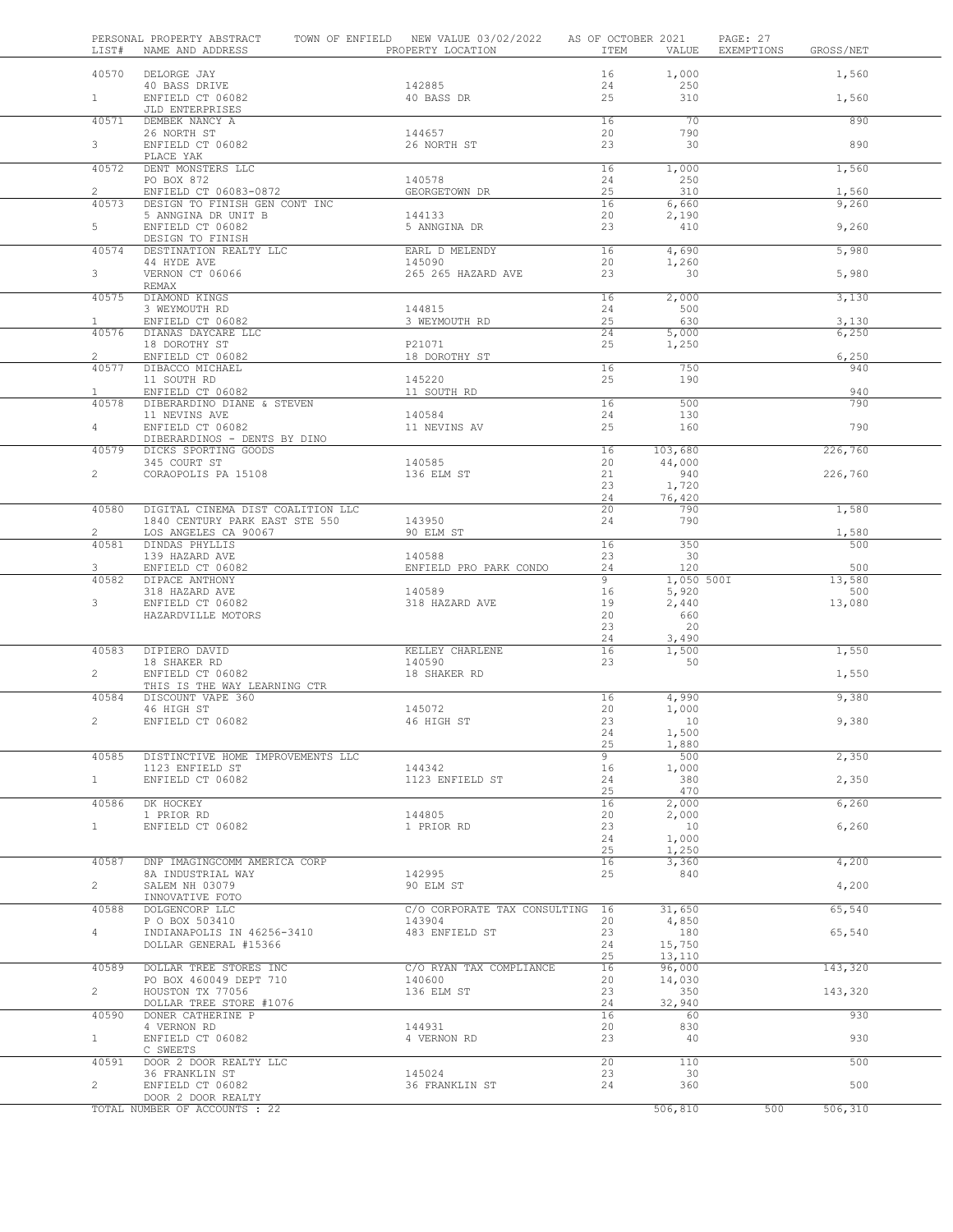| LIST#          | PERSONAL PROPERTY ABSTRACT<br>NAME AND ADDRESS       | TOWN OF ENFIELD NEW VALUE 03/02/2022<br>PROPERTY LOCATION | AS OF OCTOBER 2021<br>ITEM | VALUE               | PAGE: 27<br>EXEMPTIONS | GROSS/NET     |  |
|----------------|------------------------------------------------------|-----------------------------------------------------------|----------------------------|---------------------|------------------------|---------------|--|
| 40570          | DELORGE JAY                                          |                                                           | 16                         | 1,000               |                        | 1,560         |  |
| 1              | 40 BASS DRIVE<br>ENFIELD CT 06082                    | 142885<br>40 BASS DR                                      | 24<br>25                   | 250<br>310          |                        | 1,560         |  |
| 40571          | JLD ENTERPRISES<br>DEMBEK NANCY A                    |                                                           | 16                         | 70                  |                        | 890           |  |
|                | 26 NORTH ST                                          | 144657                                                    | 20                         | 790                 |                        |               |  |
| 3              | ENFIELD CT 06082<br>PLACE YAK                        | 26 NORTH ST                                               | 23                         | 30                  |                        | 890           |  |
| 40572          | DENT MONSTERS LLC                                    |                                                           | 16                         | 1,000               |                        | 1,560         |  |
| $\overline{2}$ | PO BOX 872<br>ENFIELD CT 06083-0872                  | 140578<br>GEORGETOWN DR                                   | 24<br>25                   | 250<br>310          |                        | 1,560         |  |
| 40573          | DESIGN TO FINISH GEN CONT INC                        |                                                           | 16                         | 6,660               |                        | 9,260         |  |
| 5              | 5 ANNGINA DR UNIT B<br>ENFIELD CT 06082              | 144133<br>5 ANNGINA DR                                    | 20<br>23                   | 2,190<br>410        |                        | 9,260         |  |
|                | DESIGN TO FINISH                                     |                                                           |                            |                     |                        |               |  |
| 40574          | DESTINATION REALTY LLC<br>44 HYDE AVE                | EARL D MELENDY<br>145090                                  | 16<br>20                   | 4,690<br>1,260      |                        | 5,980         |  |
| 3              | VERNON CT 06066                                      | 265 265 HAZARD AVE                                        | 23                         | 30                  |                        | 5,980         |  |
| 40575          | REMAX<br><b>DIAMOND KINGS</b>                        |                                                           | 16                         | 2,000               |                        | 3,130         |  |
|                | 3 WEYMOUTH RD                                        | 144815                                                    | 24                         | 500                 |                        |               |  |
| $\mathbf{1}$   | ENFIELD CT 06082                                     | 3 WEYMOUTH RD                                             | 25                         | 630                 |                        | 3,130         |  |
| 40576          | DIANAS DAYCARE LLC<br>18 DOROTHY ST                  | P21071                                                    | 24<br>25                   | 5,000<br>1,250      |                        | 6,250         |  |
| $\overline{2}$ | ENFIELD CT 06082                                     | 18 DOROTHY ST                                             |                            |                     |                        | 6,250         |  |
| 40577          | DIBACCO MICHAEL                                      |                                                           | 16                         | 750                 |                        | 940           |  |
| $\mathbf{1}$   | 11 SOUTH RD<br>ENFIELD CT 06082                      | 145220<br>11 SOUTH RD                                     | 25                         | 190                 |                        | 940           |  |
| 40578          | DIBERARDINO DIANE & STEVEN                           |                                                           | 16                         | 500                 |                        | 790           |  |
|                | 11 NEVINS AVE                                        | 140584                                                    | 24<br>25                   | 130<br>160          |                        | 790           |  |
| $\overline{4}$ | ENFIELD CT 06082<br>DIBERARDINOS - DENTS BY DINO     | 11 NEVINS AV                                              |                            |                     |                        |               |  |
| 40579          | DICKS SPORTING GOODS                                 |                                                           | 16                         | 103,680             |                        | 226,760       |  |
| $\overline{2}$ | 345 COURT ST<br>CORAOPOLIS PA 15108                  | 140585<br>136 ELM ST                                      | 20<br>21                   | 44,000<br>940       |                        | 226,760       |  |
|                |                                                      |                                                           | 23                         | 1,720               |                        |               |  |
| 40580          | DIGITAL CINEMA DIST COALITION LLC                    |                                                           | 24<br>20                   | 76,420<br>790       |                        | 1,580         |  |
|                | 1840 CENTURY PARK EAST STE 550                       | 143950                                                    | 24                         | 790                 |                        |               |  |
| $\overline{2}$ | LOS ANGELES CA 90067                                 | 90 ELM ST                                                 |                            |                     |                        | 1,580         |  |
| 40581          | DINDAS PHYLLIS<br>139 HAZARD AVE                     | 140588                                                    | 16<br>23                   | 350<br>30           |                        | 500           |  |
| 3              | ENFIELD CT 06082                                     | ENFIELD PRO PARK CONDO                                    | 24                         | 120                 |                        | 500           |  |
| 40582          | DIPACE ANTHONY<br>318 HAZARD AVE                     | 140589                                                    | 9<br>16                    | 1,050 500I<br>5,920 |                        | 13,580<br>500 |  |
| 3              | ENFIELD CT 06082                                     | 318 HAZARD AVE                                            | 19                         | 2,440               |                        | 13,080        |  |
|                | HAZARDVILLE MOTORS                                   |                                                           | 20                         | 660                 |                        |               |  |
|                |                                                      |                                                           | 23<br>24                   | 20<br>3,490         |                        |               |  |
| 40583          | DIPIERO DAVID                                        | KELLEY CHARLENE                                           | 16                         | 1,500               |                        | 1,550         |  |
| $\mathbf{2}$   | 18 SHAKER RD<br>ENFIELD CT 06082                     | 140590<br>18 SHAKER RD                                    | 23                         | 50                  |                        | 1,550         |  |
|                | THIS IS THE WAY LEARNING CTR                         |                                                           |                            |                     |                        |               |  |
| 40584          | DISCOUNT VAPE 360                                    |                                                           | 16                         | 4,990               |                        | 9,380         |  |
| $\overline{2}$ | 46 HIGH ST<br>ENFIELD CT 06082                       | 145072<br>46 HIGH ST                                      | 20<br>23                   | 1,000<br>10         |                        | 9,380         |  |
|                |                                                      |                                                           | 24                         | 1,500               |                        |               |  |
|                |                                                      |                                                           | 25<br>9                    | 1,880               |                        |               |  |
| 40585          | DISTINCTIVE HOME IMPROVEMENTS LLC<br>1123 ENFIELD ST | 144342                                                    | 16                         | 500<br>1,000        |                        | 2,350         |  |
| $1 -$          | ENFIELD CT 06082                                     | 1123 ENFIELD ST                                           | 24                         | 380                 |                        | 2,350         |  |
| 40586          | DK HOCKEY                                            |                                                           | 25<br>16                   | 470<br>2,000        |                        | 6,260         |  |
|                | 1 PRIOR RD                                           | 144805                                                    | 20                         | 2,000               |                        |               |  |
| $\mathbf{1}$   | ENFIELD CT 06082                                     | 1 PRIOR RD                                                | 23                         | 10                  |                        | 6,260         |  |
|                |                                                      |                                                           | 24<br>25                   | 1,000<br>1,250      |                        |               |  |
| 40587          | DNP IMAGINGCOMM AMERICA CORP                         |                                                           | 16                         | 3,360               |                        | 4,200         |  |
| $\overline{2}$ | 8A INDUSTRIAL WAY<br>SALEM NH 03079                  | 142995<br>90 ELM ST                                       | 25                         | 840                 |                        | 4,200         |  |
|                | INNOVATIVE FOTO                                      |                                                           |                            |                     |                        |               |  |
| 40588          | DOLGENCORP LLC                                       | C/O CORPORATE TAX CONSULTING 16<br>143904                 | 20                         | 31,650              |                        | 65,540        |  |
| $\overline{4}$ | P O BOX 503410<br>INDIANAPOLIS IN 46256-3410         | 483 ENFIELD ST                                            | 23                         | 4,850<br>180        |                        | 65,540        |  |
|                | DOLLAR GENERAL #15366                                |                                                           | 24                         | 15,750              |                        |               |  |
| 40589          | DOLLAR TREE STORES INC                               | C/O RYAN TAX COMPLIANCE                                   | 25<br>16                   | 13,110<br>96,000    |                        | 143,320       |  |
|                | PO BOX 460049 DEPT 710                               | 140600                                                    | 20                         | 14,030              |                        |               |  |
| $\overline{2}$ | HOUSTON TX 77056                                     | 136 ELM ST                                                | 23<br>24                   | 350                 |                        | 143,320       |  |
| 40590          | DOLLAR TREE STORE #1076<br>DONER CATHERINE P         |                                                           | 16                         | 32,940<br>60        |                        | 930           |  |
|                | 4 VERNON RD                                          | 144931                                                    | 20                         | 830                 |                        |               |  |
| $1 -$          | ENFIELD CT 06082<br>C SWEETS                         | 4 VERNON RD                                               | 23                         | 40                  |                        | 930           |  |
| 40591          | DOOR 2 DOOR REALTY LLC                               |                                                           | 20                         | 110                 |                        | 500           |  |
| $\overline{2}$ | 36 FRANKLIN ST<br>ENFIELD CT 06082                   | 145024<br>36 FRANKLIN ST                                  | 23<br>24                   | 30<br>360           |                        | 500           |  |
|                | DOOR 2 DOOR REALTY                                   |                                                           |                            |                     |                        |               |  |
|                | TOTAL NUMBER OF ACCOUNTS : 22                        |                                                           |                            | 506,810             | 500                    | 506,310       |  |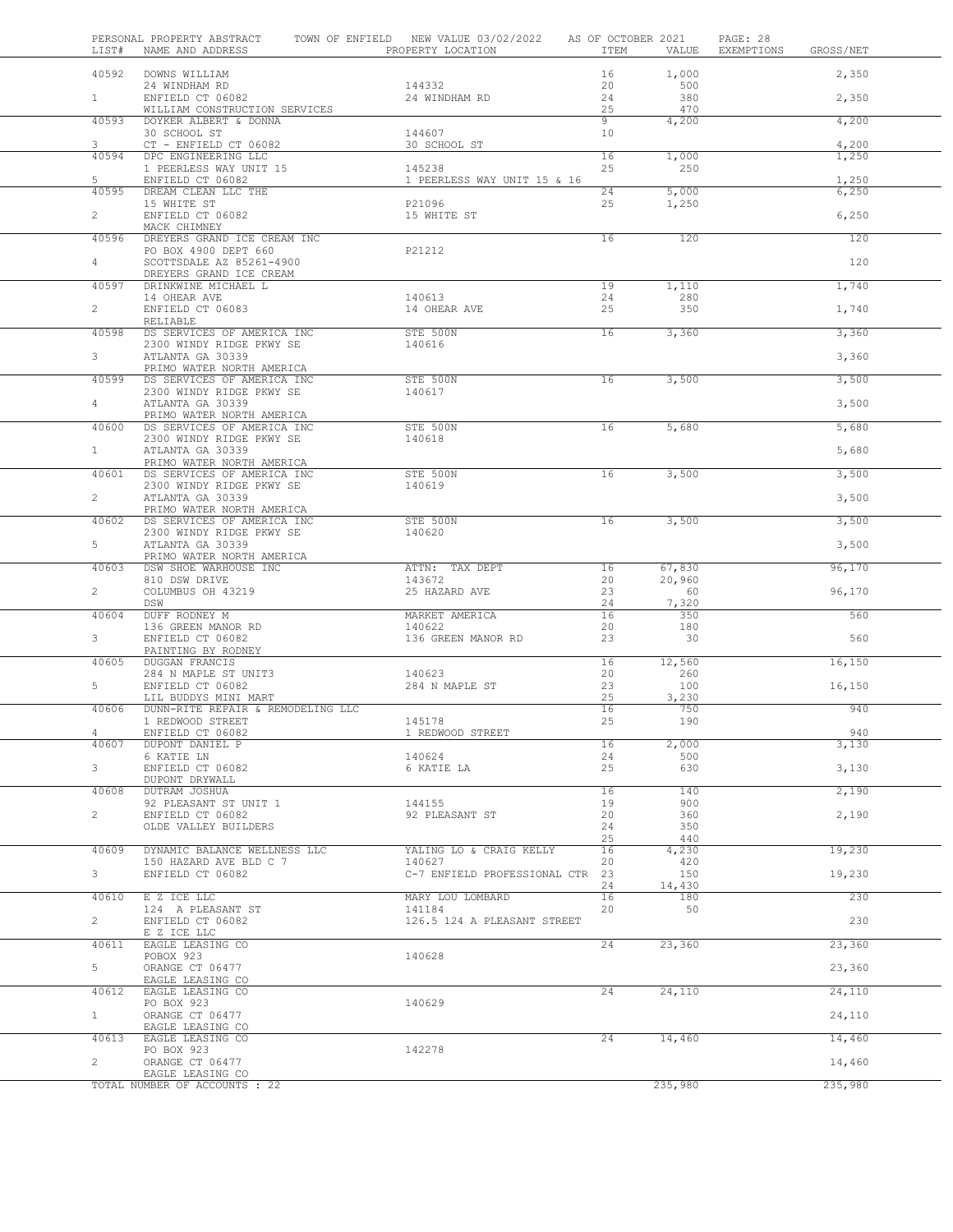| LIST#          | PERSONAL PROPERTY ABSTRACT TOWN OF ENFIELD NEW VALUE 03/02/2022 AS OF OCTOBER 2021<br>NAME AND ADDRESS | PROPERTY LOCATION                     | ITEM            | VALUE        | PAGE: 28<br>EXEMPTIONS<br>GROSS/NET |
|----------------|--------------------------------------------------------------------------------------------------------|---------------------------------------|-----------------|--------------|-------------------------------------|
| 40592          | DOWNS WILLIAM                                                                                          |                                       | 16              | 1,000        | 2,350                               |
|                | 24 WINDHAM RD                                                                                          | 144332                                | 20              | 500          |                                     |
| $1 \quad$      | ENFIELD CT 06082                                                                                       | 24 WINDHAM RD                         | 24              | 380          | 2,350                               |
| 40593          | WILLIAM CONSTRUCTION SERVICES<br>DOYKER ALBERT & DONNA                                                 |                                       | 25<br>9         | 470<br>4,200 | 4,200                               |
|                | 30 SCHOOL ST                                                                                           | 144607                                | 10 <sub>1</sub> |              |                                     |
| 3              | CT - ENFIELD CT 06082                                                                                  | 30 SCHOOL ST                          |                 |              | 4,200                               |
| 40594          | DPC ENGINEERING LLC                                                                                    |                                       | 16              | 1,000        | 1,250                               |
| 5              | 1 PEERLESS WAY UNIT 15<br>ENFIELD CT 06082                                                             | 145238<br>1 PEERLESS WAY UNIT 15 & 16 | 25              | 250          | 1,250                               |
| 40595          | DREAM CLEAN LLC THE                                                                                    |                                       | 24              | 5.000        | 6,250                               |
|                | 15 WHITE ST                                                                                            | P21096                                | 25              | 1,250        |                                     |
| $\mathbf{2}$   | ENFIELD CT 06082<br>MACK CHIMNEY                                                                       | 15 WHITE ST                           |                 |              | 6,250                               |
| 40596          | DREYERS GRAND ICE CREAM INC                                                                            |                                       | 16              | 120          | 120                                 |
|                | PO BOX 4900 DEPT 660                                                                                   | P21212                                |                 |              |                                     |
| $4 -$          | SCOTTSDALE AZ 85261-4900                                                                               |                                       |                 |              | 120                                 |
| 40597          | DREYERS GRAND ICE CREAM<br>DRINKWINE MICHAEL L                                                         |                                       | 19              | 1,110        | 1,740                               |
|                | 14 OHEAR AVE                                                                                           | 140613                                | 24              | 280          |                                     |
| $\overline{a}$ | ENFIELD CT 06083                                                                                       | 14 OHEAR AVE                          | 25              | 350          | 1,740                               |
| 40598          | RELIABLE<br>DS SERVICES OF AMERICA INC                                                                 | STE 500N                              | 16              | 3,360        | 3,360                               |
|                | 2300 WINDY RIDGE PKWY SE                                                                               | 140616                                |                 |              |                                     |
| 3 <sup>7</sup> | ATLANTA GA 30339                                                                                       |                                       |                 |              | 3,360                               |
|                | PRIMO WATER NORTH AMERICA                                                                              | STE 500N                              |                 |              |                                     |
| 40599          | DS SERVICES OF AMERICA INC<br>2300 WINDY RIDGE PKWY SE                                                 | 140617                                | 16              | 3,500        | 3,500                               |
| $4 -$          | ATLANTA GA 30339                                                                                       |                                       |                 |              | 3,500                               |
|                | PRIMO WATER NORTH AMERICA                                                                              |                                       |                 |              |                                     |
| 40600          | DS SERVICES OF AMERICA INC<br>2300 WINDY RIDGE PKWY SE                                                 | STE 500N<br>140618                    | 16              | 5,680        | 5,680                               |
| 1              | ATLANTA GA 30339                                                                                       |                                       |                 |              | 5,680                               |
|                | PRIMO WATER NORTH AMERICA                                                                              |                                       |                 |              |                                     |
| 40601          | DS SERVICES OF AMERICA INC                                                                             | STE 500N                              | 16              | 3,500        | 3,500                               |
| $\overline{2}$ | 2300 WINDY RIDGE PKWY SE<br>ATLANTA GA 30339                                                           | 140619                                |                 |              | 3,500                               |
|                | PRIMO WATER NORTH AMERICA                                                                              |                                       |                 |              |                                     |
| 40602          | DS SERVICES OF AMERICA INC                                                                             | STE 500N                              | 16              | 3,500        | 3,500                               |
| $5 -$          | 2300 WINDY RIDGE PKWY SE<br>ATLANTA GA 30339                                                           | 140620                                |                 |              | 3,500                               |
|                | PRIMO WATER NORTH AMERICA                                                                              |                                       |                 |              |                                     |
| 40603          | DSW SHOE WARHOUSE INC                                                                                  | ATTN: TAX DEPT                        | 16              | 67,830       | 96,170                              |
| $\overline{2}$ | 810 DSW DRIVE<br>COLUMBUS OH 43219                                                                     | 143672<br>25 HAZARD AVE               | 20<br>23        | 20,960<br>60 | 96,170                              |
|                | DSW                                                                                                    |                                       | 24              | 7,320        |                                     |
| 40604          | DUFF RODNEY M                                                                                          | MARKET AMERICA                        | 16              | 350          | 560                                 |
|                | 136 GREEN MANOR RD                                                                                     | 140622                                | 20              | 180          |                                     |
| $\mathbf{3}$   | ENFIELD CT 06082<br>PAINTING BY RODNEY                                                                 | 136 GREEN MANOR RD                    | 23              | 30           | 560                                 |
| 40605          | DUGGAN FRANCIS                                                                                         |                                       | 16              | 12,560       | 16, 150                             |
|                | 284 N MAPLE ST UNIT3                                                                                   | 140623                                | 20              | 260          |                                     |
| 5              | ENFIELD CT 06082<br>LIL BUDDYS MINI MART                                                               | 284 N MAPLE ST                        | 23<br>25        | 100<br>3,230 | 16,150                              |
| 40606          | DUNN-RITE REPAIR & REMODELING LLC                                                                      |                                       | 16              | 750          | 940                                 |
|                | 1 REDWOOD STREET                                                                                       | 145178                                | 25              | 190          |                                     |
|                | ENFIELD CT 06082                                                                                       | 1 REDWOOD STREET                      |                 |              | 940                                 |
| 40607          | DUPONT DANIEL P<br>6 KATIE LN                                                                          | 140624                                | 16<br>24        | 2,000<br>500 | 3,130                               |
| 3 <sup>7</sup> | ENFIELD CT 06082                                                                                       | 6 KATIE LA                            | 25              | 630          | 3,130                               |
|                | DUPONT DRYWALL                                                                                         |                                       |                 |              |                                     |
| 40608          | DUTRAM JOSHUA<br>92 PLEASANT ST UNIT 1                                                                 | 144155                                | 16<br>19        | 140<br>900   | 2,190                               |
| $\overline{c}$ | ENFIELD CT 06082                                                                                       | 92 PLEASANT ST                        | 20              | 360          | 2,190                               |
|                | OLDE VALLEY BUILDERS                                                                                   |                                       | 24              | 350          |                                     |
| 40609          |                                                                                                        |                                       | 25              | 440          | 19,230                              |
|                | DYNAMIC BALANCE WELLNESS LLC<br>150 HAZARD AVE BLD C 7                                                 | YALING LO & CRAIG KELLY<br>140627     | 16<br>20        | 4,230<br>420 |                                     |
| 3 <sup>7</sup> | ENFIELD CT 06082                                                                                       | C-7 ENFIELD PROFESSIONAL CTR 23       |                 | 150          | 19,230                              |
|                |                                                                                                        |                                       | 24              | 14,430       |                                     |
| 40610          | E Z ICE LLC<br>124 A PLEASANT ST                                                                       | MARY LOU LOMBARD<br>141184            | 16<br>20        | 180<br>50    | 230                                 |
| $\overline{2}$ | ENFIELD CT 06082                                                                                       | 126.5 124 A PLEASANT STREET           |                 |              | 230                                 |
|                | E Z ICE LLC                                                                                            |                                       |                 |              |                                     |
| 40611          | EAGLE LEASING CO<br>POBOX 923                                                                          | 140628                                | 24              | 23,360       | 23,360                              |
| 5              | ORANGE CT 06477                                                                                        |                                       |                 |              | 23,360                              |
|                | EAGLE LEASING CO                                                                                       |                                       |                 |              |                                     |
| 40612          | EAGLE LEASING CO                                                                                       |                                       | 24              | 24,110       | 24,110                              |
| 1              | PO BOX 923<br>ORANGE CT 06477                                                                          | 140629                                |                 |              | 24,110                              |
|                | EAGLE LEASING CO                                                                                       |                                       |                 |              |                                     |
| 40613          | EAGLE LEASING CO                                                                                       |                                       | 24              | 14,460       | 14,460                              |
| $\overline{2}$ | PO BOX 923<br>ORANGE CT 06477                                                                          | 142278                                |                 |              | 14,460                              |
|                | EAGLE LEASING CO                                                                                       |                                       |                 |              |                                     |
|                | TOTAL NUMBER OF ACCOUNTS : 22                                                                          |                                       |                 | 235,980      | 235,980                             |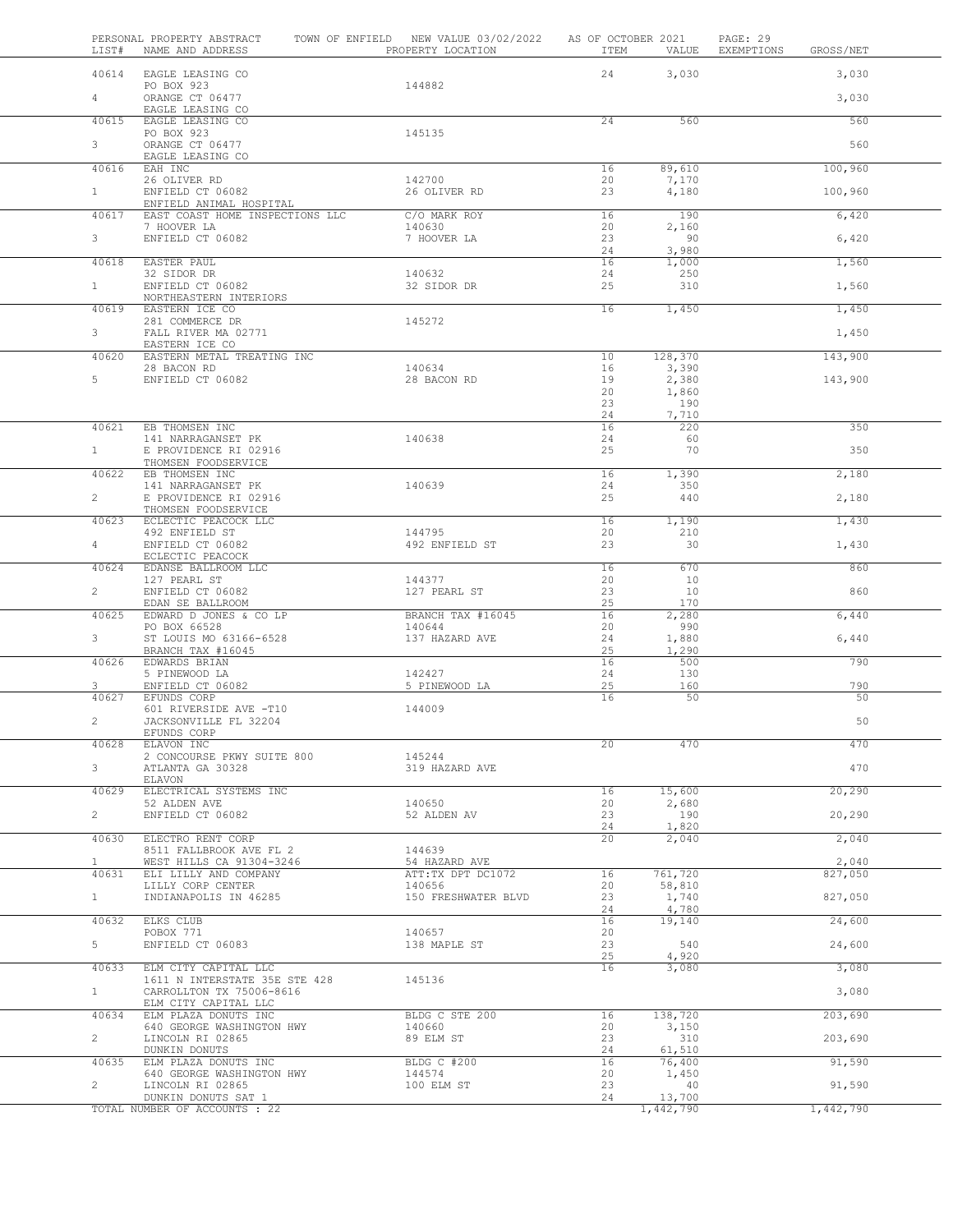|                | LIST# | PERSONAL PROPERTY ABSTRACT<br>NAME AND ADDRESS             |  | TOWN OF ENFIELD NEW VALUE 03/02/2022<br>PROPERTY LOCATION | AS OF OCTOBER 2021<br>ITEM | VALUE            | PAGE: 29<br>EXEMPTIONS | GROSS/NET |
|----------------|-------|------------------------------------------------------------|--|-----------------------------------------------------------|----------------------------|------------------|------------------------|-----------|
|                | 40614 | EAGLE LEASING CO                                           |  |                                                           | 24                         | 3,030            |                        | 3,030     |
| $4 -$          |       | PO BOX 923<br>ORANGE CT 06477                              |  | 144882                                                    |                            |                  |                        | 3,030     |
|                | 40615 | EAGLE LEASING CO<br>EAGLE LEASING CO                       |  |                                                           | 24                         | 560              |                        | 560       |
|                |       | PO BOX 923                                                 |  | 145135                                                    |                            |                  |                        |           |
| 3              |       | ORANGE CT 06477<br>EAGLE LEASING CO                        |  |                                                           |                            |                  |                        | 560       |
|                | 40616 | EAH INC                                                    |  |                                                           | 16                         | 89,610           |                        | 100,960   |
| $\mathbf{1}$   |       | 26 OLIVER RD<br>ENFIELD CT 06082                           |  | 142700<br>26 OLIVER RD                                    | 20<br>23                   | 7,170<br>4,180   |                        | 100,960   |
|                | 40617 | ENFIELD ANIMAL HOSPITAL<br>EAST COAST HOME INSPECTIONS LLC |  | C/O MARK ROY                                              | 16                         | 190              |                        | 6,420     |
| 3              |       | 7 HOOVER LA<br>ENFIELD CT 06082                            |  | 140630<br>7 HOOVER LA                                     | 20<br>23                   | 2,160<br>90      |                        | 6,420     |
|                | 40618 | EASTER PAUL                                                |  |                                                           | 24<br>16                   | 3,980<br>1,000   |                        | 1,560     |
|                |       | 32 SIDOR DR                                                |  | 140632                                                    | 24                         | 250              |                        |           |
| $\mathbf{1}$   |       | ENFIELD CT 06082<br>NORTHEASTERN INTERIORS                 |  | 32 SIDOR DR                                               | 25                         | 310              |                        | 1,560     |
|                | 40619 | EASTERN ICE CO<br>281 COMMERCE DR                          |  | 145272                                                    | 16                         | 1,450            |                        | 1,450     |
| 3 <sup>7</sup> |       | FALL RIVER MA 02771<br>EASTERN ICE CO                      |  |                                                           |                            |                  |                        | 1,450     |
|                | 40620 | EASTERN METAL TREATING INC                                 |  |                                                           | 10                         | 128,370          |                        | 143,900   |
|                |       | 28 BACON RD                                                |  | 140634                                                    | 16                         | 3,390            |                        |           |
| 5              |       | ENFIELD CT 06082                                           |  | 28 BACON RD                                               | 19<br>20                   | 2,380<br>1,860   |                        | 143,900   |
|                |       |                                                            |  |                                                           | 23                         | 190              |                        |           |
|                |       |                                                            |  |                                                           | 24                         | 7,710            |                        |           |
|                | 40621 | EB THOMSEN INC                                             |  |                                                           | 16                         | 220              |                        | 350       |
| 1              |       | 141 NARRAGANSET PK<br>E PROVIDENCE RI 02916                |  | 140638                                                    | 24<br>25                   | 60<br>70         |                        | 350       |
|                | 40622 | THOMSEN FOODSERVICE<br>EB THOMSEN INC                      |  |                                                           | 16                         | 1,390            |                        | 2,180     |
|                |       | 141 NARRAGANSET PK                                         |  | 140639                                                    | 24                         | 350              |                        |           |
| $\overline{2}$ |       | E PROVIDENCE RI 02916<br>THOMSEN FOODSERVICE               |  |                                                           | 25                         | 440              |                        | 2,180     |
|                | 40623 | ECLECTIC PEACOCK LLC                                       |  |                                                           | 16                         | 1,190            |                        | 1,430     |
| $4 -$          |       | 492 ENFIELD ST<br>ENFIELD CT 06082                         |  | 144795<br>492 ENFIELD ST                                  | 20<br>23                   | 210<br>30        |                        | 1,430     |
|                |       | ECLECTIC PEACOCK                                           |  |                                                           | 16                         | 670              |                        | 860       |
|                | 40624 | EDANSE BALLROOM LLC<br>127 PEARL ST                        |  | 144377                                                    | 20                         | 10               |                        |           |
| $\overline{2}$ |       | ENFIELD CT 06082                                           |  | 127 PEARL ST                                              | 23                         | 10               |                        | 860       |
|                | 40625 | EDAN SE BALLROOM<br>EDWARD D JONES & CO LP                 |  | BRANCH TAX #16045                                         | 25<br>16                   | 170<br>2,280     |                        | 6,440     |
|                |       | PO BOX 66528                                               |  | 140644                                                    | 20                         | 990              |                        |           |
| $3 -$          |       | ST LOUIS MO 63166-6528<br>BRANCH TAX #16045                |  | 137 HAZARD AVE                                            | 24<br>25                   | 1,880<br>1,290   |                        | 6,440     |
|                | 40626 | EDWARDS BRIAN                                              |  |                                                           | 16                         | 500              |                        | 790       |
| 3              |       | 5 PINEWOOD LA                                              |  | 142427                                                    | 24                         | 130              |                        | 790       |
|                | 40627 | ENFIELD CT 06082<br>EFUNDS CORP                            |  | 5 PINEWOOD LA                                             | 25<br>16                   | 160<br>50        |                        | 50        |
| $\overline{2}$ |       | 601 RIVERSIDE AVE -T10<br>JACKSONVILLE FL 32204            |  | 144009                                                    |                            |                  |                        | 50        |
|                |       | EFUNDS CORP<br>ELAVON INC                                  |  |                                                           | 20                         | 470              |                        | 470       |
|                | 40628 | 2 CONCOURSE PKWY SUITE 800                                 |  | 145244                                                    |                            |                  |                        |           |
| $3 -$          |       | ATLANTA GA 30328<br>ELAVON                                 |  | 319 HAZARD AVE                                            |                            |                  |                        | 470       |
|                | 40629 | ELECTRICAL SYSTEMS INC                                     |  |                                                           | 16                         | 15,600           |                        | 20,290    |
|                |       | 52 ALDEN AVE                                               |  | 140650                                                    | 20                         | 2,680            |                        |           |
| $\overline{2}$ |       | ENFIELD CT 06082                                           |  | 52 ALDEN AV                                               | 23<br>24                   | 190<br>1,820     |                        | 20,290    |
|                | 40630 | ELECTRO RENT CORP                                          |  |                                                           | 20                         | 2,040            |                        | 2,040     |
|                |       | 8511 FALLBROOK AVE FL 2                                    |  | 144639                                                    |                            |                  |                        |           |
| $\mathbf{1}$   | 40631 | WEST HILLS CA 91304-3246<br>ELI LILLY AND COMPANY          |  | 54 HAZARD AVE<br>ATT:TX DPT DC1072                        | 16                         | 761,720          |                        | 2,040     |
|                |       | LILLY CORP CENTER                                          |  | 140656                                                    | 20                         | 58,810           |                        | 827,050   |
| $\mathbf{1}$   |       | INDIANAPOLIS IN 46285                                      |  | 150 FRESHWATER BLVD                                       | 23<br>24                   | 1,740<br>4,780   |                        | 827,050   |
|                | 40632 | ELKS CLUB                                                  |  |                                                           | 16                         | 19,140           |                        | 24,600    |
| 5              |       | POBOX 771<br>ENFIELD CT 06083                              |  | 140657<br>138 MAPLE ST                                    | 20<br>23                   | 540              |                        | 24,600    |
|                | 40633 | ELM CITY CAPITAL LLC                                       |  |                                                           | 25<br>16                   | 4,920<br>3,080   |                        | 3,080     |
| $\mathbf{1}$   |       | 1611 N INTERSTATE 35E STE 428                              |  | 145136                                                    |                            |                  |                        |           |
|                |       | CARROLLTON TX 75006-8616<br>ELM CITY CAPITAL LLC           |  |                                                           |                            |                  |                        | 3,080     |
|                | 40634 | ELM PLAZA DONUTS INC<br>640 GEORGE WASHINGTON HWY          |  | BLDG C STE 200<br>140660                                  | 16<br>20                   | 138,720<br>3,150 |                        | 203,690   |
| $\overline{2}$ |       | LINCOLN RI 02865                                           |  | 89 ELM ST                                                 | 23                         | 310              |                        | 203,690   |
|                | 40635 | DUNKIN DONUTS<br>ELM PLAZA DONUTS INC                      |  | BLDG C #200                                               | 24<br>16                   | 61,510<br>76,400 |                        | 91,590    |
| $\overline{2}$ |       | 640 GEORGE WASHINGTON HWY<br>LINCOLN RI 02865              |  | 144574<br>100 ELM ST                                      | 20<br>23                   | 1,450<br>40      |                        | 91,590    |
|                |       | DUNKIN DONUTS SAT 1                                        |  |                                                           | 24                         | 13,700           |                        |           |
|                |       | TOTAL NUMBER OF ACCOUNTS : 22                              |  |                                                           |                            | 1,442,790        |                        | 1,442,790 |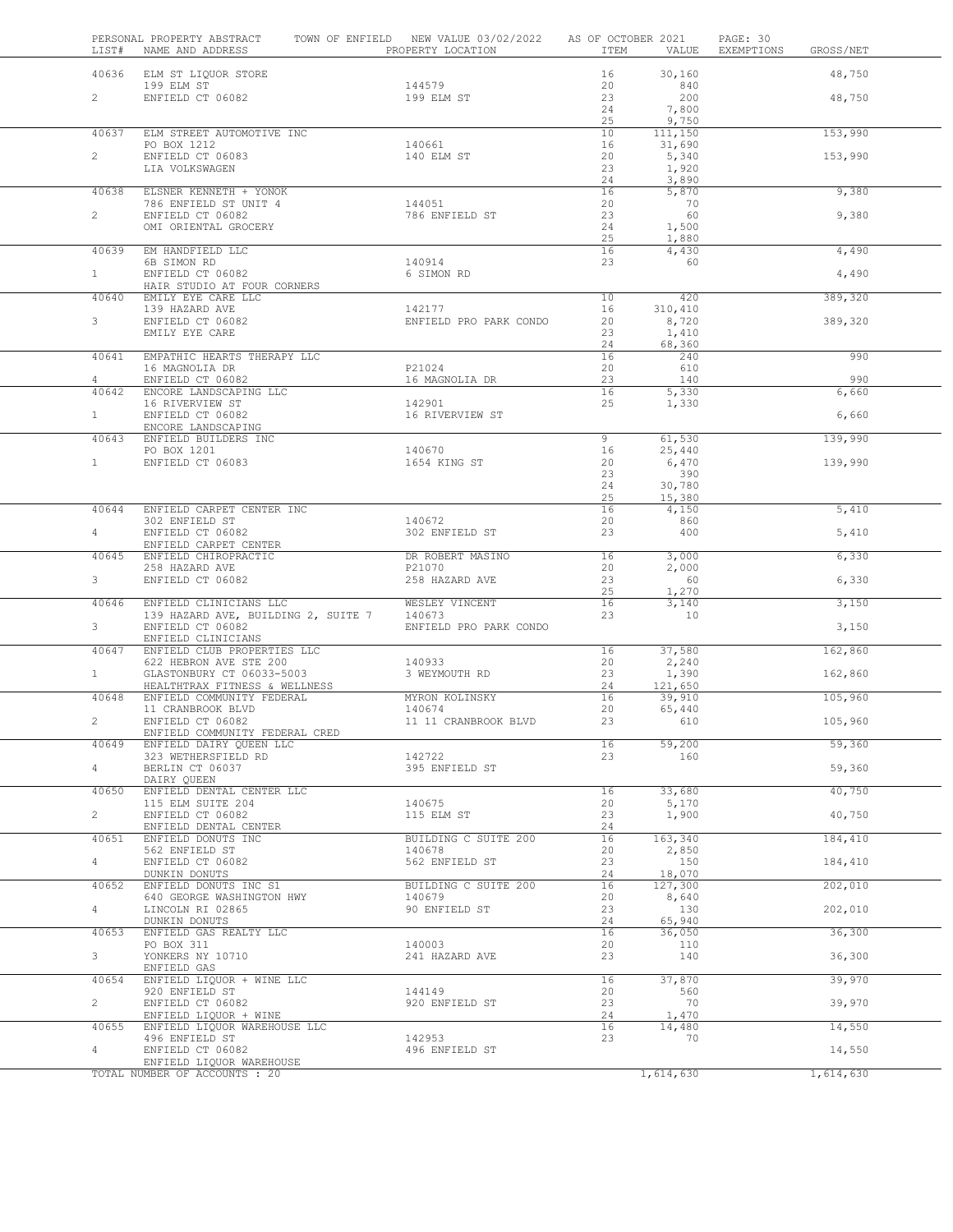| LIST#          | PERSONAL PROPERTY ABSTRACT<br>NAME AND ADDRESS             | TOWN OF ENFIELD NEW VALUE 03/02/2022<br>PROPERTY LOCATION | AS OF OCTOBER 2021<br>ITEM | VALUE             | PAGE: 30<br>EXEMPTIONS<br>GROSS/NET |              |
|----------------|------------------------------------------------------------|-----------------------------------------------------------|----------------------------|-------------------|-------------------------------------|--------------|
| 40636          | ELM ST LIQUOR STORE                                        |                                                           | 16                         | 30,160            |                                     | 48,750       |
|                | 199 ELM ST                                                 | 144579                                                    | 20                         | 840               |                                     |              |
| $\overline{2}$ | ENFIELD CT 06082                                           | 199 ELM ST                                                | 23<br>24                   | 200<br>7,800      |                                     | 48,750       |
|                |                                                            |                                                           | 25                         | 9,750             |                                     |              |
| 40637          | ELM STREET AUTOMOTIVE INC<br>PO BOX 1212                   | 140661                                                    | 10<br>16                   | 111,150<br>31,690 |                                     | 153,990      |
| $\overline{2}$ | ENFIELD CT 06083                                           | 140 ELM ST                                                | 20                         | 5,340             |                                     | 153,990      |
|                | LIA VOLKSWAGEN                                             |                                                           | 23                         | 1,920             |                                     |              |
| 40638          | ELSNER KENNETH + YONOK                                     |                                                           | 24<br>16                   | 3,890<br>5,870    |                                     | 9,380        |
|                | 786 ENFIELD ST UNIT 4                                      | 144051                                                    | 20                         | 70                |                                     |              |
| $\overline{2}$ | ENFIELD CT 06082<br>OMI ORIENTAL GROCERY                   | 786 ENFIELD ST                                            | 23<br>24                   | 60<br>1,500       |                                     | 9,380        |
|                |                                                            |                                                           | 25                         | 1,880             |                                     |              |
| 40639          | EM HANDFIELD LLC                                           |                                                           | 16                         | 4,430             |                                     | 4,490        |
| 1              | 6B SIMON RD<br>ENFIELD CT 06082                            | 140914<br>6 SIMON RD                                      | 23                         | 60                |                                     | 4,490        |
|                | HAIR STUDIO AT FOUR CORNERS                                |                                                           |                            |                   |                                     |              |
| 40640          | EMILY EYE CARE LLC<br>139 HAZARD AVE                       | 142177                                                    | 10<br>16                   | 420<br>310,410    |                                     | 389,320      |
| 3              | ENFIELD CT 06082                                           | ENFIELD PRO PARK CONDO                                    | 20                         | 8,720             |                                     | 389,320      |
|                | EMILY EYE CARE                                             |                                                           | 23                         | 1,410             |                                     |              |
| 40641          | EMPATHIC HEARTS THERAPY LLC                                |                                                           | 24<br>16                   | 68,360<br>240     |                                     | 990          |
|                | 16 MAGNOLIA DR                                             | P21024                                                    | 20                         | 610               |                                     |              |
| 4<br>40642     | ENFIELD CT 06082<br>ENCORE LANDSCAPING LLC                 | 16 MAGNOLIA DR                                            | 23<br>16                   | 140<br>5,330      |                                     | 990<br>6,660 |
|                | 16 RIVERVIEW ST                                            | 142901                                                    | 25                         | 1,330             |                                     |              |
| 1              | ENFIELD CT 06082                                           | 16 RIVERVIEW ST                                           |                            |                   |                                     | 6,660        |
| 40643          | ENCORE LANDSCAPING<br>ENFIELD BUILDERS INC                 |                                                           | 9                          | 61,530            |                                     | 139,990      |
|                | PO BOX 1201                                                | 140670                                                    | 16                         | 25,440            |                                     |              |
| 1              | ENFIELD CT 06083                                           | 1654 KING ST                                              | 20                         | 6,470             |                                     | 139,990      |
|                |                                                            |                                                           | 23<br>24                   | 390<br>30,780     |                                     |              |
|                |                                                            |                                                           | 25                         | 15,380            |                                     |              |
| 40644          | ENFIELD CARPET CENTER INC<br>302 ENFIELD ST                | 140672                                                    | 16<br>20                   | 4,150<br>860      |                                     | 5,410        |
| $\overline{4}$ | ENFIELD CT 06082                                           | 302 ENFIELD ST                                            | 23                         | 400               |                                     | 5,410        |
|                | ENFIELD CARPET CENTER                                      |                                                           |                            |                   |                                     |              |
| 40645          | ENFIELD CHIROPRACTIC<br>258 HAZARD AVE                     | DR ROBERT MASINO<br>P21070                                | 16<br>20                   | 3,000<br>2,000    |                                     | 6,330        |
| $3 -$          | ENFIELD CT 06082                                           | 258 HAZARD AVE                                            | 23                         | 60                |                                     | 6,330        |
| 40646          | ENFIELD CLINICIANS LLC                                     | WESLEY VINCENT                                            | 25<br>16                   | 1,270<br>3,140    |                                     | 3,150        |
|                | 139 HAZARD AVE, BUILDING 2, SUITE 7                        | 140673                                                    | 23                         | 10                |                                     |              |
| $3 -$          | ENFIELD CT 06082<br>ENFIELD CLINICIANS                     | ENFIELD PRO PARK CONDO                                    |                            |                   |                                     | 3,150        |
| 40647          | ENFIELD CLUB PROPERTIES LLC                                |                                                           | 16                         | 37,580            |                                     | 162,860      |
|                | 622 HEBRON AVE STE 200                                     | 140933                                                    | 20                         | 2,240             |                                     |              |
| 1              | GLASTONBURY CT 06033-5003<br>HEALTHTRAX FITNESS & WELLNESS | 3 WEYMOUTH RD                                             | 23<br>24                   | 1,390<br>121,650  |                                     | 162,860      |
| 40648          | ENFIELD COMMUNITY FEDERAL                                  | MYRON KOLINSKY                                            | 16                         | 39,910            |                                     | 105,960      |
| $\overline{2}$ | 11 CRANBROOK BLVD<br>ENFIELD CT 06082                      | 140674<br>11 11 CRANBROOK BLVD                            | 20<br>23                   | 65,440<br>610     |                                     | 105,960      |
|                | ENFIELD COMMUNITY FEDERAL CRED                             |                                                           |                            |                   |                                     |              |
| 40649          | ENFIELD DAIRY QUEEN LLC                                    |                                                           | 16                         | 59,200            |                                     | 59,360       |
| $4 -$          | 323 WETHERSFIELD RD<br>BERLIN CT 06037                     | 142722<br>395 ENFIELD ST                                  | 23                         | 160               |                                     | 59,360       |
|                | DAIRY QUEEN                                                |                                                           |                            |                   |                                     |              |
| 40650          | ENFIELD DENTAL CENTER LLC<br>115 ELM SUITE 204             | 140675                                                    | 16<br>20                   | 33,680<br>5,170   |                                     | 40,750       |
| $\overline{2}$ | ENFIELD CT 06082                                           | 115 ELM ST                                                | 23                         | 1,900             |                                     | 40,750       |
|                | ENFIELD DENTAL CENTER                                      |                                                           | 24                         |                   |                                     |              |
| 40651          | ENFIELD DONUTS INC<br>562 ENFIELD ST                       | BUILDING C SUITE 200<br>140678                            | 16<br>20                   | 163,340<br>2,850  |                                     | 184,410      |
| 4              | ENFIELD CT 06082                                           | 562 ENFIELD ST                                            | 23                         | 150               |                                     | 184,410      |
| 40652          | DUNKIN DONUTS<br>ENFIELD DONUTS INC S1                     | BUILDING C SUITE 200                                      | 24<br>16                   | 18,070            |                                     | 202,010      |
|                | 640 GEORGE WASHINGTON HWY                                  | 140679                                                    | 20                         | 127,300<br>8,640  |                                     |              |
| $4 -$          | LINCOLN RI 02865                                           | 90 ENFIELD ST                                             | 23                         | 130               |                                     | 202,010      |
| 40653          | DUNKIN DONUTS<br>ENFIELD GAS REALTY LLC                    |                                                           | 24<br>16                   | 65,940<br>36,050  |                                     | 36,300       |
|                | PO BOX 311                                                 | 140003                                                    | 20                         | 110               |                                     |              |
| 3              | YONKERS NY 10710                                           | 241 HAZARD AVE                                            | 23                         | 140               |                                     | 36,300       |
| 40654          | ENFIELD GAS<br>ENFIELD LIQUOR + WINE LLC                   |                                                           | 16                         | 37,870            |                                     | 39,970       |
|                | 920 ENFIELD ST                                             | 144149                                                    | 20                         | 560               |                                     |              |
| $\overline{2}$ | ENFIELD CT 06082<br>ENFIELD LIQUOR + WINE                  | 920 ENFIELD ST                                            | 23<br>24                   | 70<br>1,470       |                                     | 39,970       |
| 40655          | ENFIELD LIQUOR WAREHOUSE LLC                               |                                                           | 16                         | 14,480            |                                     | 14,550       |
| 4              | 496 ENFIELD ST                                             | 142953                                                    | 23                         | 70                |                                     |              |
|                | ENFIELD CT 06082<br>ENFIELD LIQUOR WAREHOUSE               | 496 ENFIELD ST                                            |                            |                   |                                     | 14,550       |
|                | TOTAL NUMBER OF ACCOUNTS : 20                              |                                                           |                            | 1,614,630         | 1,614,630                           |              |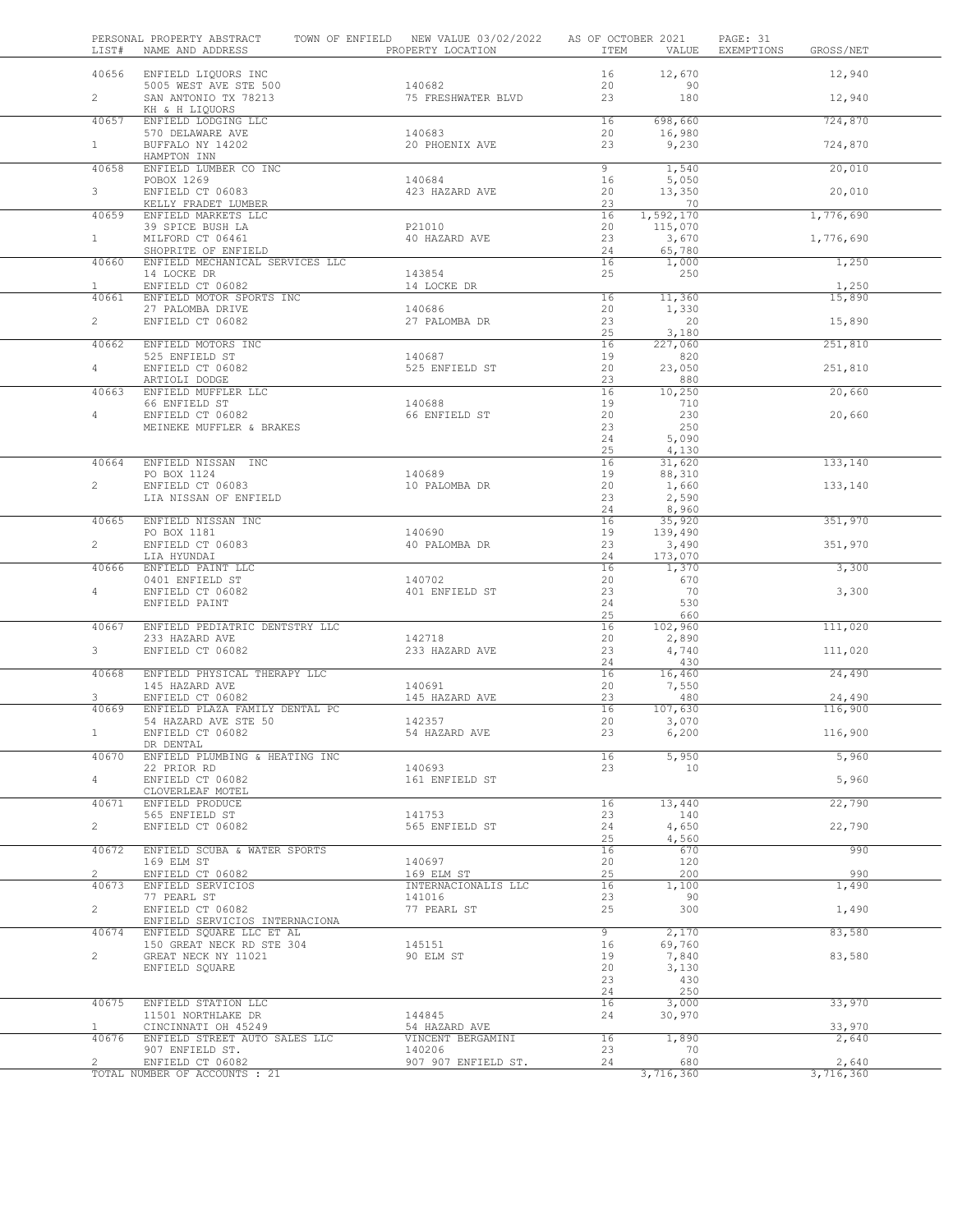| LIST#          | PERSONAL PROPERTY ABSTRACT<br>NAME AND ADDRESS             | TOWN OF ENFIELD NEW VALUE 03/02/2022 | PROPERTY LOCATION   | AS OF OCTOBER 2021<br>ITEM | VALUE             | PAGE: 31<br>EXEMPTIONS | GROSS/NET         |
|----------------|------------------------------------------------------------|--------------------------------------|---------------------|----------------------------|-------------------|------------------------|-------------------|
| 40656          | ENFIELD LIQUORS INC                                        |                                      |                     | 16                         | 12,670            |                        | 12,940            |
| $\overline{2}$ | 5005 WEST AVE STE 500<br>SAN ANTONIO TX 78213              | 140682                               | 75 FRESHWATER BLVD  | 20<br>23                   | 90<br>180         |                        | 12,940            |
| 40657          | KH & H LIQUORS<br>ENFIELD LODGING LLC                      |                                      |                     | 16                         | 698,660           |                        | 724,870           |
| $1 -$          | 570 DELAWARE AVE<br>BUFFALO NY 14202                       | 140683                               | 20 PHOENIX AVE      | 20<br>23                   | 16,980<br>9,230   |                        | 724,870           |
| 40658          | HAMPTON INN<br>ENFIELD LUMBER CO INC                       |                                      |                     | 9                          | 1,540             |                        | 20,010            |
|                | POBOX 1269                                                 | 140684                               |                     | 16                         | 5,050             |                        |                   |
| 3 <sup>7</sup> | ENFIELD CT 06083<br>KELLY FRADET LUMBER                    |                                      | 423 HAZARD AVE      | 20<br>23                   | 13,350<br>70      |                        | 20,010            |
| 40659          | ENFIELD MARKETS LLC                                        |                                      |                     | 16                         | 1,592,170         |                        | 1,776,690         |
| $1 -$          | 39 SPICE BUSH LA<br>MILFORD CT 06461                       | P21010                               | 40 HAZARD AVE       | 20<br>23                   | 115,070<br>3,670  |                        | 1,776,690         |
|                | SHOPRITE OF ENFIELD                                        |                                      |                     | 24                         | 65,780            |                        |                   |
| 40660          | ENFIELD MECHANICAL SERVICES LLC<br>14 LOCKE DR             | 143854                               |                     | 16<br>25                   | 1,000<br>250      |                        | 1,250             |
| 1<br>40661     | ENFIELD CT 06082<br>ENFIELD MOTOR SPORTS INC               | 14 LOCKE DR                          |                     | 16                         |                   |                        | 1,250             |
|                | 27 PALOMBA DRIVE                                           | 140686                               |                     | 20                         | 11,360<br>1,330   |                        | 15,890            |
| $\overline{2}$ | ENFIELD CT 06082                                           |                                      | 27 PALOMBA DR       | 23<br>25                   | 20<br>3,180       |                        | 15,890            |
| 40662          | ENFIELD MOTORS INC                                         |                                      |                     | 16                         | 227,060           |                        | 251,810           |
| $4 -$          | 525 ENFIELD ST<br>ENFIELD CT 06082                         | 140687                               | 525 ENFIELD ST      | 19<br>20                   | 820<br>23,050     |                        | 251,810           |
|                | ARTIOLI DODGE                                              |                                      |                     | 23                         | 880               |                        |                   |
| 40663          | ENFIELD MUFFLER LLC<br>66 ENFIELD ST                       | 140688                               |                     | 16<br>19                   | 10,250<br>710     |                        | 20,660            |
| 4              | ENFIELD CT 06082                                           |                                      | 66 ENFIELD ST       | 20<br>23                   | 230<br>250        |                        | 20,660            |
|                | MEINEKE MUFFLER & BRAKES                                   |                                      |                     | 24                         | 5,090             |                        |                   |
| 40664          | ENFIELD NISSAN INC                                         |                                      |                     | 25<br>16                   | 4,130<br>31,620   |                        | 133,140           |
|                | PO BOX 1124                                                | 140689                               |                     | 19                         | 88,310            |                        |                   |
| $\overline{2}$ | ENFIELD CT 06083<br>LIA NISSAN OF ENFIELD                  |                                      | 10 PALOMBA DR       | 20<br>23                   | 1,660<br>2,590    |                        | 133,140           |
|                |                                                            |                                      |                     | 24                         | 8,960             |                        |                   |
| 40665          | ENFIELD NISSAN INC<br>PO BOX 1181                          | 140690                               |                     | 16<br>19                   | 35,920<br>139,490 |                        | 351,970           |
| $\overline{2}$ | ENFIELD CT 06083<br>LIA HYUNDAI                            |                                      | 40 PALOMBA DR       | 23<br>24                   | 3,490<br>173,070  |                        | 351,970           |
| 40666          | ENFIELD PAINT LLC                                          |                                      |                     | 16                         | 1,370             |                        | 3,300             |
| $4 -$          | 0401 ENFIELD ST<br>ENFIELD CT 06082                        | 140702                               | 401 ENFIELD ST      | 20<br>23                   | 670<br>70         |                        | 3,300             |
|                | ENFIELD PAINT                                              |                                      |                     | 24<br>25                   | 530               |                        |                   |
| 40667          | ENFIELD PEDIATRIC DENTSTRY LLC                             |                                      |                     | 16                         | 660<br>102,960    |                        | 111,020           |
| 3 <sup>7</sup> | 233 HAZARD AVE<br>ENFIELD CT 06082                         | 142718                               | 233 HAZARD AVE      | 20<br>23                   | 2,890<br>4,740    |                        | 111,020           |
|                |                                                            |                                      |                     | 24                         | 430               |                        |                   |
| 40668          | ENFIELD PHYSICAL THERAPY LLC<br>145 HAZARD AVE             | 140691                               |                     | 16<br>20                   | 16,460<br>7,550   |                        | 24,490            |
| 3<br>40669     | ENFIELD CT 06082<br>ENFIELD PLAZA FAMILY DENTAL PC         |                                      | 145 HAZARD AVE      | 23<br>16                   | 480<br>107,630    |                        | 24,490<br>116,900 |
|                | 54 HAZARD AVE STE 50                                       | 142357                               |                     | 20                         | 3,070             |                        |                   |
| 1.             | ENFIELD CT 06082<br>DR DENTAL                              |                                      | 54 HAZARD AVE       | 23                         | 6,200             |                        | 116,900           |
| 40670          | ENFIELD PLUMBING & HEATING INC                             |                                      |                     | 16                         | 5,950             |                        | 5,960             |
| $4 -$          | 22 PRIOR RD<br>ENFIELD CT 06082                            | 140693                               | 161 ENFIELD ST      | 23                         | 10                |                        | 5,960             |
| 40671          | CLOVERLEAF MOTEL<br>ENFIELD PRODUCE                        |                                      |                     | 16                         | 13,440            |                        | 22,790            |
|                | 565 ENFIELD ST                                             | 141753                               |                     | 23                         | 140               |                        |                   |
| $\mathbf{2}$   | ENFIELD CT 06082                                           |                                      | 565 ENFIELD ST      | 24<br>25                   | 4,650<br>4,560    |                        | 22,790            |
| 40672          | ENFIELD SCUBA & WATER SPORTS                               |                                      |                     | 16                         | 670               |                        | 990               |
| $\mathbf{2}$   | 169 ELM ST<br>ENFIELD CT 06082                             | 140697<br>169 ELM ST                 |                     | 20<br>25                   | 120<br>200        |                        | 990               |
| 40673          | ENFIELD SERVICIOS<br>77 PEARL ST                           | 141016                               | INTERNACIONALIS LLC | 16<br>23                   | 1,100<br>90       |                        | 1,490             |
| $2^{\circ}$    | ENFIELD CT 06082                                           | 77 PEARL ST                          |                     | 25                         | 300               |                        | 1,490             |
| 40674          | ENFIELD SERVICIOS INTERNACIONA<br>ENFIELD SQUARE LLC ET AL |                                      |                     | 9                          | 2,170             |                        | 83,580            |
| $\overline{2}$ | 150 GREAT NECK RD STE 304<br>GREAT NECK NY 11021           | 145151<br>90 ELM ST                  |                     | 16<br>19                   | 69,760<br>7,840   |                        | 83,580            |
|                | ENFIELD SQUARE                                             |                                      |                     | 20                         | 3,130             |                        |                   |
|                |                                                            |                                      |                     | 23<br>24                   | 430<br>250        |                        |                   |
| 40675          | ENFIELD STATION LLC                                        |                                      |                     | 16                         | 3,000             |                        | 33,970            |
| $\mathbf{1}$   | 11501 NORTHLAKE DR<br>CINCINNATI OH 45249                  | 144845                               | 54 HAZARD AVE       | 24                         | 30,970            |                        | 33,970            |
| 40676          | ENFIELD STREET AUTO SALES LLC<br>907 ENFIELD ST.           | 140206                               | VINCENT BERGAMINI   | 16<br>23                   | 1,890<br>70       |                        | 2,640             |
| $2^{\circ}$    | ENFIELD CT 06082                                           |                                      | 907 907 ENFIELD ST. | 24                         | 680               |                        | 2,640             |
|                | TOTAL NUMBER OF ACCOUNTS : 21                              |                                      |                     |                            | 3,716,360         |                        | 3,716,360         |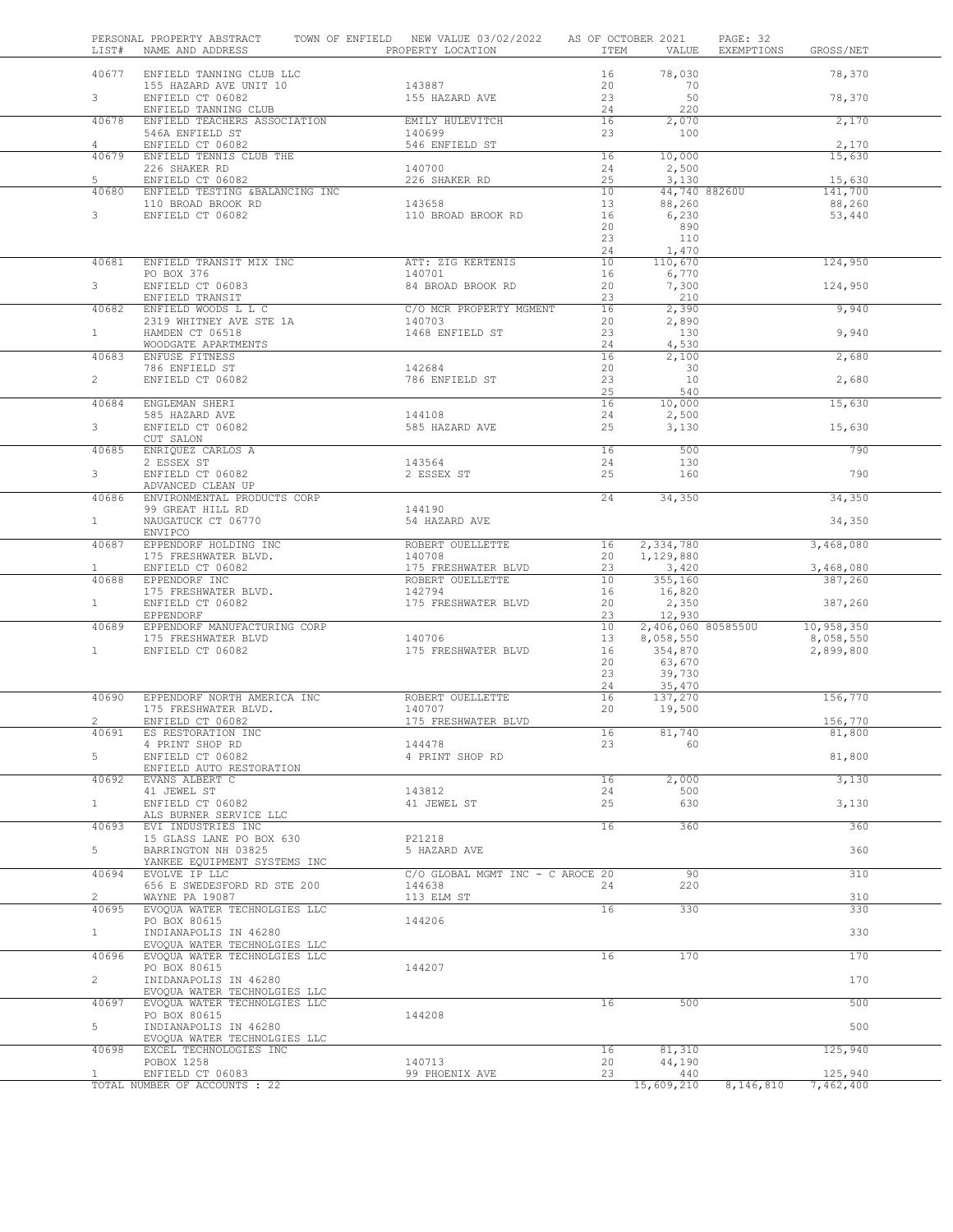| LIST#                 | PERSONAL PROPERTY ABSTRACT<br>NAME AND ADDRESS               | TOWN OF ENFIELD NEW VALUE 03/02/2022<br>PROPERTY LOCATION | AS OF OCTOBER 2021<br>ITEM | VALUE                  | PAGE: 32<br>EXEMPTIONS | GROSS/NET         |  |
|-----------------------|--------------------------------------------------------------|-----------------------------------------------------------|----------------------------|------------------------|------------------------|-------------------|--|
| 40677                 | ENFIELD TANNING CLUB LLC                                     |                                                           | 16                         | 78,030                 |                        | 78,370            |  |
|                       | 155 HAZARD AVE UNIT 10                                       | 143887                                                    | 20                         | 70                     |                        |                   |  |
| 3 <sup>7</sup>        | ENFIELD CT 06082                                             | 155 HAZARD AVE                                            | 23                         | 50                     |                        | 78,370            |  |
|                       | ENFIELD TANNING CLUB                                         | EMILY HULEVITCH                                           | 24                         | 220                    |                        |                   |  |
| 40678                 | ENFIELD TEACHERS ASSOCIATION<br>546A ENFIELD ST              | 140699                                                    | 16<br>23                   | 2,070<br>100           |                        | 2,170             |  |
| $\overline{4}$        | ENFIELD CT 06082                                             | 546 ENFIELD ST                                            |                            |                        |                        | 2,170             |  |
| 40679                 | ENFIELD TENNIS CLUB THE                                      |                                                           | 16                         | 10,000                 |                        | 15,630            |  |
|                       | 226 SHAKER RD                                                | 140700                                                    | 24                         | 2,500                  |                        |                   |  |
| 5<br>40680            | ENFIELD CT 06082<br>ENFIELD TESTING &BALANCING INC           | 226 SHAKER RD                                             | 25<br>10                   | 3,130<br>44,740 88260U |                        | 15,630<br>141,700 |  |
|                       | 110 BROAD BROOK RD                                           | 143658                                                    | 13                         | 88,260                 |                        | 88,260            |  |
| $\mathbf{3}$          | ENFIELD CT 06082                                             | 110 BROAD BROOK RD                                        | 16                         | 6,230                  |                        | 53,440            |  |
|                       |                                                              |                                                           | 20                         | 890                    |                        |                   |  |
|                       |                                                              |                                                           | 23                         | 110                    |                        |                   |  |
| 40681                 | ENFIELD TRANSIT MIX INC                                      | ATT: ZIG KERTENIS                                         | 24<br>10                   | 1,470<br>110,670       |                        | 124,950           |  |
|                       | PO BOX 376                                                   | 140701                                                    | 16                         | 6,770                  |                        |                   |  |
| 3                     | ENFIELD CT 06083                                             | 84 BROAD BROOK RD                                         | 20                         | 7,300                  |                        | 124,950           |  |
|                       | ENFIELD TRANSIT                                              |                                                           | 23                         | 210                    |                        |                   |  |
| 40682                 | ENFIELD WOODS L L C                                          | C/O MCR PROPERTY MGMENT<br>140703                         | 16<br>20                   | 2,390                  |                        | 9,940             |  |
| $\mathbf{1}$          | 2319 WHITNEY AVE STE 1A<br>HAMDEN CT 06518                   | 1468 ENFIELD ST                                           | 23                         | 2,890<br>130           |                        | 9,940             |  |
|                       | WOODGATE APARTMENTS                                          |                                                           | 24                         | 4,530                  |                        |                   |  |
| 40683                 | ENFUSE FITNESS                                               |                                                           | 16                         | 2,100                  |                        | 2,680             |  |
|                       | 786 ENFIELD ST                                               | 142684                                                    | 20                         | 30                     |                        |                   |  |
| $\overline{2}$        | ENFIELD CT 06082                                             | 786 ENFIELD ST                                            | 23<br>25                   | 10<br>540              |                        | 2,680             |  |
| 40684                 | ENGLEMAN SHERI                                               |                                                           | 16                         | 10,000                 |                        | 15,630            |  |
|                       | 585 HAZARD AVE                                               | 144108                                                    | 24                         | 2,500                  |                        |                   |  |
| 3                     | ENFIELD CT 06082                                             | 585 HAZARD AVE                                            | 25                         | 3,130                  |                        | 15,630            |  |
|                       | CUT SALON                                                    |                                                           |                            |                        |                        |                   |  |
| 40685                 | ENRIQUEZ CARLOS A<br>2 ESSEX ST                              | 143564                                                    | 16<br>24                   | 500<br>130             |                        | 790               |  |
| 3 <sup>7</sup>        | ENFIELD CT 06082                                             | 2 ESSEX ST                                                | 25                         | 160                    |                        | 790               |  |
|                       | ADVANCED CLEAN UP                                            |                                                           |                            |                        |                        |                   |  |
| 40686                 | ENVIRONMENTAL PRODUCTS CORP                                  |                                                           | 24                         | 34,350                 |                        | 34,350            |  |
|                       | 99 GREAT HILL RD                                             | 144190                                                    |                            |                        |                        |                   |  |
| 1                     | NAUGATUCK CT 06770                                           | 54 HAZARD AVE                                             |                            |                        |                        | 34,350            |  |
| 40687                 | ENVIPCO<br>EPPENDORF HOLDING INC                             | ROBERT OUELLETTE                                          | 16                         | 2,334,780              |                        | 3,468,080         |  |
|                       | 175 FRESHWATER BLVD.                                         | 140708                                                    | 20                         | 1,129,880              |                        |                   |  |
| $\mathbf{1}$          | ENFIELD CT 06082                                             | 175 FRESHWATER BLVD                                       | 23                         | 3,420                  |                        | 3,468,080         |  |
|                       | 40688 EPPENDORF INC                                          | ROBERT OUELLETTE                                          | 10                         | 355,160                |                        | 387,260           |  |
| $1 -$                 | 175 FRESHWATER BLVD.                                         | 142794<br>175 FRESHWATER BLVD                             | 16<br>20                   | 16,820                 |                        |                   |  |
|                       | ENFIELD CT 06082<br>EPPENDORF                                |                                                           | 23                         | 2,350<br>12,930        |                        | 387,260           |  |
| 40689                 | EPPENDORF MANUFACTURING CORP                                 |                                                           | 10                         | 2,406,060 8058550U     |                        | 10,958,350        |  |
|                       | 175 FRESHWATER BLVD                                          | 140706                                                    | 13                         | 8,058,550              |                        | 8,058,550         |  |
| 1                     | ENFIELD CT 06082                                             | 175 FRESHWATER BLVD                                       | 16                         | 354,870                |                        | 2,899,800         |  |
|                       |                                                              |                                                           | 20<br>23                   | 63,670                 |                        |                   |  |
|                       |                                                              |                                                           | 24                         | 39,730<br>35,470       |                        |                   |  |
| 40690                 | EPPENDORF NORTH AMERICA INC                                  | ROBERT OUELLETTE                                          | 16                         | 137,270                |                        | 156,770           |  |
|                       | 175 FRESHWATER BLVD.                                         | 140707                                                    | 20                         | 19,500                 |                        |                   |  |
| $\mathbf{2}^{\prime}$ | ENFIELD CT 06082                                             | 175 FRESHWATER BLVD                                       |                            | 81,740                 |                        | 156,770           |  |
| 40691                 | ES RESTORATION INC<br>4 PRINT SHOP RD                        | 144478                                                    | 16<br>23                   | 60                     |                        | 81,800            |  |
| 5                     | ENFIELD CT 06082                                             | 4 PRINT SHOP RD                                           |                            |                        |                        | 81,800            |  |
|                       | ENFIELD AUTO RESTORATION                                     |                                                           |                            |                        |                        |                   |  |
| 40692                 | EVANS ALBERT C                                               |                                                           | 16                         | 2,000                  |                        | 3,130             |  |
|                       | 41 JEWEL ST                                                  | 143812                                                    | 24                         | 500                    |                        |                   |  |
| 1                     | ENFIELD CT 06082<br>ALS BURNER SERVICE LLC                   | 41 JEWEL ST                                               | 25                         | 630                    |                        | 3,130             |  |
| 40693                 | EVI INDUSTRIES INC                                           |                                                           | 16                         | 360                    |                        | 360               |  |
|                       | 15 GLASS LANE PO BOX 630                                     | P21218                                                    |                            |                        |                        |                   |  |
| 5 <sup>5</sup>        | BARRINGTON NH 03825                                          | 5 HAZARD AVE                                              |                            |                        |                        | 360               |  |
|                       | YANKEE EQUIPMENT SYSTEMS INC                                 |                                                           |                            |                        |                        |                   |  |
| 40694                 | EVOLVE IP LLC<br>656 E SWEDESFORD RD STE 200                 | C/O GLOBAL MGMT INC - C AROCE 20<br>144638                | 24                         | 90<br>220              |                        | 310               |  |
| $\overline{2}$        | WAYNE PA 19087                                               | 113 ELM ST                                                |                            |                        |                        | 310               |  |
| 40695                 | EVOQUA WATER TECHNOLGIES LLC                                 |                                                           | 16                         | 330                    |                        | 330               |  |
|                       | PO BOX 80615                                                 | 144206                                                    |                            |                        |                        |                   |  |
| $\mathbf{1}$          | INDIANAPOLIS IN 46280                                        |                                                           |                            |                        |                        | 330               |  |
| 40696                 | EVOQUA WATER TECHNOLGIES LLC<br>EVOQUA WATER TECHNOLGIES LLC |                                                           | 16                         | 170                    |                        | 170               |  |
|                       | PO BOX 80615                                                 | 144207                                                    |                            |                        |                        |                   |  |
| $\overline{2}$        | INIDANAPOLIS IN 46280                                        |                                                           |                            |                        |                        | 170               |  |
|                       | EVOQUA WATER TECHNOLGIES LLC                                 |                                                           |                            |                        |                        |                   |  |
| 40697                 | EVOQUA WATER TECHNOLGIES LLC                                 |                                                           | 16                         | 500                    |                        | 500               |  |
|                       | PO BOX 80615                                                 | 144208                                                    |                            |                        |                        |                   |  |
| 5                     | INDIANAPOLIS IN 46280<br>EVOQUA WATER TECHNOLGIES LLC        |                                                           |                            |                        |                        | 500               |  |
| 40698                 | EXCEL TECHNOLOGIES INC                                       |                                                           | 16                         | 81,310                 |                        | 125,940           |  |
|                       | POBOX 1258                                                   | 140713                                                    | 20                         | 44,190                 |                        |                   |  |
| $\mathbf{1}$          | ENFIELD CT 06083                                             | 99 PHOENIX AVE                                            | 23                         | 440                    |                        | 125,940           |  |
|                       | TOTAL NUMBER OF ACCOUNTS : 22                                |                                                           |                            | 15,609,210             | 8,146,810              | 7,462,400         |  |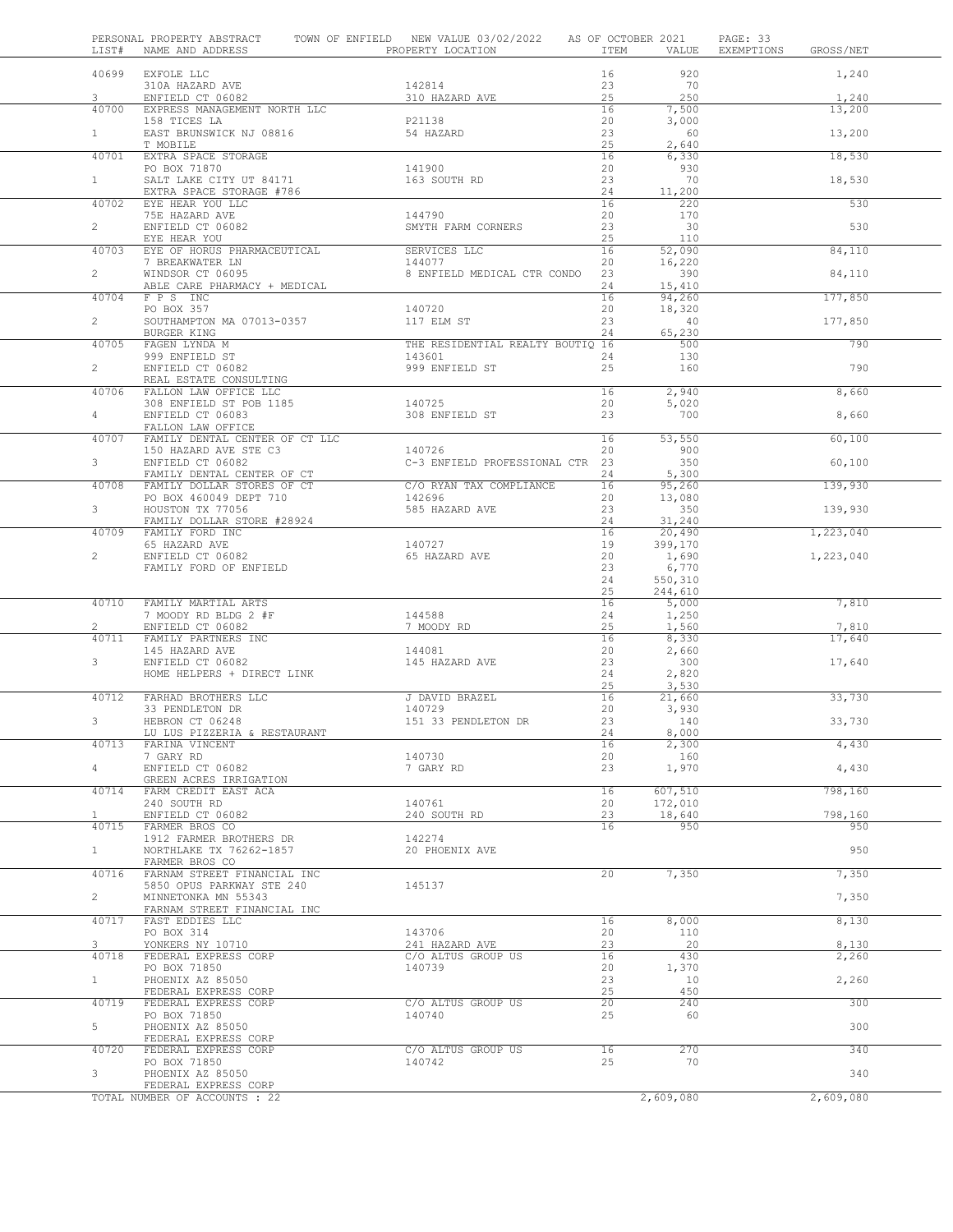| LIST#          | NAME AND ADDRESS                                     | PERSONAL PROPERTY ABSTRACT TOWN OF ENFIELD NEW VALUE 03/02/2022 AS OF OCTOBER 2021<br>PROPERTY LOCATION | ITEM     | VALUE              | PAGE: 33<br>EXEMPTIONS GROSS/NET |
|----------------|------------------------------------------------------|---------------------------------------------------------------------------------------------------------|----------|--------------------|----------------------------------|
| 40699          | EXFOLE LLC                                           |                                                                                                         | 16       | 920                | 1,240                            |
|                | 310A HAZARD AVE                                      | 142814                                                                                                  | 23       | 70                 |                                  |
| 3              | ENFIELD CT 06082                                     | 310 HAZARD AVE                                                                                          | 25       | 250                | 1,240                            |
| 40700          | EXPRESS MANAGEMENT NORTH LLC<br>158 TICES LA         | P21138                                                                                                  | 16<br>20 | 7,500<br>3,000     | 13,200                           |
| 1              | EAST BRUNSWICK NJ 08816                              | 54 HAZARD                                                                                               | 23       | 60                 | 13,200                           |
|                | T MOBILE                                             |                                                                                                         | 25       | 2,640              |                                  |
| 40701          | EXTRA SPACE STORAGE                                  |                                                                                                         | 16       | 6,330              | 18,530                           |
| 1              | PO BOX 71870<br>SALT LAKE CITY UT 84171              | 141900<br>163 SOUTH RD                                                                                  | 20<br>23 | 930<br>70          | 18,530                           |
|                | EXTRA SPACE STORAGE #786                             |                                                                                                         | 24       | 11,200             |                                  |
| 40702          | EYE HEAR YOU LLC                                     |                                                                                                         | 16       | 220                | 530                              |
|                | 75E HAZARD AVE                                       | 144790                                                                                                  | 20       | 170                |                                  |
| $\overline{2}$ | ENFIELD CT 06082<br>EYE HEAR YOU                     | SMYTH FARM CORNERS                                                                                      | 23<br>25 | 30<br>110          | 530                              |
| 40703          | EYE OF HORUS PHARMACEUTICAL                          | SERVICES LLC                                                                                            | 16       | 52,090             | 84,110                           |
|                | 7 BREAKWATER LN                                      | 144077                                                                                                  | 20       | 16,220             |                                  |
| $\overline{2}$ | WINDSOR CT 06095                                     | 8 ENFIELD MEDICAL CTR CONDO 23                                                                          |          | 390                | 84,110                           |
| 40704          | ABLE CARE PHARMACY + MEDICAL<br>F P S INC            |                                                                                                         | 24<br>16 | 15,410<br>94,260   | 177,850                          |
|                | PO BOX 357                                           | 140720                                                                                                  | 20       | 18,320             |                                  |
| $\overline{2}$ | SOUTHAMPTON MA 07013-0357                            | 117 ELM ST                                                                                              | 23       | 40                 | 177,850                          |
|                | BURGER KING                                          |                                                                                                         | 24       | 65,230             |                                  |
| 40705          | FAGEN LYNDA M                                        | THE RESIDENTIAL REALTY BOUTIQ 16                                                                        |          | 500                | 790                              |
| $\overline{2}$ | 999 ENFIELD ST<br>ENFIELD CT 06082                   | 143601<br>999 ENFIELD ST                                                                                | 24<br>25 | 130<br>160         | 790                              |
|                | REAL ESTATE CONSULTING                               |                                                                                                         |          |                    |                                  |
| 40706          | FALLON LAW OFFICE LLC                                |                                                                                                         | 16       | 2,940              | 8,660                            |
|                | 308 ENFIELD ST POB 1185                              | 140725                                                                                                  | 20       | 5,020              |                                  |
| $4 -$          | ENFIELD CT 06083<br>FALLON LAW OFFICE                | 308 ENFIELD ST                                                                                          | 23       | 700                | 8,660                            |
| 40707          | FAMILY DENTAL CENTER OF CT LLC                       |                                                                                                         | 16       | 53,550             | 60,100                           |
|                | 150 HAZARD AVE STE C3                                | 140726                                                                                                  | 20       | 900                |                                  |
| 3              | ENFIELD CT 06082                                     | C-3 ENFIELD PROFESSIONAL CTR 23                                                                         |          | 350                | 60,100                           |
|                | FAMILY DENTAL CENTER OF CT                           |                                                                                                         | 24       | 5,300              |                                  |
| 40708          | FAMILY DOLLAR STORES OF CT<br>PO BOX 460049 DEPT 710 | C/O RYAN TAX COMPLIANCE                                                                                 | 16<br>20 | 95,260<br>13,080   | 139,930                          |
| $3 -$          | HOUSTON TX 77056                                     | 585 HAZARD AVE                                                                                          | 23       | 350                | 139,930                          |
|                | FAMILY DOLLAR STORE #28924                           |                                                                                                         | 24       | 31,240             |                                  |
| 40709          | FAMILY FORD INC                                      |                                                                                                         | 16       | 20,490             | 1,223,040                        |
| $\overline{2}$ | ENFIELD CT 06082                                     | 140727<br>65 HAZARD AVE                                                                                 | 19<br>20 | 399,170<br>1,690   | 1,223,040                        |
|                | FAMILY FORD OF ENFIELD                               |                                                                                                         | 23       | 6,770              |                                  |
|                |                                                      |                                                                                                         | 24       | 550,310            |                                  |
|                |                                                      |                                                                                                         | 25       | 244,610            |                                  |
| 40710          | FAMILY MARTIAL ARTS<br>7 MOODY RD BLDG 2 #F          | 144588                                                                                                  | 16<br>24 | 5,000<br>1,250     | 7,810                            |
| $\overline{2}$ | ENFIELD CT 06082                                     | 7 MOODY RD                                                                                              | 25       | 1,560              | 7,810                            |
| 40711          | FAMILY PARTNERS INC                                  |                                                                                                         | 16       | 8,330              | 17,640                           |
|                | 145 HAZARD AVE                                       | 144081                                                                                                  | 20       | 2,660              |                                  |
| 3              | ENFIELD CT 06082<br>HOME HELPERS + DIRECT LINK       | 145 HAZARD AVE                                                                                          | 23<br>24 | 300<br>2,820       | 17,640                           |
|                |                                                      |                                                                                                         | 25       | 3,530              |                                  |
| 40712          | FARHAD BROTHERS LLC                                  | J DAVID BRAZEL                                                                                          | 16       | 21,660             | 33,730                           |
|                | 33 PENDLETON DR                                      | 140729                                                                                                  | 20       | 3,930              |                                  |
| 3              | HEBRON CT 06248<br>LU LUS PIZZERIA & RESTAURANT      | 151 33 PENDLETON DR                                                                                     | 23<br>24 | 140<br>8,000       | 33,730                           |
| 40713          | FARINA VINCENT                                       |                                                                                                         | 16       | 2,300              | 4,430                            |
|                | 7 GARY RD                                            | 140730                                                                                                  | 20       | 160                |                                  |
| $4 -$          | ENFIELD CT 06082                                     | 7 GARY RD                                                                                               | 23       | 1,970              | 4,430                            |
| 40714          | GREEN ACRES IRRIGATION                               |                                                                                                         | 16       |                    | 798,160                          |
|                | FARM CREDIT EAST ACA<br>240 SOUTH RD                 | 140761                                                                                                  | 20       | 607,510<br>172,010 |                                  |
| $\mathbf{1}$   | ENFIELD CT 06082                                     | 240 SOUTH RD                                                                                            | 23       | 18,640             | 798,160                          |
| 40715          | FARMER BROS CO                                       |                                                                                                         | 16       | 950                | 950                              |
|                | 1912 FARMER BROTHERS DR                              | 142274                                                                                                  |          |                    |                                  |
| $\mathbf{1}$   | NORTHLAKE TX 76262-1857<br>FARMER BROS CO            | 20 PHOENIX AVE                                                                                          |          |                    | 950                              |
| 40716          | FARNAM STREET FINANCIAL INC                          |                                                                                                         | 20       | 7,350              | 7,350                            |
|                | 5850 OPUS PARKWAY STE 240                            | 145137                                                                                                  |          |                    |                                  |
| $\overline{2}$ | MINNETONKA MN 55343                                  |                                                                                                         |          |                    | 7,350                            |
| 40717          | FARNAM STREET FINANCIAL INC<br>FAST EDDIES LLC       |                                                                                                         | 16       | 8,000              | 8,130                            |
|                | PO BOX 314                                           | 143706                                                                                                  | 20       | 110                |                                  |
| 3              | YONKERS NY 10710                                     | 241 HAZARD AVE                                                                                          | 23       | 20                 | 8,130                            |
| 40718          | FEDERAL EXPRESS CORP                                 | C/O ALTUS GROUP US                                                                                      | 16       | 430                | 2,260                            |
| $\mathbf{1}$   | PO BOX 71850<br>PHOENIX AZ 85050                     | 140739                                                                                                  | 20<br>23 | 1,370<br>10        | 2,260                            |
|                | FEDERAL EXPRESS CORP                                 |                                                                                                         | 25       | 450                |                                  |
| 40719          | FEDERAL EXPRESS CORP                                 | C/O ALTUS GROUP US                                                                                      | 20       | 240                | 300                              |
|                | PO BOX 71850                                         | 140740                                                                                                  | 25       | 60                 |                                  |
| 5              | PHOENIX AZ 85050<br>FEDERAL EXPRESS CORP             |                                                                                                         |          |                    | 300                              |
| 40720          | FEDERAL EXPRESS CORP                                 | C/O ALTUS GROUP US                                                                                      | 16       | 270                | 340                              |
|                | PO BOX 71850                                         | 140742                                                                                                  | 25       | 70                 |                                  |
| 3              | PHOENIX AZ 85050                                     |                                                                                                         |          |                    | 340                              |
|                | FEDERAL EXPRESS CORP                                 |                                                                                                         |          |                    |                                  |
|                | TOTAL NUMBER OF ACCOUNTS : 22                        |                                                                                                         |          | 2,609,080          | 2,609,080                        |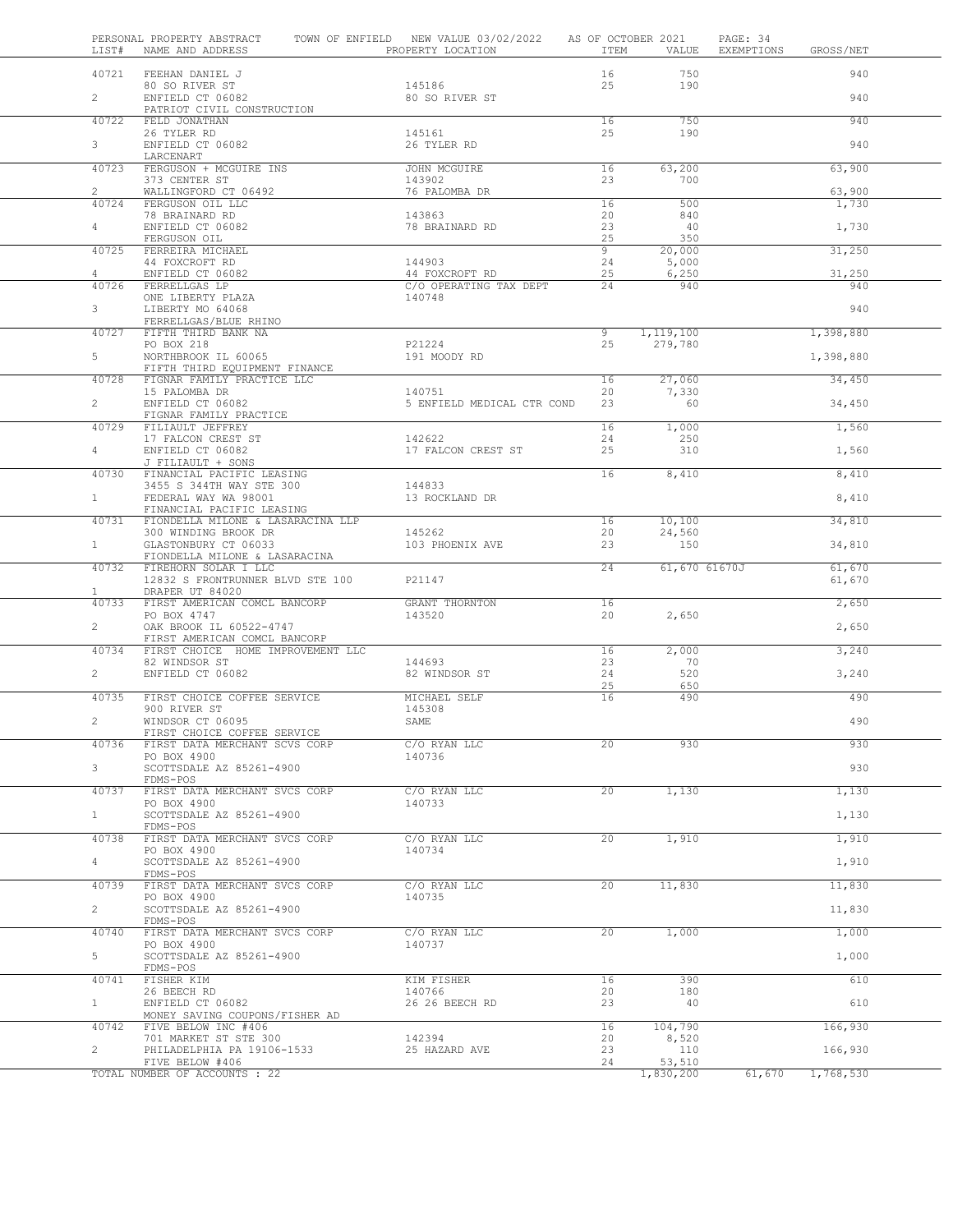| LIST#                   | PERSONAL PROPERTY ABSTRACT<br>NAME AND ADDRESS              | TOWN OF ENFIELD NEW VALUE 03/02/2022<br>PROPERTY LOCATION | ITEM                 | AS OF OCTOBER 2021<br>VALUE | PAGE: 34<br>EXEMPTIONS<br>GROSS/NET |  |
|-------------------------|-------------------------------------------------------------|-----------------------------------------------------------|----------------------|-----------------------------|-------------------------------------|--|
| 40721                   | FEEHAN DANIEL J                                             |                                                           | 16                   | 750                         | 940                                 |  |
| $\overline{2}$          | 80 SO RIVER ST<br>ENFIELD CT 06082                          | 145186<br>80 SO RIVER ST                                  | 25                   | 190                         | 940                                 |  |
| 40722                   | PATRIOT CIVIL CONSTRUCTION<br>FELD JONATHAN                 |                                                           | 16                   | 750                         | 940                                 |  |
|                         | 26 TYLER RD                                                 | 145161                                                    | 25                   | 190                         |                                     |  |
| 3                       | ENFIELD CT 06082<br>LARCENART                               | 26 TYLER RD                                               |                      |                             | 940                                 |  |
| 40723                   | FERGUSON + MCGUIRE INS                                      | JOHN MCGUIRE                                              | 16                   | 63,200                      | 63,900                              |  |
| $\overline{2}$          | 373 CENTER ST<br>WALLINGFORD CT 06492                       | 143902<br>76 PALOMBA DR                                   | 23                   | 700                         | 63,900                              |  |
| 40724                   | FERGUSON OIL LLC                                            | 143863                                                    | 16<br>20             | 500<br>840                  | 1,730                               |  |
| $4 -$                   | 78 BRAINARD RD<br>ENFIELD CT 06082                          | 78 BRAINARD RD                                            | 23                   | 40                          | 1,730                               |  |
| 40725                   | FERGUSON OIL<br>FERREIRA MICHAEL                            |                                                           | 25<br>$\overline{9}$ | 350<br>20,000               | 31,250                              |  |
|                         | 44 FOXCROFT RD                                              | 144903                                                    | 24                   | 5,000                       |                                     |  |
| $\overline{4}$<br>40726 | ENFIELD CT 06082<br>FERRELLGAS LP                           | 44 FOXCROFT RD<br>C/O OPERATING TAX DEPT                  | 25<br>24             | 6,250<br>940                | 31,250<br>940                       |  |
|                         | ONE LIBERTY PLAZA                                           | 140748                                                    |                      |                             |                                     |  |
| 3                       | LIBERTY MO 64068<br>FERRELLGAS/BLUE RHINO                   |                                                           |                      |                             | 940                                 |  |
| 40727                   | FIFTH THIRD BANK NA<br>PO BOX 218                           | P21224                                                    | 9<br>25              | 1, 119, 100<br>279,780      | 1,398,880                           |  |
| 5                       | NORTHBROOK IL 60065                                         | 191 MOODY RD                                              |                      |                             | 1,398,880                           |  |
| 40728                   | FIFTH THIRD EQUIPMENT FINANCE<br>FIGNAR FAMILY PRACTICE LLC |                                                           | 16                   | 27,060                      | 34,450                              |  |
|                         | 15 PALOMBA DR                                               | 140751                                                    | 20                   | 7,330                       |                                     |  |
| $\overline{2}$          | ENFIELD CT 06082<br>FIGNAR FAMILY PRACTICE                  | 5 ENFIELD MEDICAL CTR COND                                | 23                   | 60                          | 34,450                              |  |
| 40729                   | FILIAULT JEFFREY                                            |                                                           | 16                   | 1,000                       | 1,560                               |  |
| $4 -$                   | 17 FALCON CREST ST<br>ENFIELD CT 06082                      | 142622<br>17 FALCON CREST ST                              | 24<br>25             | 250<br>310                  | 1,560                               |  |
| 40730                   | J FILIAULT + SONS<br>FINANCIAL PACIFIC LEASING              |                                                           | 16                   | 8,410                       | 8,410                               |  |
|                         | 3455 S 344TH WAY STE 300                                    | 144833                                                    |                      |                             |                                     |  |
| 1                       | FEDERAL WAY WA 98001<br>FINANCIAL PACIFIC LEASING           | 13 ROCKLAND DR                                            |                      |                             | 8,410                               |  |
| 40731                   | FIONDELLA MILONE & LASARACINA LLP                           |                                                           | 16                   | 10,100                      | 34,810                              |  |
| 1                       | 300 WINDING BROOK DR<br>GLASTONBURY CT 06033                | 145262<br>103 PHOENIX AVE                                 | 20<br>23             | 24,560<br>150               | 34,810                              |  |
| 40732                   | FIONDELLA MILONE & LASARACINA<br>FIREHORN SOLAR I LLC       |                                                           | $\overline{24}$      | 61,670 61670J               | 61,670                              |  |
|                         | 12832 S FRONTRUNNER BLVD STE 100                            | P21147                                                    |                      |                             | 61,670                              |  |
| $\mathbf{1}$<br>40733   | DRAPER UT 84020<br>FIRST AMERICAN COMCL BANCORP             | GRANT THORNTON                                            | 16                   |                             | 2,650                               |  |
| $\overline{2}$          | PO BOX 4747<br>OAK BROOK IL 60522-4747                      | 143520                                                    | 20                   | 2,650                       | 2,650                               |  |
|                         | FIRST AMERICAN COMCL BANCORP                                |                                                           |                      |                             |                                     |  |
| 40734                   | FIRST CHOICE HOME IMPROVEMENT LLC<br>82 WINDSOR ST          | 144693                                                    | 16<br>23             | 2,000<br>70                 | 3,240                               |  |
| $\overline{2}$          | ENFIELD CT 06082                                            | 82 WINDSOR ST                                             | 24                   | 520                         | 3,240                               |  |
| 40735                   | FIRST CHOICE COFFEE SERVICE                                 | MICHAEL SELF                                              | 25<br>16             | 650<br>490                  | 490                                 |  |
|                         | 900 RIVER ST                                                | 145308                                                    |                      |                             |                                     |  |
| $\overline{2}$          | WINDSOR CT 06095<br>FIRST CHOICE COFFEE SERVICE             | SAME                                                      |                      |                             | 490                                 |  |
| 40736                   | FIRST DATA MERCHANT SCVS CORP<br>PO BOX 4900                | C/O RYAN LLC<br>140736                                    | 20                   | 930                         | 930                                 |  |
| $3 -$                   | SCOTTSDALE AZ 85261-4900                                    |                                                           |                      |                             | 930                                 |  |
| 40737                   | FDMS-POS<br>FIRST DATA MERCHANT SVCS CORP                   | C/O RYAN LLC                                              | 20                   | 1,130                       | 1,130                               |  |
|                         | PO BOX 4900                                                 | 140733                                                    |                      |                             |                                     |  |
| 1                       | SCOTTSDALE AZ 85261-4900<br>FDMS-POS                        |                                                           |                      |                             | 1,130                               |  |
| 40738                   | FIRST DATA MERCHANT SVCS CORP<br>PO BOX 4900                | C/O RYAN LLC<br>140734                                    | 20                   | 1,910                       | 1,910                               |  |
| 4                       | SCOTTSDALE AZ 85261-4900                                    |                                                           |                      |                             | 1,910                               |  |
| 40739                   | FDMS-POS<br>FIRST DATA MERCHANT SVCS CORP                   | C/O RYAN LLC                                              | $20^{-}$             | 11,830                      | 11,830                              |  |
|                         | PO BOX 4900                                                 | 140735                                                    |                      |                             |                                     |  |
| $\overline{2}$          | SCOTTSDALE AZ 85261-4900<br>FDMS-POS                        |                                                           |                      |                             | 11,830                              |  |
| 40740                   | FIRST DATA MERCHANT SVCS CORP<br>PO BOX 4900                | C/O RYAN LLC<br>140737                                    | 20 <sub>2</sub>      | 1,000                       | 1,000                               |  |
| 5                       | SCOTTSDALE AZ 85261-4900                                    |                                                           |                      |                             | 1,000                               |  |
| 40741                   | FDMS-POS<br>FISHER KIM                                      | KIM FISHER                                                | 16                   | 390                         | 610                                 |  |
|                         | 26 BEECH RD                                                 | 140766                                                    | 20                   | 180                         |                                     |  |
| $\mathbf{1}$            | ENFIELD CT 06082<br>MONEY SAVING COUPONS/FISHER AD          | 26 26 BEECH RD                                            | 23                   | 40                          | 610                                 |  |
| 40742                   | FIVE BELOW INC #406<br>701 MARKET ST STE 300                | 142394                                                    | 16<br>20             | 104,790<br>8,520            | 166,930                             |  |
| $\overline{2}$          | PHILADELPHIA PA 19106-1533                                  | 25 HAZARD AVE                                             | 23                   | 110                         | 166,930                             |  |
|                         | FIVE BELOW #406<br>TOTAL NUMBER OF ACCOUNTS : 22            |                                                           | 24                   | 53,510<br>1,830,200         | 61,670<br>1,768,530                 |  |
|                         |                                                             |                                                           |                      |                             |                                     |  |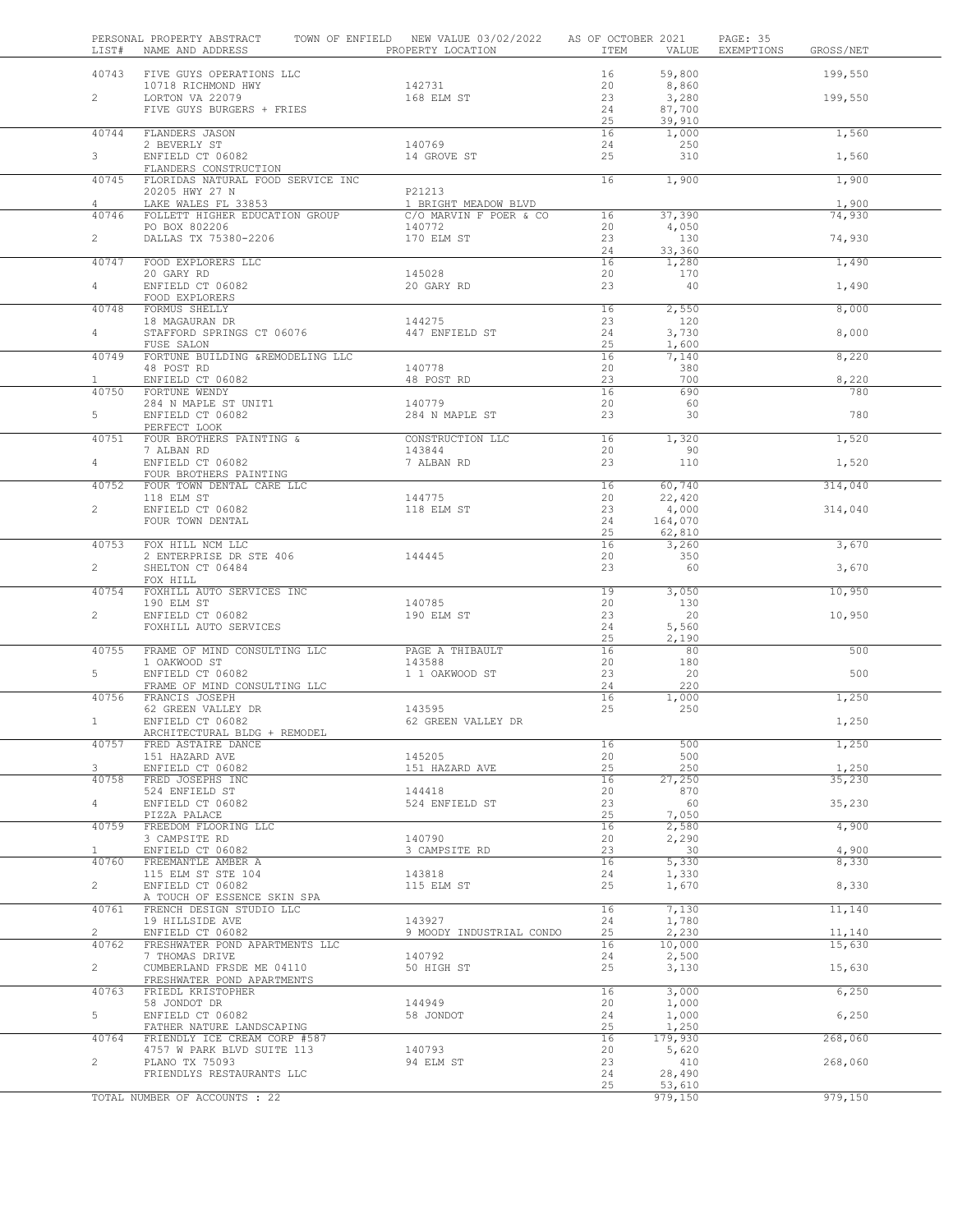|                       | PERSONAL PROPERTY ABSTRACT<br>LIST# NAME AND ADDRESS TO PROPERTY LOCATION | TOWN OF ENFIELD NEW VALUE 03/02/2022 AS OF OCTOBER 2021 |                 |                  | PAGE: 35<br>ITEM VALUE EXEMPTIONS GROSS/NET |                 |
|-----------------------|---------------------------------------------------------------------------|---------------------------------------------------------|-----------------|------------------|---------------------------------------------|-----------------|
|                       | 40743 FIVE GUYS OPERATIONS LLC                                            |                                                         | 16              | 59,800           |                                             | 199,550         |
| $\overline{2}$        | 10718 RICHMOND HWY<br>LORTON VA 22079                                     | 142731<br>168 ELM ST                                    | 20<br>23        | 8,860<br>3,280   |                                             | 199,550         |
|                       | FIVE GUYS BURGERS + FRIES                                                 |                                                         | 24              | 87,700           |                                             |                 |
|                       |                                                                           |                                                         | 25              | 39,910           |                                             |                 |
| 40744                 | FLANDERS JASON                                                            |                                                         | 16              | 1,000            |                                             | 1,560           |
| $3^{\circ}$           | 2 BEVERLY ST<br>ENFIELD CT 06082                                          | 140769<br>14 GROVE ST                                   | 24<br>25        | 250<br>310       |                                             | 1,560           |
|                       | FLANDERS CONSTRUCTION                                                     |                                                         |                 |                  |                                             |                 |
| 40745                 | FLORIDAS NATURAL FOOD SERVICE INC                                         |                                                         | 16              | 1,900            |                                             | 1,900           |
|                       | 20205 HWY 27 N<br>LAKE WALES FL 33853                                     | P21213                                                  |                 |                  |                                             |                 |
| 4<br>40746            | FOLLETT HIGHER EDUCATION GROUP                                            | 1 BRIGHT MEADOW BLVD<br>C/O MARVIN F POER & CO          | 16              | 37,390           |                                             | 1,900<br>74,930 |
|                       | PO BOX 802206 PO BOX 802206                                               | 140772                                                  | 20              | 4,050            |                                             |                 |
| $\overline{2}$        | DALLAS TX 75380-2206                                                      | 170 ELM ST                                              | 23              | 130              |                                             | 74,930          |
|                       | 40747 FOOD EXPLORERS LLC                                                  |                                                         | 24<br>16        | 33,360<br>1,280  |                                             | 1,490           |
|                       | 20 GARY RD                                                                | 145028                                                  | 20              | 170              |                                             |                 |
| $4\degree$            | ENFIELD CT 06082                                                          | 20 GARY RD                                              | 23              | 40               |                                             | 1,490           |
| 40748                 | FOOD EXPLORERS<br>FORMUS SHELLY                                           |                                                         | 16              | 2,550            |                                             | 8,000           |
|                       | 18 MAGAURAN DR                                                            | 144275                                                  | 23              | 120              |                                             |                 |
| $4 -$                 | STAFFORD SPRINGS CT 06076                                                 | 447 ENFIELD ST                                          | 24              | 3,730            |                                             | 8,000           |
| 40749                 | FUSE SALON<br>FORTUNE BUILDING &REMODELING LLC                            |                                                         | 25<br>16        | 1,600            |                                             | 8,220           |
|                       | 48 POST RD                                                                | 140778                                                  | 20              | 7,140<br>380     |                                             |                 |
| $\mathbf{1}$          | ENFIELD CT 06082                                                          | 48 POST RD                                              | 23              | 700              |                                             | 8,220           |
| 40750                 | FORTUNE WENDY                                                             |                                                         | 16              | 690              |                                             | 780             |
| 5                     | 284 N MAPLE ST UNIT1<br>ENFIELD CT 06082                                  | 140779<br>284 N MAPLE ST                                | 20<br>23        | 60<br>30         |                                             | 780             |
|                       | PERFECT LOOK                                                              |                                                         |                 |                  |                                             |                 |
| 40751                 | FOUR BROTHERS PAINTING &                                                  | CONSTRUCTION LLC                                        | 16              | 1,320            |                                             | 1,520           |
| $\overline{4}$        | 7 ALBAN RD<br>ENFIELD CT 06082                                            | 143844<br>7 ALBAN RD                                    | 20<br>23        | 90<br>110        |                                             | 1,520           |
|                       | FOUR BROTHERS PAINTING                                                    |                                                         |                 |                  |                                             |                 |
| 40752                 | FOUR TOWN DENTAL CARE LLC                                                 |                                                         | 16              | 60,740           |                                             | 314,040         |
| $\overline{2}$        | 118 ELM ST<br>ENFIELD CT 06082                                            | 144775<br>118 ELM ST                                    | 20<br>23        | 22,420<br>4,000  |                                             | 314,040         |
|                       | FOUR TOWN DENTAL                                                          |                                                         | 24              | 164,070          |                                             |                 |
|                       |                                                                           |                                                         | 25              | 62,810           |                                             |                 |
| 40753                 | FOX HILL NCM LLC                                                          |                                                         | 16              | 3,260            |                                             | 3,670           |
| $\overline{2}$        | 2 ENTERPRISE DR STE 406<br>SHELTON CT 06484                               | 144445                                                  | 20<br>23        | 350<br>60        |                                             | 3,670           |
|                       | FOX HILL                                                                  |                                                         |                 |                  |                                             |                 |
| 40754                 | FOXHILL AUTO SERVICES INC                                                 |                                                         | $\overline{19}$ | 3,050            |                                             | 10,950          |
| $\overline{2}$        | 190 ELM ST<br>ENFIELD CT 06082                                            | 140785<br>190 ELM ST                                    | 20<br>23        | 130<br>20        |                                             | 10,950          |
|                       | FOXHILL AUTO SERVICES                                                     |                                                         | 24              | 5,560            |                                             |                 |
|                       |                                                                           |                                                         | 25              | 2,190            |                                             |                 |
| 40755                 | FRAME OF MIND CONSULTING LLC                                              | PAGE A THIBAULT<br>143588                               | 16<br>20        | 80<br>180        |                                             | 500             |
| $5 -$                 | 1 OAKWOOD ST<br>ENFIELD CT 06082                                          | 1 1 OAKWOOD ST                                          | 23              | 20               |                                             | 500             |
|                       | FRAME OF MIND CONSULTING LLC                                              |                                                         | 24              | 220              |                                             |                 |
|                       | 40756 FRANCIS JOSEPH<br>FRANCIS JOSEFII<br>62 GREEN VALLEY DR             | 143595                                                  | 16<br>25        | 1,000<br>250     |                                             | 1,250           |
| $\mathbf{1}$          | ENFIELD CT 06082                                                          | 62 GREEN VALLEY DR                                      |                 |                  |                                             | 1,250           |
|                       | ARCHITECTURAL BLDG + REMODEL                                              |                                                         |                 |                  |                                             |                 |
| 40757                 | FRED ASTAIRE DANCE<br>151 HAZARD AVE                                      | 145205                                                  | 16<br>20        | 500<br>500       |                                             | 1,250           |
| 3                     | ENFIELD CT 06082                                                          | 151 HAZARD AVE                                          | 25              | 250              |                                             | 1,250           |
| 40758                 | FRED JOSEPHS INC                                                          |                                                         | 16              | 27,250           |                                             | 35,230          |
|                       | 524 ENFIELD ST                                                            | 144418<br>524 ENFIELD ST                                | 20              | 870<br>60        |                                             |                 |
| $\overline{4}$        | ENFIELD CT 06082<br>PIZZA PALACE                                          |                                                         | 23<br>25        | 7,050            |                                             | 35,230          |
| 40759                 | FREEDOM FLOORING LLC                                                      |                                                         | 16              | 2,580            |                                             | 4,900           |
|                       | 3 CAMPSITE RD                                                             | 140790                                                  | 20              | 2,290            |                                             |                 |
| $\mathbf{1}$<br>40760 | ENFIELD CT 06082<br>FREEMANTLE AMBER A                                    | 3 CAMPSITE RD                                           | 23<br>16        | 30<br>5,330      |                                             | 4,900<br>8,330  |
|                       | 115 ELM ST STE 104                                                        | 143818                                                  | 24              | 1,330            |                                             |                 |
| $\overline{a}$        | ENFIELD CT 06082                                                          | 115 ELM ST                                              | 25              | 1,670            |                                             | 8,330           |
| 40761                 | A TOUCH OF ESSENCE SKIN SPA<br>FRENCH DESIGN STUDIO LLC                   |                                                         | 16              | 7,130            |                                             | 11,140          |
|                       | 19 HILLSIDE AVE                                                           | 143927                                                  | 24              | 1,780            |                                             |                 |
| $\overline{2}$        | ENFIELD CT 06082                                                          | 9 MOODY INDUSTRIAL CONDO                                | 25              | 2,230            |                                             | 11,140          |
| 40762                 | FRESHWATER POND APARTMENTS LLC<br>7 THOMAS DRIVE                          | 140792                                                  | 16<br>24        | 10,000<br>2,500  |                                             | 15,630          |
| $\overline{2}$        | CUMBERLAND FRSDE ME 04110                                                 | 50 HIGH ST                                              | 25              | 3,130            |                                             | 15,630          |
|                       | FRESHWATER POND APARTMENTS                                                |                                                         |                 |                  |                                             |                 |
| 40763                 | FRIEDL KRISTOPHER<br>58 JONDOT DR                                         | 144949                                                  | 16<br>20        | 3,000<br>1,000   |                                             | 6,250           |
| 5                     | ENFIELD CT 06082                                                          | 58 JONDOT                                               | 24              | 1,000            |                                             | 6,250           |
|                       | FATHER NATURE LANDSCAPING                                                 |                                                         | 25              | 1,250            |                                             |                 |
| 40764                 | FRIENDLY ICE CREAM CORP #587<br>4757 W PARK BLVD SUITE 113                | 140793                                                  | 16<br>20        | 179,930<br>5,620 |                                             | 268,060         |
| $\overline{c}$        | PLANO TX 75093                                                            | 94 ELM ST                                               | 23              | 410              |                                             | 268,060         |
|                       | FRIENDLYS RESTAURANTS LLC                                                 |                                                         | 24              | 28,490           |                                             |                 |
|                       | TOTAL NUMBER OF ACCOUNTS : 22                                             |                                                         | 25              | 53,610           |                                             | 979,150         |
|                       |                                                                           |                                                         |                 | 979,150          |                                             |                 |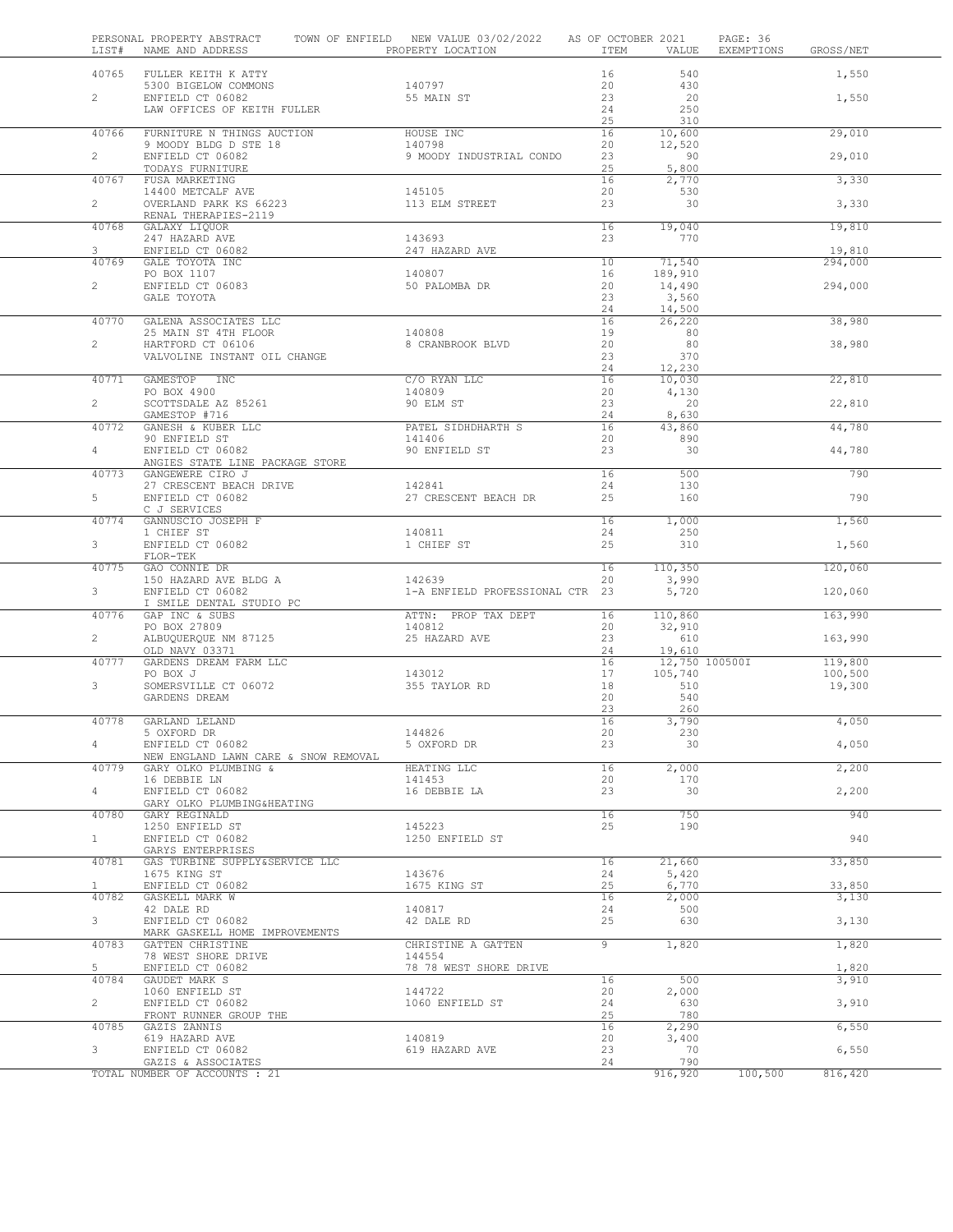| LIST#                 | PERSONAL PROPERTY ABSTRACT<br>NAME AND ADDRESS     | TOWN OF ENFIELD NEW VALUE 03/02/2022<br>PROPERTY LOCATION | AS OF OCTOBER 2021<br>ITEM | VALUE                     | PAGE: 36<br>EXEMPTIONS<br>GROSS/NET |  |
|-----------------------|----------------------------------------------------|-----------------------------------------------------------|----------------------------|---------------------------|-------------------------------------|--|
| 40765                 | FULLER KEITH K ATTY                                |                                                           | 16                         | 540                       | 1,550                               |  |
|                       | 5300 BIGELOW COMMONS                               | 140797                                                    | 20                         | 430                       |                                     |  |
| $\overline{c}$        | ENFIELD CT 06082                                   | 55 MAIN ST                                                | 23                         | 20                        | 1,550                               |  |
|                       | LAW OFFICES OF KEITH FULLER                        |                                                           | 24                         | 250                       |                                     |  |
| 40766                 | FURNITURE N THINGS AUCTION                         | HOUSE INC                                                 | 25<br>16                   | 310<br>10,600             | 29,010                              |  |
|                       | 9 MOODY BLDG D STE 18                              | 140798                                                    | 20                         | 12,520                    |                                     |  |
| $\mathbf{2}$          | ENFIELD CT 06082                                   | 9 MOODY INDUSTRIAL CONDO                                  | 23                         | 90                        | 29,010                              |  |
| 40767                 | TODAYS FURNITURE<br>FUSA MARKETING                 |                                                           | 25<br>16                   | 5,800<br>2,770            | 3,330                               |  |
|                       | 14400 METCALF AVE                                  | 145105                                                    | 20                         | 530                       |                                     |  |
| $\mathbf{2}^{\prime}$ | OVERLAND PARK KS 66223                             | 113 ELM STREET                                            | 23                         | 30                        | 3,330                               |  |
| 40768                 | RENAL THERAPIES-2119<br>GALAXY LIQUOR              |                                                           | 16                         | 19,040                    | 19,810                              |  |
|                       | 247 HAZARD AVE                                     | 143693                                                    | 23                         | 770                       |                                     |  |
| 3                     | ENFIELD CT 06082                                   | 247 HAZARD AVE                                            |                            |                           | 19,810                              |  |
| 40769                 | GALE TOYOTA INC<br>PO BOX 1107                     | 140807                                                    | 10<br>16                   | 71,540<br>189,910         | 294,000                             |  |
| $\mathbf{2}$          | ENFIELD CT 06083                                   | 50 PALOMBA DR                                             | 20                         | 14,490                    | 294,000                             |  |
|                       | GALE TOYOTA                                        |                                                           | 23                         | 3,560                     |                                     |  |
| 40770                 | GALENA ASSOCIATES LLC                              |                                                           | 24<br>16                   | 14,500                    | 38,980                              |  |
|                       | 25 MAIN ST 4TH FLOOR                               | 140808                                                    | 19                         | 26,220<br>80              |                                     |  |
| $\mathbf{2}$          | HARTFORD CT 06106                                  | 8 CRANBROOK BLVD                                          | 20                         | 80                        | 38,980                              |  |
|                       | VALVOLINE INSTANT OIL CHANGE                       |                                                           | 23                         | 370                       |                                     |  |
| 40771                 | GAMESTOP INC                                       | C/O RYAN LLC                                              | 24<br>16                   | 12,230<br>10,030          | 22,810                              |  |
|                       | PO BOX 4900                                        | 140809                                                    | 20                         | 4,130                     |                                     |  |
| $\overline{2}$        | SCOTTSDALE AZ 85261                                | 90 ELM ST                                                 | 23                         | 20                        | 22,810                              |  |
| 40772                 | GAMESTOP #716<br>GANESH & KUBER LLC                | PATEL SIDHDHARTH S                                        | 24<br>16                   | 8,630<br>43,860           | 44,780                              |  |
|                       | 90 ENFIELD ST                                      | 141406                                                    | 20                         | 890                       |                                     |  |
| $\overline{4}$        | ENFIELD CT 06082                                   | 90 ENFIELD ST                                             | 23                         | 30                        | 44,780                              |  |
|                       | ANGIES STATE LINE PACKAGE STORE                    |                                                           |                            |                           |                                     |  |
| 40773                 | GANGEWERE CIRO J<br>27 CRESCENT BEACH DRIVE        | 142841                                                    | 16<br>24                   | 500<br>130                | 790                                 |  |
| 5                     | ENFIELD CT 06082                                   | 27 CRESCENT BEACH DR                                      | 25                         | 160                       | 790                                 |  |
|                       | C J SERVICES                                       |                                                           |                            |                           |                                     |  |
| 40774                 | GANNUSCIO JOSEPH F<br>1 CHIEF ST                   | 140811                                                    | 16<br>24                   | 1,000<br>250              | 1,560                               |  |
| 3                     | ENFIELD CT 06082                                   | 1 CHIEF ST                                                | 25                         | 310                       | 1,560                               |  |
|                       | FLOR-TEK                                           |                                                           |                            |                           |                                     |  |
| 40775                 | GAO CONNIE DR<br>150 HAZARD AVE BLDG A             | 142639                                                    | 16<br>20                   | 110,350<br>3,990          | 120,060                             |  |
| 3                     | ENFIELD CT 06082                                   | 1-A ENFIELD PROFESSIONAL CTR 23                           |                            | 5,720                     | 120,060                             |  |
|                       | I SMILE DENTAL STUDIO PC                           |                                                           |                            |                           |                                     |  |
| 40776                 | GAP INC & SUBS<br>PO BOX 27809                     | ATTN: PROP TAX DEPT<br>140812                             | 16<br>20                   | 110,860<br>32,910         | 163,990                             |  |
| $\mathbf{2}^{\prime}$ | ALBUQUERQUE NM 87125                               | 25 HAZARD AVE                                             | 23                         | 610                       | 163,990                             |  |
|                       | OLD NAVY 03371                                     |                                                           | 24                         | 19,610                    |                                     |  |
| 40777                 | GARDENS DREAM FARM LLC<br>PO BOX J                 | 143012                                                    | 16<br>17                   | 12,750 100500I<br>105,740 | 119,800<br>100,500                  |  |
| 3                     | SOMERSVILLE CT 06072                               | 355 TAYLOR RD                                             | 18                         | 510                       | 19,300                              |  |
|                       | GARDENS DREAM                                      |                                                           | 20                         | 540                       |                                     |  |
|                       |                                                    |                                                           | 23                         | 260                       |                                     |  |
| 40778                 | GARLAND LELAND<br>5 OXFORD DR                      | 144826                                                    | 16<br>20                   | 3,790<br>230              | 4,050                               |  |
| 4                     | ENFIELD CT 06082                                   | 5 OXFORD DR                                               | 23                         | 30                        | 4,050                               |  |
|                       | NEW ENGLAND LAWN CARE & SNOW REMOVAL               |                                                           |                            |                           |                                     |  |
| 40779                 | GARY OLKO PLUMBING &<br>16 DEBBIE LN               | HEATING LLC<br>141453                                     | 16<br>20                   | 2,000<br>170              | 2,200                               |  |
| 4                     | ENFIELD CT 06082                                   | 16 DEBBIE LA                                              | 23                         | 30                        | 2,200                               |  |
|                       | GARY OLKO PLUMBING&HEATING                         |                                                           |                            |                           |                                     |  |
| 40780                 | GARY REGINALD<br>1250 ENFIELD ST                   | 145223                                                    | 16<br>25                   | 750<br>190                | 940                                 |  |
| $\mathbf{1}$          | ENFIELD CT 06082                                   | 1250 ENFIELD ST                                           |                            |                           | 940                                 |  |
|                       | GARYS ENTERPRISES                                  |                                                           |                            |                           |                                     |  |
| 40781                 | GAS TURBINE SUPPLY&SERVICE LLC<br>1675 KING ST     | 143676                                                    | 16<br>24                   | 21,660<br>5,420           | 33,850                              |  |
| $\mathbf{1}$          | ENFIELD CT 06082                                   | 1675 KING ST                                              | 25                         | 6,770                     | 33,850                              |  |
| 40782                 | GASKELL MARK W                                     |                                                           | 16                         | 2,000                     | 3,130                               |  |
|                       | 42 DALE RD                                         | 140817                                                    | 24                         | 500                       |                                     |  |
| 3                     | ENFIELD CT 06082<br>MARK GASKELL HOME IMPROVEMENTS | 42 DALE RD                                                | 25                         | 630                       | 3,130                               |  |
| 40783                 | GATTEN CHRISTINE                                   | CHRISTINE A GATTEN                                        | 9                          | 1,820                     | 1,820                               |  |
|                       | 78 WEST SHORE DRIVE                                | 144554                                                    |                            |                           |                                     |  |
| 5<br>40784            | ENFIELD CT 06082<br>GAUDET MARK S                  | 78 78 WEST SHORE DRIVE                                    | 16                         | 500                       | 1,820<br>3,910                      |  |
|                       | 1060 ENFIELD ST                                    | 144722                                                    | 20                         | 2,000                     |                                     |  |
| $\overline{2}$        | ENFIELD CT 06082                                   | 1060 ENFIELD ST                                           | 24                         | 630                       | 3,910                               |  |
| 40785                 | FRONT RUNNER GROUP THE<br>GAZIS ZANNIS             |                                                           | 25<br>16                   | 780<br>2,290              | 6,550                               |  |
|                       | 619 HAZARD AVE                                     | 140819                                                    | 20                         | 3,400                     |                                     |  |
| 3                     | ENFIELD CT 06082                                   | 619 HAZARD AVE                                            | 23                         | 70                        | 6,550                               |  |
|                       | GAZIS & ASSOCIATES                                 |                                                           | 24                         | 790                       |                                     |  |
|                       | TOTAL NUMBER OF ACCOUNTS : 21                      |                                                           |                            | 916,920                   | 100,500<br>816,420                  |  |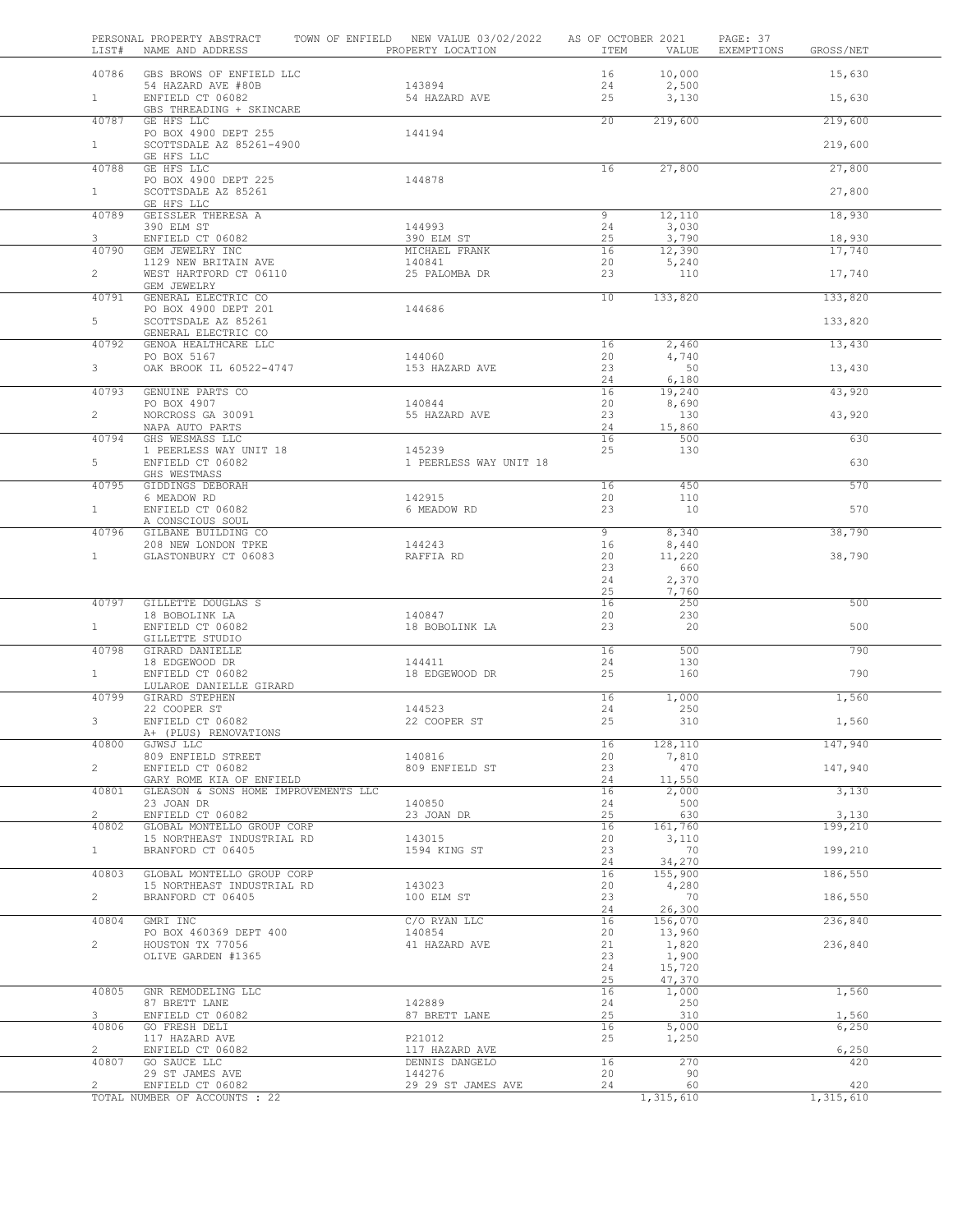| LIST#                   | PERSONAL PROPERTY ABSTRACT<br>NAME AND ADDRESS           | TOWN OF ENFIELD NEW VALUE 03/02/2022<br>PROPERTY LOCATION | AS OF OCTOBER 2021<br>ITEM | VALUE            | PAGE: 37<br>EXEMPTIONS<br>GROSS/NET |  |
|-------------------------|----------------------------------------------------------|-----------------------------------------------------------|----------------------------|------------------|-------------------------------------|--|
| 40786                   | GBS BROWS OF ENFIELD LLC                                 |                                                           | 16                         | 10,000           | 15,630                              |  |
| $\mathbf{1}$            | 54 HAZARD AVE #80B<br>ENFIELD CT 06082                   | 143894<br>54 HAZARD AVE                                   | 24<br>25                   | 2,500<br>3,130   | 15,630                              |  |
|                         | GBS THREADING + SKINCARE                                 |                                                           |                            |                  |                                     |  |
| 40787                   | GE HFS LLC<br>PO BOX 4900 DEPT 255                       | 144194                                                    | 20                         | 219,600          | 219,600                             |  |
| $\mathbf{1}$            | SCOTTSDALE AZ 85261-4900<br>GE HFS LLC                   |                                                           |                            |                  | 219,600                             |  |
| 40788                   | GE HFS LLC                                               |                                                           | 16                         | 27,800           | 27,800                              |  |
| $\mathbf{1}$            | PO BOX 4900 DEPT 225<br>SCOTTSDALE AZ 85261              | 144878                                                    |                            |                  | 27,800                              |  |
| 40789                   | GE HFS LLC<br>GEISSLER THERESA A                         |                                                           | 9                          | 12,110           | 18,930                              |  |
|                         | 390 ELM ST                                               | 144993                                                    | 24                         | 3,030            |                                     |  |
| 3<br>40790              | ENFIELD CT 06082<br>GEM JEWELRY INC                      | 390 ELM ST<br>MICHAEL FRANK                               | 25<br>16                   | 3,790<br>12,390  | 18,930<br>17,740                    |  |
| $\overline{2}$          | 1129 NEW BRITAIN AVE<br>WEST HARTFORD CT 06110           | 140841<br>25 PALOMBA DR                                   | 20<br>23                   | 5,240<br>110     | 17,740                              |  |
| 40791                   | GEM JEWELRY<br>GENERAL ELECTRIC CO                       |                                                           | $\overline{10}$            | 133,820          | 133,820                             |  |
|                         | PO BOX 4900 DEPT 201                                     | 144686                                                    |                            |                  |                                     |  |
| 5                       | SCOTTSDALE AZ 85261<br>GENERAL ELECTRIC CO               |                                                           |                            |                  | 133,820                             |  |
| 40792                   | GENOA HEALTHCARE LLC<br>PO BOX 5167                      | 144060                                                    | 16<br>20                   | 2,460<br>4,740   | 13,430                              |  |
| 3 <sup>7</sup>          | OAK BROOK IL 60522-4747                                  | 153 HAZARD AVE                                            | 23                         | 50               | 13,430                              |  |
| 40793                   | GENUINE PARTS CO                                         |                                                           | 24<br>16                   | 6,180<br>19,240  | 43,920                              |  |
| $\mathbf{2}$            | PO BOX 4907<br>NORCROSS GA 30091                         | 140844<br>55 HAZARD AVE                                   | 20<br>23                   | 8,690<br>130     | 43,920                              |  |
| 40794                   | NAPA AUTO PARTS<br>GHS WESMASS LLC                       |                                                           | 24<br>16                   | 15,860<br>500    | 630                                 |  |
|                         | 1 PEERLESS WAY UNIT 18                                   | 145239                                                    | 25                         | 130              |                                     |  |
| 5                       | ENFIELD CT 06082<br>GHS WESTMASS                         | 1 PEERLESS WAY UNIT 18                                    |                            |                  | 630                                 |  |
| 40795                   | GIDDINGS DEBORAH<br>6 MEADOW RD                          | 142915                                                    | 16<br>20                   | 450<br>110       | 570                                 |  |
| 1                       | ENFIELD CT 06082                                         | 6 MEADOW RD                                               | 23                         | 10               | 570                                 |  |
| 40796                   | A CONSCIOUS SOUL<br>GILBANE BUILDING CO                  |                                                           | 9                          | 8,340            | 38,790                              |  |
| $\mathbf{1}$            | 208 NEW LONDON TPKE<br>GLASTONBURY CT 06083              | 144243<br>RAFFIA RD                                       | 16<br>20                   | 8,440<br>11,220  | 38,790                              |  |
|                         |                                                          |                                                           | 23<br>24                   | 660<br>2,370     |                                     |  |
| 40797                   | GILLETTE DOUGLAS S                                       |                                                           | 25<br>16                   | 7,760<br>250     | 500                                 |  |
|                         | 18 BOBOLINK LA                                           | 140847                                                    | 20                         | 230              |                                     |  |
| $\mathbf{1}$            | ENFIELD CT 06082<br>GILLETTE STUDIO                      | 18 BOBOLINK LA                                            | 23                         | 20               | 500                                 |  |
| 40798                   | GIRARD DANIELLE<br>18 EDGEWOOD DR                        | 144411                                                    | 16<br>24                   | 500<br>130       | 790                                 |  |
| 1                       | ENFIELD CT 06082<br>LULAROE DANIELLE GIRARD              | 18 EDGEWOOD DR                                            | 25                         | 160              | 790                                 |  |
| 40799                   | GIRARD STEPHEN                                           |                                                           | 16                         | 1,000            | 1,560                               |  |
| 3                       | 22 COOPER ST<br>ENFIELD CT 06082                         | 144523<br>22 COOPER ST                                    | 24<br>25                   | 250<br>310       | 1,560                               |  |
| 40800                   | A+ (PLUS) RENOVATIONS<br>GJWSJ LLC                       |                                                           | 16                         | 128,110          | 147,940                             |  |
| $\overline{2}$          | 809 ENFIELD STREET<br>ENFIELD CT 06082                   | 140816                                                    | 20<br>23                   | 7,810<br>470     |                                     |  |
|                         | GARY ROME KIA OF ENFIELD                                 | 809 ENFIELD ST                                            | 24                         | 11,550           | 147,940                             |  |
| 40801                   | GLEASON & SONS HOME IMPROVEMENTS LLC<br>23 JOAN DR       | 140850                                                    | 16<br>24                   | 2,000<br>500     | 3,130                               |  |
| $\overline{2}$<br>40802 | ENFIELD CT 06082<br>GLOBAL MONTELLO GROUP CORP           | 23 JOAN DR                                                | 25<br>16                   | 630<br>161,760   | 3,130<br>199,210                    |  |
|                         | 15 NORTHEAST INDUSTRIAL RD                               | 143015                                                    | 20                         | 3,110            |                                     |  |
| 1                       | BRANFORD CT 06405                                        | 1594 KING ST                                              | 23<br>24                   | 70<br>34,270     | 199,210                             |  |
| 40803                   | GLOBAL MONTELLO GROUP CORP<br>15 NORTHEAST INDUSTRIAL RD | 143023                                                    | 16<br>20                   | 155,900<br>4,280 | 186,550                             |  |
| $\overline{2}$          | BRANFORD CT 06405                                        | 100 ELM ST                                                | 23<br>24                   | 70<br>26,300     | 186,550                             |  |
| 40804                   | GMRI INC                                                 | C/O RYAN LLC                                              | 16                         | 156,070          | 236,840                             |  |
| $\overline{2}$          | PO BOX 460369 DEPT 400<br>HOUSTON TX 77056               | 140854<br>41 HAZARD AVE                                   | 20<br>21                   | 13,960<br>1,820  | 236,840                             |  |
|                         | OLIVE GARDEN #1365                                       |                                                           | 23<br>24                   | 1,900<br>15,720  |                                     |  |
| 40805                   |                                                          |                                                           | 25<br>16                   | 47,370           | 1,560                               |  |
|                         | GNR REMODELING LLC<br>87 BRETT LANE                      | 142889                                                    | 24                         | 1,000<br>250     |                                     |  |
| 3<br>40806              | ENFIELD CT 06082<br>GO FRESH DELI                        | 87 BRETT LANE                                             | 25<br>16                   | 310<br>5,000     | 1,560<br>6,250                      |  |
| $\overline{2}$          | 117 HAZARD AVE<br>ENFIELD CT 06082                       | P21012<br>117 HAZARD AVE                                  | 25                         | 1,250            | 6,250                               |  |
| 40807                   | GO SAUCE LLC                                             | DENNIS DANGELO                                            | 16                         | 270              | 420                                 |  |
| $\overline{2}$          | 29 ST JAMES AVE<br>ENFIELD CT 06082                      | 144276<br>29 29 ST JAMES AVE                              | 20<br>24                   | 90<br>60         | 420                                 |  |
|                         | TOTAL NUMBER OF ACCOUNTS : 22                            |                                                           |                            | 1,315,610        | 1,315,610                           |  |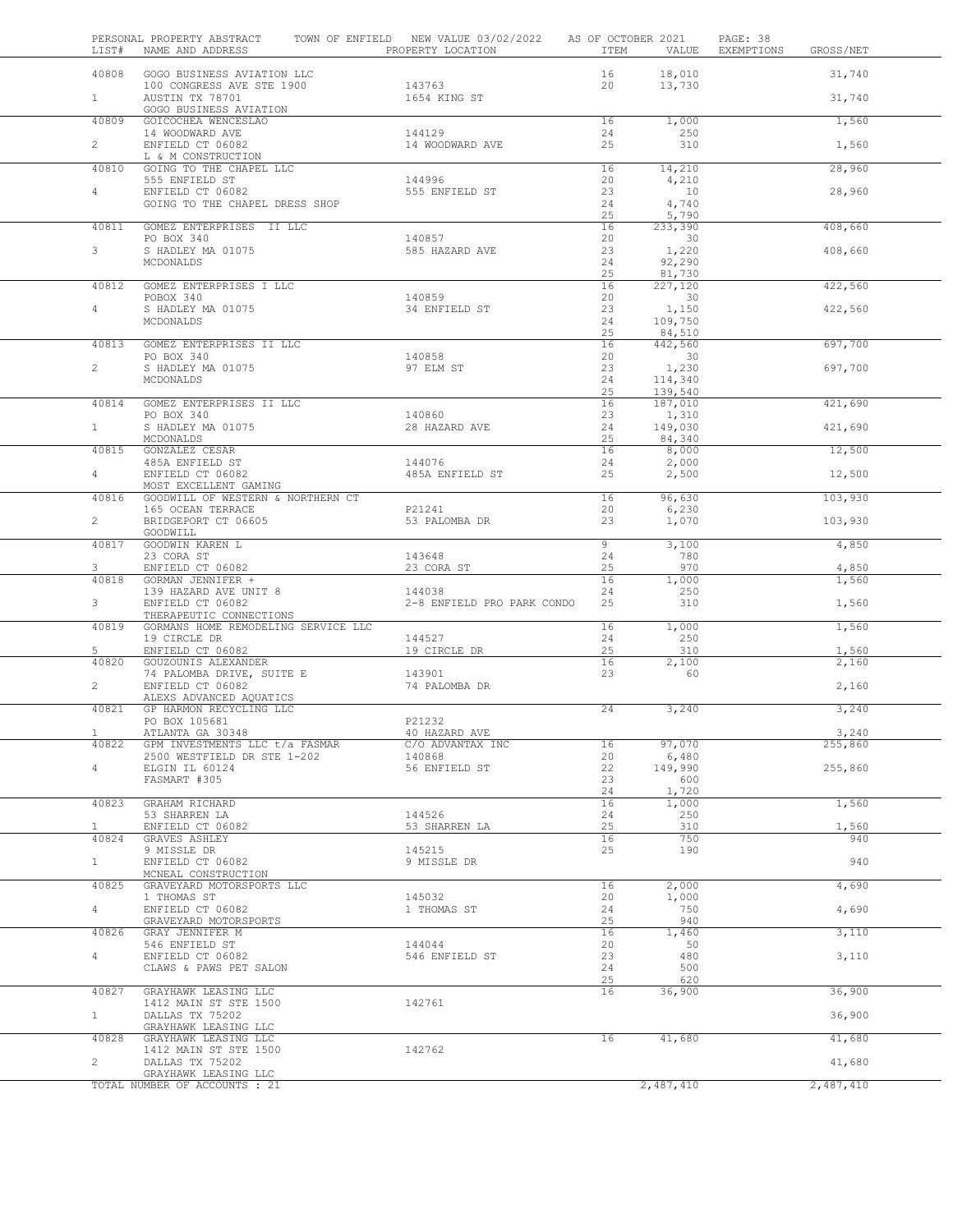| LIST#                 | PERSONAL PROPERTY ABSTRACT TOWN OF ENFIELD NEW VALUE 03/02/2022 AS OF OCTOBER 2021<br>NAME AND ADDRESS THE PROPERTY LOCATION |                                      | ITEM     | VALUE                    | PAGE: 38<br>EXEMPTIONS | GROSS/NET        |
|-----------------------|------------------------------------------------------------------------------------------------------------------------------|--------------------------------------|----------|--------------------------|------------------------|------------------|
| 40808                 | GOGO BUSINESS AVIATION LLC                                                                                                   |                                      | 16       | 18,010                   |                        | 31,740           |
| 1                     | 100 CONGRESS AVE STE 1900<br>AUSTIN TX 78701                                                                                 | 143763<br>1654 KING ST               | 20       | 13,730                   |                        | 31,740           |
| 40809                 | GOGO BUSINESS AVIATION<br>GOICOCHEA WENCESLAO                                                                                |                                      | 16       | 1,000                    |                        |                  |
|                       | 14 WOODWARD AVE                                                                                                              | 144129                               | 24       | 250                      |                        | 1,560            |
| $\overline{2}$        | ENFIELD CT 06082<br>L & M CONSTRUCTION                                                                                       | 14 WOODWARD AVE                      | 25       | 310                      |                        | 1,560            |
| 40810                 | GOING TO THE CHAPEL LLC                                                                                                      |                                      | 16       | 14,210                   |                        | 28,960           |
| $4 -$                 | 555 ENFIELD ST<br>ENFIELD CT 06082                                                                                           | 144996<br>555 ENFIELD ST             | 20<br>23 | 4,210<br>10              |                        | 28,960           |
|                       | GOING TO THE CHAPEL DRESS SHOP                                                                                               |                                      | 24<br>25 | 4,740<br>5,790           |                        |                  |
| 40811                 | GOMEZ ENTERPRISES II LLC                                                                                                     |                                      | 16       | 233,390                  |                        | 408,660          |
| 3                     | PO BOX 340<br>S HADLEY MA 01075                                                                                              | 140857<br>585 HAZARD AVE             | 20<br>23 | 30<br>1,220              |                        | 408,660          |
|                       | MCDONALDS                                                                                                                    |                                      | 24<br>25 | 92,290<br>81,730         |                        |                  |
| 40812                 | GOMEZ ENTERPRISES I LLC                                                                                                      |                                      | 16       | 227,120                  |                        | 422,560          |
| $4 -$                 | POBOX 340<br>S HADLEY MA 01075                                                                                               | 140859<br>34 ENFIELD ST              | 20<br>23 | 30<br>1,150              |                        | 422,560          |
|                       | MCDONALDS                                                                                                                    |                                      | 24<br>25 | 109,750<br>84,510        |                        |                  |
| 40813                 | GOMEZ ENTERPRISES II LLC                                                                                                     |                                      | 16       | 442,560                  |                        | 697,700          |
| $\overline{2}$        | PO BOX 340<br>S HADLEY MA 01075                                                                                              | 140858<br>97 ELM ST                  | 20<br>23 | $\overline{30}$<br>1,230 |                        | 697,700          |
|                       | MCDONALDS                                                                                                                    |                                      | 24<br>25 | 114,340<br>139,540       |                        |                  |
| 40814                 | GOMEZ ENTERPRISES II LLC                                                                                                     |                                      | 16       | 187,010                  |                        | 421,690          |
| 1                     | PO BOX 340<br>S HADLEY MA 01075                                                                                              | 140860<br>28 HAZARD AVE              | 23<br>24 | 1,310<br>149,030         |                        | 421,690          |
| 40815                 | MCDONALDS<br>GONZALEZ CESAR                                                                                                  |                                      | 25<br>16 | 84,340<br>8,000          |                        | 12,500           |
|                       | 485A ENFIELD ST                                                                                                              | 144076                               | 24       | 2,000                    |                        |                  |
| $4\degree$            | ENFIELD CT 06082<br>MOST EXCELLENT GAMING                                                                                    | 485A ENFIELD ST                      | 25       | 2,500                    |                        | 12,500           |
| 40816                 | GOODWILL OF WESTERN & NORTHERN CT<br>165 OCEAN TERRACE                                                                       | P21241                               | 16<br>20 | 96,630<br>6,230          |                        | 103,930          |
| $\overline{2}$        | BRIDGEPORT CT 06605                                                                                                          | 53 PALOMBA DR                        | 23       | 1,070                    |                        | 103,930          |
| 40817                 | GOODWILL<br>GOODWIN KAREN L                                                                                                  |                                      | 9        | 3,100                    |                        | 4,850            |
| 3                     | 23 CORA ST<br>ENFIELD CT 06082                                                                                               | 143648<br>23 CORA ST                 | 24<br>25 | 780<br>970               |                        | 4,850            |
| 40818                 | GORMAN JENNIFER +                                                                                                            |                                      | 16       | 1,000                    |                        | 1,560            |
| 3 <sup>7</sup>        | 139 HAZARD AVE UNIT 8<br>ENFIELD CT 06082                                                                                    | 144038<br>2-8 ENFIELD PRO PARK CONDO | 24<br>25 | 250<br>310               |                        | 1,560            |
| 40819                 | THERAPEUTIC CONNECTIONS<br>GORMANS HOME REMODELING SERVICE LLC                                                               |                                      | 16       | 1,000                    |                        | 1,560            |
|                       | 19 CIRCLE DR                                                                                                                 | 144527                               | 24       | 250                      |                        |                  |
| 5<br>40820            | ENFIELD CT 06082<br>GOUZOUNIS ALEXANDER                                                                                      | 19 CIRCLE DR                         | 25<br>16 | 310<br>2,100             |                        | 1,560<br>2,160   |
| $\overline{2}$        | 74 PALOMBA DRIVE, SUITE E<br>ENFIELD CT 06082                                                                                | 143901<br>74 PALOMBA DR              | 23       | 60                       |                        | 2,160            |
|                       | ALEXS ADVANCED AQUATICS                                                                                                      |                                      |          |                          |                        |                  |
| 40821                 | GP HARMON RECYCLING LLC<br>PO BOX 105681                                                                                     | P21232                               | 24       | 3,240                    |                        | 3,240            |
| 40822                 | ATLANTA GA 30348<br>GPM INVESTMENTS LLC t/a FASMAR                                                                           | 40 HAZARD AVE<br>C/O ADVANTAX INC    | 16       | 97,070                   |                        | 3,240<br>255,860 |
|                       | 2500 WESTFIELD DR STE 1-202                                                                                                  | 140868                               | 20       | 6,480                    |                        |                  |
| $4 -$                 | ELGIN IL 60124<br>FASMART #305                                                                                               | 56 ENFIELD ST                        | 22<br>23 | 149,990<br>600           |                        | 255,860          |
| 40823                 | GRAHAM RICHARD                                                                                                               |                                      | 24<br>16 | 1,720<br>1,000           |                        | 1,560            |
|                       | 53 SHARREN LA                                                                                                                | 144526                               | 24       | 250                      |                        |                  |
| $\mathbf{1}$<br>40824 | ENFIELD CT 06082<br>GRAVES ASHLEY                                                                                            | 53 SHARREN LA                        | 25<br>16 | 310<br>750               |                        | 1,560<br>940     |
| 1                     | 9 MISSLE DR<br>ENFIELD CT 06082                                                                                              | 145215<br>9 MISSLE DR                | 25       | 190                      |                        | 940              |
|                       | MCNEAL CONSTRUCTION                                                                                                          |                                      |          |                          |                        |                  |
| 40825                 | GRAVEYARD MOTORSPORTS LLC<br>1 THOMAS ST                                                                                     | 145032                               | 16<br>20 | 2,000<br>1,000           |                        | 4,690            |
| $4 -$                 | ENFIELD CT 06082<br>GRAVEYARD MOTORSPORTS                                                                                    | 1 THOMAS ST                          | 24<br>25 | 750<br>940               |                        | 4,690            |
| 40826                 | GRAY JENNIFER M                                                                                                              |                                      | 16       | 1,460                    |                        | 3,110            |
| $\overline{4}$        | 546 ENFIELD ST<br>ENFIELD CT 06082                                                                                           | 144044<br>546 ENFIELD ST             | 20<br>23 | 50<br>480                |                        | 3,110            |
|                       | CLAWS & PAWS PET SALON                                                                                                       |                                      | 24<br>25 | 500<br>620               |                        |                  |
| 40827                 | GRAYHAWK LEASING LLC                                                                                                         |                                      | 16       | 36,900                   |                        | 36,900           |
| 1                     | 1412 MAIN ST STE 1500<br>DALLAS TX 75202                                                                                     | 142761                               |          |                          |                        | 36,900           |
| 40828                 | GRAYHAWK LEASING LLC<br>GRAYHAWK LEASING LLC                                                                                 |                                      | 16       | 41,680                   |                        | 41,680           |
|                       | 1412 MAIN ST STE 1500                                                                                                        | 142762                               |          |                          |                        |                  |
| $\overline{c}$        | DALLAS TX 75202<br>GRAYHAWK LEASING LLC                                                                                      |                                      |          |                          |                        | 41,680           |
|                       | TOTAL NUMBER OF ACCOUNTS : 21                                                                                                |                                      |          | 2,487,410                |                        | 2,487,410        |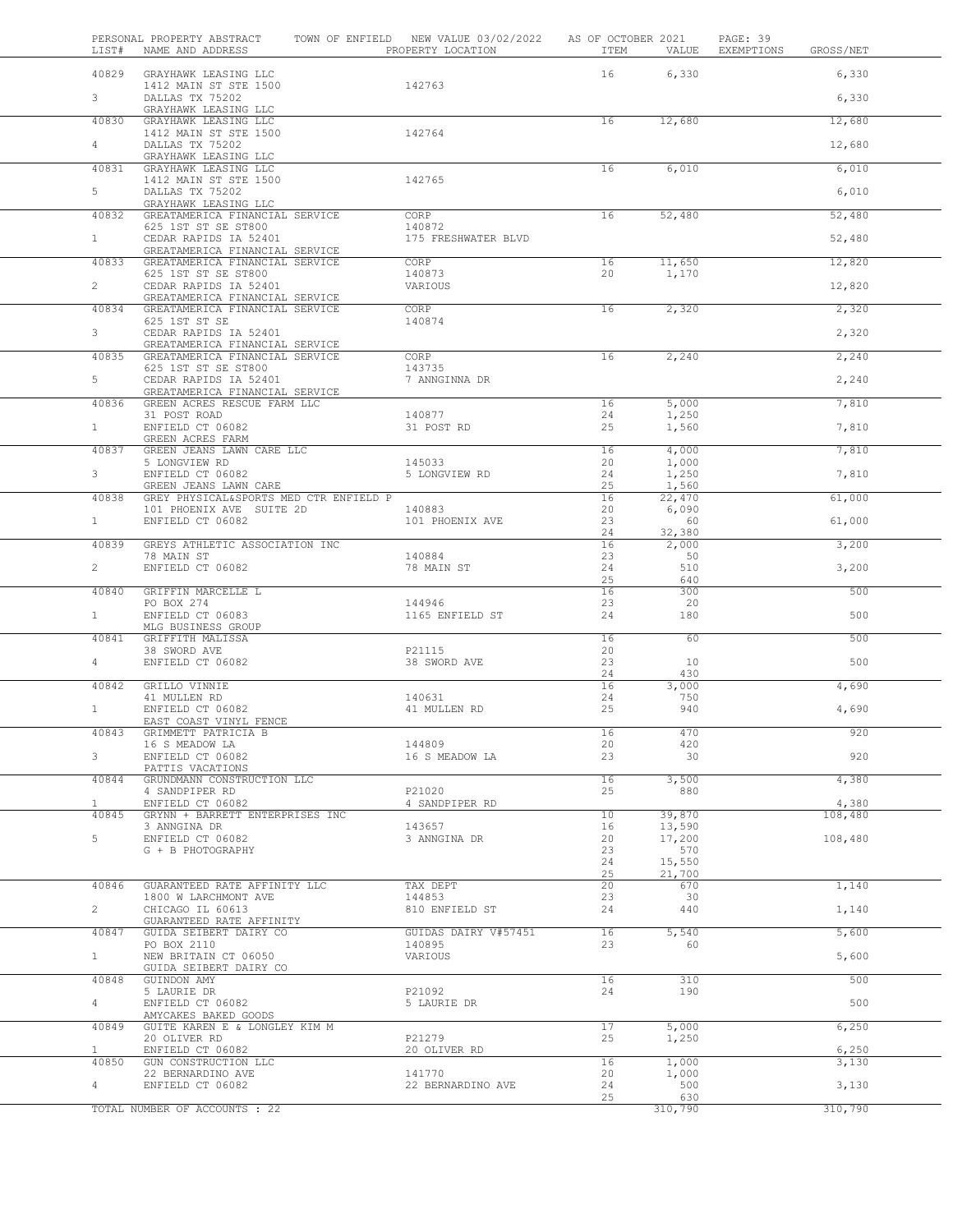| LIST#                 | PERSONAL PROPERTY ABSTRACT<br>NAME AND ADDRESS                     |  | TOWN OF ENFIELD NEW VALUE 03/02/2022 AS OF OCTOBER 2021<br>PROPERTY LOCATION | ITEM     | VALUE            | PAGE: 39<br>EXEMPTIONS | GROSS/NET      |  |
|-----------------------|--------------------------------------------------------------------|--|------------------------------------------------------------------------------|----------|------------------|------------------------|----------------|--|
| 40829                 | GRAYHAWK LEASING LLC                                               |  |                                                                              | 16       | 6,330            |                        | 6,330          |  |
| 3 <sup>7</sup>        | 1412 MAIN ST STE 1500<br>DALLAS TX 75202                           |  | 142763                                                                       |          |                  |                        | 6,330          |  |
| 40830                 | GRAYHAWK LEASING LLC<br>GRAYHAWK LEASING LLC                       |  |                                                                              | 16       | 12,680           |                        | 12,680         |  |
| $4 -$                 | 1412 MAIN ST STE 1500<br>DALLAS TX 75202                           |  | 142764                                                                       |          |                  |                        | 12,680         |  |
|                       | GRAYHAWK LEASING LLC                                               |  |                                                                              |          |                  |                        |                |  |
| 40831                 | GRAYHAWK LEASING LLC<br>1412 MAIN ST STE 1500                      |  | 142765                                                                       | 16       | 6,010            |                        | 6,010          |  |
| 5                     | DALLAS TX 75202<br>GRAYHAWK LEASING LLC                            |  |                                                                              |          |                  |                        | 6,010          |  |
| 40832                 | GREATAMERICA FINANCIAL SERVICE<br>625 1ST ST SE ST800              |  | CORP<br>140872                                                               | 16       | 52,480           |                        | 52,480         |  |
| $\mathbf{1}$          | CEDAR RAPIDS IA 52401<br>GREATAMERICA FINANCIAL SERVICE            |  | 175 FRESHWATER BLVD                                                          |          |                  |                        | 52,480         |  |
| 40833                 | GREATAMERICA FINANCIAL SERVICE<br>625 1ST ST SE ST800              |  | CORP<br>140873                                                               | 16<br>20 | 11,650<br>1,170  |                        | 12,820         |  |
| $\overline{2}$        | CEDAR RAPIDS IA 52401                                              |  | VARIOUS                                                                      |          |                  |                        | 12,820         |  |
| 40834                 | GREATAMERICA FINANCIAL SERVICE<br>GREATAMERICA FINANCIAL SERVICE   |  | CORP                                                                         | 16       | 2,320            |                        | 2,320          |  |
| $3 -$                 | 625 1ST ST SE<br>CEDAR RAPIDS IA 52401                             |  | 140874                                                                       |          |                  |                        | 2,320          |  |
| 40835                 | GREATAMERICA FINANCIAL SERVICE<br>GREATAMERICA FINANCIAL SERVICE   |  | CORP                                                                         | 16       | 2,240            |                        | 2,240          |  |
|                       | 625 1ST ST SE ST800                                                |  | 143735                                                                       |          |                  |                        |                |  |
| 5                     | CEDAR RAPIDS IA 52401<br>GREATAMERICA FINANCIAL SERVICE            |  | 7 ANNGINNA DR                                                                |          |                  |                        | 2,240          |  |
| 40836                 | GREEN ACRES RESCUE FARM LLC                                        |  |                                                                              | 16       | 5,000            |                        | 7,810          |  |
| $\mathbf{1}$          | 31 POST ROAD<br>ENFIELD CT 06082                                   |  | 140877<br>31 POST RD                                                         | 24<br>25 | 1,250<br>1,560   |                        | 7,810          |  |
| 40837                 | GREEN ACRES FARM<br>GREEN JEANS LAWN CARE LLC                      |  |                                                                              | 16       | 4,000            |                        | 7,810          |  |
|                       | 5 LONGVIEW RD                                                      |  | 145033                                                                       | 20       | 1,000            |                        |                |  |
| 3                     | ENFIELD CT 06082<br>GREEN JEANS LAWN CARE                          |  | 5 LONGVIEW RD                                                                | 24<br>25 | 1,250<br>1,560   |                        | 7,810          |  |
| 40838                 | GREY PHYSICAL&SPORTS MED CTR ENFIELD P<br>101 PHOENIX AVE SUITE 2D |  | 140883                                                                       | 16<br>20 | 22,470<br>6,090  |                        | 61,000         |  |
| 1                     | ENFIELD CT 06082                                                   |  | 101 PHOENIX AVE                                                              | 23       | 60               |                        | 61,000         |  |
| 40839                 | GREYS ATHLETIC ASSOCIATION INC                                     |  |                                                                              | 24<br>16 | 32,380<br>2,000  |                        | 3,200          |  |
| $\overline{2}$        | 78 MAIN ST<br>ENFIELD CT 06082                                     |  | 140884<br>78 MAIN ST                                                         | 23<br>24 | 50<br>510        |                        | 3,200          |  |
| 40840                 | GRIFFIN MARCELLE L                                                 |  |                                                                              | 25<br>16 | 640<br>300       |                        | 500            |  |
|                       | PO BOX 274                                                         |  | 144946                                                                       | 23       | 20               |                        |                |  |
| $\mathbf{1}$          | ENFIELD CT 06083<br>MLG BUSINESS GROUP                             |  | 1165 ENFIELD ST                                                              | 24       | 180              |                        | 500            |  |
| 40841                 | GRIFFITH MALISSA<br>38 SWORD AVE                                   |  | P21115                                                                       | 16<br>20 | 60               |                        | 500            |  |
| 4                     | ENFIELD CT 06082                                                   |  | 38 SWORD AVE                                                                 | 23<br>24 | 10<br>430        |                        | 500            |  |
| 40842                 | GRILLO VINNIE                                                      |  |                                                                              | 16       | 3,000            |                        | 4,690          |  |
| $\mathbf{1}$          | 41 MULLEN RD<br>ENFIELD CT 06082                                   |  | 140631<br>41 MULLEN RD                                                       | 24<br>25 | 750<br>940       |                        | 4,690          |  |
|                       | EAST COAST VINYL FENCE                                             |  |                                                                              |          |                  |                        |                |  |
| 40843                 | GRIMMETT PATRICIA B<br>16 S MEADOW LA                              |  | 144809                                                                       | 16<br>20 | 470<br>420       |                        | 920            |  |
| $3 -$                 | ENFIELD CT 06082<br>PATTIS VACATIONS                               |  | 16 S MEADOW LA                                                               | 23       | 30               |                        | 920            |  |
| 40844                 | GRUNDMANN CONSTRUCTION LLC                                         |  |                                                                              | 16       | 3,500            |                        | 4,380          |  |
| $\mathbf{1}$          | 4 SANDPIPER RD<br>ENFIELD CT 06082                                 |  | P21020<br>4 SANDPIPER RD                                                     | 25       | 880              |                        | 4,380          |  |
| 40845                 | GRYNN + BARRETT ENTERPRISES INC<br>3 ANNGINA DR                    |  | 143657                                                                       | 10<br>16 | 39,870<br>13,590 |                        | 108,480        |  |
| 5                     | ENFIELD CT 06082                                                   |  | 3 ANNGINA DR                                                                 | 20       | 17,200           |                        | 108,480        |  |
|                       | G + B PHOTOGRAPHY                                                  |  |                                                                              | 23<br>24 | 570<br>15,550    |                        |                |  |
|                       |                                                                    |  |                                                                              | 25       | 21,700           |                        |                |  |
| 40846                 | GUARANTEED RATE AFFINITY LLC<br>1800 W LARCHMONT AVE               |  | TAX DEPT<br>144853                                                           | 20<br>23 | 670<br>30        |                        | 1,140          |  |
| $\overline{2}$        | CHICAGO IL 60613<br>GUARANTEED RATE AFFINITY                       |  | 810 ENFIELD ST                                                               | 24       | 440              |                        | 1,140          |  |
| 40847                 | GUIDA SEIBERT DAIRY CO                                             |  | GUIDAS DAIRY V#57451                                                         | 16       | 5,540            |                        | 5,600          |  |
| 1                     | PO BOX 2110<br>NEW BRITAIN CT 06050                                |  | 140895<br>VARIOUS                                                            | 23       | 60               |                        | 5,600          |  |
| 40848                 | GUIDA SEIBERT DAIRY CO<br>GUINDON AMY                              |  |                                                                              | 16       | 310              |                        | 500            |  |
| 4                     | 5 LAURIE DR<br>ENFIELD CT 06082                                    |  | P21092<br>5 LAURIE DR                                                        | 24       | 190              |                        | 500            |  |
| 40849                 | AMYCAKES BAKED GOODS                                               |  |                                                                              |          |                  |                        |                |  |
|                       | GUITE KAREN E & LONGLEY KIM M<br>20 OLIVER RD                      |  | P21279                                                                       | 17<br>25 | 5,000<br>1,250   |                        | 6,250          |  |
| $\mathbf{1}$<br>40850 | ENFIELD CT 06082<br>GUN CONSTRUCTION LLC                           |  | 20 OLIVER RD                                                                 | 16       | 1,000            |                        | 6,250<br>3,130 |  |
|                       | 22 BERNARDINO AVE                                                  |  | 141770                                                                       | 20       | 1,000            |                        |                |  |
| $4 -$                 | ENFIELD CT 06082                                                   |  | 22 BERNARDINO AVE                                                            | 24<br>25 | 500<br>630       |                        | 3,130          |  |
|                       | TOTAL NUMBER OF ACCOUNTS : 22                                      |  |                                                                              |          | 310,790          |                        | 310,790        |  |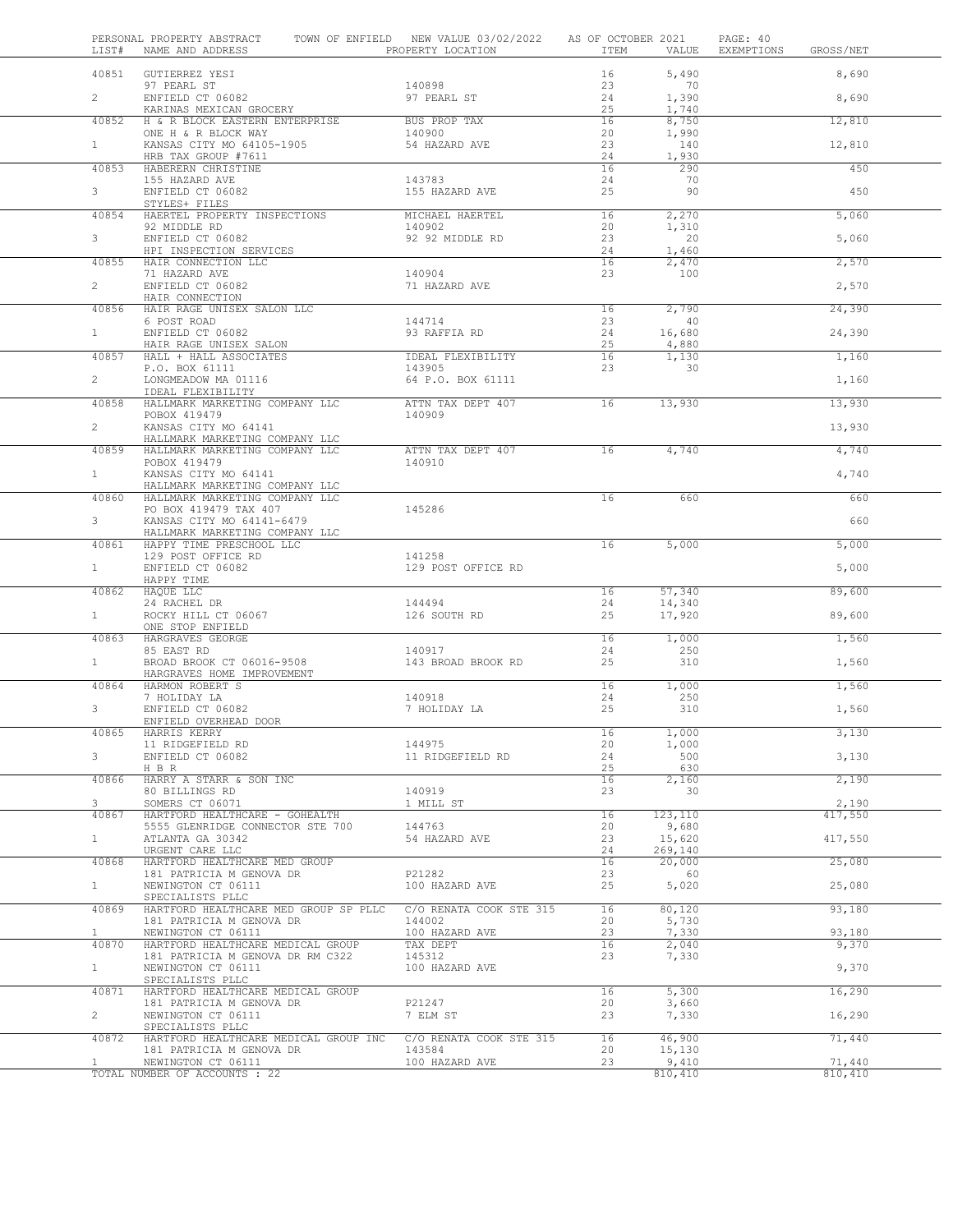| LIST#                 | PERSONAL PROPERTY ABSTRACT<br>NAME AND ADDRESS                   | TOWN OF ENFIELD NEW VALUE 03/02/2022<br>PROPERTY LOCATION | AS OF OCTOBER 2021<br>ITEM | VALUE             | PAGE: 40<br>EXEMPTIONS | GROSS/NET        |  |
|-----------------------|------------------------------------------------------------------|-----------------------------------------------------------|----------------------------|-------------------|------------------------|------------------|--|
| 40851                 | GUTIERREZ YESI                                                   |                                                           | 16                         | 5,490             |                        | 8,690            |  |
| $\overline{2}$        | 97 PEARL ST<br>ENFIELD CT 06082<br>KARINAS MEXICAN GROCERY       | 140898<br>97 PEARL ST                                     | 23<br>24<br>25             | 70<br>1,390       |                        | 8,690            |  |
| 40852                 | H & R BLOCK EASTERN ENTERPRISE                                   | BUS PROP TAX                                              | 16                         | 1,740<br>8,750    |                        | 12,810           |  |
| $\mathbf{1}$          | ONE H & R BLOCK WAY<br>KANSAS CITY MO 64105-1905                 | 140900<br>54 HAZARD AVE                                   | 20<br>23                   | 1,990<br>140      |                        | 12,810           |  |
| 40853                 | HRB TAX GROUP #7611<br>HABERERN CHRISTINE                        |                                                           | 24<br>16                   | 1,930<br>290      |                        | 450              |  |
| 3                     | 155 HAZARD AVE<br>ENFIELD CT 06082<br>STYLES+ FILES              | 143783<br>155 HAZARD AVE                                  | 24<br>25                   | 70<br>90          |                        | 450              |  |
| 40854                 | HAERTEL PROPERTY INSPECTIONS                                     | MICHAEL HAERTEL                                           | 16                         | 2,270             |                        | 5,060            |  |
| 3                     | 92 MIDDLE RD<br>ENFIELD CT 06082                                 | 140902<br>92 92 MIDDLE RD                                 | 20<br>23                   | 1,310<br>20       |                        | 5,060            |  |
| 40855                 | HPI INSPECTION SERVICES<br>HAIR CONNECTION LLC                   |                                                           | 24<br>16                   | 1,460<br>2,470    |                        | 2,570            |  |
| $\overline{2}$        | 71 HAZARD AVE<br>ENFIELD CT 06082                                | 140904<br>71 HAZARD AVE                                   | 23                         | 100               |                        | 2,570            |  |
| 40856                 | HAIR CONNECTION<br>HAIR RAGE UNISEX SALON LLC                    |                                                           | 16                         | 2,790             |                        | 24,390           |  |
|                       | 6 POST ROAD                                                      | 144714                                                    | 23                         | 40                |                        |                  |  |
| $\mathbf{1}$          | ENFIELD CT 06082                                                 | 93 RAFFIA RD                                              | 24                         | 16,680            |                        | 24,390           |  |
| 40857                 | HAIR RAGE UNISEX SALON<br>HALL + HALL ASSOCIATES                 | IDEAL FLEXIBILITY                                         | 25<br>16                   | 4,880<br>1,130    |                        | 1,160            |  |
|                       | P.O. BOX 61111                                                   | 143905                                                    | 23                         | 30                |                        |                  |  |
| $\overline{2}$        | LONGMEADOW MA 01116                                              | 64 P.O. BOX 61111                                         |                            |                   |                        | 1,160            |  |
| 40858                 | IDEAL FLEXIBILITY<br>HALLMARK MARKETING COMPANY LLC              | ATTN TAX DEPT 407                                         | 16                         | 13,930            |                        | 13,930           |  |
| $\overline{2}$        | POBOX 419479<br>KANSAS CITY MO 64141                             | 140909                                                    |                            |                   |                        | 13,930           |  |
| 40859                 | HALLMARK MARKETING COMPANY LLC<br>HALLMARK MARKETING COMPANY LLC | ATTN TAX DEPT 407                                         | 16                         | 4,740             |                        | 4,740            |  |
|                       | POBOX 419479                                                     | 140910                                                    |                            |                   |                        |                  |  |
| 1                     | KANSAS CITY MO 64141<br>HALLMARK MARKETING COMPANY LLC           |                                                           |                            |                   |                        | 4,740            |  |
| 40860                 | HALLMARK MARKETING COMPANY LLC<br>PO BOX 419479 TAX 407          | 145286                                                    | 16                         | 660               |                        | 660              |  |
| 3                     | KANSAS CITY MO 64141-6479<br>HALLMARK MARKETING COMPANY LLC      |                                                           |                            |                   |                        | 660              |  |
| 40861                 | HAPPY TIME PRESCHOOL LLC                                         |                                                           | 16                         | 5,000             |                        | 5,000            |  |
| $\mathbf{1}$          | 129 POST OFFICE RD<br>ENFIELD CT 06082                           | 141258<br>129 POST OFFICE RD                              |                            |                   |                        | 5,000            |  |
| 40862                 | HAPPY TIME<br>HAQUE LLC                                          |                                                           | 16                         | 57,340            |                        | 89,600           |  |
| $\mathbf{1}$          | 24 RACHEL DR<br>ROCKY HILL CT 06067                              | 144494<br>126 SOUTH RD                                    | 24<br>25                   | 14,340<br>17,920  |                        | 89,600           |  |
|                       | ONE STOP ENFIELD                                                 |                                                           |                            |                   |                        |                  |  |
| 40863                 | HARGRAVES GEORGE<br>85 EAST RD                                   | 140917                                                    | 16<br>24                   | 1,000<br>250      |                        | 1,560            |  |
| $\mathbf{1}$          | BROAD BROOK CT 06016-9508<br>HARGRAVES HOME IMPROVEMENT          | 143 BROAD BROOK RD                                        | 25                         | 310               |                        | 1,560            |  |
| 40864                 | HARMON ROBERT S                                                  |                                                           | 16                         | 1,000             |                        | 1,560            |  |
| 3                     | 7 HOLIDAY LA                                                     | 140918                                                    | 24<br>25                   | 250               |                        |                  |  |
|                       | ENFIELD CT 06082<br>ENFIELD OVERHEAD DOOR                        | 7 HOLIDAY LA                                              |                            | 310               |                        | 1,560            |  |
| 40865                 | HARRIS KERRY<br>11 RIDGEFIELD RD                                 | 144975                                                    | 16<br>20                   | 1,000<br>1,000    |                        | 3,130            |  |
| 3                     | ENFIELD CT 06082                                                 | 11 RIDGEFIELD RD                                          | 24                         | 500               |                        | 3,130            |  |
| 40866                 | H B R<br>HARRY A STARR & SON INC                                 |                                                           | 25<br>16                   | 630<br>2,160      |                        | 2,190            |  |
|                       | 80 BILLINGS RD                                                   | 140919                                                    | 23                         | 30                |                        |                  |  |
| 3<br>40867            | SOMERS CT 06071<br>HARTFORD HEALTHCARE - GOHEALTH                | 1 MILL ST                                                 | 16                         | 123,110           |                        | 2,190<br>417,550 |  |
|                       | 5555 GLENRIDGE CONNECTOR STE 700                                 | 144763                                                    | 20                         | 9,680             |                        |                  |  |
| $\mathbf{1}$          | ATLANTA GA 30342<br>URGENT CARE LLC                              | 54 HAZARD AVE                                             | 23<br>24                   | 15,620<br>269,140 |                        | 417,550          |  |
| 40868                 | HARTFORD HEALTHCARE MED GROUP                                    |                                                           | 16                         | 20,000            |                        | 25,080           |  |
| $\mathbf{1}$          | 181 PATRICIA M GENOVA DR<br>NEWINGTON CT 06111                   | P21282<br>100 HAZARD AVE                                  | 23<br>25                   | - 60<br>5,020     |                        | 25,080           |  |
| 40869                 | SPECIALISTS PLLC<br>HARTFORD HEALTHCARE MED GROUP SP PLLC        | C/O RENATA COOK STE 315                                   | 16                         | 80,120            |                        | 93,180           |  |
|                       | 181 PATRICIA M GENOVA DR                                         | 144002                                                    | 20                         | 5,730             |                        |                  |  |
| $\mathbf{1}$<br>40870 | NEWINGTON CT 06111<br>HARTFORD HEALTHCARE MEDICAL GROUP          | 100 HAZARD AVE<br>TAX DEPT                                | 23<br>16                   | 7,330<br>2,040    |                        | 93,180<br>9,370  |  |
| $\mathbf{1}$          | 181 PATRICIA M GENOVA DR RM C322<br>NEWINGTON CT 06111           | 145312<br>100 HAZARD AVE                                  | 23                         | 7,330             |                        | 9,370            |  |
|                       | SPECIALISTS PLLC                                                 |                                                           |                            |                   |                        |                  |  |
| 40871                 | HARTFORD HEALTHCARE MEDICAL GROUP<br>181 PATRICIA M GENOVA DR    | P21247                                                    | 16<br>20                   | 5,300<br>3,660    |                        | 16,290           |  |
| $\overline{2}$        | NEWINGTON CT 06111                                               | 7 ELM ST                                                  | 23                         | 7,330             |                        | 16,290           |  |
| 40872                 | SPECIALISTS PLLC<br>HARTFORD HEALTHCARE MEDICAL GROUP INC        | C/O RENATA COOK STE 315                                   | 16                         | 46,900            |                        | 71,440           |  |
| $\mathbf{1}$          | 181 PATRICIA M GENOVA DR<br>NEWINGTON CT 06111                   | 143584<br>100 HAZARD AVE                                  | 20<br>23                   | 15,130<br>9,410   |                        | 71,440           |  |
|                       | TOTAL NUMBER OF ACCOUNTS : 22                                    |                                                           |                            | 810,410           |                        | 810,410          |  |
|                       |                                                                  |                                                           |                            |                   |                        |                  |  |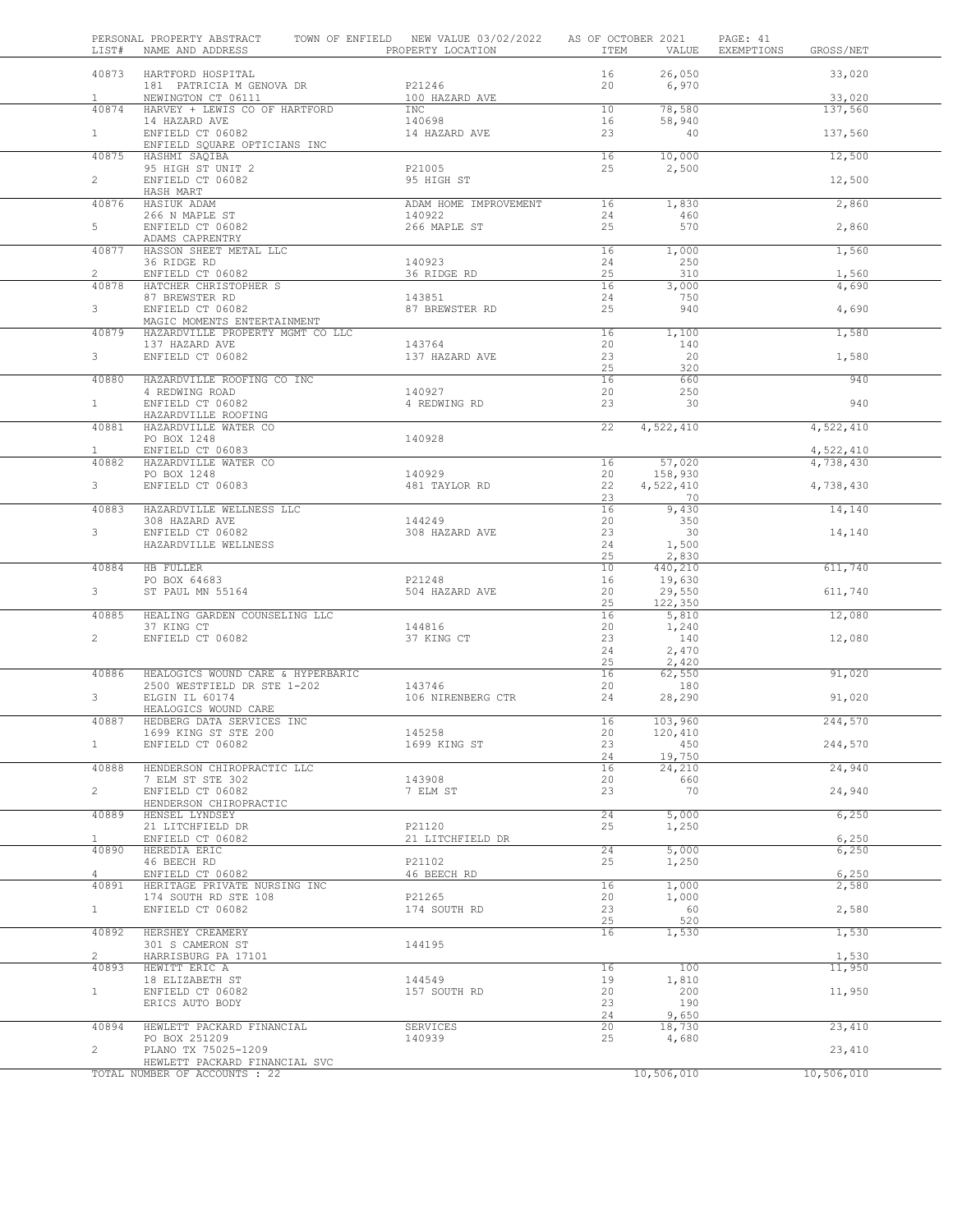| LIST#          | PERSONAL PROPERTY ABSTRACT<br>NAME AND ADDRESS                  | TOWN OF ENFIELD NEW VALUE 03/02/2022 AS OF OCTOBER 2021<br>PROPERTY LOCATION | ITEM            | VALUE              | PAGE: 41<br>EXEMPTIONS | GROSS/NET              |  |
|----------------|-----------------------------------------------------------------|------------------------------------------------------------------------------|-----------------|--------------------|------------------------|------------------------|--|
|                | 40873 HARTFORD HOSPITAL<br>181 PATRICIA M GENOVA DR             | P21246                                                                       | 16<br>20        | 26,050<br>6,970    |                        | 33,020                 |  |
| $\mathbf{1}$   | NEWINGTON CT 06111                                              | 100 HAZARD AVE                                                               |                 |                    |                        | 33,020                 |  |
| 40874          | HARVEY + LEWIS CO OF HARTFORD                                   | INC                                                                          | 10 <sub>1</sub> | 78,580             |                        | 137,560                |  |
|                | 14 HAZARD AVE                                                   | 140698                                                                       | 16              | 58,940             |                        |                        |  |
| 1              | ENFIELD CT 06082<br>ENFIELD SQUARE OPTICIANS INC                | 14 HAZARD AVE                                                                | 23              | 40                 |                        | 137,560                |  |
| 40875          | HASHMI SAQIBA                                                   |                                                                              | 16              | 10,000             |                        | 12,500                 |  |
|                | 95 HIGH ST UNIT 2                                               | P21005                                                                       | 25              | 2,500              |                        |                        |  |
| $2^{\circ}$    | ENFIELD CT 06082                                                | 95 HIGH ST                                                                   |                 |                    |                        | 12,500                 |  |
| 40876          | HASH MART<br>HASIUK ADAM                                        | ADAM HOME IMPROVEMENT                                                        | 16              | 1,830              |                        | 2,860                  |  |
|                | 266 N MAPLE ST                                                  | 140922                                                                       | 24              | 460                |                        |                        |  |
| 5 <sub>5</sub> | ENFIELD CT 06082                                                | 266 MAPLE ST                                                                 | 25              | 570                |                        | 2,860                  |  |
|                | ADAMS CAPRENTRY                                                 |                                                                              |                 |                    |                        |                        |  |
| 40877          | HASSON SHEET METAL LLC                                          |                                                                              | 16              | 1,000              |                        | 1,560                  |  |
| $\overline{2}$ | 36 RIDGE RD<br>ENFIELD CT 06082                                 | 140923<br>36 RIDGE RD                                                        | 24<br>25        | 250<br>310         |                        | 1,560                  |  |
| 40878          | HATCHER CHRISTOPHER S                                           |                                                                              | 16              | 3,000              |                        | 4,690                  |  |
|                | 87 BREWSTER RD                                                  | 143851                                                                       | 24              | 750                |                        |                        |  |
| 3              | ENFIELD CT 06082                                                | 87 BREWSTER RD                                                               | 25              | 940                |                        | 4,690                  |  |
| 40879          | MAGIC MOMENTS ENTERTAINMENT<br>HAZARDVILLE PROPERTY MGMT CO LLC |                                                                              | 16              | 1,100              |                        | 1,580                  |  |
|                | 137 HAZARD AVE                                                  | 143764                                                                       | 20              | 140                |                        |                        |  |
| 3 <sup>7</sup> | ENFIELD CT 06082                                                | 137 HAZARD AVE                                                               | 23              | 20                 |                        | 1,580                  |  |
|                |                                                                 |                                                                              | 25              | 320                |                        |                        |  |
| 40880          | HAZARDVILLE ROOFING CO INC<br>4 REDWING ROAD                    |                                                                              | 16              | 660                |                        | 940                    |  |
| 1              | ENFIELD CT 06082                                                | 140927<br>4 REDWING RD                                                       | 20<br>23        | 250<br>30          |                        | 940                    |  |
|                | HAZARDVILLE ROOFING                                             |                                                                              |                 |                    |                        |                        |  |
| 40881          | HAZARDVILLE WATER CO                                            |                                                                              | 22              | 4,522,410          |                        | 4,522,410              |  |
|                | PO BOX 1248                                                     | 140928                                                                       |                 |                    |                        |                        |  |
| 1<br>40882     | ENFIELD CT 06083<br>HAZARDVILLE WATER CO                        |                                                                              | 16              | 57,020             |                        | 4,522,410<br>4,738,430 |  |
|                | PO BOX 1248                                                     | 140929                                                                       | 20              | 158,930            |                        |                        |  |
| 3              | ENFIELD CT 06083                                                | 481 TAYLOR RD                                                                | 22              | 4,522,410          |                        | 4,738,430              |  |
|                |                                                                 |                                                                              | 23              | 70                 |                        |                        |  |
| 40883          | HAZARDVILLE WELLNESS LLC                                        |                                                                              | 16              | 9,430              |                        | 14,140                 |  |
| 3              | 308 HAZARD AVE<br>ENFIELD CT 06082                              | 144249<br>308 HAZARD AVE                                                     | 20<br>23        | 350<br>30          |                        | 14,140                 |  |
|                | HAZARDVILLE WELLNESS                                            |                                                                              | 24              | 1,500              |                        |                        |  |
|                |                                                                 |                                                                              | 25              | 2,830              |                        |                        |  |
| 40884          | HB FULLER                                                       |                                                                              | 10              | 440,210            |                        | 611,740                |  |
| $3 -$          | PO BOX 64683<br>ST PAUL MN 55164                                | P21248<br>504 HAZARD AVE                                                     | 16<br>20        | 19,630<br>29,550   |                        | 611,740                |  |
|                |                                                                 |                                                                              | 25              | 122,350            |                        |                        |  |
| 40885          | HEALING GARDEN COUNSELING LLC                                   |                                                                              | 16              | 5,810              |                        | 12,080                 |  |
|                | 37 KING CT                                                      | 144816                                                                       | 20              | 1,240              |                        |                        |  |
| $\overline{2}$ | ENFIELD CT 06082                                                | 37 KING CT                                                                   | 23              | 140                |                        | 12,080                 |  |
|                |                                                                 |                                                                              | 24<br>25        | 2,470<br>2,420     |                        |                        |  |
| 40886          | HEALOGICS WOUND CARE & HYPERBARIC                               |                                                                              | 16              | 62,550             |                        | 91,020                 |  |
|                | 2500 WESTFIELD DR STE 1-202                                     | 143746                                                                       | 20              | 180                |                        |                        |  |
| 3              | ELGIN IL 60174                                                  | 106 NIRENBERG CTR                                                            | 24              | 28,290             |                        | 91,020                 |  |
|                | HEALOGICS WOUND CARE                                            |                                                                              | 16              |                    |                        |                        |  |
| 40887          | HEDBERG DATA SERVICES INC<br>1699 KING ST STE 200               | 145258                                                                       | 20              | 103,960<br>120,410 |                        | 244,570                |  |
| $\mathbf{1}$   | ENFIELD CT 06082                                                | 1699 KING ST                                                                 | 23              | 450                |                        | 244,570                |  |
|                |                                                                 |                                                                              | 24              | 19,750             |                        |                        |  |
| 40888          | HENDERSON CHIROPRACTIC LLC                                      |                                                                              | 16              | 24,210             |                        | 24,940                 |  |
| $\overline{2}$ | 7 ELM ST STE 302<br>ENFIELD CT 06082                            | 143908<br>7 ELM ST                                                           | 20<br>23        | 660<br>70          |                        | 24,940                 |  |
|                | HENDERSON CHIROPRACTIC                                          |                                                                              |                 |                    |                        |                        |  |
| 40889          | HENSEL LYNDSEY                                                  |                                                                              | 24              | 5,000              |                        | 6,250                  |  |
|                | 21 LITCHFIELD DR                                                | P21120                                                                       | 25              | 1,250              |                        |                        |  |
| $\mathbf{1}$   | ENFIELD CT 06082                                                | 21 LITCHFIELD DR                                                             |                 |                    |                        | 6,250                  |  |
| 40890          | HEREDIA ERIC<br>46 BEECH RD                                     | P21102                                                                       | 24<br>25        | 5,000<br>1,250     |                        | 6,250                  |  |
| $\overline{4}$ | ENFIELD CT 06082                                                | 46 BEECH RD                                                                  |                 |                    |                        | 6,250                  |  |
| 40891          | HERITAGE PRIVATE NURSING INC                                    |                                                                              | 16              | 1,000              |                        | 2,580                  |  |
|                | 174 SOUTH RD STE 108                                            | P21265                                                                       | 20              | 1,000              |                        |                        |  |
| 1              | ENFIELD CT 06082                                                | 174 SOUTH RD                                                                 | 23              | 60<br>520          |                        | 2,580                  |  |
| 40892          | HERSHEY CREAMERY                                                |                                                                              | 25<br>16        | 1,530              |                        | 1,530                  |  |
|                | 301 S CAMERON ST                                                | 144195                                                                       |                 |                    |                        |                        |  |
| $\overline{2}$ | HARRISBURG PA 17101                                             |                                                                              |                 |                    |                        | 1,530                  |  |
| 40893          | HEWITT ERIC A                                                   |                                                                              | 16              | 100                |                        | 11,950                 |  |
| $\mathbf{1}$   | 18 ELIZABETH ST<br>ENFIELD CT 06082                             | 144549<br>157 SOUTH RD                                                       | 19<br>20        | 1,810<br>200       |                        | 11,950                 |  |
|                | ERICS AUTO BODY                                                 |                                                                              | 23              | 190                |                        |                        |  |
|                |                                                                 |                                                                              | 24              | 9,650              |                        |                        |  |
| 40894          | HEWLETT PACKARD FINANCIAL                                       | SERVICES                                                                     | 20              | 18,730             |                        | 23,410                 |  |
|                | PO BOX 251209                                                   | 140939                                                                       | 25              | 4,680              |                        |                        |  |
| $\overline{2}$ | PLANO TX 75025-1209<br>HEWLETT PACKARD FINANCIAL SVC            |                                                                              |                 |                    |                        | 23,410                 |  |
|                | TOTAL NUMBER OF ACCOUNTS : 22                                   |                                                                              |                 | 10,506,010         |                        | 10,506,010             |  |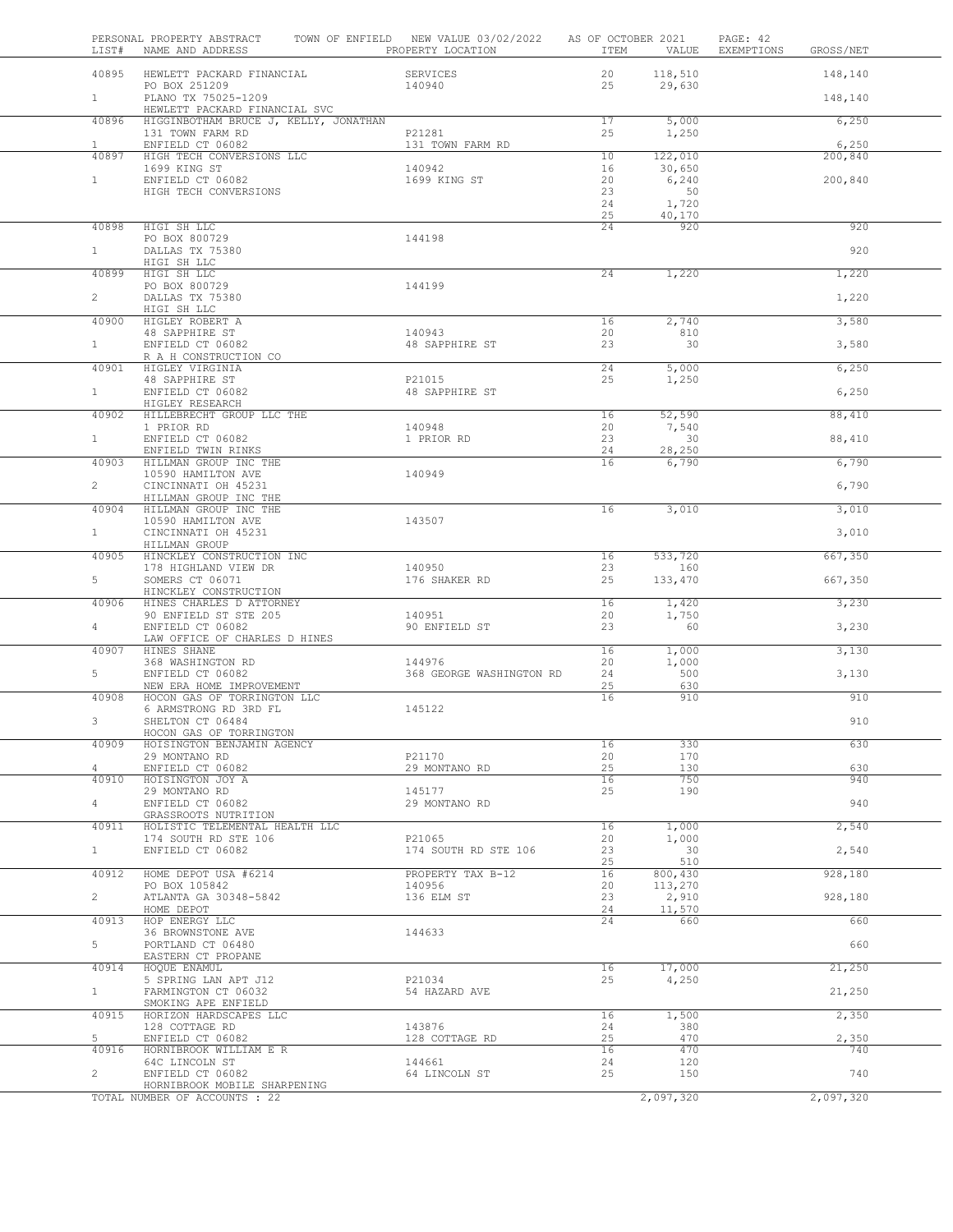| LIST#                 | PERSONAL PROPERTY ABSTRACT<br>NAME AND ADDRESS            | TOWN OF ENFIELD NEW VALUE 03/02/2022<br>PROPERTY LOCATION | AS OF OCTOBER 2021<br>ITEM | VALUE             | PAGE: 42<br>EXEMPTIONS<br>GROSS/NET |     |
|-----------------------|-----------------------------------------------------------|-----------------------------------------------------------|----------------------------|-------------------|-------------------------------------|-----|
| 40895                 | HEWLETT PACKARD FINANCIAL<br>PO BOX 251209                | SERVICES<br>140940                                        | 20<br>25                   | 118,510<br>29,630 | 148,140                             |     |
| $1 -$                 | PLANO TX 75025-1209<br>HEWLETT PACKARD FINANCIAL SVC      |                                                           |                            |                   | 148,140                             |     |
| 40896                 | HIGGINBOTHAM BRUCE J, KELLY, JONATHAN<br>131 TOWN FARM RD | P21281                                                    | 17<br>25                   | 5,000<br>1,250    | 6,250                               |     |
| $\mathbf{1}$<br>40897 | ENFIELD CT 06082<br>HIGH TECH CONVERSIONS LLC             | 131 TOWN FARM RD                                          | 10                         | 122,010           | 6,250<br>200,840                    |     |
|                       | 1699 KING ST                                              | 140942                                                    | 16                         | 30,650            |                                     |     |
| 1                     | ENFIELD CT 06082<br>HIGH TECH CONVERSIONS                 | 1699 KING ST                                              | 20<br>23                   | 6,240<br>50       | 200,840                             |     |
|                       |                                                           |                                                           | 24                         | 1,720             |                                     |     |
| 40898                 | HIGI SH LLC                                               |                                                           | 25<br>24                   | 40,170<br>920     | 920                                 |     |
|                       | PO BOX 800729                                             | 144198                                                    |                            |                   |                                     |     |
| 1                     | DALLAS TX 75380<br>HIGI SH LLC                            |                                                           |                            |                   |                                     | 920 |
| 40899                 | HIGI SH LLC                                               |                                                           | $\overline{24}$            | 1,220             | 1,220                               |     |
| $\overline{2}$        | PO BOX 800729<br>DALLAS TX 75380                          | 144199                                                    |                            |                   | 1,220                               |     |
|                       | HIGI SH LLC                                               |                                                           |                            |                   |                                     |     |
| 40900                 | HIGLEY ROBERT A<br>48 SAPPHIRE ST                         | 140943                                                    | 16<br>20                   | 2,740<br>810      | 3,580                               |     |
| $\mathbf{1}$          | ENFIELD CT 06082                                          | 48 SAPPHIRE ST                                            | 23                         | 30                | 3,580                               |     |
| 40901                 | R A H CONSTRUCTION CO<br>HIGLEY VIRGINIA                  |                                                           | 24                         | 5,000             | 6,250                               |     |
|                       | 48 SAPPHIRE ST                                            | P21015                                                    | 25                         | 1,250             |                                     |     |
| 1                     | ENFIELD CT 06082<br>HIGLEY RESEARCH                       | 48 SAPPHIRE ST                                            |                            |                   | 6,250                               |     |
| 40902                 | HILLEBRECHT GROUP LLC THE                                 |                                                           | 16                         | 52,590            | 88,410                              |     |
| $\mathbf{1}$          | 1 PRIOR RD<br>ENFIELD CT 06082                            | 140948<br>1 PRIOR RD                                      | 20<br>23                   | 7,540<br>30       | 88,410                              |     |
|                       | ENFIELD TWIN RINKS                                        |                                                           | 24                         | 28,250            |                                     |     |
| 40903                 | HILLMAN GROUP INC THE<br>10590 HAMILTON AVE               | 140949                                                    | 16                         | 6,790             | 6,790                               |     |
| $\overline{2}$        | CINCINNATI OH 45231                                       |                                                           |                            |                   | 6,790                               |     |
| 40904                 | HILLMAN GROUP INC THE<br>HILLMAN GROUP INC THE            |                                                           | 16                         | 3,010             | 3,010                               |     |
|                       | 10590 HAMILTON AVE                                        | 143507                                                    |                            |                   |                                     |     |
| 1                     | CINCINNATI OH 45231<br>HILLMAN GROUP                      |                                                           |                            |                   | 3,010                               |     |
| 40905                 | HINCKLEY CONSTRUCTION INC<br>178 HIGHLAND VIEW DR         | 140950                                                    | 16<br>23                   | 533,720<br>160    | 667,350                             |     |
| 5                     | SOMERS CT 06071                                           | 176 SHAKER RD                                             | 25                         | 133,470           | 667,350                             |     |
| 40906                 | HINCKLEY CONSTRUCTION<br>HINES CHARLES D ATTORNEY         |                                                           | 16                         | 1,420             | 3,230                               |     |
|                       | 90 ENFIELD ST STE 205                                     | 140951                                                    | 20                         | 1,750             |                                     |     |
| 4                     | ENFIELD CT 06082<br>LAW OFFICE OF CHARLES D HINES         | 90 ENFIELD ST                                             | 23                         | 60                | 3,230                               |     |
| 40907                 | HINES SHANE                                               | 144976                                                    | 16                         | 1,000             | 3,130                               |     |
| 5                     | 368 WASHINGTON RD<br>ENFIELD CT 06082                     | 368 GEORGE WASHINGTON RD                                  | 20<br>24                   | 1,000<br>500      | 3,130                               |     |
|                       | NEW ERA HOME IMPROVEMENT                                  |                                                           | 25                         | 630               |                                     |     |
| 40908                 | HOCON GAS OF TORRINGTON LLC<br>6 ARMSTRONG RD 3RD FL      | 145122                                                    | 16                         | 910               |                                     | 910 |
| 3                     | SHELTON CT 06484<br>HOCON GAS OF TORRINGTON               |                                                           |                            |                   |                                     | 910 |
| 40909                 | HOISINGTON BENJAMIN AGENCY                                |                                                           | 16                         | 330               | 630                                 |     |
| 4                     | 29 MONTANO RD<br>ENFIELD CT 06082                         | P21170<br>29 MONTANO RD                                   | 20<br>25                   | 170<br>130        |                                     | 630 |
| 40910                 | HOISINGTON JOY A                                          |                                                           | 16                         | 750               |                                     | 940 |
| $\overline{4}$        | 29 MONTANO RD<br>ENFIELD CT 06082                         | 145177<br>29 MONTANO RD                                   | 25                         | 190               | 940                                 |     |
|                       | GRASSROOTS NUTRITION                                      |                                                           |                            |                   |                                     |     |
| 40911                 | HOLISTIC TELEMENTAL HEALTH LLC<br>174 SOUTH RD STE 106    | P21065                                                    | 16<br>20                   | 1,000<br>1,000    | 2,540                               |     |
| 1                     | ENFIELD CT 06082                                          | 174 SOUTH RD STE 106                                      | 23                         | 30                | 2,540                               |     |
| 40912                 | HOME DEPOT USA #6214                                      | PROPERTY TAX B-12                                         | 25<br>16                   | 510<br>800,430    | 928,180                             |     |
|                       | PO BOX 105842                                             | 140956                                                    | 20                         | 113,270           |                                     |     |
| $\overline{2}$        | ATLANTA GA 30348-5842<br>HOME DEPOT                       | 136 ELM ST                                                | 23<br>24                   | 2,910<br>11,570   | 928,180                             |     |
| 40913                 | HOP ENERGY LLC                                            |                                                           | 24                         | 660               |                                     | 660 |
| 5                     | 36 BROWNSTONE AVE<br>PORTLAND CT 06480                    | 144633                                                    |                            |                   |                                     | 660 |
| 40914                 | EASTERN CT PROPANE<br>HOQUE ENAMUL                        |                                                           | 16                         | 17,000            | 21,250                              |     |
|                       | 5 SPRING LAN APT J12                                      | P21034                                                    | 25                         | 4,250             |                                     |     |
| $\mathbf{1}$          | FARMINGTON CT 06032<br>SMOKING APE ENFIELD                | 54 HAZARD AVE                                             |                            |                   | 21,250                              |     |
| 40915                 | HORIZON HARDSCAPES LLC                                    |                                                           | 16                         | 1,500             | 2,350                               |     |
| 5                     | 128 COTTAGE RD<br>ENFIELD CT 06082                        | 143876<br>128 COTTAGE RD                                  | 24<br>25                   | 380<br>470        | 2,350                               |     |
| 40916                 | HORNIBROOK WILLIAM E R                                    |                                                           | 16                         | 470               |                                     | 740 |
| $\overline{2}$        | 64C LINCOLN ST<br>ENFIELD CT 06082                        | 144661<br>64 LINCOLN ST                                   | 24<br>25                   | 120<br>150        |                                     | 740 |
|                       | HORNIBROOK MOBILE SHARPENING                              |                                                           |                            |                   |                                     |     |
|                       | TOTAL NUMBER OF ACCOUNTS : 22                             |                                                           |                            | 2,097,320         | 2,097,320                           |     |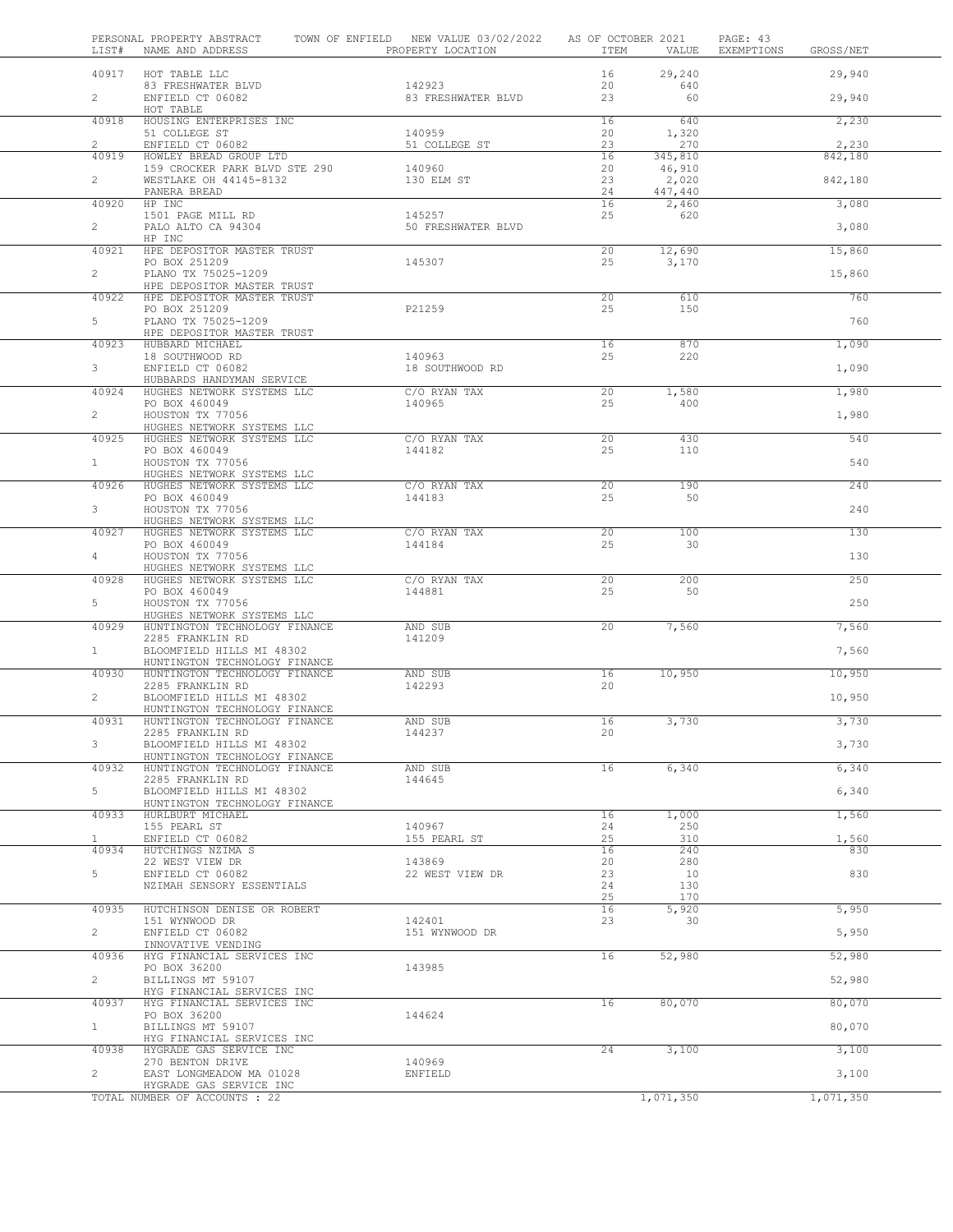| LIST#          | PERSONAL PROPERTY ABSTRACT<br>NAME AND ADDRESS                 | TOWN OF ENFIELD NEW VALUE 03/02/2022<br>PROPERTY LOCATION | AS OF OCTOBER 2021<br>ITEM | VALUE           | PAGE: 43<br>EXEMPTIONS<br>GROSS/NET |
|----------------|----------------------------------------------------------------|-----------------------------------------------------------|----------------------------|-----------------|-------------------------------------|
| 40917          | HOT TABLE LLC                                                  |                                                           | 16                         | 29,240          | 29,940                              |
| $\overline{2}$ | 83 FRESHWATER BLVD<br>ENFIELD CT 06082                         | 142923<br>83 FRESHWATER BLVD                              | 20<br>23                   | 640<br>60       | 29,940                              |
| 40918          | HOT TABLE<br>HOUSING ENTERPRISES INC                           |                                                           | 16                         | 640             | 2,230                               |
| $\overline{2}$ | 51 COLLEGE ST                                                  | 140959                                                    | 20<br>23                   | 1,320<br>270    |                                     |
| 40919          | ENFIELD CT 06082<br>HOWLEY BREAD GROUP LTD                     | 51 COLLEGE ST                                             | 16                         | 345,810         | 2,230<br>842,180                    |
| $\overline{2}$ | 159 CROCKER PARK BLVD STE 290<br>WESTLAKE OH 44145-8132        | 140960<br>130 ELM ST                                      | 20<br>23                   | 46,910<br>2,020 | 842,180                             |
|                | PANERA BREAD                                                   |                                                           | 24                         | 447,440         |                                     |
| 40920          | HP INC<br>1501 PAGE MILL RD                                    | 145257                                                    | 16<br>25                   | 2,460<br>620    | 3,080                               |
| $\mathbf{2}$   | PALO ALTO CA 94304<br>HP INC                                   | 50 FRESHWATER BLVD                                        |                            |                 | 3,080                               |
| 40921          | HPE DEPOSITOR MASTER TRUST                                     |                                                           | 20                         | 12,690          | 15,860                              |
| $\overline{2}$ | PO BOX 251209<br>PLANO TX 75025-1209                           | 145307                                                    | 25                         | 3,170           | 15,860                              |
| 40922          | HPE DEPOSITOR MASTER TRUST<br>HPE DEPOSITOR MASTER TRUST       |                                                           | $\overline{20}$            | 610             | 760                                 |
|                | PO BOX 251209                                                  | P21259                                                    | 25                         | 150             |                                     |
| 5              | PLANO TX 75025-1209<br>HPE DEPOSITOR MASTER TRUST              |                                                           |                            |                 | 760                                 |
| 40923          | HUBBARD MICHAEL<br>18 SOUTHWOOD RD                             | 140963                                                    | 16<br>25                   | 870<br>220      | 1,090                               |
| $\mathbf{3}$   | ENFIELD CT 06082                                               | 18 SOUTHWOOD RD                                           |                            |                 | 1,090                               |
| 40924          | HUBBARDS HANDYMAN SERVICE<br>HUGHES NETWORK SYSTEMS LLC        | C/O RYAN TAX                                              | 20                         | 1,580           | 1,980                               |
| $\overline{2}$ | PO BOX 460049<br>HOUSTON TX 77056                              | 140965                                                    | 25                         | 400             | 1,980                               |
|                | HUGHES NETWORK SYSTEMS LLC                                     |                                                           |                            |                 |                                     |
| 40925          | HUGHES NETWORK SYSTEMS LLC<br>PO BOX 460049                    | C/O RYAN TAX<br>144182                                    | 20<br>25                   | 430<br>110      | 540                                 |
| $\mathbf{1}$   | HOUSTON TX 77056                                               |                                                           |                            |                 | 540                                 |
| 40926          | HUGHES NETWORK SYSTEMS LLC<br>HUGHES NETWORK SYSTEMS LLC       | C/O RYAN TAX                                              | 20                         | 190             | 240                                 |
| 3              | PO BOX 460049<br>HOUSTON TX 77056                              | 144183                                                    | 25                         | 50              | 240                                 |
|                | HUGHES NETWORK SYSTEMS LLC                                     |                                                           |                            |                 |                                     |
| 40927          | HUGHES NETWORK SYSTEMS LLC<br>PO BOX 460049                    | C/O RYAN TAX<br>144184                                    | 20<br>25                   | 100<br>30       | 130                                 |
| 4              | HOUSTON TX 77056<br>HUGHES NETWORK SYSTEMS LLC                 |                                                           |                            |                 | 130                                 |
| 40928          | HUGHES NETWORK SYSTEMS LLC                                     | C/O RYAN TAX                                              | 20                         | 200             | 250                                 |
| 5              | PO BOX 460049<br>HOUSTON TX 77056                              | 144881                                                    | 25                         | 50              | 250                                 |
| 40929          | HUGHES NETWORK SYSTEMS LLC<br>HUNTINGTON TECHNOLOGY FINANCE    | AND SUB                                                   | 20                         | 7,560           | 7,560                               |
|                | 2285 FRANKLIN RD                                               | 141209                                                    |                            |                 |                                     |
| $\mathbf{1}$   | BLOOMFIELD HILLS MI 48302<br>HUNTINGTON TECHNOLOGY FINANCE     |                                                           |                            |                 | 7,560                               |
| 40930          | HUNTINGTON TECHNOLOGY FINANCE<br>2285 FRANKLIN RD              | AND SUB<br>142293                                         | 16<br>20                   | 10,950          | 10,950                              |
| $\overline{2}$ | BLOOMFIELD HILLS MI 48302                                      |                                                           |                            |                 | 10,950                              |
| 40931          | HUNTINGTON TECHNOLOGY FINANCE<br>HUNTINGTON TECHNOLOGY FINANCE | AND SUB                                                   | 16                         | 3,730           | 3,730                               |
|                | 2285 FRANKLIN RD                                               | 144237                                                    | 20                         |                 |                                     |
| 3              | BLOOMFIELD HILLS MI 48302<br>HUNTINGTON TECHNOLOGY FINANCE     |                                                           |                            |                 | 3,730                               |
| 40932          | HUNTINGTON TECHNOLOGY FINANCE<br>2285 FRANKLIN RD              | AND SUB<br>144645                                         | 16                         | 6,340           | 6,340                               |
| 5              | BLOOMFIELD HILLS MI 48302                                      |                                                           |                            |                 | 6,340                               |
| 40933          | HUNTINGTON TECHNOLOGY FINANCE<br>HURLBURT MICHAEL              |                                                           | 16                         | 1,000           | 1,560                               |
| 1              | 155 PEARL ST<br>ENFIELD CT 06082                               | 140967<br>155 PEARL ST                                    | 24<br>25                   | 250<br>310      | 1,560                               |
| 40934          | HUTCHINGS NZIMA S                                              |                                                           | 16                         | 240             | 830                                 |
| 5              | 22 WEST VIEW DR<br>ENFIELD CT 06082                            | 143869<br>22 WEST VIEW DR                                 | 20<br>23                   | 280<br>10       | 830                                 |
|                | NZIMAH SENSORY ESSENTIALS                                      |                                                           | 24                         | 130             |                                     |
| 40935          | HUTCHINSON DENISE OR ROBERT                                    |                                                           | 25<br>16                   | 170<br>5,920    | 5,950                               |
| $\overline{2}$ | 151 WYNWOOD DR<br>ENFIELD CT 06082                             | 142401<br>151 WYNWOOD DR                                  | 23                         | 30              | 5,950                               |
|                | INNOVATIVE VENDING                                             |                                                           |                            |                 |                                     |
| 40936          | HYG FINANCIAL SERVICES INC<br>PO BOX 36200                     | 143985                                                    | 16                         | 52,980          | 52,980                              |
| $\overline{2}$ | BILLINGS MT 59107<br>HYG FINANCIAL SERVICES INC                |                                                           |                            |                 | 52,980                              |
| 40937          | HYG FINANCIAL SERVICES INC                                     |                                                           | 16                         | 80,070          | 80,070                              |
| $\mathbf{1}$   | PO BOX 36200<br>BILLINGS MT 59107                              | 144624                                                    |                            |                 | 80,070                              |
|                | HYG FINANCIAL SERVICES INC                                     |                                                           |                            |                 |                                     |
| 40938          | HYGRADE GAS SERVICE INC<br>270 BENTON DRIVE                    | 140969                                                    | 24                         | 3,100           | 3,100                               |
| $\overline{2}$ | EAST LONGMEADOW MA 01028<br>HYGRADE GAS SERVICE INC            | ENFIELD                                                   |                            |                 | 3,100                               |
|                | TOTAL NUMBER OF ACCOUNTS : 22                                  |                                                           |                            | 1,071,350       | 1,071,350                           |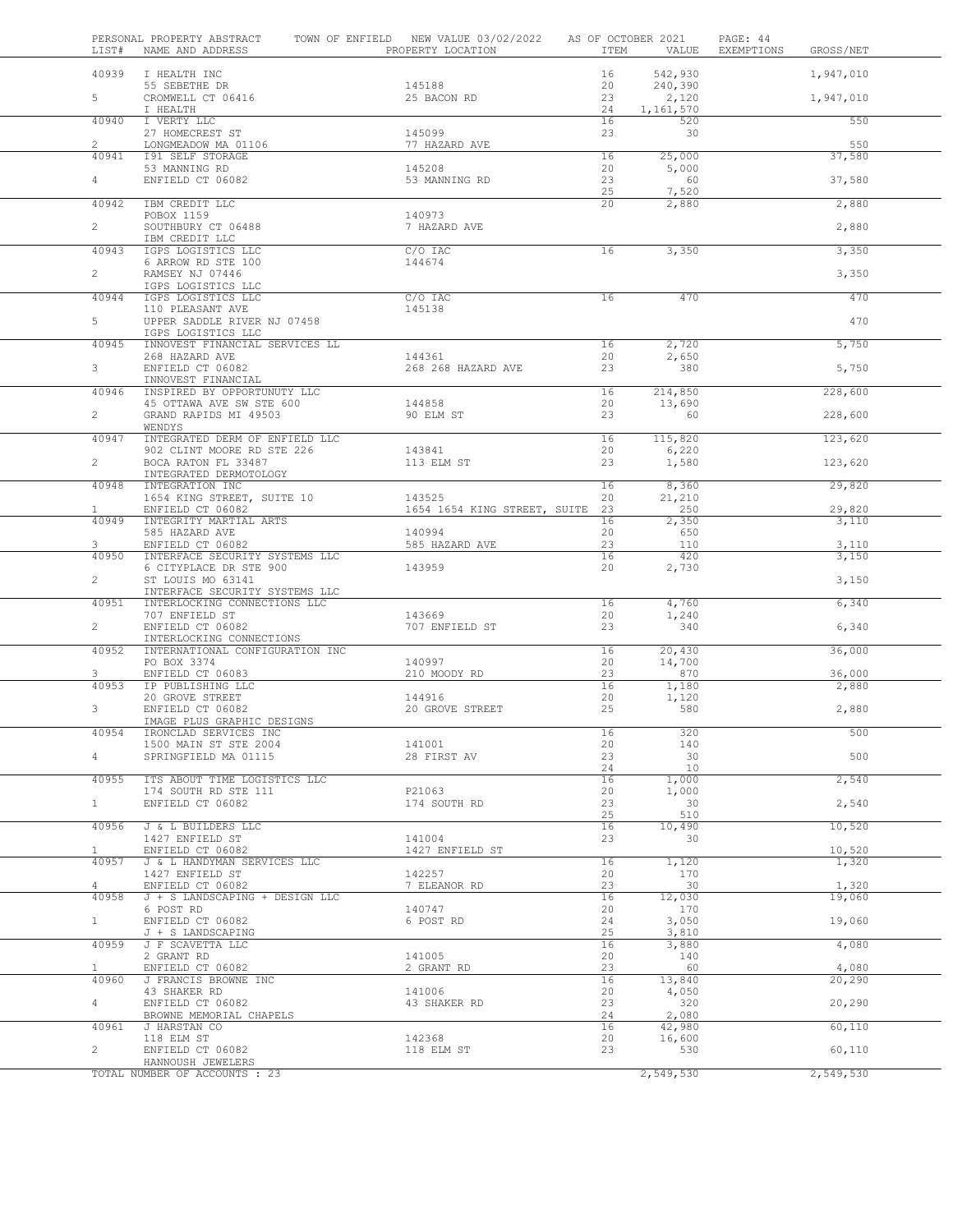| LIST#                   | PERSONAL PROPERTY ABSTRACT<br>NAME AND ADDRESS               | TOWN OF ENFIELD NEW VALUE 03/02/2022<br>PROPERTY LOCATION | AS OF OCTOBER 2021<br>ITEM | VALUE            | PAGE: 44<br>EXEMPTIONS<br>GROSS/NET |
|-------------------------|--------------------------------------------------------------|-----------------------------------------------------------|----------------------------|------------------|-------------------------------------|
| 40939                   | I HEALTH INC                                                 |                                                           | 16                         | 542,930          | 1,947,010                           |
| 5                       | 55 SEBETHE DR<br>CROMWELL CT 06416                           | 145188<br>25 BACON RD                                     | 20<br>23                   | 240,390<br>2,120 | 1,947,010                           |
| 40940                   | I HEALTH<br>I VERTY LLC                                      |                                                           | 24<br>16                   | 1,161,570<br>520 | 550                                 |
| $\overline{2}$          | 27 HOMECREST ST<br>LONGMEADOW MA 01106                       | 145099<br>77 HAZARD AVE                                   | 23                         | 30               | 550                                 |
| 40941                   | <b>I91 SELF STORAGE</b><br>53 MANNING RD                     | 145208                                                    | 16<br>20                   | 25,000<br>5,000  | 37,580                              |
| $\overline{4}$          | ENFIELD CT 06082                                             | 53 MANNING RD                                             | 23                         | 60               | 37,580                              |
| 40942                   | IBM CREDIT LLC                                               |                                                           | 25<br>20                   | 7,520<br>2,880   | 2,880                               |
| $2^{\circ}$             | POBOX 1159<br>SOUTHBURY CT 06488                             | 140973<br>7 HAZARD AVE                                    |                            |                  | 2,880                               |
| 40943                   | IBM CREDIT LLC<br>IGPS LOGISTICS LLC                         | $C/O$ IAC                                                 | 16                         | 3,350            | 3,350                               |
|                         | 6 ARROW RD STE 100                                           | 144674                                                    |                            |                  |                                     |
| $\overline{2}$          | RAMSEY NJ 07446<br>IGPS LOGISTICS LLC                        |                                                           |                            |                  | 3,350                               |
| 40944                   | IGPS LOGISTICS LLC<br>110 PLEASANT AVE                       | $C/O$ IAC<br>145138                                       | 16                         | 470              | 470                                 |
| 5                       | UPPER SADDLE RIVER NJ 07458<br>IGPS LOGISTICS LLC            |                                                           |                            |                  | 470                                 |
| 40945                   | INNOVEST FINANCIAL SERVICES LL                               |                                                           | 16                         | 2,720            | 5,750                               |
| $\mathbf{3}$            | 268 HAZARD AVE<br>ENFIELD CT 06082                           | 144361<br>268 268 HAZARD AVE                              | 20<br>23                   | 2,650<br>380     | 5,750                               |
| 40946                   | INNOVEST FINANCIAL<br>INSPIRED BY OPPORTUNUTY LLC            |                                                           | 16                         | 214,850          | 228,600                             |
|                         | 45 OTTAWA AVE SW STE 600                                     | 144858                                                    | 20                         | 13,690           |                                     |
| $\overline{2}$          | GRAND RAPIDS MI 49503<br>WENDYS                              | 90 ELM ST                                                 | 23                         | 60               | 228,600                             |
| 40947                   | INTEGRATED DERM OF ENFIELD LLC<br>902 CLINT MOORE RD STE 226 | 143841                                                    | 16<br>20                   | 115,820<br>6,220 | 123,620                             |
| $\overline{a}$          | BOCA RATON FL 33487<br>INTEGRATED DERMOTOLOGY                | 113 ELM ST                                                | 23                         | 1,580            | 123,620                             |
| 40948                   | INTEGRATION INC                                              |                                                           | 16                         | 8,360            | 29,820                              |
| $\mathbf{1}$            | 1654 KING STREET, SUITE 10<br>ENFIELD CT 06082               | 143525<br>1654 1654 KING STREET, SUITE 23                 | 20                         | 21,210<br>250    | 29,820                              |
| 40949                   | INTEGRITY MARTIAL ARTS<br>585 HAZARD AVE                     | 140994                                                    | 16<br>20                   | 2,350<br>650     | 3,110                               |
| 3                       | ENFIELD CT 06082                                             | 585 HAZARD AVE                                            | 23                         | 110              | 3,110                               |
| 40950                   | INTERFACE SECURITY SYSTEMS LLC<br>6 CITYPLACE DR STE 900     | 143959                                                    | 16<br>20                   | 420<br>2,730     | 3,150                               |
| $\overline{2}$          | ST LOUIS MO 63141<br>INTERFACE SECURITY SYSTEMS LLC          |                                                           |                            |                  | 3,150                               |
| 40951                   | INTERLOCKING CONNECTIONS LLC<br>707 ENFIELD ST               | 143669                                                    | 16<br>20                   | 4,760<br>1,240   | 6,340                               |
| $\overline{2}$          | ENFIELD CT 06082                                             | 707 ENFIELD ST                                            | 23                         | 340              | 6,340                               |
| 40952                   | INTERLOCKING CONNECTIONS<br>INTERNATIONAL CONFIGURATION INC  |                                                           | 16                         | 20,430           | 36,000                              |
| 3                       | PO BOX 3374<br>ENFIELD CT 06083                              | 140997<br>210 MOODY RD                                    | 20<br>23                   | 14,700<br>870    | 36,000                              |
| 40953                   | IP PUBLISHING LLC                                            | 144916                                                    | 16                         | 1,180            | 2,880                               |
| 3                       | 20 GROVE STREET<br>ENFIELD CT 06082                          | 20 GROVE STREET                                           | 20<br>25                   | 1,120<br>580     | 2,880                               |
| 40954                   | IMAGE PLUS GRAPHIC DESIGNS<br>IRONCLAD SERVICES INC          |                                                           | 16                         | 320              | 500                                 |
| $\overline{4}$          | 1500 MAIN ST STE 2004<br>SPRINGFIELD MA 01115                | 141001<br>28 FIRST AV                                     | 20<br>23                   | 140<br>30        | 500                                 |
|                         |                                                              |                                                           | 24                         | 10               |                                     |
| 40955                   | ITS ABOUT TIME LOGISTICS LLC<br>174 SOUTH RD STE 111         | P21063                                                    | 16<br>20                   | 1,000<br>1,000   | 2,540                               |
| $\mathbf{1}$            | ENFIELD CT 06082                                             | 174 SOUTH RD                                              | 23<br>25                   | 30<br>510        | 2,540                               |
| 40956                   | J & L BUILDERS LLC<br>1427 ENFIELD ST                        | 141004                                                    | 16<br>23                   | 10,490<br>30     | 10,520                              |
| $\mathbf{1}$            | ENFIELD CT 06082                                             | 1427 ENFIELD ST                                           |                            |                  | 10,520                              |
| 40957                   | J & L HANDYMAN SERVICES LLC<br>1427 ENFIELD ST               | 142257                                                    | 16<br>20                   | 1,120<br>170     | 1,320                               |
| $\overline{4}$<br>40958 | ENFIELD CT 06082<br>J + S LANDSCAPING + DESIGN LLC           | 7 ELEANOR RD                                              | 23<br>16                   | 30<br>12,030     | 1,320<br>19,060                     |
|                         | 6 POST RD                                                    | 140747                                                    | 20                         | 170              |                                     |
| $\mathbf{1}$            | ENFIELD CT 06082<br>J + S LANDSCAPING                        | 6 POST RD                                                 | 24<br>25                   | 3,050<br>3,810   | 19,060                              |
| 40959                   | J F SCAVETTA LLC<br>2 GRANT RD                               | 141005                                                    | 16<br>20                   | 3,880<br>140     | 4,080                               |
| $\mathbf{1}$<br>40960   | ENFIELD CT 06082<br>J FRANCIS BROWNE INC                     | 2 GRANT RD                                                | 23<br>16                   | 60<br>13,840     | 4,080<br>20,290                     |
|                         | 43 SHAKER RD                                                 | 141006                                                    | 20                         | 4,050            |                                     |
| 4                       | ENFIELD CT 06082<br>BROWNE MEMORIAL CHAPELS                  | 43 SHAKER RD                                              | 23<br>24                   | 320<br>2,080     | 20,290                              |
| 40961                   | J HARSTAN CO<br>118 ELM ST                                   | 142368                                                    | 16<br>20                   | 42,980<br>16,600 | 60,110                              |
| $\overline{2}$          | ENFIELD CT 06082<br>HANNOUSH JEWELERS                        | 118 ELM ST                                                | 23                         | 530              | 60,110                              |
|                         | TOTAL NUMBER OF ACCOUNTS : 23                                |                                                           |                            | 2,549,530        | 2,549,530                           |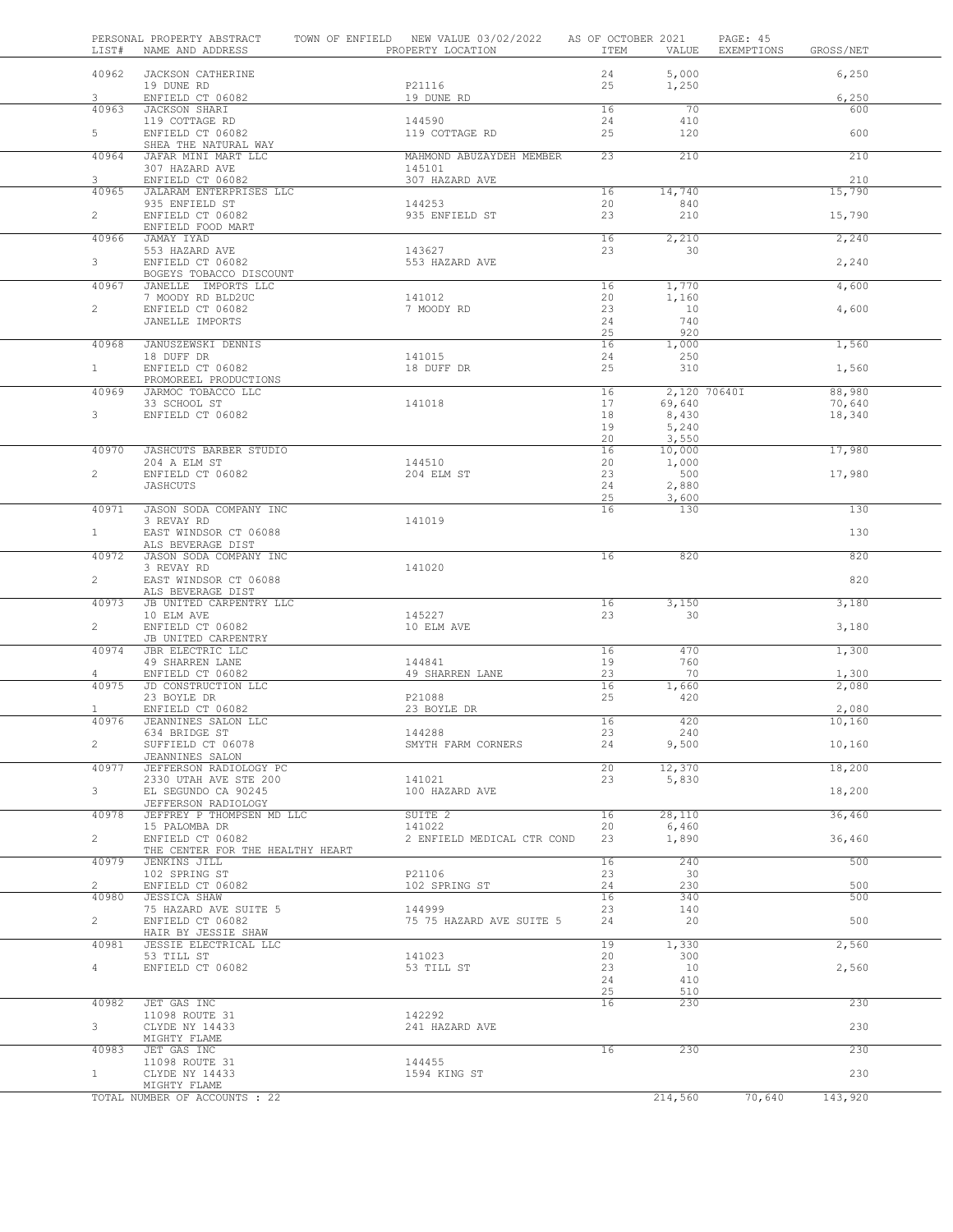| LIST#                 | PERSONAL PROPERTY ABSTRACT<br>NAME AND ADDRESS | TOWN OF ENFIELD NEW VALUE 03/02/2022<br>PROPERTY LOCATION | AS OF OCTOBER 2021<br>ITEM | VALUE           | PAGE: 45<br>EXEMPTIONS | GROSS/NET        |  |
|-----------------------|------------------------------------------------|-----------------------------------------------------------|----------------------------|-----------------|------------------------|------------------|--|
| 40962                 | JACKSON CATHERINE                              |                                                           | 24                         | 5,000           |                        | 6,250            |  |
| 3                     | 19 DUNE RD<br>ENFIELD CT 06082                 | P21116<br>19 DUNE RD                                      | 25                         | 1,250           |                        | 6,250            |  |
| 40963                 | JACKSON SHARI                                  |                                                           | 16                         | 70              |                        | 600              |  |
|                       | 119 COTTAGE RD                                 | 144590                                                    | 24                         | 410             |                        |                  |  |
| 5                     | ENFIELD CT 06082<br>SHEA THE NATURAL WAY       | 119 COTTAGE RD                                            | 25                         | 120             |                        | 600              |  |
| 40964                 | JAFAR MINI MART LLC                            | MAHMOND ABUZAYDEH MEMBER                                  | 23                         | 210             |                        | 210              |  |
|                       | 307 HAZARD AVE                                 | 145101                                                    |                            |                 |                        |                  |  |
| 3<br>40965            | ENFIELD CT 06082<br>JALARAM ENTERPRISES LLC    | 307 HAZARD AVE                                            | 16                         | 14,740          |                        | 210<br>15,790    |  |
|                       | 935 ENFIELD ST                                 | 144253                                                    | 20                         | 840             |                        |                  |  |
| $\overline{2}$        | ENFIELD CT 06082                               | 935 ENFIELD ST                                            | 23                         | 210             |                        | 15,790           |  |
| 40966                 | ENFIELD FOOD MART<br>JAMAY IYAD                |                                                           | 16                         | 2,210           |                        | 2,240            |  |
|                       | 553 HAZARD AVE                                 | 143627                                                    | 23                         | 30              |                        |                  |  |
| 3                     | ENFIELD CT 06082                               | 553 HAZARD AVE                                            |                            |                 |                        | 2,240            |  |
|                       | BOGEYS TOBACCO DISCOUNT                        |                                                           |                            |                 |                        |                  |  |
| 40967                 | JANELLE IMPORTS LLC<br>7 MOODY RD BLD2UC       | 141012                                                    | 16<br>20                   | 1,770<br>1,160  |                        | 4,600            |  |
| $\overline{2}$        | ENFIELD CT 06082                               | 7 MOODY RD                                                | 23                         | 10              |                        | 4,600            |  |
|                       | JANELLE IMPORTS                                |                                                           | 24                         | 740             |                        |                  |  |
| 40968                 | JANUSZEWSKI DENNIS                             |                                                           | 25<br>16                   | 920<br>1,000    |                        | 1,560            |  |
|                       | 18 DUFF DR                                     | 141015                                                    | 24                         | 250             |                        |                  |  |
| 1                     | ENFIELD CT 06082                               | 18 DUFF DR                                                | 25                         | 310             |                        | 1,560            |  |
|                       | PROMOREEL PRODUCTIONS                          |                                                           |                            |                 |                        |                  |  |
| 40969                 | JARMOC TOBACCO LLC<br>33 SCHOOL ST             | 141018                                                    | 16<br>17                   | 69,640          | 2,120 70640I           | 88,980<br>70,640 |  |
| 3                     | ENFIELD CT 06082                               |                                                           | 18                         | 8,430           |                        | 18,340           |  |
|                       |                                                |                                                           | 19                         | 5,240           |                        |                  |  |
| 40970                 | JASHCUTS BARBER STUDIO                         |                                                           | 20<br>16                   | 3,550<br>10,000 |                        | 17,980           |  |
|                       | 204 A ELM ST                                   | 144510                                                    | 20                         | 1,000           |                        |                  |  |
| $\overline{c}$        | ENFIELD CT 06082                               | 204 ELM ST                                                | 23                         | 500             |                        | 17,980           |  |
|                       | JASHCUTS                                       |                                                           | 24                         | 2,880           |                        |                  |  |
| 40971                 | JASON SODA COMPANY INC                         |                                                           | 25<br>16                   | 3,600<br>130    |                        | 130              |  |
|                       | 3 REVAY RD                                     | 141019                                                    |                            |                 |                        |                  |  |
| 1                     | EAST WINDSOR CT 06088                          |                                                           |                            |                 |                        | 130              |  |
|                       | ALS BEVERAGE DIST                              |                                                           |                            |                 |                        |                  |  |
| 40972                 | JASON SODA COMPANY INC<br>3 REVAY RD           | 141020                                                    | 16                         | 820             |                        | 820              |  |
| $\overline{2}$        | EAST WINDSOR CT 06088                          |                                                           |                            |                 |                        | 820              |  |
|                       | ALS BEVERAGE DIST                              |                                                           |                            |                 |                        |                  |  |
| 40973                 | JB UNITED CARPENTRY LLC<br>10 ELM AVE          | 145227                                                    | 16<br>23                   | 3,150<br>30     |                        | 3,180            |  |
| $\overline{2}$        | ENFIELD CT 06082                               | 10 ELM AVE                                                |                            |                 |                        | 3,180            |  |
|                       | JB UNITED CARPENTRY                            |                                                           |                            |                 |                        |                  |  |
| 40974                 | JBR ELECTRIC LLC<br>49 SHARREN LANE            | 144841                                                    | 16<br>19                   | 470<br>760      |                        | 1,300            |  |
| $\overline{4}$        | ENFIELD CT 06082                               | 49 SHARREN LANE                                           | 23                         | 70              |                        | 1,300            |  |
| 40975                 | JD CONSTRUCTION LLC                            |                                                           | 16                         | 1,660           |                        | 2,080            |  |
|                       | 23 BOYLE DR                                    | P21088                                                    | 25                         | 420             |                        |                  |  |
| $\mathbf{1}$<br>40976 | ENFIELD CT 06082<br>JEANNINES SALON LLC        | 23 BOYLE DR                                               | 16                         | 420             |                        | 2,080<br>10,160  |  |
|                       | 634 BRIDGE ST                                  | 144288                                                    | 23                         | 240             |                        |                  |  |
| 2                     | SUFFIELD CT 06078                              | SMYTH FARM CORNERS                                        | 24                         | 9,500           |                        | 10,160           |  |
| 40977                 | JEANNINES SALON<br>JEFFERSON RADIOLOGY PC      |                                                           | 20                         | 12,370          |                        | 18,200           |  |
|                       | 2330 UTAH AVE STE 200                          | 141021                                                    | 23                         | 5,830           |                        |                  |  |
| 3                     | EL SEGUNDO CA 90245                            | 100 HAZARD AVE                                            |                            |                 |                        | 18,200           |  |
|                       | JEFFERSON RADIOLOGY                            |                                                           |                            |                 |                        |                  |  |
| 40978                 | JEFFREY P THOMPSEN MD LLC<br>15 PALOMBA DR     | SUITE 2<br>141022                                         | 16<br>20                   | 28,110<br>6,460 |                        | 36,460           |  |
| $\overline{2}$        | ENFIELD CT 06082                               | 2 ENFIELD MEDICAL CTR COND                                | 23                         | 1,890           |                        | 36,460           |  |
|                       | THE CENTER FOR THE HEALTHY HEART               |                                                           |                            |                 |                        |                  |  |
| 40979                 | JENKINS JILL<br>102 SPRING ST                  | P21106                                                    | 16<br>23                   | 240<br>- 30     |                        | 500              |  |
| $\overline{2}$        | ENFIELD CT 06082                               | 102 SPRING ST                                             | 24                         | 230             |                        | 500              |  |
| 40980                 | <b>JESSICA SHAW</b>                            |                                                           | 16                         | 340             |                        | 500              |  |
| $\overline{2}$        | 75 HAZARD AVE SUITE 5<br>ENFIELD CT 06082      | 144999<br>75 75 HAZARD AVE SUITE 5                        | 23<br>24                   | 140             |                        | 500              |  |
|                       | HAIR BY JESSIE SHAW                            |                                                           |                            | 20              |                        |                  |  |
| 40981                 | JESSIE ELECTRICAL LLC                          |                                                           | 19                         | 1,330           |                        | 2,560            |  |
|                       | 53 TILL ST                                     | 141023                                                    | 20                         | 300             |                        |                  |  |
| 4                     | ENFIELD CT 06082                               | 53 TILL ST                                                | 23<br>24                   | 10<br>410       |                        | 2,560            |  |
|                       |                                                |                                                           | 25                         | 510             |                        |                  |  |
|                       | JET GAS INC                                    |                                                           | 16                         | 230             |                        | 230              |  |
| 40982                 |                                                | 142292                                                    |                            |                 |                        |                  |  |
|                       | 11098 ROUTE 31                                 |                                                           |                            |                 |                        |                  |  |
| 3                     | CLYDE NY 14433                                 | 241 HAZARD AVE                                            |                            |                 |                        | 230              |  |
| 40983                 | MIGHTY FLAME<br>JET GAS INC                    |                                                           | 16                         | 230             |                        | 230              |  |
|                       | 11098 ROUTE 31                                 | 144455                                                    |                            |                 |                        |                  |  |
| $\mathbf{1}$          | CLYDE NY 14433<br>MIGHTY FLAME                 | 1594 KING ST                                              |                            |                 |                        | 230              |  |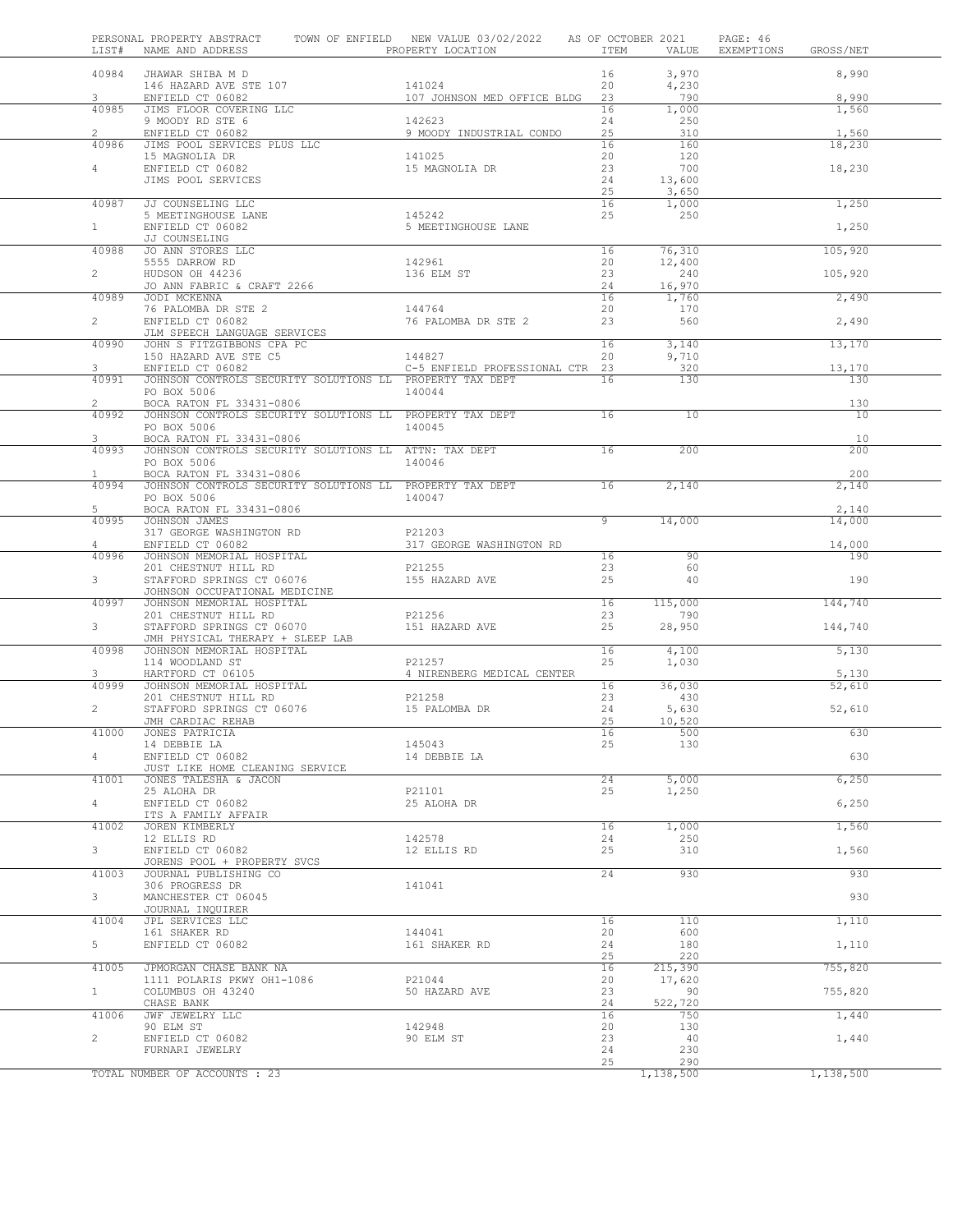| LIST#          | PERSONAL PROPERTY ABSTRACT<br>NAME AND ADDRESS                          | TOWN OF ENFIELD NEW VALUE 03/02/2022<br>PROPERTY LOCATION | ITEM           | AS OF OCTOBER 2021<br>VALUE | PAGE: 46<br>EXEMPTIONS<br>GROSS/NET |
|----------------|-------------------------------------------------------------------------|-----------------------------------------------------------|----------------|-----------------------------|-------------------------------------|
| 40984          | JHAWAR SHIBA M D                                                        |                                                           | 16             | 3,970                       | 8,990                               |
|                | 146 HAZARD AVE STE 107                                                  | 141024                                                    | 20             | 4,230                       |                                     |
| 3              | ENFIELD CT 06082                                                        | 107 JOHNSON MED OFFICE BLDG                               | 23             | 790                         | 8,990                               |
| 40985          | JIMS FLOOR COVERING LLC                                                 |                                                           | 16             | 1,000                       | 1,560                               |
|                | 9 MOODY RD STE 6                                                        | 142623                                                    | 24             | 250                         |                                     |
| $\overline{2}$ | ENFIELD CT 06082                                                        | 9 MOODY INDUSTRIAL CONDO                                  | 25             | 310                         | 1,560                               |
| 40986          | JIMS POOL SERVICES PLUS LLC                                             |                                                           | 16             | 160                         | 18,230                              |
| 4              | 15 MAGNOLIA DR<br>ENFIELD CT 06082                                      | 141025<br>15 MAGNOLIA DR                                  | 20<br>23       | 120<br>700                  | 18,230                              |
|                | JIMS POOL SERVICES                                                      |                                                           | 24             | 13,600                      |                                     |
|                |                                                                         |                                                           | 25             | 3,650                       |                                     |
| 40987          | JJ COUNSELING LLC                                                       |                                                           | 16             | 1,000                       | 1,250                               |
|                | 5 MEETINGHOUSE LANE                                                     | 145242                                                    | 25             | 250                         |                                     |
| 1              | ENFIELD CT 06082                                                        | 5 MEETINGHOUSE LANE                                       |                |                             | 1,250                               |
|                | JJ COUNSELING                                                           |                                                           |                |                             |                                     |
| 40988          | JO ANN STORES LLC                                                       |                                                           | 16             | 76,310                      | 105,920                             |
| $\overline{2}$ | 5555 DARROW RD<br>HUDSON OH 44236                                       | 142961<br>136 ELM ST                                      | 20<br>23       | 12,400<br>240               | 105,920                             |
|                | JO ANN FABRIC & CRAFT 2266                                              |                                                           | 24             | 16,970                      |                                     |
| 40989          | JODI MCKENNA                                                            |                                                           | 16             | 1,760                       | 2,490                               |
|                | 76 PALOMBA DR STE 2                                                     | 144764                                                    | 20             | 170                         |                                     |
| $\overline{2}$ | ENFIELD CT 06082                                                        | 76 PALOMBA DR STE 2                                       | 23             | 560                         | 2,490                               |
|                | JLM SPEECH LANGUAGE SERVICES                                            |                                                           |                |                             |                                     |
| 40990          | JOHN S FITZGIBBONS CPA PC                                               |                                                           | 16             | 3,140                       | 13,170                              |
|                | 150 HAZARD AVE STE C5                                                   | 144827                                                    | 20             | 9,710                       |                                     |
| 3              | ENFIELD CT 06082                                                        | C-5 ENFIELD PROFESSIONAL CTR 23                           |                | 320                         | 13,170                              |
| 40991          | JOHNSON CONTROLS SECURITY SOLUTIONS LL PROPERTY TAX DEPT<br>PO BOX 5006 | 140044                                                    | 16             | 130                         | 130                                 |
| $\overline{2}$ | BOCA RATON FL 33431-0806                                                |                                                           |                |                             | 130                                 |
| 40992          | JOHNSON CONTROLS SECURITY SOLUTIONS LL PROPERTY TAX DEPT                |                                                           | 16             | 10                          | 10                                  |
|                | PO BOX 5006                                                             | 140045                                                    |                |                             |                                     |
| 3              | BOCA RATON FL 33431-0806                                                |                                                           |                |                             | 10                                  |
| 40993          | JOHNSON CONTROLS SECURITY SOLUTIONS LL ATTN: TAX DEPT                   |                                                           | 16             | 200                         | 200                                 |
|                | PO BOX 5006                                                             | 140046                                                    |                |                             |                                     |
| $\mathbf{1}$   | BOCA RATON FL 33431-0806                                                |                                                           |                |                             | 200                                 |
| 40994          | JOHNSON CONTROLS SECURITY SOLUTIONS LL PROPERTY TAX DEPT                |                                                           | 16             | 2,140                       | 2,140                               |
| 5              | PO BOX 5006<br>BOCA RATON FL 33431-0806                                 | 140047                                                    |                |                             | 2,140                               |
| 40995          | JOHNSON JAMES                                                           |                                                           | $\overline{9}$ | 14,000                      | 14,000                              |
|                | 317 GEORGE WASHINGTON RD                                                | P21203                                                    |                |                             |                                     |
| 4              | ENFIELD CT 06082                                                        | 317 GEORGE WASHINGTON RD                                  |                |                             | 14,000                              |
| 40996          | JOHNSON MEMORIAL HOSPITAL                                               |                                                           | 16             | 90                          | 190                                 |
|                | 201 CHESTNUT HILL RD                                                    | P21255                                                    | 23             | 60                          |                                     |
| 3              | STAFFORD SPRINGS CT 06076                                               | 155 HAZARD AVE                                            | 25             | 40                          | 190                                 |
|                | JOHNSON OCCUPATIONAL MEDICINE                                           |                                                           |                |                             |                                     |
| 40997          | JOHNSON MEMORIAL HOSPITAL                                               | P21256                                                    | 16<br>23       | 115,000<br>790              | 144,740                             |
| $3 -$          | 201 CHESTNUT HILL RD<br>STAFFORD SPRINGS CT 06070                       | 151 HAZARD AVE                                            | 25             | 28,950                      | 144,740                             |
|                | JMH PHYSICAL THERAPY + SLEEP LAB                                        |                                                           |                |                             |                                     |
| 40998          | JOHNSON MEMORIAL HOSPITAL                                               |                                                           | 16             | 4,100                       | 5,130                               |
|                | 114 WOODLAND ST                                                         | P21257                                                    | 25             | 1,030                       |                                     |
| 3              | HARTFORD CT 06105                                                       | 4 NIRENBERG MEDICAL CENTER                                |                |                             | 5,130                               |
| 40999          | JOHNSON MEMORIAL HOSPITAL                                               |                                                           | 16             | 36,030                      | 52,610                              |
|                | 201 CHESTNUT HILL RD                                                    | P21258                                                    | 23             | 430                         |                                     |
| $\overline{c}$ | STAFFORD SPRINGS CT 06076                                               | 15 PALOMBA DR                                             | 24<br>25       | 5,630                       | 52,610                              |
|                | JMH CARDIAC REHAB                                                       |                                                           |                | 10,520                      |                                     |
| 41000          | JONES PATRICIA<br>14 DEBBIE LA                                          | 145043                                                    | TР<br>25       | 500<br>130                  | 630                                 |
| 4              | ENFIELD CT 06082                                                        | 14 DEBBIE LA                                              |                |                             | 630                                 |
|                | JUST LIKE HOME CLEANING SERVICE                                         |                                                           |                |                             |                                     |
| 41001          | JONES TALESHA & JACON                                                   |                                                           | 24             | 5,000                       | 6,250                               |
|                | 25 ALOHA DR                                                             | P21101                                                    | 25             | 1,250                       |                                     |
| $4 -$          | ENFIELD CT 06082                                                        | 25 ALOHA DR                                               |                |                             | 6,250                               |
|                | ITS A FAMILY AFFAIR                                                     |                                                           |                |                             |                                     |
| 41002          | JOREN KIMBERLY<br>12 ELLIS RD                                           | 142578                                                    | 16<br>24       | 1,000<br>250                | 1,560                               |
| $3 -$          | ENFIELD CT 06082                                                        | 12 ELLIS RD                                               | 25             | 310                         | 1,560                               |
|                | JORENS POOL + PROPERTY SVCS                                             |                                                           |                |                             |                                     |
| 41003          | JOURNAL PUBLISHING CO                                                   |                                                           | 24             | 930                         | 930                                 |
|                | 306 PROGRESS DR                                                         | 141041                                                    |                |                             |                                     |
| 3              | MANCHESTER CT 06045                                                     |                                                           |                |                             | 930                                 |
|                | JOURNAL INQUIRER                                                        |                                                           |                |                             |                                     |
| 41004          | JPL SERVICES LLC<br>161 SHAKER RD                                       | 144041                                                    | 16<br>20       | 110<br>600                  | 1,110                               |
| 5              | ENFIELD CT 06082                                                        | 161 SHAKER RD                                             | 24             | 180                         | 1,110                               |
|                |                                                                         |                                                           | 25             | 220                         |                                     |
| 41005          | JPMORGAN CHASE BANK NA                                                  |                                                           | 16             | 215,390                     | 755,820                             |
|                | 1111 POLARIS PKWY OH1-1086                                              | P21044                                                    | 20             | 17,620                      |                                     |
| $1 -$          | COLUMBUS OH 43240                                                       | 50 HAZARD AVE                                             | 23             | 90                          | 755,820                             |
|                | CHASE BANK                                                              |                                                           | 24             | 522,720                     |                                     |
| 41006          | JWF JEWELRY LLC                                                         |                                                           | 16             | 750                         | 1,440                               |
| $\overline{2}$ | 90 ELM ST<br>ENFIELD CT 06082                                           | 142948<br>90 ELM ST                                       | 20<br>23       | 130<br>40                   | 1,440                               |
|                | FURNARI JEWELRY                                                         |                                                           | 24             | 230                         |                                     |
|                |                                                                         |                                                           | 25             | 290                         |                                     |
|                | TOTAL NUMBER OF ACCOUNTS : 23                                           |                                                           |                | 1,138,500                   | 1,138,500                           |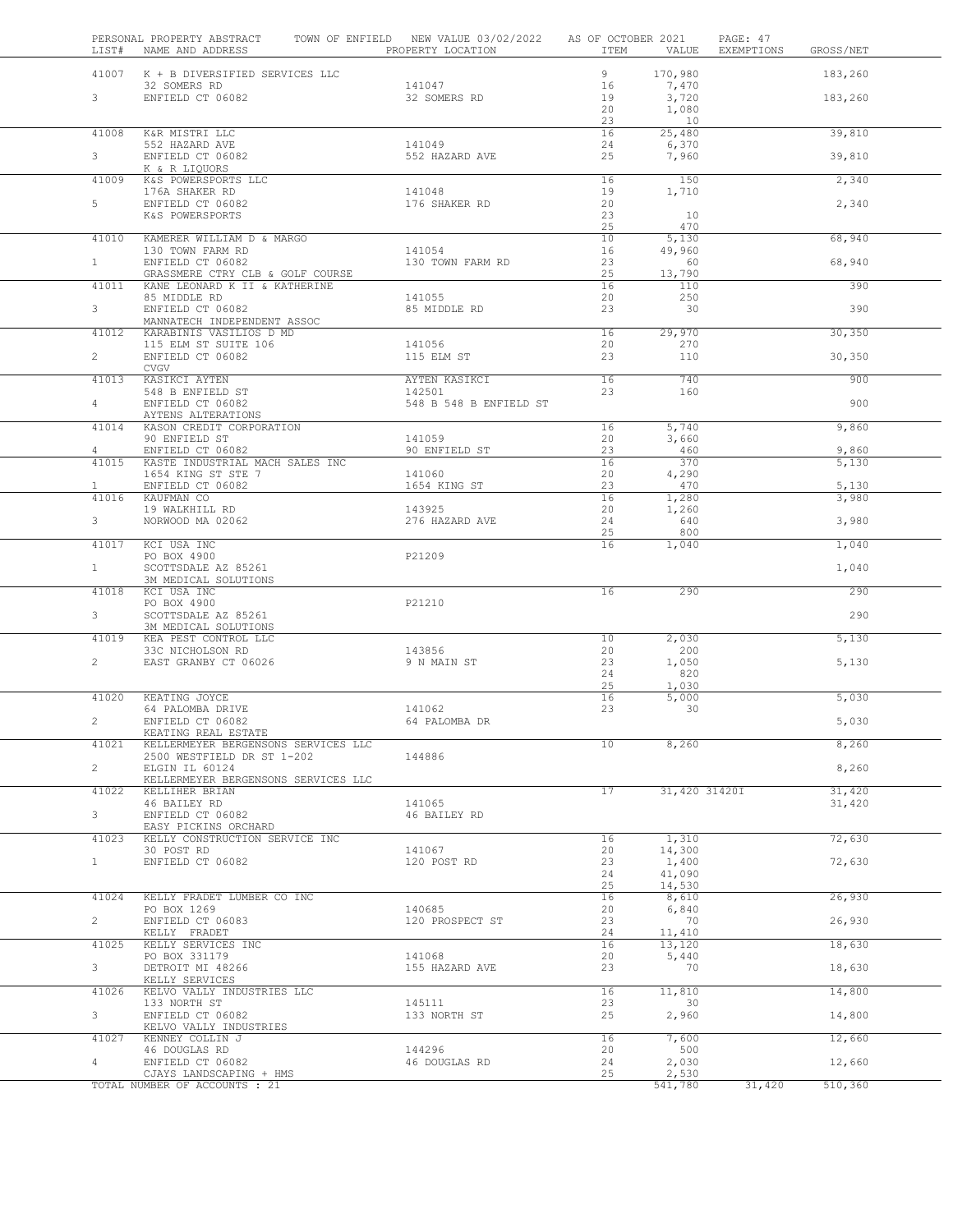| LIST#                   | PERSONAL PROPERTY ABSTRACT<br>NAME AND ADDRESS                    | TOWN OF ENFIELD NEW VALUE 03/02/2022<br>PROPERTY LOCATION | AS OF OCTOBER 2021<br>ITEM | VALUE           | PAGE: 47<br>EXEMPTIONS | GROSS/NET        |  |
|-------------------------|-------------------------------------------------------------------|-----------------------------------------------------------|----------------------------|-----------------|------------------------|------------------|--|
|                         | 41007 K + B DIVERSIFIED SERVICES LLC                              |                                                           | 9                          | 170,980         |                        | 183,260          |  |
| 3 <sup>7</sup>          | 32 SOMERS RD<br>ENFIELD CT 06082                                  | 141047<br>32 SOMERS RD                                    | 16<br>19                   | 7,470           |                        | 183,260          |  |
|                         |                                                                   |                                                           | 20                         | 3,720<br>1,080  |                        |                  |  |
|                         |                                                                   |                                                           | 23                         | 10              |                        |                  |  |
| 41008                   | K&R MISTRI LLC                                                    |                                                           | 16                         | 25,480          |                        | 39,810           |  |
| 3 <sup>7</sup>          | 552 HAZARD AVE<br>ENFIELD CT 06082                                | 141049<br>552 HAZARD AVE                                  | 24<br>25                   | 6,370<br>7,960  |                        | 39,810           |  |
|                         | K & R LIQUORS                                                     |                                                           |                            |                 |                        |                  |  |
| 41009                   | K&S POWERSPORTS LLC                                               |                                                           | 16                         | 150             |                        | 2,340            |  |
|                         | 176A SHAKER RD                                                    | 141048                                                    | 19                         | 1,710           |                        |                  |  |
| 5                       | ENFIELD CT 06082<br>K&S POWERSPORTS                               | 176 SHAKER RD                                             | 20<br>23                   | 10              |                        | 2,340            |  |
|                         |                                                                   |                                                           | 25                         | 470             |                        |                  |  |
| 41010                   | KAMERER WILLIAM D & MARGO                                         |                                                           | 10                         | 5,130           |                        | 68,940           |  |
| 1                       | 130 TOWN FARM RD<br>ENFIELD CT 06082                              | 141054<br>130 TOWN FARM RD                                | 16<br>23                   | 49,960<br>60    |                        | 68,940           |  |
|                         | GRASSMERE CTRY CLB & GOLF COURSE                                  |                                                           | 25                         | 13,790          |                        |                  |  |
| 41011                   | KANE LEONARD K II & KATHERINE                                     |                                                           | 16                         | 110             |                        | 390              |  |
| $3 -$                   | 85 MIDDLE RD<br>ENFIELD CT 06082                                  | 141055<br>85 MIDDLE RD                                    | 20<br>23                   | 250<br>30       |                        | 390              |  |
|                         | MANNATECH INDEPENDENT ASSOC                                       |                                                           |                            |                 |                        |                  |  |
| 41012                   | KARABINIS VASILIOS D MD                                           |                                                           | 16                         | 29,970          |                        | 30,350           |  |
| $2^{\circ}$             | 115 ELM ST SUITE 106<br>ENFIELD CT 06082                          | 141056<br>115 ELM ST                                      | 20<br>23                   | 270<br>110      |                        | 30,350           |  |
|                         | CVGV                                                              |                                                           |                            |                 |                        |                  |  |
| 41013                   | KASIKCI AYTEN                                                     | AYTEN KASIKCI                                             | 16                         | 740             |                        | 900              |  |
|                         | 548 B ENFIELD ST                                                  | 142501                                                    | 23                         | 160             |                        |                  |  |
| $4 -$                   | ENFIELD CT 06082<br>AYTENS ALTERATIONS                            | 548 B 548 B ENFIELD ST                                    |                            |                 |                        | 900              |  |
| 41014                   | KASON CREDIT CORPORATION                                          |                                                           | 16                         | 5,740           |                        | 9,860            |  |
|                         | 90 ENFIELD ST                                                     | 141059                                                    | 20                         | 3,660           |                        |                  |  |
| $\overline{4}$<br>41015 | ENFIELD CT 06082<br>KASTE INDUSTRIAL MACH SALES INC               | 90 ENFIELD ST                                             | 23<br>16                   | 460<br>370      |                        | 9,860<br>5,130   |  |
|                         | 1654 KING ST STE 7                                                | 141060                                                    | 20                         | 4,290           |                        |                  |  |
| $\mathbf{1}$            | ENFIELD CT 06082                                                  | 1654 KING ST                                              | 23                         | 470             |                        | 5,130            |  |
| 41016                   | KAUFMAN CO                                                        | 143925                                                    | 16<br>20                   | 1,280           |                        | 3,980            |  |
| $3 -$                   | 19 WALKHILL RD<br>NORWOOD MA 02062                                | 276 HAZARD AVE                                            | 24                         | 1,260<br>640    |                        | 3,980            |  |
|                         |                                                                   |                                                           | 25                         | 800             |                        |                  |  |
| 41017                   | KCI USA INC                                                       |                                                           | 16                         | 1,040           |                        | 1,040            |  |
| $\mathbf{1}$            | PO BOX 4900<br>SCOTTSDALE AZ 85261                                | P21209                                                    |                            |                 |                        | 1,040            |  |
|                         | 3M MEDICAL SOLUTIONS                                              |                                                           |                            |                 |                        |                  |  |
| 41018                   | KCI USA INC<br>PO BOX 4900                                        | P21210                                                    | 16                         | 290             |                        | 290              |  |
| 3 <sup>7</sup>          | SCOTTSDALE AZ 85261                                               |                                                           |                            |                 |                        | 290              |  |
|                         | 3M MEDICAL SOLUTIONS                                              |                                                           |                            |                 |                        |                  |  |
| 41019                   | KEA PEST CONTROL LLC<br>33C NICHOLSON RD                          | 143856                                                    | 10<br>20                   | 2,030<br>200    |                        | 5,130            |  |
| $\mathbf{2}$            | EAST GRANBY CT 06026                                              | 9 N MAIN ST                                               | 23                         | 1,050           |                        | 5,130            |  |
|                         |                                                                   |                                                           | 24                         | 820             |                        |                  |  |
|                         |                                                                   |                                                           | 25                         | 1,030           |                        |                  |  |
| 41020                   | KEATING JOYCE<br>64 PALOMBA DRIVE                                 | 141062                                                    | 16<br>23                   | 5,000<br>30     |                        | 5,030            |  |
| $\overline{2}$          | ENFIELD CT 06082                                                  | 64 PALOMBA DR                                             |                            |                 |                        | 5,030            |  |
|                         | KEATING REAL ESTATE                                               |                                                           |                            |                 |                        |                  |  |
| 41021                   | KELLERMEYER BERGENSONS SERVICES LLC<br>2500 WESTFIELD DR ST 1-202 | 144886                                                    | 10                         | 8,260           |                        | 8,260            |  |
| $\overline{2}$          | ELGIN IL 60124                                                    |                                                           |                            |                 |                        | 8,260            |  |
|                         | KELLERMEYER BERGENSONS SERVICES LLC                               |                                                           |                            |                 |                        |                  |  |
| 41022                   | KELLIHER BRIAN<br>46 BAILEY RD                                    | 141065                                                    | 17                         | 31,420 31420I   |                        | 31,420<br>31,420 |  |
| $3 -$                   | ENFIELD CT 06082                                                  | 46 BAILEY RD                                              |                            |                 |                        |                  |  |
|                         | EASY PICKINS ORCHARD                                              |                                                           |                            |                 |                        |                  |  |
| 41023                   | KELLY CONSTRUCTION SERVICE INC                                    | 141067                                                    | 16                         | 1,310           |                        | 72,630           |  |
| 1                       | 30 POST RD<br>ENFIELD CT 06082                                    | 120 POST RD                                               | 20<br>23                   | 14,300<br>1,400 |                        | 72,630           |  |
|                         |                                                                   |                                                           | 24                         | 41,090          |                        |                  |  |
| 41024                   | KELLY FRADET LUMBER CO INC                                        |                                                           | 25<br>16                   | 14,530          |                        |                  |  |
|                         | PO BOX 1269                                                       | 140685                                                    | 20                         | 8,610<br>6,840  |                        | 26,930           |  |
| $\overline{2}$          | ENFIELD CT 06083                                                  | 120 PROSPECT ST                                           | 23                         | 70              |                        | 26,930           |  |
|                         | KELLY FRADET                                                      |                                                           | 24                         | 11,410          |                        |                  |  |
| 41025                   | KELLY SERVICES INC<br>PO BOX 331179                               | 141068                                                    | 16<br>20                   | 13,120<br>5,440 |                        | 18,630           |  |
| 3 <sup>7</sup>          | DETROIT MI 48266                                                  | 155 HAZARD AVE                                            | 23                         | 70              |                        | 18,630           |  |
|                         | KELLY SERVICES                                                    |                                                           |                            |                 |                        |                  |  |
| 41026                   | KELVO VALLY INDUSTRIES LLC<br>133 NORTH ST                        | 145111                                                    | 16<br>23                   | 11,810<br>30    |                        | 14,800           |  |
| 3                       | ENFIELD CT 06082                                                  | 133 NORTH ST                                              | 25                         | 2,960           |                        | 14,800           |  |
|                         | KELVO VALLY INDUSTRIES                                            |                                                           |                            |                 |                        |                  |  |
| 41027                   | KENNEY COLLIN J<br>46 DOUGLAS RD                                  | 144296                                                    | 16<br>20                   | 7,600<br>500    |                        | 12,660           |  |
| $\overline{4}$          | ENFIELD CT 06082                                                  | 46 DOUGLAS RD                                             | 24                         | 2,030           |                        | 12,660           |  |
|                         | CJAYS LANDSCAPING + HMS                                           |                                                           | 25                         | 2,530           |                        |                  |  |
|                         | TOTAL NUMBER OF ACCOUNTS : 21                                     |                                                           |                            | 541,780         | 31,420                 | 510,360          |  |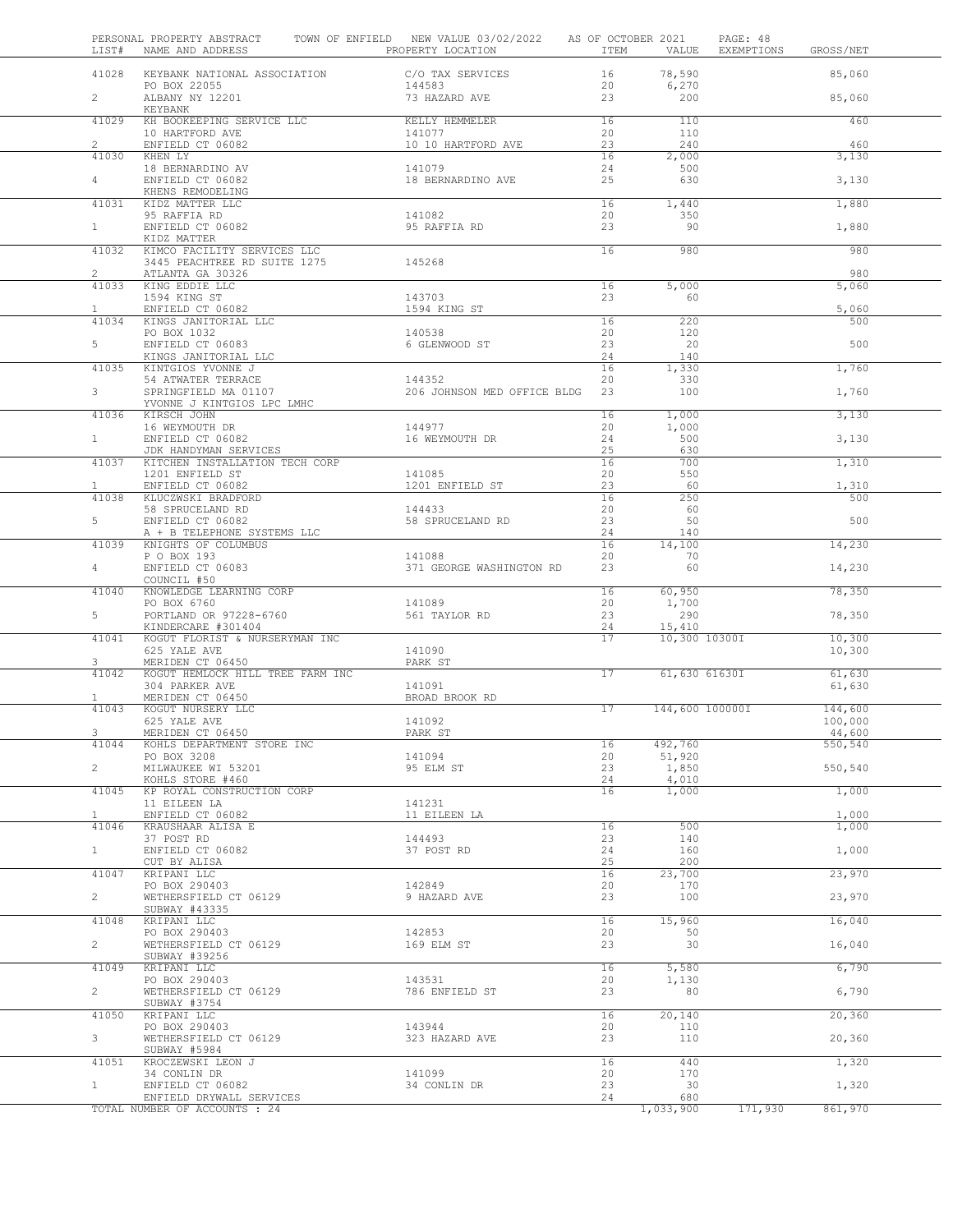| LIST#                          | PERSONAL PROPERTY ABSTRACT<br>NAME AND ADDRESS            | TOWN OF ENFIELD NEW VALUE 03/02/2022<br>PROPERTY LOCATION | AS OF OCTOBER 2021<br>ITEM | VALUE           | PAGE: 48<br>EXEMPTIONS<br>GROSS/NET |
|--------------------------------|-----------------------------------------------------------|-----------------------------------------------------------|----------------------------|-----------------|-------------------------------------|
| 41028                          | KEYBANK NATIONAL ASSOCIATION                              | C/O TAX SERVICES                                          | 16                         | 78,590          | 85,060                              |
| $\overline{2}$                 | PO BOX 22055<br>ALBANY NY 12201                           | 144583<br>73 HAZARD AVE                                   | 20<br>23                   | 6,270<br>200    | 85,060                              |
| 41029                          | KEYBANK<br>KH BOOKEEPING SERVICE LLC                      | KELLY HEMMELER                                            | 16                         | 110             | 460                                 |
|                                | 10 HARTFORD AVE                                           | 141077                                                    | 20                         | 110             |                                     |
| $\mathbf{2}^{\prime}$<br>41030 | ENFIELD CT 06082<br>KHEN LY                               | 10 10 HARTFORD AVE                                        | 23<br>16                   | 240<br>2,000    | 460<br>3,130                        |
|                                | 18 BERNARDINO AV                                          | 141079                                                    | 24                         | 500             |                                     |
| 4                              | ENFIELD CT 06082                                          | 18 BERNARDINO AVE                                         | 25                         | 630             | 3,130                               |
| 41031                          | KHENS REMODELING<br>KIDZ MATTER LLC                       |                                                           | 16                         | 1,440           | 1,880                               |
|                                | 95 RAFFIA RD                                              | 141082                                                    | 20                         | 350             |                                     |
| 1                              | ENFIELD CT 06082<br>KIDZ MATTER                           | 95 RAFFIA RD                                              | 23                         | 90              | 1,880                               |
| 41032                          | KIMCO FACILITY SERVICES LLC                               |                                                           | 16                         | 980             | 980                                 |
| $\overline{2}$                 | 3445 PEACHTREE RD SUITE 1275<br>ATLANTA GA 30326          | 145268                                                    |                            |                 | 980                                 |
| 41033                          | KING EDDIE LLC                                            |                                                           | 16                         | 5,000           | 5,060                               |
|                                | 1594 KING ST                                              | 143703                                                    | 23                         | 60              |                                     |
| $\mathbf{1}$<br>41034          | ENFIELD CT 06082<br>KINGS JANITORIAL LLC                  | 1594 KING ST                                              | 16                         | 220             | 5,060<br>500                        |
|                                | PO BOX 1032                                               | 140538                                                    | 20                         | 120             |                                     |
| 5                              | ENFIELD CT 06083                                          | 6 GLENWOOD ST                                             | 23                         | 20              | 500                                 |
| 41035                          | KINGS JANITORIAL LLC<br>KINTGIOS YVONNE J                 |                                                           | 24<br>16                   | 140<br>1,330    | 1,760                               |
|                                | 54 ATWATER TERRACE                                        | 144352                                                    | 20                         | 330             |                                     |
| 3                              | SPRINGFIELD MA 01107<br>YVONNE J KINTGIOS LPC LMHC        | 206 JOHNSON MED OFFICE BLDG                               | 23                         | 100             | 1,760                               |
| 41036                          | KIRSCH JOHN                                               |                                                           | 16                         | 1,000           | 3,130                               |
|                                | 16 WEYMOUTH DR                                            | 144977                                                    | 20                         | 1,000           |                                     |
| $\mathbf{1}$                   | ENFIELD CT 06082<br>JDK HANDYMAN SERVICES                 | 16 WEYMOUTH DR                                            | 24<br>25                   | 500<br>630      | 3,130                               |
| 41037                          | KITCHEN INSTALLATION TECH CORP                            |                                                           | 16                         | 700             | 1,310                               |
| $\mathbf{1}$                   | 1201 ENFIELD ST<br>ENFIELD CT 06082                       | 141085<br>1201 ENFIELD ST                                 | 20<br>23                   | 550<br>- 60     | 1,310                               |
| 41038                          | KLUCZWSKI BRADFORD                                        |                                                           | 16                         | 250             | 500                                 |
|                                | 58 SPRUCELAND RD                                          | 144433                                                    | 20                         | 60              |                                     |
| 5                              | ENFIELD CT 06082<br>A + B TELEPHONE SYSTEMS LLC           | 58 SPRUCELAND RD                                          | 23<br>24                   | 50<br>140       | 500                                 |
| 41039                          | KNIGHTS OF COLUMBUS                                       |                                                           | 16                         | 14,100          | 14,230                              |
| 4                              | P O BOX 193<br>ENFIELD CT 06083                           | 141088<br>371 GEORGE WASHINGTON RD                        | 20<br>23                   | 70<br>60        |                                     |
|                                | COUNCIL #50                                               |                                                           |                            |                 | 14,230                              |
| 41040                          | KNOWLEDGE LEARNING CORP                                   |                                                           | 16                         | 60,950          | 78,350                              |
| 5                              | PO BOX 6760<br>PORTLAND OR 97228-6760                     | 141089<br>561 TAYLOR RD                                   | 20<br>23                   | 1,700<br>290    | 78,350                              |
|                                | KINDERCARE #301404                                        |                                                           | 24                         | 15,410          |                                     |
| 41041                          | KOGUT FLORIST & NURSERYMAN INC<br>625 YALE AVE            | 141090                                                    | 17                         | 10,300 10300I   | 10,300<br>10,300                    |
| 3                              | MERIDEN CT 06450                                          | PARK ST                                                   |                            |                 |                                     |
| 41042                          | KOGUT HEMLOCK HILL TREE FARM INC                          |                                                           | 17                         | 61,630 61630I   | 61,630                              |
| $\mathbf{1}$                   | 304 PARKER AVE<br>MERIDEN CT 06450                        | 141091<br>BROAD BROOK RD                                  |                            |                 | 61,630                              |
| 41043                          | KOGUT NURSERY LLC                                         |                                                           | 17                         | 144,600 100000I | 144,600                             |
|                                | 625 YALE AVE<br>MERIDEN CT 06450                          | 141092<br>PARK ST                                         |                            |                 | 100,000<br>44,600                   |
| 41044                          | KOHLS DEPARTMENT STORE INC                                |                                                           | 16                         | 492,760         | 550,540                             |
|                                | PO BOX 3208                                               | 141094                                                    | 20                         | 51,920          |                                     |
| $\mathbf{2}$                   | MILWAUKEE WI 53201<br>KOHLS STORE #460                    | 95 ELM ST                                                 | 23<br>24                   | 1,850<br>4,010  | 550,540                             |
| 41045                          | KP ROYAL CONSTRUCTION CORP                                |                                                           | 16                         | 1,000           | 1,000                               |
| $\mathbf{1}$                   | 11 EILEEN LA<br>ENFIELD CT 06082                          | 141231<br>11 EILEEN LA                                    |                            |                 | 1,000                               |
| 41046                          | KRAUSHAAR ALISA E                                         |                                                           | 16                         | 500             | 1,000                               |
| $\mathbf{1}$                   | 37 POST RD<br>ENFIELD CT 06082                            | 144493                                                    | 23                         | 140<br>160      | 1,000                               |
|                                | CUT BY ALISA                                              | 37 POST RD                                                | 24<br>25                   | 200             |                                     |
| 41047                          | KRIPANI LLC                                               |                                                           | 16                         | 23,700          | 23,970                              |
| $\overline{2}$                 | PO BOX 290403<br>WETHERSFIELD CT 06129                    | 142849<br>9 HAZARD AVE                                    | 20<br>23                   | 170<br>100      | 23,970                              |
|                                | SUBWAY #43335                                             |                                                           |                            |                 |                                     |
| 41048                          | KRIPANI LLC                                               |                                                           | 16                         | 15,960          | 16,040                              |
| $\overline{2}$                 | PO BOX 290403<br>WETHERSFIELD CT 06129                    | 142853<br>169 ELM ST                                      | 20<br>23                   | 50<br>30        | 16,040                              |
|                                | SUBWAY #39256                                             |                                                           |                            |                 |                                     |
| 41049                          | KRIPANI LLC<br>PO BOX 290403                              | 143531                                                    | 16<br>20                   | 5,580<br>1,130  | 6,790                               |
| $\overline{2}$                 | WETHERSFIELD CT 06129                                     | 786 ENFIELD ST                                            | 23                         | 80              | 6,790                               |
|                                | SUBWAY #3754                                              |                                                           |                            |                 |                                     |
| 41050                          | KRIPANI LLC<br>PO BOX 290403                              | 143944                                                    | 16<br>20                   | 20,140<br>110   | 20,360                              |
| $\mathbf{3}$                   | WETHERSFIELD CT 06129                                     | 323 HAZARD AVE                                            | 23                         | 110             | 20,360                              |
| 41051                          | SUBWAY #5984<br>KROCZEWSKI LEON J                         |                                                           | 16                         | 440             | 1,320                               |
|                                | 34 CONLIN DR                                              | 141099                                                    | 20                         | 170             |                                     |
| $\mathbf{1}$                   | ENFIELD CT 06082                                          | 34 CONLIN DR                                              | 23<br>24                   | 30<br>680       | 1,320                               |
|                                | ENFIELD DRYWALL SERVICES<br>TOTAL NUMBER OF ACCOUNTS : 24 |                                                           |                            | 1,033,900       | 171,930<br>861,970                  |
|                                |                                                           |                                                           |                            |                 |                                     |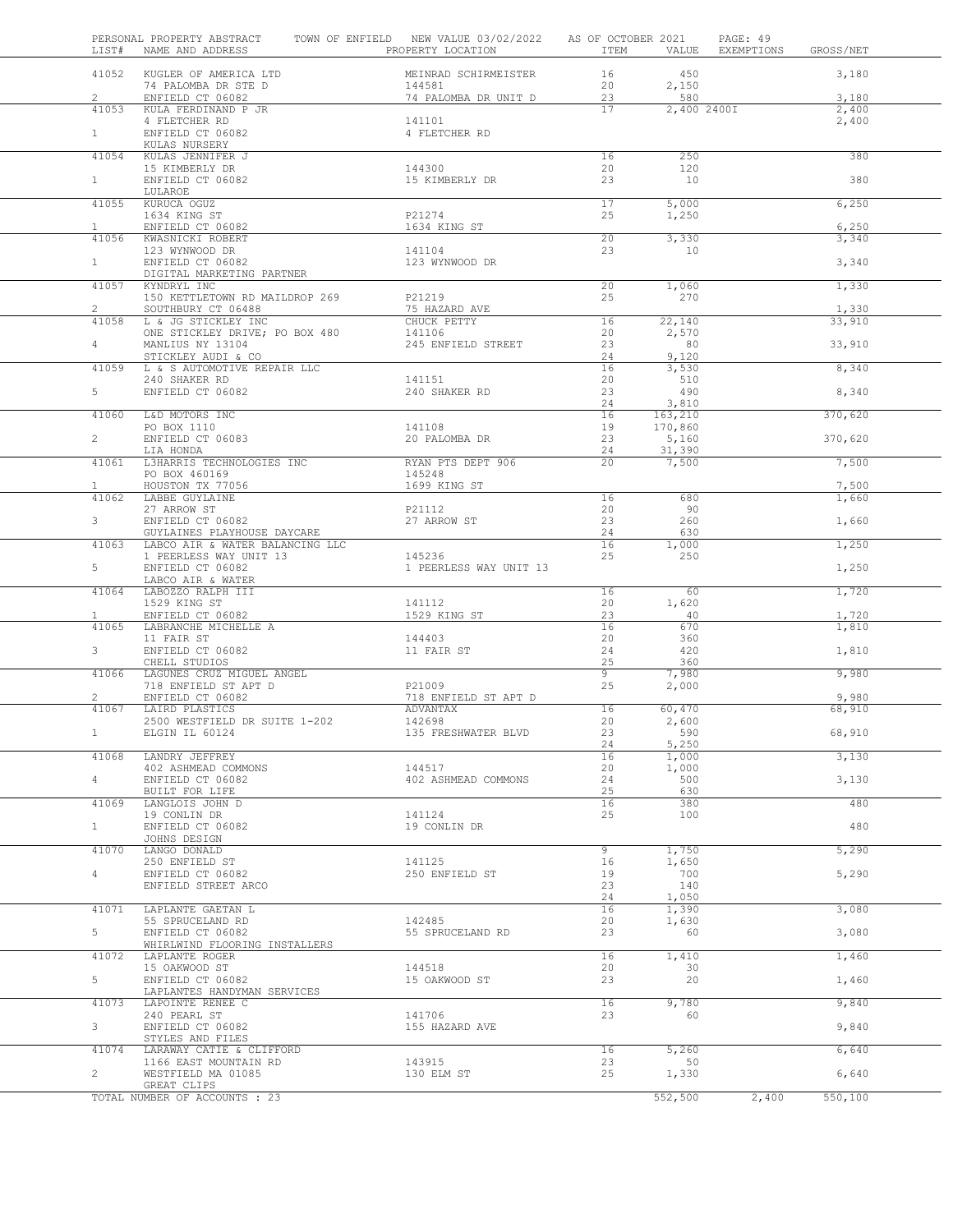| LIST#          | PERSONAL PROPERTY ABSTRACT<br>NAME AND ADDRESS    | TOWN OF ENFIELD NEW VALUE 03/02/2022 AS OF OCTOBER 2021<br>PROPERTY LOCATION | ITEM            | VALUE               | PAGE: 49<br>EXEMPTIONS | GROSS/NET |
|----------------|---------------------------------------------------|------------------------------------------------------------------------------|-----------------|---------------------|------------------------|-----------|
|                | 41052 KUGLER OF AMERICA LTD                       | MEINRAD SCHIRMEISTER                                                         | 16              | 450                 |                        | 3,180     |
|                | 74 PALOMBA DR STE D                               | 144581                                                                       | 20              | 2,150               |                        |           |
| $\overline{2}$ | ENFIELD CT 06082                                  | 74 PALOMBA DR UNIT D                                                         | 23              | 580                 |                        | 3,180     |
| 41053          | KULA FERDINAND P JR                               |                                                                              | 17              | 2,400 2400I         |                        | 2,400     |
| 1              | 4 FLETCHER RD<br>ENFIELD CT 06082                 | 141101<br>4 FLETCHER RD                                                      |                 |                     |                        | 2,400     |
|                | KULAS NURSERY                                     |                                                                              |                 |                     |                        |           |
| 41054          | KULAS JENNIFER J                                  |                                                                              | 16              | 250                 |                        | 380       |
|                | 15 KIMBERLY DR                                    | 144300                                                                       | 20              | 120                 |                        |           |
| 1              | ENFIELD CT 06082                                  | 15 KIMBERLY DR                                                               | 23              | 10                  |                        | 380       |
|                | LULAROE                                           |                                                                              |                 |                     |                        |           |
| 41055          | KURUCA OGUZ                                       |                                                                              | 17              | 5,000               |                        | 6,250     |
|                | 1634 KING ST                                      | P21274                                                                       | 25              | 1,250               |                        |           |
| 1              | ENFIELD CT 06082                                  | 1634 KING ST                                                                 |                 |                     |                        | 6,250     |
|                | 41056 KWASNICKI ROBERT                            |                                                                              | 20              | 3,330               |                        | 3,340     |
|                | 123 WYNWOOD DR                                    | 141104                                                                       | 23              | 10                  |                        |           |
| 1              | ENFIELD CT 06082                                  | 123 WYNWOOD DR                                                               |                 |                     |                        | 3,340     |
|                | DIGITAL MARKETING PARTNER                         |                                                                              |                 |                     |                        |           |
|                | 41057 KYNDRYL INC                                 |                                                                              | 20              | 1,060               |                        | 1,330     |
|                | 150 KETTLETOWN RD MAILDROP 269                    | P21219                                                                       | 25              | 270                 |                        |           |
| $\overline{2}$ | SOUTHBURY CT 06488                                | 75 HAZARD AVE                                                                |                 |                     |                        | 1,330     |
| 41058          | L & JG STICKLEY INC                               | CHUCK PETTY                                                                  | 16              | 22,140              |                        | 33,910    |
|                | ONE STICKLEY DRIVE; PO BOX 480                    | 141106                                                                       | 20              | 2,570<br>80         |                        |           |
| $\overline{4}$ | MANLIUS NY 13104                                  | 245 ENFIELD STREET                                                           | 23<br>24        | 9,120               |                        | 33,910    |
| 41059          | STICKLEY AUDI & CO<br>L & S AUTOMOTIVE REPAIR LLC |                                                                              | 16              | 3,530               |                        | 8,340     |
|                | 240 SHAKER RD                                     | 141151                                                                       | 20              | 510                 |                        |           |
| 5              | ENFIELD CT 06082                                  | 240 SHAKER RD                                                                | 23              | 490                 |                        | 8,340     |
|                |                                                   |                                                                              | 24              | 3,810               |                        |           |
| 41060          | L&D MOTORS INC                                    |                                                                              | 16              | 163,210             |                        | 370,620   |
|                | PO BOX 1110                                       | 141108                                                                       | 19              | 170,860             |                        |           |
| $\overline{2}$ | ENFIELD CT 06083                                  | 20 PALOMBA DR                                                                | 23              | 5,160               |                        | 370,620   |
|                | LIA HONDA                                         |                                                                              | 24              | 31,390              |                        |           |
| 41061          | L3HARRIS TECHNOLOGIES INC                         | RYAN PTS DEPT 906                                                            | 20 <sup>2</sup> | 7,500               |                        | 7,500     |
|                | PO BOX 460169                                     | 145248                                                                       |                 |                     |                        |           |
| $\mathbf{1}$   | HOUSTON TX 77056                                  | 1699 KING ST                                                                 |                 |                     |                        | 7,500     |
| 41062          | LABBE GUYLAINE                                    |                                                                              | 16              | 680                 |                        | 1,660     |
|                | 27 ARROW ST                                       | P21112                                                                       | 20              | 90                  |                        |           |
| 3              | ENFIELD CT 06082                                  | 27 ARROW ST                                                                  | 23              | 260                 |                        | 1,660     |
|                | GUYLAINES PLAYHOUSE DAYCARE                       |                                                                              | 24              | 630                 |                        |           |
| 41063          | LABCO AIR & WATER BALANCING LLC                   |                                                                              | 16              | $\overline{1}$ ,000 |                        | 1,250     |
| 5              | 1 PEERLESS WAY UNIT 13                            | 145236                                                                       | 25              | 250                 |                        |           |
|                | ENFIELD CT 06082<br>LABCO AIR & WATER             | 1 PEERLESS WAY UNIT 13                                                       |                 |                     |                        | 1,250     |
| 41064          | LABOZZO RALPH III                                 |                                                                              | 16              | 60                  |                        | 1,720     |
|                | 1529 KING ST                                      | 141112                                                                       | 20              | 1,620               |                        |           |
| $\mathbf{1}$   | ENFIELD CT 06082                                  | 1529 KING ST                                                                 | 23              | -40                 |                        | 1,720     |
| 41065          | LABRANCHE MICHELLE A                              |                                                                              | 16              | 670                 |                        | 1,810     |
|                | 11 FAIR ST                                        | 144403                                                                       | 20              | 360                 |                        |           |
| 3              | ENFIELD CT 06082                                  | 11 FAIR ST                                                                   | 24              | 420                 |                        | 1,810     |
|                | CHELL STUDIOS                                     |                                                                              | 25              | 360                 |                        |           |
| 41066          | LAGUNES CRUZ MIGUEL ANGEL                         |                                                                              | 9               | 7,980               |                        | 9,980     |
|                | 718 ENFIELD ST APT D                              | P21009                                                                       | 25              | 2,000               |                        |           |
| $\overline{2}$ | ENFIELD CT 06082                                  | 718 ENFIELD ST APT D                                                         |                 |                     |                        | 9,980     |
| 41067          | LAIRD PLASTICS                                    | ADVANTAX                                                                     | 16              | 60,470              |                        | 68,910    |
|                | 2500 WESTFIELD DR SUITE 1-202                     | 142698                                                                       | 20              | 2,600               |                        |           |
|                | ELGIN IL 60124                                    | 135 FRESHWATER BLVD                                                          | 23              | 590<br>5,250        |                        | 68,910    |
| 41068          | LANDRY JEFFREY                                    |                                                                              | 24<br>16        | 1,000               |                        | 3,130     |
|                | 402 ASHMEAD COMMONS                               | 144517                                                                       | 20              | 1,000               |                        |           |
| $4 -$          | ENFIELD CT 06082                                  | 402 ASHMEAD COMMONS                                                          | 24              | 500                 |                        | 3,130     |
|                | BUILT FOR LIFE                                    |                                                                              | 25              | 630                 |                        |           |
| 41069          | LANGLOIS JOHN D                                   |                                                                              | 16              | 380                 |                        | 480       |
|                | 19 CONLIN DR                                      | 141124                                                                       | 25              | 100                 |                        |           |
| $\mathbf{1}$   | ENFIELD CT 06082                                  | 19 CONLIN DR                                                                 |                 |                     |                        | 480       |
|                | JOHNS DESIGN                                      |                                                                              |                 |                     |                        |           |
| 41070          | LANGO DONALD                                      |                                                                              | 9               | 1,750               |                        | 5,290     |
|                | 250 ENFIELD ST                                    | 141125                                                                       | 16              | 1,650               |                        |           |
| $\overline{4}$ | ENFIELD CT 06082                                  | 250 ENFIELD ST                                                               | 19              | 700                 |                        | 5,290     |
|                | ENFIELD STREET ARCO                               |                                                                              | 23              | 140                 |                        |           |
|                |                                                   |                                                                              | 24              | 1,050               |                        |           |
| 41071          | LAPLANTE GAETAN L                                 |                                                                              | 16              | 1,390               |                        | 3,080     |
|                | 55 SPRUCELAND RD                                  | 142485                                                                       | 20              | 1,630               |                        |           |
| 5              | ENFIELD CT 06082                                  | 55 SPRUCELAND RD                                                             | 23              | 60                  |                        | 3,080     |
|                | WHIRLWIND FLOORING INSTALLERS                     |                                                                              |                 |                     |                        |           |
| 41072          | LAPLANTE ROGER                                    | 144518                                                                       | 16<br>20        | 1,410<br>30         |                        | 1,460     |
| $5 -$          | 15 OAKWOOD ST<br>ENFIELD CT 06082                 | 15 OAKWOOD ST                                                                | 23              | 20                  |                        | 1,460     |
|                | LAPLANTES HANDYMAN SERVICES                       |                                                                              |                 |                     |                        |           |
| 41073          | LAPOINTE RENEE C                                  |                                                                              | 16              | 9,780               |                        | 9,840     |
|                | 240 PEARL ST                                      | 141706                                                                       | 23              | 60                  |                        |           |
| 3              | ENFIELD CT 06082                                  | 155 HAZARD AVE                                                               |                 |                     |                        | 9,840     |
|                | STYLES AND FILES                                  |                                                                              |                 |                     |                        |           |
|                | 41074 LARAWAY CATIE & CLIFFORD                    |                                                                              | 16              | 5,260               |                        | 6,640     |
|                | 1166 EAST MOUNTAIN RD                             | 143915                                                                       | 23              | 50                  |                        |           |
| $\overline{2}$ | WESTFIELD MA 01085                                | 130 ELM ST                                                                   | 25              | 1,330               |                        | 6,640     |
|                | GREAT CLIPS                                       |                                                                              |                 |                     |                        |           |
|                | TOTAL NUMBER OF ACCOUNTS : 23                     |                                                                              |                 | 552,500             | 2,400                  | 550,100   |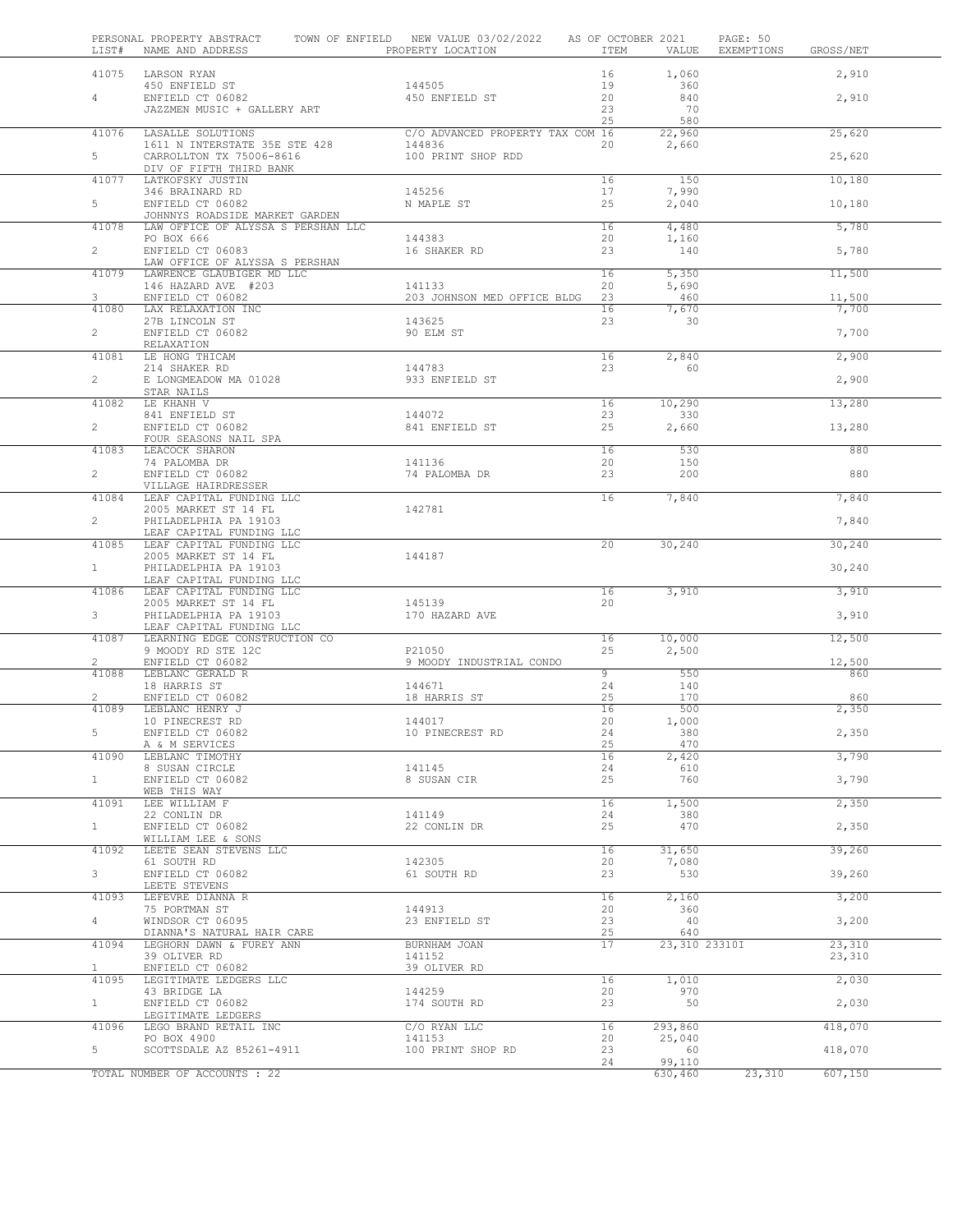| LIST#          | PERSONAL PROPERTY ABSTRACT<br>NAME AND ADDRESS                       | TOWN OF ENFIELD NEW VALUE 03/02/2022<br>PROPERTY LOCATION | AS OF OCTOBER 2021<br>ITEM | VALUE           | PAGE: 50<br>EXEMPTIONS<br>GROSS/NET |
|----------------|----------------------------------------------------------------------|-----------------------------------------------------------|----------------------------|-----------------|-------------------------------------|
| 41075          | LARSON RYAN                                                          |                                                           | 16                         | 1,060           | 2,910                               |
|                | 450 ENFIELD ST                                                       | 144505                                                    | 19                         | 360             |                                     |
| 4              | ENFIELD CT 06082                                                     | 450 ENFIELD ST                                            | 20                         | 840             | 2,910                               |
|                | JAZZMEN MUSIC + GALLERY ART                                          |                                                           | 23<br>25                   | 70<br>580       |                                     |
| 41076          | LASALLE SOLUTIONS                                                    | C/O ADVANCED PROPERTY TAX COM 16                          |                            | 22,960          | 25,620                              |
|                | 1611 N INTERSTATE 35E STE 428                                        | 144836                                                    | 20                         | 2,660           |                                     |
| $5 -$          | CARROLLTON TX 75006-8616                                             | 100 PRINT SHOP RDD                                        |                            |                 | 25,620                              |
| 41077          | DIV OF FIFTH THIRD BANK<br>LATKOFSKY JUSTIN                          |                                                           | 16                         | 150             | 10,180                              |
|                | 346 BRAINARD RD                                                      | 145256                                                    | 17                         | 7,990           |                                     |
| $5 -$          | ENFIELD CT 06082                                                     | N MAPLE ST                                                | 25                         | 2,040           | 10,180                              |
| 41078          | JOHNNYS ROADSIDE MARKET GARDEN<br>LAW OFFICE OF ALYSSA S PERSHAN LLC |                                                           | 16                         | 4,480           | 5,780                               |
|                | PO BOX 666                                                           | 144383                                                    | 20                         | 1,160           |                                     |
| $\overline{2}$ | ENFIELD CT 06083                                                     | 16 SHAKER RD                                              | 23                         | 140             | 5,780                               |
| 41079          | LAW OFFICE OF ALYSSA S PERSHAN<br>LAWRENCE GLAUBIGER MD LLC          |                                                           | 16                         | 5,350           | 11,500                              |
|                | 146 HAZARD AVE #203                                                  | 141133                                                    | 20                         | 5,690           |                                     |
| 3              | ENFIELD CT 06082                                                     | 203 JOHNSON MED OFFICE BLDG                               | 23                         | 460             | 11,500                              |
| 41080          | LAX RELAXATION INC<br>27B LINCOLN ST                                 | 143625                                                    | 16<br>23                   | 7,670<br>30     | 7,700                               |
| $\overline{2}$ | ENFIELD CT 06082                                                     | 90 ELM ST                                                 |                            |                 | 7,700                               |
|                | RELAXATION                                                           |                                                           |                            |                 |                                     |
| 41081          | LE HONG THICAM                                                       |                                                           | 16                         | 2,840           | 2,900                               |
| $\mathbf{2}$   | 214 SHAKER RD<br>E LONGMEADOW MA 01028                               | 144783<br>933 ENFIELD ST                                  | 23                         | 60              | 2,900                               |
|                | STAR NAILS                                                           |                                                           |                            |                 |                                     |
| 41082          | LE KHANH V                                                           |                                                           | 16                         | 10,290          | 13,280                              |
| $\overline{2}$ | 841 ENFIELD ST<br>ENFIELD CT 06082                                   | 144072<br>841 ENFIELD ST                                  | 23<br>25                   | 330<br>2,660    | 13,280                              |
|                | FOUR SEASONS NAIL SPA                                                |                                                           |                            |                 |                                     |
| 41083          | LEACOCK SHARON                                                       |                                                           | 16                         | 530             | 880                                 |
| $\overline{2}$ | 74 PALOMBA DR<br>ENFIELD CT 06082                                    | 141136<br>74 PALOMBA DR                                   | 20<br>23                   | 150<br>200      | 880                                 |
|                | VILLAGE HAIRDRESSER                                                  |                                                           |                            |                 |                                     |
| 41084          | LEAF CAPITAL FUNDING LLC                                             |                                                           | 16                         | 7,840           | 7,840                               |
| $\overline{2}$ | 2005 MARKET ST 14 FL<br>PHILADELPHIA PA 19103                        | 142781                                                    |                            |                 | 7,840                               |
|                | LEAF CAPITAL FUNDING LLC                                             |                                                           |                            |                 |                                     |
| 41085          | LEAF CAPITAL FUNDING LLC                                             |                                                           | 20                         | 30,240          | 30,240                              |
| 1              | 2005 MARKET ST 14 FL<br>PHILADELPHIA PA 19103                        | 144187                                                    |                            |                 | 30,240                              |
|                | LEAF CAPITAL FUNDING LLC                                             |                                                           |                            |                 |                                     |
| 41086          | LEAF CAPITAL FUNDING LLC                                             |                                                           | 16                         | 3,910           | 3,910                               |
| 3 <sup>7</sup> | 2005 MARKET ST 14 FL<br>PHILADELPHIA PA 19103                        | 145139<br>170 HAZARD AVE                                  | 20                         |                 | 3,910                               |
|                | LEAF CAPITAL FUNDING LLC                                             |                                                           |                            |                 |                                     |
| 41087          | LEARNING EDGE CONSTRUCTION CO<br>9 MOODY RD STE 12C                  | P21050                                                    | 16<br>25                   | 10,000<br>2,500 | 12,500                              |
| 2              | ENFIELD CT 06082                                                     | 9 MOODY INDUSTRIAL CONDO                                  |                            |                 | 12,500                              |
| 41088          | LEBLANC GERALD R                                                     |                                                           | $\overline{9}$             | 550             | 860                                 |
|                | 18 HARRIS ST<br>ENFIELD CT 06082                                     | 144671<br>18 HARRIS ST                                    | 24<br>25                   | 140<br>170      | 860                                 |
| 41089          | LEBLANC HENRY J                                                      |                                                           | 16                         | 500             | 2,350                               |
|                | 10 PINECREST RD                                                      | 144017                                                    | 20                         | 1,000           |                                     |
| 5              | ENFIELD CT 06082<br>A & M SERVICES                                   | 10 PINECREST RD                                           | 24<br>25                   | 380<br>470      | 2,350                               |
| 41090          | LEBLANC TIMOTHY                                                      |                                                           | 16                         | 2,420           | 3,790                               |
|                | 8 SUSAN CIRCLE                                                       | 141145                                                    | 24                         | 610             |                                     |
| $1 -$          | ENFIELD CT 06082<br>WEB THIS WAY                                     | 8 SUSAN CIR                                               | 25                         | 760             | 3,790                               |
| 41091          | LEE WILLIAM F                                                        |                                                           | 16                         | 1,500           | 2,350                               |
|                | 22 CONLIN DR                                                         | 141149                                                    | 24                         | 380             |                                     |
| $1 -$          | ENFIELD CT 06082<br>WILLIAM LEE & SONS                               | 22 CONLIN DR                                              | 25                         | 470             | 2,350                               |
| 41092          | LEETE SEAN STEVENS LLC                                               |                                                           | 16                         | 31,650          | 39,260                              |
|                | 61 SOUTH RD                                                          | 142305                                                    | 20                         | 7,080           |                                     |
| 3 <sup>7</sup> | ENFIELD CT 06082<br>LEETE STEVENS                                    | 61 SOUTH RD                                               | 23                         | 530             | 39,260                              |
| 41093          | LEFEVRE DIANNA R                                                     |                                                           | 16                         | 2,160           | 3,200                               |
|                | 75 PORTMAN ST                                                        | 144913                                                    | 20                         | 360             |                                     |
| $4 -$          | WINDSOR CT 06095<br>DIANNA'S NATURAL HAIR CARE                       | 23 ENFIELD ST                                             | 23<br>25                   | 40<br>640       | 3,200                               |
| 41094          | LEGHORN DAWN & FUREY ANN                                             | BURNHAM JOAN                                              | 17                         | 23,310 23310I   | 23,310                              |
| 1              | 39 OLIVER RD                                                         | 141152                                                    |                            |                 | 23,310                              |
| 41095          | ENFIELD CT 06082<br>LEGITIMATE LEDGERS LLC                           | 39 OLIVER RD                                              | 16                         | 1,010           | 2,030                               |
|                | 43 BRIDGE LA                                                         | 144259                                                    | 20                         | 970             |                                     |
| $1 -$          | ENFIELD CT 06082<br>LEGITIMATE LEDGERS                               | 174 SOUTH RD                                              | 23                         | 50              | 2,030                               |
| 41096          | LEGO BRAND RETAIL INC                                                | C/O RYAN LLC                                              | 16                         | 293,860         | 418,070                             |
|                | PO BOX 4900                                                          | 141153                                                    | 20                         | 25,040          |                                     |
| 5              | SCOTTSDALE AZ 85261-4911                                             | 100 PRINT SHOP RD                                         | 23<br>24                   | 60<br>99,110    | 418,070                             |
|                | TOTAL NUMBER OF ACCOUNTS : 22                                        |                                                           |                            | 630,460         | 23,310<br>607,150                   |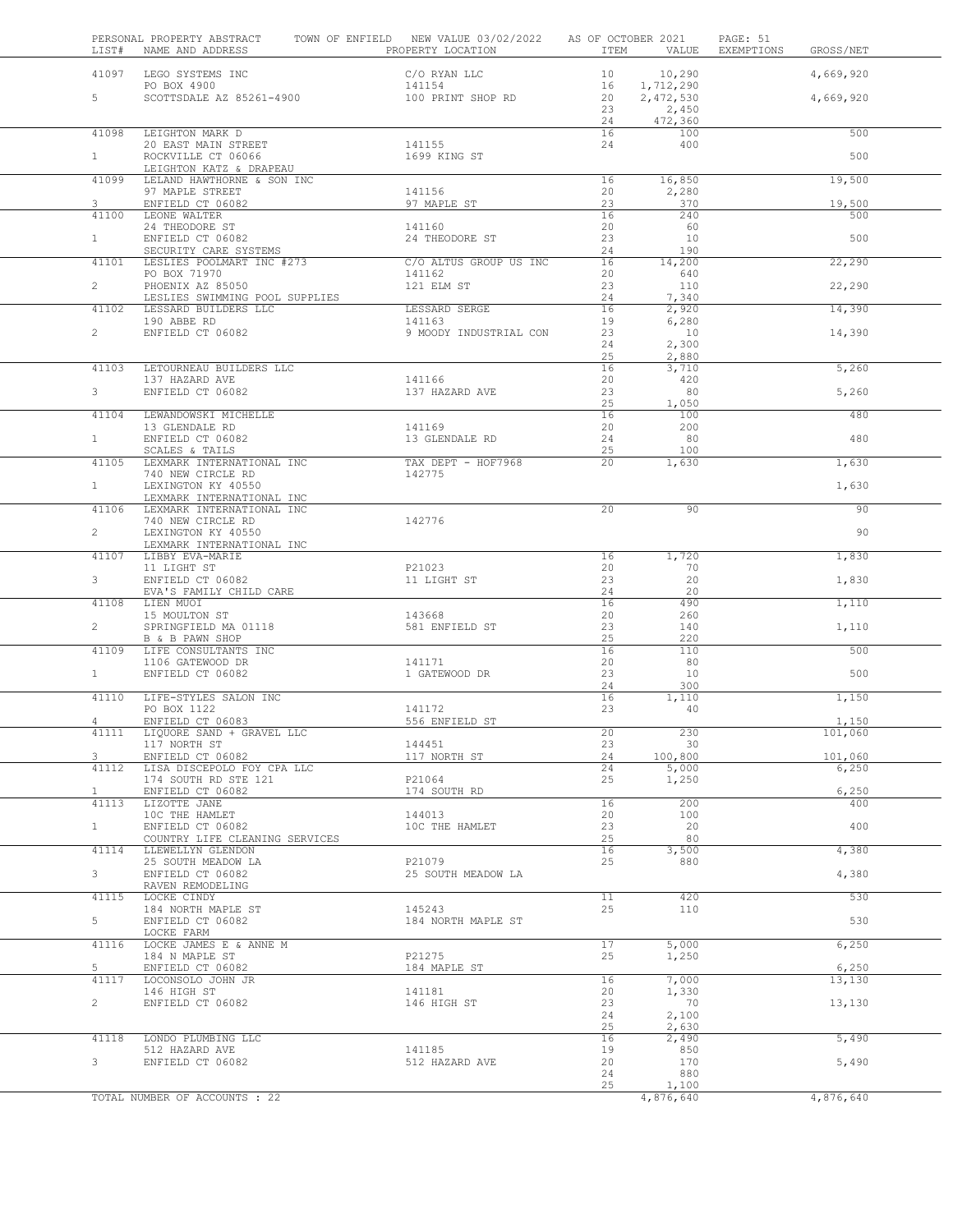| LIST#          | PERSONAL PROPERTY ABSTRACT TOWN OF ENFIELD NEW VALUE 03/02/2022 AS OF OCTOBER 2021<br>NAME AND ADDRESS | PROPERTY LOCATION            |          |                             | PAGE: 51<br>ITEM VALUE EXEMPTIONS | GROSS/NET       |  |
|----------------|--------------------------------------------------------------------------------------------------------|------------------------------|----------|-----------------------------|-----------------------------------|-----------------|--|
|                | 41097 LEGO SYSTEMS INC                                                                                 | C/O RYAN LLC                 |          | 10 10,290                   |                                   | 4,669,920       |  |
| $5 -$          | PO BOX 4900<br>PO BOX 4900<br>SCOTTSDALE AZ 85261-4900                                                 | 141154                       | 20       | 16 1, 712, 290<br>2,472,530 |                                   | 4,669,920       |  |
|                |                                                                                                        | 100 PRINT SHOP RD            | 23       | 2,450                       |                                   |                 |  |
|                |                                                                                                        |                              | 24       | 472,360                     |                                   |                 |  |
| 41098          | LEIGHTON MARK D<br>20 EAST MAIN STREET                                                                 | 141155                       | 16<br>24 | 100<br>400                  |                                   | 500             |  |
| 1              | ROCKVILLE CT 06066                                                                                     | 1699 KING ST                 |          |                             |                                   | 500             |  |
|                | LEIGHTON KATZ & DRAPEAU                                                                                |                              |          |                             |                                   |                 |  |
| 41099          | LELAND HAWTHORNE & SON INC<br>97 MAPLE STREET                                                          | 141156                       | 16<br>20 | 16,850<br>2,280             |                                   | 19,500          |  |
| 3              | ENFIELD CT 06082                                                                                       | 97 MAPLE ST                  | 23       | 370                         |                                   | 19,500          |  |
| 41100          | LEONE WALTER<br>24 THEODORE ST                                                                         | 141160                       | 16<br>20 | 240<br>60                   |                                   | 500             |  |
| 1              | ENFIELD CT 06082                                                                                       | 24 THEODORE ST               | 23       | 10                          |                                   | 500             |  |
|                | SECURITY CARE SYSTEMS                                                                                  | C/O ALTUS GROUP US INC       | 24<br>16 | 190                         |                                   | 22,290          |  |
|                | 41101 LESLIES POOLMART INC #273<br>PO BOX 71970                                                        | 141162                       | 20       | 14,200<br>640               |                                   |                 |  |
| $2^{\circ}$    | PHOENIX AZ 85050                                                                                       | 121 ELM ST                   | 23       | 110                         |                                   | 22,290          |  |
| 41102          | LESLIES SWIMMING POOL SUPPLIES<br>LESSARD BUILDERS LLC                                                 |                              | 24<br>16 | 7,340<br>2,920              |                                   | 14,390          |  |
|                | 190 ABBE RD                                                                                            | LESSARD SERGE<br>141163      | 19       | 6,280                       |                                   |                 |  |
| $2^{\circ}$    | ENFIELD CT 06082                                                                                       | 9 MOODY INDUSTRIAL CON       | 23       | 10                          |                                   | 14,390          |  |
|                |                                                                                                        |                              | 24<br>25 | 2,300<br>2,880              |                                   |                 |  |
| 41103          | LETOURNEAU BUILDERS LLC                                                                                |                              | 16       | 3,710                       |                                   | 5,260           |  |
| 3 <sup>7</sup> | 137 HAZARD AVE<br>ENFIELD CT 06082                                                                     | 141166<br>137 HAZARD AVE     | 20<br>23 | 420<br>80                   |                                   | 5,260           |  |
|                |                                                                                                        |                              | 25       | 1,050                       |                                   |                 |  |
| 41104          | LEWANDOWSKI MICHELLE                                                                                   | 141169                       | 16<br>20 | 100<br>200                  |                                   | 480             |  |
| $\mathbf{1}$   | 13 GLENDALE RD<br>ENFIELD CT 06082                                                                     | 13 GLENDALE RD               | 24       | 80                          |                                   | 480             |  |
|                | SCALES & TAILS                                                                                         |                              | 25       | 100                         |                                   |                 |  |
| 41105          | LEXMARK INTERNATIONAL INC<br>740 NEW CIRCLE RD                                                         | TAX DEPT - HOF7968<br>142775 | $20 -$   | 1,630                       |                                   | 1,630           |  |
| 1              | LEXINGTON KY 40550                                                                                     |                              |          |                             |                                   | 1,630           |  |
| 41106          | LEXMARK INTERNATIONAL INC<br>LEXMARK INTERNATIONAL INC                                                 |                              | 20       | 90                          |                                   | 90              |  |
|                | 740 NEW CIRCLE RD<br>IEMINGTON KM 40550                                                                | 142776                       |          |                             |                                   |                 |  |
| $\overline{2}$ | LEXINGTON KY 40550                                                                                     |                              |          |                             |                                   | 90              |  |
| 41107          | LEXMARK INTERNATIONAL INC<br>LIBBY EVA-MARIE                                                           |                              | 16       | 1,720                       |                                   | 1,830           |  |
|                | 11 LIGHT ST                                                                                            | P21023                       | 20       | 70                          |                                   |                 |  |
| 3 <sup>7</sup> | ENFIELD CT 06082<br>EVA'S FAMILY CHILD CARE                                                            | 11 LIGHT ST                  | 23<br>24 | 20<br>20                    |                                   | 1,830           |  |
| 41108          | LIEN MUOI                                                                                              |                              | 16       | 490                         |                                   | 1,110           |  |
| $\overline{2}$ | 15 MOULTON ST<br>SPRINGFIELD MA 01118                                                                  | 143668<br>581 ENFIELD ST     | 20<br>23 | 260<br>140                  |                                   | 1,110           |  |
|                | B & B PAWN SHOP                                                                                        |                              | 25       | 220                         |                                   |                 |  |
| 41109          | LIFE CONSULTANTS INC                                                                                   |                              | 16       | 110                         |                                   | 500             |  |
| 1              | 1106 GATEWOOD DR<br>ENFIELD CT 06082                                                                   | 141171<br>1 GATEWOOD DR      | 20<br>23 | 80<br>10                    |                                   | 500             |  |
|                |                                                                                                        |                              | 24       | 300                         |                                   |                 |  |
| 41110          | LIFE-STYLES SALON INC                                                                                  | 141172                       | 16<br>23 | 1,110<br>-40                |                                   | 1,150           |  |
| $\overline{4}$ | PO BOX 1122<br>ENFIELD CT 06083<br>LIQUORE SAND + GRAVEL LLC                                           | 556 ENFIELD ST               |          |                             |                                   | 1,150           |  |
| 41111          | 117 NORTH ST                                                                                           | 144451                       | 20<br>23 | 230<br>30                   |                                   | 101,060         |  |
| 3              | ENFIELD CT 06082                                                                                       | 117 NORTH ST                 | 24       | 100,800                     |                                   | 101,060         |  |
| 41112          | LISA DISCEPOLO FOY CPA LLC                                                                             |                              | 24       | 5,000                       |                                   | 6,250           |  |
| $\mathbf{1}$   | 174 SOUTH RD STE 121<br>ENFIELD CT 06082                                                               | P21064<br>174 SOUTH RD       | 25       | 1,250                       |                                   | 6,250           |  |
| 41113          | LIZOTTE JANE                                                                                           |                              | 16       | 200                         |                                   | 400             |  |
| 1              | 10C THE HAMLET<br>ENFIELD CT 06082                                                                     | 144013<br>10C THE HAMLET     | 20<br>23 | 100<br>20                   |                                   | 400             |  |
|                | COUNTRY LIFE CLEANING SERVICES                                                                         |                              | 25       | 80                          |                                   |                 |  |
| 41114          | LLEWELLYN GLENDON<br>25 SOUTH MEADOW LA                                                                | P21079                       | 16<br>25 | 3,500<br>880                |                                   | 4,380           |  |
| $\mathbf{3}$   | ENFIELD CT 06082                                                                                       | 25 SOUTH MEADOW LA           |          |                             |                                   | 4,380           |  |
|                | RAVEN REMODELING                                                                                       |                              |          |                             |                                   |                 |  |
| 41115          | LOCKE CINDY<br>184 NORTH MAPLE ST                                                                      | 145243                       | 11<br>25 | 420<br>110                  |                                   | 530             |  |
| 5              | ENFIELD CT 06082                                                                                       | 184 NORTH MAPLE ST           |          |                             |                                   | 530             |  |
| 41116          | LOCKE FARM<br>LOCKE JAMES E & ANNE M                                                                   |                              | 17       | 5,000                       |                                   | 6,250           |  |
|                | 184 N MAPLE ST                                                                                         | P21275                       | 25       | 1,250                       |                                   |                 |  |
| 5<br>41117     | ENFIELD CT 06082<br>LOCONSOLO JOHN JR                                                                  | 184 MAPLE ST                 | 16       | 7,000                       |                                   | 6,250<br>13,130 |  |
|                | 146 HIGH ST                                                                                            | 141181                       | 20       | 1,330                       |                                   |                 |  |
| $\mathbf{2}$   | ENFIELD CT 06082                                                                                       | 146 HIGH ST                  | 23       | 70                          |                                   | 13,130          |  |
|                |                                                                                                        |                              | 24<br>25 | 2,100<br>2,630              |                                   |                 |  |
| 41118          | LONDO PLUMBING LLC                                                                                     |                              | 16       | 2,490                       |                                   | 5,490           |  |
| 3 <sup>7</sup> | 512 HAZARD AVE<br>ENFIELD CT 06082                                                                     | 141185<br>512 HAZARD AVE     | 19<br>20 | 850<br>170                  |                                   | 5,490           |  |
|                |                                                                                                        |                              | 24       | 880                         |                                   |                 |  |
|                |                                                                                                        |                              | 25       | 1,100                       |                                   |                 |  |
|                | TOTAL NUMBER OF ACCOUNTS : 22                                                                          |                              |          | 4,876,640                   |                                   | 4,876,640       |  |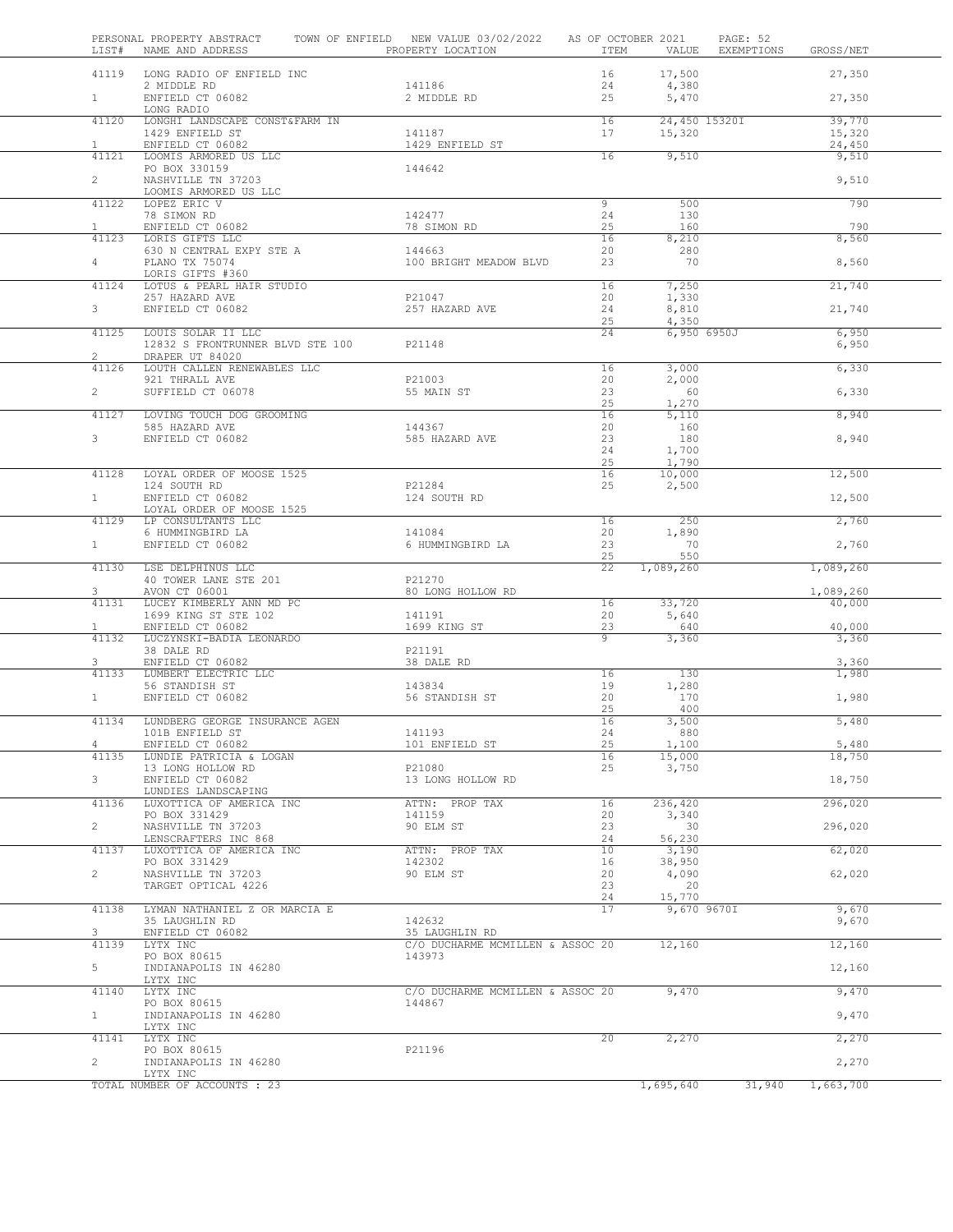| LIST#                 | PERSONAL PROPERTY ABSTRACT<br>NAME AND ADDRESS  | TOWN OF ENFIELD NEW VALUE 03/02/2022<br>PROPERTY LOCATION | AS OF OCTOBER 2021<br>ITEM | VALUE                 | PAGE: 52<br>EXEMPTIONS | GROSS/NET           |  |
|-----------------------|-------------------------------------------------|-----------------------------------------------------------|----------------------------|-----------------------|------------------------|---------------------|--|
|                       | 41119 LONG RADIO OF ENFIELD INC                 |                                                           | 16                         | 17,500                |                        | 27,350              |  |
| 1                     | 2 MIDDLE RD<br>ENFIELD CT 06082                 | 141186<br>2 MIDDLE RD                                     | 24<br>25                   | 4,380<br>5,470        |                        | 27,350              |  |
| 41120                 | LONG RADIO<br>LONGHI LANDSCAPE CONST&FARM IN    |                                                           | 16                         | 24,450 15320I         |                        | 39,770              |  |
|                       | 1429 ENFIELD ST                                 | 141187<br>1429 ENFIELD ST                                 | 17                         | 15,320                |                        | 15,320              |  |
| $\mathbf{1}$<br>41121 | ENFIELD CT 06082<br>LOOMIS ARMORED US LLC       |                                                           | 16                         | 9,510                 |                        | 24,450<br>9,510     |  |
|                       | PO BOX 330159                                   | 144642                                                    |                            |                       |                        |                     |  |
| $\overline{2}$        | NASHVILLE TN 37203<br>LOOMIS ARMORED US LLC     |                                                           |                            |                       |                        | 9,510               |  |
| 41122                 | LOPEZ ERIC V                                    |                                                           | $\overline{9}$             | 500                   |                        | 790                 |  |
| $\mathbf{1}$          | 78 SIMON RD<br>ENFIELD CT 06082                 | 142477<br>78 SIMON RD                                     | 24<br>25                   | 130<br>160            |                        | 790                 |  |
| 41123                 | LORIS GIFTS LLC                                 |                                                           | 16                         | 8,210                 |                        | 8,560               |  |
| $4 -$                 | 630 N CENTRAL EXPY STE A<br>PLANO TX 75074      | 144663<br>100 BRIGHT MEADOW BLVD                          | 20<br>23                   | 280<br>70             |                        | 8,560               |  |
|                       | LORIS GIFTS #360                                |                                                           |                            |                       |                        |                     |  |
| 41124                 | LOTUS & PEARL HAIR STUDIO<br>257 HAZARD AVE     | P21047                                                    | 16<br>20                   | 7,250<br>1,330        |                        | 21,740              |  |
| 3 <sup>7</sup>        | ENFIELD CT 06082                                | 257 HAZARD AVE                                            | 24                         | 8,810                 |                        | 21,740              |  |
| 41125                 | LOUIS SOLAR II LLC                              |                                                           | 25<br>24                   | 4,350<br>6,950 6950J  |                        | 6,950               |  |
| $\overline{2}$        | 12832 S FRONTRUNNER BLVD STE 100                | P21148                                                    |                            |                       |                        | 6,950               |  |
| 41126                 | DRAPER UT 84020<br>LOUTH CALLEN RENEWABLES LLC  |                                                           | 16                         | 3,000                 |                        | 6,330               |  |
|                       | 921 THRALL AVE                                  | P21003                                                    | 20                         | 2,000                 |                        |                     |  |
| $\overline{2}$        | SUFFIELD CT 06078                               | 55 MAIN ST                                                | 23<br>25                   | 60<br>1,270           |                        | 6,330               |  |
| 41127                 | LOVING TOUCH DOG GROOMING                       |                                                           | 16                         | 5,110                 |                        | 8,940               |  |
| $3 -$                 | 585 HAZARD AVE<br>ENFIELD CT 06082              | 144367<br>585 HAZARD AVE                                  | 20<br>23                   | 160<br>180            |                        | 8,940               |  |
|                       |                                                 |                                                           | 24                         | 1,700                 |                        |                     |  |
| 41128                 | LOYAL ORDER OF MOOSE 1525                       |                                                           | 25<br>16                   | 1,790<br>10,000       |                        | 12,500              |  |
| 1                     | 124 SOUTH RD<br>ENFIELD CT 06082                | P21284<br>124 SOUTH RD                                    | 25                         | 2,500                 |                        | 12,500              |  |
|                       | LOYAL ORDER OF MOOSE 1525                       |                                                           |                            |                       |                        |                     |  |
| 41129                 | LP CONSULTANTS LLC<br>6 HUMMINGBIRD LA          | 141084                                                    | 16<br>20                   | 250<br>1,890          |                        | 2,760               |  |
| $\mathbf{1}$          | ENFIELD CT 06082                                | 6 HUMMINGBIRD LA                                          | 23                         | 70                    |                        | 2,760               |  |
| 41130                 | LSE DELPHINUS LLC                               |                                                           | 25<br>22                   | 550<br>1,089,260      |                        | 1,089,260           |  |
|                       | 40 TOWER LANE STE 201                           | P21270                                                    |                            |                       |                        |                     |  |
| 3<br>41131            | AVON CT 06001<br>LUCEY KIMBERLY ANN MD PC       | 80 LONG HOLLOW RD                                         | 16                         | 33,720                |                        | 1,089,260<br>40,000 |  |
|                       | 1699 KING ST STE 102                            | 141191                                                    | 20                         | 5,640                 |                        |                     |  |
| $\mathbf{1}$<br>41132 | ENFIELD CT 06082<br>LUCZYNSKI-BADIA LEONARDO    | 1699 KING ST                                              | 23<br>9                    | 640<br>3,360          |                        | 40,000<br>3,360     |  |
|                       | 38 DALE RD                                      | P21191                                                    |                            |                       |                        |                     |  |
| 3<br>41133            | ENFIELD CT 06082<br>LUMBERT ELECTRIC LLC        | 38 DALE RD                                                | 16                         | 130                   |                        | 3,360<br>1,980      |  |
|                       | 56 STANDISH ST                                  | 143834                                                    | 19                         | 1,280                 |                        |                     |  |
| 1                     | ENFIELD CT 06082                                | 56 STANDISH ST                                            | 20<br>25                   | 170<br>400            |                        | 1,980               |  |
| 41134                 | LUNDBERG GEORGE INSURANCE AGEN                  |                                                           | 16                         | 3,500                 |                        | 5,480               |  |
| 4                     | 101B ENFIELD ST<br>ENFIELD CT 06082             | 141193<br>101 ENFIELD ST                                  | 24<br>25                   | 880<br>1,100          |                        | 5,480               |  |
| 41135                 | LUNDIE PATRICIA & LOGAN                         |                                                           | 16                         | 15,000                |                        | 18,750              |  |
| 3                     | 13 LONG HOLLOW RD<br>ENFIELD CT 06082           | P21080<br>13 LONG HOLLOW RD                               | 25                         | 3,750                 |                        | 18,750              |  |
| 41136                 | LUNDIES LANDSCAPING<br>LUXOTTICA OF AMERICA INC | ATTN: PROP TAX                                            | 16                         | 236,420               |                        | 296,020             |  |
|                       | PO BOX 331429                                   | 141159                                                    | 20                         | 3,340                 |                        |                     |  |
| $\overline{2}$        | NASHVILLE TN 37203<br>LENSCRAFTERS INC 868      | 90 ELM ST                                                 | 23<br>24                   | 30<br>56,230          |                        | 296,020             |  |
| 41137                 | LUXOTTICA OF AMERICA INC                        | ATTN: PROP TAX                                            | 10                         | 3,190                 |                        | 62,020              |  |
| $\overline{2}$        | PO BOX 331429<br>NASHVILLE TN 37203             | 142302<br>90 ELM ST                                       | 16<br>20                   | 38,950<br>4,090       |                        | 62,020              |  |
|                       | TARGET OPTICAL 4226                             |                                                           | 23                         | 20                    |                        |                     |  |
| 41138                 | LYMAN NATHANIEL Z OR MARCIA E                   |                                                           | 24<br>17                   | 15,770<br>9,670 9670I |                        | 9,670               |  |
|                       | 35 LAUGHLIN RD                                  | 142632                                                    |                            |                       |                        | 9,670               |  |
| 3<br>41139            | ENFIELD CT 06082<br>LYTX INC                    | 35 LAUGHLIN RD<br>C/O DUCHARME MCMILLEN & ASSOC 20        |                            | 12,160                |                        | 12,160              |  |
| 5                     | PO BOX 80615<br>INDIANAPOLIS IN 46280           | 143973                                                    |                            |                       |                        | 12,160              |  |
|                       | LYTX INC                                        |                                                           |                            |                       |                        |                     |  |
| 41140                 | LYTX INC<br>PO BOX 80615                        | C/O DUCHARME MCMILLEN & ASSOC 20<br>144867                |                            | 9,470                 |                        | 9,470               |  |
| $\mathbf{1}$          | INDIANAPOLIS IN 46280                           |                                                           |                            |                       |                        | 9,470               |  |
| 41141                 | LYTX INC<br>LYTX INC                            |                                                           | 20                         | 2,270                 |                        | 2,270               |  |
|                       | PO BOX 80615                                    | P21196                                                    |                            |                       |                        |                     |  |
| $\overline{c}$        | INDIANAPOLIS IN 46280<br>LYTX INC               |                                                           |                            |                       |                        | 2,270               |  |
|                       | TOTAL NUMBER OF ACCOUNTS : 23                   |                                                           |                            | 1,695,640             | 31,940                 | 1,663,700           |  |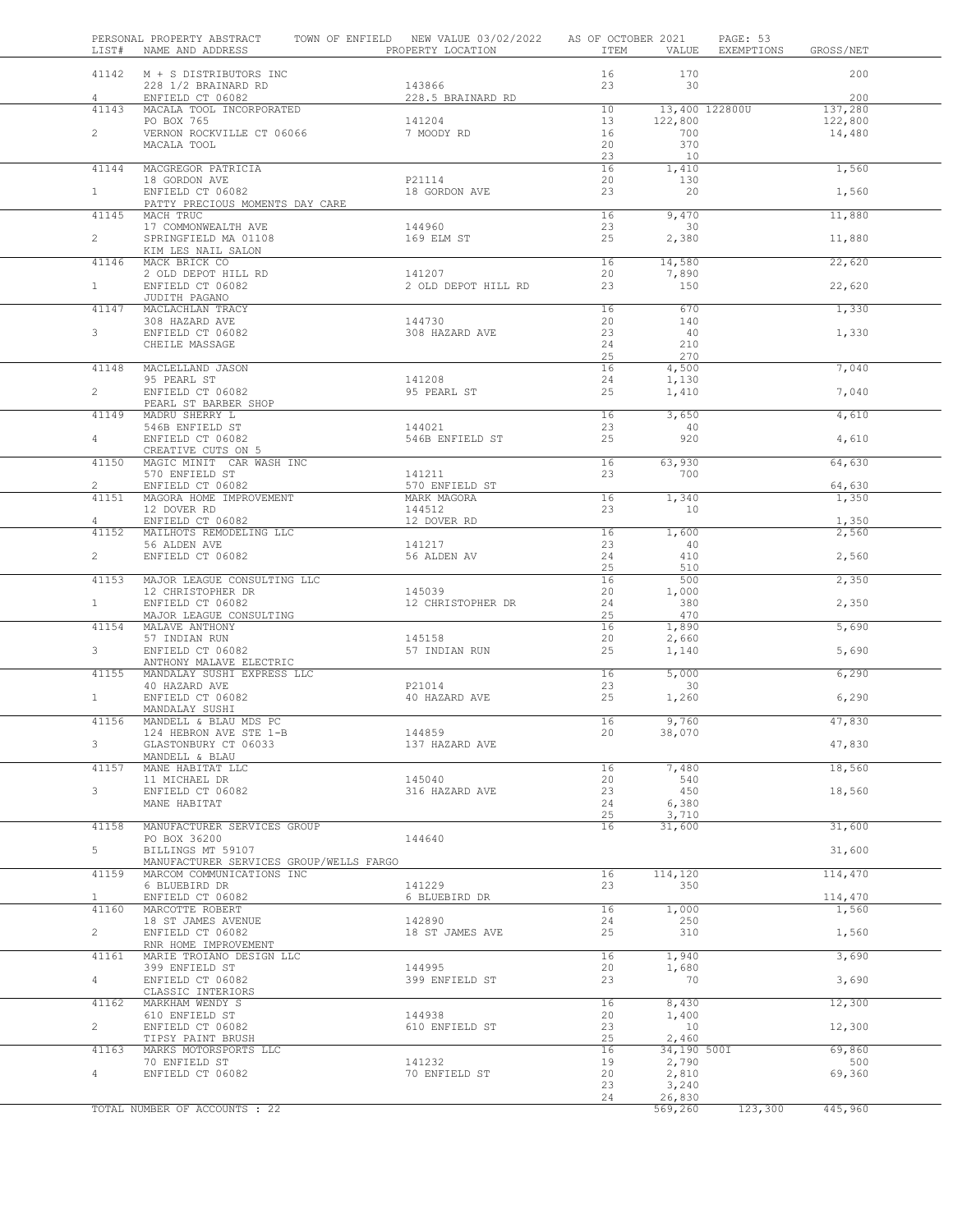|                         | PERSONAL PROPERTY ABSTRACT<br>LIST# NAME AND ADDRESS                    | TOWN OF ENFIELD NEW VALUE 03/02/2022 AS OF OCTOBER 2021<br>PROPERTY LOCATION | ITEM                  | VALUE                    | PAGE: 53<br>EXEMPTIONS GROSS/NET |                   |
|-------------------------|-------------------------------------------------------------------------|------------------------------------------------------------------------------|-----------------------|--------------------------|----------------------------------|-------------------|
| $\overline{4}$          | 41142 M + S DISTRIBUTORS INC<br>228 1/2 BRAINARD RD<br>ENFIELD CT 06082 | 143866<br>228.5 BRAINARD RD                                                  | 16<br>23              | 170<br>30                |                                  | 200<br>200        |
| 41143                   | MACALA TOOL INCORPORATED                                                |                                                                              | 10                    | 13,400 122800U           |                                  | 137,280           |
| $\overline{2}$          | PO BOX 765<br>VERNON ROCKVILLE CT 06066                                 | 141204<br>7 MOODY RD                                                         | 13 <sup>°</sup><br>16 | 122,800<br>700           |                                  | 122,800<br>14,480 |
|                         | MACALA TOOL                                                             |                                                                              | 20<br>23              | 370<br>10                |                                  |                   |
| 41144<br>1              | MACGREGOR PATRICIA<br>18 GORDON AVE<br>ENFIELD CT 06082                 | P21114<br>18 GORDON AVE                                                      | 16<br>20<br>23        | 1,410<br>130<br>20       |                                  | 1,560             |
| 41145                   | PATTY PRECIOUS MOMENTS DAY CARE<br>MACH TRUC                            |                                                                              | 16                    | 9,470                    |                                  | 1,560<br>11,880   |
| $\overline{2}$          | 17 COMMONWEALTH AVE<br>SPRINGFIELD MA 01108                             | 144960<br>169 ELM ST                                                         | 23<br>25              | 30<br>2,380              |                                  | 11,880            |
|                         | KIM LES NAIL SALON<br>41146 MACK BRICK CO                               |                                                                              | 16                    | 14,580                   |                                  | 22,620            |
| 1                       | 2 OLD DEPOT HILL RD<br>ENFIELD CT 06082                                 | 141207<br>2 OLD DEPOT HILL RD                                                | 20<br>23              | 7,890<br>150             |                                  | 22,620            |
| 41147                   | JUDITH PAGANO<br>MACLACHLAN TRACY                                       |                                                                              | 16                    | 670                      |                                  | 1,330             |
| 3 <sup>7</sup>          | 308 HAZARD AVE<br>ENFIELD CT 06082                                      | 144730<br>308 HAZARD AVE                                                     | 20<br>23              | 140<br>40                |                                  | 1,330             |
|                         | CHEILE MASSAGE                                                          |                                                                              | 24<br>25              | 210<br>270               |                                  |                   |
| 41148                   | MACLELLAND JASON<br>95 PEARL ST                                         | 141208                                                                       | 16<br>24              | 4,500<br>1,130           |                                  | 7,040             |
| $\overline{2}$          | ENFIELD CT 06082<br>PEARL ST BARBER SHOP                                | 95 PEARL ST                                                                  | 25                    | 1,410                    |                                  | 7,040             |
| 41149                   | MADRU SHERRY L<br>546B ENFIELD ST                                       | 144021                                                                       | 16<br>23              | 3,650<br>40              |                                  | 4,610             |
| $\overline{4}$          | ENFIELD CT 06082<br>CREATIVE CUTS ON 5                                  | 546B ENFIELD ST                                                              | 25                    | 920                      |                                  | 4,610             |
| 41150                   | MAGIC MINIT CAR WASH INC<br>570 ENFIELD ST                              | 141211                                                                       | 16<br>23              | 63,930<br>700            |                                  | 64,630            |
| $\overline{2}$<br>41151 | ENFIELD CT 06082<br>MAGORA HOME IMPROVEMENT                             | 570 ENFIELD ST<br>MARK MAGORA                                                | 16                    | 1,340                    |                                  | 64,630<br>1,350   |
| 4                       | 12 DOVER RD<br>ENFIELD CT 06082                                         | 144512<br>12 DOVER RD                                                        | 23                    | 10                       |                                  | 1,350             |
| 41152                   | MAILHOTS REMODELING LLC<br>56 ALDEN AVE<br>ENFIELD CT 06082             | 141217<br>56 ALDEN AV                                                        | 16<br>23<br>24        | 1,600<br>40<br>410       |                                  | 2,560             |
| $\overline{2}$<br>41153 | MAJOR LEAGUE CONSULTING LLC                                             |                                                                              | 25<br>16              | 510<br>500               |                                  | 2,560             |
| 1                       | 12 CHRISTOPHER DR<br>ENFIELD CT 06082                                   | 145039<br>12 CHRISTOPHER DR                                                  | 20<br>24              | 1,000<br>380             |                                  | 2,350<br>2,350    |
| 41154                   | MAJOR LEAGUE CONSULTING<br>MALAVE ANTHONY                               |                                                                              | 25<br>16              | 470<br>1,890             |                                  | 5,690             |
| 3 <sup>7</sup>          | 57 INDIAN RUN<br>ENFIELD CT 06082                                       | 145158<br>57 INDIAN RUN                                                      | 20<br>25              | 2,660<br>1,140           |                                  | 5,690             |
| 41155                   | ANTHONY MALAVE ELECTRIC<br>MANDALAY SUSHI EXPRESS LLC                   |                                                                              | 16                    | 5,000                    |                                  | 6,290             |
| 1                       | 40 HAZARD AVE<br>ENFIELD CT 06082                                       | P21014<br>40 HAZARD AVE                                                      | 23<br>25              | $\overline{30}$<br>1,260 |                                  | 6,290             |
| 41156                   | MANDALAY SUSHI<br>MANDELL & BLAU MDS PC                                 |                                                                              | 16                    | 9,760                    |                                  | 47,830            |
| 3                       | 124 HEBRON AVE STE 1-B<br>GLASTONBURY CT 06033                          | 144859<br>137 HAZARD AVE                                                     | 20                    | 38,070                   |                                  | 47,830            |
| 41157                   | MANDELL & BLAU<br>MANE HABITAT LLC                                      |                                                                              | 16                    | 7,480                    |                                  | 18,560            |
| 3                       | 11 MICHAEL DR<br>ENFIELD CT 06082<br>MANE HABITAT                       | 145040<br>316 HAZARD AVE                                                     | 20<br>23<br>24        | 540<br>450<br>6,380      |                                  | 18,560            |
| 41158                   | MANUFACTURER SERVICES GROUP                                             |                                                                              | 25<br>16              | 3,710<br>31,600          |                                  | 31,600            |
| 5                       | PO BOX 36200<br>BILLINGS MT 59107                                       | 144640                                                                       |                       |                          |                                  | 31,600            |
| 41159                   | MANUFACTURER SERVICES GROUP/WELLS FARGO<br>MARCOM COMMUNICATIONS INC    |                                                                              | 16                    | 114,120                  |                                  | 114,470           |
| $\mathbf{1}$            | 6 BLUEBIRD DR<br>ENFIELD CT 06082                                       | 141229<br>6 BLUEBIRD DR                                                      | 23                    | 350                      |                                  | 114,470           |
| 41160                   | MARCOTTE ROBERT<br>18 ST JAMES AVENUE                                   | 142890                                                                       | 16<br>24              | 1,000<br>250             |                                  | 1,560             |
| $\overline{2}$          | ENFIELD CT 06082<br>RNR HOME IMPROVEMENT                                | 18 ST JAMES AVE                                                              | 25                    | 310                      |                                  | 1,560             |
| 41161                   | MARIE TROIANO DESIGN LLC<br>399 ENFIELD ST                              | 144995                                                                       | 16<br>20              | 1,940<br>1,680           |                                  | 3,690             |
| $4 -$                   | ENFIELD CT 06082<br>CLASSIC INTERIORS                                   | 399 ENFIELD ST                                                               | 23                    | 70                       |                                  | 3,690             |
| 41162                   | MARKHAM WENDY S<br>610 ENFIELD ST                                       | 144938                                                                       | 16<br>20              | 8,430<br>1,400           |                                  | 12,300            |
| $\overline{2}$          | ENFIELD CT 06082<br>TIPSY PAINT BRUSH                                   | 610 ENFIELD ST                                                               | 23<br>25              | 10<br>2,460              |                                  | 12,300            |
| 41163                   | MARKS MOTORSPORTS LLC<br>70 ENFIELD ST                                  | 141232                                                                       | 16<br>19              | 34,190 500I<br>2,790     |                                  | 69,860<br>500     |
| 4                       | ENFIELD CT 06082                                                        | 70 ENFIELD ST                                                                | 20<br>23              | 2,810<br>3,240           |                                  | 69,360            |
|                         | TOTAL NUMBER OF ACCOUNTS : 22                                           |                                                                              | 24                    | 26,830<br>569,260        | 123,300                          | 445,960           |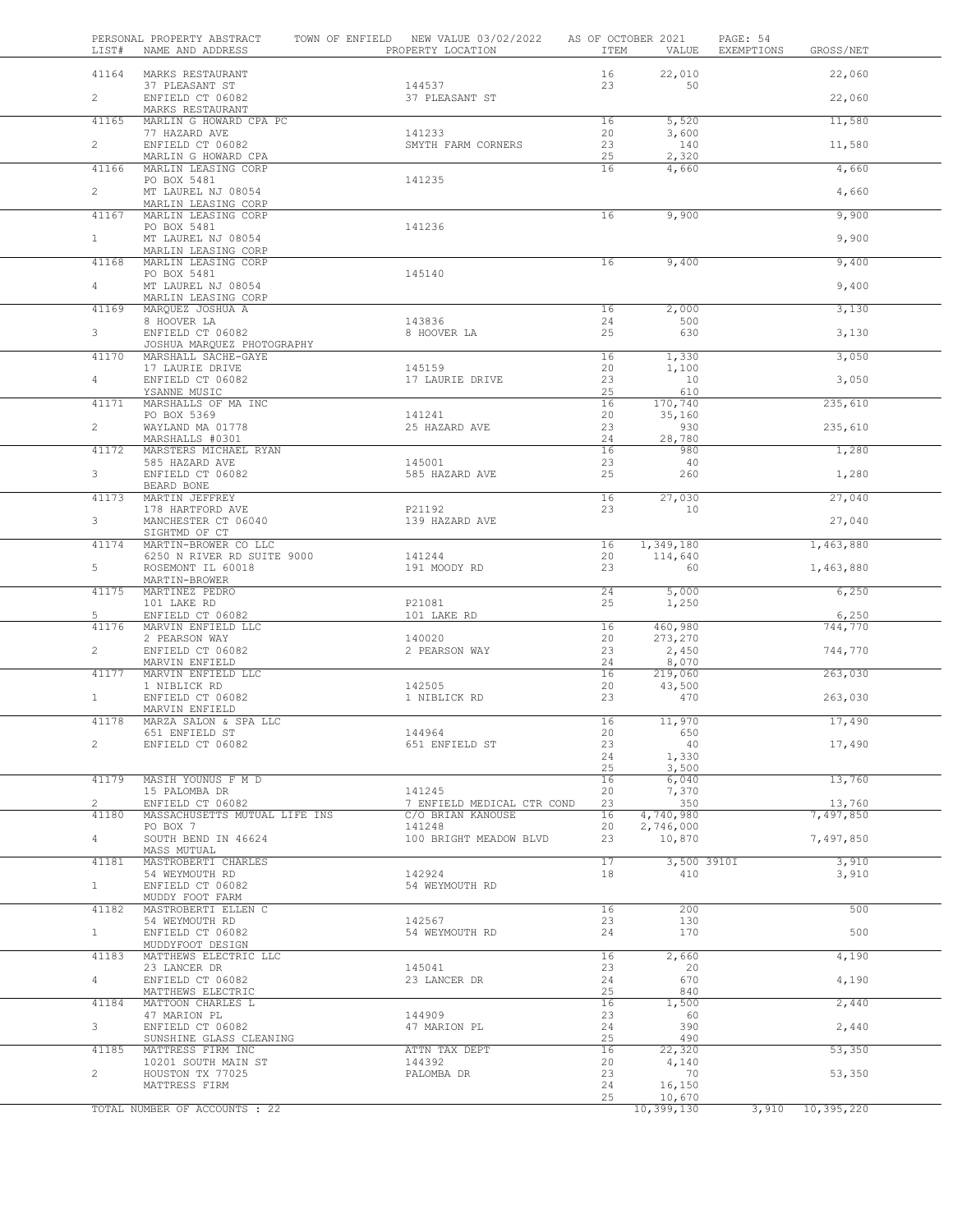| LIST#                   | PERSONAL PROPERTY ABSTRACT<br>NAME AND ADDRESS            | TOWN OF ENFIELD NEW VALUE 03/02/2022<br>PROPERTY LOCATION | AS OF OCTOBER 2021<br>ITEM | VALUE                   | PAGE: 54<br>EXEMPTIONS | GROSS/NET           |  |
|-------------------------|-----------------------------------------------------------|-----------------------------------------------------------|----------------------------|-------------------------|------------------------|---------------------|--|
| 41164                   | MARKS RESTAURANT                                          |                                                           | 16                         | 22,010                  |                        | 22,060              |  |
| $\overline{2}$          | 37 PLEASANT ST<br>ENFIELD CT 06082<br>MARKS RESTAURANT    | 144537<br>37 PLEASANT ST                                  | 23                         | 50                      |                        | 22,060              |  |
| 41165                   | MARLIN G HOWARD CPA PC                                    |                                                           | 16                         | 5,520                   |                        | 11,580              |  |
| $\overline{2}$          | 77 HAZARD AVE<br>ENFIELD CT 06082                         | 141233<br>SMYTH FARM CORNERS                              | 20<br>23                   | 3,600<br>140            |                        | 11,580              |  |
| 41166                   | MARLIN G HOWARD CPA<br>MARLIN LEASING CORP                |                                                           | 25<br>16                   | 2,320<br>4,660          |                        | 4,660               |  |
| $\mathbf{2}$            | PO BOX 5481<br>MT LAUREL NJ 08054                         | 141235                                                    |                            |                         |                        | 4,660               |  |
| 41167                   | MARLIN LEASING CORP<br>MARLIN LEASING CORP<br>PO BOX 5481 | 141236                                                    | 16                         | 9,900                   |                        | 9,900               |  |
| 1                       | MT LAUREL NJ 08054<br>MARLIN LEASING CORP                 |                                                           |                            |                         |                        | 9,900               |  |
| 41168                   | MARLIN LEASING CORP<br>PO BOX 5481                        | 145140                                                    | 16                         | 9,400                   |                        | 9,400               |  |
| 4                       | MT LAUREL NJ 08054<br>MARLIN LEASING CORP                 |                                                           |                            |                         |                        | 9,400               |  |
| 41169                   | MARQUEZ JOSHUA A<br>8 HOOVER LA                           | 143836                                                    | 16<br>24                   | 2,000<br>500            |                        | 3,130               |  |
| 3 <sup>7</sup><br>41170 | ENFIELD CT 06082<br>JOSHUA MARQUEZ PHOTOGRAPHY            | 8 HOOVER LA                                               | 25<br>16                   | 630                     |                        | 3,130               |  |
|                         | MARSHALL SACHE-GAYE<br>17 LAURIE DRIVE                    | 145159                                                    | 20                         | 1,330<br>1,100          |                        | 3,050               |  |
| 4                       | ENFIELD CT 06082<br>YSANNE MUSIC                          | 17 LAURIE DRIVE                                           | 23<br>25                   | 10<br>610               |                        | 3,050               |  |
| 41171                   | MARSHALLS OF MA INC                                       |                                                           | 16                         | 170,740                 |                        | 235,610             |  |
| $\overline{2}$          | PO BOX 5369<br>WAYLAND MA 01778<br>MARSHALLS #0301        | 141241<br>25 HAZARD AVE                                   | 20<br>23<br>24             | 35,160<br>930<br>28,780 |                        | 235,610             |  |
| 41172                   | MARSTERS MICHAEL RYAN                                     |                                                           | 16                         | 980                     |                        | 1,280               |  |
| 3 <sup>7</sup>          | 585 HAZARD AVE<br>ENFIELD CT 06082                        | 145001<br>585 HAZARD AVE                                  | 23<br>25                   | 40<br>260               |                        | 1,280               |  |
| 41173                   | BEARD BONE<br>MARTIN JEFFREY                              |                                                           | 16                         | 27,030                  |                        | 27,040              |  |
| 3                       | 178 HARTFORD AVE<br>MANCHESTER CT 06040                   | P21192<br>139 HAZARD AVE                                  | 23                         | 10                      |                        | 27,040              |  |
| 41174                   | SIGHTMD OF CT<br>MARTIN-BROWER CO LLC                     |                                                           | 16                         | 1,349,180               |                        | 1,463,880           |  |
| 5                       | 6250 N RIVER RD SUITE 9000<br>ROSEMONT IL 60018           | 141244<br>191 MOODY RD                                    | 20<br>23                   | 114,640<br>60           |                        | 1,463,880           |  |
| 41175                   | MARTIN-BROWER<br>MARTINEZ PEDRO<br>101 LAKE RD            | P21081                                                    | 24<br>25                   | 5,000<br>1,250          |                        | 6,250               |  |
| 5                       | ENFIELD CT 06082                                          | 101 LAKE RD                                               |                            |                         |                        | 6,250               |  |
| 41176                   | MARVIN ENFIELD LLC<br>2 PEARSON WAY                       | 140020                                                    | 16<br>20                   | 460,980<br>273,270      |                        | 744,770             |  |
| $\overline{2}$          | ENFIELD CT 06082<br>MARVIN ENFIELD                        | 2 PEARSON WAY                                             | 23<br>24                   | 2,450<br>8,070          |                        | 744,770             |  |
| 41177                   | MARVIN ENFIELD LLC<br>1 NIBLICK RD                        | 142505                                                    | 16<br>20                   | 219,060<br>43,500       |                        | 263,030             |  |
| 1                       | ENFIELD CT 06082<br>MARVIN ENFIELD                        | 1 NIBLICK RD                                              | 23                         | 470                     |                        | 263,030             |  |
| 41178                   | MARZA SALON & SPA LLC<br>651 ENFIELD ST                   | 144964                                                    | 16                         | 11,970                  |                        | 17,490              |  |
| $\overline{c}$          | ENFIELD CT 06082                                          | 651 ENFIELD ST                                            | 20<br>23                   | 650<br>40               |                        | 17,490              |  |
|                         |                                                           |                                                           | 24                         | 1,330                   |                        |                     |  |
| 41179                   | MASIH YOUNUS F M D                                        |                                                           | 25<br>16                   | 3,500<br>6,040          |                        | 13,760              |  |
|                         | 15 PALOMBA DR                                             | 141245                                                    | 20                         | 7,370                   |                        |                     |  |
| $\mathbf{2}$<br>41180   | ENFIELD CT 06082<br>MASSACHUSETTS MUTUAL LIFE INS         | 7 ENFIELD MEDICAL CTR COND<br>C/O BRIAN KANOUSE           | 23<br>16                   | 350<br>4,740,980        |                        | 13,760<br>7,497,850 |  |
| $\overline{4}$          | PO BOX 7<br>SOUTH BEND IN 46624                           | 141248<br>100 BRIGHT MEADOW BLVD                          | 20<br>23                   | 2,746,000<br>10,870     |                        | 7,497,850           |  |
| 41181                   | MASS MUTUAL<br>MASTROBERTI CHARLES                        |                                                           | 17                         | 3,500 3910I             |                        | 3,910               |  |
| $\mathbf{1}$            | 54 WEYMOUTH RD<br>ENFIELD CT 06082                        | 142924<br>54 WEYMOUTH RD                                  | 18                         | 410                     |                        | 3,910               |  |
| 41182                   | MUDDY FOOT FARM<br>MASTROBERTI ELLEN C                    |                                                           | 16                         | 200                     |                        | 500                 |  |
| $\mathbf{1}$            | 54 WEYMOUTH RD<br>ENFIELD CT 06082                        | 142567<br>54 WEYMOUTH RD                                  | 23<br>24                   | 130<br>170              |                        | 500                 |  |
| 41183                   | MUDDYFOOT DESIGN<br>MATTHEWS ELECTRIC LLC                 |                                                           | 16                         | 2,660                   |                        | 4,190               |  |
| $4 -$                   | 23 LANCER DR<br>ENFIELD CT 06082                          | 145041<br>23 LANCER DR                                    | 23<br>24                   | 20<br>670               |                        | 4,190               |  |
| 41184                   | MATTHEWS ELECTRIC<br>MATTOON CHARLES L                    |                                                           | 25<br>16                   | 840<br>1,500            |                        | 2,440               |  |
| 3                       | 47 MARION PL<br>ENFIELD CT 06082                          | 144909<br>47 MARION PL                                    | 23<br>24                   | - 60<br>390             |                        | 2,440               |  |
| 41185                   | SUNSHINE GLASS CLEANING<br>MATTRESS FIRM INC              | ATTN TAX DEPT                                             | 25<br>16                   | 490<br>22,320           |                        | 53,350              |  |
| $\overline{2}$          | 10201 SOUTH MAIN ST<br>HOUSTON TX 77025                   | 144392<br>PALOMBA DR                                      | 20<br>23                   | 4,140<br>70             |                        | 53,350              |  |
|                         | MATTRESS FIRM                                             |                                                           | 24<br>25                   | 16,150<br>10,670        |                        |                     |  |
|                         | TOTAL NUMBER OF ACCOUNTS : 22                             |                                                           |                            | 10,399,130              | 3,910                  | 10,395,220          |  |

÷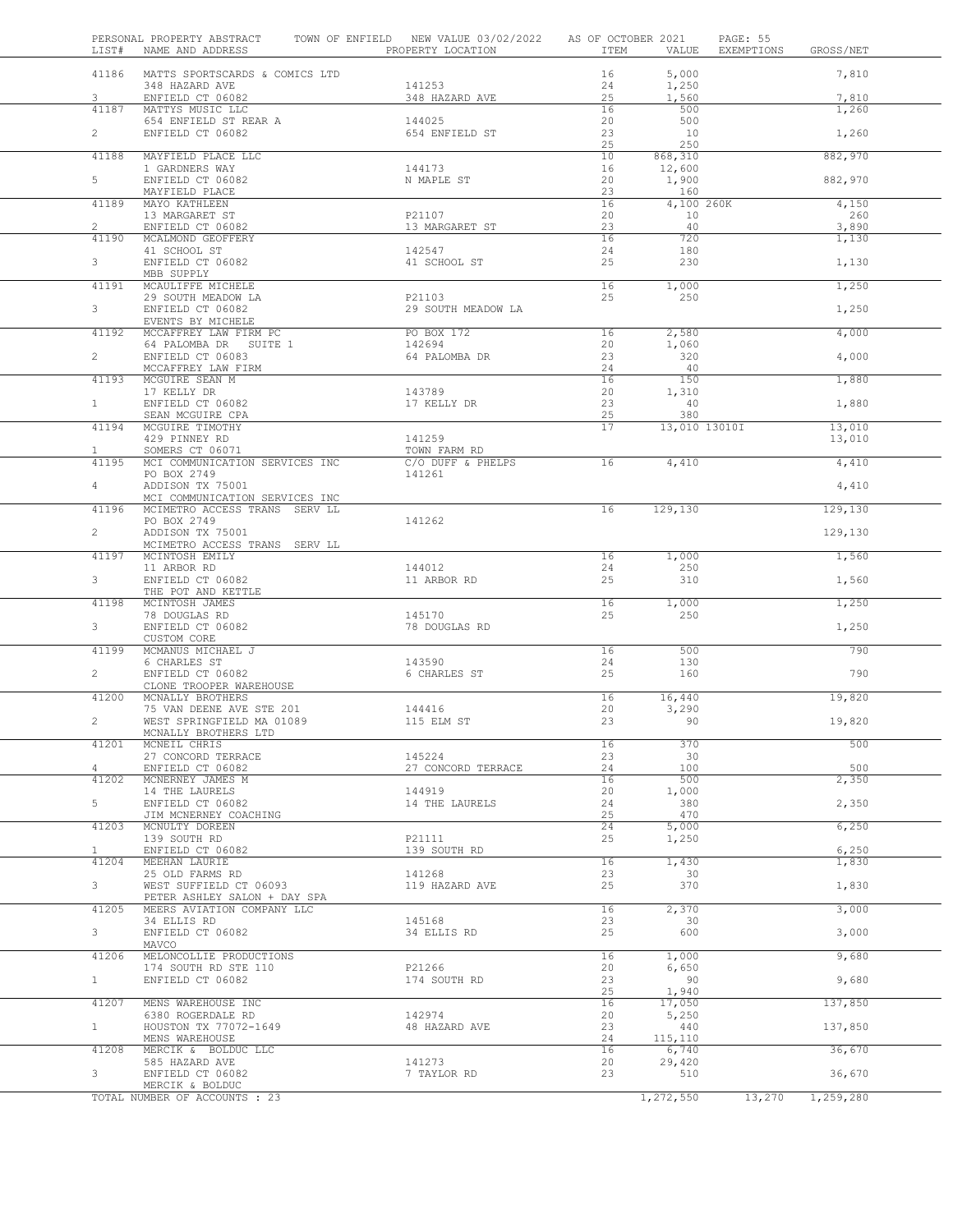| LIST#                 | PERSONAL PROPERTY ABSTRACT TOWN OF ENFIELD NEW VALUE 03/02/2022 AS OF OCTOBER 2021<br>NAME AND ADDRESS THE PROPERTY LOCATION |                        | ITEM     | VALUE             | PAGE: 55<br>EXEMPTIONS<br>GROSS/NET |  |
|-----------------------|------------------------------------------------------------------------------------------------------------------------------|------------------------|----------|-------------------|-------------------------------------|--|
|                       | 41186 MATTS SPORTSCARDS & COMICS LTD                                                                                         |                        | 16       | 5,000             | 7,810                               |  |
|                       | 348 HAZARD AVE                                                                                                               | 141253                 | 24       | 1,250             |                                     |  |
| 3                     | ENFIELD CT 06082                                                                                                             | 348 HAZARD AVE         | 25       | 1,560             | 7,810                               |  |
| 41187                 | MATTYS MUSIC LLC<br>654 ENFIELD ST REAR A                                                                                    | 144025                 | 16<br>20 | 500<br>500        | 1,260                               |  |
| $\overline{2}$        | ENFIELD CT 06082                                                                                                             | 654 ENFIELD ST         | 23       | 10                | 1,260                               |  |
|                       |                                                                                                                              |                        | 25       | 250               |                                     |  |
| 41188                 | MAYFIELD PLACE LLC                                                                                                           |                        | 10       | 868,310           | 882,970                             |  |
|                       | 1 GARDNERS WAY                                                                                                               | 144173                 | 16       | 12,600            |                                     |  |
| $5 -$                 | ENFIELD CT 06082                                                                                                             | N MAPLE ST             | 20       | 1,900             | 882,970                             |  |
| 41189                 | MAYFIELD PLACE<br>MAYO KATHLEEN                                                                                              |                        | 23<br>16 | 160<br>4,100 260K | 4,150                               |  |
|                       | 13 MARGARET ST                                                                                                               | P21107                 | 20       | 10                | 260                                 |  |
| $2^{\circ}$           | ENFIELD CT 06082                                                                                                             | 13 MARGARET ST         | 23       | 40                | 3,890                               |  |
| 41190                 | MCALMOND GEOFFERY                                                                                                            |                        | 16       | 720               | 1,130                               |  |
|                       | 41 SCHOOL ST                                                                                                                 | 142547                 | 24       | 180               |                                     |  |
| $3 -$                 | ENFIELD CT 06082                                                                                                             | 41 SCHOOL ST           | 25       | 230               | 1,130                               |  |
| 41191                 | MBB SUPPLY<br>MCAULIFFE MICHELE                                                                                              |                        | 16       | 1,000             | 1,250                               |  |
|                       | 29 SOUTH MEADOW LA                                                                                                           | P21103                 | 25       | 250               |                                     |  |
| 3 <sup>7</sup>        | ENFIELD CT 06082                                                                                                             | 29 SOUTH MEADOW LA     |          |                   | 1,250                               |  |
|                       | EVENTS BY MICHELE                                                                                                            |                        |          |                   |                                     |  |
| 41192                 | MCCAFFREY LAW FIRM PC                                                                                                        | PO BOX 172             | 16       | 2,580             | 4,000                               |  |
|                       | 64 PALOMBA DR SUITE 1                                                                                                        | 142694                 | 20       | 1,060             |                                     |  |
| $2^{\circ}$           | ENFIELD CT 06083<br>MCCAFFREY LAW FIRM                                                                                       | 64 PALOMBA DR          | 23<br>24 | 320<br>40         | 4,000                               |  |
| 41193                 | MCGUIRE SEAN M                                                                                                               |                        | 16       | 150               | 1,880                               |  |
|                       | 17 KELLY DR                                                                                                                  | 143789                 | 20       | 1,310             |                                     |  |
| 1                     | ENFIELD CT 06082                                                                                                             | 17 KELLY DR            | 23       | 40                | 1,880                               |  |
|                       | SEAN MCGUIRE CPA                                                                                                             |                        | 25       | 380               |                                     |  |
| 41194                 | MCGUIRE TIMOTHY                                                                                                              |                        | 17       | 13,010 13010I     | 13,010                              |  |
| $\mathbf{1}$          | 429 PINNEY RD<br>SOMERS CT 06071                                                                                             | 141259<br>TOWN FARM RD |          |                   | 13,010                              |  |
| 41195                 | MCI COMMUNICATION SERVICES INC                                                                                               | C/O DUFF & PHELPS      | 16       | 4,410             | 4,410                               |  |
|                       | PO BOX 2749                                                                                                                  | 141261                 |          |                   |                                     |  |
| $4 -$                 | ADDISON TX 75001                                                                                                             |                        |          |                   | 4,410                               |  |
|                       | MCI COMMUNICATION SERVICES INC                                                                                               |                        |          |                   |                                     |  |
| 41196                 | MCIMETRO ACCESS TRANS SERV LL                                                                                                |                        | 16       | 129,130           | 129, 130                            |  |
| $\overline{2}$        | PO BOX 2749<br>ADDISON TX 75001                                                                                              | 141262                 |          |                   |                                     |  |
|                       | MCIMETRO ACCESS TRANS SERV LL                                                                                                |                        |          |                   | 129,130                             |  |
| 41197                 | MCINTOSH EMILY                                                                                                               |                        | 16       | 1,000             | 1,560                               |  |
|                       | 11 ARBOR RD                                                                                                                  | 144012                 | 24       | 250               |                                     |  |
| 3 <sup>7</sup>        | ENFIELD CT 06082                                                                                                             | 11 ARBOR RD            | 25       | 310               | 1,560                               |  |
|                       | THE POT AND KETTLE                                                                                                           |                        |          |                   |                                     |  |
| 41198                 | MCINTOSH JAMES<br>78 DOUGLAS RD                                                                                              | 145170                 | 16<br>25 | 1,000<br>250      | 1,250                               |  |
| 3 <sup>7</sup>        | ENFIELD CT 06082                                                                                                             | 78 DOUGLAS RD          |          |                   | 1,250                               |  |
|                       | CUSTOM CORE                                                                                                                  |                        |          |                   |                                     |  |
| 41199                 | MCMANUS MICHAEL J                                                                                                            |                        | 16       | 500               | 790                                 |  |
|                       | 6 CHARLES ST<br>ENFIELD CT 06082                                                                                             | 143590                 | 24       | 130               |                                     |  |
| $\overline{2}$        |                                                                                                                              | 6 CHARLES ST           | 25       | 160               | 790                                 |  |
| 41200                 | CLONE TROOPER WAREHOUSE<br>MCNALLY BROTHERS                                                                                  |                        | 16       | 16,440            | 19,820                              |  |
|                       | 75 VAN DEENE AVE STE 201                                                                                                     | 144416                 | 20       | 3,290             |                                     |  |
| $\overline{2}$        | WEST SPRINGFIELD MA 01089                                                                                                    | 115 ELM ST             | 23       | 90                | 19,820                              |  |
|                       | MCNALLY BROTHERS LTD                                                                                                         |                        |          |                   |                                     |  |
| 41201                 | MCNEIL CHRIS                                                                                                                 |                        | 16       | 370               | 500                                 |  |
|                       | 27 CONCORD TERRACE                                                                                                           | 145224                 | 23       | 30                |                                     |  |
| 4<br>41202            | ENFIELD CT 06082<br>MCNERNEY JAMES M                                                                                         | 27 CONCORD TERRACE     | 24<br>16 | 100<br>500        | 500<br>2,350                        |  |
|                       | 14 THE LAURELS                                                                                                               | 144919                 | 20       | 1,000             |                                     |  |
| 5                     | ENFIELD CT 06082                                                                                                             | 14 THE LAURELS         | 24       | 380               | 2,350                               |  |
|                       | JIM MCNERNEY COACHING                                                                                                        |                        | 25       | 470               |                                     |  |
| 41203                 | MCNULTY DOREEN                                                                                                               |                        | 24       | 5,000             | 6,250                               |  |
|                       | 139 SOUTH RD                                                                                                                 | P21111                 | 25       | 1,250             |                                     |  |
| $\mathbf{1}$<br>41204 | ENFIELD CT 06082<br>MEEHAN LAURIE                                                                                            | 139 SOUTH RD           | 16       | 1,430             | 6,250                               |  |
|                       | 25 OLD FARMS RD                                                                                                              | 141268                 | 23       | 30                | 1,830                               |  |
| 3                     | WEST SUFFIELD CT 06093                                                                                                       | 119 HAZARD AVE         | 25       | 370               | 1,830                               |  |
|                       | PETER ASHLEY SALON + DAY SPA                                                                                                 |                        |          |                   |                                     |  |
| 41205                 | MEERS AVIATION COMPANY LLC                                                                                                   |                        | 16       | 2,370             | 3,000                               |  |
|                       | 34 ELLIS RD                                                                                                                  | 145168                 | 23       | 30                |                                     |  |
| 3                     | ENFIELD CT 06082<br>MAVCO                                                                                                    | 34 ELLIS RD            | 25       | 600               | 3,000                               |  |
| 41206                 | MELONCOLLIE PRODUCTIONS                                                                                                      |                        | 16       | 1,000             | 9,680                               |  |
|                       | 174 SOUTH RD STE 110                                                                                                         | P21266                 | 20       | 6,650             |                                     |  |
| 1                     | ENFIELD CT 06082                                                                                                             | 174 SOUTH RD           | 23       | 90                | 9,680                               |  |
|                       |                                                                                                                              |                        | 25       | 1,940             |                                     |  |
| 41207                 | MENS WAREHOUSE INC                                                                                                           |                        | 16       | 17,050            | 137,850                             |  |
|                       | 6380 ROGERDALE RD                                                                                                            | 142974                 | 20       | 5,250             |                                     |  |
| $\mathbf{1}$          | HOUSTON TX 77072-1649<br>MENS WAREHOUSE                                                                                      | 48 HAZARD AVE          | 23<br>24 | 440<br>115,110    | 137,850                             |  |
| 41208                 | MERCIK & BOLDUC LLC                                                                                                          |                        | 16       | 6,740             | 36,670                              |  |
|                       | 585 HAZARD AVE                                                                                                               | 141273                 | 20       | 29,420            |                                     |  |
| 3                     | ENFIELD CT 06082                                                                                                             | 7 TAYLOR RD            | 23       | 510               | 36,670                              |  |
|                       | MERCIK & BOLDUC                                                                                                              |                        |          |                   |                                     |  |
|                       | TOTAL NUMBER OF ACCOUNTS : 23                                                                                                |                        |          | 1,272,550         | 13,270<br>1,259,280                 |  |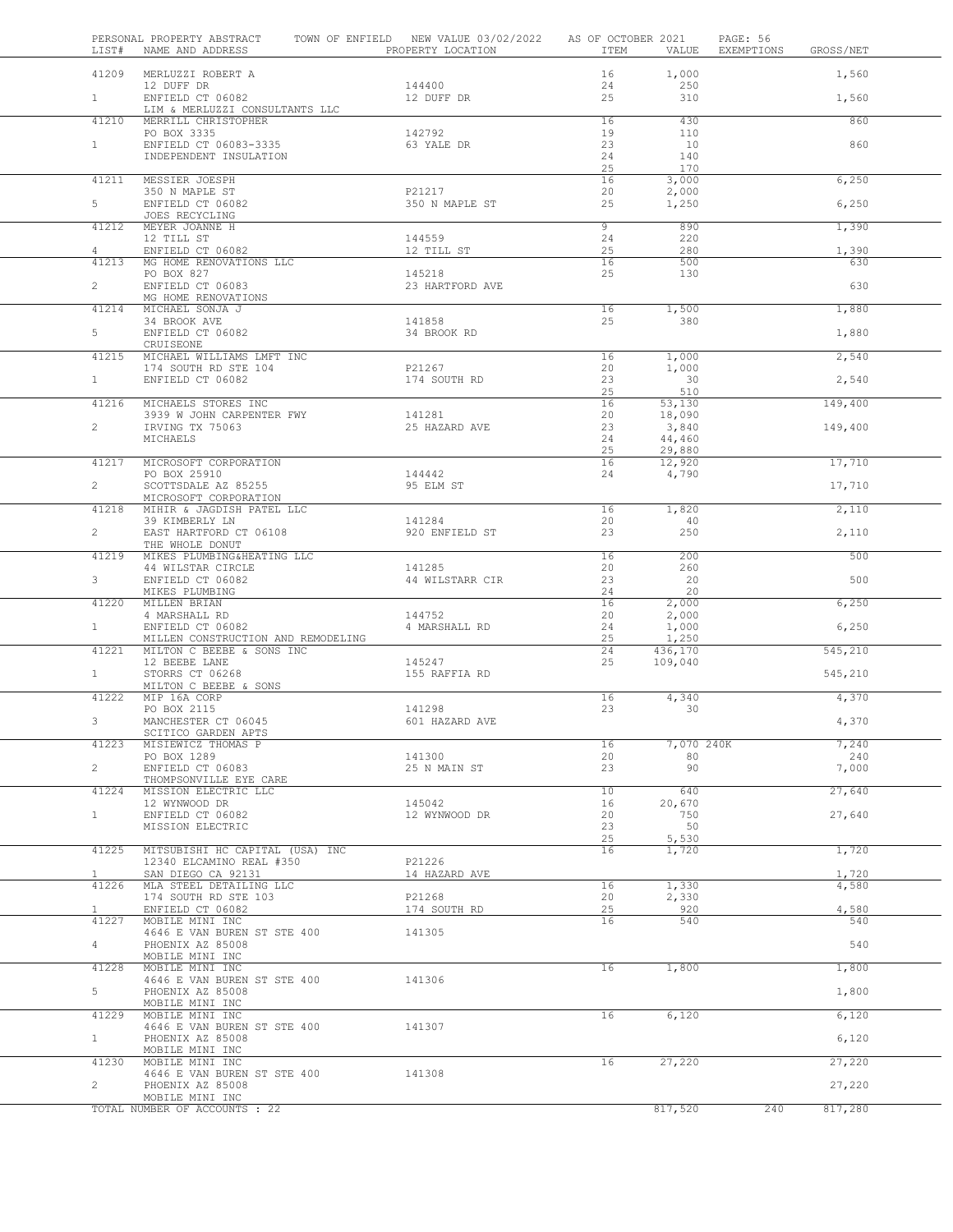| LIST#          | PERSONAL PROPERTY ABSTRACT<br>NAME AND ADDRESS              | TOWN OF ENFIELD NEW VALUE 03/02/2022 AS OF OCTOBER 2021<br>PROPERTY LOCATION | ITEM                 | VALUE              | PAGE: 56<br>EXEMPTIONS GROSS/NET |              |  |
|----------------|-------------------------------------------------------------|------------------------------------------------------------------------------|----------------------|--------------------|----------------------------------|--------------|--|
|                | 41209 MERLUZZI ROBERT A                                     |                                                                              | 16                   | 1,000              |                                  | 1,560        |  |
| 1              | 12 DUFF DR<br>ENFIELD CT 06082                              | 144400<br>12 DUFF DR                                                         | 24<br>25             | 250<br>310         |                                  | 1,560        |  |
|                | LIM & MERLUZZI CONSULTANTS LLC                              |                                                                              |                      |                    |                                  |              |  |
| 41210          | MERRILL CHRISTOPHER<br>PO BOX 3335                          | 142792                                                                       | 16<br>19             | 430<br>110         |                                  | 860          |  |
| $\mathbf{1}$   | ENFIELD CT 06083-3335                                       | 63 YALE DR                                                                   | 23                   | 10                 |                                  | 860          |  |
|                | INDEPENDENT INSULATION                                      |                                                                              | 24<br>25             | 140<br>170         |                                  |              |  |
| 41211          | MESSIER JOESPH                                              |                                                                              | 16                   | 3,000              |                                  | 6,250        |  |
| 5              | 350 N MAPLE ST<br>ENFIELD CT 06082                          | P21217<br>350 N MAPLE ST                                                     | 20<br>25             | 2,000<br>1,250     |                                  | 6,250        |  |
|                | JOES RECYCLING                                              |                                                                              |                      |                    |                                  |              |  |
| 41212          | MEYER JOANNE H<br>12 TILL ST                                | 144559                                                                       | $\overline{9}$<br>24 | 890<br>220         |                                  | 1,390        |  |
| 4              | ENFIELD CT 06082                                            | 12 TILL ST                                                                   | 25                   | 280                |                                  | 1,390        |  |
|                | 41213 MG HOME RENOVATIONS LLC<br>PO BOX 827                 | 145218                                                                       | 16<br>25             | 500<br>130         |                                  | 630          |  |
| $\overline{2}$ | ENFIELD CT 06083                                            | 23 HARTFORD AVE                                                              |                      |                    |                                  | 630          |  |
| 41214          | MG HOME RENOVATIONS<br>MICHAEL SONJA J                      |                                                                              | 16                   | 1,500              |                                  | 1,880        |  |
| 5              | 34 BROOK AVE<br>ENFIELD CT 06082                            | 141858<br>34 BROOK RD                                                        | 25                   | 380                |                                  | 1,880        |  |
|                | CRUISEONE                                                   |                                                                              |                      |                    |                                  |              |  |
| 41215          | MICHAEL WILLIAMS LMFT INC<br>174 SOUTH RD STE 104           | P21267                                                                       | 16<br>20             | 1,000<br>1,000     |                                  | 2,540        |  |
| 1              | ENFIELD CT 06082                                            | 174 SOUTH RD                                                                 | 23                   | 30                 |                                  | 2,540        |  |
| 41216          | MICHAELS STORES INC                                         |                                                                              | 25<br>16             | 510<br>53,130      |                                  | 149,400      |  |
|                | 3939 W JOHN CARPENTER FWY                                   | 141281                                                                       | 20                   | 18,090             |                                  |              |  |
| $\overline{2}$ | IRVING TX 75063<br>MICHAELS                                 | 25 HAZARD AVE                                                                | 23<br>24             | 3,840<br>44,460    |                                  | 149,400      |  |
|                |                                                             |                                                                              | 25                   | 29,880             |                                  |              |  |
| 41217          | MICROSOFT CORPORATION<br>PO BOX 25910                       | 144442                                                                       | 16<br>24             | 12,920<br>4,790    |                                  | 17,710       |  |
| $\overline{2}$ | SCOTTSDALE AZ 85255                                         | 95 ELM ST                                                                    |                      |                    |                                  | 17,710       |  |
| 41218          | MICROSOFT CORPORATION<br>MIHIR & JAGDISH PATEL LLC          |                                                                              | 16                   | 1,820              |                                  | 2,110        |  |
| $\overline{2}$ | 39 KIMBERLY LN<br>EAST HARTFORD CT 06108                    | 141284<br>920 ENFIELD ST                                                     | 20<br>23             | -40<br>250         |                                  | 2,110        |  |
|                | THE WHOLE DONUT                                             |                                                                              |                      |                    |                                  |              |  |
| 41219          | MIKES PLUMBING&HEATING LLC<br>44 WILSTAR CIRCLE             | 141285                                                                       | 16<br>20             | 200<br>260         |                                  | 500          |  |
| 3 <sup>7</sup> | ENFIELD CT 06082                                            | 44 WILSTARR CIR                                                              | 23                   | 20                 |                                  | 500          |  |
| 41220          | MIKES PLUMBING<br>MILLEN BRIAN                              |                                                                              | 24<br>16             | 20<br>2,000        |                                  | 6,250        |  |
|                | 4 MARSHALL RD                                               | 144752                                                                       | 20                   | 2,000              |                                  |              |  |
| 1              | ENFIELD CT 06082<br>MILLEN CONSTRUCTION AND REMODELING      | 4 MARSHALL RD                                                                | 24<br>25             | 1,000<br>1,250     |                                  | 6,250        |  |
| 41221          | MILTON C BEEBE & SONS INC<br>12 BEEBE LANE                  | 145247                                                                       | 24<br>25             | 436,170<br>109,040 |                                  | 545,210      |  |
| $1 -$          | STORRS CT 06268                                             | 155 RAFFIA RD                                                                |                      |                    |                                  | 545,210      |  |
| 41222          | MILTON C BEEBE & SONS<br>MIP 16A CORP                       |                                                                              | 16                   | 4,340              |                                  | 4,370        |  |
|                | PO BOX 2115                                                 | 141298                                                                       | 23                   | 30                 |                                  |              |  |
| 3              | MANCHESTER CT 06045<br>SCITICO GARDEN APTS                  | 601 HAZARD AVE                                                               |                      |                    |                                  | 4,370        |  |
| 41223          | MISIEWICZ THOMAS P                                          |                                                                              | 16                   | 7,070 240K         |                                  | 7,240        |  |
| $\overline{2}$ | PO BOX 1289<br>ENFIELD CT 06083                             | 141300<br>25 N MAIN ST                                                       | 20<br>23             | 80<br>90           |                                  | 240<br>7,000 |  |
| 41224          | THOMPSONVILLE EYE CARE                                      |                                                                              | 10                   | 640                |                                  |              |  |
|                | MISSION ELECTRIC LLC<br>12 WYNWOOD DR                       | 145042                                                                       | 16                   | 20,670             |                                  | 27,640       |  |
| 1              | ENFIELD CT 06082<br>MISSION ELECTRIC                        | 12 WYNWOOD DR                                                                | 20<br>23             | 750<br>50          |                                  | 27,640       |  |
|                |                                                             |                                                                              | 25                   | 5,530              |                                  |              |  |
| 41225          | MITSUBISHI HC CAPITAL (USA) INC<br>12340 ELCAMINO REAL #350 | P21226                                                                       | 16                   | 1,720              |                                  | 1,720        |  |
| $\mathbf{1}$   | SAN DIEGO CA 92131                                          | 14 HAZARD AVE                                                                |                      |                    |                                  | 1,720        |  |
| 41226          | MLA STEEL DETAILING LLC<br>174 SOUTH RD STE 103             | P21268                                                                       | 16<br>20             | 1,330<br>2,330     |                                  | 4,580        |  |
| $\mathbf{1}$   | ENFIELD CT 06082                                            | 174 SOUTH RD                                                                 | 25<br>16             | 920<br>540         |                                  | 4,580<br>540 |  |
| 41227          | MOBILE MINI INC<br>4646 E VAN BUREN ST STE 400              | 141305                                                                       |                      |                    |                                  |              |  |
| $4\degree$     | PHOENIX AZ 85008<br>MOBILE MINI INC                         |                                                                              |                      |                    |                                  | 540          |  |
| 41228          | MOBILE MINI INC                                             |                                                                              | 16                   | 1,800              |                                  | 1,800        |  |
| $5 -$          | 4646 E VAN BUREN ST STE 400<br>PHOENIX AZ 85008             | 141306                                                                       |                      |                    |                                  | 1,800        |  |
|                | MOBILE MINI INC                                             |                                                                              |                      |                    |                                  |              |  |
| 41229          | MOBILE MINI INC<br>4646 E VAN BUREN ST STE 400              | 141307                                                                       | 16                   | 6,120              |                                  | 6,120        |  |
| $1 \quad$      | PHOENIX AZ 85008                                            |                                                                              |                      |                    |                                  | 6,120        |  |
| 41230          | MOBILE MINI INC<br>MOBILE MINI INC                          |                                                                              | 16                   | 27,220             |                                  | 27,220       |  |
| $\overline{2}$ | 4646 E VAN BUREN ST STE 400<br>PHOENIX AZ 85008             | 141308                                                                       |                      |                    |                                  | 27,220       |  |
|                | MOBILE MINI INC                                             |                                                                              |                      |                    |                                  |              |  |
|                | TOTAL NUMBER OF ACCOUNTS : 22                               |                                                                              |                      | 817,520            | 240                              | 817,280      |  |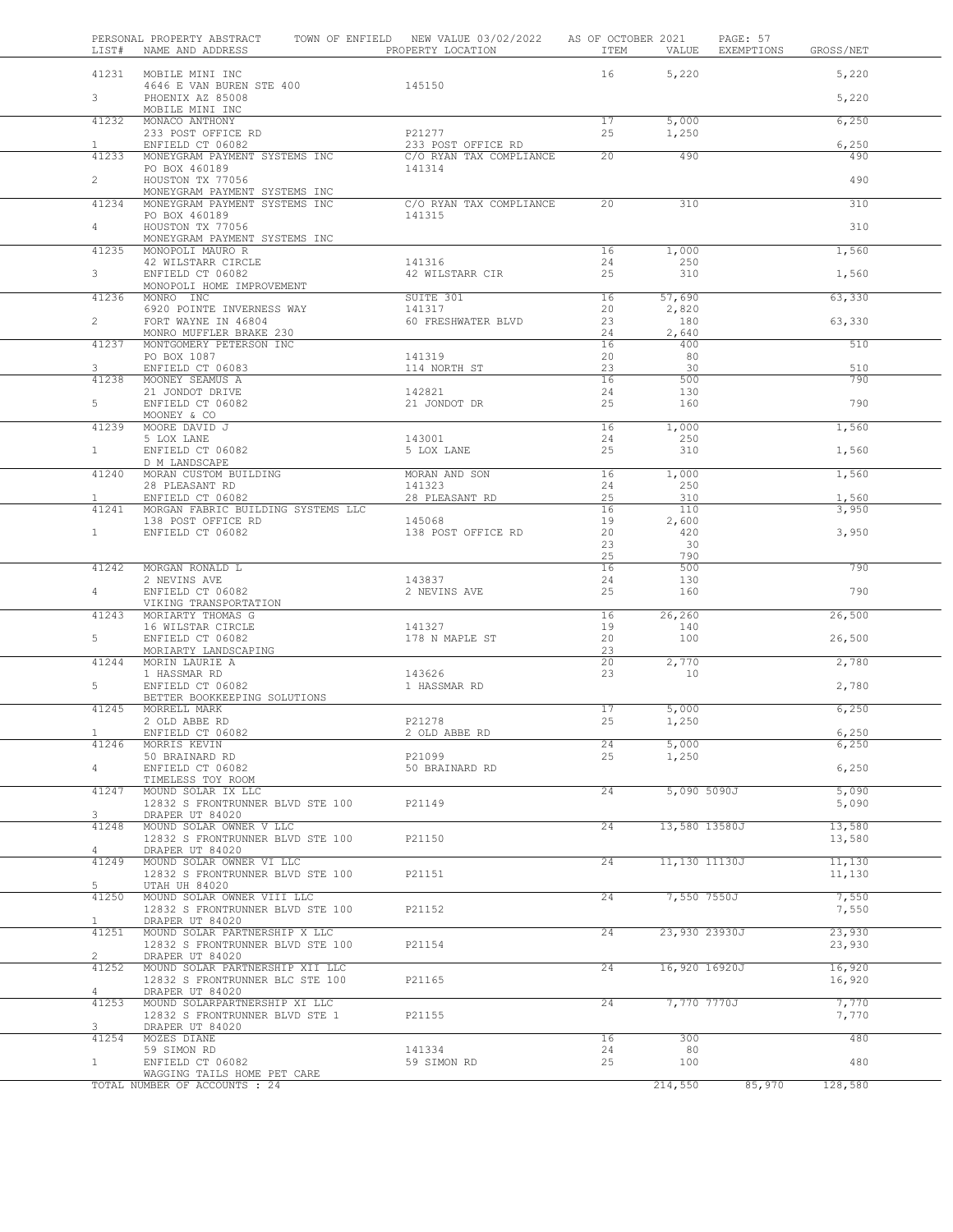| LIST#          | PERSONAL PROPERTY ABSTRACT<br>NAME AND ADDRESS                    | TOWN OF ENFIELD NEW VALUE 03/02/2022 AS OF OCTOBER 2021<br>PROPERTY LOCATION | ITEM            | VALUE          | PAGE: 57<br>EXEMPTIONS | GROSS/NET        |  |
|----------------|-------------------------------------------------------------------|------------------------------------------------------------------------------|-----------------|----------------|------------------------|------------------|--|
|                | 41231 MOBILE MINI INC                                             |                                                                              | 16              | 5,220          |                        | 5,220            |  |
| 3 <sup>7</sup> | 4646 E VAN BUREN STE 400<br>PHOENIX AZ 85008<br>MOBILE MINI INC   | 145150                                                                       |                 |                |                        | 5,220            |  |
| 41232          | MONACO ANTHONY                                                    |                                                                              | 17              | 5,000          |                        | 6,250            |  |
| $\mathbf{1}$   | 233 POST OFFICE RD<br>ENFIELD CT 06082                            | P21277<br>233 POST OFFICE RD                                                 | 25              | 1,250          |                        | 6,250            |  |
| 41233          | MONEYGRAM PAYMENT SYSTEMS INC                                     | C/O RYAN TAX COMPLIANCE                                                      | $\overline{20}$ | 490            |                        | 490              |  |
|                | PO BOX 460189                                                     | 141314                                                                       |                 |                |                        |                  |  |
| $\overline{2}$ | HOUSTON TX 77056                                                  |                                                                              |                 |                |                        | 490              |  |
| 41234          | MONEYGRAM PAYMENT SYSTEMS INC<br>MONEYGRAM PAYMENT SYSTEMS INC    | C/O RYAN TAX COMPLIANCE                                                      | $\overline{20}$ | 310            |                        | 310              |  |
|                | PO BOX 460189                                                     | 141315                                                                       |                 |                |                        |                  |  |
| $4 -$          | HOUSTON TX 77056                                                  |                                                                              |                 |                |                        | 310              |  |
| 41235          | MONEYGRAM PAYMENT SYSTEMS INC<br>MONOPOLI MAURO R                 |                                                                              | 16              | 1,000          |                        | 1,560            |  |
|                | 42 WILSTARR CIRCLE                                                | 141316                                                                       | 24              | 250            |                        |                  |  |
| $3 -$          | ENFIELD CT 06082<br>MONOPOLI HOME IMPROVEMENT                     | 42 WILSTARR CIR                                                              | 25              | 310            |                        | 1,560            |  |
| 41236          | MONRO INC                                                         | SUITE 301                                                                    | 16              | 57,690         |                        | 63,330           |  |
|                | 6920 POINTE INVERNESS WAY                                         | 141317                                                                       | 20              | 2,820          |                        |                  |  |
| $\overline{2}$ | FORT WAYNE IN 46804<br>MONRO MUFFLER BRAKE 230                    | 60 FRESHWATER BLVD                                                           | 23<br>24        | 180<br>2,640   |                        | 63,330           |  |
| 41237          | MONTGOMERY PETERSON INC                                           |                                                                              | 16              | 400            |                        | 510              |  |
|                | PO BOX 1087                                                       | 141319                                                                       | 20              | 80             |                        |                  |  |
| 3<br>41238     | ENFIELD CT 06083<br>MOONEY SEAMUS A                               | 114 NORTH ST                                                                 | 23<br>16        | 30<br>500      |                        | 510<br>790       |  |
|                | 21 JONDOT DRIVE                                                   | 142821                                                                       | 24              | 130            |                        |                  |  |
| 5              | ENFIELD CT 06082                                                  | 21 JONDOT DR                                                                 | 25              | 160            |                        | 790              |  |
| 41239          | MOONEY & CO<br>MOORE DAVID J                                      |                                                                              | 16              | 1,000          |                        | 1,560            |  |
|                | 5 LOX LANE                                                        | 143001                                                                       | 24              | 250            |                        |                  |  |
| $1 -$          | ENFIELD CT 06082                                                  | 5 LOX LANE                                                                   | 25              | 310            |                        | 1,560            |  |
| 41240          | D M LANDSCAPE<br>MORAN CUSTOM BUILDING                            | MORAN AND SON                                                                | 16              | 1,000          |                        | 1,560            |  |
|                | 28 PLEASANT RD                                                    | 141323                                                                       | 24              | 250            |                        |                  |  |
| $\mathbf{1}$   | ENFIELD CT 06082                                                  | 28 PLEASANT RD                                                               | 25              | 310            |                        | 1,560            |  |
| 41241          | MORGAN FABRIC BUILDING SYSTEMS LLC<br>138 POST OFFICE RD          | 145068                                                                       | 16<br>19        | 110<br>2,600   |                        | 3,950            |  |
| $\mathbf{1}$   | ENFIELD CT 06082                                                  | 138 POST OFFICE RD                                                           | 20              | 420            |                        | 3,950            |  |
|                |                                                                   |                                                                              | 23              | 30             |                        |                  |  |
| 41242          | MORGAN RONALD L                                                   |                                                                              | 25<br>16        | 790<br>500     |                        | 790              |  |
|                | 2 NEVINS AVE                                                      | 143837                                                                       | 24              | 130            |                        |                  |  |
| 4              | ENFIELD CT 06082                                                  | 2 NEVINS AVE                                                                 | 25              | 160            |                        | 790              |  |
| 41243          | VIKING TRANSPORTATION<br>MORIARTY THOMAS G                        |                                                                              | 16              | 26,260         |                        | 26,500           |  |
|                | 16 WILSTAR CIRCLE                                                 | 141327                                                                       | 19              | 140            |                        |                  |  |
| 5              | ENFIELD CT 06082                                                  | 178 N MAPLE ST                                                               | 20              | 100            |                        | 26,500           |  |
| 41244          | MORIARTY LANDSCAPING<br>MORIN LAURIE A                            |                                                                              | 23<br>20        | 2,770          |                        | 2,780            |  |
|                | 1 HASSMAR RD                                                      | 143626                                                                       | 23              | 10             |                        |                  |  |
| 5              | ENFIELD CT 06082                                                  | 1 HASSMAR RD                                                                 |                 |                |                        | 2,780            |  |
| 41245          | BETTER BOOKKEEPING SOLUTIONS<br>MORRELL MARK                      |                                                                              | 17              | 5,000          |                        | 6,250            |  |
|                | 2 OLD ABBE RD                                                     | P21278                                                                       | 25              | 1,250          |                        |                  |  |
|                | ENFIELD CT 06082                                                  | 2 OLD ABBE RD                                                                |                 |                |                        | 6,250            |  |
| 41246          | MORRIS KEVIN<br>50 BRAINARD RD                                    | P21099                                                                       | 24<br>25        | 5,000<br>1,250 |                        | 6,250            |  |
| 4              | ENFIELD CT 06082                                                  | 50 BRAINARD RD                                                               |                 |                |                        | 6,250            |  |
|                | TIMELESS TOY ROOM                                                 |                                                                              |                 |                |                        |                  |  |
| 41247          | MOUND SOLAR IX LLC<br>12832 S FRONTRUNNER BLVD STE 100            | P21149                                                                       | 24              | 5,090 5090J    |                        | 5,090<br>5,090   |  |
| 3              | DRAPER UT 84020                                                   |                                                                              |                 |                |                        |                  |  |
| 41248          | MOUND SOLAR OWNER V LLC                                           |                                                                              | 24              | 13,580 13580J  |                        | 13,580           |  |
| 4              | 12832 S FRONTRUNNER BLVD STE 100<br>DRAPER UT 84020               | P21150                                                                       |                 |                |                        | 13,580           |  |
| 41249          | MOUND SOLAR OWNER VI LLC                                          |                                                                              | 24              | 11,130 11130J  |                        | 11,130           |  |
|                | 12832 S FRONTRUNNER BLVD STE 100                                  | P21151                                                                       |                 |                |                        | 11,130           |  |
| 5<br>41250     | UTAH UH 84020<br>MOUND SOLAR OWNER VIII LLC                       |                                                                              | 24              | 7,550 7550J    |                        | 7,550            |  |
|                | 12832 S FRONTRUNNER BLVD STE 100                                  | P21152                                                                       |                 |                |                        | 7,550            |  |
| $\mathbf{1}$   | DRAPER UT 84020                                                   |                                                                              |                 |                |                        |                  |  |
| 41251          | MOUND SOLAR PARTNERSHIP X LLC<br>12832 S FRONTRUNNER BLVD STE 100 | P21154                                                                       | 24              | 23,930 23930J  |                        | 23,930<br>23,930 |  |
| $\overline{2}$ | DRAPER UT 84020                                                   |                                                                              |                 |                |                        |                  |  |
| 41252          | MOUND SOLAR PARTNERSHIP XII LLC                                   |                                                                              | 24              | 16,920 16920J  |                        | 16,920           |  |
| 4              | 12832 S FRONTRUNNER BLC STE 100<br>DRAPER UT 84020                | P21165                                                                       |                 |                |                        | 16,920           |  |
| 41253          | MOUND SOLARPARTNERSHIP XI LLC                                     |                                                                              | 24              | 7,770 7770J    |                        | 7,770            |  |
|                | 12832 S FRONTRUNNER BLVD STE 1                                    | P21155                                                                       |                 |                |                        | 7,770            |  |
| 3<br>41254     | DRAPER UT 84020<br>MOZES DIANE                                    |                                                                              | 16              | 300            |                        | 480              |  |
|                | 59 SIMON RD                                                       | 141334                                                                       | 24              | 80             |                        |                  |  |
| $\mathbf{1}$   | ENFIELD CT 06082                                                  | 59 SIMON RD                                                                  | 25              | 100            |                        | 480              |  |
|                | WAGGING TAILS HOME PET CARE<br>TOTAL NUMBER OF ACCOUNTS : 24      |                                                                              |                 | 214,550        | 85,970                 | 128,580          |  |
|                |                                                                   |                                                                              |                 |                |                        |                  |  |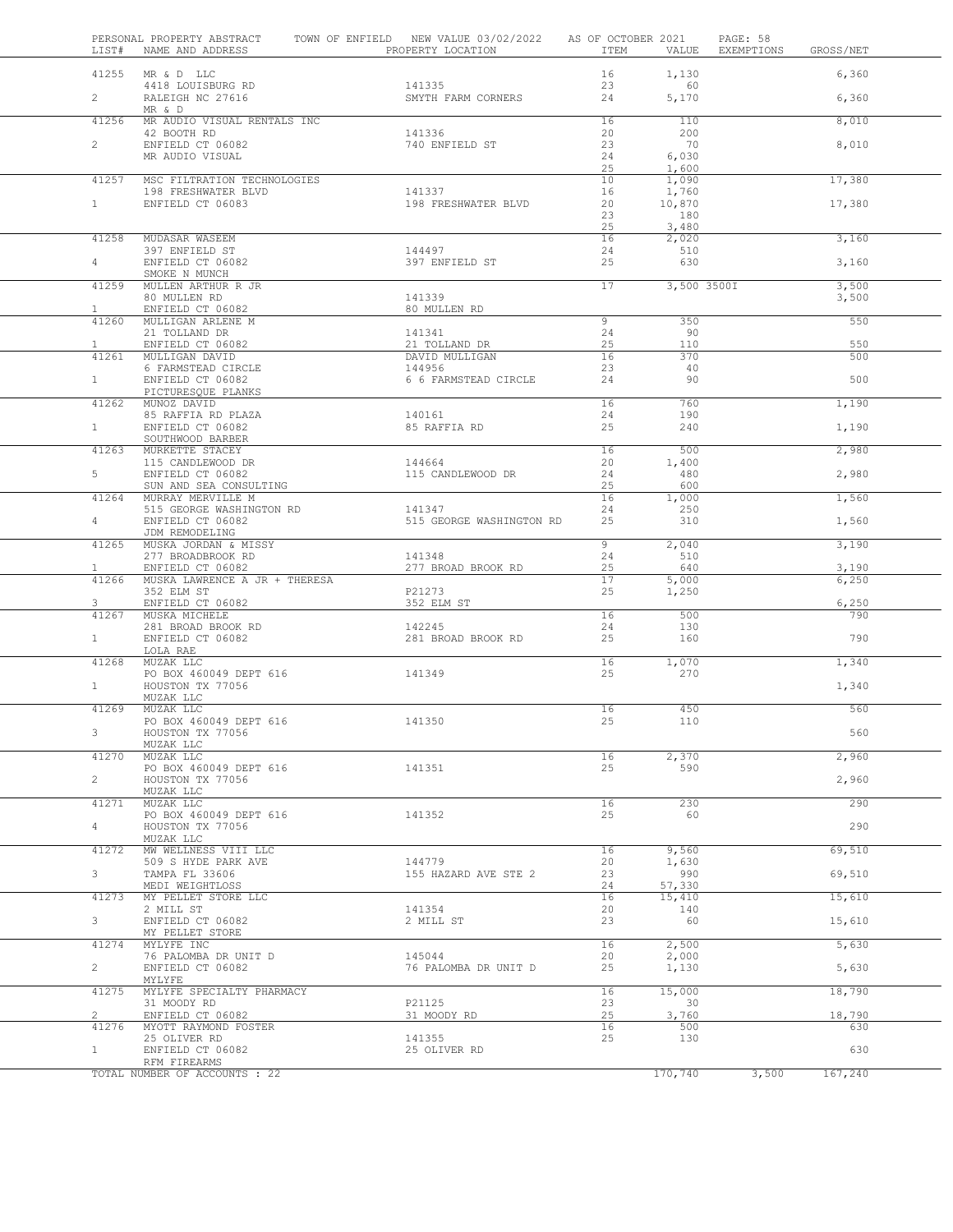| LIST#                 | PERSONAL PROPERTY ABSTRACT<br>NAME AND ADDRESS | TOWN OF ENFIELD NEW VALUE 03/02/2022<br>PROPERTY LOCATION | AS OF OCTOBER 2021<br>ITEM | VALUE          | PAGE: 58<br>EXEMPTIONS | GROSS/NET    |  |
|-----------------------|------------------------------------------------|-----------------------------------------------------------|----------------------------|----------------|------------------------|--------------|--|
|                       | 41255 MR & D LLC                               |                                                           | 16                         | 1,130          |                        | 6,360        |  |
| $\overline{2}$        | 4418 LOUISBURG RD<br>RALEIGH NC 27616          | 141335<br>SMYTH FARM CORNERS                              | 23<br>24                   | 60<br>5,170    |                        | 6,360        |  |
| 41256                 | MR & D<br>MR AUDIO VISUAL RENTALS INC          |                                                           | 16                         | 110            |                        | 8,010        |  |
| $\mathbf{2}$          | 42 BOOTH RD<br>ENFIELD CT 06082                | 141336<br>740 ENFIELD ST                                  | 20<br>23                   | 200<br>70      |                        | 8,010        |  |
|                       | MR AUDIO VISUAL                                |                                                           | 24                         | 6,030          |                        |              |  |
| 41257                 | MSC FILTRATION TECHNOLOGIES                    |                                                           | 25<br>10                   | 1,600<br>1,090 |                        | 17,380       |  |
|                       | 198 FRESHWATER BLVD                            | 141337                                                    | 16                         | 1,760          |                        |              |  |
| 1                     | ENFIELD CT 06083                               | 198 FRESHWATER BLVD                                       | 20<br>23                   | 10,870<br>180  |                        | 17,380       |  |
|                       |                                                |                                                           | 25                         | 3,480          |                        |              |  |
| 41258                 | MUDASAR WASEEM<br>397 ENFIELD ST               | 144497                                                    | 16<br>24                   | 2,020<br>510   |                        | 3,160        |  |
| $4\degree$            | ENFIELD CT 06082                               | 397 ENFIELD ST                                            | 25                         | 630            |                        | 3,160        |  |
| 41259                 | SMOKE N MUNCH<br>MULLEN ARTHUR R JR            |                                                           | 17                         | 3,500 3500I    |                        | 3,500        |  |
|                       | 80 MULLEN RD                                   | 141339                                                    |                            |                |                        | 3,500        |  |
| $\mathbf{1}$<br>41260 | ENFIELD CT 06082<br>MULLIGAN ARLENE M          | 80 MULLEN RD                                              | 9                          | 350            |                        | 550          |  |
|                       | 21 TOLLAND DR                                  | 141341                                                    | 24                         | 90             |                        |              |  |
| $\mathbf{1}$<br>41261 | ENFIELD CT 06082<br>MULLIGAN DAVID             | 21 TOLLAND DR<br>DAVID MULLIGAN                           | 25<br>16                   | 110<br>370     |                        | 550<br>500   |  |
|                       | 6 FARMSTEAD CIRCLE                             | 144956                                                    | 23                         | 40             |                        |              |  |
| 1                     | ENFIELD CT 06082<br>PICTURESQUE PLANKS         | 6 6 FARMSTEAD CIRCLE                                      | 24                         | 90             |                        | 500          |  |
| 41262                 | MUNOZ DAVID                                    | 140161                                                    | 16                         | 760            |                        | 1,190        |  |
| 1                     | 85 RAFFIA RD PLAZA<br>ENFIELD CT 06082         | 85 RAFFIA RD                                              | 24<br>25                   | 190<br>240     |                        | 1,190        |  |
| 41263                 | SOUTHWOOD BARBER<br>MURKETTE STACEY            |                                                           | 16                         | 500            |                        | 2,980        |  |
|                       | 115 CANDLEWOOD DR                              | 144664                                                    | 20                         | 1,400          |                        |              |  |
| 5                     | ENFIELD CT 06082<br>SUN AND SEA CONSULTING     | 115 CANDLEWOOD DR                                         | 24<br>25                   | 480<br>600     |                        | 2,980        |  |
| 41264                 | MURRAY MERVILLE M                              |                                                           | 16                         | 1,000          |                        | 1,560        |  |
| $\overline{4}$        | 515 GEORGE WASHINGTON RD<br>ENFIELD CT 06082   | 141347<br>515 GEORGE WASHINGTON RD                        | 24<br>25                   | 250<br>310     |                        | 1,560        |  |
|                       | JDM REMODELING                                 |                                                           |                            |                |                        |              |  |
| 41265                 | MUSKA JORDAN & MISSY<br>277 BROADBROOK RD      | 141348                                                    | 9<br>24                    | 2,040<br>510   |                        | 3,190        |  |
| $\mathbf{1}$          | ENFIELD CT 06082                               | 277 BROAD BROOK RD                                        | 25                         | 640            |                        | 3,190        |  |
| 41266                 | MUSKA LAWRENCE A JR + THERESA<br>352 ELM ST    | P21273                                                    | 17<br>25                   | 5,000<br>1,250 |                        | 6,250        |  |
| 3<br>41267            | ENFIELD CT 06082                               | 352 ELM ST                                                | 16                         | 500            |                        | 6,250<br>790 |  |
|                       | MUSKA MICHELE<br>281 BROAD BROOK RD            | 142245                                                    | 24                         | 130            |                        |              |  |
| 1                     | ENFIELD CT 06082<br>LOLA RAE                   | 281 BROAD BROOK RD                                        | 25                         | 160            |                        | 790          |  |
| 41268                 | MUZAK LLC                                      |                                                           | 16                         | 1,070          |                        | 1,340        |  |
| 1                     | PO BOX 460049 DEPT 616<br>HOUSTON TX 77056     | 141349                                                    | 25                         | 270            |                        | 1,340        |  |
|                       | MUZAK LLC                                      |                                                           |                            |                |                        |              |  |
| 41269                 | MUZAK LLC<br>PO BOX 460049 DEPT 616            | 141350                                                    | 16<br>25                   | 450<br>110     |                        | 560          |  |
| 3                     | HOUSTON TX 77056                               |                                                           |                            |                |                        | 560          |  |
| 41270                 | MUZAK LLC<br>MUZAK LLC                         |                                                           | 16                         | 2,370          |                        | 2,960        |  |
| $\mathbf{2}$          | PO BOX 460049 DEPT 616                         | 141351                                                    | 25                         | 590            |                        |              |  |
|                       | HOUSTON TX 77056<br>MUZAK LLC                  |                                                           |                            |                |                        | 2,960        |  |
| 41271                 | MUZAK LLC<br>PO BOX 460049 DEPT 616            | 141352                                                    | 16<br>25                   | 230<br>60      |                        | 290          |  |
| 4                     | HOUSTON TX 77056                               |                                                           |                            |                |                        | 290          |  |
| 41272                 | MUZAK LLC<br>MW WELLNESS VIII LLC              |                                                           | 16                         | 9,560          |                        | 69,510       |  |
|                       | 509 S HYDE PARK AVE                            | 144779                                                    | 20                         | 1,630          |                        |              |  |
| 3                     | TAMPA FL 33606<br>MEDI WEIGHTLOSS              | 155 HAZARD AVE STE 2                                      | 23<br>24                   | 990<br>57,330  |                        | 69,510       |  |
| 41273                 | MY PELLET STORE LLC                            |                                                           | 16                         | 15,410         |                        | 15,610       |  |
| 3                     | 2 MILL ST<br>ENFIELD CT 06082                  | 141354<br>2 MILL ST                                       | 20<br>23                   | 140<br>60      |                        | 15,610       |  |
|                       | MY PELLET STORE                                |                                                           |                            |                |                        |              |  |
| 41274                 | MYLYFE INC<br>76 PALOMBA DR UNIT D             | 145044                                                    | 16<br>20                   | 2,500<br>2,000 |                        | 5,630        |  |
| $\overline{2}$        | ENFIELD CT 06082<br>MYLYFE                     | 76 PALOMBA DR UNIT D                                      | 25                         | 1,130          |                        | 5,630        |  |
| 41275                 | MYLYFE SPECIALTY PHARMACY                      |                                                           | 16                         | 15,000         |                        | 18,790       |  |
| $\mathbf{2}^{\circ}$  | 31 MOODY RD<br>ENFIELD CT 06082                | P21125<br>31 MOODY RD                                     | 23<br>25                   | 30<br>3,760    |                        | 18,790       |  |
| 41276                 | MYOTT RAYMOND FOSTER                           |                                                           | 16                         | 500            |                        | 630          |  |
| $\mathbf{1}$          | 25 OLIVER RD<br>ENFIELD CT 06082               | 141355<br>25 OLIVER RD                                    | 25                         | 130            |                        | 630          |  |
|                       | RFM FIREARMS<br>TOTAL NUMBER OF ACCOUNTS : 22  |                                                           |                            | 170,740        | 3,500                  | 167,240      |  |
|                       |                                                |                                                           |                            |                |                        |              |  |

I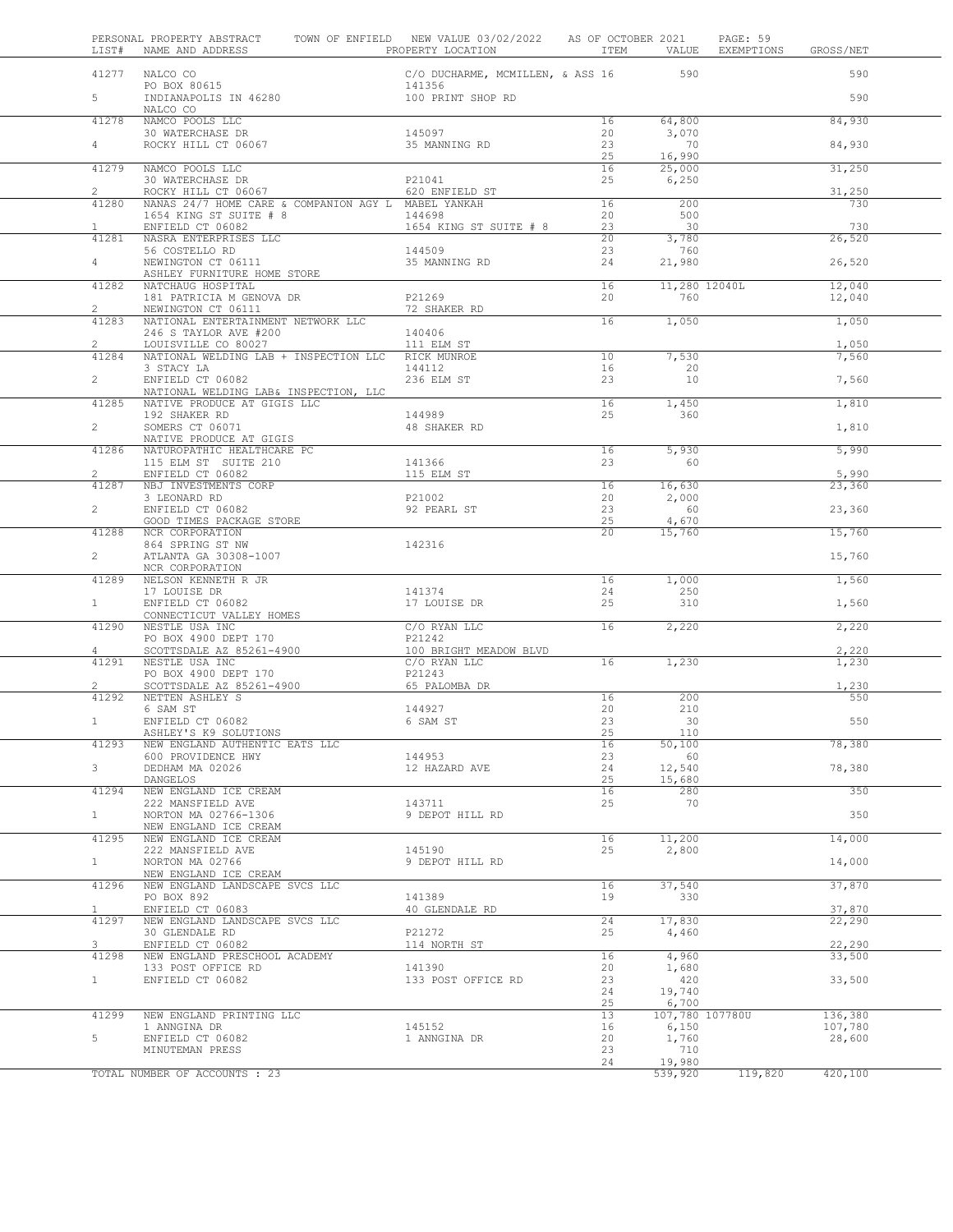| LIST#                          | PERSONAL PROPERTY ABSTRACT<br>NAME AND ADDRESS              | TOWN OF ENFIELD NEW VALUE 03/02/2022 AS OF OCTOBER 2021 |                 |                          | PAGE: 59<br>EXEMPTIONS | GROSS/NET        |
|--------------------------------|-------------------------------------------------------------|---------------------------------------------------------|-----------------|--------------------------|------------------------|------------------|
|                                | 41277 NALCO CO<br>NALCO CO<br>PO BOX 80615                  | C/O DUCHARME, MCMILLEN, & ASS 16 590                    |                 |                          |                        | 590              |
| $5 -$                          | INDIANAPOLIS IN 46280                                       | 141356<br>100 PRINT SHOP RD                             |                 |                          |                        | 590              |
| 41278                          | NALCO CO<br>NAMCO POOLS LLC                                 |                                                         | 16              | 64,800                   |                        | 84,930           |
| 4                              | 30 WATERCHASE DR<br>ROCKY HILL CT 06067                     | 145097<br>35 MANNING RD                                 | 20<br>23        | 3,070<br>70              |                        | 84,930           |
|                                |                                                             |                                                         | 25              | 16,990                   |                        |                  |
| 41279                          | NAMCO POOLS LLC<br>30 WATERCHASE DR                         | P21041                                                  | 16<br>25        | 25,000<br>6,250          |                        | 31,250           |
| $\overline{2}$                 | ROCKY HILL CT 06067                                         | 620 ENFIELD ST                                          |                 |                          |                        | 31,250           |
| 41280                          | NANAS 24/7 HOME CARE & COMPANION AGY L MABEL YANKAH         |                                                         | 16              | 200                      |                        | 730              |
| $\mathbf{1}$                   | 1654 KING ST SUITE # 8<br>ENFIELD CT 06082                  | 144698                                                  | 20<br>23        | 500<br>30                |                        | 730              |
| 41281                          | NASRA ENTERPRISES LLC                                       | 1654 KING ST SUITE # 8                                  | 20              | 3,780                    |                        | 26,520           |
|                                | 56 COSTELLO RD                                              | 144509                                                  | 23              | 760                      |                        |                  |
| $4\degree$                     | NEWINGTON CT 06111                                          | 35 MANNING RD                                           | 24              | 21,980                   |                        | 26,520           |
| 41282                          | ASHLEY FURNITURE HOME STORE<br>NATCHAUG HOSPITAL            |                                                         | 16              | 11,280 12040L            |                        | 12,040           |
|                                | 181 PATRICIA M GENOVA DR                                    | P21269                                                  | 20              | 760                      |                        | 12,040           |
| $\overline{2}$                 | NEWINGTON CT 06111                                          | 72 SHAKER RD                                            |                 |                          |                        |                  |
| 41283                          | NATIONAL ENTERTAINMENT NETWORK LLC<br>246 S TAYLOR AVE #200 | 140406                                                  | 16              | 1,050                    |                        | 1,050            |
| 2                              | LOUISVILLE CO 80027                                         | 111 ELM ST                                              |                 |                          |                        | 1,050            |
| 41284                          | NATIONAL WELDING LAB + INSPECTION LLC                       | RICK MUNROE                                             | 10              | 7,530                    |                        | 7,560            |
|                                | 3 STACY LA                                                  | 144112                                                  | 16              | 20                       |                        |                  |
| $\overline{2}$                 | ENFIELD CT 06082<br>NATIONAL WELDING LAB& INSPECTION, LLC   | 236 ELM ST                                              | 23              | 10                       |                        | 7,560            |
| 41285                          | NATIVE PRODUCE AT GIGIS LLC                                 |                                                         | 16              | 1,450                    |                        | 1,810            |
|                                | 192 SHAKER RD                                               | 144989                                                  | 25              | 360                      |                        |                  |
| $\overline{2}$                 | SOMERS CT 06071<br>NATIVE PRODUCE AT GIGIS                  | 48 SHAKER RD                                            |                 |                          |                        | 1,810            |
| 41286                          | NATUROPATHIC HEALTHCARE PC                                  |                                                         | 16              | 5,930                    |                        | 5,990            |
|                                | 115 ELM ST SUITE 210                                        | 141366                                                  | 23              | 60                       |                        |                  |
| $\overline{2}$                 | ENFIELD CT 06082                                            | 115 ELM ST                                              |                 |                          |                        | 5,990            |
| 41287                          | NBJ INVESTMENTS CORP<br>3 LEONARD RD                        | P21002                                                  | 16<br>20        | 16,630<br>2,000          |                        | 23,360           |
| $\mathbf{2}$                   | ENFIELD CT 06082                                            | 92 PEARL ST                                             | 23              | 60                       |                        | 23,360           |
|                                | GOOD TIMES PACKAGE STORE                                    |                                                         | 25              | 4,670                    |                        |                  |
| 41288                          | NCR CORPORATION<br>864 SPRING ST NW                         | 142316                                                  | 20 <sup>2</sup> | 15,760                   |                        | 15,760           |
| $\overline{2}$                 | ATLANTA GA 30308-1007                                       |                                                         |                 |                          |                        | 15,760           |
|                                | NCR CORPORATION                                             |                                                         |                 |                          |                        |                  |
| 41289                          | NELSON KENNETH R JR<br>17 LOUISE DR                         | 141374                                                  | 16<br>24        | 1,000<br>250             |                        | 1,560            |
| 1                              | ENFIELD CT 06082                                            | 17 LOUISE DR                                            | 25              | 310                      |                        | 1,560            |
|                                | CONNECTICUT VALLEY HOMES                                    |                                                         |                 |                          |                        |                  |
| 41290                          | NESTLE USA INC                                              | C/O RYAN LLC                                            | 16              | 2,220                    |                        | 2,220            |
| 4                              | PO BOX 4900 DEPT 170<br>SCOTTSDALE AZ 85261-4900            | P21242<br>100 BRIGHT MEADOW BLVD                        |                 |                          |                        | 2,220            |
| 41291                          | NESTLE USA INC                                              | C/O RYAN LLC                                            | $\overline{16}$ | 1,230                    |                        | 1,230            |
|                                | PO BOX 4900 DEPT 170                                        | P21243                                                  |                 |                          |                        |                  |
| $\mathbf{2}^{\prime}$<br>41292 | SCOTTSDALE AZ 85261-4900<br>NETTEN ASHLEY S                 | 65 PALOMBA DR                                           | 16              | 200                      |                        | 1,230<br>550     |
|                                | 6 SAM ST                                                    | 144927                                                  | 20              | 210                      |                        |                  |
| $\mathbf{1}$                   | ENFIELD CT 06082                                            | 6 SAM ST                                                | 23              | 30                       |                        | 550              |
| 41293                          | ASHLEY'S K9 SOLUTIONS<br>NEW ENGLAND AUTHENTIC EATS LLC     |                                                         | 25<br>16        | 110<br>50,100            |                        | 78,380           |
|                                | 600 PROVIDENCE HWY                                          | 144953                                                  | 23              | 60                       |                        |                  |
| 3 <sup>7</sup>                 | DEDHAM MA 02026                                             | 12 HAZARD AVE                                           | 24              | 12,540                   |                        | 78,380           |
|                                | DANGELOS                                                    |                                                         | 25              | 15,680                   |                        |                  |
| 41294                          | NEW ENGLAND ICE CREAM<br>222 MANSFIELD AVE                  | 143711                                                  | 16<br>25        | 280<br>70                |                        | 350              |
| 1                              | NORTON MA 02766-1306                                        | 9 DEPOT HILL RD                                         |                 |                          |                        | 350              |
|                                | NEW ENGLAND ICE CREAM                                       |                                                         |                 |                          |                        |                  |
| 41295                          | NEW ENGLAND ICE CREAM<br>222 MANSFIELD AVE                  |                                                         | 16              | 11,200                   |                        | 14,000           |
| $\mathbf{1}$                   | NORTON MA 02766                                             | 145190<br>9 DEPOT HILL RD                               | 25              | 2,800                    |                        | 14,000           |
|                                | NEW ENGLAND ICE CREAM                                       |                                                         |                 |                          |                        |                  |
| 41296                          | NEW ENGLAND LANDSCAPE SVCS LLC                              |                                                         | 16              | 37,540                   |                        | 37,870           |
| $\mathbf{1}$                   | PO BOX 892<br>ENFIELD CT 06083                              | 141389<br>40 GLENDALE RD                                | 19              | 330                      |                        | 37,870           |
| 41297                          | NEW ENGLAND LANDSCAPE SVCS LLC                              |                                                         | 24              | 17,830                   |                        | 22,290           |
|                                | 30 GLENDALE RD                                              | P21272                                                  | 25              | 4,460                    |                        |                  |
| $3^{\circ}$<br>41298           | ENFIELD CT 06082<br>NEW ENGLAND PRESCHOOL ACADEMY           | 114 NORTH ST                                            | 16              | 4,960                    |                        | 22,290<br>33,500 |
|                                | 133 POST OFFICE RD                                          | 141390                                                  | 20              | 1,680                    |                        |                  |
| 1                              | ENFIELD CT 06082                                            | 133 POST OFFICE RD                                      | 23              | 420                      |                        | 33,500           |
|                                |                                                             |                                                         | 24              | 19,740                   |                        |                  |
| 41299                          | NEW ENGLAND PRINTING LLC                                    |                                                         | 25<br>13        | 6,700<br>107,780 107780U |                        | 136,380          |
|                                | 1 ANNGINA DR                                                | 145152                                                  | 16              | 6,150                    |                        | 107,780          |
| 5                              | ENFIELD CT 06082                                            | 1 ANNGINA DR                                            | 20              | 1,760                    |                        | 28,600           |
|                                | MINUTEMAN PRESS                                             |                                                         | 23              | 710                      |                        |                  |
|                                | TOTAL NUMBER OF ACCOUNTS : 23                               |                                                         | 24              | 19,980<br>539,920        | 119,820                | 420,100          |
|                                |                                                             |                                                         |                 |                          |                        |                  |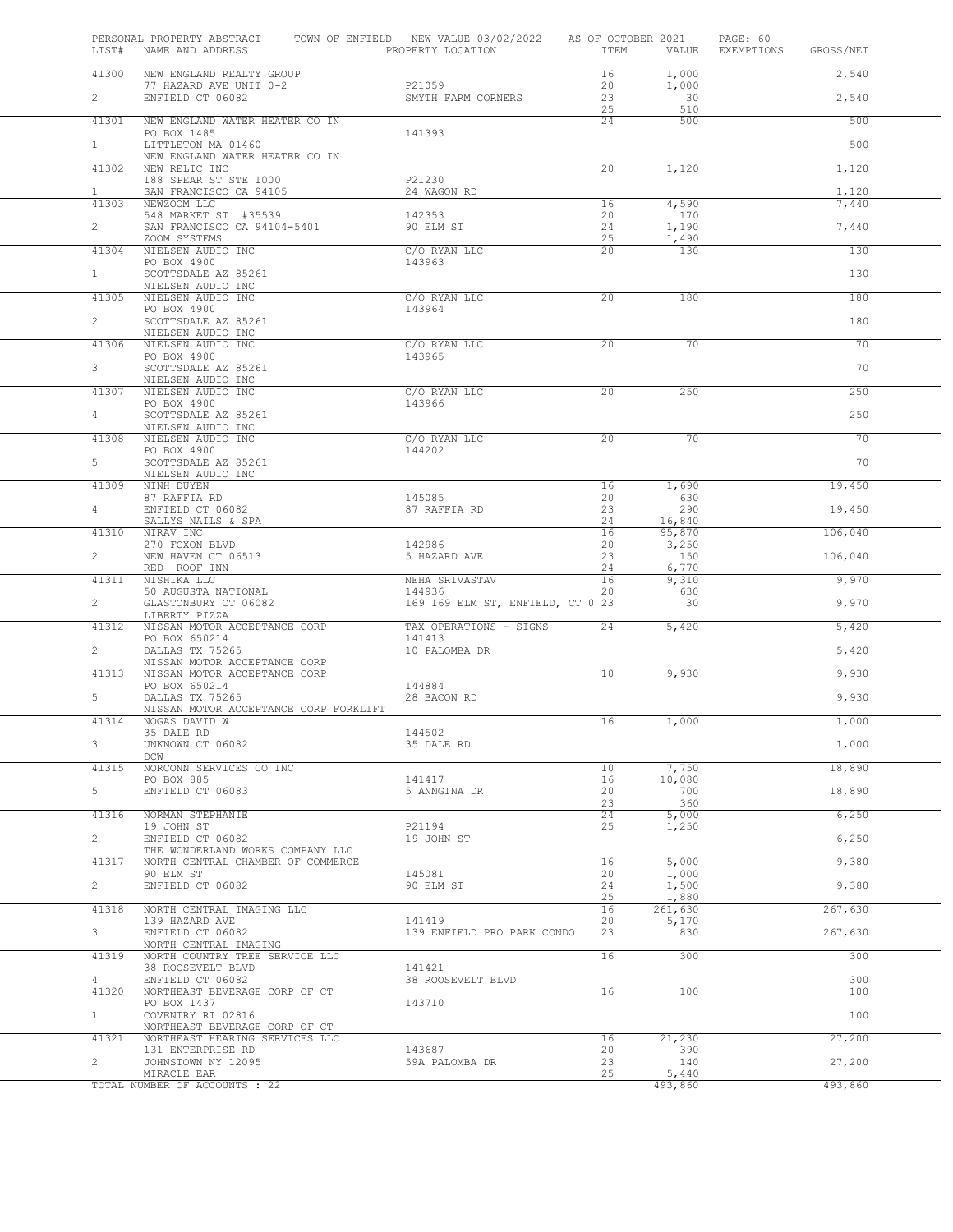|                                | PERSONAL PROPERTY ABSTRACT TOWN OF ENFIELD NEW VALUE 03/02/2022 AS OF OCTOBER 2021<br>LIST# NAME AND ADDRESS TO PROPERTY LOCATION |                                             |                 |                  | PAGE: 60<br>ITEM VALUE EXEMPTIONS GROSS/NET |     |
|--------------------------------|-----------------------------------------------------------------------------------------------------------------------------------|---------------------------------------------|-----------------|------------------|---------------------------------------------|-----|
|                                | 41300 NEW ENGLAND REALTY GROUP                                                                                                    |                                             | 16              | 1,000            | 2,540                                       |     |
| $2 \left( \frac{1}{2} \right)$ | 77 HAZARD AVE UNIT 0-2<br>ENFIELD CT 06082                                                                                        | P21059 and the P21059<br>SMYTH FARM CORNERS | 20<br>23        | 1,000<br>30      | 2,540                                       |     |
|                                |                                                                                                                                   |                                             | 25              | 510              |                                             |     |
| 41301                          | NEW ENGLAND WATER HEATER CO IN<br>PO BOX 1485                                                                                     | 141393                                      | 24              | 500              |                                             | 500 |
| $1 \quad$                      | LITTLETON MA 01460                                                                                                                |                                             |                 |                  |                                             | 500 |
|                                | NEW ENGLAND WATER HEATER CO IN<br>41302 NEW RELIC INC                                                                             |                                             | 20 <sup>2</sup> | 1,120            | 1,120                                       |     |
|                                | 188 SPEAR ST STE 1000                                                                                                             | P21230                                      |                 |                  |                                             |     |
| $\mathbf{1}$                   | SAN FRANCISCO CA 94105<br>41303 NEWZOOM LLC                                                                                       | 24 WAGON RD                                 | 16              | 4,590            | 1,120<br>7,440                              |     |
|                                | 548 MARKET ST #35539                                                                                                              | 142353                                      | 20              | 170              |                                             |     |
| $2^{\sim}$                     | SAN FRANCISCO CA 94104-5401<br>ZOOM SYSTEMS                                                                                       | 90 ELM ST                                   | 24<br>25        | 1,190<br>1,490   | 7,440                                       |     |
| 41304                          | NIELSEN AUDIO INC<br>PO BOX 4900                                                                                                  | C/O RYAN LLC<br>143963                      | 20 <sup>2</sup> | 130              | 130                                         |     |
| $1 -$                          | SCOTTSDALE AZ 85261                                                                                                               |                                             |                 |                  |                                             | 130 |
|                                | NIELSEN AUDIO INC<br>41305 NIELSEN AUDIO INC                                                                                      | C/O RYAN LLC                                | $\overline{20}$ | 180              |                                             | 180 |
|                                | PO BOX 4900                                                                                                                       | 143964                                      |                 |                  |                                             |     |
| $2^{\circ}$                    | SCOTTSDALE AZ 85261<br>NIELSEN AUDIO INC                                                                                          |                                             |                 |                  |                                             | 180 |
| 41306                          | NIELSEN AUDIO INC                                                                                                                 | C/O RYAN LLC                                | 20              | 70               |                                             | 70  |
| $3^{\circ}$                    | PO BOX 4900<br>SCOTTSDALE AZ 85261                                                                                                | 143965                                      |                 |                  |                                             | 70  |
| 41307                          | NIELSEN AUDIO INC<br>NIELSEN AUDIO INC                                                                                            | C/O RYAN LLC                                | 20 <sub>2</sub> | 250              |                                             | 250 |
|                                | PO BOX 4900                                                                                                                       | 143966                                      |                 |                  |                                             |     |
| $4\degree$                     | SCOTTSDALE AZ 85261<br>NIELSEN AUDIO INC                                                                                          |                                             |                 |                  |                                             | 250 |
| 41308                          | NIELSEN AUDIO INC                                                                                                                 | C/O RYAN LLC                                | 20              | 70               |                                             | 70  |
| $5 -$                          | PO BOX 4900<br>SCOTTSDALE AZ 85261                                                                                                | 144202                                      |                 |                  |                                             | 70  |
|                                | NIELSEN AUDIO INC<br>41309 NINH DUYEN                                                                                             |                                             | 16              | 1,690            | 19,450                                      |     |
|                                | 87 RAFFIA RD                                                                                                                      | 145085                                      | 20              | 630              |                                             |     |
| $4\degree$                     | ENFIELD CT 06082<br>SALLYS NAILS & SPA                                                                                            | 87 RAFFIA RD                                | 23<br>24        | 290<br>16,840    | 19,450                                      |     |
| 41310                          | NIRAV INC                                                                                                                         |                                             | 16              | 95,870           | 106,040                                     |     |
| $\overline{2}$                 | 270 FOXON BLVD<br>NEW HAVEN CT 06513                                                                                              | 142986<br>5 HAZARD AVE                      | 20<br>23        | 3,250<br>150     | 106,040                                     |     |
|                                | RED ROOF INN<br>41311 NISHIKA LLC                                                                                                 |                                             | 24              | 6,770<br>9,310   | 9,970                                       |     |
|                                | 50 AUGUSTA NATIONAL                                                                                                               | NEHA SRIVASTAV 16<br>144936 20              |                 | 630              |                                             |     |
| $2^{\circ}$                    | GLASTONBURY CT 06082<br>LIBERTY PIZZA                                                                                             | 169 169 ELM ST, ENFIELD, CT 0 23            |                 | 30               | 9,970                                       |     |
| 41312                          | NISSAN MOTOR ACCEPTANCE CORP<br>PO BOX 650214                                                                                     | TAX OPERATIONS - SIGNS<br>141413            | 24              | 5,420            | 5,420                                       |     |
| $\overline{2}$                 | DALLAS TX 75265                                                                                                                   | 10 PALOMBA DR                               |                 |                  | 5,420                                       |     |
|                                | NISSAN MOTOR ACCEPTANCE CORP<br>41313 NISSAN MOTOR ACCEPTANCE CORP                                                                |                                             | $10^{-}$        | 9,930            | 9,930                                       |     |
|                                | PO BOX 650214<br>DALLAS TX 75265<br>DALLAS TX 75265                                                                               | 144884                                      |                 |                  |                                             |     |
| $5 -$                          | NISSAN MOTOR ACCEPTANCE CORP FORKLIFT                                                                                             | 28 BACON RD                                 |                 |                  | 9,930                                       |     |
| 41314                          | NOGAS DAVID W<br>35 DALE RD                                                                                                       | 144502                                      | 16              |                  | 1,000<br>1,000                              |     |
| 3                              | UNKNOWN CT 06082                                                                                                                  | 35 DALE RD                                  |                 |                  | 1,000                                       |     |
| 41315                          | DCW<br>NORCONN SERVICES CO INC                                                                                                    |                                             | 10              | 7,750            | 18,890                                      |     |
|                                | PO BOX 885<br>ENFIELD CT 06083                                                                                                    | 141417                                      | 16              | 10,080<br>700    |                                             |     |
| 5                              |                                                                                                                                   | 5 ANNGINA DR                                | 20<br>23        | 360              | 18,890                                      |     |
| 41316                          | NORMAN STEPHANIE<br>19 JOHN ST                                                                                                    | P21194                                      | 24<br>25        | 5,000<br>1,250   | 6,250                                       |     |
| $\overline{2}$                 | ENFIELD CT 06082                                                                                                                  | 19 JOHN ST                                  |                 |                  | 6,250                                       |     |
| 41317                          | THE WONDERLAND WORKS COMPANY LLC<br>NORTH CENTRAL CHAMBER OF COMMERCE                                                             |                                             | 16              | 5,000            | 9,380                                       |     |
| $\overline{2}$                 | 90 ELM ST<br>ENFIELD CT 06082                                                                                                     | 145081<br>90 ELM ST                         | 20<br>24        | 1,000<br>1,500   | 9,380                                       |     |
|                                |                                                                                                                                   |                                             | 25              | 1,880            |                                             |     |
| 41318                          | NORTH CENTRAL IMAGING LLC<br>139 HAZARD AVE                                                                                       | 141419                                      | 16<br>20        | 261,630<br>5,170 | 267,630                                     |     |
| 3                              | ENFIELD CT 06082                                                                                                                  | 139 ENFIELD PRO PARK CONDO                  | 23              | 830              | 267,630                                     |     |
| 41319                          | NORTH CENTRAL IMAGING<br>NORTH COUNTRY TREE SERVICE LLC                                                                           |                                             | 16              | 300              |                                             | 300 |
| 4                              | 38 ROOSEVELT BLVD<br>ENFIELD CT 06082                                                                                             | 141421<br>38 ROOSEVELT BLVD                 |                 |                  |                                             | 300 |
| 41320                          | NORTHEAST BEVERAGE CORP OF CT                                                                                                     |                                             | 16              | 100              |                                             | 100 |
| $\mathbf{1}$                   | PO BOX 1437<br>COVENTRY RI 02816                                                                                                  | 143710                                      |                 |                  |                                             | 100 |
| 41321                          | NORTHEAST BEVERAGE CORP OF CT<br>NORTHEAST HEARING SERVICES LLC                                                                   |                                             | 16              | 21,230           | 27,200                                      |     |
|                                | 131 ENTERPRISE RD                                                                                                                 | 143687                                      | 20              | 390              |                                             |     |
| $\overline{2}$                 | JOHNSTOWN NY 12095<br>MIRACLE EAR                                                                                                 | 59A PALOMBA DR                              | 23<br>25        | 140<br>5,440     | 27,200                                      |     |
|                                | TOTAL NUMBER OF ACCOUNTS : 22                                                                                                     |                                             |                 | 493,860          | 493,860                                     |     |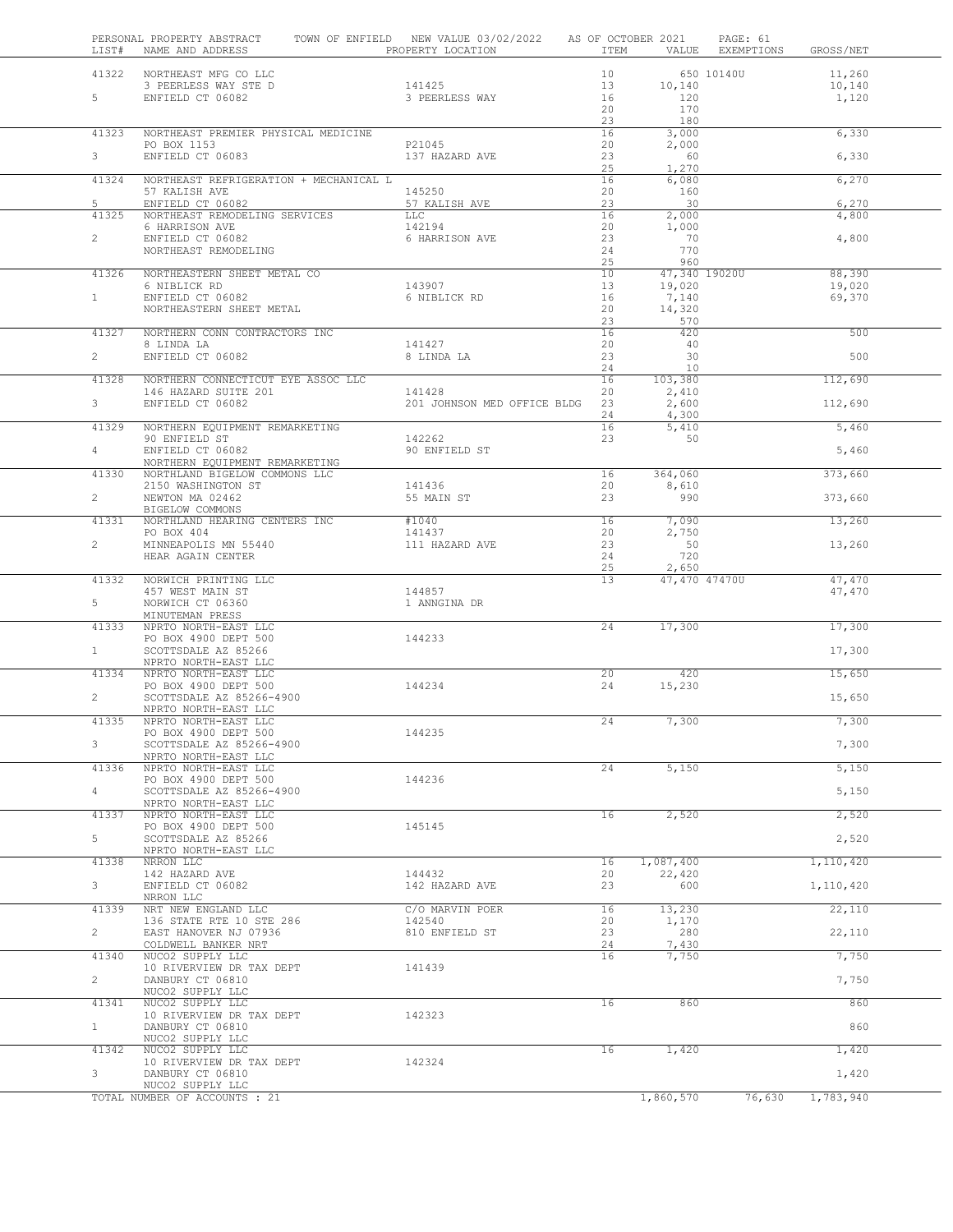| LIST#          | PERSONAL PROPERTY ABSTRACT<br>NAME AND ADDRESS   | TOWN OF ENFIELD NEW VALUE 03/02/2022<br>PROPERTY LOCATION | ITEM     | AS OF OCTOBER 2021<br>VALUE | PAGE: 61<br>EXEMPTIONS<br>GROSS/NET |
|----------------|--------------------------------------------------|-----------------------------------------------------------|----------|-----------------------------|-------------------------------------|
|                | 41322 NORTHEAST MFG CO LLC                       |                                                           | 10       |                             | 650 10140U<br>11,260                |
|                | 3 PEERLESS WAY STE D                             | 141425                                                    | 13       | 10,140                      | 10,140                              |
| 5 <sup>5</sup> | ENFIELD CT 06082                                 | 3 PEERLESS WAY                                            | 16       | 120                         | 1,120                               |
|                |                                                  |                                                           | 20<br>23 | 170<br>180                  |                                     |
| 41323          | NORTHEAST PREMIER PHYSICAL MEDICINE              |                                                           | 16       | 3,000                       | 6,330                               |
|                | PO BOX 1153                                      | P21045                                                    | 20       | 2,000                       |                                     |
| 3 <sup>7</sup> | ENFIELD CT 06083                                 | 137 HAZARD AVE                                            | 23       | 60                          | 6,330                               |
|                |                                                  |                                                           | 25       | 1,270                       |                                     |
| 41324          | NORTHEAST REFRIGERATION + MECHANICAL L           |                                                           | 16       | 6,080                       | 6,270                               |
| 5              | 57 KALISH AVE<br>ENFIELD CT 06082                | 145250<br>57 KALISH AVE                                   | 20<br>23 | 160<br>30                   | 6,270                               |
| 41325          | NORTHEAST REMODELING SERVICES                    | <b>LLC</b>                                                | 16       | 2,000                       | 4,800                               |
|                | 6 HARRISON AVE                                   | 142194                                                    | 20       | 1,000                       |                                     |
| $\overline{2}$ | ENFIELD CT 06082                                 | 6 HARRISON AVE                                            | 23       | 70                          | 4,800                               |
|                | NORTHEAST REMODELING                             |                                                           | 24       | 770                         |                                     |
|                |                                                  |                                                           | 25       | 960                         |                                     |
| 41326          | NORTHEASTERN SHEET METAL CO                      |                                                           | 10<br>13 | 47,340 19020U               | 88,390                              |
| $\mathbf{1}$   | 6 NIBLICK RD<br>ENFIELD CT 06082                 | 143907<br>6 NIBLICK RD                                    | 16       | 19,020<br>7,140             | 19,020<br>69,370                    |
|                | NORTHEASTERN SHEET METAL                         |                                                           | 20       | 14,320                      |                                     |
|                |                                                  |                                                           | 23       | 570                         |                                     |
| 41327          | NORTHERN CONN CONTRACTORS INC                    |                                                           | 16       | 420                         | 500                                 |
|                | 8 LINDA LA                                       | 141427                                                    | 20       | 40                          |                                     |
| $\overline{2}$ | ENFIELD CT 06082                                 | 8 LINDA LA                                                | 23       | 30                          | 500                                 |
|                |                                                  |                                                           | 24       | 10                          |                                     |
| 41328          | NORTHERN CONNECTICUT EYE ASSOC LLC               | 141428                                                    | 16<br>20 | 103,380                     | 112,690                             |
| 3 <sup>7</sup> | 146 HAZARD SUITE 201<br>ENFIELD CT 06082         | 201 JOHNSON MED OFFICE BLDG                               | 23       | 2,410<br>2,600              | 112,690                             |
|                |                                                  |                                                           | 24       | 4,300                       |                                     |
| 41329          | NORTHERN EQUIPMENT REMARKETING                   |                                                           | 16       | 5,410                       | 5,460                               |
|                | 90 ENFIELD ST                                    | 142262                                                    | 23       | 50                          |                                     |
| $4 -$          | ENFIELD CT 06082                                 | 90 ENFIELD ST                                             |          |                             | 5,460                               |
|                | NORTHERN EQUIPMENT REMARKETING                   |                                                           |          |                             |                                     |
| 41330          | NORTHLAND BIGELOW COMMONS LLC                    |                                                           | 16       | 364,060                     | 373,660                             |
| $\overline{2}$ | 2150 WASHINGTON ST<br>NEWTON MA 02462            | 141436<br>55 MAIN ST                                      | 20<br>23 | 8,610<br>990                | 373,660                             |
|                | BIGELOW COMMONS                                  |                                                           |          |                             |                                     |
| 41331          | NORTHLAND HEARING CENTERS INC                    | #1040                                                     | 16       | 7,090                       | 13,260                              |
|                | PO BOX 404                                       | 141437                                                    | 20       | 2,750                       |                                     |
| $\overline{2}$ | MINNEAPOLIS MN 55440                             | 111 HAZARD AVE                                            | 23       | 50                          | 13,260                              |
|                | HEAR AGAIN CENTER                                |                                                           | 24       | 720                         |                                     |
|                |                                                  |                                                           | 25<br>13 | 2,650                       |                                     |
| 41332          | NORWICH PRINTING LLC<br>457 WEST MAIN ST         | 144857                                                    |          | 47,470 47470U               | 47,470<br>47,470                    |
| 5              | NORWICH CT 06360                                 | 1 ANNGINA DR                                              |          |                             |                                     |
|                | MINUTEMAN PRESS                                  |                                                           |          |                             |                                     |
| 41333          | NPRTO NORTH-EAST LLC                             |                                                           | 24       | 17,300                      | 17,300                              |
|                | PO BOX 4900 DEPT 500                             | 144233                                                    |          |                             |                                     |
| $\mathbf{1}$   | SCOTTSDALE AZ 85266                              |                                                           |          |                             | 17,300                              |
| 41334          | NPRTO NORTH-EAST LLC<br>NPRTO NORTH-EAST LLC     |                                                           | 20       | 420                         |                                     |
|                | PO BOX 4900 DEPT 500                             | 144234                                                    | 24       | 15,230                      | 15,650                              |
| $\overline{2}$ | SCOTTSDALE AZ 85266-4900                         |                                                           |          |                             | 15,650                              |
|                | NPRTO NORTH-EAST LLC                             |                                                           |          |                             |                                     |
| 41335          | NPRTO NORTH-EAST LLC                             |                                                           | 24       | 7,300                       | 7,300                               |
|                | PO BOX 4900 DEPT 500                             | 144235                                                    |          |                             |                                     |
| 3              | SCOTTSDALE AZ 85266-4900                         |                                                           |          |                             | 7,300                               |
|                | NPRTO NORTH-EAST LLC                             |                                                           |          |                             |                                     |
| 41336          | NPRTO NORTH-EAST LLC                             | 144236                                                    | 24       | 5,150                       | 5,150                               |
| $\overline{4}$ | PO BOX 4900 DEPT 500<br>SCOTTSDALE AZ 85266-4900 |                                                           |          |                             | 5,150                               |
|                | NPRTO NORTH-EAST LLC                             |                                                           |          |                             |                                     |
| 41337          | NPRTO NORTH-EAST LLC                             |                                                           | 16       | 2,520                       | 2,520                               |
|                | PO BOX 4900 DEPT 500                             | 145145                                                    |          |                             |                                     |
| 5              | SCOTTSDALE AZ 85266                              |                                                           |          |                             | 2,520                               |
|                | NPRTO NORTH-EAST LLC                             |                                                           |          |                             |                                     |
|                | NRRON LLC                                        | 144432                                                    | 16<br>20 | 1,087,400<br>22,420         | 1,110,420                           |
| 41338          |                                                  |                                                           |          |                             | 1,110,420                           |
|                | 142 HAZARD AVE                                   | 142 HAZARD AVE                                            |          |                             |                                     |
| 3              | ENFIELD CT 06082<br>NRRON LLC                    |                                                           | 23       | 600                         |                                     |
| 41339          | NRT NEW ENGLAND LLC                              | C/O MARVIN POER                                           | 16       | 13,230                      | 22,110                              |
|                | 136 STATE RTE 10 STE 286                         | 142540                                                    | 20       | 1,170                       |                                     |
| $\overline{2}$ | EAST HANOVER NJ 07936                            | 810 ENFIELD ST                                            | 23       | 280                         | 22,110                              |
|                | COLDWELL BANKER NRT                              |                                                           | 24       | 7,430                       |                                     |
| 41340          | NUCO2 SUPPLY LLC                                 |                                                           | 16       | 7,750                       | 7,750                               |
|                | 10 RIVERVIEW DR TAX DEPT                         | 141439                                                    |          |                             |                                     |
| $\overline{2}$ | DANBURY CT 06810                                 |                                                           |          |                             | 7,750                               |
| 41341          | NUCO2 SUPPLY LLC<br>NUCO2 SUPPLY LLC             |                                                           | 16       | 860                         | 860                                 |
|                | 10 RIVERVIEW DR TAX DEPT                         | 142323                                                    |          |                             |                                     |
| $\mathbf{1}$   | DANBURY CT 06810                                 |                                                           |          |                             | 860                                 |
|                | NUCO2 SUPPLY LLC                                 |                                                           |          |                             |                                     |
| 41342          | NUCO2 SUPPLY LLC                                 |                                                           | 16       | 1,420                       | 1,420                               |
|                | 10 RIVERVIEW DR TAX DEPT                         | 142324                                                    |          |                             |                                     |
| 3              | DANBURY CT 06810<br>NUCO2 SUPPLY LLC             |                                                           |          |                             | 1,420                               |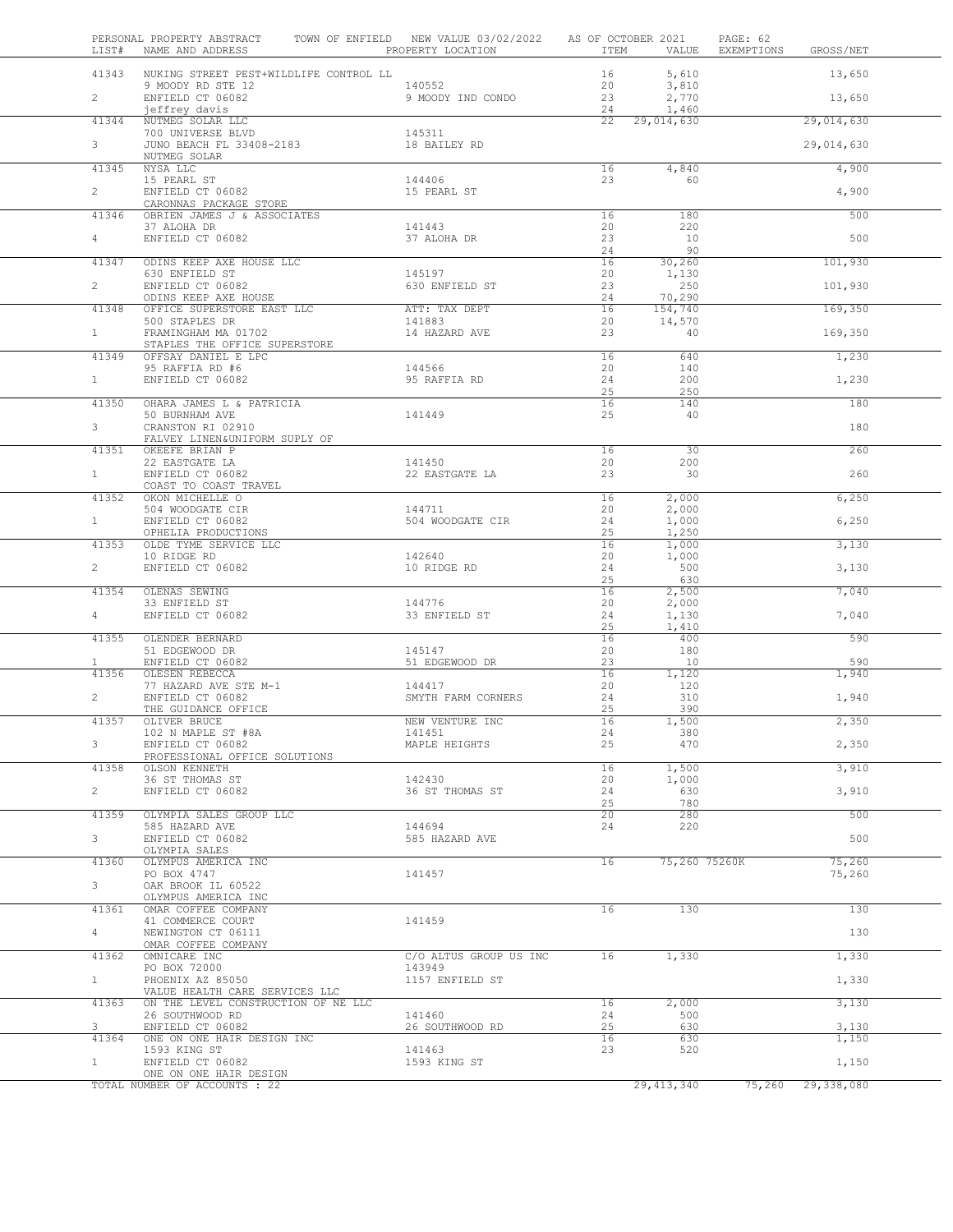| LIST#                 | PERSONAL PROPERTY ABSTRACT<br>NAME AND ADDRESS THE PROPERTY LOCATION | TOWN OF ENFIELD NEW VALUE 03/02/2022 AS OF OCTOBER 2021 | ITEM            | VALUE             | PAGE: 62<br>EXEMPTIONS | GROSS/NET        |
|-----------------------|----------------------------------------------------------------------|---------------------------------------------------------|-----------------|-------------------|------------------------|------------------|
| 41343                 | NUKING STREET PEST+WILDLIFE CONTROL LL                               |                                                         | 16              | 5,610             |                        | 13,650           |
|                       | 9 MOODY RD STE 12<br>ENFIELD CT 06082                                | 140552                                                  | 20              | 3,810             |                        |                  |
| $2^{\circ}$           | jeffrey davis                                                        | 9 MOODY IND CONDO                                       | 23<br>24        | 2,770<br>1,460    |                        | 13,650           |
| 41344                 | NUTMEG SOLAR LLC                                                     |                                                         | 22              | 29,014,630        |                        | 29,014,630       |
| 3                     | 700 UNIVERSE BLVD<br>JUNO BEACH FL 33408-2183                        | 145311<br>18 BAILEY RD                                  |                 |                   |                        | 29,014,630       |
|                       | NUTMEG SOLAR                                                         |                                                         |                 |                   |                        |                  |
| 41345                 | NYSA LLC                                                             |                                                         | 16              | 4,840             |                        | 4,900            |
| $\overline{2}$        | 15 PEARL ST<br>ENFIELD CT 06082                                      | 144406<br>15 PEARL ST                                   | 23              | 60                |                        | 4,900            |
|                       | CARONNAS PACKAGE STORE                                               |                                                         |                 |                   |                        |                  |
| 41346                 | OBRIEN JAMES J & ASSOCIATES<br>37 ALOHA DR                           | 141443                                                  | 16<br>20        | 180<br>220        |                        | 500              |
| $4 -$                 | ENFIELD CT 06082                                                     | 37 ALOHA DR                                             | 23              | 10                |                        | 500              |
|                       |                                                                      |                                                         | 24              | 90                |                        |                  |
| 41347                 | ODINS KEEP AXE HOUSE LLC<br>630 ENFIELD ST                           | 145197                                                  | 16<br>20        | 30,260<br>1,130   |                        | 101,930          |
| $\overline{2}$        | ENFIELD CT 06082                                                     | 630 ENFIELD ST                                          | 23              | 250               |                        | 101,930          |
| 41348                 | ODINS KEEP AXE HOUSE<br>OFFICE SUPERSTORE EAST LLC                   | ATT: TAX DEPT                                           | 24<br>16        | 70,290<br>154,740 |                        | 169,350          |
|                       | 500 STAPLES DR                                                       | 141883                                                  | 20              | 14,570            |                        |                  |
| 1                     | FRAMINGHAM MA 01702                                                  | 14 HAZARD AVE                                           | 23              | 40                |                        | 169,350          |
| 41349                 | STAPLES THE OFFICE SUPERSTORE<br>OFFSAY DANIEL E LPC                 |                                                         | 16              | 640               |                        | 1,230            |
|                       | 95 RAFFIA RD #6<br>בתיקודת החיים ה- 16082                            | 144566                                                  | 20              | 140               |                        |                  |
| $1 \quad$             | ENFIELD CT 06082                                                     | 95 RAFFIA RD                                            | 24<br>25        | 200<br>250        |                        | 1,230            |
| 41350                 | OHARA JAMES L & PATRICIA                                             |                                                         | 16              | 140               |                        | 180              |
| 3                     | 50 BURNHAM AVE<br>CRANSTON RI 02910                                  | 141449                                                  | 25              | 40                |                        | 180              |
|                       | FALVEY LINEN&UNIFORM SUPLY OF                                        |                                                         |                 |                   |                        |                  |
| 41351                 | OKEEFE BRIAN P                                                       |                                                         | $\overline{16}$ | $\overline{30}$   |                        | 260              |
| $\mathbf{1}$          | 22 EASTGATE LA<br>ENFIELD CT 06082                                   | 141450<br>22 EASTGATE LA                                | 20<br>23        | 200<br>30         |                        | 260              |
|                       | COAST TO COAST TRAVEL                                                |                                                         |                 |                   |                        |                  |
| 41352                 | OKON MICHELLE O<br>504 WOODGATE CIR                                  | 144711                                                  | 16<br>20        | 2,000<br>2,000    |                        | 6,250            |
| $\mathbf{1}$          | ENFIELD CT 06082                                                     | 504 WOODGATE CIR                                        | 24              | 1,000             |                        | 6,250            |
|                       | OPHELIA PRODUCTIONS                                                  |                                                         | 25              | 1,250             |                        |                  |
| 41353                 | OLDE TYME SERVICE LLC<br>10 RIDGE RD                                 | 142640                                                  | 16<br>20        | 1,000<br>1,000    |                        | 3,130            |
| $\overline{2}$        | ENFIELD CT 06082                                                     | 10 RIDGE RD                                             | 24              | 500               |                        | 3,130            |
| 41354                 | OLENAS SEWING                                                        |                                                         | 25<br>16        | 630<br>2,500      |                        | 7,040            |
|                       | 33 ENFIELD ST                                                        | 144776                                                  | 20              | 2,000             |                        |                  |
| $4 -$                 | ENFIELD CT 06082                                                     | 33 ENFIELD ST                                           | 24<br>25        | 1,130<br>1,410    |                        | 7,040            |
| 41355                 | OLENDER BERNARD                                                      |                                                         | 16              | 400               |                        | 590              |
|                       | 51 EDGEWOOD DR                                                       | 145147                                                  | 20<br>23        | 180<br>10         |                        | 590              |
| $\mathbf{1}$<br>41356 | ENFIELD CT 06082<br>OLESEN REBECCA                                   | 51 EDGEWOOD DR                                          | 16              | 1,120             |                        | 1,940            |
|                       | 77 HAZARD AVE STE M-1                                                | 144417                                                  | 20              | 120               |                        |                  |
| $\overline{2}$        | ENFIELD CT 06082<br>THE GUIDANCE OFFICE                              | SMYTH FARM CORNERS                                      | 24<br>25        | 310<br>390        |                        | 1,940            |
| 41357                 | OLIVER BRUCE                                                         | NEW VENTURE INC                                         | 16              | 1,500             |                        | 2,350            |
| 3                     | 102 N MAPLE ST #8A                                                   | 141451                                                  | 24              | 380<br>470        |                        |                  |
|                       | ENFIELD CT 06082<br>PROFESSIONAL OFFICE SOLUTIONS                    | MAPLE HEIGHTS                                           | 25              |                   |                        | 2,350            |
| 41358                 | OLSON KENNETH                                                        |                                                         | 16              | 1,500             |                        | 3,910            |
| $\overline{2}$        | 36 ST THOMAS ST<br>ENFIELD CT 06082                                  | 142430<br>36 ST THOMAS ST                               | 20<br>24        | 1,000<br>630      |                        | 3,910            |
|                       |                                                                      |                                                         | 25              | 780               |                        |                  |
| 41359                 | OLYMPIA SALES GROUP LLC<br>585 HAZARD AVE                            | 144694                                                  | 20<br>24        | 280<br>220        |                        | 500              |
| 3                     | ENFIELD CT 06082                                                     | 585 HAZARD AVE                                          |                 |                   |                        | 500              |
|                       | OLYMPIA SALES                                                        |                                                         |                 |                   |                        |                  |
| 41360                 | OLYMPUS AMERICA INC<br>PO BOX 4747                                   | 141457                                                  | 16              | 75,260 75260K     |                        | 75,260<br>75,260 |
| 3                     | OAK BROOK IL 60522                                                   |                                                         |                 |                   |                        |                  |
| 41361                 | OLYMPUS AMERICA INC<br>OMAR COFFEE COMPANY                           |                                                         | 16              | 130               |                        | 130              |
|                       | 41 COMMERCE COURT                                                    | 141459                                                  |                 |                   |                        |                  |
| $\overline{4}$        | NEWINGTON CT 06111                                                   |                                                         |                 |                   |                        | 130              |
| 41362                 | OMAR COFFEE COMPANY<br>OMNICARE INC                                  | C/O ALTUS GROUP US INC                                  | 16              | 1,330             |                        | 1,330            |
|                       | PO BOX 72000                                                         | 143949                                                  |                 |                   |                        |                  |
| 1                     | PHOENIX AZ 85050<br>VALUE HEALTH CARE SERVICES LLC                   | 1157 ENFIELD ST                                         |                 |                   |                        | 1,330            |
| 41363                 | ON THE LEVEL CONSTRUCTION OF NE LLC                                  |                                                         | 16              | 2,000             |                        | 3,130            |
| 3                     | 26 SOUTHWOOD RD<br>ENFIELD CT 06082                                  | 141460<br>26 SOUTHWOOD RD                               | 24<br>25        | 500<br>630        |                        | 3,130            |
| 41364                 | ONE ON ONE HAIR DESIGN INC                                           |                                                         | 16              | 630               |                        | 1,150            |
|                       | 1593 KING ST                                                         | 141463                                                  | 23              | 520               |                        |                  |
| $\mathbf{1}$          | ENFIELD CT 06082<br>ONE ON ONE HAIR DESIGN                           | 1593 KING ST                                            |                 |                   |                        | 1,150            |
|                       | TOTAL NUMBER OF ACCOUNTS : 22                                        |                                                         |                 | 29, 413, 340      | 75,260 29,338,080      |                  |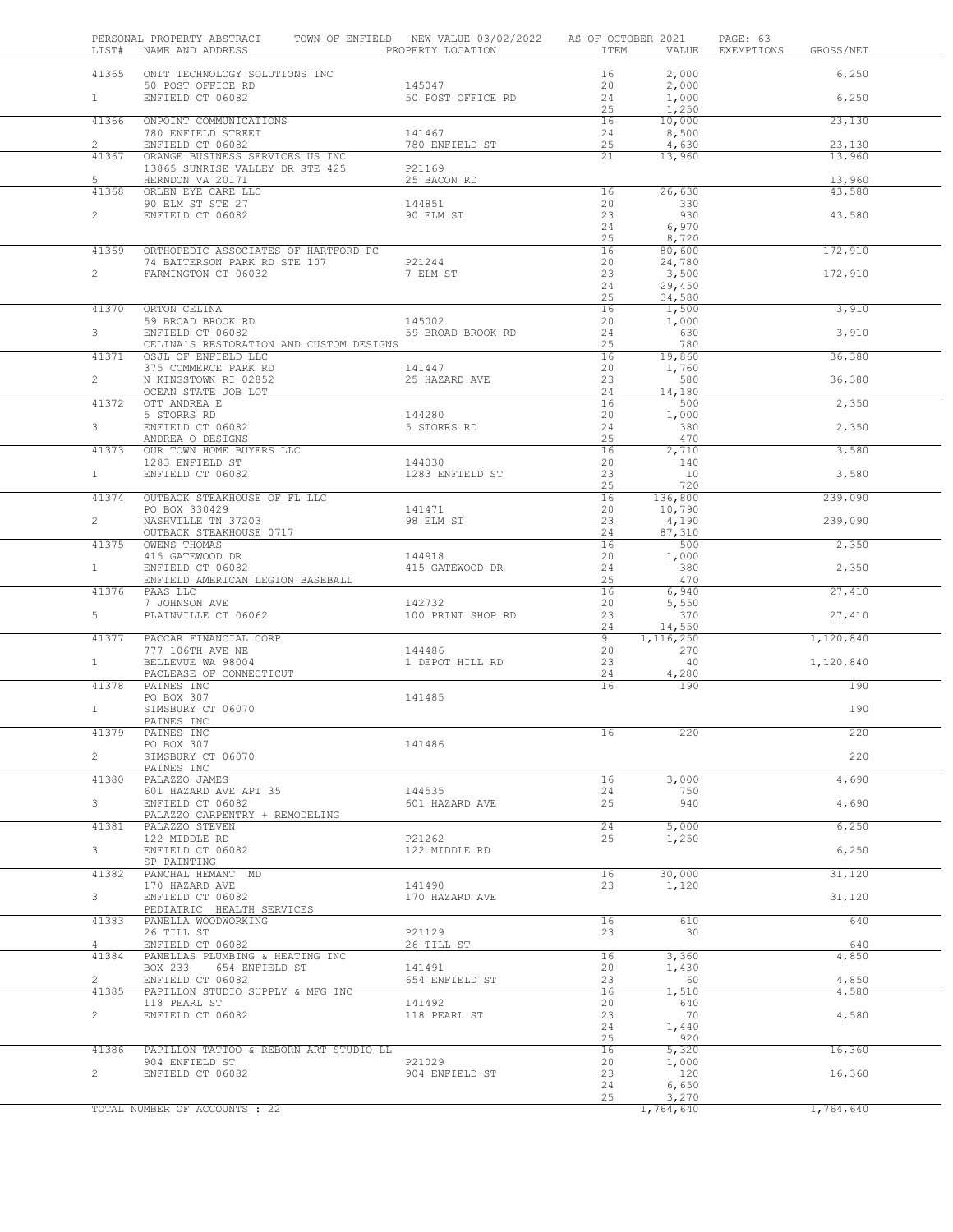|                | PERSONAL PROPERTY ABSTRACT TOWN OF ENFIELD NEW VALUE 03/02/2022 AS OF OCTOBER 2021<br>LIST# NAME AND ADDRESS PROPERTY LOCATION               |                           |          |                                                                             | PAGE: 63<br>ITEM VALUE EXEMPTIONS GROSS/NET |           |
|----------------|----------------------------------------------------------------------------------------------------------------------------------------------|---------------------------|----------|-----------------------------------------------------------------------------|---------------------------------------------|-----------|
|                | 41365 ONIT TECHNOLOGY SOLUTIONS INC                                                                                                          |                           | 16       | 2,000                                                                       |                                             | 6,250     |
|                | 50 POST OFFICE RD<br>ENFIELD CT 06082                                                                                                        | 145047                    | 20       | 2,000                                                                       |                                             |           |
| $1 -$          |                                                                                                                                              | 50 POST OFFICE RD         | 24<br>25 | 1,000<br>1,250                                                              |                                             | 6,250     |
| 41366          | ONPOINT COMMUNICATIONS                                                                                                                       |                           | 16       | 10,000                                                                      |                                             | 23,130    |
| $\mathbf{2}$   | 780 ENFIELD STREET<br>ENFIELD CT 06082                                                                                                       | 141467<br>780 ENFIELD ST  | 24<br>25 | 8,500<br>4,630                                                              |                                             | 23,130    |
| 41367          | ORANGE BUSINESS SERVICES US INC                                                                                                              |                           | 21       | 13,960                                                                      |                                             | 13,960    |
| $5 -$          | 13865 SUNRISE VALLEY DR STE 425<br>HERNDON VA 20171                                                                                          | P21169<br>25 BACON RD     |          |                                                                             |                                             | 13,960    |
| 41368          | ORLEN EYE CARE LLC                                                                                                                           |                           | 16       | 26,630                                                                      |                                             | 43,580    |
| $\overline{2}$ | 90 ELM ST STE 27<br>ENFIELD CT 06082                                                                                                         | 144851<br>90 ELM ST       | 20<br>23 | 330<br>930                                                                  |                                             | 43,580    |
|                |                                                                                                                                              |                           | 24       | 6,970                                                                       |                                             |           |
| 41369          | ORTHOPEDIC ASSOCIATES OF HARTFORD PC                                                                                                         |                           | 25<br>16 | 8,720<br>80,600                                                             |                                             | 172,910   |
|                | 74 BATTERSON PARK RD STE 107 P21244                                                                                                          |                           | 20       | 24,780                                                                      |                                             |           |
| $2^{\sim}$     | FARMINGTON CT 06032                                                                                                                          | 7 ELM ST                  | 23<br>24 | 3,500<br>29,450                                                             |                                             | 172,910   |
|                |                                                                                                                                              |                           | 25       | 34,580                                                                      |                                             |           |
| 41370          | ORTON CELINA                                                                                                                                 |                           | 16       | 1,500                                                                       |                                             | 3,910     |
| $3^{\circ}$    | 59 BROAD BROOK RD<br>ENFIELD CT 06082 59 BROAD BROOK RD<br>CELINA'S PESTORMION AND CHOTOM PROCESSED CELINA'S PESTORMION AND CHOTOM PROCESSED |                           | 20<br>24 | 1,000<br>630                                                                |                                             | 3,910     |
|                | CELINA'S RESTORATION AND CUSTOM DESIGNS                                                                                                      |                           | 25       | 780                                                                         |                                             |           |
| 41371          | OSJL OF ENFIELD LLC                                                                                                                          |                           |          | $\begin{array}{c cc} 16 & \overline{ & 19,860} \\ 20 & & 1,760 \end{array}$ |                                             | 36,380    |
| $2^{\circ}$    |                                                                                                                                              |                           | 23       | 580                                                                         |                                             | 36,380    |
| 41372          | OCEAN STATE JOB LOT<br>OTT ANDREA E                                                                                                          |                           | 24<br>16 | 14,180<br>500                                                               |                                             | 2,350     |
|                | 5 STORRS RD                                                                                                                                  | 144280                    | 20       | 1,000                                                                       |                                             |           |
| $3^{\circ}$    | ENFIELD CT 06082                                                                                                                             | 5 STORRS RD               | 24<br>25 | 380<br>470                                                                  |                                             | 2,350     |
|                | ANDREA O DESIGNS<br>41373 OUR TOWN HOME BUYERS LLC<br>1283 ENFIELD ST<br>528 CREAM OSORS                                                     |                           | 16       | 2,710                                                                       |                                             | 3,580     |
|                |                                                                                                                                              | 144030<br>1283 ENFIELD ST | 20       | 140                                                                         |                                             |           |
|                |                                                                                                                                              |                           | 23<br>25 | 10<br>720                                                                   |                                             | 3,580     |
|                | 41374 OUTBACK STEAKHOUSE OF FL LLC                                                                                                           |                           | 16       | 136,800                                                                     |                                             | 239,090   |
| $2^{\circ}$    | PO BOX 330429<br>NASHVILLE TN 37203                                                                                                          | 141471<br>98 ELM ST       | 20<br>23 | 10,790<br>4,190                                                             |                                             | 239,090   |
|                | OUTBACK STEAKHOUSE 0717                                                                                                                      |                           | 24       | 87,310                                                                      |                                             |           |
| 41375          | OWENS THOMAS                                                                                                                                 | 144918                    | 16<br>20 | 500<br>1,000                                                                |                                             | 2,350     |
| $\mathbf{1}$   | 415 GATEWOOD DR<br>ENFIELD CT 06082<br>ENFIELD CT 06082                                                                                      | 415 GATEWOOD DR           | 24       | 380                                                                         |                                             | 2,350     |
| 41376          | ENFIELD AMERICAN LEGION BASEBALL<br>PAAS LLC                                                                                                 |                           | 25<br>16 | 470<br>6,940                                                                |                                             | 27,410    |
|                | 7 JOHNSON AVE                                                                                                                                | 142732                    | 20       | 5,550                                                                       |                                             |           |
| $5 -$          | PLAINVILLE CT 06062                                                                                                                          | 100 PRINT SHOP RD         | 23       | 370                                                                         |                                             | 27,410    |
| 41377          | PACCAR FINANCIAL CORP                                                                                                                        |                           | 24<br>9  | 14,550<br>1,116,250                                                         |                                             | 1,120,840 |
|                |                                                                                                                                              |                           | 20       | 270                                                                         |                                             |           |
| $\mathbf{1}$   | PACLEASE OF CONNECTICUT                                                                                                                      | 1 DEPOT HILL RD           | 23<br>24 | 40<br>4,280                                                                 |                                             | 1,120,840 |
| 41378          | PAINES INC                                                                                                                                   |                           | 16       | 190                                                                         |                                             | 190       |
| $\mathbf{1}$   | PO BOX 307<br>SIMSBURY CT 06070                                                                                                              | 141485                    |          |                                                                             |                                             | 190       |
|                | PAINES INC                                                                                                                                   |                           |          |                                                                             |                                             |           |
| 41379          | PAINES INC<br>PO BOX 307                                                                                                                     | 141486                    | 16       | 220                                                                         |                                             | 220       |
| $2^{\circ}$    | SIMSBURY CT 06070                                                                                                                            |                           |          |                                                                             |                                             | 220       |
|                | PAINES INC                                                                                                                                   |                           |          | 3,000                                                                       |                                             |           |
| 41380          | PALAZZO JAMES<br>601 HAZARD AVE APT 35                                                                                                       | 144535                    | 16<br>24 | 750                                                                         |                                             | 4,690     |
| 3              | ENFIELD CT 06082                                                                                                                             | 601 HAZARD AVE            | 25       | 940                                                                         |                                             | 4,690     |
| 41381          | PALAZZO CARPENTRY + REMODELING<br>PALAZZO STEVEN                                                                                             |                           | 24       | 5,000                                                                       |                                             | 6,250     |
|                | 122 MIDDLE RD                                                                                                                                | P21262                    | 25       | 1,250                                                                       |                                             |           |
| $3^{\circ}$    | ENFIELD CT 06082<br>SP PAINTING                                                                                                              | 122 MIDDLE RD             |          |                                                                             |                                             | 6,250     |
| 41382          | PANCHAL HEMANT MD                                                                                                                            |                           | 16       | 30,000                                                                      |                                             | 31,120    |
| 3 <sup>7</sup> | 170 HAZARD AVE<br>ENFIELD CT 06082                                                                                                           | 141490<br>170 HAZARD AVE  | 23       | 1,120                                                                       |                                             | 31,120    |
|                | PEDIATRIC HEALTH SERVICES                                                                                                                    |                           |          |                                                                             |                                             |           |
| 41383          | PANELLA WOODWORKING                                                                                                                          | P21129                    | 16       | 610<br>30                                                                   |                                             | 640       |
| $4 \quad$      | 26 TILL ST<br>ENFIELD CT 06082                                                                                                               | 26 TILL ST                | 23       |                                                                             |                                             | 640       |
| 41384          | PANELLAS PLUMBING & HEATING INC                                                                                                              |                           | 16       | 3,360                                                                       |                                             | 4,850     |
| $\overline{2}$ | BOX 233<br>654 ENFIELD ST<br>ENFIELD CT 06082                                                                                                | 141491<br>654 ENFIELD ST  | 20<br>23 | 1,430<br>60                                                                 |                                             | 4,850     |
| 41385          | PAPILLON STUDIO SUPPLY & MFG INC                                                                                                             |                           | 16       | 1,510                                                                       |                                             | 4,580     |
| $2^{\circ}$    | 118 PEARL ST<br>ENFIELD CT 06082                                                                                                             | 141492<br>118 PEARL ST    | 20<br>23 | 640<br>70                                                                   |                                             | 4,580     |
|                |                                                                                                                                              |                           | 24       | 1,440                                                                       |                                             |           |
| 41386          | PAPILLON TATTOO & REBORN ART STUDIO LL                                                                                                       |                           | 25<br>16 | 920<br>5,320                                                                |                                             | 16,360    |
|                | 904 ENFIELD ST                                                                                                                               | P21029                    | 20       | 1,000                                                                       |                                             |           |
| $\overline{2}$ | ENFIELD CT 06082                                                                                                                             | 904 ENFIELD ST            | 23       | 120                                                                         |                                             | 16,360    |
|                |                                                                                                                                              |                           | 24<br>25 | 6,650<br>3,270                                                              |                                             |           |
|                | TOTAL NUMBER OF ACCOUNTS : 22                                                                                                                |                           |          | 1,764,640                                                                   |                                             | 1,764,640 |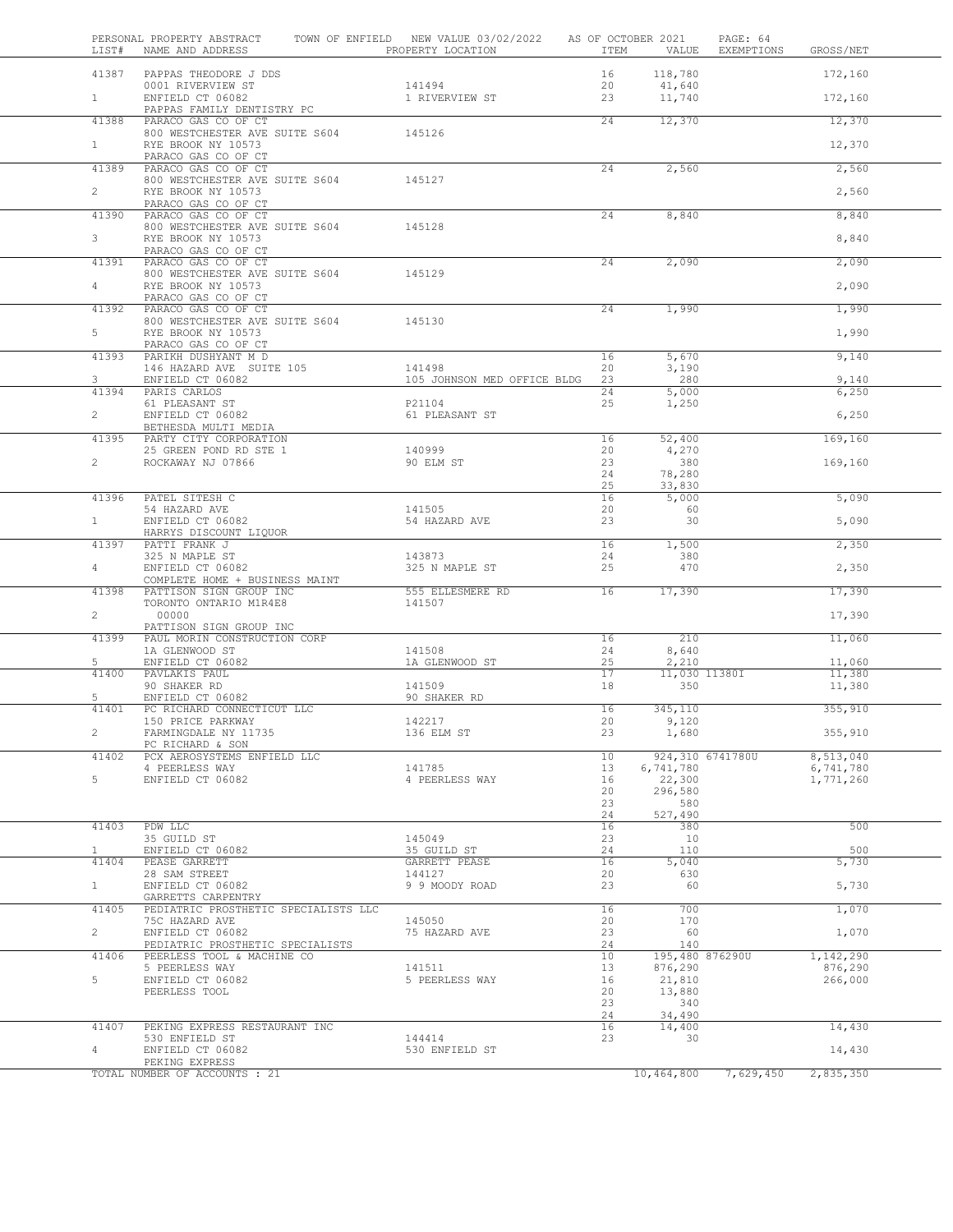| LIST#                 | PERSONAL PROPERTY ABSTRACT<br>NAME AND ADDRESS                 | TOWN OF ENFIELD NEW VALUE 03/02/2022<br>PROPERTY LOCATION | AS OF OCTOBER 2021<br>ITEM | VALUE                         | PAGE: 64<br>EXEMPTIONS | GROSS/NET              |  |
|-----------------------|----------------------------------------------------------------|-----------------------------------------------------------|----------------------------|-------------------------------|------------------------|------------------------|--|
| 41387                 | PAPPAS THEODORE J DDS                                          |                                                           | 16                         | 118,780                       |                        | 172,160                |  |
| 1                     | 0001 RIVERVIEW ST<br>ENFIELD CT 06082                          | 141494<br>1 RIVERVIEW ST                                  | 20<br>23                   | 41,640<br>11,740              |                        | 172,160                |  |
|                       | PAPPAS FAMILY DENTISTRY PC                                     |                                                           |                            |                               |                        |                        |  |
| 41388                 | PARACO GAS CO OF CT<br>800 WESTCHESTER AVE SUITE S604          | 145126                                                    | 24                         | 12,370                        |                        | 12,370                 |  |
| $\mathbf{1}$          | RYE BROOK NY 10573<br>PARACO GAS CO OF CT                      |                                                           |                            |                               |                        | 12,370                 |  |
| 41389                 | PARACO GAS CO OF CT                                            |                                                           | 24                         | 2,560                         |                        | 2,560                  |  |
| $\mathbf{2}$          | 800 WESTCHESTER AVE SUITE S604<br>RYE BROOK NY 10573           | 145127                                                    |                            |                               |                        | 2,560                  |  |
| 41390                 | PARACO GAS CO OF CT<br>PARACO GAS CO OF CT                     |                                                           | 24                         | 8,840                         |                        | 8,840                  |  |
| 3                     | 800 WESTCHESTER AVE SUITE S604<br>RYE BROOK NY 10573           | 145128                                                    |                            |                               |                        | 8,840                  |  |
| 41391                 | PARACO GAS CO OF CT<br>PARACO GAS CO OF CT                     |                                                           | 24                         | 2,090                         |                        | 2,090                  |  |
| 4                     | 800 WESTCHESTER AVE SUITE S604<br>RYE BROOK NY 10573           | 145129                                                    |                            |                               |                        | 2,090                  |  |
| 41392                 | PARACO GAS CO OF CT<br>PARACO GAS CO OF CT                     |                                                           | 24                         | 1,990                         |                        | 1,990                  |  |
| 5                     | 800 WESTCHESTER AVE SUITE S604<br>RYE BROOK NY 10573           | 145130                                                    |                            |                               |                        | 1,990                  |  |
|                       | PARACO GAS CO OF CT                                            |                                                           |                            |                               |                        |                        |  |
| 41393                 | PARIKH DUSHYANT M D<br>146 HAZARD AVE SUITE 105                | 141498                                                    | 16<br>20                   | 5,670<br>3,190                |                        | 9,140                  |  |
| 3<br>41394            | ENFIELD CT 06082<br>PARIS CARLOS                               | 105 JOHNSON MED OFFICE BLDG                               | 23<br>24                   | 280<br>5,000                  |                        | 9,140<br>6,250         |  |
|                       | 61 PLEASANT ST                                                 | P21104                                                    | 25                         | 1,250                         |                        |                        |  |
| $\overline{2}$        | ENFIELD CT 06082<br>BETHESDA MULTI MEDIA                       | 61 PLEASANT ST                                            |                            |                               |                        | 6,250                  |  |
| 41395                 | PARTY CITY CORPORATION<br>25 GREEN POND RD STE 1               | 140999                                                    | 16<br>20                   | 52,400<br>4,270               |                        | 169,160                |  |
| $\overline{2}$        | ROCKAWAY NJ 07866                                              | 90 ELM ST                                                 | 23<br>24                   | 380<br>78,280                 |                        | 169,160                |  |
|                       |                                                                |                                                           | 25                         | 33,830                        |                        |                        |  |
| 41396                 | PATEL SITESH C<br>54 HAZARD AVE                                | 141505                                                    | 16<br>20                   | 5,000<br>60                   |                        | 5,090                  |  |
| $\mathbf{1}$          | ENFIELD CT 06082<br>HARRYS DISCOUNT LIQUOR                     | 54 HAZARD AVE                                             | 23                         | 30                            |                        | 5,090                  |  |
| 41397                 | PATTI FRANK J<br>325 N MAPLE ST                                | 143873                                                    | 16<br>24                   | 1,500<br>380                  |                        | 2,350                  |  |
| $\overline{4}$        | ENFIELD CT 06082                                               | 325 N MAPLE ST                                            | 25                         | 470                           |                        | 2,350                  |  |
| 41398                 | COMPLETE HOME + BUSINESS MAINT<br>PATTISON SIGN GROUP INC      | 555 ELLESMERE RD                                          | 16                         | 17,390                        |                        | 17,390                 |  |
| $\overline{2}$        | TORONTO ONTARIO M1R4E8<br>00000                                | 141507                                                    |                            |                               |                        | 17,390                 |  |
| 41399                 | PATTISON SIGN GROUP INC<br>PAUL MORIN CONSTRUCTION CORP        |                                                           | 16                         | 210                           |                        | 11,060                 |  |
|                       | 1A GLENWOOD ST                                                 | 141508                                                    | 24                         | 8,640                         |                        |                        |  |
| 5<br>41400            | ENFIELD CT 06082<br>PAVLAKIS PAUL                              | 1A GLENWOOD ST                                            | 25<br>17                   | 2,210<br>11,030 11380I        |                        | 11,060<br>11,380       |  |
|                       | 90 SHAKER RD                                                   | 141509                                                    | 18                         | 350                           |                        | 11,380                 |  |
| 5                     | ENFIELD CT 06082                                               | 90 SHAKER RD                                              |                            |                               |                        |                        |  |
| 41401                 | PC RICHARD CONNECTICUT LLC<br>150 PRICE PARKWAY                | 142217                                                    | 16<br>20                   | 345,110<br>9,120              |                        | 355,910                |  |
|                       | FARMINGDALE NY 11735<br>PC RICHARD & SON                       | 136 ELM ST                                                | 23                         | 1,680                         |                        | 355,910                |  |
| 41402                 | PCX AEROSYSTEMS ENFIELD LLC<br>4 PEERLESS WAY                  | 141785                                                    | 10<br>13                   | 924,310 6741780U<br>6,741,780 |                        | 8,513,040<br>6,741,780 |  |
| 5                     | ENFIELD CT 06082                                               | 4 PEERLESS WAY                                            | 16                         | 22,300                        |                        | 1,771,260              |  |
|                       |                                                                |                                                           | 20                         | 296,580                       |                        |                        |  |
|                       |                                                                |                                                           | 23<br>24                   | 580<br>527,490                |                        |                        |  |
| 41403                 | PDW LLC                                                        |                                                           | 16                         | 380                           |                        | 500                    |  |
|                       | 35 GUILD ST                                                    | 145049                                                    | 23                         | 10                            |                        |                        |  |
| $\mathbf{1}$<br>41404 | ENFIELD CT 06082<br>PEASE GARRETT                              | 35 GUILD ST<br>GARRETT PEASE                              | 24<br>16                   | 110<br>5,040                  |                        | 500<br>5,730           |  |
|                       | 28 SAM STREET                                                  | 144127                                                    | 20                         | 630                           |                        |                        |  |
| $\mathbf{1}$          | ENFIELD CT 06082<br>GARRETTS CARPENTRY                         | 9 9 MOODY ROAD                                            | 23                         | 60                            |                        | 5,730                  |  |
| 41405                 | PEDIATRIC PROSTHETIC SPECIALISTS LLC<br>75C HAZARD AVE         | 145050                                                    | 16<br>20                   | 700<br>170                    |                        | 1,070                  |  |
| $\overline{2}$        | ENFIELD CT 06082                                               | 75 HAZARD AVE                                             | 23                         | 60<br>140                     |                        | 1,070                  |  |
| 41406                 | PEDIATRIC PROSTHETIC SPECIALISTS<br>PEERLESS TOOL & MACHINE CO |                                                           | 24<br>10                   | 195,480 876290U               |                        | 1,142,290              |  |
| 5                     | 5 PEERLESS WAY<br>ENFIELD CT 06082                             | 141511<br>5 PEERLESS WAY                                  | 13<br>16                   | 876,290<br>21,810             |                        | 876,290<br>266,000     |  |
|                       | PEERLESS TOOL                                                  |                                                           | 20                         | 13,880                        |                        |                        |  |
|                       |                                                                |                                                           | 23                         | 340                           |                        |                        |  |
| 41407                 | PEKING EXPRESS RESTAURANT INC                                  |                                                           | 24<br>16                   | 34,490<br>14,400              |                        | 14,430                 |  |
|                       | 530 ENFIELD ST                                                 | 144414                                                    | 23                         | 30                            |                        |                        |  |
| 4                     | ENFIELD CT 06082<br>PEKING EXPRESS                             | 530 ENFIELD ST                                            |                            |                               |                        | 14,430                 |  |
|                       | TOTAL NUMBER OF ACCOUNTS : 21                                  |                                                           |                            | 10,464,800                    | 7,629,450              | 2,835,350              |  |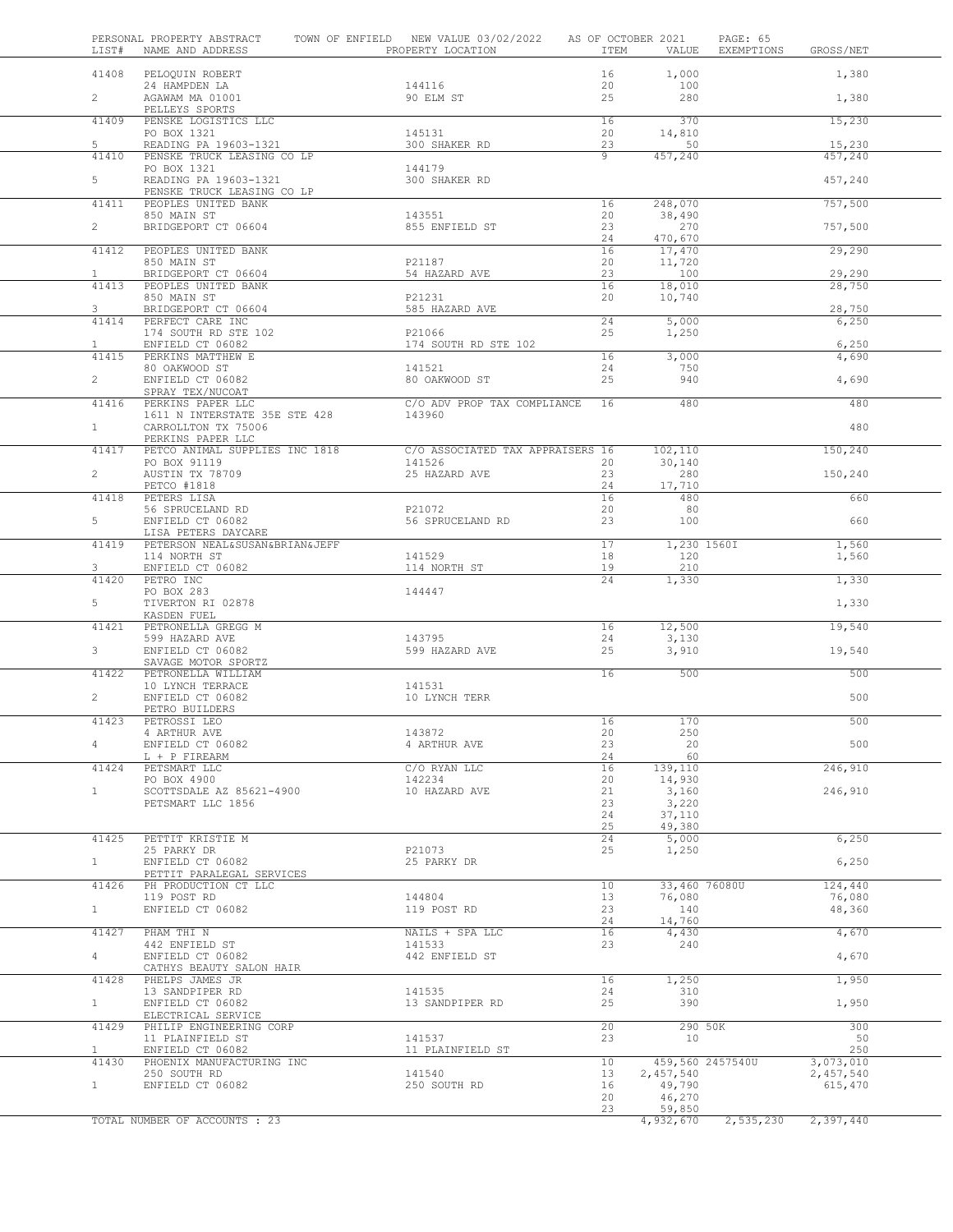| LIST#                 | PERSONAL PROPERTY ABSTRACT<br>NAME AND ADDRESS        | TOWN OF ENFIELD NEW VALUE 03/02/2022<br>PROPERTY LOCATION | ITEM           | AS OF OCTOBER 2021<br>VALUE | PAGE: 65<br>EXEMPTIONS | GROSS/NET            |
|-----------------------|-------------------------------------------------------|-----------------------------------------------------------|----------------|-----------------------------|------------------------|----------------------|
| 41408                 | PELOQUIN ROBERT                                       |                                                           | 16             | 1,000                       |                        | 1,380                |
| $\overline{2}$        | 24 HAMPDEN LA<br>AGAWAM MA 01001                      | 144116<br>90 ELM ST                                       | 20<br>25       | 100<br>280                  |                        | 1,380                |
| 41409                 | PELLEYS SPORTS<br>PENSKE LOGISTICS LLC                |                                                           | 16             | 370                         |                        | 15,230               |
| 5                     | PO BOX 1321<br>READING PA 19603-1321                  | 145131<br>300 SHAKER RD                                   | 20<br>23       | 14,810<br>50                |                        | 15,230               |
| 41410                 | PENSKE TRUCK LEASING CO LP<br>PO BOX 1321             | 144179                                                    | $\overline{9}$ | 457,240                     |                        | 457,240              |
| 5                     | READING PA 19603-1321                                 | 300 SHAKER RD                                             |                |                             |                        | 457,240              |
| 41411                 | PENSKE TRUCK LEASING CO LP<br>PEOPLES UNITED BANK     |                                                           | 16             | 248,070                     |                        | 757,500              |
| $2^{\circ}$           | 850 MAIN ST<br>BRIDGEPORT CT 06604                    | 143551<br>855 ENFIELD ST                                  | 20<br>23       | 38,490<br>270               |                        | 757,500              |
| 41412                 | PEOPLES UNITED BANK                                   |                                                           | 24<br>16       | 470,670<br>17,470           |                        | 29,290               |
|                       | 850 MAIN ST                                           | P21187                                                    | 20             | 11,720                      |                        |                      |
| $\mathbf{1}$<br>41413 | BRIDGEPORT CT 06604<br>PEOPLES UNITED BANK            | 54 HAZARD AVE                                             | 23<br>16       | 100<br>18,010               |                        | 29,290<br>28,750     |
| 3                     | 850 MAIN ST<br>BRIDGEPORT CT 06604                    | P21231<br>585 HAZARD AVE                                  | 20             | 10,740                      |                        | 28,750               |
| 41414                 | PERFECT CARE INC                                      |                                                           | 24             | 5,000                       |                        | 6,250                |
| $\mathbf{1}$          | 174 SOUTH RD STE 102<br>ENFIELD CT 06082              | P21066<br>174 SOUTH RD STE 102                            | 25             | 1,250                       |                        | 6,250                |
| 41415                 | PERKINS MATTHEW E<br>80 OAKWOOD ST                    | 141521                                                    | 16<br>24       | 3,000<br>750                |                        | 4,690                |
| $\overline{2}$        | ENFIELD CT 06082                                      | 80 OAKWOOD ST                                             | 25             | 940                         |                        | 4,690                |
| 41416                 | SPRAY TEX/NUCOAT<br>PERKINS PAPER LLC                 | C/O ADV PROP TAX COMPLIANCE                               | 16             | 480                         |                        | 480                  |
| $\mathbf{1}$          | 1611 N INTERSTATE 35E STE 428<br>CARROLLTON TX 75006  | 143960                                                    |                |                             |                        | 480                  |
| 41417                 | PERKINS PAPER LLC<br>PETCO ANIMAL SUPPLIES INC 1818   | C/O ASSOCIATED TAX APPRAISERS 16                          |                | 102,110                     |                        | 150,240              |
|                       | PO BOX 91119                                          | 141526                                                    | 20             | 30,140                      |                        |                      |
| $\overline{2}$        | AUSTIN TX 78709<br>PETCO #1818                        | 25 HAZARD AVE                                             | 23<br>24       | 280<br>17,710               |                        | 150,240              |
| 41418                 | PETERS LISA<br>56 SPRUCELAND RD                       | P21072                                                    | 16<br>20       | 480<br>80                   |                        | 660                  |
| 5                     | ENFIELD CT 06082                                      | 56 SPRUCELAND RD                                          | 23             | 100                         |                        | 660                  |
| 41419                 | LISA PETERS DAYCARE<br>PETERSON NEAL&SUSAN&BRIAN&JEFF |                                                           | 17             | 1,230 1560I                 |                        | 1,560                |
| 3                     | 114 NORTH ST<br>ENFIELD CT 06082                      | 141529<br>114 NORTH ST                                    | 18<br>19       | 120<br>210                  |                        | 1,560                |
| 41420                 | PETRO INC<br>PO BOX 283                               |                                                           | 24             | 1,330                       |                        | 1,330                |
| 5                     | TIVERTON RI 02878<br>KASDEN FUEL                      | 144447                                                    |                |                             |                        | 1,330                |
| 41421                 | PETRONELLA GREGG M<br>599 HAZARD AVE                  | 143795                                                    | 16<br>24       | 12,500<br>3,130             |                        | 19,540               |
| 3                     | ENFIELD CT 06082<br>SAVAGE MOTOR SPORTZ               | 599 HAZARD AVE                                            | 25             | 3,910                       |                        | 19,540               |
| 41422                 | PETRONELLA WILLIAM                                    |                                                           | 16             | 500                         |                        | 500                  |
| $\overline{2}$        | 10 LYNCH TERRACE<br>ENFIELD CT 06082                  | 141531<br>10 LYNCH TERR                                   |                |                             |                        | 500                  |
| 41423                 | PETRO BUILDERS<br>PETROSSI LEO                        |                                                           | 16             | 170                         |                        | 500                  |
| 4                     | 4 ARTHUR AVE<br>ENFIELD CT 06082                      | 143872<br>4 ARTHUR AVE                                    | 20<br>23       | 250<br>20                   |                        | 500                  |
|                       | L + P FIREARM                                         |                                                           | 24             | 60                          |                        |                      |
| 41424                 | PETSMART LLC<br>PO BOX 4900                           | C/O RYAN LLC<br>142234                                    | 16<br>20       | 139,110<br>14,930           |                        | 246,910              |
| $\mathbf{1}$          | SCOTTSDALE AZ 85621-4900<br>PETSMART LLC 1856         | 10 HAZARD AVE                                             | 21<br>23       | 3,160<br>3,220              |                        | 246,910              |
|                       |                                                       |                                                           | 24<br>25       | 37,110                      |                        |                      |
| 41425                 | PETTIT KRISTIE M                                      |                                                           | 24             | 49,380<br>5,000             |                        | 6,250                |
| 1                     | 25 PARKY DR<br>ENFIELD CT 06082                       | P21073<br>25 PARKY DR                                     | 25             | 1,250                       |                        | 6,250                |
| 41426                 | PETTIT PARALEGAL SERVICES<br>PH PRODUCTION CT LLC     |                                                           | 10             | 33,460 76080U               |                        | 124,440              |
|                       | 119 POST RD<br>ENFIELD CT 06082                       | 144804                                                    | 13             | 76,080                      |                        | 76,080               |
| 1                     |                                                       | 119 POST RD                                               | 23<br>24       | 140<br>14,760               |                        | 48,360               |
| 41427                 | PHAM THI N<br>442 ENFIELD ST                          | NAILS + SPA LLC<br>141533                                 | 16<br>23       | 4,430<br>240                |                        | 4,670                |
| 4                     | ENFIELD CT 06082<br>CATHYS BEAUTY SALON HAIR          | 442 ENFIELD ST                                            |                |                             |                        | 4,670                |
| 41428                 | PHELPS JAMES JR                                       |                                                           | 16             | 1,250                       |                        | 1,950                |
| $\mathbf{1}$          | 13 SANDPIPER RD<br>ENFIELD CT 06082                   | 141535<br>13 SANDPIPER RD                                 | 24<br>25       | 310<br>390                  |                        | 1,950                |
| 41429                 | ELECTRICAL SERVICE<br>PHILIP ENGINEERING CORP         |                                                           | 20             | 290 50K                     |                        | 300                  |
|                       | 11 PLAINFIELD ST                                      | 141537                                                    | 23             | 10                          |                        | 50                   |
| $\mathbf{1}$<br>41430 | ENFIELD CT 06082<br>PHOENIX MANUFACTURING INC         | 11 PLAINFIELD ST                                          | 10             |                             | 459,560 2457540U       | 250<br>3,073,010     |
| 1                     | 250 SOUTH RD<br>ENFIELD CT 06082                      | 141540<br>250 SOUTH RD                                    | 13<br>16       | 2,457,540<br>49,790         |                        | 2,457,540<br>615,470 |
|                       |                                                       |                                                           | 20             | 46,270                      |                        |                      |
|                       | TOTAL NUMBER OF ACCOUNTS : 23                         |                                                           | 23             | 59,850<br>4,932,670         | 2,535,230              | 2,397,440            |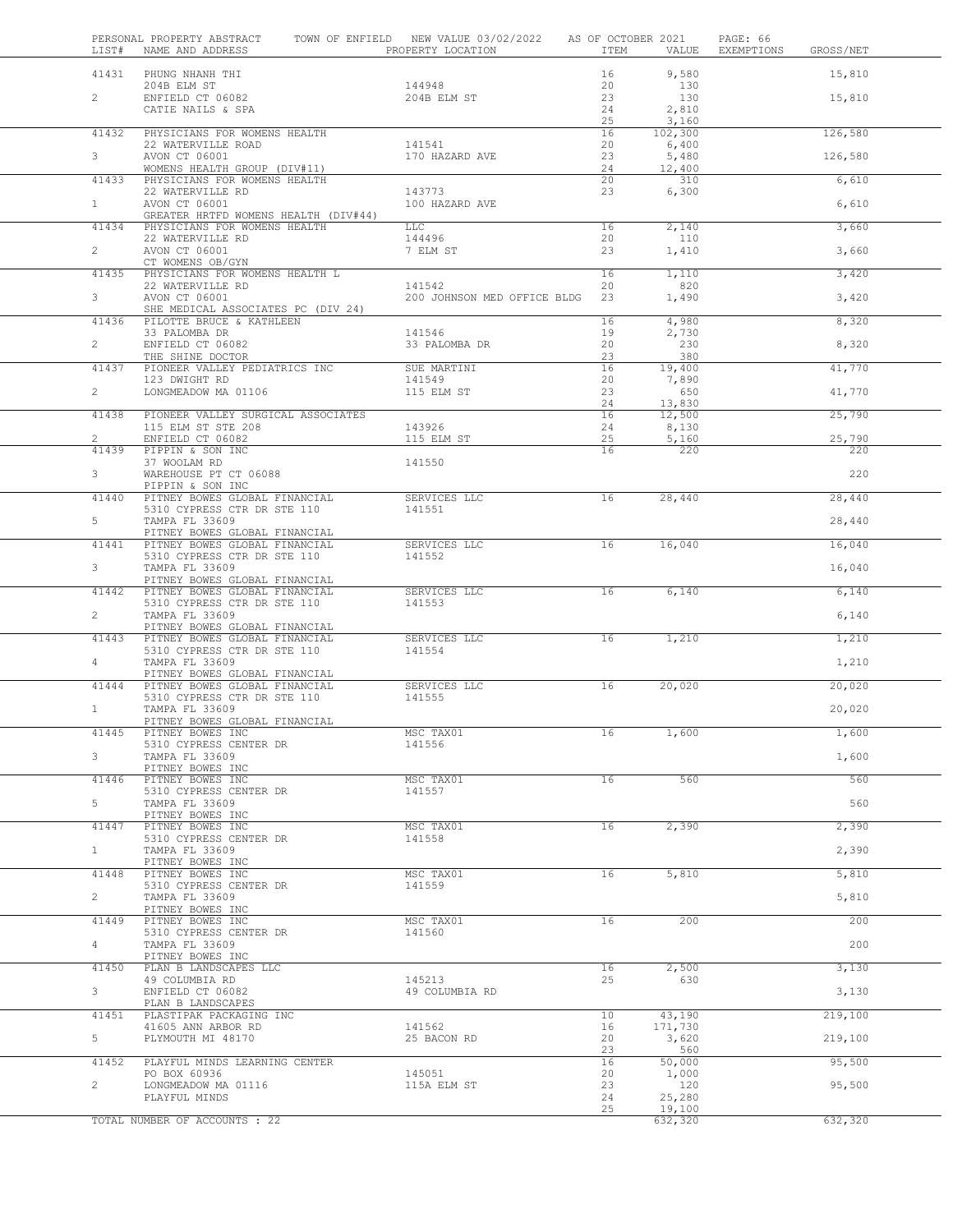| LIST#                   | PERSONAL PROPERTY ABSTRACT<br>NAME AND ADDRESS                 | TOWN OF ENFIELD NEW VALUE 03/02/2022 AS OF OCTOBER 2021<br>PROPERTY LOCATION | ITEM     | VALUE             | PAGE: 66<br>EXEMPTIONS<br>GROSS/NET |
|-------------------------|----------------------------------------------------------------|------------------------------------------------------------------------------|----------|-------------------|-------------------------------------|
| 41431                   | PHUNG NHANH THI<br>204B ELM ST                                 | 144948                                                                       | 16<br>20 | 9,580<br>130      | 15,810                              |
| $\overline{2}$          | ENFIELD CT 06082<br>CATIE NAILS & SPA                          | 204B ELM ST                                                                  | 23<br>24 | 130<br>2,810      | 15,810                              |
| 41432                   | PHYSICIANS FOR WOMENS HEALTH                                   |                                                                              | 25<br>16 | 3,160<br>102,300  | 126,580                             |
| 3 <sup>7</sup>          | 22 WATERVILLE ROAD<br>AVON CT 06001                            | 141541<br>170 HAZARD AVE                                                     | 20<br>23 | 6,400<br>5,480    | 126,580                             |
|                         | WOMENS HEALTH GROUP (DIV#11)                                   |                                                                              | 24       | 12,400            |                                     |
| 41433                   | PHYSICIANS FOR WOMENS HEALTH<br>22 WATERVILLE RD               | 143773                                                                       | 20<br>23 | 310<br>6,300      | 6,610                               |
| 1                       | AVON CT 06001<br>GREATER HRTFD WOMENS HEALTH (DIV#44)          | 100 HAZARD AVE                                                               |          |                   | 6,610                               |
| 41434                   | PHYSICIANS FOR WOMENS HEALTH<br>22 WATERVILLE RD               | <b>LLC</b><br>144496                                                         | 16<br>20 | 2,140<br>110      | 3,660                               |
| $\overline{2}$          | AVON CT 06001                                                  | 7 ELM ST                                                                     | 23       | 1,410             | 3,660                               |
| 41435                   | CT WOMENS OB/GYN<br>PHYSICIANS FOR WOMENS HEALTH L             |                                                                              | 16       | 1,110             | 3,420                               |
| 3                       | 22 WATERVILLE RD<br>AVON CT 06001                              | 141542<br>200 JOHNSON MED OFFICE BLDG 23                                     | 20       | 820<br>1,490      | 3,420                               |
| 41436                   | SHE MEDICAL ASSOCIATES PC (DIV 24)<br>PILOTTE BRUCE & KATHLEEN |                                                                              | 16       | 4,980             | 8,320                               |
| $\overline{2}$          | 33 PALOMBA DR<br>ENFIELD CT 06082                              | 141546<br>33 PALOMBA DR                                                      | 19<br>20 | 2,730<br>230      | 8,320                               |
|                         | THE SHINE DOCTOR                                               |                                                                              | 23       | 380               |                                     |
| 41437                   | PIONEER VALLEY PEDIATRICS INC<br>123 DWIGHT RD                 | SUE MARTINI<br>141549                                                        | 16<br>20 | 19,400<br>7,890   | 41,770                              |
| $\overline{2}$          | LONGMEADOW MA 01106                                            | 115 ELM ST                                                                   | 23<br>24 | 650<br>13,830     | 41,770                              |
| 41438                   | PIONEER VALLEY SURGICAL ASSOCIATES<br>115 ELM ST STE 208       | 143926                                                                       | 16<br>24 | 12,500<br>8,130   | 25,790                              |
| $\overline{2}$<br>41439 | ENFIELD CT 06082<br>PIPPIN & SON INC                           | 115 ELM ST                                                                   | 25<br>16 | 5,160<br>220      | 25,790<br>220                       |
| $3 -$                   | 37 WOOLAM RD                                                   | 141550                                                                       |          |                   | 220                                 |
|                         | WAREHOUSE PT CT 06088<br>PIPPIN & SON INC                      |                                                                              |          |                   |                                     |
| 41440                   | PITNEY BOWES GLOBAL FINANCIAL<br>5310 CYPRESS CTR DR STE 110   | SERVICES LLC<br>141551                                                       | 16       | 28,440            | 28,440                              |
| 5                       | TAMPA FL 33609<br>PITNEY BOWES GLOBAL FINANCIAL                |                                                                              |          |                   | 28,440                              |
| 41441                   | PITNEY BOWES GLOBAL FINANCIAL<br>5310 CYPRESS CTR DR STE 110   | SERVICES LLC<br>141552                                                       | 16       | 16,040            | 16,040                              |
| 3                       | TAMPA FL 33609<br>PITNEY BOWES GLOBAL FINANCIAL                |                                                                              |          |                   | 16,040                              |
| 41442                   | PITNEY BOWES GLOBAL FINANCIAL                                  | SERVICES LLC<br>141553                                                       | 16       | 6,140             | 6,140                               |
| $\overline{2}$          | 5310 CYPRESS CTR DR STE 110<br>TAMPA FL 33609                  |                                                                              |          |                   | 6,140                               |
| 41443                   | PITNEY BOWES GLOBAL FINANCIAL<br>PITNEY BOWES GLOBAL FINANCIAL | SERVICES LLC                                                                 | 16       | 1,210             | 1,210                               |
| 4                       | 5310 CYPRESS CTR DR STE 110<br>TAMPA FL 33609                  | 141554                                                                       |          |                   | 1,210                               |
| 41444                   | PITNEY BOWES GLOBAL FINANCIAL<br>PITNEY BOWES GLOBAL FINANCIAL | SERVICES LLC                                                                 | 16       | 20,020            | 20,020                              |
| $\mathbf{1}$            | 5310 CYPRESS CTR DR STE 110<br>TAMPA FL 33609                  | 141555                                                                       |          |                   | 20,020                              |
|                         | PITNEY BOWES GLOBAL FINANCIAL                                  |                                                                              |          |                   |                                     |
| 41445                   | PITNEY BOWES INC<br>5310 CYPRESS CENTER DR                     | MSC TAX01<br>141556                                                          | 16       | 1,600             | 1,600                               |
| 3                       | TAMPA FL 33609<br>PITNEY BOWES INC                             |                                                                              |          |                   | 1,600                               |
| 41446                   | PITNEY BOWES INC<br>5310 CYPRESS CENTER DR                     | MSC TAX01<br>141557                                                          | 16       | 560               | 560                                 |
| 5                       | TAMPA FL 33609<br>PITNEY BOWES INC                             |                                                                              |          |                   | 560                                 |
| 41447                   | PITNEY BOWES INC<br>5310 CYPRESS CENTER DR                     | MSC TAX01<br>141558                                                          | 16       | 2,390             | 2,390                               |
| $\mathbf{1}$            | TAMPA FL 33609                                                 |                                                                              |          |                   | 2,390                               |
| 41448                   | PITNEY BOWES INC<br>PITNEY BOWES INC                           | MSC TAX01                                                                    | 16       | 5,810             | 5,810                               |
| $\overline{2}$          | 5310 CYPRESS CENTER DR<br>TAMPA FL 33609                       | 141559                                                                       |          |                   | 5,810                               |
| 41449                   | PITNEY BOWES INC<br>PITNEY BOWES INC                           | MSC TAX01                                                                    | 16       | 200               | 200                                 |
| $4\degree$              | 5310 CYPRESS CENTER DR<br>TAMPA FL 33609                       | 141560                                                                       |          |                   | 200                                 |
| 41450                   | PITNEY BOWES INC<br>PLAN B LANDSCAPES LLC                      |                                                                              | 16       | 2,500             | 3,130                               |
|                         | 49 COLUMBIA RD                                                 | 145213                                                                       | 25       | 630               |                                     |
| 3 <sup>7</sup>          | ENFIELD CT 06082<br>PLAN B LANDSCAPES                          | 49 COLUMBIA RD                                                               |          |                   | 3,130                               |
| 41451                   | PLASTIPAK PACKAGING INC<br>41605 ANN ARBOR RD                  | 141562                                                                       | 10<br>16 | 43,190<br>171,730 | 219,100                             |
| 5                       | PLYMOUTH MI 48170                                              | 25 BACON RD                                                                  | 20<br>23 | 3,620<br>560      | 219,100                             |
| 41452                   | PLAYFUL MINDS LEARNING CENTER                                  |                                                                              | 16       | 50,000            | 95,500                              |
| $\overline{2}$          | PO BOX 60936<br>LONGMEADOW MA 01116                            | 145051<br>115A ELM ST                                                        | 20<br>23 | 1,000<br>120      | 95,500                              |
|                         | PLAYFUL MINDS                                                  |                                                                              | 24<br>25 | 25,280<br>19,100  |                                     |
|                         | TOTAL NUMBER OF ACCOUNTS : 22                                  |                                                                              |          | 632,320           | 632,320                             |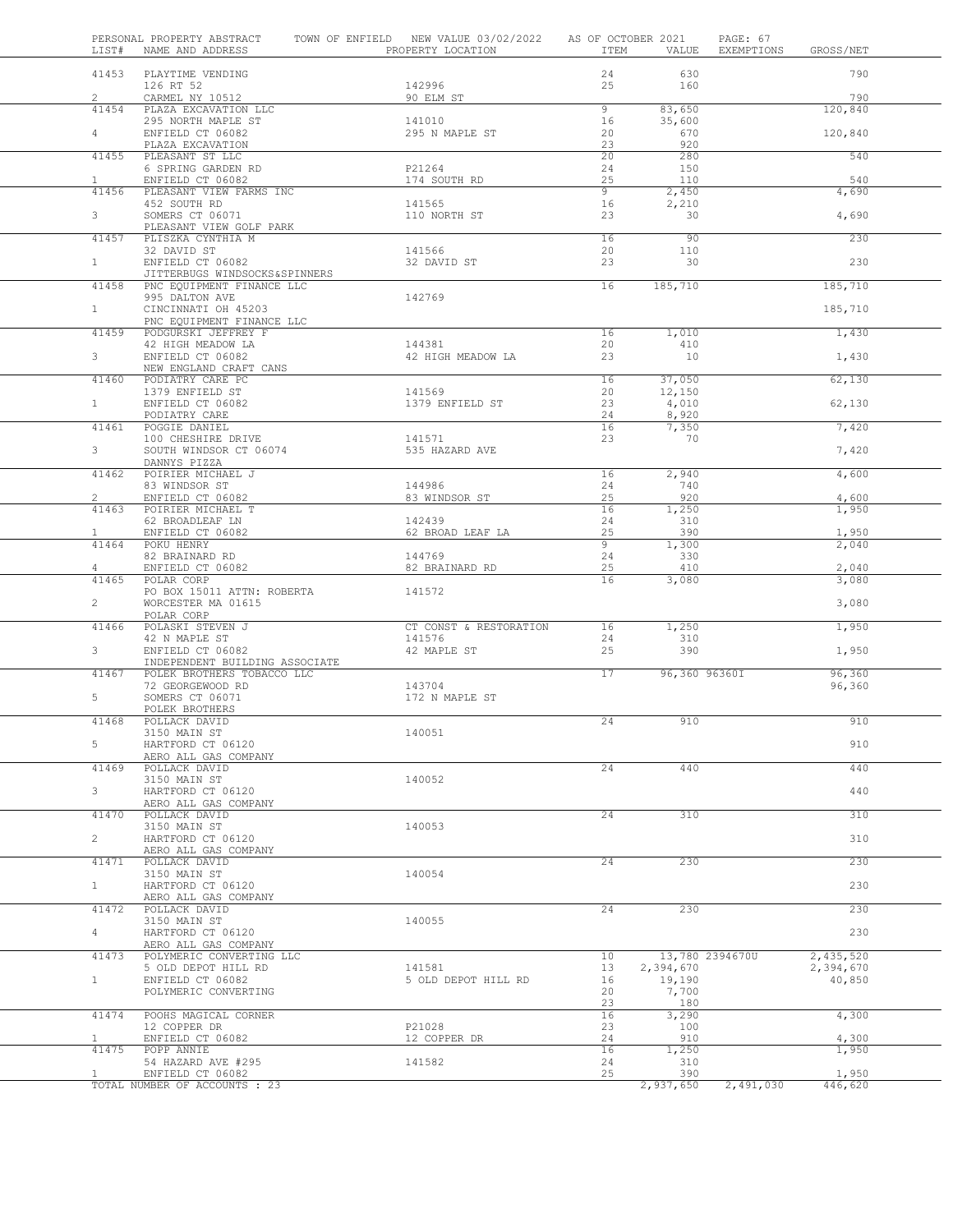| LIST#                   | PERSONAL PROPERTY ABSTRACT<br>NAME AND ADDRESS               | TOWN OF ENFIELD NEW VALUE 03/02/2022 AS OF OCTOBER 2021<br>PROPERTY LOCATION | ITEM           | VALUE           | PAGE: 67<br>EXEMPTIONS<br>GROSS/NET |
|-------------------------|--------------------------------------------------------------|------------------------------------------------------------------------------|----------------|-----------------|-------------------------------------|
|                         | 41453 PLAYTIME VENDING                                       |                                                                              | 24             | 630             | 790                                 |
|                         | 126 RT 52                                                    | 142996                                                                       | 25             | 160             |                                     |
| $\overline{2}$<br>41454 | CARMEL NY 10512<br>PLAZA EXCAVATION LLC                      | 90 ELM ST                                                                    | 9              | 83,650          | 790<br>120,840                      |
|                         | 295 NORTH MAPLE ST                                           | 141010                                                                       | 16             | 35,600          |                                     |
| $4 -$                   | ENFIELD CT 06082                                             | 295 N MAPLE ST                                                               | 20             | 670             | 120,840                             |
| 41455                   | PLAZA EXCAVATION<br>PLEASANT ST LLC                          |                                                                              | 23<br>20       | 920<br>280      | 540                                 |
|                         | 6 SPRING GARDEN RD                                           | P21264                                                                       | 24             | 150             |                                     |
| $\mathbf{1}$            | ENFIELD CT 06082                                             | 174 SOUTH RD                                                                 | 25             | 110             | 540                                 |
| 41456                   | PLEASANT VIEW FARMS INC<br>452 SOUTH RD                      |                                                                              | 9<br>16        | 2,450           | 4,690                               |
| 3                       | SOMERS CT 06071                                              | 141565<br>110 NORTH ST                                                       | 23             | 2,210<br>30     | 4,690                               |
|                         | PLEASANT VIEW GOLF PARK                                      |                                                                              |                |                 |                                     |
| 41457                   | PLISZKA CYNTHIA M                                            |                                                                              | 16             | 90              | 230                                 |
| 1                       | 32 DAVID ST<br>ENFIELD CT 06082                              | 141566<br>32 DAVID ST                                                        | 20<br>23       | 110<br>30       | 230                                 |
|                         | JITTERBUGS WINDSOCKS&SPINNERS                                |                                                                              |                |                 |                                     |
| 41458                   | PNC EQUIPMENT FINANCE LLC                                    |                                                                              | 16             | 185,710         | 185,710                             |
| 1                       | 995 DALTON AVE<br>CINCINNATI OH 45203                        | 142769                                                                       |                |                 | 185,710                             |
|                         | PNC EQUIPMENT FINANCE LLC                                    |                                                                              |                |                 |                                     |
| 41459                   | PODGURSKI JEFFREY F                                          |                                                                              | 16             | 1,010           | 1,430                               |
| $3^{\circ}$             | 42 HIGH MEADOW LA<br>ENFIELD CT 06082                        | 144381                                                                       | 20             | 410<br>10       |                                     |
|                         | NEW ENGLAND CRAFT CANS                                       | 42 HIGH MEADOW LA                                                            | 23             |                 | 1,430                               |
| 41460                   | PODIATRY CARE PC                                             |                                                                              | 16             | 37,050          | 62,130                              |
|                         | 1379 ENFIELD ST                                              | 141569                                                                       | 20             | 12,150          |                                     |
| 1                       | ENFIELD CT 06082<br>PODIATRY CARE                            | 1379 ENFIELD ST                                                              | 23<br>24       | 4,010<br>8,920  | 62,130                              |
| 41461                   | POGGIE DANIEL                                                |                                                                              | 16             | 7,350           | 7,420                               |
|                         | 100 CHESHIRE DRIVE                                           | 141571                                                                       | 23             | 70              |                                     |
| $3^{\circ}$             | SOUTH WINDSOR CT 06074<br>DANNYS PIZZA                       | 535 HAZARD AVE                                                               |                |                 | 7,420                               |
| 41462                   | POIRIER MICHAEL J                                            |                                                                              | 16             | 2,940           | 4,600                               |
|                         | 83 WINDSOR ST                                                | 144986                                                                       | 24             | 740             |                                     |
| $2^{\circ}$             | ENFIELD CT 06082                                             | 83 WINDSOR ST                                                                | 25             | 920             | 4,600                               |
| 41463                   | POIRIER MICHAEL T<br>62 BROADLEAF LN                         | 142439                                                                       | 16<br>24       | 1,250<br>310    | 1,950                               |
| $\mathbf{1}$            | ENFIELD CT 06082                                             | 62 BROAD LEAF LA                                                             | 25             | 390             | 1,950                               |
| 41464                   | POKU HENRY                                                   |                                                                              | $\overline{9}$ | 1,300           | 2,040                               |
| $\overline{4}$          | 82 BRAINARD RD<br>ENFIELD CT 06082                           | 144769<br>82 BRAINARD RD                                                     | 24<br>25       | 330<br>410      | 2,040                               |
| 41465                   | POLAR CORP                                                   |                                                                              | 16             | 3,080           | 3,080                               |
|                         | PO BOX 15011 ATTN: ROBERTA                                   | 141572                                                                       |                |                 |                                     |
| $\overline{2}$          | WORCESTER MA 01615<br>POLAR CORP                             |                                                                              |                |                 | 3,080                               |
| 41466                   | POLASKI STEVEN J                                             | CT CONST & RESTORATION                                                       | 16             | 1,250           | 1,950                               |
|                         | 42 N MAPLE ST                                                | 141576                                                                       | 24             | 310             |                                     |
| $\mathbf{3}$            | ENFIELD CT 06082                                             | 42 MAPLE ST                                                                  | 25             | 390             | 1,950                               |
| 41467                   | INDEPENDENT BUILDING ASSOCIATE<br>POLEK BROTHERS TOBACCO LLC |                                                                              | 17             | 96,360 96360I   | 96,360                              |
|                         | 72 GEORGEWOOD RD                                             | 143704                                                                       |                |                 | 96,360                              |
| 5                       | SOMERS CT 06071                                              | 172 N MAPLE ST                                                               |                |                 |                                     |
| 41468                   | POLEK BROTHERS<br>POLLACK DAVID                              |                                                                              | 24             | 910             | 910                                 |
|                         | 3150 MAIN ST                                                 | 140051                                                                       |                |                 |                                     |
| 5                       | HARTFORD CT 06120                                            |                                                                              |                |                 | 910                                 |
| 41469                   | AERO ALL GAS COMPANY                                         |                                                                              | 24             | 440             | 440                                 |
|                         | POLLACK DAVID<br>3150 MAIN ST                                | 140052                                                                       |                |                 |                                     |
|                         |                                                              |                                                                              |                |                 | 440                                 |
| 3                       | HARTFORD CT 06120                                            |                                                                              |                |                 |                                     |
|                         | AERO ALL GAS COMPANY                                         |                                                                              |                |                 |                                     |
| 41470                   | POLLACK DAVID                                                |                                                                              | 24             | 310             | 310                                 |
| $\overline{2}$          | 3150 MAIN ST<br>HARTFORD CT 06120                            | 140053                                                                       |                |                 | 310                                 |
|                         | AERO ALL GAS COMPANY                                         |                                                                              |                |                 |                                     |
| 41471                   | POLLACK DAVID                                                |                                                                              | 24             | 230             | 230                                 |
| $\mathbf{1}$            | 3150 MAIN ST<br>HARTFORD CT 06120                            | 140054                                                                       |                |                 | 230                                 |
|                         | AERO ALL GAS COMPANY                                         |                                                                              |                |                 |                                     |
| 41472                   | POLLACK DAVID                                                |                                                                              | 24             | 230             | 230                                 |
| $\overline{4}$          | 3150 MAIN ST<br>HARTFORD CT 06120                            | 140055                                                                       |                |                 | 230                                 |
|                         | AERO ALL GAS COMPANY                                         |                                                                              |                |                 |                                     |
| 41473                   | POLYMERIC CONVERTING LLC                                     |                                                                              | 10             | 13,780 2394670U | 2,435,520                           |
|                         | 5 OLD DEPOT HILL RD                                          | 141581                                                                       | 13             | 2,394,670       | 2,394,670                           |
| $\mathbf{1}$            | ENFIELD CT 06082<br>POLYMERIC CONVERTING                     | 5 OLD DEPOT HILL RD                                                          | 16<br>20       | 19,190<br>7,700 | 40,850                              |
|                         |                                                              |                                                                              | 23             | 180             |                                     |
| 41474                   | POOHS MAGICAL CORNER                                         |                                                                              | 16             | 3,290           | 4,300                               |
| $\mathbf{1}$            | 12 COPPER DR<br>ENFIELD CT 06082                             | P21028<br>12 COPPER DR                                                       | 23<br>24       | 100<br>910      | 4,300                               |
| 41475                   | POPP ANNIE                                                   |                                                                              | 16             | 1,250           | 1,950                               |
| $\mathbf{1}$            | 54 HAZARD AVE #295<br>ENFIELD CT 06082                       | 141582                                                                       | 24<br>25       | 310<br>390      | 1,950                               |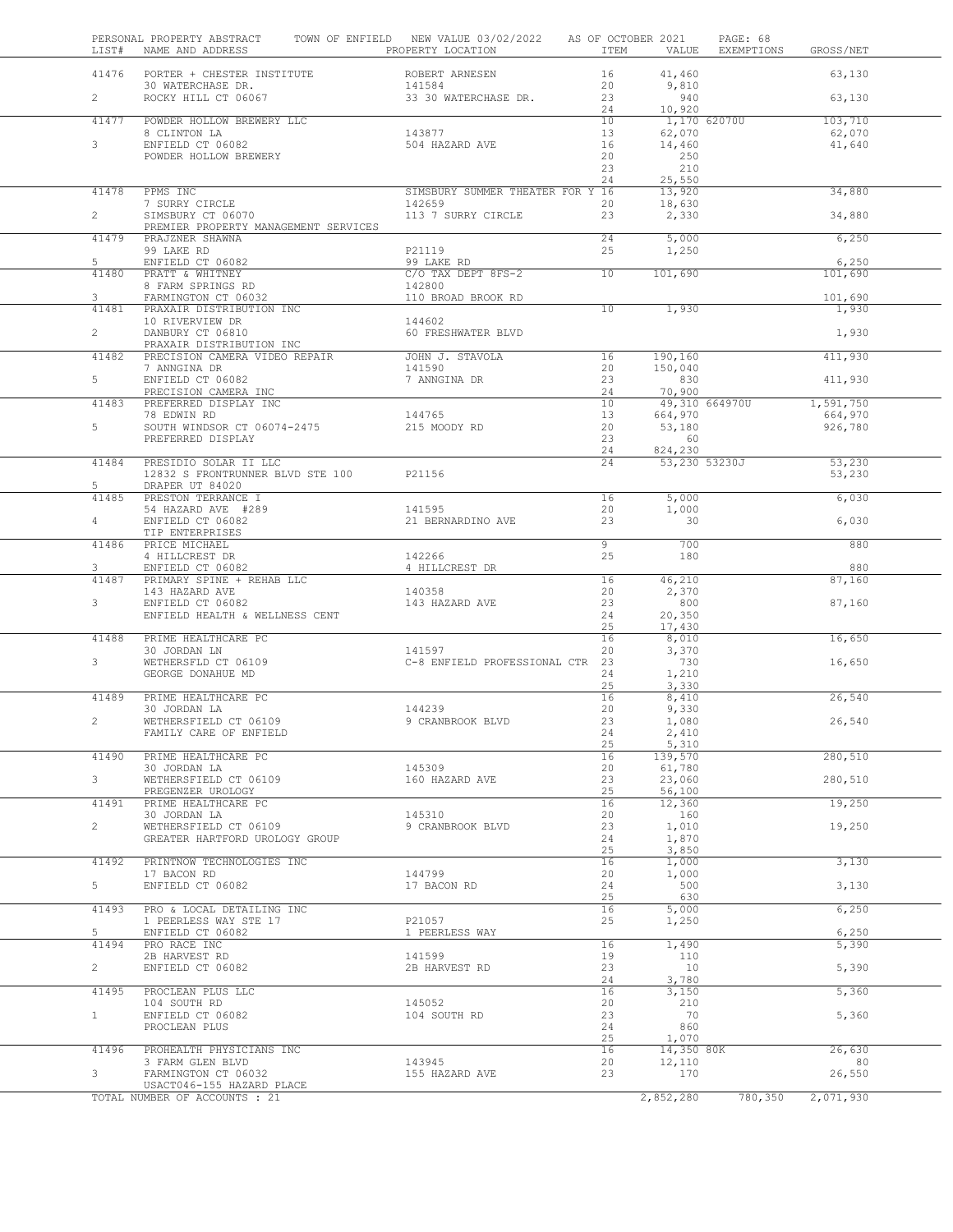| LIST#          | PERSONAL PROPERTY ABSTRACT<br>NAME AND ADDRESS THE RESERVE PROPERTY LOCATION | TOWN OF ENFIELD NEW VALUE 03/02/2022 AS OF OCTOBER 2021 |                 | ITEM<br>VALUE          | PAGE: 68<br>EXEMPTIONS | GROSS/NET          |  |
|----------------|------------------------------------------------------------------------------|---------------------------------------------------------|-----------------|------------------------|------------------------|--------------------|--|
|                | 41476 PORTER + CHESTER INSTITUTE                                             | ROBERT ARNESEN                                          | 16              | 41,460                 |                        | 63,130             |  |
| $\overline{2}$ | 30 WATERCHASE DR.<br>ROCKY HILL CT 06067                                     | 141584<br>33 30 WATERCHASE DR.                          | 20<br>23<br>24  | 9,810<br>940<br>10,920 |                        | 63,130             |  |
| 41477          | POWDER HOLLOW BREWERY LLC                                                    |                                                         | 10              | 1,170 62070U           |                        | 103,710            |  |
| 3              | 8 CLINTON LA<br>ENFIELD CT 06082                                             | 143877<br>504 HAZARD AVE                                | 13<br>16        | 62,070<br>14,460       |                        | 62,070<br>41,640   |  |
|                | POWDER HOLLOW BREWERY                                                        |                                                         | 20<br>23        | 250<br>210             |                        |                    |  |
| 41478          | PPMS INC                                                                     | SIMSBURY SUMMER THEATER FOR Y 16                        | 24              | 25,550<br>13,920       |                        | 34,880             |  |
|                | 7 SURRY CIRCLE<br>SIMSBURY CT 06070                                          | 142659                                                  | 20              | 18,630                 |                        |                    |  |
| $\overline{2}$ | PREMIER PROPERTY MANAGEMENT SERVICES                                         | 113 7 SURRY CIRCLE                                      | 23              | 2,330                  |                        | 34,880             |  |
| 41479          | PRAJZNER SHAWNA                                                              |                                                         | 24              | 5,000                  |                        | 6,250              |  |
| 5              | 99 LAKE RD<br>ENFIELD CT 06082                                               | P21119<br>99 LAKE RD                                    | 25              | 1,250                  |                        | 6,250              |  |
| 41480          | PRATT & WHITNEY                                                              | C/O TAX DEPT 8FS-2                                      | 10              | 101,690                |                        | 101,690            |  |
|                | 8 FARM SPRINGS RD                                                            | 142800                                                  |                 |                        |                        |                    |  |
| 3<br>41481     | FARMINGTON CT 06032<br>PRAXAIR DISTRIBUTION INC                              | 110 BROAD BROOK RD                                      | $\overline{10}$ | 1,930                  |                        | 101,690<br>1,930   |  |
|                | 10 RIVERVIEW DR                                                              | 144602                                                  |                 |                        |                        |                    |  |
| $\overline{2}$ | DANBURY CT 06810                                                             | 60 FRESHWATER BLVD                                      |                 |                        |                        | 1,930              |  |
|                | PRAXAIR DISTRIBUTION INC                                                     |                                                         |                 |                        |                        |                    |  |
| 41482          | PRECISION CAMERA VIDEO REPAIR<br>7 ANNGINA DR<br>ENFIELD CT 06082            | JOHN J. STAVOLA<br>141590                               | 16<br>20        | 190,160<br>150,040     |                        | 411,930            |  |
| $5 -$          |                                                                              | 7 ANNGINA DR                                            | 23              | 830                    |                        | 411,930            |  |
|                | PRECISION CAMERA INC                                                         |                                                         | 24              | 70,900                 |                        |                    |  |
| 41483          | PREFERRED DISPLAY INC                                                        |                                                         | 10              | 49,310 664970U         |                        | 1,591,750          |  |
| 5              | 78 EDWIN RD<br>SOUTH WINDSOR CT 06074-2475                                   | 144765<br>215 MOODY RD                                  | 13<br>20        | 664,970<br>53,180      |                        | 664,970<br>926,780 |  |
|                | PREFERRED DISPLAY                                                            |                                                         | 23              | 60                     |                        |                    |  |
|                |                                                                              |                                                         | 24              | 824,230                |                        |                    |  |
| 41484          | PRESIDIO SOLAR II LLC                                                        |                                                         | 24              |                        | 53,230 53230J          | 53,230             |  |
| 5              | 12832 S FRONTRUNNER BLVD STE 100 P21156<br>DRAPER UT 84020                   |                                                         |                 |                        |                        | 53,230             |  |
| 41485          | PRESTON TERRANCE I                                                           |                                                         | 16              | 5,000                  |                        | 6,030              |  |
|                | 54 HAZARD AVE #289                                                           | 141595                                                  | 20              | 1,000                  |                        |                    |  |
| $\overline{4}$ | ENFIELD CT 06082                                                             | 21 BERNARDINO AVE                                       | 23              | 30                     |                        | 6,030              |  |
| 41486          | TIP ENTERPRISES<br>PRICE MICHAEL                                             |                                                         | $\overline{9}$  | 700                    |                        | 880                |  |
|                | 4 HILLCREST DR                                                               | 142266                                                  | 25              | 180                    |                        |                    |  |
| 3              | ENFIELD CT 06082                                                             | 4 HILLCREST DR                                          |                 |                        |                        | 880                |  |
| 41487          | PRIMARY SPINE + REHAB LLC                                                    |                                                         | 16              | 46,210                 |                        | 87,160             |  |
| 3              | 143 HAZARD AVE<br>ENFIELD CT 06082                                           | 140358<br>143 HAZARD AVE                                | 20<br>23        | 2,370<br>800           |                        |                    |  |
|                | ENFIELD HEALTH & WELLNESS CENT                                               |                                                         | 24              | 20,350                 |                        | 87,160             |  |
|                |                                                                              |                                                         | 25              | 17,430                 |                        |                    |  |
| 41488          | PRIME HEALTHCARE PC                                                          |                                                         | 16              | 8,010                  |                        | 16,650             |  |
| 3              | PRIME HEALTHCARE PC<br>30 JORDAN LN<br>WETHERSFLD CT 06109                   | 141597<br>C-8 ENFIELD PROFESSIONAL CTR 23               | 20              | 3,370<br>730           |                        |                    |  |
|                | GEORGE DONAHUE MD                                                            |                                                         | 24              | 1,210                  |                        | 16,650             |  |
|                |                                                                              |                                                         | 25              | 3,330                  |                        |                    |  |
| 41489          | PRIME HEALTHCARE PC                                                          |                                                         | 16              | 8,410                  |                        | 26,540             |  |
| $\overline{2}$ | 30 JORDAN LA<br>WETHERSFIELD CT 06109                                        | 144239                                                  | 20<br>23        | 9,330                  |                        |                    |  |
|                | FAMILY CARE OF ENFIELD                                                       | 9 CRANBROOK BLVD                                        | 24              | 1,080<br>2,410         |                        | 26,540             |  |
|                |                                                                              |                                                         | 25              | 5,310                  |                        |                    |  |
| 41490          | PRIME HEALTHCARE PC                                                          |                                                         | 16              | 139,570                |                        | 280,510            |  |
| 3              | 30 JORDAN LA                                                                 | 145309<br>160 HAZARD AVE                                | 20              | 61,780                 |                        |                    |  |
|                | WETHERSFIELD CT 06109<br>PREGENZER UROLOGY                                   |                                                         | 23<br>25        | 23,060<br>56,100       |                        | 280,510            |  |
| 41491          | PRIME HEALTHCARE PC                                                          |                                                         | 16              | 12,360                 |                        | 19,250             |  |
|                | 30 JORDAN LA                                                                 | 145310                                                  | 20              | 160                    |                        |                    |  |
| $\overline{c}$ | WETHERSFIELD CT 06109                                                        | 9 CRANBROOK BLVD                                        | 23              | 1,010                  |                        | 19,250             |  |
|                | GREATER HARTFORD UROLOGY GROUP                                               |                                                         | 24<br>25        | 1,870<br>3,850         |                        |                    |  |
| 41492          | PRINTNOW TECHNOLOGIES INC                                                    |                                                         | 16              | 1,000                  |                        | 3,130              |  |
|                | 17 BACON RD                                                                  | 144799                                                  | 20              | 1,000                  |                        |                    |  |
| 5              | ENFIELD CT 06082                                                             | 17 BACON RD                                             | 24              | 500                    |                        | 3,130              |  |
| 41493          | PRO & LOCAL DETAILING INC                                                    |                                                         | 25<br>16        | 630<br>5,000           |                        | 6,250              |  |
|                | 1 PEERLESS WAY STE 17                                                        | P21057                                                  | 25              | 1,250                  |                        |                    |  |
| 5              | ENFIELD CT 06082                                                             | 1 PEERLESS WAY                                          |                 |                        |                        | 6,250              |  |
| 41494          | PRO RACE INC                                                                 |                                                         | 16              | 1,490                  |                        | 5,390              |  |
| $\overline{2}$ | 2B HARVEST RD<br>ENFIELD CT 06082                                            | 141599<br>2B HARVEST RD                                 | 19<br>23        | 110<br>10              |                        | 5,390              |  |
|                |                                                                              |                                                         | 24              | 3,780                  |                        |                    |  |
| 41495          | PROCLEAN PLUS LLC                                                            |                                                         | 16              | 3,150                  |                        | 5,360              |  |
|                | 104 SOUTH RD                                                                 | 145052                                                  | 20              | 210                    |                        |                    |  |
| $\mathbf{1}$   | ENFIELD CT 06082                                                             | 104 SOUTH RD                                            | 23              | 70                     |                        | 5,360              |  |
|                | PROCLEAN PLUS                                                                |                                                         | 24<br>25        | 860<br>1,070           |                        |                    |  |
| 41496          | PROHEALTH PHYSICIANS INC                                                     |                                                         | 16              | 14,350 80K             |                        | 26,630             |  |
|                | 3 FARM GLEN BLVD                                                             | 143945                                                  | 20              | 12,110                 |                        | 80                 |  |
| 3              | FARMINGTON CT 06032<br>USACT046-155 HAZARD PLACE                             | 155 HAZARD AVE                                          | 23              | 170                    |                        | 26,550             |  |
|                | TOTAL NUMBER OF ACCOUNTS : 21                                                |                                                         |                 | 2,852,280              | 780,350                | 2,071,930          |  |
|                |                                                                              |                                                         |                 |                        |                        |                    |  |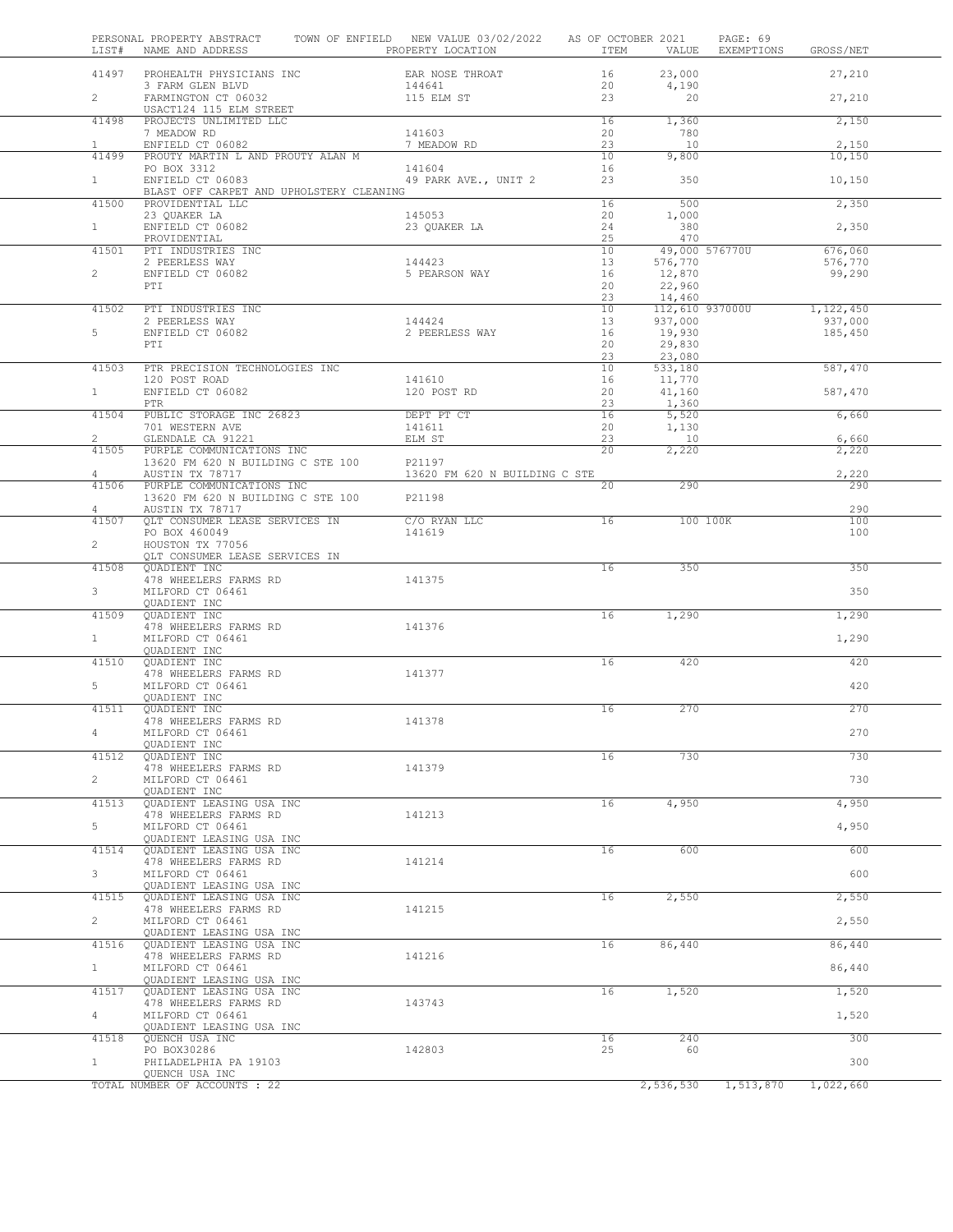| LIST#          | PERSONAL PROPERTY ABSTRACT<br>NAME AND ADDRESS                 | TOWN OF ENFIELD NEW VALUE 03/02/2022<br>PROPERTY LOCATION | AS OF OCTOBER 2021<br>ITEM | VALUE                      | PAGE: 69<br>EXEMPTIONS | GROSS/NET            |  |
|----------------|----------------------------------------------------------------|-----------------------------------------------------------|----------------------------|----------------------------|------------------------|----------------------|--|
| 41497          | PROHEALTH PHYSICIANS INC                                       | EAR NOSE THROAT                                           | 16                         | 23,000                     |                        | 27,210               |  |
| $\overline{2}$ | 3 FARM GLEN BLVD<br>FARMINGTON CT 06032                        | 144641<br>115 ELM ST                                      | 20<br>23                   | 4,190<br>20                |                        | 27,210               |  |
| 41498          | USACT124 115 ELM STREET<br>PROJECTS UNLIMITED LLC              |                                                           | 16                         | 1,360                      |                        | 2,150                |  |
|                | 7 MEADOW RD                                                    | 141603                                                    | 20                         | 780                        |                        |                      |  |
| $\mathbf{1}$   | ENFIELD CT 06082                                               | 7 MEADOW RD                                               | 23                         | 10                         |                        | 2,150                |  |
| 41499          | PROUTY MARTIN L AND PROUTY ALAN M<br>PO BOX 3312               | 141604                                                    | 10<br>16                   | 9,800                      |                        | 10,150               |  |
| 1              | ENFIELD CT 06083<br>BLAST OFF CARPET AND UPHOLSTERY CLEANING   | 49 PARK AVE., UNIT 2                                      | 23                         | 350                        |                        | 10,150               |  |
| 41500          | PROVIDENTIAL LLC                                               |                                                           | 16                         | 500                        |                        | 2,350                |  |
| 1              | 23 QUAKER LA<br>ENFIELD CT 06082                               | 145053<br>23 QUAKER LA                                    | 20<br>24                   | 1,000<br>380               |                        | 2,350                |  |
|                | PROVIDENTIAL                                                   |                                                           | 25                         | 470                        |                        |                      |  |
| 41501          | PTI INDUSTRIES INC                                             |                                                           | 10                         |                            | 49,000 576770U         | 676,060              |  |
| $\overline{2}$ | 2 PEERLESS WAY<br>ENFIELD CT 06082                             | 144423<br>5 PEARSON WAY                                   | 13<br>16                   | 576,770<br>12,870          |                        | 576,770<br>99,290    |  |
|                | PTI                                                            |                                                           | 20                         | 22,960                     |                        |                      |  |
|                |                                                                |                                                           | 23                         | 14,460                     |                        |                      |  |
| 41502          | PTI INDUSTRIES INC<br>2 PEERLESS WAY                           | 144424                                                    | 10<br>13                   | 112,610 937000U<br>937,000 |                        | 1,122,450<br>937,000 |  |
| 5              | ENFIELD CT 06082                                               | 2 PEERLESS WAY                                            | 16                         | 19,930                     |                        | 185,450              |  |
|                | PTI                                                            |                                                           | 20                         | 29,830                     |                        |                      |  |
| 41503          | PTR PRECISION TECHNOLOGIES INC                                 |                                                           | 23<br>10                   | 23,080<br>533,180          |                        | 587,470              |  |
|                | 120 POST ROAD                                                  | 141610                                                    | 16                         | 11,770                     |                        |                      |  |
| $\mathbf{1}$   | ENFIELD CT 06082                                               | 120 POST RD                                               | 20                         | 41,160                     |                        | 587,470              |  |
| 41504          | PTR<br>PUBLIC STORAGE INC 26823                                | DEPT PT CT                                                | 23<br>16                   | 1,360<br>5,520             |                        | 6,660                |  |
|                | 701 WESTERN AVE                                                | 141611                                                    | 20                         | 1,130                      |                        |                      |  |
| $\overline{2}$ | GLENDALE CA 91221                                              | ELM ST                                                    | 23                         | 10                         |                        | 6,660                |  |
| 41505          | PURPLE COMMUNICATIONS INC<br>13620 FM 620 N BUILDING C STE 100 | P21197                                                    | 20                         | 2,220                      |                        | 2,220                |  |
| 4              | AUSTIN TX 78717                                                | 13620 FM 620 N BUILDING C STE                             |                            |                            |                        | 2,220                |  |
| 41506          | PURPLE COMMUNICATIONS INC                                      |                                                           | 20                         | 290                        |                        | 290                  |  |
| 4              | 13620 FM 620 N BUILDING C STE 100<br>AUSTIN TX 78717           | P21198                                                    |                            |                            |                        | 290                  |  |
| 41507          | QLT CONSUMER LEASE SERVICES IN                                 | C/O RYAN LLC                                              | 16                         | 100 100K                   |                        | 100                  |  |
|                | PO BOX 460049                                                  | 141619                                                    |                            |                            |                        | 100                  |  |
| $\overline{2}$ | HOUSTON TX 77056<br>QLT CONSUMER LEASE SERVICES IN             |                                                           |                            |                            |                        |                      |  |
| 41508          | QUADIENT INC                                                   |                                                           | 16                         | 350                        |                        | 350                  |  |
|                | 478 WHEELERS FARMS RD                                          | 141375                                                    |                            |                            |                        |                      |  |
| $\mathbf{3}$   | MILFORD CT 06461<br>QUADIENT INC                               |                                                           |                            |                            |                        | 350                  |  |
| 41509          | QUADIENT INC                                                   |                                                           | 16                         | 1,290                      |                        | 1,290                |  |
|                | 478 WHEELERS FARMS RD                                          | 141376                                                    |                            |                            |                        |                      |  |
| $\mathbf{1}$   | MILFORD CT 06461<br>QUADIENT INC                               |                                                           |                            |                            |                        | 1,290                |  |
| 41510          | QUADIENT INC                                                   |                                                           | 16                         | 420                        |                        | 420                  |  |
|                | 478 WHEELERS FARMS RD                                          | 141377                                                    |                            |                            |                        |                      |  |
| 5              | MILFORD CT 06461<br>QUADIENT INC                               |                                                           |                            |                            |                        | 420                  |  |
| 41511          | QUADIENT INC                                                   |                                                           | 16                         | 270                        |                        | 270                  |  |
|                | 478 WHEELERS FARMS RD                                          | 141378                                                    |                            |                            |                        |                      |  |
|                | MILFORD CT 06461<br>QUADIENT INC                               |                                                           |                            |                            |                        | 270                  |  |
| 41512          | QUADIENT INC                                                   |                                                           | 16                         | 730                        |                        | 730                  |  |
|                | 478 WHEELERS FARMS RD                                          | 141379                                                    |                            |                            |                        |                      |  |
| $\mathbf{2}$   | MILFORD CT 06461<br>QUADIENT INC                               |                                                           |                            |                            |                        | 730                  |  |
| 41513          | QUADIENT LEASING USA INC                                       |                                                           | 16                         | 4,950                      |                        | 4,950                |  |
|                | 478 WHEELERS FARMS RD                                          | 141213                                                    |                            |                            |                        |                      |  |
| 5              | MILFORD CT 06461<br>QUADIENT LEASING USA INC                   |                                                           |                            |                            |                        | 4,950                |  |
| 41514          | QUADIENT LEASING USA INC                                       |                                                           | 16                         | 600                        |                        | 600                  |  |
|                | 478 WHEELERS FARMS RD                                          | 141214                                                    |                            |                            |                        |                      |  |
| 3              | MILFORD CT 06461<br>QUADIENT LEASING USA INC                   |                                                           |                            |                            |                        | 600                  |  |
| 41515          | QUADIENT LEASING USA INC                                       |                                                           | 16                         | 2,550                      |                        | 2,550                |  |
|                | 478 WHEELERS FARMS RD                                          | 141215                                                    |                            |                            |                        |                      |  |
| $\overline{2}$ | MILFORD CT 06461<br>QUADIENT LEASING USA INC                   |                                                           |                            |                            |                        | 2,550                |  |
| 41516          | QUADIENT LEASING USA INC                                       |                                                           | 16                         | 86,440                     |                        | 86,440               |  |
|                | 478 WHEELERS FARMS RD                                          | 141216                                                    |                            |                            |                        |                      |  |
| $\mathbf{1}$   | MILFORD CT 06461<br>QUADIENT LEASING USA INC                   |                                                           |                            |                            |                        | 86,440               |  |
| 41517          | QUADIENT LEASING USA INC                                       |                                                           | 16                         | 1,520                      |                        | 1,520                |  |
|                | 478 WHEELERS FARMS RD                                          | 143743                                                    |                            |                            |                        |                      |  |
| $\overline{4}$ | MILFORD CT 06461<br>QUADIENT LEASING USA INC                   |                                                           |                            |                            |                        | 1,520                |  |
| 41518          | QUENCH USA INC                                                 |                                                           | 16                         | 240                        |                        | 300                  |  |
|                | PO BOX30286                                                    | 142803                                                    | 25                         | 60                         |                        |                      |  |
| $\mathbf{1}$   | PHILADELPHIA PA 19103<br>QUENCH USA INC                        |                                                           |                            |                            |                        | 300                  |  |
|                | TOTAL NUMBER OF ACCOUNTS : 22                                  |                                                           |                            | $\overline{2,536,530}$     | 1,513,870              | 1,022,660            |  |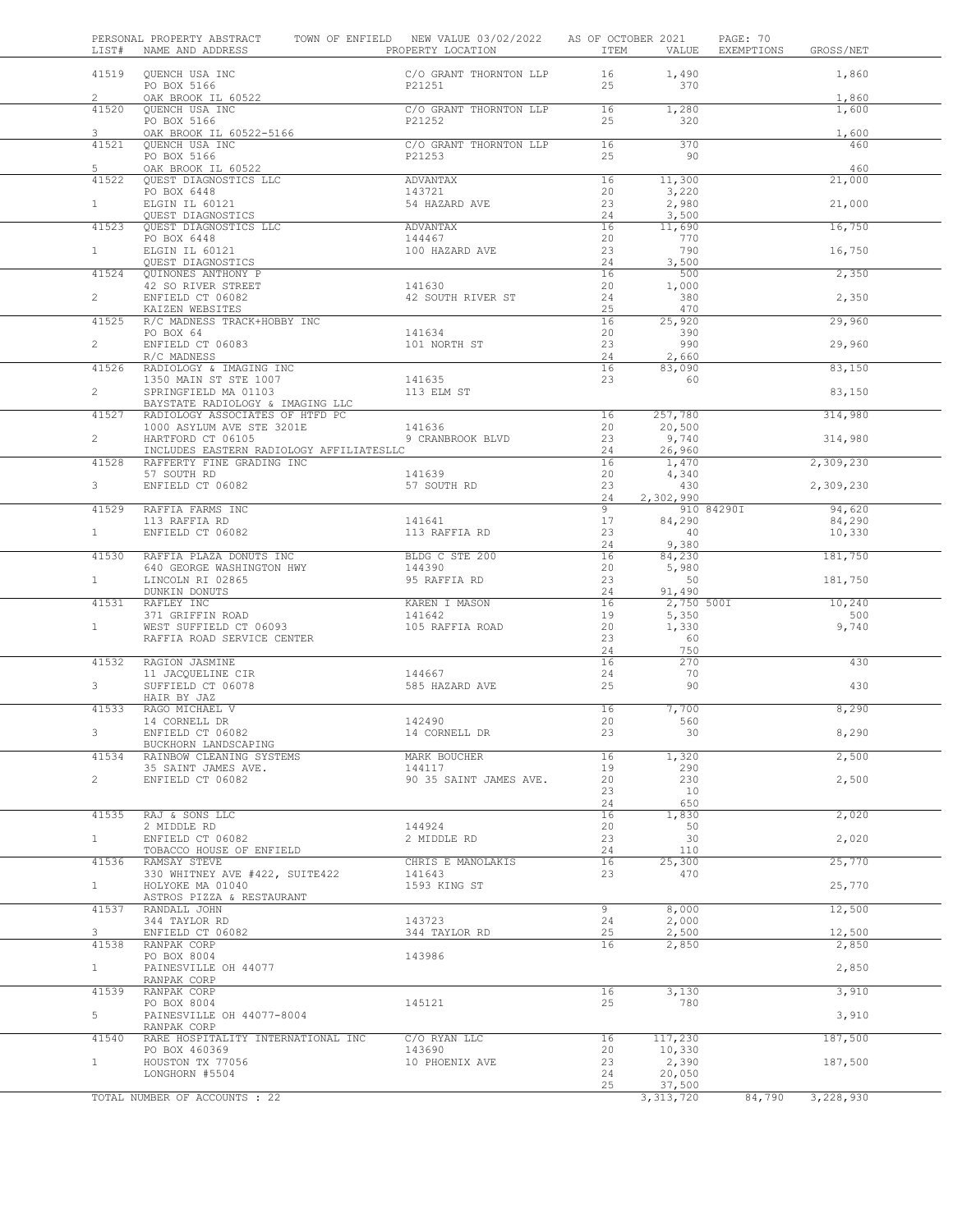| LIST#                   | PERSONAL PROPERTY ABSTRACT<br>NAME AND ADDRESS | TOWN OF ENFIELD NEW VALUE 03/02/2022<br>PROPERTY LOCATION | AS OF OCTOBER 2021<br>ITEM | VALUE               | PAGE: 70<br>EXEMPTIONS | GROSS/NET        |  |
|-------------------------|------------------------------------------------|-----------------------------------------------------------|----------------------------|---------------------|------------------------|------------------|--|
| 41519                   | QUENCH USA INC<br>PO BOX 5166                  | C/O GRANT THORNTON LLP<br>P21251                          | 16<br>25                   | 1,490<br>370        |                        | 1,860            |  |
| $\overline{c}$<br>41520 | OAK BROOK IL 60522<br>QUENCH USA INC           | C/O GRANT THORNTON LLP                                    | 16                         | 1,280               |                        | 1,860<br>1,600   |  |
| 3                       | PO BOX 5166<br>OAK BROOK IL 60522-5166         | P21252                                                    | 25                         | 320                 |                        | 1,600            |  |
| 41521                   | QUENCH USA INC                                 | C/O GRANT THORNTON LLP                                    | 16                         | 370                 |                        | 460              |  |
| 5                       | PO BOX 5166                                    | P21253                                                    | 25                         | 90                  |                        | 460              |  |
| 41522                   | OAK BROOK IL 60522<br>QUEST DIAGNOSTICS LLC    | ADVANTAX                                                  | 16                         | 11,300              |                        | 21,000           |  |
|                         | PO BOX 6448                                    | 143721                                                    | 20                         | 3,220               |                        |                  |  |
| $\mathbf{1}$            | ELGIN IL 60121<br>QUEST DIAGNOSTICS            | 54 HAZARD AVE                                             | 23<br>24                   | 2,980<br>3,500      |                        | 21,000           |  |
| 41523                   | QUEST DIAGNOSTICS LLC                          | ADVANTAX                                                  | 16                         | 11,690              |                        | 16,750           |  |
|                         | PO BOX 6448                                    | 144467                                                    | 20                         | 770                 |                        |                  |  |
| $\mathbf{1}$            | ELGIN IL 60121<br>QUEST DIAGNOSTICS            | 100 HAZARD AVE                                            | 23<br>24                   | 790<br>3,500        |                        | 16,750           |  |
| 41524                   | QUINONES ANTHONY P                             |                                                           | 16                         | 500                 |                        | 2,350            |  |
|                         | 42 SO RIVER STREET                             | 141630                                                    | 20                         | 1,000               |                        |                  |  |
| $\overline{2}$          | ENFIELD CT 06082<br>KAIZEN WEBSITES            | 42 SOUTH RIVER ST                                         | 24<br>25                   | 380<br>470          |                        | 2,350            |  |
| 41525                   | R/C MADNESS TRACK+HOBBY INC                    |                                                           | 16                         | 25,920              |                        | 29,960           |  |
|                         | PO BOX 64                                      | 141634                                                    | 20                         | 390<br>990          |                        |                  |  |
| $\overline{2}$          | ENFIELD CT 06083<br>R/C MADNESS                | 101 NORTH ST                                              | 23<br>24                   | 2,660               |                        | 29,960           |  |
| 41526                   | RADIOLOGY & IMAGING INC                        |                                                           | 16                         | 83,090              |                        | 83,150           |  |
| $\overline{2}$          | 1350 MAIN ST STE 1007<br>SPRINGFIELD MA 01103  | 141635<br>113 ELM ST                                      | 23                         | 60                  |                        | 83,150           |  |
|                         | BAYSTATE RADIOLOGY & IMAGING LLC               |                                                           |                            |                     |                        |                  |  |
| 41527                   | RADIOLOGY ASSOCIATES OF HTFD PC                |                                                           | 16                         | 257,780             |                        | 314,980          |  |
| $\overline{2}$          | 1000 ASYLUM AVE STE 3201E<br>HARTFORD CT 06105 | 141636<br>9 CRANBROOK BLVD                                | 20<br>23                   | 20,500<br>9,740     |                        | 314,980          |  |
|                         | INCLUDES EASTERN RADIOLOGY AFFILIATESLLC       |                                                           | 24                         | 26,960              |                        |                  |  |
| 41528                   | RAFFERTY FINE GRADING INC                      |                                                           | 16                         | 1,470               |                        | 2,309,230        |  |
| 3 <sup>7</sup>          | 57 SOUTH RD<br>ENFIELD CT 06082                | 141639<br>57 SOUTH RD                                     | 20<br>23                   | 4,340<br>430        |                        | 2,309,230        |  |
|                         |                                                |                                                           | 24                         | 2,302,990           |                        |                  |  |
| 41529                   | RAFFIA FARMS INC                               |                                                           | 9                          |                     | 910 84290I             | 94,620           |  |
| 1                       | 113 RAFFIA RD<br>ENFIELD CT 06082              | 141641<br>113 RAFFIA RD                                   | 17<br>23                   | 84,290<br>40        |                        | 84,290<br>10,330 |  |
|                         |                                                |                                                           | 24                         | 9,380               |                        |                  |  |
| 41530                   | RAFFIA PLAZA DONUTS INC                        | BLDG C STE 200                                            | 16                         | 84,230              |                        | 181,750          |  |
| $\mathbf{1}$            | 640 GEORGE WASHINGTON HWY<br>LINCOLN RI 02865  | 144390<br>95 RAFFIA RD                                    | 20<br>23                   | 5,980<br>50         |                        | 181,750          |  |
|                         | DUNKIN DONUTS                                  |                                                           | 24                         | 91,490              |                        |                  |  |
| 41531                   | RAFLEY INC<br>371 GRIFFIN ROAD                 | KAREN I MASON<br>141642                                   | 16<br>19                   | 2,750 500I<br>5,350 |                        | 10,240<br>500    |  |
| $\mathbf{1}$            | WEST SUFFIELD CT 06093                         | 105 RAFFIA ROAD                                           | 20                         | 1,330               |                        | 9,740            |  |
|                         | RAFFIA ROAD SERVICE CENTER                     |                                                           | 23<br>24                   | 60<br>750           |                        |                  |  |
| 41532                   | RAGION JASMINE                                 |                                                           | 16                         | 270                 |                        | 430              |  |
| 3                       | 11 JACQUELINE CIR<br>SUFFIELD CT 06078         | 144667<br>585 HAZARD AVE                                  | 24<br>25                   | 70<br>90            |                        | 430              |  |
|                         | HAIR BY JAZ                                    |                                                           |                            |                     |                        |                  |  |
| 41533                   | RAGO MICHAEL V                                 |                                                           | 16                         | 7,700               |                        | 8,290            |  |
|                         | 14 CORNELL DR<br>ENFIELD CT 06082              | 142490<br>14 CORNELL DR                                   | 20<br>23                   | 560<br>30           |                        | 8,290            |  |
|                         | BUCKHORN LANDSCAPING                           |                                                           |                            |                     |                        |                  |  |
| 41534                   | RAINBOW CLEANING SYSTEMS                       | MARK BOUCHER                                              | 16                         | 1,320<br>290        |                        | 2,500            |  |
| $\overline{2}$          | 35 SAINT JAMES AVE.<br>ENFIELD CT 06082        | 144117<br>90 35 SAINT JAMES AVE.                          | 19<br>20                   | 230                 |                        | 2,500            |  |
|                         |                                                |                                                           | 23                         | 10                  |                        |                  |  |
|                         | 41535 RAJ & SONS LLC                           |                                                           | 24<br>16                   | 650                 |                        | 2,020            |  |
|                         | 2 MIDDLE RD                                    | 144924                                                    | 20                         | 1,830<br>50         |                        |                  |  |
| 1                       | ENFIELD CT 06082                               | 2 MIDDLE RD                                               | 23                         | 30                  |                        | 2,020            |  |
| 41536                   | TOBACCO HOUSE OF ENFIELD<br>RAMSAY STEVE       | CHRIS E MANOLAKIS                                         | 24<br>16                   | 110<br>25,300       |                        | 25,770           |  |
|                         | 330 WHITNEY AVE #422, SUITE422                 | 141643                                                    | 23                         | 470                 |                        |                  |  |
| $\mathbf{1}$            | HOLYOKE MA 01040                               | 1593 KING ST                                              |                            |                     |                        | 25,770           |  |
| 41537                   | ASTROS PIZZA & RESTAURANT<br>RANDALL JOHN      |                                                           | $\overline{9}$             | 8,000               |                        | 12,500           |  |
|                         | 344 TAYLOR RD                                  | 143723                                                    | 24                         | 2,000               |                        |                  |  |
| 3                       | ENFIELD CT 06082                               | 344 TAYLOR RD                                             | 25                         | 2,500               |                        | 12,500           |  |
| 41538                   | RANPAK CORP<br>PO BOX 8004                     | 143986                                                    | 16                         | 2,850               |                        | 2,850            |  |
| $\mathbf{1}$            | PAINESVILLE OH 44077<br>RANPAK CORP            |                                                           |                            |                     |                        | 2,850            |  |
| 41539                   | RANPAK CORP                                    |                                                           | 16                         | 3,130               |                        | 3,910            |  |
|                         | PO BOX 8004                                    | 145121                                                    | 25                         | 780                 |                        |                  |  |
| 5                       | PAINESVILLE OH 44077-8004<br>RANPAK CORP       |                                                           |                            |                     |                        | 3,910            |  |
| 41540                   | RARE HOSPITALITY INTERNATIONAL INC             | C/O RYAN LLC                                              | 16                         | 117,230             |                        | 187,500          |  |
|                         | PO BOX 460369                                  | 143690                                                    | 20                         | 10,330              |                        |                  |  |
| $\mathbf{1}$            | HOUSTON TX 77056<br>LONGHORN #5504             | 10 PHOENIX AVE                                            | 23<br>24                   | 2,390<br>20,050     |                        | 187,500          |  |
|                         |                                                |                                                           | 25                         | 37,500              |                        |                  |  |
|                         | TOTAL NUMBER OF ACCOUNTS : 22                  |                                                           |                            | 3, 313, 720         | 84,790                 | 3,228,930        |  |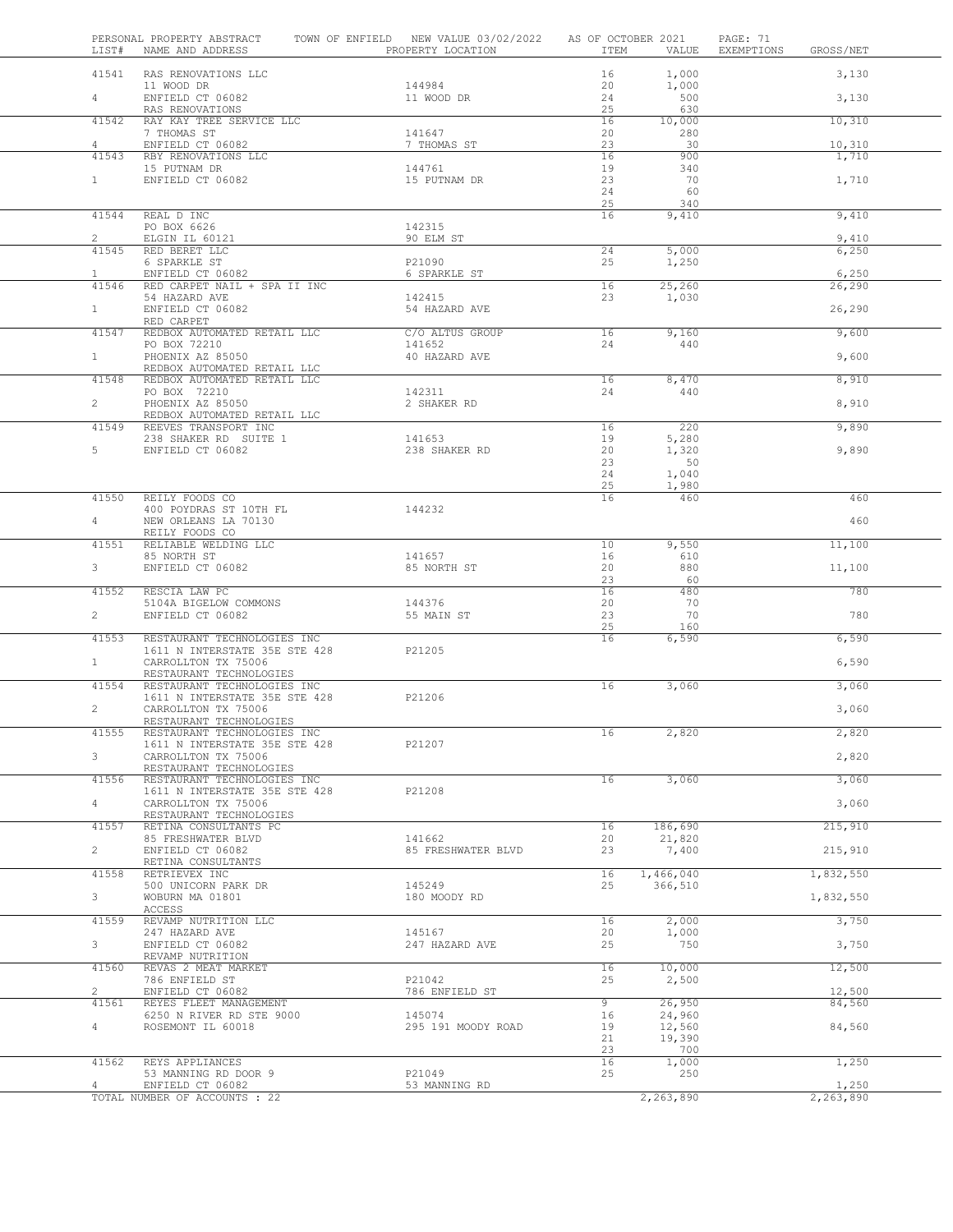|                         | 41541 RAS RENOVATIONS LLC                                    |                          | 16          | 1,000             | 3,130           |  |
|-------------------------|--------------------------------------------------------------|--------------------------|-------------|-------------------|-----------------|--|
|                         | 11 WOOD DR                                                   | 144984                   | 20          | 1,000             |                 |  |
| $4\degree$              | ENFIELD CT 06082<br>RAS RENOVATIONS                          | 11 WOOD DR               | 24<br>25    | 500<br>630        | 3,130           |  |
| 41542                   | RAY KAY TREE SERVICE LLC<br>7 THOMAS ST                      |                          | 16          | 10,000            | 10,310          |  |
| $\overline{4}$          | ENFIELD CT 06082                                             | 141647<br>7 THOMAS ST    | 20<br>23    | 280<br>30         | 10,310          |  |
| 41543                   | RBY RENOVATIONS LLC                                          |                          | 16          | 900               | 1,710           |  |
| 1                       | 15 PUTNAM DR<br>ENFIELD CT 06082                             | 144761<br>15 PUTNAM DR   | 19<br>23    | 340<br>70         | 1,710           |  |
|                         |                                                              |                          | 24          | 60                |                 |  |
| 41544                   | REAL D INC                                                   |                          | 25<br>16    | 340<br>9,410      | 9,410           |  |
|                         | PO BOX 6626                                                  | 142315                   |             |                   |                 |  |
| $\overline{2}$<br>41545 | ELGIN IL 60121<br>RED BERET LLC                              | 90 ELM ST                | 24          | 5,000             | 9,410<br>6,250  |  |
|                         | 6 SPARKLE ST                                                 | P21090                   | 25          | 1,250             |                 |  |
| $\mathbf{1}$<br>41546   | ENFIELD CT 06082<br>RED CARPET NAIL + SPA II INC             | 6 SPARKLE ST             | 16          | 25,260            | 6,250<br>26,290 |  |
|                         | 54 HAZARD AVE                                                | 142415                   | 23          | 1,030             |                 |  |
| 1                       | ENFIELD CT 06082<br>RED CARPET                               | 54 HAZARD AVE            |             |                   | 26,290          |  |
| 41547                   | REDBOX AUTOMATED RETAIL LLC                                  | C/O ALTUS GROUP          | 16          | 9,160             | 9,600           |  |
| 1                       | PO BOX 72210<br>PHOENIX AZ 85050                             | 141652<br>40 HAZARD AVE  | 24          | 440               | 9,600           |  |
|                         | REDBOX AUTOMATED RETAIL LLC                                  |                          |             |                   |                 |  |
| 41548                   | REDBOX AUTOMATED RETAIL LLC<br>PO BOX 72210                  | 142311                   | 16<br>24    | 8,470<br>440      | 8,910           |  |
| $2^{\circ}$             | PHOENIX AZ 85050                                             | 2 SHAKER RD              |             |                   | 8,910           |  |
| 41549                   | REDBOX AUTOMATED RETAIL LLC<br>REEVES TRANSPORT INC          |                          | 16          | 220               | 9,890           |  |
|                         | 238 SHAKER RD SUITE 1                                        | 141653                   | 19          | 5,280             |                 |  |
| $5 -$                   | ENFIELD CT 06082                                             | 238 SHAKER RD            | 20<br>23    | 1,320<br>50       | 9,890           |  |
|                         |                                                              |                          | 24          | 1,040             |                 |  |
| 41550                   | REILY FOODS CO                                               |                          | 25<br>16    | 1,980<br>460      | 460             |  |
|                         | 400 POYDRAS ST 10TH FL                                       | 144232                   |             |                   |                 |  |
| $4 -$                   | NEW ORLEANS LA 70130<br>REILY FOODS CO                       |                          |             |                   | 460             |  |
| 41551                   | RELIABLE WELDING LLC                                         |                          | 10          | 9,550             | 11,100          |  |
| $3^{\circ}$             | 85 NORTH ST<br>ENFIELD CT 06082                              | 141657<br>85 NORTH ST    | 16<br>20    | 610<br>880        | 11,100          |  |
|                         |                                                              |                          | 23          | 60                |                 |  |
| 41552                   | RESCIA LAW PC<br>5104A BIGELOW COMMONS                       | 144376                   | 16<br>20    | 480<br>70         | 780             |  |
| $\overline{a}$          | ENFIELD CT 06082                                             | 55 MAIN ST               | 23          | 70                | 780             |  |
| 41553                   | RESTAURANT TECHNOLOGIES INC                                  |                          | 25<br>16    | 160<br>6,590      | 6,590           |  |
|                         | 1611 N INTERSTATE 35E STE 428 P21205                         |                          |             |                   |                 |  |
| $\mathbf{1}$            | CARROLLTON TX 75006<br>RESTAURANT TECHNOLOGIES               |                          |             |                   | 6,590           |  |
| 41554                   | RESTAURANT TECHNOLOGIES INC                                  |                          | 16          | 3,060             | 3,060           |  |
| $\mathbf{2}$            | 1611 N INTERSTATE 35E STE 428<br>CARROLLTON TX 75006         | P21206                   |             |                   | 3,060           |  |
|                         | RESTAURANT TECHNOLOGIES                                      |                          |             |                   |                 |  |
| 41555                   | RESTAURANT TECHNOLOGIES INC<br>1611 N INTERSTATE 35E STE 428 | P21207                   | 16          | 2,820             | 2,820           |  |
| 3                       | CARROLLTON TX 75006                                          |                          |             |                   | 2,820           |  |
| 41556                   | RESTAURANT TECHNOLOGIES<br>RESTAURANT TECHNOLOGIES INC       |                          | 16          | 3,060             | 3,060           |  |
| $\overline{4}$          | 1611 N INTERSTATE 35E STE 428                                | P21208                   |             |                   | 3,060           |  |
|                         | CARROLLTON TX 75006<br>RESTAURANT TECHNOLOGIES               |                          |             |                   |                 |  |
| 41557                   | RETINA CONSULTANTS PC<br>85 FRESHWATER BLVD                  | 141662                   | 16<br>20    | 186,690<br>21,820 | 215,910         |  |
| $\overline{2}$          | ENFIELD CT 06082                                             | 85 FRESHWATER BLVD       | 23          | 7,400             | 215,910         |  |
| 41558                   | RETINA CONSULTANTS<br>RETRIEVEX INC                          |                          | 16          | 1,466,040         | 1,832,550       |  |
|                         | 500 UNICORN PARK DR                                          | 145249                   | 25          | 366,510           |                 |  |
| 3                       | WOBURN MA 01801<br>ACCESS                                    | 180 MOODY RD             |             |                   | 1,832,550       |  |
| 41559                   | REVAMP NUTRITION LLC                                         |                          | 16          | 2,000             | 3,750           |  |
| 3 <sup>7</sup>          | 247 HAZARD AVE<br>ENFIELD CT 06082                           | 145167<br>247 HAZARD AVE | 20<br>25    | 1,000<br>750      | 3,750           |  |
|                         | REVAMP NUTRITION                                             |                          |             |                   |                 |  |
| 41560                   | REVAS 2 MEAT MARKET<br>786 ENFIELD ST                        | P21042                   | 16<br>25    | 10,000<br>2,500   | 12,500          |  |
| $\overline{2}$          | ENFIELD CT 06082                                             | 786 ENFIELD ST           |             |                   | 12,500          |  |
| 41561                   | REYES FLEET MANAGEMENT<br>6250 N RIVER RD STE 9000           | 145074                   | $9 -$<br>16 | 26,950<br>24,960  | 84,560          |  |
| 4                       | ROSEMONT IL 60018                                            | 295 191 MOODY ROAD       | 19          | 12,560            | 84,560          |  |
|                         |                                                              |                          | 21<br>23    | 19,390<br>700     |                 |  |
| 41562                   | REYS APPLIANCES                                              |                          | 16          | 1,000             | 1,250           |  |
| 4                       | 53 MANNING RD DOOR 9<br>ENFIELD CT 06082                     | P21049<br>53 MANNING RD  | 25          | 250               | 1,250           |  |
|                         | TOTAL NUMBER OF ACCOUNTS : 22                                |                          |             | 2,263,890         | 2,263,890       |  |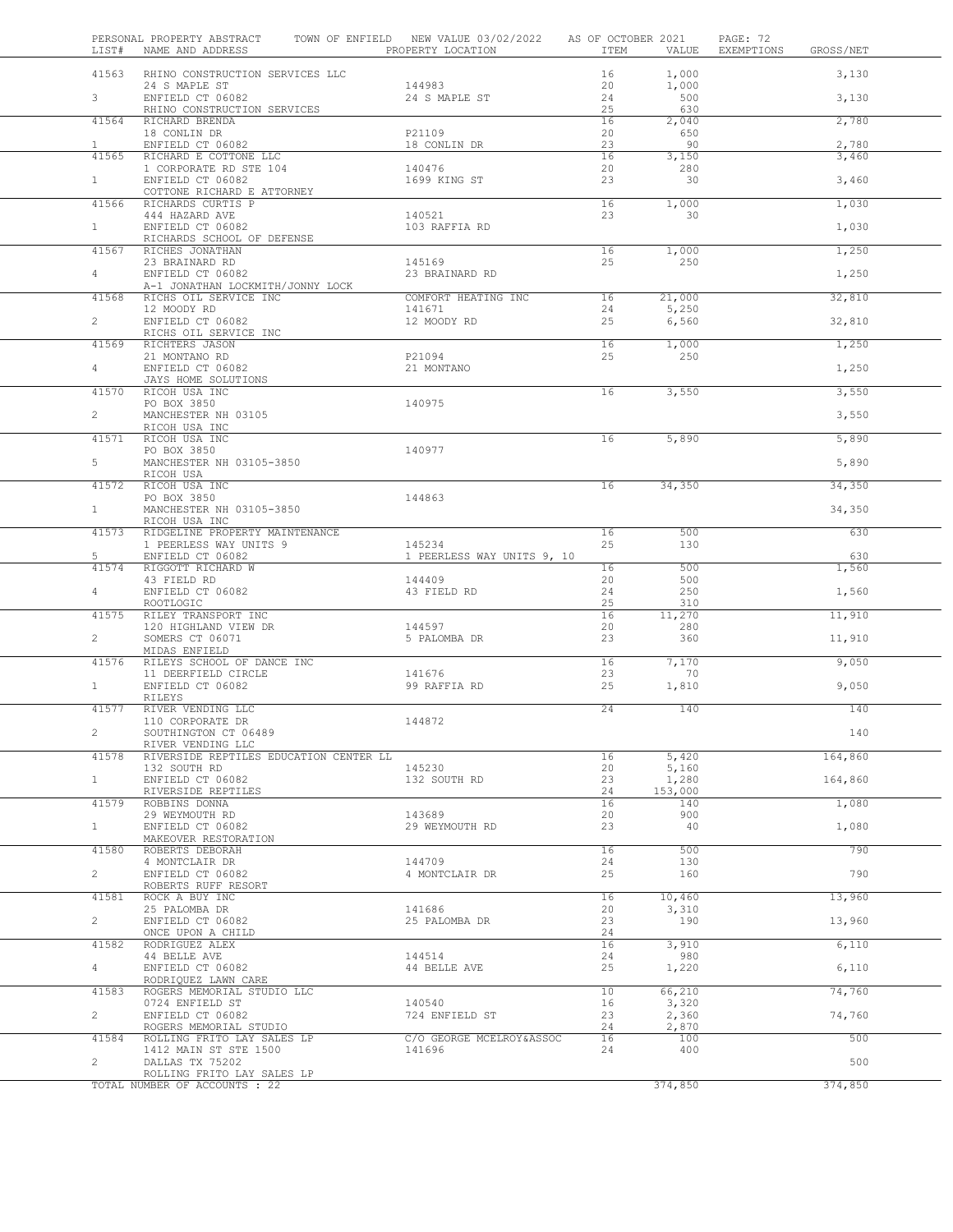| LIST#          | PERSONAL PROPERTY ABSTRACT<br>NAME AND ADDRESS                   | TOWN OF ENFIELD NEW VALUE 03/02/2022<br>PROPERTY LOCATION | AS OF OCTOBER 2021<br>ITEM | VALUE               | PAGE: 72<br>EXEMPTIONS | GROSS/NET |  |
|----------------|------------------------------------------------------------------|-----------------------------------------------------------|----------------------------|---------------------|------------------------|-----------|--|
| 41563          | RHINO CONSTRUCTION SERVICES LLC                                  |                                                           | 16                         | 1,000               |                        | 3,130     |  |
| 3 <sup>7</sup> | 24 S MAPLE ST<br>ENFIELD CT 06082<br>RHINO CONSTRUCTION SERVICES | 144983<br>24 S MAPLE ST                                   | 20<br>24<br>25             | 1,000<br>500<br>630 |                        | 3,130     |  |
| 41564          | RICHARD BRENDA<br>18 CONLIN DR                                   | P21109                                                    | 16<br>20                   | 2,040<br>650        |                        | 2,780     |  |
| $\mathbf{1}$   | ENFIELD CT 06082                                                 | 18 CONLIN DR                                              | 23                         | 90                  |                        | 2,780     |  |
| 41565          | RICHARD E COTTONE LLC                                            |                                                           | 16                         | 3,150               |                        | 3,460     |  |
| 1              | 1 CORPORATE RD STE 104<br>ENFIELD CT 06082                       | 140476<br>1699 KING ST                                    | 20<br>23                   | 280<br>30           |                        | 3,460     |  |
| 41566          | COTTONE RICHARD E ATTORNEY<br>RICHARDS CURTIS P                  |                                                           | 16                         | 1,000               |                        | 1,030     |  |
| $1 -$          | 444 HAZARD AVE<br>ENFIELD CT 06082                               | 140521<br>103 RAFFIA RD                                   | 23                         | 30                  |                        |           |  |
|                | RICHARDS SCHOOL OF DEFENSE                                       |                                                           |                            |                     |                        | 1,030     |  |
| 41567          | RICHES JONATHAN<br>23 BRAINARD RD                                | 145169                                                    | 16<br>25                   | 1,000<br>250        |                        | 1,250     |  |
| 4              | ENFIELD CT 06082<br>A-1 JONATHAN LOCKMITH/JONNY LOCK             | 23 BRAINARD RD                                            |                            |                     |                        | 1,250     |  |
| 41568          | RICHS OIL SERVICE INC                                            | COMFORT HEATING INC                                       | 16                         | 21,000              |                        | 32,810    |  |
| $\overline{2}$ | 12 MOODY RD<br>ENFIELD CT 06082                                  | 141671<br>12 MOODY RD                                     | 24<br>25                   | 5,250<br>6,560      |                        | 32,810    |  |
|                | RICHS OIL SERVICE INC                                            |                                                           |                            |                     |                        |           |  |
| 41569          | RICHTERS JASON<br>21 MONTANO RD                                  | P21094                                                    | 16<br>25                   | 1,000<br>250        |                        | 1,250     |  |
| 4              | ENFIELD CT 06082<br>JAYS HOME SOLUTIONS                          | 21 MONTANO                                                |                            |                     |                        | 1,250     |  |
| 41570          | RICOH USA INC                                                    |                                                           | 16                         | 3,550               |                        | 3,550     |  |
| $\overline{2}$ | PO BOX 3850<br>MANCHESTER NH 03105                               | 140975                                                    |                            |                     |                        | 3,550     |  |
| 41571          | RICOH USA INC<br>RICOH USA INC                                   |                                                           | 16                         | 5,890               |                        | 5,890     |  |
| 5              | PO BOX 3850<br>MANCHESTER NH 03105-3850                          | 140977                                                    |                            |                     |                        | 5,890     |  |
|                | RICOH USA                                                        |                                                           |                            |                     |                        |           |  |
| 41572          | RICOH USA INC<br>PO BOX 3850                                     | 144863                                                    | 16                         | 34,350              |                        | 34,350    |  |
| $\mathbf{1}$   | MANCHESTER NH 03105-3850<br>RICOH USA INC                        |                                                           |                            |                     |                        | 34,350    |  |
| 41573          | RIDGELINE PROPERTY MAINTENANCE<br>1 PEERLESS WAY UNITS 9         | 145234                                                    | 16                         | 500                 |                        | 630       |  |
| 5              | ENFIELD CT 06082                                                 | 1 PEERLESS WAY UNITS 9, 10                                | 25                         | 130                 |                        | 630       |  |
| 41574          | RIGGOTT RICHARD W<br>43 FIELD RD                                 | 144409                                                    | 16<br>20                   | 500<br>500          |                        | 1,560     |  |
| 4              | ENFIELD CT 06082<br>ROOTLOGIC                                    | 43 FIELD RD                                               | 24<br>25                   | 250<br>310          |                        | 1,560     |  |
| 41575          | RILEY TRANSPORT INC                                              |                                                           | 16                         | 11,270              |                        | 11,910    |  |
| $\overline{2}$ | 120 HIGHLAND VIEW DR<br>SOMERS CT 06071<br>MIDAS ENFIELD         | 144597<br>5 PALOMBA DR                                    | 20<br>23                   | 280<br>360          |                        | 11,910    |  |
| 41576          | RILEYS SCHOOL OF DANCE INC                                       |                                                           | 16                         | 7,170               |                        | 9,050     |  |
| $\mathbf{1}$   | 11 DEERFIELD CIRCLE<br>ENFIELD CT 06082                          | 141676<br>99 RAFFIA RD                                    | 23<br>25                   | 70<br>1,810         |                        | 9,050     |  |
| 41577          | RILEYS<br>RIVER VENDING LLC                                      |                                                           | 24                         | 140                 |                        | 140       |  |
|                | 110 CORPORATE DR<br>SOUTHINGTON CT 06489                         | 144872                                                    |                            |                     |                        | 140       |  |
|                | RIVER VENDING LLC                                                |                                                           |                            |                     |                        |           |  |
| 41578          | RIVERSIDE REPTILES EDUCATION CENTER LL                           |                                                           | 16                         | 5,420               |                        | 164,860   |  |
| $\mathbf{1}$   | 132 SOUTH RD<br>ENFIELD CT 06082                                 | 145230<br>132 SOUTH RD                                    | 20<br>23                   | 5,160<br>1,280      |                        | 164,860   |  |
| 41579          | RIVERSIDE REPTILES<br>ROBBINS DONNA                              |                                                           | 24<br>16                   | 153,000<br>140      |                        | 1,080     |  |
|                | 29 WEYMOUTH RD                                                   | 143689                                                    | 20                         | 900                 |                        |           |  |
| $\mathbf{1}$   | ENFIELD CT 06082<br>MAKEOVER RESTORATION                         | 29 WEYMOUTH RD                                            | 23                         | 40                  |                        | 1,080     |  |
| 41580          | ROBERTS DEBORAH<br>4 MONTCLAIR DR                                | 144709                                                    | 16<br>24                   | 500<br>130          |                        | 790       |  |
| $\overline{2}$ | ENFIELD CT 06082                                                 | 4 MONTCLAIR DR                                            | 25                         | 160                 |                        | 790       |  |
| 41581          | ROBERTS RUFF RESORT<br>ROCK A BUY INC                            |                                                           | 16                         | 10,460              |                        | 13,960    |  |
| $\overline{c}$ | 25 PALOMBA DR<br>ENFIELD CT 06082                                | 141686<br>25 PALOMBA DR                                   | 20<br>23                   | 3,310<br>190        |                        | 13,960    |  |
| 41582          | ONCE UPON A CHILD<br>RODRIGUEZ ALEX                              |                                                           | 24<br>16                   | 3,910               |                        | 6,110     |  |
|                | 44 BELLE AVE                                                     | 144514                                                    | 24                         | 980                 |                        |           |  |
| $\overline{4}$ | ENFIELD CT 06082<br>RODRIQUEZ LAWN CARE                          | 44 BELLE AVE                                              | 25                         | 1,220               |                        | 6,110     |  |
| 41583          | ROGERS MEMORIAL STUDIO LLC<br>0724 ENFIELD ST                    | 140540                                                    | 10<br>16                   | 66,210<br>3,320     |                        | 74,760    |  |
| $\overline{2}$ | ENFIELD CT 06082<br>ROGERS MEMORIAL STUDIO                       | 724 ENFIELD ST                                            | 23<br>24                   | 2,360<br>2,870      |                        | 74,760    |  |
| 41584          | ROLLING FRITO LAY SALES LP                                       | C/O GEORGE MCELROY&ASSOC                                  | 16                         | 100                 |                        | 500       |  |
| $\overline{c}$ | 1412 MAIN ST STE 1500<br>DALLAS TX 75202                         | 141696                                                    | 24                         | 400                 |                        | 500       |  |
|                | ROLLING FRITO LAY SALES LP<br>TOTAL NUMBER OF ACCOUNTS : 22      |                                                           |                            | 374,850             |                        | 374,850   |  |
|                |                                                                  |                                                           |                            |                     |                        |           |  |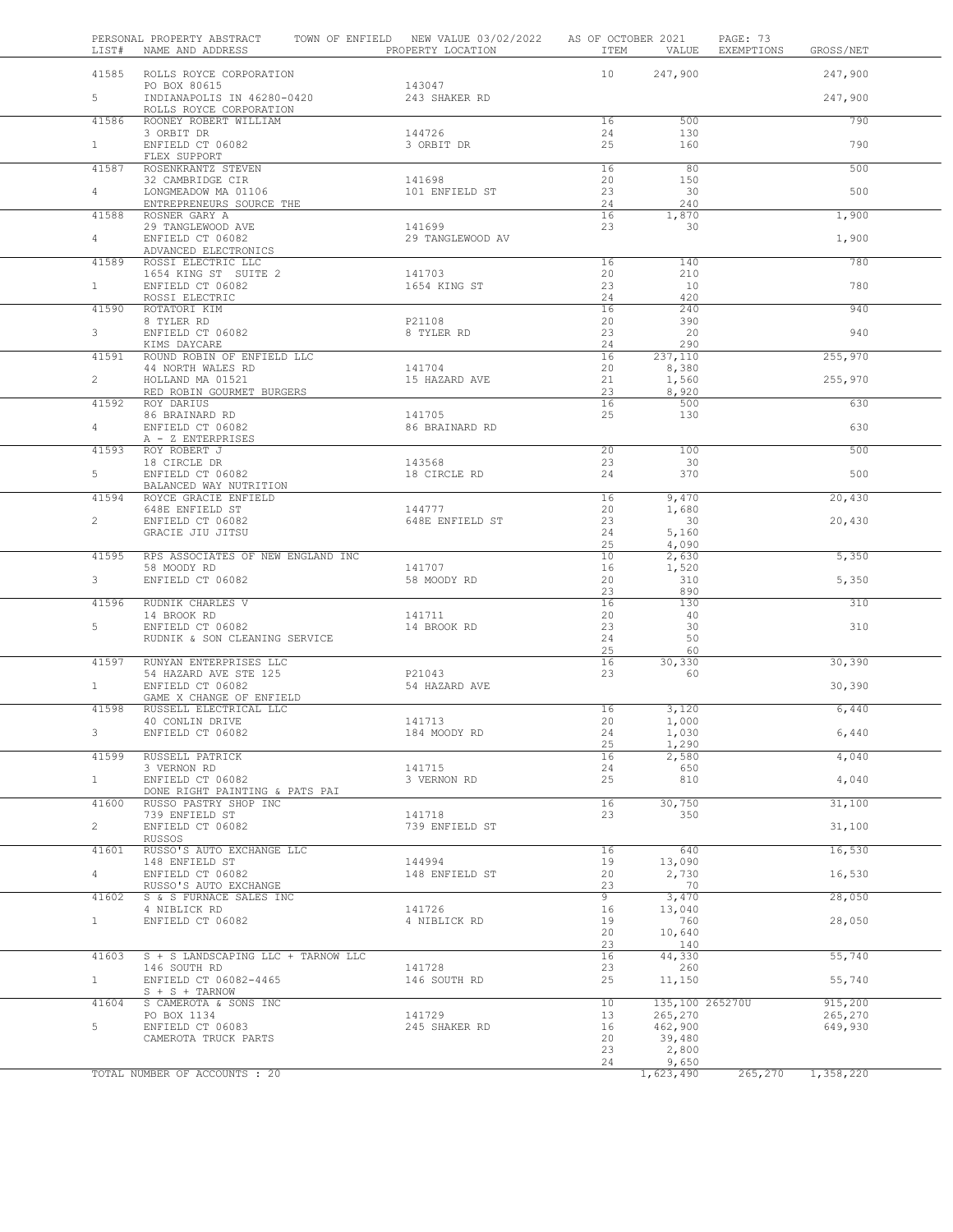| 41585 ROLLS ROYCE CORPORATION<br>10<br>247,900<br>247,900<br>PO BOX 80615<br>143047<br>$5-1$<br>INDIANAPOLIS IN 46280-0420<br>243 SHAKER RD<br>247,900<br>ROLLS ROYCE CORPORATION<br>41586<br>790<br>ROONEY ROBERT WILLIAM<br>16<br>500<br>144726<br>130<br>3 ORBIT DR<br>24<br>1<br>ENFIELD CT 06082<br>25<br>3 ORBIT DR<br>160<br>790<br>FLEX SUPPORT<br>ROSENKRANTZ STEVEN<br>80<br>500<br>41587<br>16<br>20<br>150<br>32 CAMBRIDGE CIR<br>141698<br>23<br>500<br>4<br>LONGMEADOW MA 01106<br>101 ENFIELD ST<br>30<br>ENTREPRENEURS SOURCE THE<br>24<br>240<br>41588<br>16<br>1,870<br>1,900<br>ROSNER GARY A<br>29 TANGLEWOOD AVE<br>141699<br>23<br>30<br>4<br>ENFIELD CT 06082<br>29 TANGLEWOOD AV<br>1,900<br>ADVANCED ELECTRONICS<br>ROSSI ELECTRIC LLC<br>780<br>41589<br>16<br>140<br>1654 KING ST SUITE 2<br>141703<br>20<br>210<br>1<br>ENFIELD CT 06082<br>1654 KING ST<br>23<br>10<br>780<br>ROSSI ELECTRIC<br>24<br>420<br>41590<br>16<br>240<br>940<br>ROTATORI KIM<br>8 TYLER RD<br>P21108<br>20<br>390<br>3<br>ENFIELD CT 06082<br>8 TYLER RD<br>23<br>20<br>940<br>KIMS DAYCARE<br>24<br>290<br>ROUND ROBIN OF ENFIELD LLC<br>41591<br>16<br>237,110<br>255,970<br>44 NORTH WALES RD<br>141704<br>20<br>8,380<br>$\overline{2}$<br>HOLLAND MA 01521<br>15 HAZARD AVE<br>21<br>1,560<br>255,970<br>RED ROBIN GOURMET BURGERS<br>23<br>8,920<br>41592<br>16<br>500<br>630<br>ROY DARIUS<br>86 BRAINARD RD<br>141705<br>25<br>130<br>630<br>4<br>ENFIELD CT 06082<br>86 BRAINARD RD<br>A - Z ENTERPRISES<br>20<br>100<br>500<br>41593<br>ROY ROBERT J<br>18 CIRCLE DR<br>143568<br>23<br>30<br>5<br>ENFIELD CT 06082<br>24<br>370<br>500<br>18 CIRCLE RD<br>BALANCED WAY NUTRITION<br>41594<br>16<br>9,470<br>ROYCE GRACIE ENFIELD<br>20,430<br>144777<br>20<br>1,680<br>648E ENFIELD ST<br>$\overline{2}$<br>23<br>30<br>ENFIELD CT 06082<br>648E ENFIELD ST<br>20,430<br>GRACIE JIU JITSU<br>24<br>5,160<br>25<br>4,090<br>41595<br>RPS ASSOCIATES OF NEW ENGLAND INC<br>10<br>2,630<br>5,350<br>58 MOODY RD<br>141707<br>16<br>1,520<br>3<br>ENFIELD CT 06082<br>58 MOODY RD<br>20<br>310<br>5,350<br>23<br>890<br>16<br>130<br>41596<br>RUDNIK CHARLES V<br>310<br>14 BROOK RD<br>141711<br>20<br>40<br>5<br>30<br>ENFIELD CT 06082<br>14 BROOK RD<br>23<br>310<br>RUDNIK & SON CLEANING SERVICE<br>24<br>50<br>25<br>60<br>30, 330<br>RUNYAN ENTERPRISES LLC<br>30,390<br>41597<br>16<br>54 HAZARD AVE STE 125<br>P21043<br>23<br>60<br>1<br>ENFIELD CT 06082<br>54 HAZARD AVE<br>30,390<br>GAME X CHANGE OF ENFIELD<br>41598<br>RUSSELL ELECTRICAL LLC<br>16<br>3,120<br>6,440<br>141713<br>40 CONLIN DRIVE<br>20<br>1,000<br>6,440<br>1,030<br>ENFIELD CT 06082<br>184 MOODY RD<br>24<br>3<br>25<br>1,290<br>16<br>4,040<br>41599<br>RUSSELL PATRICK<br>2,580<br>141715<br>24<br>650<br>3 VERNON RD<br>ENFIELD CT 06082<br>25<br>1<br>3 VERNON RD<br>810<br>4,040<br>DONE RIGHT PAINTING & PATS PAI<br>41600<br>30,750<br>RUSSO PASTRY SHOP INC<br>16<br>31,100<br>350<br>739 ENFIELD ST<br>141718<br>23<br>$\overline{2}$<br>ENFIELD CT 06082<br>739 ENFIELD ST<br>31,100<br>RUSSOS<br>41601<br>RUSSO'S AUTO EXCHANGE LLC<br>16<br>640<br>16,530<br>148 ENFIELD ST<br>144994<br>19<br>13,090<br>$4 -$<br>ENFIELD CT 06082<br>148 ENFIELD ST<br>2,730<br>16,530<br>20<br>RUSSO'S AUTO EXCHANGE<br>23<br>70<br>$\overline{9}$<br>3,470<br>41602<br>S & S FURNACE SALES INC<br>28,050<br>141726<br>16<br>4 NIBLICK RD<br>13,040<br>1<br>ENFIELD CT 06082<br>4 NIBLICK RD<br>19<br>760<br>28,050<br>20<br>10,640<br>23<br>140<br>41603<br>S + S LANDSCAPING LLC + TARNOW LLC<br>16<br>44,330<br>55,740<br>146 SOUTH RD<br>141728<br>23<br>260<br>25<br>1<br>ENFIELD CT 06082-4465<br>146 SOUTH RD<br>11,150<br>55,740<br>$S + S + TARNOW$<br>S CAMEROTA & SONS INC<br>10<br>135,100 265270U<br>915,200<br>41604<br>141729<br>PO BOX 1134<br>13<br>265,270<br>265,270<br>5<br>ENFIELD CT 06083<br>245 SHAKER RD<br>16<br>462,900<br>649,930<br>39,480<br>CAMEROTA TRUCK PARTS<br>20<br>23<br>2,800<br>24<br>9,650<br>TOTAL NUMBER OF ACCOUNTS : 20 | LIST# | PERSONAL PROPERTY ABSTRACT<br>NAME AND ADDRESS | TOWN OF ENFIELD NEW VALUE 03/02/2022<br>PROPERTY LOCATION | AS OF OCTOBER 2021<br>ITEM | VALUE     | PAGE: 73<br>EXEMPTIONS | GROSS/NET |
|-----------------------------------------------------------------------------------------------------------------------------------------------------------------------------------------------------------------------------------------------------------------------------------------------------------------------------------------------------------------------------------------------------------------------------------------------------------------------------------------------------------------------------------------------------------------------------------------------------------------------------------------------------------------------------------------------------------------------------------------------------------------------------------------------------------------------------------------------------------------------------------------------------------------------------------------------------------------------------------------------------------------------------------------------------------------------------------------------------------------------------------------------------------------------------------------------------------------------------------------------------------------------------------------------------------------------------------------------------------------------------------------------------------------------------------------------------------------------------------------------------------------------------------------------------------------------------------------------------------------------------------------------------------------------------------------------------------------------------------------------------------------------------------------------------------------------------------------------------------------------------------------------------------------------------------------------------------------------------------------------------------------------------------------------------------------------------------------------------------------------------------------------------------------------------------------------------------------------------------------------------------------------------------------------------------------------------------------------------------------------------------------------------------------------------------------------------------------------------------------------------------------------------------------------------------------------------------------------------------------------------------------------------------------------------------------------------------------------------------------------------------------------------------------------------------------------------------------------------------------------------------------------------------------------------------------------------------------------------------------------------------------------------------------------------------------------------------------------------------------------------------------------------------------------------------------------------------------------------------------------------------------------------------------------------------------------------------------------------------------------------------------------------------------------------------------------------------------------------------------------------------------------------------------------------------------------------------------------------------------------------------------------------------------------------------------------------------------------------------------------------------------------------------------------------------------------------------------------------------------------------------------------------------------------------------------------------------------------------------------------------------------------------------------------------------------------|-------|------------------------------------------------|-----------------------------------------------------------|----------------------------|-----------|------------------------|-----------|
|                                                                                                                                                                                                                                                                                                                                                                                                                                                                                                                                                                                                                                                                                                                                                                                                                                                                                                                                                                                                                                                                                                                                                                                                                                                                                                                                                                                                                                                                                                                                                                                                                                                                                                                                                                                                                                                                                                                                                                                                                                                                                                                                                                                                                                                                                                                                                                                                                                                                                                                                                                                                                                                                                                                                                                                                                                                                                                                                                                                                                                                                                                                                                                                                                                                                                                                                                                                                                                                                                                                                                                                                                                                                                                                                                                                                                                                                                                                                                                                                                                                                       |       |                                                |                                                           |                            |           |                        |           |
|                                                                                                                                                                                                                                                                                                                                                                                                                                                                                                                                                                                                                                                                                                                                                                                                                                                                                                                                                                                                                                                                                                                                                                                                                                                                                                                                                                                                                                                                                                                                                                                                                                                                                                                                                                                                                                                                                                                                                                                                                                                                                                                                                                                                                                                                                                                                                                                                                                                                                                                                                                                                                                                                                                                                                                                                                                                                                                                                                                                                                                                                                                                                                                                                                                                                                                                                                                                                                                                                                                                                                                                                                                                                                                                                                                                                                                                                                                                                                                                                                                                                       |       |                                                |                                                           |                            |           |                        |           |
|                                                                                                                                                                                                                                                                                                                                                                                                                                                                                                                                                                                                                                                                                                                                                                                                                                                                                                                                                                                                                                                                                                                                                                                                                                                                                                                                                                                                                                                                                                                                                                                                                                                                                                                                                                                                                                                                                                                                                                                                                                                                                                                                                                                                                                                                                                                                                                                                                                                                                                                                                                                                                                                                                                                                                                                                                                                                                                                                                                                                                                                                                                                                                                                                                                                                                                                                                                                                                                                                                                                                                                                                                                                                                                                                                                                                                                                                                                                                                                                                                                                                       |       |                                                |                                                           |                            |           |                        |           |
|                                                                                                                                                                                                                                                                                                                                                                                                                                                                                                                                                                                                                                                                                                                                                                                                                                                                                                                                                                                                                                                                                                                                                                                                                                                                                                                                                                                                                                                                                                                                                                                                                                                                                                                                                                                                                                                                                                                                                                                                                                                                                                                                                                                                                                                                                                                                                                                                                                                                                                                                                                                                                                                                                                                                                                                                                                                                                                                                                                                                                                                                                                                                                                                                                                                                                                                                                                                                                                                                                                                                                                                                                                                                                                                                                                                                                                                                                                                                                                                                                                                                       |       |                                                |                                                           |                            |           |                        |           |
|                                                                                                                                                                                                                                                                                                                                                                                                                                                                                                                                                                                                                                                                                                                                                                                                                                                                                                                                                                                                                                                                                                                                                                                                                                                                                                                                                                                                                                                                                                                                                                                                                                                                                                                                                                                                                                                                                                                                                                                                                                                                                                                                                                                                                                                                                                                                                                                                                                                                                                                                                                                                                                                                                                                                                                                                                                                                                                                                                                                                                                                                                                                                                                                                                                                                                                                                                                                                                                                                                                                                                                                                                                                                                                                                                                                                                                                                                                                                                                                                                                                                       |       |                                                |                                                           |                            |           |                        |           |
|                                                                                                                                                                                                                                                                                                                                                                                                                                                                                                                                                                                                                                                                                                                                                                                                                                                                                                                                                                                                                                                                                                                                                                                                                                                                                                                                                                                                                                                                                                                                                                                                                                                                                                                                                                                                                                                                                                                                                                                                                                                                                                                                                                                                                                                                                                                                                                                                                                                                                                                                                                                                                                                                                                                                                                                                                                                                                                                                                                                                                                                                                                                                                                                                                                                                                                                                                                                                                                                                                                                                                                                                                                                                                                                                                                                                                                                                                                                                                                                                                                                                       |       |                                                |                                                           |                            |           |                        |           |
|                                                                                                                                                                                                                                                                                                                                                                                                                                                                                                                                                                                                                                                                                                                                                                                                                                                                                                                                                                                                                                                                                                                                                                                                                                                                                                                                                                                                                                                                                                                                                                                                                                                                                                                                                                                                                                                                                                                                                                                                                                                                                                                                                                                                                                                                                                                                                                                                                                                                                                                                                                                                                                                                                                                                                                                                                                                                                                                                                                                                                                                                                                                                                                                                                                                                                                                                                                                                                                                                                                                                                                                                                                                                                                                                                                                                                                                                                                                                                                                                                                                                       |       |                                                |                                                           |                            |           |                        |           |
|                                                                                                                                                                                                                                                                                                                                                                                                                                                                                                                                                                                                                                                                                                                                                                                                                                                                                                                                                                                                                                                                                                                                                                                                                                                                                                                                                                                                                                                                                                                                                                                                                                                                                                                                                                                                                                                                                                                                                                                                                                                                                                                                                                                                                                                                                                                                                                                                                                                                                                                                                                                                                                                                                                                                                                                                                                                                                                                                                                                                                                                                                                                                                                                                                                                                                                                                                                                                                                                                                                                                                                                                                                                                                                                                                                                                                                                                                                                                                                                                                                                                       |       |                                                |                                                           |                            |           |                        |           |
|                                                                                                                                                                                                                                                                                                                                                                                                                                                                                                                                                                                                                                                                                                                                                                                                                                                                                                                                                                                                                                                                                                                                                                                                                                                                                                                                                                                                                                                                                                                                                                                                                                                                                                                                                                                                                                                                                                                                                                                                                                                                                                                                                                                                                                                                                                                                                                                                                                                                                                                                                                                                                                                                                                                                                                                                                                                                                                                                                                                                                                                                                                                                                                                                                                                                                                                                                                                                                                                                                                                                                                                                                                                                                                                                                                                                                                                                                                                                                                                                                                                                       |       |                                                |                                                           |                            |           |                        |           |
|                                                                                                                                                                                                                                                                                                                                                                                                                                                                                                                                                                                                                                                                                                                                                                                                                                                                                                                                                                                                                                                                                                                                                                                                                                                                                                                                                                                                                                                                                                                                                                                                                                                                                                                                                                                                                                                                                                                                                                                                                                                                                                                                                                                                                                                                                                                                                                                                                                                                                                                                                                                                                                                                                                                                                                                                                                                                                                                                                                                                                                                                                                                                                                                                                                                                                                                                                                                                                                                                                                                                                                                                                                                                                                                                                                                                                                                                                                                                                                                                                                                                       |       |                                                |                                                           |                            |           |                        |           |
|                                                                                                                                                                                                                                                                                                                                                                                                                                                                                                                                                                                                                                                                                                                                                                                                                                                                                                                                                                                                                                                                                                                                                                                                                                                                                                                                                                                                                                                                                                                                                                                                                                                                                                                                                                                                                                                                                                                                                                                                                                                                                                                                                                                                                                                                                                                                                                                                                                                                                                                                                                                                                                                                                                                                                                                                                                                                                                                                                                                                                                                                                                                                                                                                                                                                                                                                                                                                                                                                                                                                                                                                                                                                                                                                                                                                                                                                                                                                                                                                                                                                       |       |                                                |                                                           |                            |           |                        |           |
|                                                                                                                                                                                                                                                                                                                                                                                                                                                                                                                                                                                                                                                                                                                                                                                                                                                                                                                                                                                                                                                                                                                                                                                                                                                                                                                                                                                                                                                                                                                                                                                                                                                                                                                                                                                                                                                                                                                                                                                                                                                                                                                                                                                                                                                                                                                                                                                                                                                                                                                                                                                                                                                                                                                                                                                                                                                                                                                                                                                                                                                                                                                                                                                                                                                                                                                                                                                                                                                                                                                                                                                                                                                                                                                                                                                                                                                                                                                                                                                                                                                                       |       |                                                |                                                           |                            |           |                        |           |
|                                                                                                                                                                                                                                                                                                                                                                                                                                                                                                                                                                                                                                                                                                                                                                                                                                                                                                                                                                                                                                                                                                                                                                                                                                                                                                                                                                                                                                                                                                                                                                                                                                                                                                                                                                                                                                                                                                                                                                                                                                                                                                                                                                                                                                                                                                                                                                                                                                                                                                                                                                                                                                                                                                                                                                                                                                                                                                                                                                                                                                                                                                                                                                                                                                                                                                                                                                                                                                                                                                                                                                                                                                                                                                                                                                                                                                                                                                                                                                                                                                                                       |       |                                                |                                                           |                            |           |                        |           |
|                                                                                                                                                                                                                                                                                                                                                                                                                                                                                                                                                                                                                                                                                                                                                                                                                                                                                                                                                                                                                                                                                                                                                                                                                                                                                                                                                                                                                                                                                                                                                                                                                                                                                                                                                                                                                                                                                                                                                                                                                                                                                                                                                                                                                                                                                                                                                                                                                                                                                                                                                                                                                                                                                                                                                                                                                                                                                                                                                                                                                                                                                                                                                                                                                                                                                                                                                                                                                                                                                                                                                                                                                                                                                                                                                                                                                                                                                                                                                                                                                                                                       |       |                                                |                                                           |                            |           |                        |           |
|                                                                                                                                                                                                                                                                                                                                                                                                                                                                                                                                                                                                                                                                                                                                                                                                                                                                                                                                                                                                                                                                                                                                                                                                                                                                                                                                                                                                                                                                                                                                                                                                                                                                                                                                                                                                                                                                                                                                                                                                                                                                                                                                                                                                                                                                                                                                                                                                                                                                                                                                                                                                                                                                                                                                                                                                                                                                                                                                                                                                                                                                                                                                                                                                                                                                                                                                                                                                                                                                                                                                                                                                                                                                                                                                                                                                                                                                                                                                                                                                                                                                       |       |                                                |                                                           |                            |           |                        |           |
|                                                                                                                                                                                                                                                                                                                                                                                                                                                                                                                                                                                                                                                                                                                                                                                                                                                                                                                                                                                                                                                                                                                                                                                                                                                                                                                                                                                                                                                                                                                                                                                                                                                                                                                                                                                                                                                                                                                                                                                                                                                                                                                                                                                                                                                                                                                                                                                                                                                                                                                                                                                                                                                                                                                                                                                                                                                                                                                                                                                                                                                                                                                                                                                                                                                                                                                                                                                                                                                                                                                                                                                                                                                                                                                                                                                                                                                                                                                                                                                                                                                                       |       |                                                |                                                           |                            |           |                        |           |
|                                                                                                                                                                                                                                                                                                                                                                                                                                                                                                                                                                                                                                                                                                                                                                                                                                                                                                                                                                                                                                                                                                                                                                                                                                                                                                                                                                                                                                                                                                                                                                                                                                                                                                                                                                                                                                                                                                                                                                                                                                                                                                                                                                                                                                                                                                                                                                                                                                                                                                                                                                                                                                                                                                                                                                                                                                                                                                                                                                                                                                                                                                                                                                                                                                                                                                                                                                                                                                                                                                                                                                                                                                                                                                                                                                                                                                                                                                                                                                                                                                                                       |       |                                                |                                                           |                            |           |                        |           |
|                                                                                                                                                                                                                                                                                                                                                                                                                                                                                                                                                                                                                                                                                                                                                                                                                                                                                                                                                                                                                                                                                                                                                                                                                                                                                                                                                                                                                                                                                                                                                                                                                                                                                                                                                                                                                                                                                                                                                                                                                                                                                                                                                                                                                                                                                                                                                                                                                                                                                                                                                                                                                                                                                                                                                                                                                                                                                                                                                                                                                                                                                                                                                                                                                                                                                                                                                                                                                                                                                                                                                                                                                                                                                                                                                                                                                                                                                                                                                                                                                                                                       |       |                                                |                                                           |                            |           |                        |           |
|                                                                                                                                                                                                                                                                                                                                                                                                                                                                                                                                                                                                                                                                                                                                                                                                                                                                                                                                                                                                                                                                                                                                                                                                                                                                                                                                                                                                                                                                                                                                                                                                                                                                                                                                                                                                                                                                                                                                                                                                                                                                                                                                                                                                                                                                                                                                                                                                                                                                                                                                                                                                                                                                                                                                                                                                                                                                                                                                                                                                                                                                                                                                                                                                                                                                                                                                                                                                                                                                                                                                                                                                                                                                                                                                                                                                                                                                                                                                                                                                                                                                       |       |                                                |                                                           |                            |           |                        |           |
|                                                                                                                                                                                                                                                                                                                                                                                                                                                                                                                                                                                                                                                                                                                                                                                                                                                                                                                                                                                                                                                                                                                                                                                                                                                                                                                                                                                                                                                                                                                                                                                                                                                                                                                                                                                                                                                                                                                                                                                                                                                                                                                                                                                                                                                                                                                                                                                                                                                                                                                                                                                                                                                                                                                                                                                                                                                                                                                                                                                                                                                                                                                                                                                                                                                                                                                                                                                                                                                                                                                                                                                                                                                                                                                                                                                                                                                                                                                                                                                                                                                                       |       |                                                |                                                           |                            |           |                        |           |
|                                                                                                                                                                                                                                                                                                                                                                                                                                                                                                                                                                                                                                                                                                                                                                                                                                                                                                                                                                                                                                                                                                                                                                                                                                                                                                                                                                                                                                                                                                                                                                                                                                                                                                                                                                                                                                                                                                                                                                                                                                                                                                                                                                                                                                                                                                                                                                                                                                                                                                                                                                                                                                                                                                                                                                                                                                                                                                                                                                                                                                                                                                                                                                                                                                                                                                                                                                                                                                                                                                                                                                                                                                                                                                                                                                                                                                                                                                                                                                                                                                                                       |       |                                                |                                                           |                            |           |                        |           |
|                                                                                                                                                                                                                                                                                                                                                                                                                                                                                                                                                                                                                                                                                                                                                                                                                                                                                                                                                                                                                                                                                                                                                                                                                                                                                                                                                                                                                                                                                                                                                                                                                                                                                                                                                                                                                                                                                                                                                                                                                                                                                                                                                                                                                                                                                                                                                                                                                                                                                                                                                                                                                                                                                                                                                                                                                                                                                                                                                                                                                                                                                                                                                                                                                                                                                                                                                                                                                                                                                                                                                                                                                                                                                                                                                                                                                                                                                                                                                                                                                                                                       |       |                                                |                                                           |                            |           |                        |           |
|                                                                                                                                                                                                                                                                                                                                                                                                                                                                                                                                                                                                                                                                                                                                                                                                                                                                                                                                                                                                                                                                                                                                                                                                                                                                                                                                                                                                                                                                                                                                                                                                                                                                                                                                                                                                                                                                                                                                                                                                                                                                                                                                                                                                                                                                                                                                                                                                                                                                                                                                                                                                                                                                                                                                                                                                                                                                                                                                                                                                                                                                                                                                                                                                                                                                                                                                                                                                                                                                                                                                                                                                                                                                                                                                                                                                                                                                                                                                                                                                                                                                       |       |                                                |                                                           |                            |           |                        |           |
|                                                                                                                                                                                                                                                                                                                                                                                                                                                                                                                                                                                                                                                                                                                                                                                                                                                                                                                                                                                                                                                                                                                                                                                                                                                                                                                                                                                                                                                                                                                                                                                                                                                                                                                                                                                                                                                                                                                                                                                                                                                                                                                                                                                                                                                                                                                                                                                                                                                                                                                                                                                                                                                                                                                                                                                                                                                                                                                                                                                                                                                                                                                                                                                                                                                                                                                                                                                                                                                                                                                                                                                                                                                                                                                                                                                                                                                                                                                                                                                                                                                                       |       |                                                |                                                           |                            |           |                        |           |
|                                                                                                                                                                                                                                                                                                                                                                                                                                                                                                                                                                                                                                                                                                                                                                                                                                                                                                                                                                                                                                                                                                                                                                                                                                                                                                                                                                                                                                                                                                                                                                                                                                                                                                                                                                                                                                                                                                                                                                                                                                                                                                                                                                                                                                                                                                                                                                                                                                                                                                                                                                                                                                                                                                                                                                                                                                                                                                                                                                                                                                                                                                                                                                                                                                                                                                                                                                                                                                                                                                                                                                                                                                                                                                                                                                                                                                                                                                                                                                                                                                                                       |       |                                                |                                                           |                            |           |                        |           |
|                                                                                                                                                                                                                                                                                                                                                                                                                                                                                                                                                                                                                                                                                                                                                                                                                                                                                                                                                                                                                                                                                                                                                                                                                                                                                                                                                                                                                                                                                                                                                                                                                                                                                                                                                                                                                                                                                                                                                                                                                                                                                                                                                                                                                                                                                                                                                                                                                                                                                                                                                                                                                                                                                                                                                                                                                                                                                                                                                                                                                                                                                                                                                                                                                                                                                                                                                                                                                                                                                                                                                                                                                                                                                                                                                                                                                                                                                                                                                                                                                                                                       |       |                                                |                                                           |                            |           |                        |           |
|                                                                                                                                                                                                                                                                                                                                                                                                                                                                                                                                                                                                                                                                                                                                                                                                                                                                                                                                                                                                                                                                                                                                                                                                                                                                                                                                                                                                                                                                                                                                                                                                                                                                                                                                                                                                                                                                                                                                                                                                                                                                                                                                                                                                                                                                                                                                                                                                                                                                                                                                                                                                                                                                                                                                                                                                                                                                                                                                                                                                                                                                                                                                                                                                                                                                                                                                                                                                                                                                                                                                                                                                                                                                                                                                                                                                                                                                                                                                                                                                                                                                       |       |                                                |                                                           |                            |           |                        |           |
|                                                                                                                                                                                                                                                                                                                                                                                                                                                                                                                                                                                                                                                                                                                                                                                                                                                                                                                                                                                                                                                                                                                                                                                                                                                                                                                                                                                                                                                                                                                                                                                                                                                                                                                                                                                                                                                                                                                                                                                                                                                                                                                                                                                                                                                                                                                                                                                                                                                                                                                                                                                                                                                                                                                                                                                                                                                                                                                                                                                                                                                                                                                                                                                                                                                                                                                                                                                                                                                                                                                                                                                                                                                                                                                                                                                                                                                                                                                                                                                                                                                                       |       |                                                |                                                           |                            |           |                        |           |
|                                                                                                                                                                                                                                                                                                                                                                                                                                                                                                                                                                                                                                                                                                                                                                                                                                                                                                                                                                                                                                                                                                                                                                                                                                                                                                                                                                                                                                                                                                                                                                                                                                                                                                                                                                                                                                                                                                                                                                                                                                                                                                                                                                                                                                                                                                                                                                                                                                                                                                                                                                                                                                                                                                                                                                                                                                                                                                                                                                                                                                                                                                                                                                                                                                                                                                                                                                                                                                                                                                                                                                                                                                                                                                                                                                                                                                                                                                                                                                                                                                                                       |       |                                                |                                                           |                            |           |                        |           |
|                                                                                                                                                                                                                                                                                                                                                                                                                                                                                                                                                                                                                                                                                                                                                                                                                                                                                                                                                                                                                                                                                                                                                                                                                                                                                                                                                                                                                                                                                                                                                                                                                                                                                                                                                                                                                                                                                                                                                                                                                                                                                                                                                                                                                                                                                                                                                                                                                                                                                                                                                                                                                                                                                                                                                                                                                                                                                                                                                                                                                                                                                                                                                                                                                                                                                                                                                                                                                                                                                                                                                                                                                                                                                                                                                                                                                                                                                                                                                                                                                                                                       |       |                                                |                                                           |                            |           |                        |           |
|                                                                                                                                                                                                                                                                                                                                                                                                                                                                                                                                                                                                                                                                                                                                                                                                                                                                                                                                                                                                                                                                                                                                                                                                                                                                                                                                                                                                                                                                                                                                                                                                                                                                                                                                                                                                                                                                                                                                                                                                                                                                                                                                                                                                                                                                                                                                                                                                                                                                                                                                                                                                                                                                                                                                                                                                                                                                                                                                                                                                                                                                                                                                                                                                                                                                                                                                                                                                                                                                                                                                                                                                                                                                                                                                                                                                                                                                                                                                                                                                                                                                       |       |                                                |                                                           |                            |           |                        |           |
|                                                                                                                                                                                                                                                                                                                                                                                                                                                                                                                                                                                                                                                                                                                                                                                                                                                                                                                                                                                                                                                                                                                                                                                                                                                                                                                                                                                                                                                                                                                                                                                                                                                                                                                                                                                                                                                                                                                                                                                                                                                                                                                                                                                                                                                                                                                                                                                                                                                                                                                                                                                                                                                                                                                                                                                                                                                                                                                                                                                                                                                                                                                                                                                                                                                                                                                                                                                                                                                                                                                                                                                                                                                                                                                                                                                                                                                                                                                                                                                                                                                                       |       |                                                |                                                           |                            |           |                        |           |
|                                                                                                                                                                                                                                                                                                                                                                                                                                                                                                                                                                                                                                                                                                                                                                                                                                                                                                                                                                                                                                                                                                                                                                                                                                                                                                                                                                                                                                                                                                                                                                                                                                                                                                                                                                                                                                                                                                                                                                                                                                                                                                                                                                                                                                                                                                                                                                                                                                                                                                                                                                                                                                                                                                                                                                                                                                                                                                                                                                                                                                                                                                                                                                                                                                                                                                                                                                                                                                                                                                                                                                                                                                                                                                                                                                                                                                                                                                                                                                                                                                                                       |       |                                                |                                                           |                            |           |                        |           |
|                                                                                                                                                                                                                                                                                                                                                                                                                                                                                                                                                                                                                                                                                                                                                                                                                                                                                                                                                                                                                                                                                                                                                                                                                                                                                                                                                                                                                                                                                                                                                                                                                                                                                                                                                                                                                                                                                                                                                                                                                                                                                                                                                                                                                                                                                                                                                                                                                                                                                                                                                                                                                                                                                                                                                                                                                                                                                                                                                                                                                                                                                                                                                                                                                                                                                                                                                                                                                                                                                                                                                                                                                                                                                                                                                                                                                                                                                                                                                                                                                                                                       |       |                                                |                                                           |                            |           |                        |           |
|                                                                                                                                                                                                                                                                                                                                                                                                                                                                                                                                                                                                                                                                                                                                                                                                                                                                                                                                                                                                                                                                                                                                                                                                                                                                                                                                                                                                                                                                                                                                                                                                                                                                                                                                                                                                                                                                                                                                                                                                                                                                                                                                                                                                                                                                                                                                                                                                                                                                                                                                                                                                                                                                                                                                                                                                                                                                                                                                                                                                                                                                                                                                                                                                                                                                                                                                                                                                                                                                                                                                                                                                                                                                                                                                                                                                                                                                                                                                                                                                                                                                       |       |                                                |                                                           |                            |           |                        |           |
|                                                                                                                                                                                                                                                                                                                                                                                                                                                                                                                                                                                                                                                                                                                                                                                                                                                                                                                                                                                                                                                                                                                                                                                                                                                                                                                                                                                                                                                                                                                                                                                                                                                                                                                                                                                                                                                                                                                                                                                                                                                                                                                                                                                                                                                                                                                                                                                                                                                                                                                                                                                                                                                                                                                                                                                                                                                                                                                                                                                                                                                                                                                                                                                                                                                                                                                                                                                                                                                                                                                                                                                                                                                                                                                                                                                                                                                                                                                                                                                                                                                                       |       |                                                |                                                           |                            |           |                        |           |
|                                                                                                                                                                                                                                                                                                                                                                                                                                                                                                                                                                                                                                                                                                                                                                                                                                                                                                                                                                                                                                                                                                                                                                                                                                                                                                                                                                                                                                                                                                                                                                                                                                                                                                                                                                                                                                                                                                                                                                                                                                                                                                                                                                                                                                                                                                                                                                                                                                                                                                                                                                                                                                                                                                                                                                                                                                                                                                                                                                                                                                                                                                                                                                                                                                                                                                                                                                                                                                                                                                                                                                                                                                                                                                                                                                                                                                                                                                                                                                                                                                                                       |       |                                                |                                                           |                            |           |                        |           |
|                                                                                                                                                                                                                                                                                                                                                                                                                                                                                                                                                                                                                                                                                                                                                                                                                                                                                                                                                                                                                                                                                                                                                                                                                                                                                                                                                                                                                                                                                                                                                                                                                                                                                                                                                                                                                                                                                                                                                                                                                                                                                                                                                                                                                                                                                                                                                                                                                                                                                                                                                                                                                                                                                                                                                                                                                                                                                                                                                                                                                                                                                                                                                                                                                                                                                                                                                                                                                                                                                                                                                                                                                                                                                                                                                                                                                                                                                                                                                                                                                                                                       |       |                                                |                                                           |                            |           |                        |           |
|                                                                                                                                                                                                                                                                                                                                                                                                                                                                                                                                                                                                                                                                                                                                                                                                                                                                                                                                                                                                                                                                                                                                                                                                                                                                                                                                                                                                                                                                                                                                                                                                                                                                                                                                                                                                                                                                                                                                                                                                                                                                                                                                                                                                                                                                                                                                                                                                                                                                                                                                                                                                                                                                                                                                                                                                                                                                                                                                                                                                                                                                                                                                                                                                                                                                                                                                                                                                                                                                                                                                                                                                                                                                                                                                                                                                                                                                                                                                                                                                                                                                       |       |                                                |                                                           |                            |           |                        |           |
|                                                                                                                                                                                                                                                                                                                                                                                                                                                                                                                                                                                                                                                                                                                                                                                                                                                                                                                                                                                                                                                                                                                                                                                                                                                                                                                                                                                                                                                                                                                                                                                                                                                                                                                                                                                                                                                                                                                                                                                                                                                                                                                                                                                                                                                                                                                                                                                                                                                                                                                                                                                                                                                                                                                                                                                                                                                                                                                                                                                                                                                                                                                                                                                                                                                                                                                                                                                                                                                                                                                                                                                                                                                                                                                                                                                                                                                                                                                                                                                                                                                                       |       |                                                |                                                           |                            |           |                        |           |
|                                                                                                                                                                                                                                                                                                                                                                                                                                                                                                                                                                                                                                                                                                                                                                                                                                                                                                                                                                                                                                                                                                                                                                                                                                                                                                                                                                                                                                                                                                                                                                                                                                                                                                                                                                                                                                                                                                                                                                                                                                                                                                                                                                                                                                                                                                                                                                                                                                                                                                                                                                                                                                                                                                                                                                                                                                                                                                                                                                                                                                                                                                                                                                                                                                                                                                                                                                                                                                                                                                                                                                                                                                                                                                                                                                                                                                                                                                                                                                                                                                                                       |       |                                                |                                                           |                            |           |                        |           |
|                                                                                                                                                                                                                                                                                                                                                                                                                                                                                                                                                                                                                                                                                                                                                                                                                                                                                                                                                                                                                                                                                                                                                                                                                                                                                                                                                                                                                                                                                                                                                                                                                                                                                                                                                                                                                                                                                                                                                                                                                                                                                                                                                                                                                                                                                                                                                                                                                                                                                                                                                                                                                                                                                                                                                                                                                                                                                                                                                                                                                                                                                                                                                                                                                                                                                                                                                                                                                                                                                                                                                                                                                                                                                                                                                                                                                                                                                                                                                                                                                                                                       |       |                                                |                                                           |                            |           |                        |           |
|                                                                                                                                                                                                                                                                                                                                                                                                                                                                                                                                                                                                                                                                                                                                                                                                                                                                                                                                                                                                                                                                                                                                                                                                                                                                                                                                                                                                                                                                                                                                                                                                                                                                                                                                                                                                                                                                                                                                                                                                                                                                                                                                                                                                                                                                                                                                                                                                                                                                                                                                                                                                                                                                                                                                                                                                                                                                                                                                                                                                                                                                                                                                                                                                                                                                                                                                                                                                                                                                                                                                                                                                                                                                                                                                                                                                                                                                                                                                                                                                                                                                       |       |                                                |                                                           |                            |           |                        |           |
|                                                                                                                                                                                                                                                                                                                                                                                                                                                                                                                                                                                                                                                                                                                                                                                                                                                                                                                                                                                                                                                                                                                                                                                                                                                                                                                                                                                                                                                                                                                                                                                                                                                                                                                                                                                                                                                                                                                                                                                                                                                                                                                                                                                                                                                                                                                                                                                                                                                                                                                                                                                                                                                                                                                                                                                                                                                                                                                                                                                                                                                                                                                                                                                                                                                                                                                                                                                                                                                                                                                                                                                                                                                                                                                                                                                                                                                                                                                                                                                                                                                                       |       |                                                |                                                           |                            |           |                        |           |
|                                                                                                                                                                                                                                                                                                                                                                                                                                                                                                                                                                                                                                                                                                                                                                                                                                                                                                                                                                                                                                                                                                                                                                                                                                                                                                                                                                                                                                                                                                                                                                                                                                                                                                                                                                                                                                                                                                                                                                                                                                                                                                                                                                                                                                                                                                                                                                                                                                                                                                                                                                                                                                                                                                                                                                                                                                                                                                                                                                                                                                                                                                                                                                                                                                                                                                                                                                                                                                                                                                                                                                                                                                                                                                                                                                                                                                                                                                                                                                                                                                                                       |       |                                                |                                                           |                            |           |                        |           |
|                                                                                                                                                                                                                                                                                                                                                                                                                                                                                                                                                                                                                                                                                                                                                                                                                                                                                                                                                                                                                                                                                                                                                                                                                                                                                                                                                                                                                                                                                                                                                                                                                                                                                                                                                                                                                                                                                                                                                                                                                                                                                                                                                                                                                                                                                                                                                                                                                                                                                                                                                                                                                                                                                                                                                                                                                                                                                                                                                                                                                                                                                                                                                                                                                                                                                                                                                                                                                                                                                                                                                                                                                                                                                                                                                                                                                                                                                                                                                                                                                                                                       |       |                                                |                                                           |                            |           |                        |           |
|                                                                                                                                                                                                                                                                                                                                                                                                                                                                                                                                                                                                                                                                                                                                                                                                                                                                                                                                                                                                                                                                                                                                                                                                                                                                                                                                                                                                                                                                                                                                                                                                                                                                                                                                                                                                                                                                                                                                                                                                                                                                                                                                                                                                                                                                                                                                                                                                                                                                                                                                                                                                                                                                                                                                                                                                                                                                                                                                                                                                                                                                                                                                                                                                                                                                                                                                                                                                                                                                                                                                                                                                                                                                                                                                                                                                                                                                                                                                                                                                                                                                       |       |                                                |                                                           |                            |           |                        |           |
|                                                                                                                                                                                                                                                                                                                                                                                                                                                                                                                                                                                                                                                                                                                                                                                                                                                                                                                                                                                                                                                                                                                                                                                                                                                                                                                                                                                                                                                                                                                                                                                                                                                                                                                                                                                                                                                                                                                                                                                                                                                                                                                                                                                                                                                                                                                                                                                                                                                                                                                                                                                                                                                                                                                                                                                                                                                                                                                                                                                                                                                                                                                                                                                                                                                                                                                                                                                                                                                                                                                                                                                                                                                                                                                                                                                                                                                                                                                                                                                                                                                                       |       |                                                |                                                           |                            |           |                        |           |
|                                                                                                                                                                                                                                                                                                                                                                                                                                                                                                                                                                                                                                                                                                                                                                                                                                                                                                                                                                                                                                                                                                                                                                                                                                                                                                                                                                                                                                                                                                                                                                                                                                                                                                                                                                                                                                                                                                                                                                                                                                                                                                                                                                                                                                                                                                                                                                                                                                                                                                                                                                                                                                                                                                                                                                                                                                                                                                                                                                                                                                                                                                                                                                                                                                                                                                                                                                                                                                                                                                                                                                                                                                                                                                                                                                                                                                                                                                                                                                                                                                                                       |       |                                                |                                                           |                            |           |                        |           |
|                                                                                                                                                                                                                                                                                                                                                                                                                                                                                                                                                                                                                                                                                                                                                                                                                                                                                                                                                                                                                                                                                                                                                                                                                                                                                                                                                                                                                                                                                                                                                                                                                                                                                                                                                                                                                                                                                                                                                                                                                                                                                                                                                                                                                                                                                                                                                                                                                                                                                                                                                                                                                                                                                                                                                                                                                                                                                                                                                                                                                                                                                                                                                                                                                                                                                                                                                                                                                                                                                                                                                                                                                                                                                                                                                                                                                                                                                                                                                                                                                                                                       |       |                                                |                                                           |                            |           |                        |           |
|                                                                                                                                                                                                                                                                                                                                                                                                                                                                                                                                                                                                                                                                                                                                                                                                                                                                                                                                                                                                                                                                                                                                                                                                                                                                                                                                                                                                                                                                                                                                                                                                                                                                                                                                                                                                                                                                                                                                                                                                                                                                                                                                                                                                                                                                                                                                                                                                                                                                                                                                                                                                                                                                                                                                                                                                                                                                                                                                                                                                                                                                                                                                                                                                                                                                                                                                                                                                                                                                                                                                                                                                                                                                                                                                                                                                                                                                                                                                                                                                                                                                       |       |                                                |                                                           |                            |           |                        |           |
|                                                                                                                                                                                                                                                                                                                                                                                                                                                                                                                                                                                                                                                                                                                                                                                                                                                                                                                                                                                                                                                                                                                                                                                                                                                                                                                                                                                                                                                                                                                                                                                                                                                                                                                                                                                                                                                                                                                                                                                                                                                                                                                                                                                                                                                                                                                                                                                                                                                                                                                                                                                                                                                                                                                                                                                                                                                                                                                                                                                                                                                                                                                                                                                                                                                                                                                                                                                                                                                                                                                                                                                                                                                                                                                                                                                                                                                                                                                                                                                                                                                                       |       |                                                |                                                           |                            |           |                        |           |
|                                                                                                                                                                                                                                                                                                                                                                                                                                                                                                                                                                                                                                                                                                                                                                                                                                                                                                                                                                                                                                                                                                                                                                                                                                                                                                                                                                                                                                                                                                                                                                                                                                                                                                                                                                                                                                                                                                                                                                                                                                                                                                                                                                                                                                                                                                                                                                                                                                                                                                                                                                                                                                                                                                                                                                                                                                                                                                                                                                                                                                                                                                                                                                                                                                                                                                                                                                                                                                                                                                                                                                                                                                                                                                                                                                                                                                                                                                                                                                                                                                                                       |       |                                                |                                                           |                            |           |                        |           |
|                                                                                                                                                                                                                                                                                                                                                                                                                                                                                                                                                                                                                                                                                                                                                                                                                                                                                                                                                                                                                                                                                                                                                                                                                                                                                                                                                                                                                                                                                                                                                                                                                                                                                                                                                                                                                                                                                                                                                                                                                                                                                                                                                                                                                                                                                                                                                                                                                                                                                                                                                                                                                                                                                                                                                                                                                                                                                                                                                                                                                                                                                                                                                                                                                                                                                                                                                                                                                                                                                                                                                                                                                                                                                                                                                                                                                                                                                                                                                                                                                                                                       |       |                                                |                                                           |                            |           |                        |           |
|                                                                                                                                                                                                                                                                                                                                                                                                                                                                                                                                                                                                                                                                                                                                                                                                                                                                                                                                                                                                                                                                                                                                                                                                                                                                                                                                                                                                                                                                                                                                                                                                                                                                                                                                                                                                                                                                                                                                                                                                                                                                                                                                                                                                                                                                                                                                                                                                                                                                                                                                                                                                                                                                                                                                                                                                                                                                                                                                                                                                                                                                                                                                                                                                                                                                                                                                                                                                                                                                                                                                                                                                                                                                                                                                                                                                                                                                                                                                                                                                                                                                       |       |                                                |                                                           |                            |           |                        |           |
|                                                                                                                                                                                                                                                                                                                                                                                                                                                                                                                                                                                                                                                                                                                                                                                                                                                                                                                                                                                                                                                                                                                                                                                                                                                                                                                                                                                                                                                                                                                                                                                                                                                                                                                                                                                                                                                                                                                                                                                                                                                                                                                                                                                                                                                                                                                                                                                                                                                                                                                                                                                                                                                                                                                                                                                                                                                                                                                                                                                                                                                                                                                                                                                                                                                                                                                                                                                                                                                                                                                                                                                                                                                                                                                                                                                                                                                                                                                                                                                                                                                                       |       |                                                |                                                           |                            |           |                        |           |
|                                                                                                                                                                                                                                                                                                                                                                                                                                                                                                                                                                                                                                                                                                                                                                                                                                                                                                                                                                                                                                                                                                                                                                                                                                                                                                                                                                                                                                                                                                                                                                                                                                                                                                                                                                                                                                                                                                                                                                                                                                                                                                                                                                                                                                                                                                                                                                                                                                                                                                                                                                                                                                                                                                                                                                                                                                                                                                                                                                                                                                                                                                                                                                                                                                                                                                                                                                                                                                                                                                                                                                                                                                                                                                                                                                                                                                                                                                                                                                                                                                                                       |       |                                                |                                                           |                            |           |                        |           |
|                                                                                                                                                                                                                                                                                                                                                                                                                                                                                                                                                                                                                                                                                                                                                                                                                                                                                                                                                                                                                                                                                                                                                                                                                                                                                                                                                                                                                                                                                                                                                                                                                                                                                                                                                                                                                                                                                                                                                                                                                                                                                                                                                                                                                                                                                                                                                                                                                                                                                                                                                                                                                                                                                                                                                                                                                                                                                                                                                                                                                                                                                                                                                                                                                                                                                                                                                                                                                                                                                                                                                                                                                                                                                                                                                                                                                                                                                                                                                                                                                                                                       |       |                                                |                                                           |                            |           |                        |           |
|                                                                                                                                                                                                                                                                                                                                                                                                                                                                                                                                                                                                                                                                                                                                                                                                                                                                                                                                                                                                                                                                                                                                                                                                                                                                                                                                                                                                                                                                                                                                                                                                                                                                                                                                                                                                                                                                                                                                                                                                                                                                                                                                                                                                                                                                                                                                                                                                                                                                                                                                                                                                                                                                                                                                                                                                                                                                                                                                                                                                                                                                                                                                                                                                                                                                                                                                                                                                                                                                                                                                                                                                                                                                                                                                                                                                                                                                                                                                                                                                                                                                       |       |                                                |                                                           |                            |           |                        |           |
|                                                                                                                                                                                                                                                                                                                                                                                                                                                                                                                                                                                                                                                                                                                                                                                                                                                                                                                                                                                                                                                                                                                                                                                                                                                                                                                                                                                                                                                                                                                                                                                                                                                                                                                                                                                                                                                                                                                                                                                                                                                                                                                                                                                                                                                                                                                                                                                                                                                                                                                                                                                                                                                                                                                                                                                                                                                                                                                                                                                                                                                                                                                                                                                                                                                                                                                                                                                                                                                                                                                                                                                                                                                                                                                                                                                                                                                                                                                                                                                                                                                                       |       |                                                |                                                           |                            |           |                        |           |
|                                                                                                                                                                                                                                                                                                                                                                                                                                                                                                                                                                                                                                                                                                                                                                                                                                                                                                                                                                                                                                                                                                                                                                                                                                                                                                                                                                                                                                                                                                                                                                                                                                                                                                                                                                                                                                                                                                                                                                                                                                                                                                                                                                                                                                                                                                                                                                                                                                                                                                                                                                                                                                                                                                                                                                                                                                                                                                                                                                                                                                                                                                                                                                                                                                                                                                                                                                                                                                                                                                                                                                                                                                                                                                                                                                                                                                                                                                                                                                                                                                                                       |       |                                                |                                                           |                            |           |                        |           |
|                                                                                                                                                                                                                                                                                                                                                                                                                                                                                                                                                                                                                                                                                                                                                                                                                                                                                                                                                                                                                                                                                                                                                                                                                                                                                                                                                                                                                                                                                                                                                                                                                                                                                                                                                                                                                                                                                                                                                                                                                                                                                                                                                                                                                                                                                                                                                                                                                                                                                                                                                                                                                                                                                                                                                                                                                                                                                                                                                                                                                                                                                                                                                                                                                                                                                                                                                                                                                                                                                                                                                                                                                                                                                                                                                                                                                                                                                                                                                                                                                                                                       |       |                                                |                                                           |                            |           |                        |           |
|                                                                                                                                                                                                                                                                                                                                                                                                                                                                                                                                                                                                                                                                                                                                                                                                                                                                                                                                                                                                                                                                                                                                                                                                                                                                                                                                                                                                                                                                                                                                                                                                                                                                                                                                                                                                                                                                                                                                                                                                                                                                                                                                                                                                                                                                                                                                                                                                                                                                                                                                                                                                                                                                                                                                                                                                                                                                                                                                                                                                                                                                                                                                                                                                                                                                                                                                                                                                                                                                                                                                                                                                                                                                                                                                                                                                                                                                                                                                                                                                                                                                       |       |                                                |                                                           |                            |           |                        |           |
|                                                                                                                                                                                                                                                                                                                                                                                                                                                                                                                                                                                                                                                                                                                                                                                                                                                                                                                                                                                                                                                                                                                                                                                                                                                                                                                                                                                                                                                                                                                                                                                                                                                                                                                                                                                                                                                                                                                                                                                                                                                                                                                                                                                                                                                                                                                                                                                                                                                                                                                                                                                                                                                                                                                                                                                                                                                                                                                                                                                                                                                                                                                                                                                                                                                                                                                                                                                                                                                                                                                                                                                                                                                                                                                                                                                                                                                                                                                                                                                                                                                                       |       |                                                |                                                           |                            | 1,623,490 | 265,270                | 1,358,220 |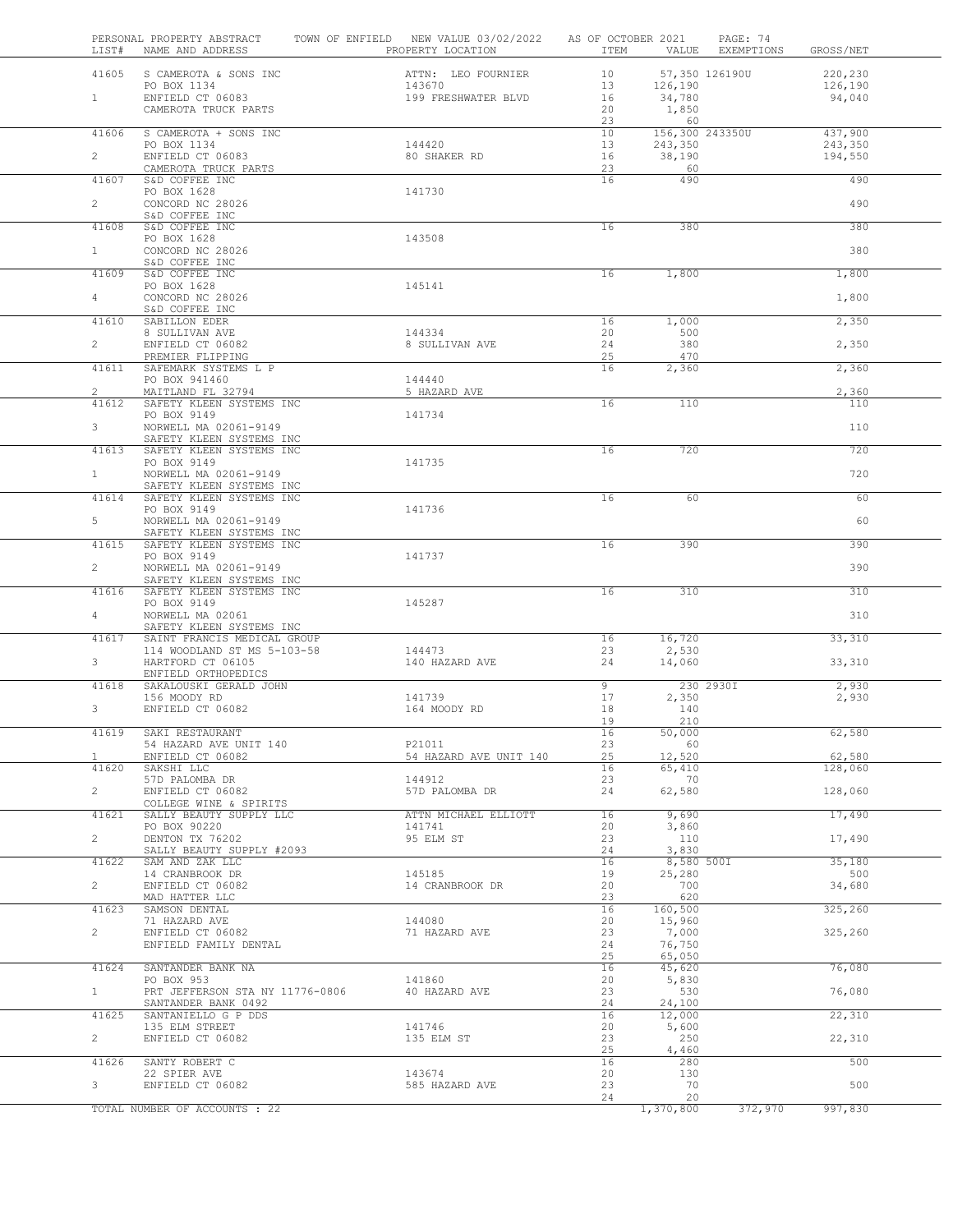| 41605<br>S CAMEROTA & SONS INC<br>ATTN: LEO FOURNIER<br>10<br>57,350 126190U<br>13<br>PO BOX 1134<br>143670<br>126,190<br>ENFIELD CT 06083<br>199 FRESHWATER BLVD<br>$1 -$<br>16<br>34,780<br>CAMEROTA TRUCK PARTS<br>20<br>1,850<br>23<br>60<br>10<br>156,300 243350U<br>41606<br>S CAMEROTA + SONS INC<br>144420<br>13<br>PO BOX 1134<br>243,350<br>$\overline{2}$<br>ENFIELD CT 06083<br>80 SHAKER RD<br>16<br>38,190<br>CAMEROTA TRUCK PARTS<br>23<br>60<br>490<br>S&D COFFEE INC<br>16<br>41607<br>PO BOX 1628<br>141730<br>$\overline{2}$<br>CONCORD NC 28026<br>S&D COFFEE INC<br>S&D COFFEE INC<br>16<br>380<br>41608<br>PO BOX 1628<br>143508<br>CONCORD NC 28026<br>$1 -$<br>S&D COFFEE INC<br>41609<br>S&D COFFEE INC<br>16<br>1,800<br>PO BOX 1628<br>145141<br>CONCORD NC 28026<br>$\overline{4}$<br>S&D COFFEE INC<br>41610<br>SABILLON EDER<br>16<br>1,000<br>20<br>8 SULLIVAN AVE<br>144334<br>500<br>$\overline{2}$<br>380<br>ENFIELD CT 06082<br>8 SULLIVAN AVE<br>24<br>PREMIER FLIPPING<br>25<br>470<br>SAFEMARK SYSTEMS L P<br>16<br>41611<br>2,360<br>PO BOX 941460<br>144440<br>$\overline{2}$<br>MAITLAND FL 32794<br>5 HAZARD AVE<br>SAFETY KLEEN SYSTEMS INC<br>16<br>110<br>41612<br>PO BOX 9149<br>141734<br>3<br>NORWELL MA 02061-9149<br>SAFETY KLEEN SYSTEMS INC<br>720<br>41613<br>SAFETY KLEEN SYSTEMS INC<br>16<br>PO BOX 9149<br>141735<br>$1 -$<br>NORWELL MA 02061-9149<br>SAFETY KLEEN SYSTEMS INC<br>SAFETY KLEEN SYSTEMS INC<br>16<br>60<br>41614 | 220,230<br>126,190<br>94,040 |
|-------------------------------------------------------------------------------------------------------------------------------------------------------------------------------------------------------------------------------------------------------------------------------------------------------------------------------------------------------------------------------------------------------------------------------------------------------------------------------------------------------------------------------------------------------------------------------------------------------------------------------------------------------------------------------------------------------------------------------------------------------------------------------------------------------------------------------------------------------------------------------------------------------------------------------------------------------------------------------------------------------------------------------------------------------------------------------------------------------------------------------------------------------------------------------------------------------------------------------------------------------------------------------------------------------------------------------------------------------------------------------------------------------------------------------------------------------------------------------------------|------------------------------|
|                                                                                                                                                                                                                                                                                                                                                                                                                                                                                                                                                                                                                                                                                                                                                                                                                                                                                                                                                                                                                                                                                                                                                                                                                                                                                                                                                                                                                                                                                           |                              |
|                                                                                                                                                                                                                                                                                                                                                                                                                                                                                                                                                                                                                                                                                                                                                                                                                                                                                                                                                                                                                                                                                                                                                                                                                                                                                                                                                                                                                                                                                           |                              |
|                                                                                                                                                                                                                                                                                                                                                                                                                                                                                                                                                                                                                                                                                                                                                                                                                                                                                                                                                                                                                                                                                                                                                                                                                                                                                                                                                                                                                                                                                           |                              |
|                                                                                                                                                                                                                                                                                                                                                                                                                                                                                                                                                                                                                                                                                                                                                                                                                                                                                                                                                                                                                                                                                                                                                                                                                                                                                                                                                                                                                                                                                           |                              |
|                                                                                                                                                                                                                                                                                                                                                                                                                                                                                                                                                                                                                                                                                                                                                                                                                                                                                                                                                                                                                                                                                                                                                                                                                                                                                                                                                                                                                                                                                           | 437,900                      |
|                                                                                                                                                                                                                                                                                                                                                                                                                                                                                                                                                                                                                                                                                                                                                                                                                                                                                                                                                                                                                                                                                                                                                                                                                                                                                                                                                                                                                                                                                           | 243,350                      |
|                                                                                                                                                                                                                                                                                                                                                                                                                                                                                                                                                                                                                                                                                                                                                                                                                                                                                                                                                                                                                                                                                                                                                                                                                                                                                                                                                                                                                                                                                           | 194,550                      |
|                                                                                                                                                                                                                                                                                                                                                                                                                                                                                                                                                                                                                                                                                                                                                                                                                                                                                                                                                                                                                                                                                                                                                                                                                                                                                                                                                                                                                                                                                           | 490                          |
|                                                                                                                                                                                                                                                                                                                                                                                                                                                                                                                                                                                                                                                                                                                                                                                                                                                                                                                                                                                                                                                                                                                                                                                                                                                                                                                                                                                                                                                                                           |                              |
|                                                                                                                                                                                                                                                                                                                                                                                                                                                                                                                                                                                                                                                                                                                                                                                                                                                                                                                                                                                                                                                                                                                                                                                                                                                                                                                                                                                                                                                                                           | 490                          |
|                                                                                                                                                                                                                                                                                                                                                                                                                                                                                                                                                                                                                                                                                                                                                                                                                                                                                                                                                                                                                                                                                                                                                                                                                                                                                                                                                                                                                                                                                           | 380                          |
|                                                                                                                                                                                                                                                                                                                                                                                                                                                                                                                                                                                                                                                                                                                                                                                                                                                                                                                                                                                                                                                                                                                                                                                                                                                                                                                                                                                                                                                                                           |                              |
|                                                                                                                                                                                                                                                                                                                                                                                                                                                                                                                                                                                                                                                                                                                                                                                                                                                                                                                                                                                                                                                                                                                                                                                                                                                                                                                                                                                                                                                                                           | 380                          |
|                                                                                                                                                                                                                                                                                                                                                                                                                                                                                                                                                                                                                                                                                                                                                                                                                                                                                                                                                                                                                                                                                                                                                                                                                                                                                                                                                                                                                                                                                           | 1,800                        |
|                                                                                                                                                                                                                                                                                                                                                                                                                                                                                                                                                                                                                                                                                                                                                                                                                                                                                                                                                                                                                                                                                                                                                                                                                                                                                                                                                                                                                                                                                           |                              |
|                                                                                                                                                                                                                                                                                                                                                                                                                                                                                                                                                                                                                                                                                                                                                                                                                                                                                                                                                                                                                                                                                                                                                                                                                                                                                                                                                                                                                                                                                           | 1,800                        |
|                                                                                                                                                                                                                                                                                                                                                                                                                                                                                                                                                                                                                                                                                                                                                                                                                                                                                                                                                                                                                                                                                                                                                                                                                                                                                                                                                                                                                                                                                           | 2,350                        |
|                                                                                                                                                                                                                                                                                                                                                                                                                                                                                                                                                                                                                                                                                                                                                                                                                                                                                                                                                                                                                                                                                                                                                                                                                                                                                                                                                                                                                                                                                           |                              |
|                                                                                                                                                                                                                                                                                                                                                                                                                                                                                                                                                                                                                                                                                                                                                                                                                                                                                                                                                                                                                                                                                                                                                                                                                                                                                                                                                                                                                                                                                           | 2,350                        |
|                                                                                                                                                                                                                                                                                                                                                                                                                                                                                                                                                                                                                                                                                                                                                                                                                                                                                                                                                                                                                                                                                                                                                                                                                                                                                                                                                                                                                                                                                           | 2,360                        |
|                                                                                                                                                                                                                                                                                                                                                                                                                                                                                                                                                                                                                                                                                                                                                                                                                                                                                                                                                                                                                                                                                                                                                                                                                                                                                                                                                                                                                                                                                           |                              |
|                                                                                                                                                                                                                                                                                                                                                                                                                                                                                                                                                                                                                                                                                                                                                                                                                                                                                                                                                                                                                                                                                                                                                                                                                                                                                                                                                                                                                                                                                           | 2,360<br>110                 |
|                                                                                                                                                                                                                                                                                                                                                                                                                                                                                                                                                                                                                                                                                                                                                                                                                                                                                                                                                                                                                                                                                                                                                                                                                                                                                                                                                                                                                                                                                           |                              |
|                                                                                                                                                                                                                                                                                                                                                                                                                                                                                                                                                                                                                                                                                                                                                                                                                                                                                                                                                                                                                                                                                                                                                                                                                                                                                                                                                                                                                                                                                           | 110                          |
|                                                                                                                                                                                                                                                                                                                                                                                                                                                                                                                                                                                                                                                                                                                                                                                                                                                                                                                                                                                                                                                                                                                                                                                                                                                                                                                                                                                                                                                                                           | 720                          |
|                                                                                                                                                                                                                                                                                                                                                                                                                                                                                                                                                                                                                                                                                                                                                                                                                                                                                                                                                                                                                                                                                                                                                                                                                                                                                                                                                                                                                                                                                           |                              |
|                                                                                                                                                                                                                                                                                                                                                                                                                                                                                                                                                                                                                                                                                                                                                                                                                                                                                                                                                                                                                                                                                                                                                                                                                                                                                                                                                                                                                                                                                           | 720                          |
|                                                                                                                                                                                                                                                                                                                                                                                                                                                                                                                                                                                                                                                                                                                                                                                                                                                                                                                                                                                                                                                                                                                                                                                                                                                                                                                                                                                                                                                                                           | 60                           |
| PO BOX 9149<br>141736                                                                                                                                                                                                                                                                                                                                                                                                                                                                                                                                                                                                                                                                                                                                                                                                                                                                                                                                                                                                                                                                                                                                                                                                                                                                                                                                                                                                                                                                     |                              |
| 5<br>NORWELL MA 02061-9149<br>SAFETY KLEEN SYSTEMS INC                                                                                                                                                                                                                                                                                                                                                                                                                                                                                                                                                                                                                                                                                                                                                                                                                                                                                                                                                                                                                                                                                                                                                                                                                                                                                                                                                                                                                                    | 60                           |
| SAFETY KLEEN SYSTEMS INC<br>16<br>390<br>41615                                                                                                                                                                                                                                                                                                                                                                                                                                                                                                                                                                                                                                                                                                                                                                                                                                                                                                                                                                                                                                                                                                                                                                                                                                                                                                                                                                                                                                            | 390                          |
| PO BOX 9149<br>141737<br>$\overline{2}$<br>NORWELL MA 02061-9149                                                                                                                                                                                                                                                                                                                                                                                                                                                                                                                                                                                                                                                                                                                                                                                                                                                                                                                                                                                                                                                                                                                                                                                                                                                                                                                                                                                                                          | 390                          |
| SAFETY KLEEN SYSTEMS INC                                                                                                                                                                                                                                                                                                                                                                                                                                                                                                                                                                                                                                                                                                                                                                                                                                                                                                                                                                                                                                                                                                                                                                                                                                                                                                                                                                                                                                                                  |                              |
| SAFETY KLEEN SYSTEMS INC<br>310<br>41616<br>16                                                                                                                                                                                                                                                                                                                                                                                                                                                                                                                                                                                                                                                                                                                                                                                                                                                                                                                                                                                                                                                                                                                                                                                                                                                                                                                                                                                                                                            | 310                          |
| PO BOX 9149<br>145287<br>NORWELL MA 02061<br>$\overline{4}$                                                                                                                                                                                                                                                                                                                                                                                                                                                                                                                                                                                                                                                                                                                                                                                                                                                                                                                                                                                                                                                                                                                                                                                                                                                                                                                                                                                                                               | 310                          |
| SAFETY KLEEN SYSTEMS INC                                                                                                                                                                                                                                                                                                                                                                                                                                                                                                                                                                                                                                                                                                                                                                                                                                                                                                                                                                                                                                                                                                                                                                                                                                                                                                                                                                                                                                                                  |                              |
| SAINT FRANCIS MEDICAL GROUP<br>41617<br>16<br>16,720<br>114 WOODLAND ST MS 5-103-58<br>144473<br>23<br>2,530                                                                                                                                                                                                                                                                                                                                                                                                                                                                                                                                                                                                                                                                                                                                                                                                                                                                                                                                                                                                                                                                                                                                                                                                                                                                                                                                                                              | 33,310                       |
| 3<br>HARTFORD CT 06105<br>140 HAZARD AVE<br>24<br>14,060                                                                                                                                                                                                                                                                                                                                                                                                                                                                                                                                                                                                                                                                                                                                                                                                                                                                                                                                                                                                                                                                                                                                                                                                                                                                                                                                                                                                                                  | 33,310                       |
| ENFIELD ORTHOPEDICS<br>41618<br>SAKALOUSKI GERALD JOHN<br>9<br>230 2930I                                                                                                                                                                                                                                                                                                                                                                                                                                                                                                                                                                                                                                                                                                                                                                                                                                                                                                                                                                                                                                                                                                                                                                                                                                                                                                                                                                                                                  | 2,930                        |
| 17<br>156 MOODY RD<br>141739<br>2,350                                                                                                                                                                                                                                                                                                                                                                                                                                                                                                                                                                                                                                                                                                                                                                                                                                                                                                                                                                                                                                                                                                                                                                                                                                                                                                                                                                                                                                                     | 2,930                        |
| 3<br>ENFIELD CT 06082<br>140<br>164 MOODY RD<br>18                                                                                                                                                                                                                                                                                                                                                                                                                                                                                                                                                                                                                                                                                                                                                                                                                                                                                                                                                                                                                                                                                                                                                                                                                                                                                                                                                                                                                                        |                              |
| 210<br>19<br>SAKI RESTAURANT<br>16<br>50,000<br>41619                                                                                                                                                                                                                                                                                                                                                                                                                                                                                                                                                                                                                                                                                                                                                                                                                                                                                                                                                                                                                                                                                                                                                                                                                                                                                                                                                                                                                                     | 62,580                       |
| 54 HAZARD AVE UNIT 140<br>P21011<br>23<br>60                                                                                                                                                                                                                                                                                                                                                                                                                                                                                                                                                                                                                                                                                                                                                                                                                                                                                                                                                                                                                                                                                                                                                                                                                                                                                                                                                                                                                                              |                              |
| ENFIELD CT 06082<br>54 HAZARD AVE UNIT 140<br>25<br>12,520<br>1                                                                                                                                                                                                                                                                                                                                                                                                                                                                                                                                                                                                                                                                                                                                                                                                                                                                                                                                                                                                                                                                                                                                                                                                                                                                                                                                                                                                                           | 62,580                       |
| 41620<br>SAKSHI LLC<br>16<br>65,410<br>23<br>57D PALOMBA DR<br>144912<br>70                                                                                                                                                                                                                                                                                                                                                                                                                                                                                                                                                                                                                                                                                                                                                                                                                                                                                                                                                                                                                                                                                                                                                                                                                                                                                                                                                                                                               | 128,060                      |
| $\overline{2}$<br>ENFIELD CT 06082<br>57D PALOMBA DR<br>24<br>62,580                                                                                                                                                                                                                                                                                                                                                                                                                                                                                                                                                                                                                                                                                                                                                                                                                                                                                                                                                                                                                                                                                                                                                                                                                                                                                                                                                                                                                      | 128,060                      |
| COLLEGE WINE & SPIRITS<br>16<br>41621<br>SALLY BEAUTY SUPPLY LLC<br>ATTN MICHAEL ELLIOTT<br>9,690                                                                                                                                                                                                                                                                                                                                                                                                                                                                                                                                                                                                                                                                                                                                                                                                                                                                                                                                                                                                                                                                                                                                                                                                                                                                                                                                                                                         | 17,490                       |
| 20<br>3,860<br>PO BOX 90220<br>141741                                                                                                                                                                                                                                                                                                                                                                                                                                                                                                                                                                                                                                                                                                                                                                                                                                                                                                                                                                                                                                                                                                                                                                                                                                                                                                                                                                                                                                                     |                              |
| DENTON TX 76202<br>95 ELM ST<br>$\overline{a}$<br>23<br>110                                                                                                                                                                                                                                                                                                                                                                                                                                                                                                                                                                                                                                                                                                                                                                                                                                                                                                                                                                                                                                                                                                                                                                                                                                                                                                                                                                                                                               | 17,490                       |
| SALLY BEAUTY SUPPLY #2093<br>24<br>3,830<br>SAM AND ZAK LLC<br>16<br>41622<br>8,580 500I                                                                                                                                                                                                                                                                                                                                                                                                                                                                                                                                                                                                                                                                                                                                                                                                                                                                                                                                                                                                                                                                                                                                                                                                                                                                                                                                                                                                  | 35,180                       |
| 145185<br>19<br>14 CRANBROOK DR<br>25,280                                                                                                                                                                                                                                                                                                                                                                                                                                                                                                                                                                                                                                                                                                                                                                                                                                                                                                                                                                                                                                                                                                                                                                                                                                                                                                                                                                                                                                                 | 500                          |
| $\overline{2}$<br>ENFIELD CT 06082<br>20<br>700<br>14 CRANBROOK DR<br>23<br>620<br>MAD HATTER LLC                                                                                                                                                                                                                                                                                                                                                                                                                                                                                                                                                                                                                                                                                                                                                                                                                                                                                                                                                                                                                                                                                                                                                                                                                                                                                                                                                                                         | 34,680                       |
| 16<br>160,500<br>41623<br>SAMSON DENTAL                                                                                                                                                                                                                                                                                                                                                                                                                                                                                                                                                                                                                                                                                                                                                                                                                                                                                                                                                                                                                                                                                                                                                                                                                                                                                                                                                                                                                                                   | 325,260                      |
| 71 HAZARD AVE<br>144080<br>20<br>15,960                                                                                                                                                                                                                                                                                                                                                                                                                                                                                                                                                                                                                                                                                                                                                                                                                                                                                                                                                                                                                                                                                                                                                                                                                                                                                                                                                                                                                                                   |                              |
| $\overline{2}$<br>ENFIELD CT 06082<br>71 HAZARD AVE<br>23<br>7,000<br>ENFIELD FAMILY DENTAL<br>24<br>76,750                                                                                                                                                                                                                                                                                                                                                                                                                                                                                                                                                                                                                                                                                                                                                                                                                                                                                                                                                                                                                                                                                                                                                                                                                                                                                                                                                                               | 325,260                      |
| 25<br>65,050                                                                                                                                                                                                                                                                                                                                                                                                                                                                                                                                                                                                                                                                                                                                                                                                                                                                                                                                                                                                                                                                                                                                                                                                                                                                                                                                                                                                                                                                              |                              |
| 41624<br>SANTANDER BANK NA<br>16<br>45,620<br>PO BOX 953<br>141860<br>20<br>5,830                                                                                                                                                                                                                                                                                                                                                                                                                                                                                                                                                                                                                                                                                                                                                                                                                                                                                                                                                                                                                                                                                                                                                                                                                                                                                                                                                                                                         | 76,080                       |
| 23<br>$1 -$<br>PRT JEFFERSON STA NY 11776-0806<br>40 HAZARD AVE<br>530                                                                                                                                                                                                                                                                                                                                                                                                                                                                                                                                                                                                                                                                                                                                                                                                                                                                                                                                                                                                                                                                                                                                                                                                                                                                                                                                                                                                                    | 76,080                       |
| SANTANDER BANK 0492<br>24<br>24,100                                                                                                                                                                                                                                                                                                                                                                                                                                                                                                                                                                                                                                                                                                                                                                                                                                                                                                                                                                                                                                                                                                                                                                                                                                                                                                                                                                                                                                                       |                              |
| 41625<br>SANTANIELLO G P DDS<br>16<br>12,000<br>141746<br>135 ELM STREET<br>20<br>5,600                                                                                                                                                                                                                                                                                                                                                                                                                                                                                                                                                                                                                                                                                                                                                                                                                                                                                                                                                                                                                                                                                                                                                                                                                                                                                                                                                                                                   | 22,310                       |
| $\overline{2}$<br>23<br>ENFIELD CT 06082<br>135 ELM ST<br>250                                                                                                                                                                                                                                                                                                                                                                                                                                                                                                                                                                                                                                                                                                                                                                                                                                                                                                                                                                                                                                                                                                                                                                                                                                                                                                                                                                                                                             | 22,310                       |
| 25<br>4,460<br>41626<br>SANTY ROBERT C<br>16<br>280                                                                                                                                                                                                                                                                                                                                                                                                                                                                                                                                                                                                                                                                                                                                                                                                                                                                                                                                                                                                                                                                                                                                                                                                                                                                                                                                                                                                                                       |                              |
| 22 SPIER AVE<br>143674<br>20<br>130                                                                                                                                                                                                                                                                                                                                                                                                                                                                                                                                                                                                                                                                                                                                                                                                                                                                                                                                                                                                                                                                                                                                                                                                                                                                                                                                                                                                                                                       |                              |
| 3 <sup>7</sup><br>70<br>ENFIELD CT 06082<br>23<br>585 HAZARD AVE<br>24<br>20                                                                                                                                                                                                                                                                                                                                                                                                                                                                                                                                                                                                                                                                                                                                                                                                                                                                                                                                                                                                                                                                                                                                                                                                                                                                                                                                                                                                              | 500                          |
| TOTAL NUMBER OF ACCOUNTS : 22<br>1,370,800<br>372,970                                                                                                                                                                                                                                                                                                                                                                                                                                                                                                                                                                                                                                                                                                                                                                                                                                                                                                                                                                                                                                                                                                                                                                                                                                                                                                                                                                                                                                     | 500                          |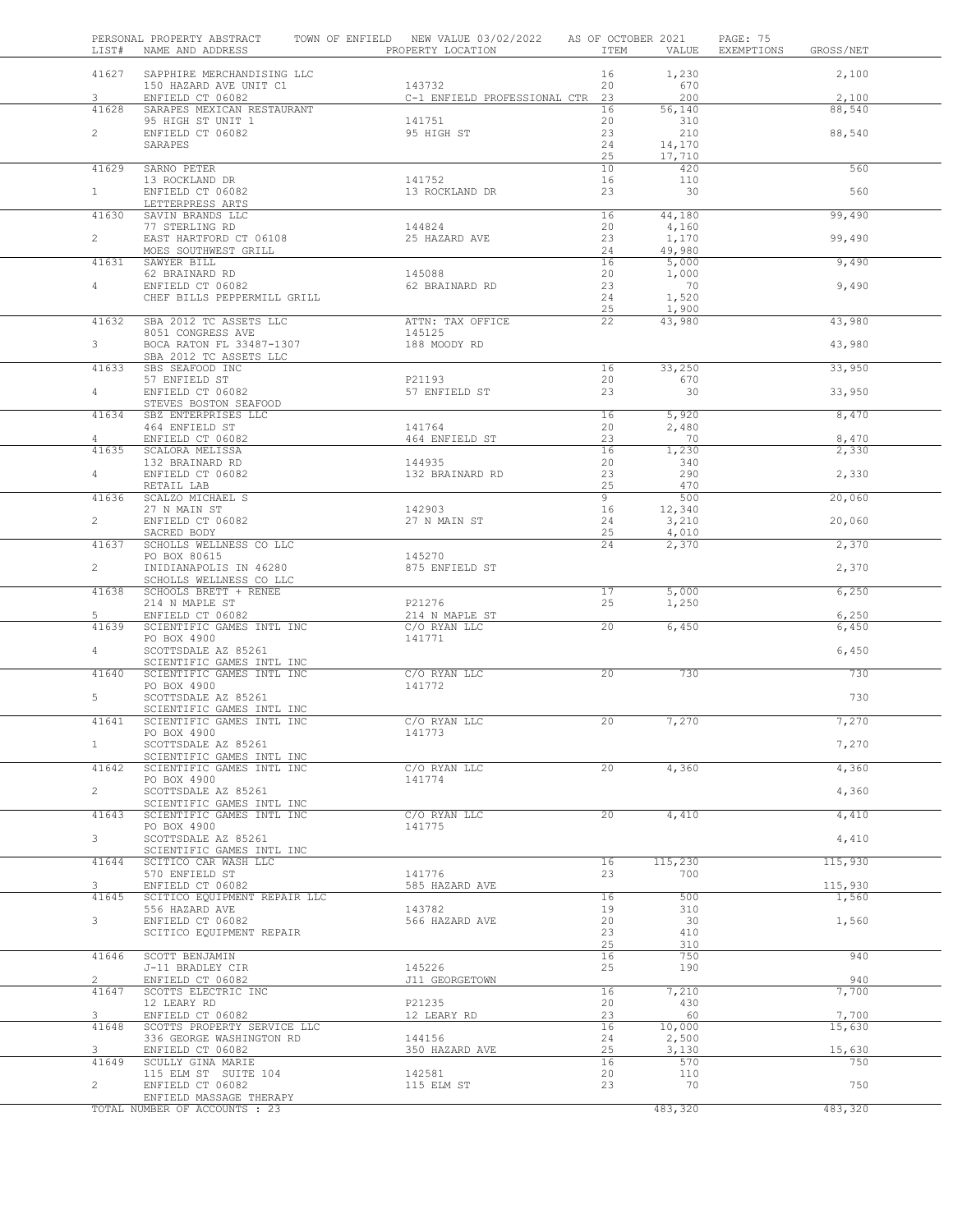| LIST#          | PERSONAL PROPERTY ABSTRACT<br>NAME AND ADDRESS          | TOWN OF ENFIELD NEW VALUE 03/02/2022 AS OF OCTOBER 2021<br>PROPERTY LOCATION | ITEM     | VALUE            | PAGE: 75<br>EXEMPTIONS<br>GROSS/NET |
|----------------|---------------------------------------------------------|------------------------------------------------------------------------------|----------|------------------|-------------------------------------|
| 41627          | SAPPHIRE MERCHANDISING LLC<br>150 HAZARD AVE UNIT C1    |                                                                              | 16       | 1,230            | 2,100                               |
| 3              | ENFIELD CT 06082                                        | 143732<br>C-1 ENFIELD PROFESSIONAL CTR 23                                    | 20       | 670<br>200       | 2,100                               |
| 41628          | SARAPES MEXICAN RESTAURANT                              |                                                                              | 16       | 56,140           | 88,540                              |
|                | 95 HIGH ST UNIT 1                                       | 141751                                                                       | 20       | 310              |                                     |
| $\overline{2}$ | ENFIELD CT 06082                                        | 95 HIGH ST                                                                   | 23       | 210              | 88,540                              |
|                | SARAPES                                                 |                                                                              | 24<br>25 | 14,170<br>17,710 |                                     |
| 41629          | SARNO PETER                                             |                                                                              | 10       | 420              | 560                                 |
|                | 13 ROCKLAND DR                                          | 141752                                                                       | 16       | 110              |                                     |
| 1              | ENFIELD CT 06082                                        | 13 ROCKLAND DR                                                               | 23       | 30               | 560                                 |
| 41630          | LETTERPRESS ARTS<br>SAVIN BRANDS LLC                    |                                                                              | 16       | 44,180           | 99,490                              |
|                | 77 STERLING RD                                          | 144824                                                                       | 20       | 4,160            |                                     |
| $\overline{2}$ | EAST HARTFORD CT 06108                                  | 25 HAZARD AVE                                                                | 23       | 1,170            | 99,490                              |
|                | MOES SOUTHWEST GRILL                                    |                                                                              | 24       | 49,980           |                                     |
| 41631          | SAWYER BILL<br>62 BRAINARD RD                           | 145088                                                                       | 16<br>20 | 5,000<br>1,000   | 9,490                               |
| 4              | ENFIELD CT 06082                                        | 62 BRAINARD RD                                                               | 23       | 70               | 9,490                               |
|                | CHEF BILLS PEPPERMILL GRILL                             |                                                                              | 24       | 1,520            |                                     |
|                |                                                         |                                                                              | 25       | 1,900            |                                     |
| 41632          | SBA 2012 TC ASSETS LLC<br>8051 CONGRESS AVE             | ATTN: TAX OFFICE<br>145125                                                   | 22       | 43,980           | 43,980                              |
| 3              | BOCA RATON FL 33487-1307                                | 188 MOODY RD                                                                 |          |                  | 43,980                              |
|                | SBA 2012 TC ASSETS LLC                                  |                                                                              |          |                  |                                     |
| 41633          | SBS SEAFOOD INC                                         |                                                                              | 16       | 33,250           | 33,950                              |
| $4 -$          | 57 ENFIELD ST<br>ENFIELD CT 06082                       | P21193<br>57 ENFIELD ST                                                      | 20<br>23 | 670<br>30        | 33,950                              |
|                | STEVES BOSTON SEAFOOD                                   |                                                                              |          |                  |                                     |
| 41634          | SBZ ENTERPRISES LLC                                     |                                                                              | 16       | 5,920            | 8,470                               |
|                | 464 ENFIELD ST                                          | 141764                                                                       | 20       | 2,480            |                                     |
| 4<br>41635     | ENFIELD CT 06082                                        | 464 ENFIELD ST                                                               | 23<br>16 | 70               | 8,470                               |
|                | SCALORA MELISSA<br>132 BRAINARD RD                      | 144935                                                                       | 20       | 1,230<br>340     | 2,330                               |
| $\overline{4}$ | ENFIELD CT 06082                                        | 132 BRAINARD RD                                                              | 23       | 290              | 2,330                               |
|                | RETAIL LAB                                              |                                                                              | 25       | 470              |                                     |
| 41636          | SCALZO MICHAEL S                                        |                                                                              | 9        | 500              | 20,060                              |
| $\overline{2}$ | 27 N MAIN ST<br>ENFIELD CT 06082                        | 142903<br>27 N MAIN ST                                                       | 16<br>24 | 12,340<br>3,210  | 20,060                              |
|                | SACRED BODY                                             |                                                                              | 25       | 4,010            |                                     |
| 41637          | SCHOLLS WELLNESS CO LLC                                 |                                                                              | 24       | 2,370            | 2,370                               |
| $\overline{2}$ | PO BOX 80615<br>INIDIANAPOLIS IN 46280                  | 145270<br>875 ENFIELD ST                                                     |          |                  | 2,370                               |
|                | SCHOLLS WELLNESS CO LLC                                 |                                                                              |          |                  |                                     |
| 41638          | SCHOOLS BRETT + RENEE                                   |                                                                              | 17       | 5,000            | 6,250                               |
|                | 214 N MAPLE ST                                          | P21276                                                                       | 25       | 1,250            |                                     |
| 5<br>41639     | ENFIELD CT 06082<br>SCIENTIFIC GAMES INTL INC           | 214 N MAPLE ST<br>C/O RYAN LLC                                               | 20       | 6,450            | 6,250<br>6,450                      |
|                | PO BOX 4900                                             | 141771                                                                       |          |                  |                                     |
| $\overline{4}$ | SCOTTSDALE AZ 85261                                     |                                                                              |          |                  | 6,450                               |
|                | SCIENTIFIC GAMES INTL INC                               |                                                                              |          |                  |                                     |
| 41640          | SCIENTIFIC GAMES INTL INC<br>PO BOX 4900                | C/O RYAN LLC<br>141772                                                       | 20       | 730              | 730                                 |
| 5              | SCOTTSDALE AZ 85261                                     |                                                                              |          |                  | 730                                 |
|                | SCIENTIFIC GAMES INTL INC                               |                                                                              |          |                  |                                     |
| 41641          | SCIENTIFIC GAMES INTL INC                               | C/O RYAN LLC                                                                 | 20       | 7,270            | 7,270                               |
| $\mathbf{1}$   | PO BOX 4900<br>SCOTTSDALE AZ 85261                      | 141773                                                                       |          |                  | 7,270                               |
|                | SCIENTIFIC GAMES INTL INC                               |                                                                              |          |                  |                                     |
| 41642          | SCIENTIFIC GAMES INTL INC                               | C/O RYAN LLC                                                                 | 20       | 4,360            | 4,360                               |
|                | PO BOX 4900                                             | 141774                                                                       |          |                  |                                     |
| $\overline{2}$ | SCOTTSDALE AZ 85261<br>SCIENTIFIC GAMES INTL INC        |                                                                              |          |                  | 4,360                               |
| 41643          | SCIENTIFIC GAMES INTL INC                               | C/O RYAN LLC                                                                 | $20^{-}$ | 4,410            | 4,410                               |
|                | PO BOX 4900                                             | 141775                                                                       |          |                  |                                     |
| 3              | SCOTTSDALE AZ 85261                                     |                                                                              |          |                  | 4,410                               |
| 41644          | SCIENTIFIC GAMES INTL INC<br>SCITICO CAR WASH LLC       |                                                                              | 16       | 115,230          | 115,930                             |
|                | 570 ENFIELD ST                                          | 141776                                                                       | 23       | 700              |                                     |
| 3              | ENFIELD CT 06082                                        | 585 HAZARD AVE                                                               |          |                  | 115,930                             |
| 41645          | SCITICO EQUIPMENT REPAIR LLC                            | 143782                                                                       | 16       | 500              | 1,560                               |
| 3              | 556 HAZARD AVE<br>ENFIELD CT 06082                      | 566 HAZARD AVE                                                               | 19<br>20 | 310<br>30        | 1,560                               |
|                | SCITICO EQUIPMENT REPAIR                                |                                                                              | 23       | 410              |                                     |
|                |                                                         |                                                                              | 25       | 310              |                                     |
| 41646          | SCOTT BENJAMIN                                          |                                                                              | 16       | 750              | 940                                 |
| $\overline{2}$ | J-11 BRADLEY CIR<br>ENFIELD CT 06082                    | 145226<br>J11 GEORGETOWN                                                     | 25       | 190              | 940                                 |
| 41647          | SCOTTS ELECTRIC INC                                     |                                                                              | 16       | 7,210            | 7,700                               |
|                | 12 LEARY RD                                             | P21235                                                                       | 20       | 430              |                                     |
| 3<br>41648     | ENFIELD CT 06082                                        | 12 LEARY RD                                                                  | 23<br>16 | 60<br>10,000     | 7,700                               |
|                | SCOTTS PROPERTY SERVICE LLC<br>336 GEORGE WASHINGTON RD | 144156                                                                       | 24       | 2,500            | 15,630                              |
| 3              | ENFIELD CT 06082                                        | 350 HAZARD AVE                                                               | 25       | 3,130            | 15,630                              |
| 41649          | SCULLY GINA MARIE                                       |                                                                              | 16       | 570              | 750                                 |
| $\overline{2}$ | 115 ELM ST SUITE 104                                    | 142581                                                                       | 20<br>23 | 110<br>70        | 750                                 |
|                | ENFIELD CT 06082<br>ENFIELD MASSAGE THERAPY             | 115 ELM ST                                                                   |          |                  |                                     |
|                | TOTAL NUMBER OF ACCOUNTS : 23                           |                                                                              |          | 483,320          | 483,320                             |
|                |                                                         |                                                                              |          |                  |                                     |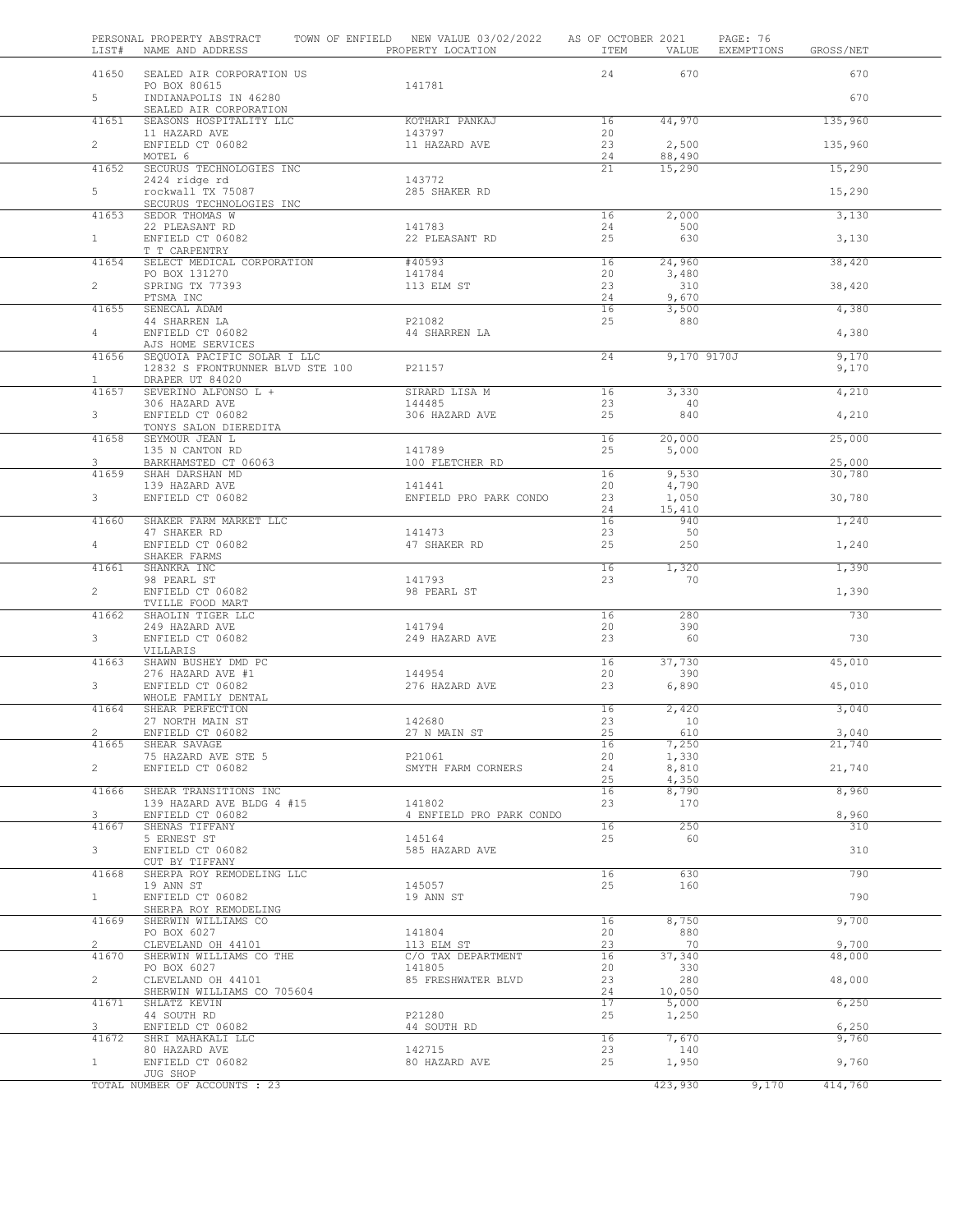| LIST#                 | PERSONAL PROPERTY ABSTRACT<br>NAME AND ADDRESS                  | TOWN OF ENFIELD NEW VALUE 03/02/2022<br>PROPERTY LOCATION | AS OF OCTOBER 2021<br>ITEM | VALUE            | PAGE: 76<br>EXEMPTIONS | GROSS/NET        |  |
|-----------------------|-----------------------------------------------------------------|-----------------------------------------------------------|----------------------------|------------------|------------------------|------------------|--|
| 41650                 | SEALED AIR CORPORATION US                                       |                                                           | 24                         | 670              |                        | 670              |  |
| 5                     | PO BOX 80615<br>INDIANAPOLIS IN 46280                           | 141781                                                    |                            |                  |                        | 670              |  |
| 41651                 | SEALED AIR CORPORATION<br>SEASONS HOSPITALITY LLC               | KOTHARI PANKAJ                                            | 16                         | 44,970           |                        | 135,960          |  |
| $\overline{2}$        | 11 HAZARD AVE<br>ENFIELD CT 06082                               | 143797<br>11 HAZARD AVE                                   | 20<br>23                   | 2,500            |                        | 135,960          |  |
| 41652                 | MOTEL 6<br>SECURUS TECHNOLOGIES INC                             |                                                           | 24<br>21                   | 88,490<br>15,290 |                        | 15,290           |  |
| 5                     | 2424 ridge rd<br>rockwall TX 75087                              | 143772<br>285 SHAKER RD                                   |                            |                  |                        | 15,290           |  |
| 41653                 | SECURUS TECHNOLOGIES INC<br>SEDOR THOMAS W                      |                                                           | 16                         | 2,000            |                        | 3,130            |  |
| $\mathbf{1}$          | 22 PLEASANT RD<br>ENFIELD CT 06082                              | 141783<br>22 PLEASANT RD                                  | 24<br>25                   | 500<br>630       |                        |                  |  |
|                       | T T CARPENTRY                                                   |                                                           |                            |                  |                        | 3,130            |  |
| 41654                 | SELECT MEDICAL CORPORATION<br>PO BOX 131270                     | #40593<br>141784                                          | 16<br>20                   | 24,960<br>3,480  |                        | 38,420           |  |
| $\overline{2}$        | SPRING TX 77393<br>PTSMA INC                                    | 113 ELM ST                                                | 23<br>24                   | 310<br>9,670     |                        | 38,420           |  |
| 41655                 | SENECAL ADAM<br>44 SHARREN LA                                   | P21082                                                    | 16<br>25                   | 3,500<br>880     |                        | 4,380            |  |
| 4                     | ENFIELD CT 06082<br>AJS HOME SERVICES                           | 44 SHARREN LA                                             |                            |                  |                        | 4,380            |  |
| 41656                 | SEQUOIA PACIFIC SOLAR I LLC<br>12832 S FRONTRUNNER BLVD STE 100 | P21157                                                    | 24                         | 9,170 9170J      |                        | 9,170<br>9,170   |  |
| $\mathbf{1}$          | DRAPER UT 84020                                                 |                                                           |                            |                  |                        |                  |  |
| 41657                 | SEVERINO ALFONSO L +<br>306 HAZARD AVE                          | SIRARD LISA M<br>144485                                   | 16<br>23                   | 3,330<br>40      |                        | 4,210            |  |
| 3                     | ENFIELD CT 06082<br>TONYS SALON DIEREDITA                       | 306 HAZARD AVE                                            | 25                         | 840              |                        | 4,210            |  |
| 41658                 | SEYMOUR JEAN L<br>135 N CANTON RD                               | 141789                                                    | 16<br>25                   | 20,000<br>5,000  |                        | 25,000           |  |
| 3<br>41659            | BARKHAMSTED CT 06063<br>SHAH DARSHAN MD                         | 100 FLETCHER RD                                           | 16                         | 9,530            |                        | 25,000<br>30,780 |  |
| 3                     | 139 HAZARD AVE<br>ENFIELD CT 06082                              | 141441<br>ENFIELD PRO PARK CONDO                          | 20<br>23                   | 4,790<br>1,050   |                        | 30,780           |  |
| 41660                 | SHAKER FARM MARKET LLC                                          |                                                           | 24<br>16                   | 15,410<br>940    |                        | 1,240            |  |
| $\overline{4}$        | 47 SHAKER RD<br>ENFIELD CT 06082                                | 141473<br>47 SHAKER RD                                    | 23<br>25                   | 50<br>250        |                        |                  |  |
|                       | SHAKER FARMS                                                    |                                                           |                            |                  |                        | 1,240            |  |
| 41661                 | SHANKRA INC<br>98 PEARL ST                                      | 141793                                                    | 16<br>23                   | 1,320<br>70      |                        | 1,390            |  |
| $\mathbf{2}^{\prime}$ | ENFIELD CT 06082<br>TVILLE FOOD MART                            | 98 PEARL ST                                               |                            |                  |                        | 1,390            |  |
| 41662                 | SHAOLIN TIGER LLC<br>249 HAZARD AVE                             | 141794                                                    | 16<br>20                   | 280<br>390       |                        | 730              |  |
| 3                     | ENFIELD CT 06082<br>VILLARIS                                    | 249 HAZARD AVE                                            | 23                         | 60               |                        | 730              |  |
| 41663                 | SHAWN BUSHEY DMD PC<br>276 HAZARD AVE #1                        | 144954                                                    | 16<br>20                   | 37,730<br>390    |                        | 45,010           |  |
| 3                     | ENFIELD CT 06082<br>WHOLE FAMILY DENTAL                         | 276 HAZARD AVE                                            | 23                         | 6,890            |                        | 45,010           |  |
| 41664                 | SHEAR PERFECTION                                                |                                                           | 16                         | 2,420            |                        | 3,040            |  |
| z                     | 27 NORTH MAIN ST<br>ENFIELD CT 06082                            | 142680<br>27 N MAIN ST                                    | 23<br>25                   | 10<br>610        |                        | 3,040            |  |
| 41665                 | SHEAR SAVAGE<br>75 HAZARD AVE STE 5                             | P21061                                                    | 16<br>20                   | 7,250<br>1,330   |                        | 21,740           |  |
| $\overline{2}$        | ENFIELD CT 06082                                                | SMYTH FARM CORNERS                                        | 24                         | 8,810            |                        | 21,740           |  |
| 41666                 | SHEAR TRANSITIONS INC                                           |                                                           | 25<br>16                   | 4,350<br>8,790   |                        | 8,960            |  |
| 3                     | 139 HAZARD AVE BLDG 4 #15<br>ENFIELD CT 06082                   | 141802<br>4 ENFIELD PRO PARK CONDO                        | 23                         | 170              |                        | 8,960            |  |
| 41667                 | SHENAS TIFFANY                                                  |                                                           | 16                         | 250              |                        | 310              |  |
| 3                     | 5 ERNEST ST<br>ENFIELD CT 06082                                 | 145164<br>585 HAZARD AVE                                  | 25                         | 60               |                        | 310              |  |
| 41668                 | CUT BY TIFFANY<br>SHERPA ROY REMODELING LLC                     |                                                           | 16                         | 630              |                        | 790              |  |
| 1                     | 19 ANN ST<br>ENFIELD CT 06082                                   | 145057<br>19 ANN ST                                       | 25                         | 160              |                        | 790              |  |
| 41669                 | SHERPA ROY REMODELING<br>SHERWIN WILLIAMS CO                    |                                                           | 16                         | 8,750            |                        | 9,700            |  |
| $\overline{2}$        | PO BOX 6027<br>CLEVELAND OH 44101                               | 141804<br>113 ELM ST                                      | 20<br>23                   | 880<br>70        |                        | 9,700            |  |
| 41670                 | SHERWIN WILLIAMS CO THE<br>PO BOX 6027                          | C/O TAX DEPARTMENT<br>141805                              | 16<br>20                   | 37,340<br>330    |                        | 48,000           |  |
| $\overline{2}$        | CLEVELAND OH 44101                                              | 85 FRESHWATER BLVD                                        | 23                         | 280              |                        | 48,000           |  |
| 41671                 | SHERWIN WILLIAMS CO 705604<br>SHLATZ KEVIN                      |                                                           | 24<br>17                   | 10,050<br>5,000  |                        | 6,250            |  |
| 3                     | 44 SOUTH RD<br>ENFIELD CT 06082                                 | P21280<br>44 SOUTH RD                                     | 25                         | 1,250            |                        | 6,250            |  |
| 41672                 | SHRI MAHAKALI LLC<br>80 HAZARD AVE                              | 142715                                                    | 16<br>23                   | 7,670<br>140     |                        | 9,760            |  |
| $\mathbf{1}$          | ENFIELD CT 06082<br>JUG SHOP                                    | 80 HAZARD AVE                                             | 25                         | 1,950            |                        | 9,760            |  |
|                       | TOTAL NUMBER OF ACCOUNTS : 23                                   |                                                           |                            | 423,930          | 9,170                  | 414,760          |  |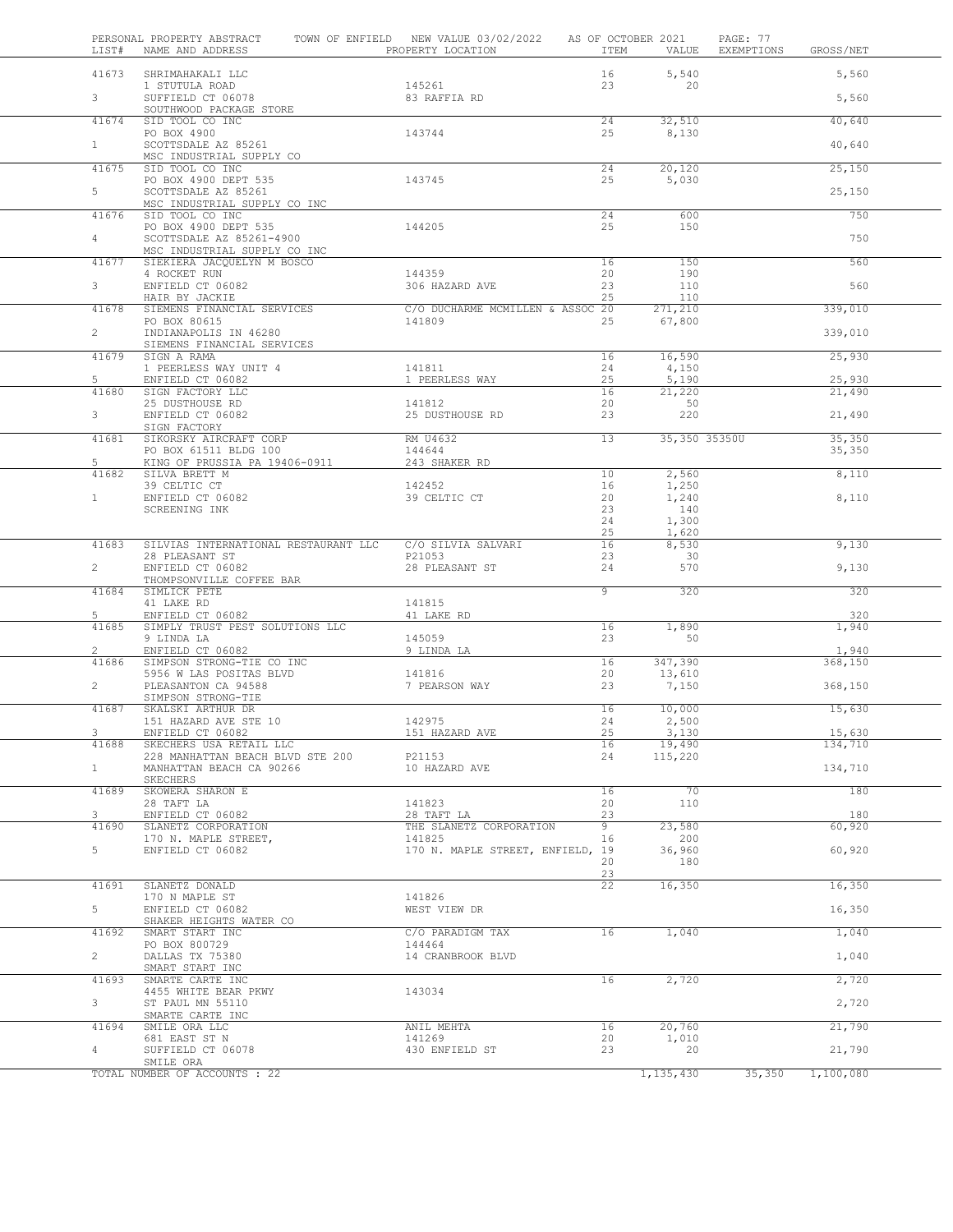| LIST#                   | PERSONAL PROPERTY ABSTRACT<br>NAME AND ADDRESS                                   | TOWN OF ENFIELD NEW VALUE 03/02/2022<br>PROPERTY LOCATION | ITEM                  | AS OF OCTOBER 2021<br>VALUE | PAGE: 77<br>EXEMPTIONS | GROSS/NET         |  |
|-------------------------|----------------------------------------------------------------------------------|-----------------------------------------------------------|-----------------------|-----------------------------|------------------------|-------------------|--|
| 41673                   | SHRIMAHAKALI LLC                                                                 |                                                           | 16                    | 5,540                       |                        | 5,560             |  |
| 3 <sup>7</sup>          | 1 STUTULA ROAD<br>SUFFIELD CT 06078                                              | 145261<br>83 RAFFIA RD                                    | 23                    | 20                          |                        | 5,560             |  |
| 41674                   | SOUTHWOOD PACKAGE STORE<br>SID TOOL CO INC                                       |                                                           | 24                    | 32,510                      |                        | 40,640            |  |
|                         | PO BOX 4900                                                                      | 143744                                                    | 25                    | 8,130                       |                        |                   |  |
| $\mathbf{1}$            | SCOTTSDALE AZ 85261<br>MSC INDUSTRIAL SUPPLY CO                                  |                                                           |                       |                             |                        | 40,640            |  |
| 41675                   | SID TOOL CO INC<br>PO BOX 4900 DEPT 535                                          | 143745                                                    | 24<br>25              | 20,120<br>5,030             |                        | 25,150            |  |
| 5                       | SCOTTSDALE AZ 85261<br>MSC INDUSTRIAL SUPPLY CO INC                              |                                                           |                       |                             |                        | 25,150            |  |
| 41676                   | SID TOOL CO INC                                                                  | 144205                                                    | 24<br>25              | 600<br>150                  |                        | 750               |  |
| $\overline{4}$          | PO BOX 4900 DEPT 535<br>SCOTTSDALE AZ 85261-4900<br>MSC INDUSTRIAL SUPPLY CO INC |                                                           |                       |                             |                        | 750               |  |
| 41677                   | SIEKIERA JACQUELYN M BOSCO<br>4 ROCKET RUN                                       | 144359                                                    | 16<br>20              | 150<br>190                  |                        | 560               |  |
| $\mathbf{3}$            | ENFIELD CT 06082                                                                 | 306 HAZARD AVE                                            | 23<br>25              | 110<br>110                  |                        | 560               |  |
| 41678                   | HAIR BY JACKIE<br>SIEMENS FINANCIAL SERVICES                                     | C/O DUCHARME MCMILLEN & ASSOC 20                          |                       | 271,210                     |                        | 339,010           |  |
| $\overline{2}$          | PO BOX 80615<br>INDIANAPOLIS IN 46280                                            | 141809                                                    | 25                    | 67,800                      |                        | 339,010           |  |
| 41679                   | SIEMENS FINANCIAL SERVICES<br>SIGN A RAMA                                        |                                                           | 16                    | 16,590                      |                        | 25,930            |  |
| 5                       | 1 PEERLESS WAY UNIT 4<br>ENFIELD CT 06082                                        | 141811<br>1 PEERLESS WAY                                  | 24<br>25              | 4,150<br>5,190              |                        | 25,930            |  |
| 41680                   | SIGN FACTORY LLC<br>25 DUSTHOUSE RD                                              | 141812                                                    | 16<br>20              | 21,220<br>50                |                        | 21,490            |  |
| 3                       | ENFIELD CT 06082                                                                 | 25 DUSTHOUSE RD                                           | 23                    | 220                         |                        | 21,490            |  |
| 41681                   | SIGN FACTORY<br>SIKORSKY AIRCRAFT CORP                                           | RM U4632                                                  | 13                    | 35,350 35350U               |                        | 35, 350           |  |
| 5                       | PO BOX 61511 BLDG 100<br>KING OF PRUSSIA PA 19406-0911                           | 144644<br>243 SHAKER RD                                   |                       |                             |                        | 35,350            |  |
| 41682                   | SILVA BRETT M<br>39 CELTIC CT                                                    | 142452                                                    | 10<br>16              | 2,560<br>1,250              |                        | 8,110             |  |
| 1                       | ENFIELD CT 06082                                                                 | 39 CELTIC CT                                              | 20                    | 1,240                       |                        | 8,110             |  |
|                         | SCREENING INK                                                                    |                                                           | 23<br>24              | 140<br>1,300                |                        |                   |  |
|                         |                                                                                  |                                                           | 25                    | 1,620                       |                        |                   |  |
| 41683                   | SILVIAS INTERNATIONAL RESTAURANT LLC<br>28 PLEASANT ST                           | C/O SILVIA SALVARI<br>P21053                              | 16<br>23              | 8,530<br>30                 |                        | 9,130             |  |
| $\overline{2}$          | ENFIELD CT 06082<br>THOMPSONVILLE COFFEE BAR                                     | 28 PLEASANT ST                                            | 24                    | 570                         |                        | 9,130             |  |
| 41684                   | SIMLICK PETE<br>41 LAKE RD                                                       | 141815                                                    | 9                     | 320                         |                        | 320               |  |
| 5<br>41685              | ENFIELD CT 06082<br>SIMPLY TRUST PEST SOLUTIONS LLC                              | 41 LAKE RD                                                | 16                    | 1,890                       |                        | 320<br>1,940      |  |
|                         | 9 LINDA LA                                                                       | 145059                                                    | 23                    | 50                          |                        |                   |  |
| $\overline{2}$<br>41686 | ENFIELD CT 06082<br>SIMPSON STRONG-TIE CO INC                                    | 9 LINDA LA                                                | 16                    | 347,390                     |                        | 1,940<br>368,150  |  |
| $\overline{2}$          | 5956 W LAS POSITAS BLVD<br>PLEASANTON CA 94588                                   | 141816<br>7 PEARSON WAY                                   | 20<br>23              | 13,610<br>7,150             |                        | 368,150           |  |
|                         | SIMPSON STRONG-TIE                                                               |                                                           |                       |                             |                        |                   |  |
| 41687                   | SKALSKI ARTHUR DR<br>151 HAZARD AVE STE 10                                       | 142975                                                    | 16<br>24              | 10,000<br>2,500             |                        | 15,630            |  |
| 41688                   | ENFIELD CT 06082<br>SKECHERS USA RETAIL LLC                                      | 151 HAZARD AVE                                            | 25<br>16              | 3,130<br>19,490             |                        | 15,630<br>134,710 |  |
|                         | 228 MANHATTAN BEACH BLVD STE 200                                                 | P21153                                                    | 24                    | 115,220                     |                        |                   |  |
| 1                       | MANHATTAN BEACH CA 90266<br>SKECHERS                                             | 10 HAZARD AVE                                             |                       |                             |                        | 134,710           |  |
| 41689                   | SKOWERA SHARON E<br>28 TAFT LA                                                   | 141823                                                    | 16<br>20              | 70<br>110                   |                        | 180               |  |
| $\mathbf{3}$<br>41690   | ENFIELD CT 06082<br>SLANETZ CORPORATION                                          | 28 TAFT LA<br>THE SLANETZ CORPORATION                     | 23<br>9               | 23,580                      |                        | 180<br>60,920     |  |
|                         | 170 N. MAPLE STREET,                                                             | 141825                                                    | 16                    | 200                         |                        |                   |  |
| 5                       | ENFIELD CT 06082                                                                 | 170 N. MAPLE STREET, ENFIELD, 19                          | 20                    | 36,960<br>180               |                        | 60,920            |  |
| 41691                   | SLANETZ DONALD                                                                   |                                                           | 23<br>$\overline{22}$ | 16,350                      |                        | 16,350            |  |
| 5                       | 170 N MAPLE ST<br>ENFIELD CT 06082<br>SHAKER HEIGHTS WATER CO                    | 141826<br>WEST VIEW DR                                    |                       |                             |                        | 16,350            |  |
| 41692                   | SMART START INC                                                                  | C/O PARADIGM TAX<br>144464                                | 16                    | 1,040                       |                        | 1,040             |  |
| $\overline{2}$          | PO BOX 800729<br>DALLAS TX 75380                                                 | 14 CRANBROOK BLVD                                         |                       |                             |                        | 1,040             |  |
| 41693                   | SMART START INC<br>SMARTE CARTE INC                                              |                                                           | 16                    | 2,720                       |                        | 2,720             |  |
| $\mathbf{3}$            | 4455 WHITE BEAR PKWY<br>ST PAUL MN 55110                                         | 143034                                                    |                       |                             |                        | 2,720             |  |
|                         | SMARTE CARTE INC                                                                 |                                                           |                       |                             |                        |                   |  |
| 41694                   | SMILE ORA LLC<br>681 EAST ST N                                                   | ANIL MEHTA<br>141269                                      | 16<br>20              | 20,760<br>1,010             |                        | 21,790            |  |
| $\overline{4}$          | SUFFIELD CT 06078<br>SMILE ORA                                                   | 430 ENFIELD ST                                            | 23                    | 20                          |                        | 21,790            |  |
|                         | TOTAL NUMBER OF ACCOUNTS : 22                                                    |                                                           |                       | 1,135,430                   | 35,350                 | 1,100,080         |  |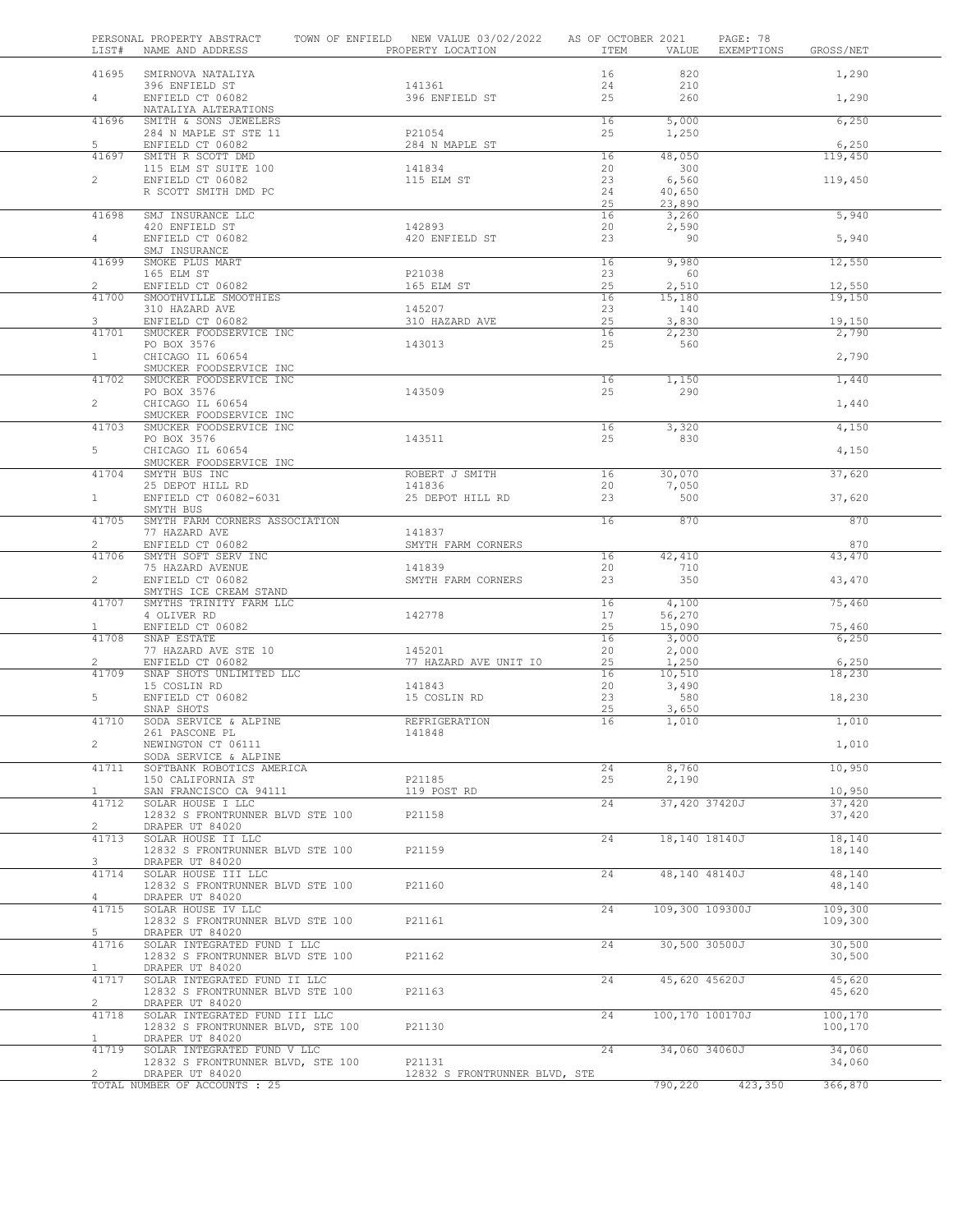| LIST#                          | PERSONAL PROPERTY ABSTRACT<br>NAME AND ADDRESS                  | TOWN OF ENFIELD NEW VALUE 03/02/2022<br>PROPERTY LOCATION | AS OF OCTOBER 2021<br>ITEM | VALUE           | PAGE: 78<br>EXEMPTIONS | GROSS/NET          |  |
|--------------------------------|-----------------------------------------------------------------|-----------------------------------------------------------|----------------------------|-----------------|------------------------|--------------------|--|
| 41695                          | SMIRNOVA NATALIYA                                               |                                                           | 16                         | 820             |                        | 1,290              |  |
| $\overline{4}$                 | 396 ENFIELD ST<br>ENFIELD CT 06082                              | 141361<br>396 ENFIELD ST                                  | 24<br>25                   | 210<br>260      |                        | 1,290              |  |
|                                | NATALIYA ALTERATIONS                                            |                                                           |                            |                 |                        |                    |  |
| 41696                          | SMITH & SONS JEWELERS<br>284 N MAPLE ST STE 11                  | P21054                                                    | 16<br>25                   | 5,000<br>1,250  |                        | 6,250              |  |
| 5                              | ENFIELD CT 06082                                                | 284 N MAPLE ST                                            |                            |                 |                        | 6,250              |  |
| 41697                          | SMITH R SCOTT DMD                                               |                                                           | 16                         | 48,050          |                        | 119,450            |  |
| $\overline{2}$                 | 115 ELM ST SUITE 100<br>ENFIELD CT 06082                        | 141834<br>115 ELM ST                                      | 20<br>23                   | 300<br>6,560    |                        | 119,450            |  |
|                                | R SCOTT SMITH DMD PC                                            |                                                           | 24                         | 40,650          |                        |                    |  |
| 41698                          |                                                                 |                                                           | 25                         | 23,890          |                        |                    |  |
|                                | SMJ INSURANCE LLC<br>420 ENFIELD ST                             | 142893                                                    | 16<br>20                   | 3,260<br>2,590  |                        | 5,940              |  |
| 4                              | ENFIELD CT 06082                                                | 420 ENFIELD ST                                            | 23                         | 90              |                        | 5,940              |  |
| 41699                          | SMJ INSURANCE<br>SMOKE PLUS MART                                |                                                           | 16                         | 9,980           |                        | 12,550             |  |
|                                | 165 ELM ST                                                      | P21038                                                    | 23                         | 60              |                        |                    |  |
| $\overline{2}$                 | ENFIELD CT 06082                                                | 165 ELM ST                                                | 25                         | 2,510           |                        | 12,550             |  |
| 41700                          | SMOOTHVILLE SMOOTHIES<br>310 HAZARD AVE                         | 145207                                                    | 16<br>23                   | 15,180<br>140   |                        | 19,150             |  |
| 3                              | ENFIELD CT 06082                                                | 310 HAZARD AVE                                            | 25                         | 3,830           |                        | 19,150             |  |
| 41701                          | SMUCKER FOODSERVICE INC<br>PO BOX 3576                          | 143013                                                    | 16<br>25                   | 2,230<br>560    |                        | 2,790              |  |
| $\mathbf{1}$                   | CHICAGO IL 60654                                                |                                                           |                            |                 |                        | 2,790              |  |
|                                | SMUCKER FOODSERVICE INC                                         |                                                           |                            |                 |                        |                    |  |
| 41702                          | SMUCKER FOODSERVICE INC<br>PO BOX 3576                          | 143509                                                    | 16<br>25                   | 1,150<br>290    |                        | 1,440              |  |
| $\overline{2}$                 | CHICAGO IL 60654                                                |                                                           |                            |                 |                        | 1,440              |  |
| 41703                          | SMUCKER FOODSERVICE INC<br>SMUCKER FOODSERVICE INC              |                                                           | 16                         | 3,320           |                        | 4,150              |  |
|                                | PO BOX 3576                                                     | 143511                                                    | 25                         | 830             |                        |                    |  |
| 5                              | CHICAGO IL 60654                                                |                                                           |                            |                 |                        | 4,150              |  |
| 41704                          | SMUCKER FOODSERVICE INC<br>SMYTH BUS INC                        | ROBERT J SMITH                                            | 16                         | 30,070          |                        | 37,620             |  |
|                                | 25 DEPOT HILL RD                                                | 141836                                                    | 20                         | 7,050           |                        |                    |  |
| 1                              | ENFIELD CT 06082-6031<br>SMYTH BUS                              | 25 DEPOT HILL RD                                          | 23                         | 500             |                        | 37,620             |  |
| 41705                          | SMYTH FARM CORNERS ASSOCIATION                                  |                                                           | 16                         | 870             |                        | 870                |  |
|                                | 77 HAZARD AVE                                                   | 141837                                                    |                            |                 |                        |                    |  |
| $\mathbf{2}^{\prime}$<br>41706 | ENFIELD CT 06082<br>SMYTH SOFT SERV INC                         | SMYTH FARM CORNERS                                        | 16                         | 42,410          |                        | 870<br>43,470      |  |
|                                | 75 HAZARD AVENUE                                                | 141839                                                    | 20                         | 710             |                        |                    |  |
| $\overline{2}$                 | ENFIELD CT 06082<br>SMYTHS ICE CREAM STAND                      | SMYTH FARM CORNERS                                        | 23                         | 350             |                        | 43,470             |  |
| 41707                          | SMYTHS TRINITY FARM LLC                                         |                                                           | 16                         | 4,100           |                        | 75,460             |  |
|                                | 4 OLIVER RD                                                     | 142778                                                    | 17                         | 56,270          |                        |                    |  |
| $\mathbf{1}$<br>41708          | ENFIELD CT 06082<br>SNAP ESTATE                                 |                                                           | 25<br>16                   | 15,090<br>3,000 |                        | 75,460<br>6,250    |  |
|                                | 77 HAZARD AVE STE 10                                            | 145201                                                    | 20                         | 2,000           |                        |                    |  |
| 2<br>41709                     | ENFIELD CT 06082<br>SNAP SHOTS UNLIMITED LLC                    | 77 HAZARD AVE UNIT IO                                     | 25<br>16                   | 1,250<br>10,510 |                        | 6,250<br>18,230    |  |
|                                | 15 COSLIN RD                                                    | 141843                                                    | 20                         | 3,490           |                        |                    |  |
| 5                              | ENFIELD CT 06082                                                | 15 COSLIN RD                                              | 23                         | 580             |                        | 18,230             |  |
| 41710                          | SNAP SHOTS<br>SODA SERVICE & ALPINE                             | REFRIGERATION                                             | 25<br>16                   | 3,650<br>1,010  |                        | 1,010              |  |
|                                | 261 PASCONE PL                                                  | 141848                                                    |                            |                 |                        |                    |  |
| $\overline{c}$                 | NEWINGTON CT 06111<br>SODA SERVICE & ALPINE                     |                                                           |                            |                 |                        | 1,010              |  |
| 41711                          | SOFTBANK ROBOTICS AMERICA                                       |                                                           | 24                         | 8,760           |                        | 10,950             |  |
|                                | 150 CALIFORNIA ST                                               | P21185                                                    | 25                         | 2,190           |                        |                    |  |
| $\mathbf{1}$<br>41712          | SAN FRANCISCO CA 94111<br>SOLAR HOUSE I LLC                     | 119 POST RD                                               | 24                         | 37,420 37420J   |                        | 10,950<br>37,420   |  |
|                                | 12832 S FRONTRUNNER BLVD STE 100                                | P21158                                                    |                            |                 |                        | 37,420             |  |
| $\overline{c}$<br>41713        | DRAPER UT 84020<br>SOLAR HOUSE II LLC                           |                                                           | 24                         | 18,140 18140J   |                        | 18,140             |  |
|                                | 12832 S FRONTRUNNER BLVD STE 100                                | P21159                                                    |                            |                 |                        | 18,140             |  |
| 3<br>41714                     | DRAPER UT 84020<br>SOLAR HOUSE III LLC                          |                                                           | 24                         | 48,140 48140J   |                        | 48,140             |  |
|                                | 12832 S FRONTRUNNER BLVD STE 100                                | P21160                                                    |                            |                 |                        | 48,140             |  |
| $\overline{4}$                 | DRAPER UT 84020                                                 |                                                           |                            |                 |                        |                    |  |
| 41715                          | SOLAR HOUSE IV LLC<br>12832 S FRONTRUNNER BLVD STE 100          | P21161                                                    | 24                         | 109,300 109300J |                        | 109,300<br>109,300 |  |
| 5                              | DRAPER UT 84020                                                 |                                                           |                            |                 |                        |                    |  |
| 41716                          | SOLAR INTEGRATED FUND I LLC<br>12832 S FRONTRUNNER BLVD STE 100 | P21162                                                    | 24                         | 30,500 30500J   |                        | 30,500<br>30,500   |  |
| $\mathbf{1}$                   | DRAPER UT 84020                                                 |                                                           |                            |                 |                        |                    |  |
| 41717                          | SOLAR INTEGRATED FUND II LLC                                    |                                                           | 24                         | 45,620 45620J   |                        | 45,620             |  |
| $\mathbf{2}^{\prime}$          | 12832 S FRONTRUNNER BLVD STE 100<br>DRAPER UT 84020             | P21163                                                    |                            |                 |                        | 45,620             |  |
| 41718                          | SOLAR INTEGRATED FUND III LLC                                   |                                                           | 24                         | 100,170 100170J |                        | 100,170            |  |
| $\mathbf{1}$                   | 12832 S FRONTRUNNER BLVD, STE 100<br>DRAPER UT 84020            | P21130                                                    |                            |                 |                        | 100,170            |  |
| 41719                          | SOLAR INTEGRATED FUND V LLC                                     |                                                           | 24                         | 34,060 34060J   |                        | 34,060             |  |
|                                | 12832 S FRONTRUNNER BLVD, STE 100                               | P21131                                                    |                            |                 |                        | 34,060             |  |
| $\overline{2}$                 | DRAPER UT 84020<br>TOTAL NUMBER OF ACCOUNTS : 25                | 12832 S FRONTRUNNER BLVD, STE                             |                            | 790,220         | 423,350                | 366,870            |  |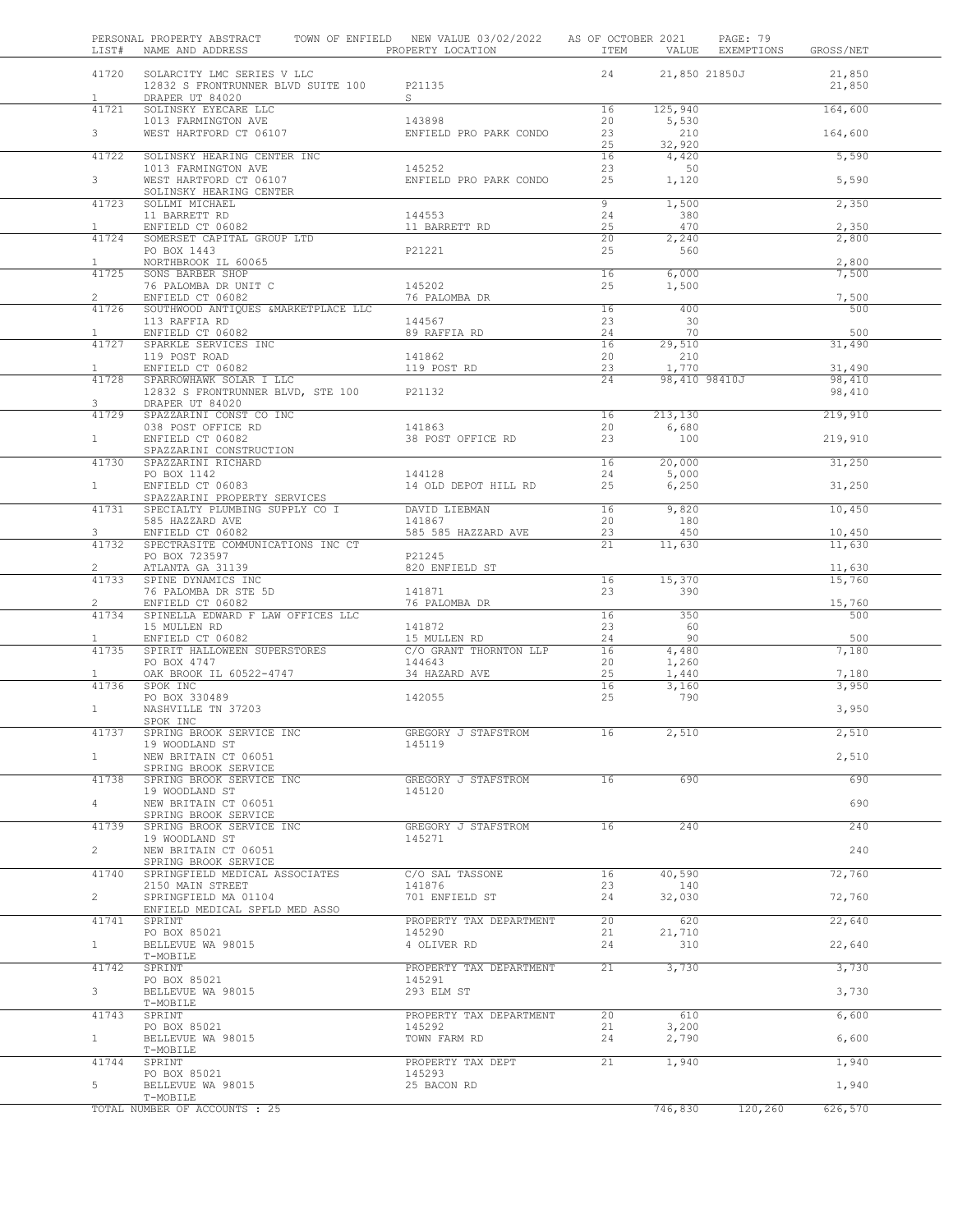| LIST#                          | PERSONAL PROPERTY ABSTRACT TOWN OF ENFIELD NEW VALUE 03/02/2022 AS OF OCTOBER 2021<br>NAME AND ADDRESS | PROPERTY LOCATION                      |                 |                | PAGE: 79<br>ITEM VALUE EXEMPTIONS | GROSS/NET        |  |
|--------------------------------|--------------------------------------------------------------------------------------------------------|----------------------------------------|-----------------|----------------|-----------------------------------|------------------|--|
| 41720<br>$\mathbf{1}$          | SOLARCITY LMC SERIES V LLC<br>12832 S FRONTRUNNER BLVD SUITE 100<br>DRAPER UT 84020                    | P21135<br>S –                          | 24              |                | 21,850 21850J                     | 21,850<br>21,850 |  |
| 41721                          | SOLINSKY EYECARE LLC                                                                                   |                                        | 16              | 125,940        |                                   | 164,600          |  |
| 3 <sup>7</sup>                 | 1013 FARMINGTON AVE<br>WEST HARTFORD CT 06107                                                          | 143898<br>ENFIELD PRO PARK CONDO       | 20<br>23        | 5,530<br>210   |                                   | 164,600          |  |
|                                |                                                                                                        |                                        | 25              | 32,920         |                                   |                  |  |
| 41722                          | SOLINSKY HEARING CENTER INC                                                                            |                                        | 16              | 4,420          |                                   | 5,590            |  |
| $\mathbf{3}$                   | 1013 FARMINGTON AVE<br>WEST HARTFORD CT 06107                                                          | 145252<br>ENFIELD PRO PARK CONDO       | 23<br>25        | 50<br>1,120    |                                   | 5,590            |  |
|                                | SOLINSKY HEARING CENTER                                                                                |                                        |                 |                |                                   |                  |  |
| 41723                          | SOLLMI MICHAEL                                                                                         |                                        | 9               | 1,500          |                                   | 2,350            |  |
| $\mathbf{1}$                   | 11 BARRETT RD<br>ENFIELD CT 06082                                                                      | 144553<br>11 BARRETT RD                | 24<br>25        | 380<br>470     |                                   | 2,350            |  |
| 41724                          | SOMERSET CAPITAL GROUP LTD                                                                             |                                        | 20              | 2,240          |                                   | 2,800            |  |
| $\mathbf{1}$                   | PO BOX 1443<br>NORTHBROOK IL 60065                                                                     | P21221                                 | 25              | 560            |                                   | 2,800            |  |
| 41725                          | SONS BARBER SHOP                                                                                       |                                        | 16              | 6,000          |                                   | 7,500            |  |
|                                | 76 PALOMBA DR UNIT C                                                                                   | 145202                                 | 25              | 1,500          |                                   |                  |  |
| $\overline{2}$<br>41726        | ENFIELD CT 06082<br>SOUTHWOOD ANTIQUES &MARKETPLACE LLC                                                | 76 PALOMBA DR                          | 16              | 400            |                                   | 7,500<br>500     |  |
|                                | 113 RAFFIA RD                                                                                          | 144567                                 | 23              | 30             |                                   |                  |  |
| $\mathbf{1}$                   | ENFIELD CT 06082<br>SPARKLE SERVICES INC                                                               | 89 RAFFIA RD                           | 24              | 70             |                                   | 500              |  |
| 41727                          | 119 POST ROAD                                                                                          | 141862                                 | 16<br>20        | 29,510<br>210  |                                   | 31,490           |  |
| $\mathbf{1}$                   | ENFIELD CT 06082                                                                                       | 119 POST RD                            | 23              | 1,770          |                                   | 31,490           |  |
| 41728                          | SPARROWHAWK SOLAR I LLC<br>12832 S FRONTRUNNER BLVD, STE 100                                           | P21132                                 | 24              | 98,410 98410J  |                                   | 98,410<br>98,410 |  |
| 3                              | DRAPER UT 84020                                                                                        |                                        |                 |                |                                   |                  |  |
| 41729                          | SPAZZARINI CONST CO INC                                                                                |                                        | 16              | 213,130        |                                   | 219,910          |  |
| $\mathbf{1}$                   | 038 POST OFFICE RD<br>ENFIELD CT 06082                                                                 | 141863<br>38 POST OFFICE RD            | 20<br>23        | 6,680<br>100   |                                   | 219,910          |  |
|                                | SPAZZARINI CONSTRUCTION                                                                                |                                        |                 |                |                                   |                  |  |
| 41730                          | SPAZZARINI RICHARD                                                                                     |                                        | 16              | 20,000         |                                   | 31,250           |  |
| $\mathbf{1}$                   | PO BOX 1142<br>ENFIELD CT 06083                                                                        | 144128<br>14 OLD DEPOT HILL RD         | 24<br>25        | 5,000<br>6,250 |                                   | 31,250           |  |
|                                | SPAZZARINI PROPERTY SERVICES                                                                           |                                        |                 |                |                                   |                  |  |
| 41731                          | SPECIALTY PLUMBING SUPPLY CO I<br>585 HAZZARD AVE                                                      | DAVID LIEBMAN<br>141867                | 16<br>20        | 9,820<br>180   |                                   | 10,450           |  |
| 3                              | ENFIELD CT 06082                                                                                       | 585 585 HAZZARD AVE                    | 23              | 450            |                                   | 10,450           |  |
| 41732                          | SPECTRASITE COMMUNICATIONS INC CT                                                                      |                                        | 21              | 11,630         |                                   | 11,630           |  |
| 2                              | PO BOX 723597<br>ATLANTA GA 31139                                                                      | P21245<br>820 ENFIELD ST               |                 |                |                                   | 11,630           |  |
| 41733                          | SPINE DYNAMICS INC                                                                                     |                                        | 16              | 15,370         |                                   | 15,760           |  |
|                                | 76 PALOMBA DR STE 5D                                                                                   | 141871                                 | 23              | 390            |                                   |                  |  |
| $\mathbf{2}^{\prime}$<br>41734 | ENFIELD CT 06082<br>SPINELLA EDWARD F LAW OFFICES LLC                                                  | 76 PALOMBA DR                          | 16              | 350            |                                   | 15,760<br>500    |  |
|                                | 15 MULLEN RD                                                                                           | 141872                                 | 23              | 60             |                                   |                  |  |
| $\mathbf{1}$<br>41735          | ENFIELD CT 06082<br>SPIRIT HALLOWEEN SUPERSTORES                                                       | 15 MULLEN RD<br>C/O GRANT THORNTON LLP | 24<br>16        | 90<br>4,480    |                                   | 500<br>7,180     |  |
|                                | PO BOX 4747                                                                                            | 144643                                 | 20              | 1,260          |                                   |                  |  |
| $\mathbf{1}$                   | OAK BROOK IL 60522-4747                                                                                | 34 HAZARD AVE                          | 25              | 1,440          |                                   | 7,180            |  |
| 41736                          | SPOK INC<br>PO BOX 330489                                                                              | 142055                                 | 16<br>25        | 3,160<br>790   |                                   | 3,950            |  |
| $\mathbf{1}$                   | NASHVILLE TN 37203                                                                                     |                                        |                 |                |                                   | 3,950            |  |
|                                | SPOK INC                                                                                               |                                        |                 |                |                                   |                  |  |
| 41737                          | SPRING BROOK SERVICE INC<br>19 WOODLAND ST                                                             | GREGORY J STAFSTROM<br>145119          | 16              | 2,510          |                                   | 2,510            |  |
| 1                              | NEW BRITAIN CT 06051                                                                                   |                                        |                 |                |                                   | 2,510            |  |
|                                | SPRING BROOK SERVICE                                                                                   |                                        |                 |                |                                   |                  |  |
| 41738                          | SPRING BROOK SERVICE INC<br>19 WOODLAND ST                                                             | GREGORY J STAFSTROM<br>145120          | 16              | 690            |                                   | 690              |  |
| $4\degree$                     | NEW BRITAIN CT 06051                                                                                   |                                        |                 |                |                                   | 690              |  |
| 41739                          | SPRING BROOK SERVICE<br>SPRING BROOK SERVICE INC                                                       | GREGORY J STAFSTROM                    | 16              | 240            |                                   | 240              |  |
|                                | 19 WOODLAND ST                                                                                         | 145271                                 |                 |                |                                   |                  |  |
| $\overline{2}$                 | NEW BRITAIN CT 06051                                                                                   |                                        |                 |                |                                   | 240              |  |
| 41740                          | SPRING BROOK SERVICE<br>SPRINGFIELD MEDICAL ASSOCIATES                                                 | C/O SAL TASSONE                        | 16              | 40,590         |                                   | 72,760           |  |
|                                | 2150 MAIN STREET                                                                                       | 141876                                 | 23              | 140            |                                   |                  |  |
| $\overline{2}$                 | SPRINGFIELD MA 01104                                                                                   | 701 ENFIELD ST                         | 24              | 32,030         |                                   | 72,760           |  |
| 41741                          | ENFIELD MEDICAL SPFLD MED ASSO<br>SPRINT                                                               | PROPERTY TAX DEPARTMENT                | 20 <sub>2</sub> | 620            |                                   | 22,640           |  |
|                                | PO BOX 85021                                                                                           | 145290                                 | 21              | 21,710         |                                   |                  |  |
| 1                              | BELLEVUE WA 98015                                                                                      | 4 OLIVER RD                            | 24              | 310            |                                   | 22,640           |  |
| 41742                          | T-MOBILE<br>SPRINT                                                                                     | PROPERTY TAX DEPARTMENT                | 21              | 3,730          |                                   | 3,730            |  |
|                                | PO BOX 85021                                                                                           | 145291                                 |                 |                |                                   |                  |  |
| 3 <sup>7</sup>                 | BELLEVUE WA 98015<br>T-MOBILE                                                                          | 293 ELM ST                             |                 |                |                                   | 3,730            |  |
| 41743                          | SPRINT                                                                                                 | PROPERTY TAX DEPARTMENT                | 20              | 610            |                                   | 6,600            |  |
|                                | PO BOX 85021                                                                                           | 145292                                 | 21              | 3,200          |                                   |                  |  |
| 1                              | BELLEVUE WA 98015<br>T-MOBILE                                                                          | TOWN FARM RD                           | 24              | 2,790          |                                   | 6,600            |  |
| 41744                          | SPRINT                                                                                                 | PROPERTY TAX DEPT                      | 21              | 1,940          |                                   | 1,940            |  |
| 5                              | PO BOX 85021                                                                                           | 145293                                 |                 |                |                                   |                  |  |
|                                | BELLEVUE WA 98015<br>T-MOBILE                                                                          | 25 BACON RD                            |                 |                |                                   | 1,940            |  |
|                                | TOTAL NUMBER OF ACCOUNTS : 25                                                                          |                                        |                 | 746,830        | 120,260                           | 626,570          |  |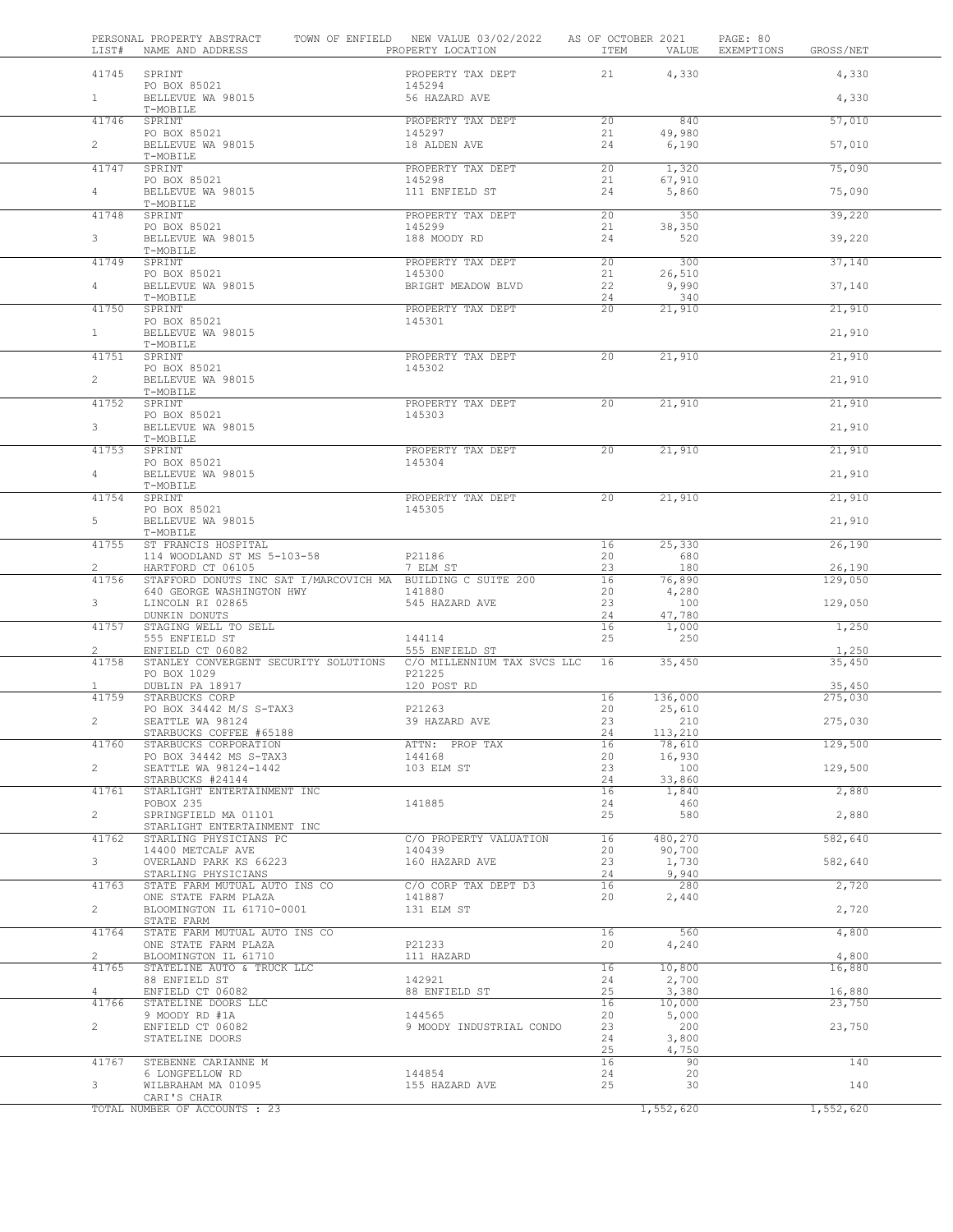| LIST#                   | PERSONAL PROPERTY ABSTRACT<br>NAME AND ADDRESS              | TOWN OF ENFIELD NEW VALUE 03/02/2022<br>PROPERTY LOCATION | AS OF OCTOBER 2021<br>ITEM | VALUE           | PAGE: 80<br>EXEMPTIONS<br>GROSS/NET |
|-------------------------|-------------------------------------------------------------|-----------------------------------------------------------|----------------------------|-----------------|-------------------------------------|
|                         | 41745 SPRINT<br>PO BOX 85021                                | PROPERTY TAX DEPT<br>145294                               | 21                         | 4,330           | 4,330                               |
| 1                       | BELLEVUE WA 98015<br>T-MOBILE                               | 56 HAZARD AVE                                             |                            |                 | 4,330                               |
| 41746                   | SPRINT                                                      | PROPERTY TAX DEPT                                         | 20                         | 840             | 57,010                              |
| $\overline{2}$          | PO BOX 85021<br>BELLEVUE WA 98015                           | 145297<br>18 ALDEN AVE                                    | 21<br>24                   | 49,980<br>6,190 | 57,010                              |
| 41747                   | T-MOBILE<br>SPRINT                                          | PROPERTY TAX DEPT                                         | 20                         | 1,320           | 75,090                              |
|                         | PO BOX 85021                                                | 145298                                                    | 21                         | 67,910          |                                     |
| $\overline{4}$          | BELLEVUE WA 98015<br>T-MOBILE                               | 111 ENFIELD ST                                            | 24                         | 5,860           | 75,090                              |
| 41748                   | SPRINT                                                      | PROPERTY TAX DEPT                                         | 20                         | 350             | 39,220                              |
| 3                       | PO BOX 85021<br>BELLEVUE WA 98015                           | 145299<br>188 MOODY RD                                    | 21<br>24                   | 38,350<br>520   | 39,220                              |
| 41749                   | T-MOBILE<br>SPRINT                                          | PROPERTY TAX DEPT                                         | 20                         | 300             | 37,140                              |
| 4                       | PO BOX 85021<br>BELLEVUE WA 98015                           | 145300<br>BRIGHT MEADOW BLVD                              | 21<br>22                   | 26,510<br>9,990 | 37,140                              |
| 41750                   | T-MOBILE<br>SPRINT                                          | PROPERTY TAX DEPT                                         | 24<br>20                   | 340<br>21,910   | 21,910                              |
|                         | PO BOX 85021                                                | 145301                                                    |                            |                 |                                     |
| 1                       | BELLEVUE WA 98015<br>T-MOBILE                               |                                                           |                            |                 | 21,910                              |
| 41751                   | SPRINT                                                      | PROPERTY TAX DEPT                                         | 20                         | 21,910          | 21,910                              |
| $\overline{2}$          | PO BOX 85021<br>BELLEVUE WA 98015                           | 145302                                                    |                            |                 | 21,910                              |
| 41752                   | T-MOBILE<br>SPRINT                                          | PROPERTY TAX DEPT                                         | 20                         | 21,910          | 21,910                              |
| 3                       | PO BOX 85021<br>BELLEVUE WA 98015                           | 145303                                                    |                            |                 | 21,910                              |
|                         | T-MOBILE                                                    |                                                           |                            |                 |                                     |
| 41753                   | SPRINT<br>PO BOX 85021                                      | PROPERTY TAX DEPT<br>145304                               | 20                         | 21,910          | 21,910                              |
| 4                       | BELLEVUE WA 98015<br>T-MOBILE                               |                                                           |                            |                 | 21,910                              |
| 41754                   | SPRINT                                                      | PROPERTY TAX DEPT                                         | 20                         | 21,910          | 21,910                              |
| 5                       | PO BOX 85021<br>BELLEVUE WA 98015                           | 145305                                                    |                            |                 | 21,910                              |
| 41755                   | T-MOBILE<br>ST FRANCIS HOSPITAL                             |                                                           | 16                         | 25,330          | 26,190                              |
| 2                       | 114 WOODLAND ST MS 5-103-58<br>HARTFORD CT 06105            | P21186<br>7 ELM ST                                        | 20<br>23                   | 680<br>180      | 26,190                              |
| 41756                   | STAFFORD DONUTS INC SAT I/MARCOVICH MA BUILDING C SUITE 200 |                                                           | 16                         | 76,890          | 129,050                             |
| 3                       | 640 GEORGE WASHINGTON HWY<br>LINCOLN RI 02865               | 141880<br>545 HAZARD AVE                                  | 20<br>23                   | 4,280<br>100    | 129,050                             |
| 41757                   | DUNKIN DONUTS<br>STAGING WELL TO SELL                       |                                                           | 24<br>16                   | 47,780<br>1,000 | 1,250                               |
|                         | 555 ENFIELD ST                                              | 144114                                                    | 25                         | 250             |                                     |
| $\overline{2}$<br>41758 | ENFIELD CT 06082<br>STANLEY CONVERGENT SECURITY SOLUTIONS   | 555 ENFIELD ST<br>C/O MILLENNIUM TAX SVCS LLC             | 16                         | 35,450          | 1,250<br>35,450                     |
|                         | PO BOX 1029                                                 | P21225                                                    |                            |                 |                                     |
| $\mathbf{1}$<br>41759   | DUBLIN PA 18917<br>STARBUCKS CORP                           | 120 POST RD                                               | 16                         | 136,000         | 35,450<br>275,030                   |
|                         | PO BOX 34442 M/S S-TAX3                                     | P21263                                                    | 20                         | 25,610          |                                     |
| $\overline{2}$          | SEATTLE WA 98124<br>STARBUCKS COFFEE #65188                 | 39 HAZARD AVE                                             | 23<br>24                   | 210<br>113,210  | 275,030                             |
| 41760                   | STARBUCKS CORPORATION                                       | ATTN: PROP TAX                                            | 16                         | 78,610          | 129,500                             |
| $\overline{2}$          | PO BOX 34442 MS S-TAX3                                      | 144168<br>103 ELM ST                                      | 20<br>23                   | 16,930<br>100   |                                     |
|                         | SEATTLE WA 98124-1442<br>STARBUCKS #24144                   |                                                           | 24                         | 33,860          | 129,500                             |
| 41761                   | STARLIGHT ENTERTAINMENT INC                                 |                                                           | 16                         | 1,840           | 2,880                               |
| $2^{\circ}$             | POBOX 235<br>SPRINGFIELD MA 01101                           | 141885                                                    | 24<br>25                   | 460<br>580      | 2,880                               |
| 41762                   | STARLIGHT ENTERTAINMENT INC<br>STARLING PHYSICIANS PC       | C/O PROPERTY VALUATION                                    | 16                         | 480,270         | 582,640                             |
| 3                       | 14400 METCALF AVE<br>OVERLAND PARK KS 66223                 | 140439<br>160 HAZARD AVE                                  | 20<br>23                   | 90,700          | 582,640                             |
|                         | STARLING PHYSICIANS                                         |                                                           | 24                         | 1,730<br>9,940  |                                     |
| 41763                   | STATE FARM MUTUAL AUTO INS CO<br>ONE STATE FARM PLAZA       | C/O CORP TAX DEPT D3<br>141887                            | 16<br>20                   | 280<br>2,440    | 2,720                               |
| $\overline{2}$          | BLOOMINGTON IL 61710-0001<br>STATE FARM                     | 131 ELM ST                                                |                            |                 | 2,720                               |
| 41764                   | STATE FARM MUTUAL AUTO INS CO                               |                                                           | 16                         | 560             | 4,800                               |
| $\mathbf{2}^{\prime}$   | ONE STATE FARM PLAZA<br>BLOOMINGTON IL 61710                | P21233<br>111 HAZARD                                      | 20                         | 4,240           | 4,800                               |
| 41765                   | STATELINE AUTO & TRUCK LLC                                  |                                                           | 16                         | 10,800          | 16,880                              |
| 4                       | 88 ENFIELD ST<br>ENFIELD CT 06082                           | 142921<br>88 ENFIELD ST                                   | 24<br>25                   | 2,700<br>3,380  | 16,880                              |
| 41766                   | STATELINE DOORS LLC                                         |                                                           | 16                         | 10,000          | 23,750                              |
| $\overline{2}$          | 9 MOODY RD #1A<br>ENFIELD CT 06082                          | 144565<br>9 MOODY INDUSTRIAL CONDO                        | 20<br>23                   | 5,000<br>200    | 23,750                              |
|                         | STATELINE DOORS                                             |                                                           | 24<br>25                   | 3,800<br>4,750  |                                     |
| 41767                   | STEBENNE CARIANNE M                                         |                                                           | 16                         | 90              | 140                                 |
| 3                       | 6 LONGFELLOW RD<br>WILBRAHAM MA 01095                       | 144854<br>155 HAZARD AVE                                  | 24<br>25                   | 20<br>30        | 140                                 |
|                         | CARI'S CHAIR                                                |                                                           |                            |                 |                                     |
|                         | TOTAL NUMBER OF ACCOUNTS : 23                               |                                                           |                            | 1,552,620       | 1,552,620                           |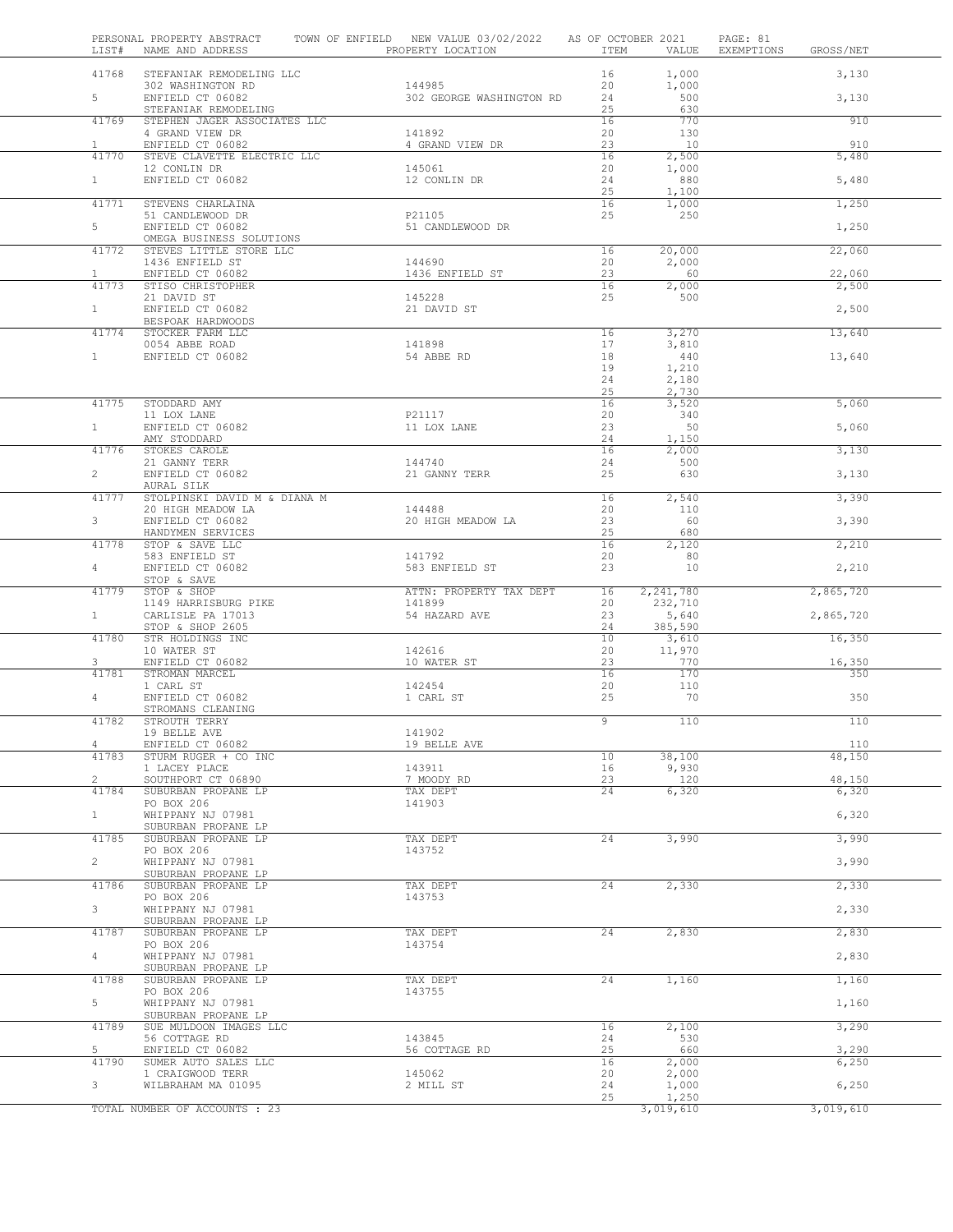| LIST#          | PERSONAL PROPERTY ABSTRACT<br>NAME AND ADDRESS  | TOWN OF ENFIELD NEW VALUE 03/02/2022<br>PROPERTY LOCATION | AS OF OCTOBER 2021<br>ITEM   | PAGE: 81<br>VALUE<br>EXEMPTIONS<br>GROSS/NET |
|----------------|-------------------------------------------------|-----------------------------------------------------------|------------------------------|----------------------------------------------|
| 41768          | STEFANIAK REMODELING LLC                        |                                                           | 16<br>1,000                  | 3,130                                        |
|                | 302 WASHINGTON RD                               | 144985                                                    | 20<br>1,000                  |                                              |
| 5              | ENFIELD CT 06082<br>STEFANIAK REMODELING        | 302 GEORGE WASHINGTON RD                                  | 24<br>25                     | 500<br>3,130<br>630                          |
| 41769          | STEPHEN JAGER ASSOCIATES LLC<br>4 GRAND VIEW DR | 141892                                                    | 16<br>20                     | 770<br>910<br>130                            |
| $\mathbf{1}$   | ENFIELD CT 06082                                | 4 GRAND VIEW DR                                           | 23                           | 10<br>910                                    |
| 41770          | STEVE CLAVETTE ELECTRIC LLC<br>12 CONLIN DR     | 145061                                                    | 16<br>2,500<br>20<br>1,000   | 5,480                                        |
| 1              | ENFIELD CT 06082                                | 12 CONLIN DR                                              | 880<br>24                    | 5,480                                        |
| 41771          | STEVENS CHARLAINA                               |                                                           | 25<br>1,100<br>16<br>1,000   | 1,250                                        |
| $5 -$          | 51 CANDLEWOOD DR<br>ENFIELD CT 06082            | P21105<br>51 CANDLEWOOD DR                                | 25                           | 250                                          |
|                | OMEGA BUSINESS SOLUTIONS                        |                                                           |                              | 1,250                                        |
| 41772          | STEVES LITTLE STORE LLC<br>1436 ENFIELD ST      | 144690                                                    | 16<br>20,000<br>2,000<br>20  | 22,060                                       |
| $\mathbf{1}$   | ENFIELD CT 06082                                | 1436 ENFIELD ST                                           | 23                           | 60<br>22,060                                 |
| 41773          | STISO CHRISTOPHER<br>21 DAVID ST                | 145228                                                    | 16<br>2,000<br>500<br>25     | 2,500                                        |
| 1              | ENFIELD CT 06082                                | 21 DAVID ST                                               |                              | 2,500                                        |
| 41774          | BESPOAK HARDWOODS<br>STOCKER FARM LLC           |                                                           | 3,270<br>16                  | 13,640                                       |
|                | 0054 ABBE ROAD                                  | 141898                                                    | 17<br>3,810                  |                                              |
| $\mathbf{1}$   | ENFIELD CT 06082                                | 54 ABBE RD                                                | 18<br>440<br>19<br>1,210     | 13,640                                       |
|                |                                                 |                                                           | 24<br>2,180<br>25<br>2,730   |                                              |
| 41775          | STODDARD AMY                                    |                                                           | 16<br>3,520                  | 5,060                                        |
| $\mathbf{1}$   | 11 LOX LANE<br>ENFIELD CT 06082                 | P21117<br>11 LOX LANE                                     | 20<br>340<br>23              | 5,060<br>50                                  |
|                | AMY STODDARD                                    |                                                           | 24<br>1,150                  |                                              |
| 41776          | STOKES CAROLE<br>21 GANNY TERR                  | 144740                                                    | 16<br>2,000<br>24            | 3,130<br>500                                 |
| $\overline{2}$ | ENFIELD CT 06082                                | 21 GANNY TERR                                             | 25                           | 630<br>3,130                                 |
| 41777          | AURAL SILK<br>STOLPINSKI DAVID M & DIANA M      |                                                           | 16<br>2,540                  | 3,390                                        |
| $\mathbf{3}$   | 20 HIGH MEADOW LA<br>ENFIELD CT 06082           | 144488<br>20 HIGH MEADOW LA                               | 20<br>110<br>23              | 3,390<br>60                                  |
|                | HANDYMEN SERVICES                               |                                                           | 25                           | 680                                          |
| 41778          | STOP & SAVE LLC<br>583 ENFIELD ST               | 141792                                                    | 16<br>2,120<br>20            | 2,210<br>80                                  |
| $4 -$          | ENFIELD CT 06082                                | 583 ENFIELD ST                                            | 23                           | 10<br>2,210                                  |
| 41779          | STOP & SAVE<br>STOP & SHOP                      | ATTN: PROPERTY TAX DEPT                                   | 2, 241, 780<br>16            | 2,865,720                                    |
| 1              | 1149 HARRISBURG PIKE<br>CARLISLE PA 17013       | 141899<br>54 HAZARD AVE                                   | 20<br>232,710<br>23<br>5,640 | 2,865,720                                    |
|                | STOP & SHOP 2605                                |                                                           | 24<br>385,590                |                                              |
| 41780          | STR HOLDINGS INC<br>10 WATER ST                 | 142616                                                    | 10<br>3,610<br>20<br>11,970  | 16,350                                       |
| 3              | ENFIELD CT 06082                                | 10 WATER ST                                               | 23                           | 770<br>16,350                                |
| 41781          | STROMAN MARCEL<br>1 CARL ST                     | 142454                                                    | 16<br>20                     | 170<br>350<br>110                            |
| $\overline{4}$ | ENFIELD CT 06082                                | 1 CARL ST                                                 | 25                           | 70<br>350                                    |
| 41782          | STROMANS CLEANING<br>STROUTH TERRY              |                                                           | 9                            | 110<br>110                                   |
|                | 19 BELLE AVE<br>ENFIELD CT 06082                | 141902<br>19 BELLE AVE                                    |                              |                                              |
| 4<br>41783     | STURM RUGER + CO INC                            |                                                           | 38,100<br>10                 | 110<br>48,150                                |
| $\overline{2}$ | 1 LACEY PLACE<br>SOUTHPORT CT 06890             | 143911<br>7 MOODY RD                                      | 9,930<br>16<br>23<br>120     | 48,150                                       |
| 41784          | SUBURBAN PROPANE LP                             | TAX DEPT                                                  | 24<br>6,320                  | 6,320                                        |
| 1              | PO BOX 206<br>WHIPPANY NJ 07981                 | 141903                                                    |                              | 6,320                                        |
|                | SUBURBAN PROPANE LP                             | TAX DEPT                                                  |                              |                                              |
| 41785          | SUBURBAN PROPANE LP<br>PO BOX 206               | 143752                                                    | 24<br>3,990                  | 3,990                                        |
| $\overline{2}$ | WHIPPANY NJ 07981<br>SUBURBAN PROPANE LP        |                                                           |                              | 3,990                                        |
| 41786          | SUBURBAN PROPANE LP                             | TAX DEPT                                                  | 24<br>2,330                  | 2,330                                        |
| $3^{\circ}$    | PO BOX 206<br>WHIPPANY NJ 07981                 | 143753                                                    |                              | 2,330                                        |
|                | SUBURBAN PROPANE LP                             |                                                           |                              |                                              |
| 41787          | SUBURBAN PROPANE LP<br>PO BOX 206               | TAX DEPT<br>143754                                        | 2,830<br>24                  | 2,830                                        |
| $4\degree$     | WHIPPANY NJ 07981                               |                                                           |                              | 2,830                                        |
| 41788          | SUBURBAN PROPANE LP<br>SUBURBAN PROPANE LP      | TAX DEPT                                                  | 24<br>1,160                  | 1,160                                        |
| 5              | PO BOX 206<br>WHIPPANY NJ 07981                 | 143755                                                    |                              | 1,160                                        |
|                | SUBURBAN PROPANE LP                             |                                                           |                              |                                              |
| 41789          | SUE MULDOON IMAGES LLC<br>56 COTTAGE RD         | 143845                                                    | 16<br>2,100<br>530<br>24     | 3,290                                        |
| 5              | ENFIELD CT 06082                                | 56 COTTAGE RD                                             | 25                           | 660<br>3,290                                 |
| 41790          | SUMER AUTO SALES LLC<br>1 CRAIGWOOD TERR        | 145062                                                    | 16<br>2,000<br>2,000<br>20   | 6,250                                        |
| $\mathbf{3}$   | WILBRAHAM MA 01095                              | 2 MILL ST                                                 | 1,000<br>24                  | 6,250                                        |
|                | TOTAL NUMBER OF ACCOUNTS : 23                   |                                                           | 25<br>1,250<br>3,019,610     | 3,019,610                                    |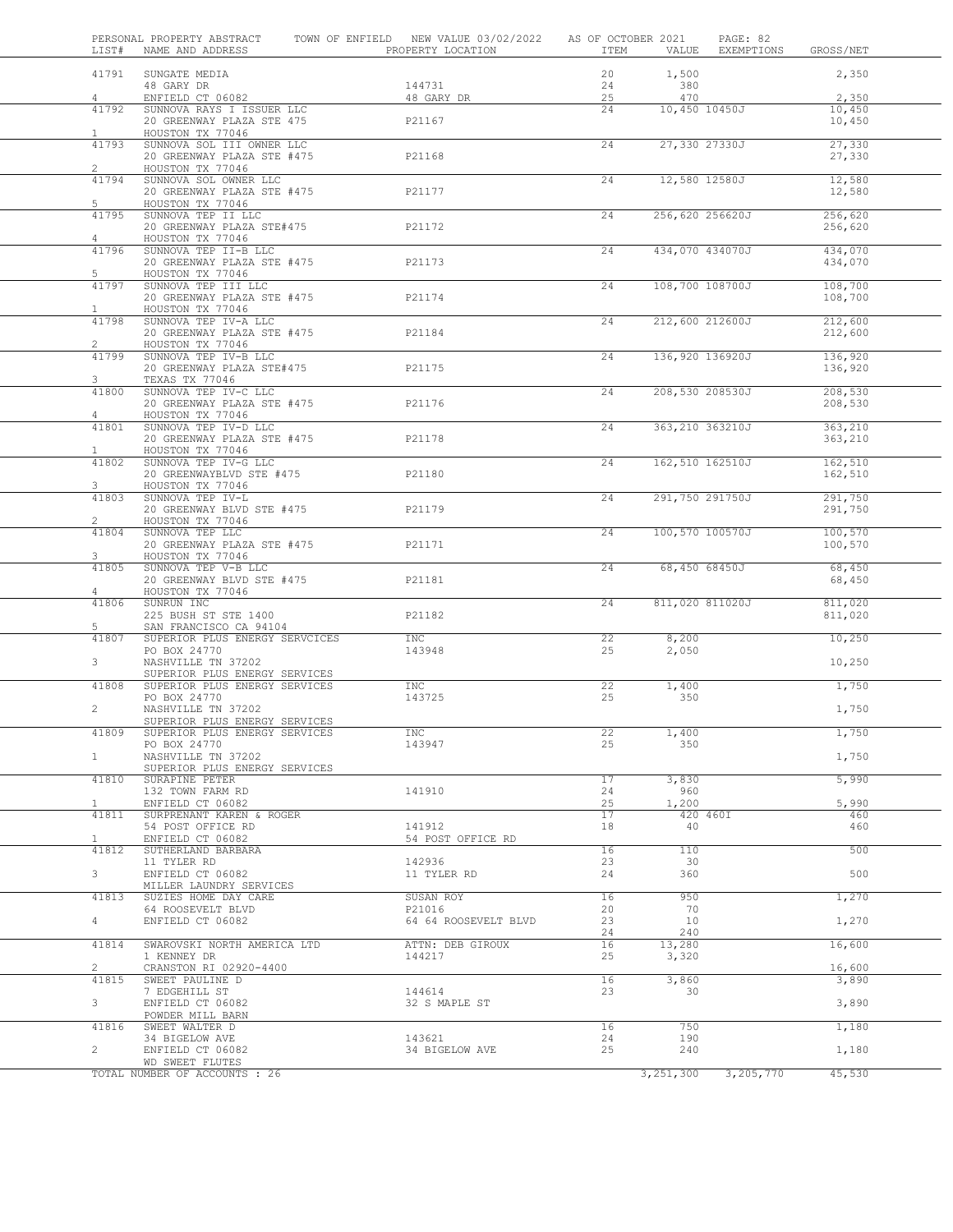| LIST#                   | PERSONAL PROPERTY ABSTRACT<br>NAME AND ADDRESS                                             | TOWN OF ENFIELD NEW VALUE 03/02/2022<br>PROPERTY LOCATION | AS OF OCTOBER 2021<br>ITEM | VALUE                 | PAGE: 82<br>EXEMPTIONS | GROSS/NET          |  |
|-------------------------|--------------------------------------------------------------------------------------------|-----------------------------------------------------------|----------------------------|-----------------------|------------------------|--------------------|--|
| 41791                   | SUNGATE MEDIA<br>48 GARY DR                                                                | 144731                                                    | 20<br>24                   | 1,500<br>380          |                        | 2,350              |  |
| 4                       | ENFIELD CT 06082                                                                           | 48 GARY DR                                                | 25                         | 470                   |                        | 2,350              |  |
| 41792<br>$\mathbf{1}$   | SUNNOVA RAYS I ISSUER LLC<br>20 GREENWAY PLAZA STE 475<br>HOUSTON TX 77046                 | P21167                                                    | 24                         | 10,450 10450J         |                        | 10,450<br>10,450   |  |
| 41793<br>$\overline{2}$ | SUNNOVA SOL III OWNER LLC<br>20 GREENWAY PLAZA STE #475<br>HOUSTON TX 77046                | P21168                                                    | 24                         | 27,330 27330J         |                        | 27,330<br>27,330   |  |
| 41794<br>5              | SUNNOVA SOL OWNER LLC<br>20 GREENWAY PLAZA STE #475<br>HOUSTON TX 77046                    | P21177                                                    | 24                         | 12,580 12580J         |                        | 12,580<br>12,580   |  |
| 41795<br>4              | SUNNOVA TEP II LLC<br>20 GREENWAY PLAZA STE#475<br>HOUSTON TX 77046                        | P21172                                                    | 24                         | 256,620 256620J       |                        | 256,620<br>256,620 |  |
| 41796<br>5              | SUNNOVA TEP II-B LLC<br>20 GREENWAY PLAZA STE #475<br>HOUSTON TX 77046                     | P21173                                                    | 24                         | 434,070 434070J       |                        | 434,070<br>434,070 |  |
| 41797<br>$\mathbf{1}$   | SUNNOVA TEP III LLC<br>20 GREENWAY PLAZA STE #475<br>HOUSTON TX 77046                      | P21174                                                    | 24                         | 108,700 108700J       |                        | 108,700<br>108,700 |  |
| 41798<br>$\overline{2}$ | SUNNOVA TEP IV-A LLC<br>20 GREENWAY PLAZA STE #475                                         | P21184                                                    | 24                         | 212,600 212600J       |                        | 212,600<br>212,600 |  |
| 41799<br>3              | HOUSTON TX 77046<br>SUNNOVA TEP IV-B LLC<br>20 GREENWAY PLAZA STE#475                      | P21175                                                    | 24                         | 136,920 136920J       |                        | 136,920<br>136,920 |  |
| 41800<br>$\overline{4}$ | TEXAS TX 77046<br>SUNNOVA TEP IV-C LLC<br>20 GREENWAY PLAZA STE #475                       | P21176                                                    | 24                         | 208,530 208530J       |                        | 208,530<br>208,530 |  |
| 41801<br>$\mathbf{1}$   | HOUSTON TX 77046<br>SUNNOVA TEP IV-D LLC<br>20 GREENWAY PLAZA STE #475<br>HOUSTON TX 77046 | P21178                                                    | 24                         | 363,210 363210J       |                        | 363,210<br>363,210 |  |
| 41802<br>3              | SUNNOVA TEP IV-G LLC<br>20 GREENWAYBLVD STE #475<br>HOUSTON TX 77046                       | P21180                                                    | 24                         | 162,510 162510J       |                        | 162,510<br>162,510 |  |
| 41803<br>$\overline{2}$ | SUNNOVA TEP IV-L<br>20 GREENWAY BLVD STE #475<br>HOUSTON TX 77046                          | P21179                                                    | 24                         | 291,750 291750J       |                        | 291,750<br>291,750 |  |
| 41804<br>3              | SUNNOVA TEP LLC<br>20 GREENWAY PLAZA STE #475<br>HOUSTON TX 77046                          | P21171                                                    | 24                         | 100,570 100570J       |                        | 100,570<br>100,570 |  |
| 41805<br>$\overline{4}$ | SUNNOVA TEP V-B LLC<br>20 GREENWAY BLVD STE #475<br>HOUSTON TX 77046                       | P21181                                                    | $\overline{24}$            | 68,450 68450J         |                        | 68,450<br>68,450   |  |
| 41806<br>5              | SUNRUN INC<br>225 BUSH ST STE 1400<br>SAN FRANCISCO CA 94104                               | P21182                                                    | 24                         | 811,020 811020J       |                        | 811,020<br>811,020 |  |
| 41807<br>3              | SUPERIOR PLUS ENERGY SERVCICES<br>PO BOX 24770<br>NASHVILLE TN 37202                       | <b>INC</b><br>143948                                      | 22<br>25                   | 8,200<br>2,050        |                        | 10,250<br>10,250   |  |
| 41808                   | SUPERIOR PLUS ENERGY SERVICES<br>SUPERIOR PLUS ENERGY SERVICES<br>PO BOX 24770             | INC<br>143725                                             | 22<br>25                   | 1,400<br>350          |                        | 1,750              |  |
| $\mathbf{2}$<br>41809   | NASHVILLE TN 37202<br>SUPERIOR PLUS ENERGY SERVICES<br>SUPERIOR PLUS ENERGY SERVICES       | INC                                                       | 22                         | 1,400                 |                        | 1,750<br>1,750     |  |
| 1                       | PO BOX 24770<br>NASHVILLE TN 37202<br>SUPERIOR PLUS ENERGY SERVICES                        | 143947                                                    | 25                         | 350                   |                        | 1,750              |  |
| 41810<br>$\mathbf{1}$   | SURAPINE PETER<br>132 TOWN FARM RD<br>ENFIELD CT 06082                                     | 141910                                                    | 17<br>24<br>25             | 3,830<br>960<br>1,200 |                        | 5,990<br>5,990     |  |
| 41811<br>$\mathbf{1}$   | SURPRENANT KAREN & ROGER<br>54 POST OFFICE RD<br>ENFIELD CT 06082                          | 141912<br>54 POST OFFICE RD                               | 17<br>18                   | 420 460I<br>40        |                        | 460<br>460         |  |
| 41812<br>3 <sup>7</sup> | SUTHERLAND BARBARA<br>11 TYLER RD<br>ENFIELD CT 06082                                      | 142936<br>11 TYLER RD                                     | 16<br>23<br>24             | 110<br>30<br>360      |                        | 500<br>500         |  |
| 41813                   | MILLER LAUNDRY SERVICES<br>SUZIES HOME DAY CARE<br>64 ROOSEVELT BLVD                       | SUSAN ROY<br>P21016                                       | 16<br>20                   | 950<br>70             |                        | 1,270              |  |
| 4<br>41814              | ENFIELD CT 06082<br>SWAROVSKI NORTH AMERICA LTD                                            | 64 64 ROOSEVELT BLVD<br>ATTN: DEB GIROUX                  | 23<br>24<br>16             | 10<br>240<br>13,280   |                        | 1,270<br>16,600    |  |
| $\overline{2}$<br>41815 | 1 KENNEY DR<br>CRANSTON RI 02920-4400<br>SWEET PAULINE D                                   | 144217                                                    | 25<br>16                   | 3,320<br>3,860        |                        | 16,600<br>3,890    |  |
| $3 -$                   | 7 EDGEHILL ST<br>ENFIELD CT 06082<br>POWDER MILL BARN                                      | 144614<br>32 S MAPLE ST                                   | 23                         | 30                    |                        | 3,890              |  |
| 41816                   | SWEET WALTER D                                                                             |                                                           | 16                         | 750                   |                        | 1,180              |  |
| $\mathbf{2}$            | 34 BIGELOW AVE<br>ENFIELD CT 06082                                                         | 143621<br>34 BIGELOW AVE                                  | 24<br>25                   | 190<br>240            |                        | 1,180              |  |
|                         | WD SWEET FLUTES                                                                            |                                                           |                            |                       |                        |                    |  |
|                         | TOTAL NUMBER OF ACCOUNTS : 26                                                              |                                                           |                            | 3,251,300             | 3,205,770              | 45,530             |  |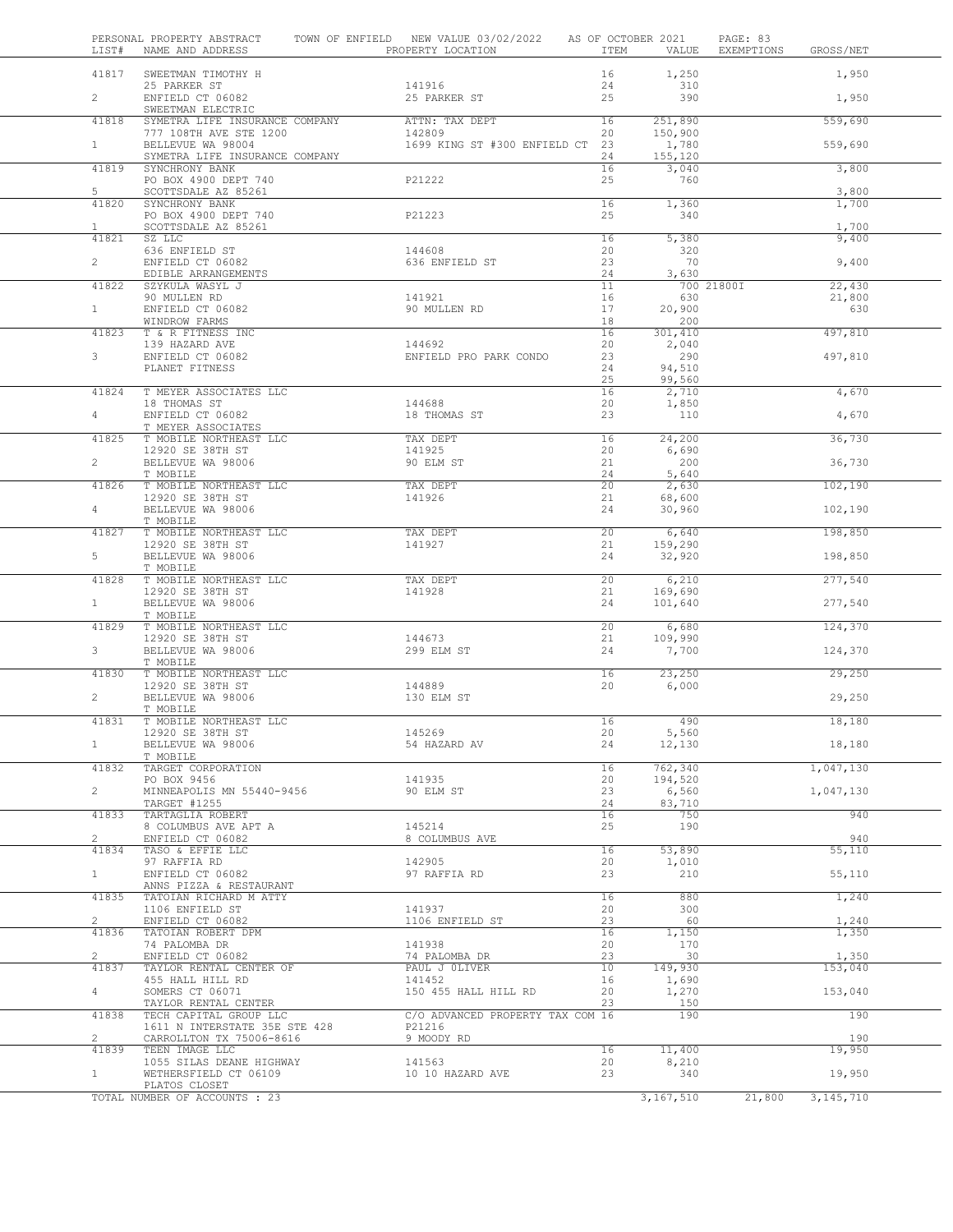| LIST#                   | PERSONAL PROPERTY ABSTRACT<br>NAME AND ADDRESS                           | TOWN OF ENFIELD NEW VALUE 03/02/2022<br>PROPERTY LOCATION | AS OF OCTOBER 2021<br>ITEM | VALUE                   | PAGE: 83<br>EXEMPTIONS | GROSS/NET      |  |
|-------------------------|--------------------------------------------------------------------------|-----------------------------------------------------------|----------------------------|-------------------------|------------------------|----------------|--|
| 41817                   | SWEETMAN TIMOTHY H                                                       |                                                           | 16                         | 1,250                   |                        | 1,950          |  |
| $\overline{2}$          | 25 PARKER ST<br>ENFIELD CT 06082<br>SWEETMAN ELECTRIC                    | 141916<br>25 PARKER ST                                    | 24<br>25                   | 310<br>390              |                        | 1,950          |  |
| 41818                   | SYMETRA LIFE INSURANCE COMPANY                                           | ATTN: TAX DEPT                                            | 16                         | 251,890                 |                        | 559,690        |  |
| $\mathbf{1}$            | 777 108TH AVE STE 1200<br>BELLEVUE WA 98004                              | 142809<br>1699 KING ST #300 ENFIELD CT 23                 | 20                         | 150,900<br>1,780        |                        | 559,690        |  |
| 41819                   | SYMETRA LIFE INSURANCE COMPANY<br>SYNCHRONY BANK<br>PO BOX 4900 DEPT 740 | P21222                                                    | 24<br>16<br>25             | 155,120<br>3,040<br>760 |                        | 3,800          |  |
| 5                       | SCOTTSDALE AZ 85261                                                      |                                                           |                            |                         |                        | 3,800          |  |
| 41820                   | SYNCHRONY BANK<br>PO BOX 4900 DEPT 740                                   | P21223                                                    | 16<br>25                   | 1,360<br>340            |                        | 1,700          |  |
| $\mathbf{1}$<br>41821   | SCOTTSDALE AZ 85261<br>SZ LLC                                            |                                                           | 16                         | 5,380                   |                        | 1,700<br>9,400 |  |
| $\overline{2}$          | 636 ENFIELD ST<br>ENFIELD CT 06082<br>EDIBLE ARRANGEMENTS                | 144608<br>636 ENFIELD ST                                  | 20<br>23<br>24             | 320<br>70<br>3,630      |                        | 9,400          |  |
| 41822                   | SZYKULA WASYL J                                                          |                                                           | 11                         |                         | 700 21800I             | 22,430         |  |
|                         | 90 MULLEN RD                                                             | 141921                                                    | 16                         | 630                     |                        | 21,800         |  |
| $\mathbf{1}$            | ENFIELD CT 06082<br>WINDROW FARMS                                        | 90 MULLEN RD                                              | 17<br>18                   | 20,900<br>200           |                        | 630            |  |
| 41823                   | T & R FITNESS INC                                                        |                                                           | 16                         | 301,410                 |                        | 497,810        |  |
|                         | 139 HAZARD AVE                                                           | 144692                                                    | 20                         | 2,040                   |                        |                |  |
| $3 -$                   | ENFIELD CT 06082<br>PLANET FITNESS                                       | ENFIELD PRO PARK CONDO                                    | 23<br>24                   | 290<br>94,510           |                        | 497,810        |  |
|                         |                                                                          |                                                           | 25                         | 99,560                  |                        |                |  |
| 41824                   | T MEYER ASSOCIATES LLC                                                   | 144688                                                    | 16<br>20                   | 2,710                   |                        | 4,670          |  |
| $\overline{4}$          | 18 THOMAS ST<br>ENFIELD CT 06082<br>T MEYER ASSOCIATES                   | 18 THOMAS ST                                              | 23                         | 1,850<br>110            |                        | 4,670          |  |
| 41825                   | T MOBILE NORTHEAST LLC                                                   | TAX DEPT                                                  | 16                         | 24,200                  |                        | 36,730         |  |
| $\overline{2}$          | 12920 SE 38TH ST                                                         | 141925                                                    | 20                         | 6,690                   |                        |                |  |
|                         | BELLEVUE WA 98006<br>T MOBILE                                            | 90 ELM ST                                                 | 21<br>24                   | 200<br>5,640            |                        | 36,730         |  |
| 41826                   | T MOBILE NORTHEAST LLC                                                   | TAX DEPT                                                  | 20                         | 2,630                   |                        | 102,190        |  |
| $\overline{4}$          | 12920 SE 38TH ST<br>BELLEVUE WA 98006                                    | 141926                                                    | 21<br>24                   | 68,600<br>30,960        |                        | 102,190        |  |
| 41827                   | T MOBILE<br>T MOBILE NORTHEAST LLC                                       | TAX DEPT                                                  | 20 <sup>2</sup>            | 6,640                   |                        | 198,850        |  |
| 5                       | 12920 SE 38TH ST<br>BELLEVUE WA 98006                                    | 141927                                                    | 21<br>24                   | 159,290<br>32,920       |                        | 198,850        |  |
|                         | T MOBILE                                                                 |                                                           |                            |                         |                        |                |  |
| 41828                   | T MOBILE NORTHEAST LLC                                                   | TAX DEPT<br>141928                                        | 20<br>21                   | 6,210<br>169,690        |                        | 277,540        |  |
| 1                       | 12920 SE 38TH ST<br>BELLEVUE WA 98006<br>T MOBILE                        |                                                           | 24                         | 101,640                 |                        | 277,540        |  |
| 41829                   | T MOBILE NORTHEAST LLC                                                   |                                                           | 20                         | 6,680                   |                        | 124,370        |  |
| 3 <sup>7</sup>          | 12920 SE 38TH ST<br>BELLEVUE WA 98006                                    | 144673<br>299 ELM ST                                      | 21<br>24                   | 109,990<br>7,700        |                        | 124,370        |  |
| 41830                   | T MOBILE<br>T MOBILE NORTHEAST LLC                                       |                                                           | 16                         | 23,250                  |                        | 29,250         |  |
|                         | 12920 SE 38TH ST                                                         | 144889                                                    | 20                         | 6,000                   |                        |                |  |
| $\overline{2}$          | BELLEVUE WA 98006                                                        | 130 ELM ST                                                |                            |                         |                        | 29,250         |  |
| 41831                   | T MOBILE<br>T MOBILE NORTHEAST LLC                                       |                                                           | 16                         | 490                     |                        | 18,180         |  |
|                         | 12920 SE 38TH ST                                                         | 145269                                                    | 20                         | 5,560                   |                        |                |  |
| $\mathbf{1}$            | BELLEVUE WA 98006<br>T MOBILE                                            | 54 HAZARD AV                                              | 24                         | 12,130                  |                        | 18,180         |  |
| 41832                   | TARGET CORPORATION                                                       | 141935                                                    | 16<br>20                   | 762,340                 |                        | 1,047,130      |  |
| $\overline{2}$          | PO BOX 9456<br>MINNEAPOLIS MN 55440-9456                                 | 90 ELM ST                                                 | 23                         | 194,520<br>6,560        |                        | 1,047,130      |  |
|                         | TARGET #1255                                                             |                                                           | 24                         | 83,710                  |                        |                |  |
| 41833                   | TARTAGLIA ROBERT<br>8 COLUMBUS AVE APT A                                 | 145214                                                    | 16<br>25                   | 750<br>190              |                        | 940            |  |
| $\overline{2}$          | ENFIELD CT 06082                                                         | 8 COLUMBUS AVE                                            |                            |                         |                        | 940            |  |
| 41834                   | TASO & EFFIE LLC<br>97 RAFFIA RD                                         | 142905                                                    | 16<br>20                   | 53,890<br>1,010         |                        | 55,110         |  |
| $\mathbf{1}$            | ENFIELD CT 06082<br>ANNS PIZZA & RESTAURANT                              | 97 RAFFIA RD                                              | 23                         | 210                     |                        | 55,110         |  |
| 41835                   | TATOIAN RICHARD M ATTY<br>1106 ENFIELD ST                                | 141937                                                    | 16<br>20                   | 880<br>300              |                        | 1,240          |  |
| $\overline{2}$          | ENFIELD CT 06082                                                         | 1106 ENFIELD ST                                           | 23                         | 60                      |                        | 1,240          |  |
| 41836                   | TATOIAN ROBERT DPM                                                       | 141938                                                    | 16                         | 1,150                   |                        | 1,350          |  |
| $\mathbf{2}^{\prime}$   | 74 PALOMBA DR<br>ENFIELD CT 06082                                        | 74 PALOMBA DR                                             | 20<br>23                   | 170<br>30               |                        | 1,350          |  |
| 41837                   | TAYLOR RENTAL CENTER OF                                                  | PAUL J OLIVER                                             | 10                         | 149,930                 |                        | 153,040        |  |
| $4 -$                   | 455 HALL HILL RD<br>SOMERS CT 06071                                      | 141452<br>150 455 HALL HILL RD                            | 16<br>20                   | 1,690<br>1,270          |                        | 153,040        |  |
| 41838                   | TAYLOR RENTAL CENTER<br>TECH CAPITAL GROUP LLC                           | C/O ADVANCED PROPERTY TAX COM 16                          | 23                         | 150<br>190              |                        | 190            |  |
|                         | 1611 N INTERSTATE 35E STE 428                                            | P21216                                                    |                            |                         |                        |                |  |
| $\overline{2}$<br>41839 | CARROLLTON TX 75006-8616<br>TEEN IMAGE LLC                               | 9 MOODY RD                                                | 16                         | 11,400                  |                        | 190<br>19,950  |  |
|                         | 1055 SILAS DEANE HIGHWAY                                                 | 141563                                                    | 20                         | 8,210                   |                        |                |  |
| $\mathbf{1}$            | WETHERSFIELD CT 06109<br>PLATOS CLOSET                                   | 10 10 HAZARD AVE                                          | 23                         | 340                     |                        | 19,950         |  |
|                         | TOTAL NUMBER OF ACCOUNTS : 23                                            |                                                           |                            | 3,167,510               | 21,800                 | 3, 145, 710    |  |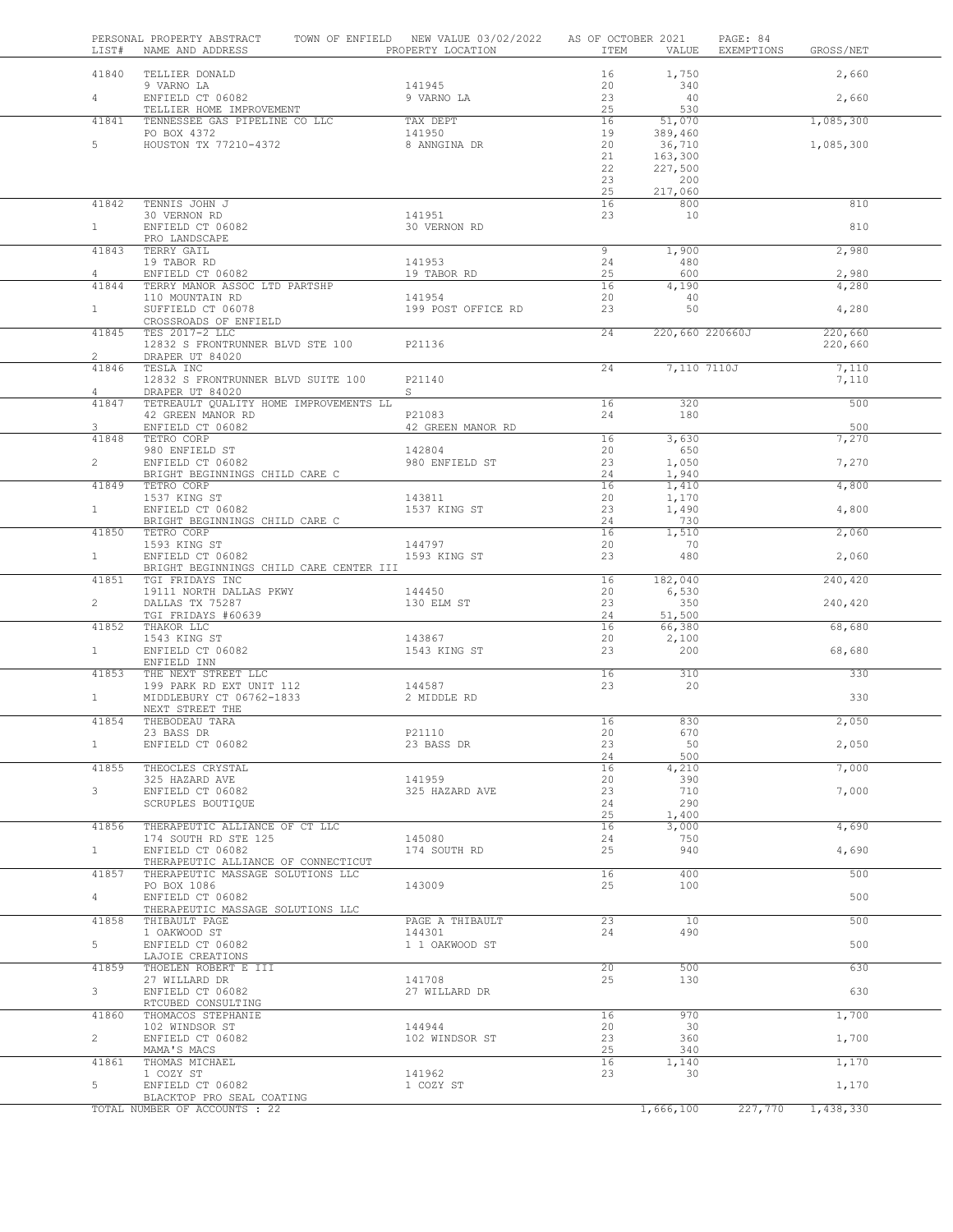|                        | PERSONAL PROPERTY ABSTRACT TOWN OF ENFIELD NEW VALUE 03/02/2022 AS OF OCTOBER 2021                                                                                                                                             |                                      |          |                                                        | PAGE: 84        |                |  |
|------------------------|--------------------------------------------------------------------------------------------------------------------------------------------------------------------------------------------------------------------------------|--------------------------------------|----------|--------------------------------------------------------|-----------------|----------------|--|
|                        | 41840 TELLIER DONALD                                                                                                                                                                                                           |                                      |          | 16 1,750                                               |                 | 2,660          |  |
|                        | 9 VARNO LA                                                                                                                                                                                                                     | 141945                               | 20       | 340                                                    |                 |                |  |
| $4 -$                  | X VANNU LA<br>ENFIELD CT 06082<br>TELLIER HOME IMPROVEMENT<br>TELLIER HOME IN PROVEMENT                                                                                                                                        | 141945<br>9 VARNO LA                 | 23<br>25 | 40<br>530                                              |                 | 2,660          |  |
| 41841                  | TENNESSEE GAS PIPELINE CO LLC TAX DEPT 16<br>PO BOX 4372 19<br>HOUSTON TX 77210-4372 8 ANNGINA DR 20                                                                                                                           |                                      |          | 51,070                                                 |                 | 1,085,300      |  |
| $5 -$                  |                                                                                                                                                                                                                                |                                      |          | 389,460<br>36,710                                      |                 | 1,085,300      |  |
|                        |                                                                                                                                                                                                                                |                                      | 21       | 163,300                                                |                 |                |  |
|                        |                                                                                                                                                                                                                                |                                      | 22<br>23 | 227,500<br>200                                         |                 |                |  |
|                        |                                                                                                                                                                                                                                |                                      | 25       | 217,060                                                |                 |                |  |
| 41842                  | TENNIS JOHN J<br>30 VERNON RD                                                                                                                                                                                                  | 141951                               | 16<br>23 | $\begin{array}{c}\n 800 \\  \hline\n 10\n \end{array}$ |                 | 810            |  |
| $1 \quad \blacksquare$ | ENFIELD CT 06082                                                                                                                                                                                                               | 30 VERNON RD                         |          |                                                        |                 | 810            |  |
| 41843                  | PRO LANDSCAPE<br>TERRY GAIL                                                                                                                                                                                                    |                                      | 9        | 1,900                                                  |                 | 2,980          |  |
|                        | 19 TABOR RD<br>ENFIELD CT 06082                                                                                                                                                                                                | 141953                               | 24       | 480                                                    |                 |                |  |
| $4 \quad$              | 41844 TERRY MANOR ASSOC LTD PARTSHP                                                                                                                                                                                            | 19 TABOR RD                          | 25<br>16 | 600<br>4,190                                           |                 | 2,980<br>4,280 |  |
|                        |                                                                                                                                                                                                                                | 141954<br>199 POST OFFICE RD         | 20       | 40                                                     |                 |                |  |
| $1 \quad \blacksquare$ | 110 MOUNTAIN RD<br>SUFFIELD CT 06078<br>CROSSROADS OF ENFIELD<br>CROSSROADS OF ENFIELD                                                                                                                                         |                                      | 23       | 50                                                     |                 | 4,280          |  |
|                        | 41845 TES 2017-2 LLC                                                                                                                                                                                                           |                                      | 24       |                                                        | 220,660 220660J | 220,660        |  |
| $2^{\circ}$            | 12832 S FRONTRUNNER BLVD STE 100 P21136<br>DRAPER UT 84020                                                                                                                                                                     |                                      |          |                                                        |                 | 220,660        |  |
| 41846                  | TESLA INC                                                                                                                                                                                                                      |                                      | 24       |                                                        | 7,110 7110J     | 7,110          |  |
| $4\phantom{0}$         | 12832 S FRONTRUNNER BLVD SUITE 100 P21140<br>DRAPER UT 84020                                                                                                                                                                   | $S \qquad \qquad$                    |          |                                                        |                 | 7,110          |  |
| 41847                  | TETREAULT QUALITY HOME IMPROVEMENTS LL                                                                                                                                                                                         |                                      | 16       | 320                                                    |                 | 500            |  |
| $3^{\circ}$            | ENFIELD CT 06082                                                                                                                                                                                                               | 42 GREEN MANOR RD                    |          | 24 180                                                 |                 | 500            |  |
| 41848                  | TETRO CORP                                                                                                                                                                                                                     |                                      | 16       | 3,630                                                  |                 | 7,270          |  |
| $\mathbf{2}$           | TETRO CORP<br>980 ENFIELD ST<br>ENFIELD CT 06082                                                                                                                                                                               | 142804<br>980 ENFIELD ST             | 20<br>23 | 650<br>1,050                                           |                 | 7,270          |  |
|                        | BRIGHT BEGINNINGS CHILD CARE C                                                                                                                                                                                                 |                                      | 24       | 1,940                                                  |                 |                |  |
| 41849                  | TETRO CORP<br>1537 KING ST<br>ENFIELD CT 06082                                                                                                                                                                                 | 143811                               | 16<br>20 | 1,410<br>1,170                                         |                 | 4,800          |  |
| $1 \quad$              |                                                                                                                                                                                                                                | 1537 KING ST                         | 23       | 1,490                                                  |                 | 4,800          |  |
|                        | BRIGHT BEGINNINGS CHILD CARE C                                                                                                                                                                                                 | <u> 1990 - Johann Barbara, martx</u> | 24<br>16 | 730<br>1,510                                           |                 | 2,060          |  |
|                        |                                                                                                                                                                                                                                |                                      | 20       | 70                                                     |                 |                |  |
|                        | BRIGHT BEGINNINGS CHILD CARE CENTER III                                                                                                                                                                                        |                                      | 23       | 480                                                    |                 | 2,060          |  |
|                        | 41851 TGI FRIDAYS INC                                                                                                                                                                                                          |                                      | 16       | 182,040                                                |                 | 240,420        |  |
| $2^{\circ}$            | 19111 NORTH DALLAS PKWY 144450<br>DALLAS TX 75287 130 ELM ST                                                                                                                                                                   |                                      | 20<br>23 | 6,530<br>350                                           |                 | 240,420        |  |
|                        | TGI FRIDAYS #60639                                                                                                                                                                                                             |                                      | 24       | 51,500                                                 |                 |                |  |
|                        | THE TERM IN THE THE THE TERM IN THE TERM OF THE TERM OF THE TERM IN THE TERM IN THE TERM IN THE TERM IN THE TERM IN THE TERM IN THE TERM IN THE TERM IN THE TERM IN THE TERM IN THE TERM IN THE TERM IN THE TERM IN THE TERM I | 143867                               | 16<br>20 | 66,380<br>2,100                                        |                 | 68,680         |  |
|                        |                                                                                                                                                                                                                                | 1543 KING ST                         | 23       | 200                                                    |                 | 68,680         |  |
|                        | 41853 THE NEXT STREET LLC                                                                                                                                                                                                      |                                      | 16       | 310                                                    |                 | 330            |  |
|                        | 199 PARK RD EXT UNIT 112<br>MIDDLEBURY CT 06762-1833 2 MIDDLE RD                                                                                                                                                               | 144587                               | 23       | 20                                                     |                 |                |  |
| 1                      | NEXT STREET THE                                                                                                                                                                                                                |                                      |          |                                                        |                 | 330            |  |
| 41854                  | THEBODEAU TARA                                                                                                                                                                                                                 |                                      | 16       | 830                                                    |                 | 2,050          |  |
| $\mathbf{1}$           | 23 BASS DR<br>ENFIELD CT 06082                                                                                                                                                                                                 | P21110<br>23 BASS DR                 | 20<br>23 | 670<br>50                                              |                 | 2,050          |  |
|                        |                                                                                                                                                                                                                                |                                      | 24       | 500                                                    |                 |                |  |
| 41855                  | THEOCLES CRYSTAL<br>325 HAZARD AVE                                                                                                                                                                                             | 141959                               | 16<br>20 | 4,210<br>390                                           |                 | 7,000          |  |
| 3                      | ENFIELD CT 06082                                                                                                                                                                                                               | 325 HAZARD AVE                       | 23       | 710                                                    |                 | 7,000          |  |
|                        | SCRUPLES BOUTIQUE                                                                                                                                                                                                              |                                      | 24<br>25 | 290<br>1,400                                           |                 |                |  |
| 41856                  | THERAPEUTIC ALLIANCE OF CT LLC<br>174 SOUTH RD STE 125                                                                                                                                                                         |                                      | 16       | 3,000<br>750                                           |                 | 4,690          |  |
| 1                      | ENFIELD CT 06082                                                                                                                                                                                                               | 145080<br>174 SOUTH RD               | 24<br>25 | 940                                                    |                 | 4,690          |  |
| 41857                  | THERAPEUTIC ALLIANCE OF CONNECTICUT<br>THERAPEUTIC MASSAGE SOLUTIONS LLC                                                                                                                                                       |                                      | 16       | 400                                                    |                 | 500            |  |
|                        | PO BOX 1086                                                                                                                                                                                                                    | 143009                               | 25       | 100                                                    |                 |                |  |
| $4 -$                  | ENFIELD CT 06082<br>THERAPEUTIC MASSAGE SOLUTIONS LLC                                                                                                                                                                          |                                      |          |                                                        |                 | 500            |  |
| 41858                  | THIBAULT PAGE                                                                                                                                                                                                                  | PAGE A THIBAULT                      | 23       | 10                                                     |                 | 500            |  |
| 5                      | 1 OAKWOOD ST                                                                                                                                                                                                                   | 144301                               | 24       | 490                                                    |                 | 500            |  |
|                        | ENFIELD CT 06082<br>LAJOIE CREATIONS                                                                                                                                                                                           | 1 1 OAKWOOD ST                       |          |                                                        |                 |                |  |
| 41859                  | THOELEN ROBERT E III<br>27 WILLARD DR                                                                                                                                                                                          | 141708                               | 20<br>25 | 500<br>130                                             |                 | 630            |  |
| 3 <sup>7</sup>         | ENFIELD CT 06082                                                                                                                                                                                                               | 27 WILLARD DR                        |          |                                                        |                 | 630            |  |
| 41860                  | RTCUBED CONSULTING<br>THOMACOS STEPHANIE                                                                                                                                                                                       |                                      | 16       | 970                                                    |                 | 1,700          |  |
|                        | 102 WINDSOR ST                                                                                                                                                                                                                 | 144944                               | 20       | 30                                                     |                 |                |  |
| $\overline{a}$         | ENFIELD CT 06082<br>MAMA'S MACS                                                                                                                                                                                                | 102 WINDSOR ST                       | 23<br>25 | 360<br>340                                             |                 | 1,700          |  |
| 41861                  | THOMAS MICHAEL                                                                                                                                                                                                                 |                                      | 16       | $\overline{1}$ , 140                                   |                 | 1,170          |  |
| 5                      | 1 COZY ST<br>ENFIELD CT 06082                                                                                                                                                                                                  | 141962<br>1 COZY ST                  | 23       | 30                                                     |                 | 1,170          |  |
|                        | BLACKTOP PRO SEAL COATING                                                                                                                                                                                                      |                                      |          |                                                        |                 |                |  |
|                        | TOTAL NUMBER OF ACCOUNTS : 22                                                                                                                                                                                                  |                                      |          | 1,666,100                                              | 227,770         | 1,438,330      |  |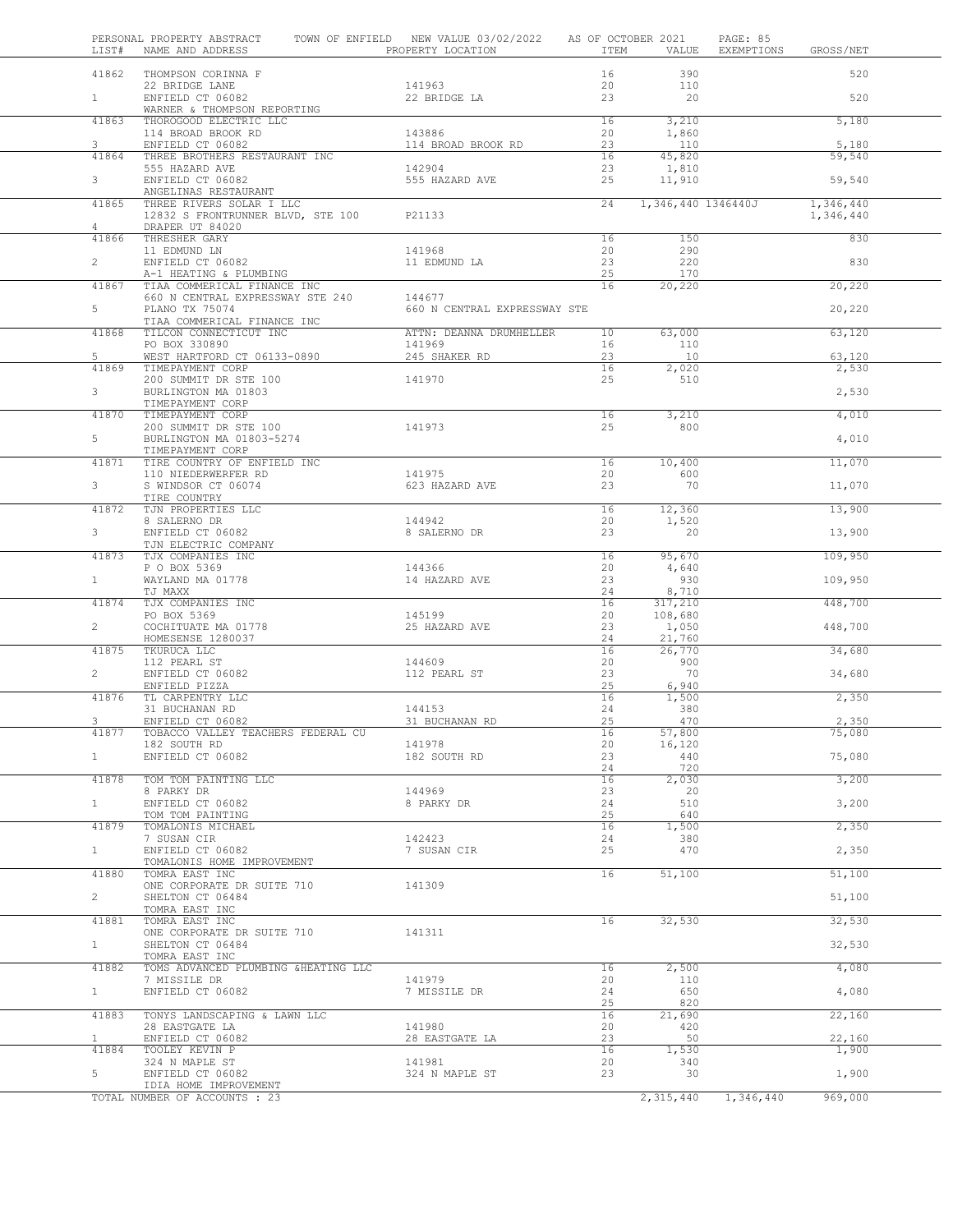| LIST#                   | PERSONAL PROPERTY ABSTRACT<br>NAME AND ADDRESS                                   | TOWN OF ENFIELD NEW VALUE 03/02/2022 AS OF OCTOBER 2021<br>PROPERTY LOCATION | ITEM            | VALUE              | PAGE: 85<br>EXEMPTIONS | GROSS/NET              |  |
|-------------------------|----------------------------------------------------------------------------------|------------------------------------------------------------------------------|-----------------|--------------------|------------------------|------------------------|--|
| 41862                   | THOMPSON CORINNA F<br>22 BRIDGE LANE                                             | 141963                                                                       | 16<br>20        | 390<br>110         |                        | 520                    |  |
| 1                       | ENFIELD CT 06082<br>WARNER & THOMPSON REPORTING                                  | 22 BRIDGE LA                                                                 | 23              | 20                 |                        | 520                    |  |
| 41863                   | THOROGOOD ELECTRIC LLC<br>114 BROAD BROOK RD                                     | 143886                                                                       | 16<br>20        | 3,210<br>1,860     |                        | 5,180                  |  |
| 3<br>41864              | ENFIELD CT 06082<br>THREE BROTHERS RESTAURANT INC                                | 114 BROAD BROOK RD                                                           | 23<br>16        | 110<br>45,820      |                        | 5,180<br>59,540        |  |
|                         | 555 HAZARD AVE                                                                   | 142904                                                                       | 23              | 1,810              |                        |                        |  |
| $3 -$                   | ENFIELD CT 06082<br>ANGELINAS RESTAURANT                                         | 555 HAZARD AVE                                                               | 25              | 11,910             |                        | 59,540                 |  |
| 41865<br>$\overline{4}$ | THREE RIVERS SOLAR I LLC<br>12832 S FRONTRUNNER BLVD, STE 100<br>DRAPER UT 84020 | P21133                                                                       | $\overline{24}$ | 1,346,440 1346440J |                        | 1,346,440<br>1,346,440 |  |
| 41866                   | THRESHER GARY<br>11 EDMUND LN                                                    | 141968                                                                       | 16<br>20        | 150<br>290         |                        | 830                    |  |
| $\overline{2}$          | ENFIELD CT 06082<br>A-1 HEATING & PLUMBING                                       | 11 EDMUND LA                                                                 | 23<br>25        | 220<br>170         |                        | 830                    |  |
| 41867                   | TIAA COMMERICAL FINANCE INC                                                      |                                                                              | 16              | 20,220             |                        | 20,220                 |  |
| 5                       | 660 N CENTRAL EXPRESSWAY STE 240<br>PLANO TX 75074                               | 144677<br>660 N CENTRAL EXPRESSWAY STE                                       |                 |                    |                        | 20,220                 |  |
| 41868                   | TIAA COMMERICAL FINANCE INC<br>TILCON CONNECTICUT INC                            | ATTN: DEANNA DRUMHELLER                                                      | 10 <sup>°</sup> | 63,000             |                        | 63,120                 |  |
|                         | PO BOX 330890                                                                    | 141969                                                                       | 16              | 110                |                        |                        |  |
| 5                       | WEST HARTFORD CT 06133-0890                                                      | 245 SHAKER RD                                                                | 23              | 10                 |                        | 63,120                 |  |
| 41869                   | TIMEPAYMENT CORP<br>200 SUMMIT DR STE 100                                        | 141970                                                                       | 16<br>25        | 2,020<br>510       |                        | 2,530                  |  |
| 3                       | BURLINGTON MA 01803<br>TIMEPAYMENT CORP                                          |                                                                              |                 |                    |                        | 2,530                  |  |
| 41870                   | TIMEPAYMENT CORP                                                                 |                                                                              | 16              | 3,210              |                        | 4,010                  |  |
| 5                       | 200 SUMMIT DR STE 100<br>BURLINGTON MA 01803-5274                                | 141973                                                                       | 25              | 800                |                        | 4,010                  |  |
| 41871                   | TIMEPAYMENT CORP<br>TIRE COUNTRY OF ENFIELD INC                                  |                                                                              | 16              | 10,400             |                        | 11,070                 |  |
| 3                       | 110 NIEDERWERFER RD<br>S WINDSOR CT 06074                                        | 141975<br>623 HAZARD AVE                                                     | 20<br>23        | 600<br>70          |                        | 11,070                 |  |
| 41872                   | TIRE COUNTRY<br>TJN PROPERTIES LLC                                               |                                                                              | 16              | 12,360             |                        | 13,900                 |  |
| 3                       | 8 SALERNO DR<br>ENFIELD CT 06082                                                 | 144942<br>8 SALERNO DR                                                       | 20<br>23        | 1,520<br>20        |                        | 13,900                 |  |
| 41873                   | TJN ELECTRIC COMPANY<br>TJX COMPANIES INC                                        |                                                                              | 16              | 95,670             |                        | 109,950                |  |
| 1                       | P O BOX 5369<br>WAYLAND MA 01778                                                 | 144366<br>14 HAZARD AVE                                                      | 20<br>23        | 4,640<br>930       |                        | 109,950                |  |
| 41874                   | TJ MAXX<br>TJX COMPANIES INC                                                     |                                                                              | 24<br>16        | 8,710<br>317,210   |                        | 448,700                |  |
|                         | PO BOX 5369                                                                      | 145199                                                                       | 20              | 108,680            |                        |                        |  |
| $\overline{2}$          | COCHITUATE MA 01778<br>HOMESENSE 1280037                                         | 25 HAZARD AVE                                                                | 23<br>24        | 1,050<br>21,760    |                        | 448,700                |  |
| 41875                   | TKURUCA LLC                                                                      |                                                                              | 16              | 26,770             |                        | 34,680                 |  |
| $\overline{2}$          | 112 PEARL ST<br>ENFIELD CT 06082                                                 | 144609<br>112 PEARL ST                                                       | 20<br>23        | 900<br>70          |                        | 34,680                 |  |
| 41876                   | ENFIELD PIZZA<br>TL CARPENTRY LLC                                                |                                                                              | 25<br>16        | 6,940<br>1,500     |                        | 2,350                  |  |
|                         | 31 BUCHANAN RD                                                                   | 144153                                                                       | 24              | 380                |                        |                        |  |
| 3                       | ENFIELD CT 06082                                                                 | 31 BUCHANAN RD                                                               | 25              | 470                |                        | 2,350                  |  |
| 41877                   | TOBACCO VALLEY TEACHERS FEDERAL CU<br>182 SOUTH RD                               | 141978                                                                       | 16<br>20        | 57,800<br>16,120   |                        | 75,080                 |  |
| 1                       | ENFIELD CT 06082                                                                 | 182 SOUTH RD                                                                 | 23              | 440                |                        | 75,080                 |  |
|                         |                                                                                  |                                                                              | 24              | 720                |                        |                        |  |
| 41878                   | TOM TOM PAINTING LLC<br>8 PARKY DR                                               | 144969                                                                       | 16<br>23        | 2,030<br>20        |                        | 3,200                  |  |
| $\mathbf{1}$            | ENFIELD CT 06082                                                                 | 8 PARKY DR                                                                   | 24              | 510                |                        | 3,200                  |  |
| 41879                   | TOM TOM PAINTING<br>TOMALONIS MICHAEL                                            |                                                                              | 25<br>16        | 640<br>1,500       |                        | 2,350                  |  |
|                         | 7 SUSAN CIR                                                                      | 142423                                                                       | 24              | 380                |                        |                        |  |
| 1                       | ENFIELD CT 06082<br>TOMALONIS HOME IMPROVEMENT                                   | 7 SUSAN CIR                                                                  | 25              | 470                |                        | 2,350                  |  |
| 41880                   | TOMRA EAST INC<br>ONE CORPORATE DR SUITE 710                                     | 141309                                                                       | 16              | 51,100             |                        | 51,100                 |  |
| $\overline{2}$          | SHELTON CT 06484<br>TOMRA EAST INC                                               |                                                                              |                 |                    |                        | 51,100                 |  |
| 41881                   | TOMRA EAST INC<br>ONE CORPORATE DR SUITE 710                                     | 141311                                                                       | 16              | 32,530             |                        | 32,530                 |  |
| $1 \quad$               | SHELTON CT 06484<br>TOMRA EAST INC                                               |                                                                              |                 |                    |                        | 32,530                 |  |
| 41882                   | TOMS ADVANCED PLUMBING &HEATING LLC<br>7 MISSILE DR                              | 141979                                                                       | 16<br>20        | 2,500<br>110       |                        | 4,080                  |  |
| 1                       | ENFIELD CT 06082                                                                 | 7 MISSILE DR                                                                 | 24<br>25        | 650<br>820         |                        | 4,080                  |  |
| 41883                   | TONYS LANDSCAPING & LAWN LLC<br>28 EASTGATE LA                                   | 141980                                                                       | 16<br>20        | 21,690<br>420      |                        | 22,160                 |  |
| $\mathbf{1}$            | ENFIELD CT 06082                                                                 | 28 EASTGATE LA                                                               | 23              | 50                 |                        | 22,160                 |  |
| 41884                   | TOOLEY KEVIN P<br>324 N MAPLE ST                                                 | 141981                                                                       | 16<br>20        | 1,530<br>340       |                        | 1,900                  |  |
| 5                       | ENFIELD CT 06082<br>IDIA HOME IMPROVEMENT                                        | 324 N MAPLE ST                                                               | 23              | 30                 |                        | 1,900                  |  |
|                         | TOTAL NUMBER OF ACCOUNTS : 23                                                    |                                                                              |                 | 2,315,440          | 1,346,440              | 969,000                |  |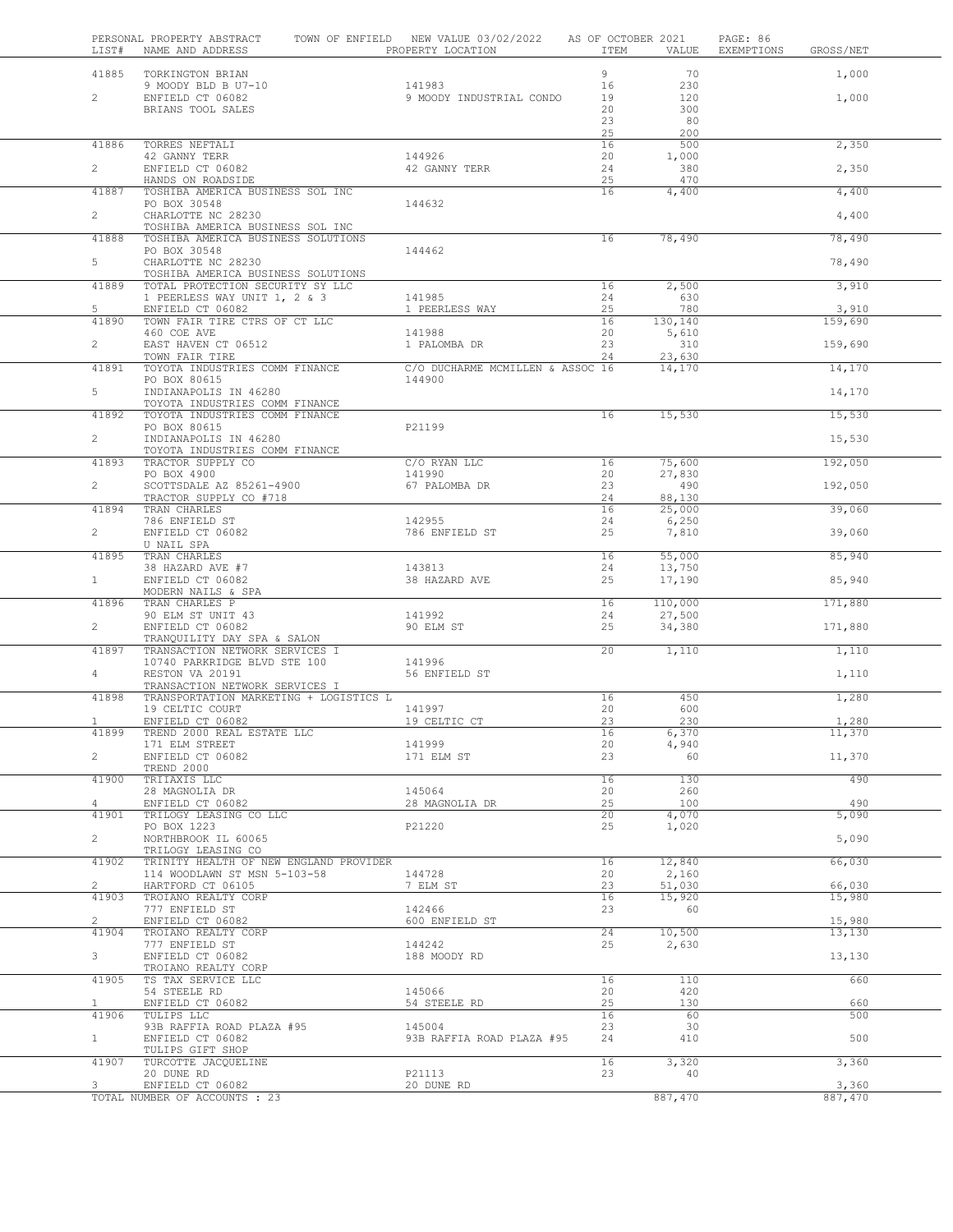| LIST#                   | PERSONAL PROPERTY ABSTRACT<br>NAME AND ADDRESS                           | TOWN OF ENFIELD NEW VALUE 03/02/2022<br>PROPERTY LOCATION | AS OF OCTOBER 2021<br>ITEM | VALUE             | PAGE: 86<br>EXEMPTIONS | GROSS/NET        |  |
|-------------------------|--------------------------------------------------------------------------|-----------------------------------------------------------|----------------------------|-------------------|------------------------|------------------|--|
| 41885                   | TORKINGTON BRIAN                                                         |                                                           | 9                          | 70                |                        | 1,000            |  |
|                         | 9 MOODY BLD B U7-10                                                      | 141983                                                    | 16                         | 230               |                        |                  |  |
| $\overline{c}$          | ENFIELD CT 06082                                                         | 9 MOODY INDUSTRIAL CONDO                                  | 19                         | 120<br>300        |                        | 1,000            |  |
|                         | BRIANS TOOL SALES                                                        |                                                           | 20<br>23                   | 80                |                        |                  |  |
| 41886                   | TORRES NEFTALI                                                           |                                                           | 25<br>16                   | 200<br>500        |                        | 2,350            |  |
|                         | 42 GANNY TERR                                                            | 144926                                                    | 20                         | 1,000             |                        |                  |  |
| $\overline{2}$          | ENFIELD CT 06082                                                         | 42 GANNY TERR                                             | 24                         | 380               |                        | 2,350            |  |
| 41887                   | HANDS ON ROADSIDE<br>TOSHIBA AMERICA BUSINESS SOL INC                    |                                                           | 25<br>16                   | 470<br>4,400      |                        | 4,400            |  |
|                         | PO BOX 30548                                                             | 144632                                                    |                            |                   |                        |                  |  |
| $\overline{2}$          | CHARLOTTE NC 28230                                                       |                                                           |                            |                   |                        | 4,400            |  |
| 41888                   | TOSHIBA AMERICA BUSINESS SOL INC<br>TOSHIBA AMERICA BUSINESS SOLUTIONS   |                                                           | 16                         | 78,490            |                        | 78,490           |  |
|                         | PO BOX 30548                                                             | 144462                                                    |                            |                   |                        |                  |  |
| 5                       | CHARLOTTE NC 28230<br>TOSHIBA AMERICA BUSINESS SOLUTIONS                 |                                                           |                            |                   |                        | 78,490           |  |
| 41889                   | TOTAL PROTECTION SECURITY SY LLC                                         |                                                           | 16                         | 2,500             |                        | 3,910            |  |
| 5                       | 1 PEERLESS WAY UNIT 1, 2 & 3                                             | 141985                                                    | 24<br>25                   | 630<br>780        |                        | 3,910            |  |
| 41890                   | ENFIELD CT 06082<br>TOWN FAIR TIRE CTRS OF CT LLC                        | 1 PEERLESS WAY                                            | 16                         | 130,140           |                        | 159,690          |  |
|                         | 460 COE AVE                                                              | 141988                                                    | 20                         | 5,610             |                        |                  |  |
| $\overline{c}$          | EAST HAVEN CT 06512<br>TOWN FAIR TIRE                                    | 1 PALOMBA DR                                              | 23<br>24                   | 310<br>23,630     |                        | 159,690          |  |
| 41891                   | TOYOTA INDUSTRIES COMM FINANCE                                           | C/O DUCHARME MCMILLEN & ASSOC 16                          |                            | 14,170            |                        | 14,170           |  |
|                         | PO BOX 80615                                                             | 144900                                                    |                            |                   |                        |                  |  |
| 5                       | INDIANAPOLIS IN 46280<br>TOYOTA INDUSTRIES COMM FINANCE                  |                                                           |                            |                   |                        | 14,170           |  |
| 41892                   | TOYOTA INDUSTRIES COMM FINANCE                                           |                                                           | 16                         | 15,530            |                        | 15,530           |  |
| $\overline{2}$          | PO BOX 80615<br>INDIANAPOLIS IN 46280                                    | P21199                                                    |                            |                   |                        |                  |  |
|                         | TOYOTA INDUSTRIES COMM FINANCE                                           |                                                           |                            |                   |                        | 15,530           |  |
| 41893                   | TRACTOR SUPPLY CO                                                        | C/O RYAN LLC                                              | 16                         | 75,600            |                        | 192,050          |  |
| $\overline{2}$          | PO BOX 4900<br>SCOTTSDALE AZ 85261-4900                                  | 141990<br>67 PALOMBA DR                                   | 20<br>23                   | 27,830<br>490     |                        | 192,050          |  |
|                         | TRACTOR SUPPLY CO #718                                                   |                                                           | 24                         | 88,130            |                        |                  |  |
| 41894                   | TRAN CHARLES                                                             |                                                           | 16                         | 25,000            |                        | 39,060           |  |
| $\overline{2}$          | 786 ENFIELD ST<br>ENFIELD CT 06082                                       | 142955<br>786 ENFIELD ST                                  | 24<br>25                   | 6,250<br>7,810    |                        | 39,060           |  |
|                         | U NAIL SPA                                                               |                                                           |                            |                   |                        |                  |  |
| 41895                   | TRAN CHARLES<br>38 HAZARD AVE #7                                         | 143813                                                    | 16<br>24                   | 55,000<br>13,750  |                        | 85,940           |  |
| $\mathbf{1}$            | ENFIELD CT 06082                                                         | 38 HAZARD AVE                                             | 25                         | 17,190            |                        | 85,940           |  |
|                         | MODERN NAILS & SPA                                                       |                                                           | 16                         |                   |                        |                  |  |
| 41896                   | TRAN CHARLES P<br>90 ELM ST UNIT 43                                      | 141992                                                    | 24                         | 110,000<br>27,500 |                        | 171,880          |  |
| $\overline{2}$          | ENFIELD CT 06082                                                         | 90 ELM ST                                                 | 25                         | 34,380            |                        | 171,880          |  |
| 41897                   | TRANQUILITY DAY SPA & SALON<br>TRANSACTION NETWORK SERVICES I            |                                                           | 20                         | 1,110             |                        | 1,110            |  |
|                         | 10740 PARKRIDGE BLVD STE 100                                             | 141996                                                    |                            |                   |                        |                  |  |
| $4 -$                   | RESTON VA 20191                                                          | 56 ENFIELD ST                                             |                            |                   |                        | 1,110            |  |
| 41898                   | TRANSACTION NETWORK SERVICES I<br>TRANSPORTATION MARKETING + LOGISTICS L |                                                           | 16                         | 450               |                        | 1,280            |  |
|                         | 19 CELTIC COURT                                                          | 141997                                                    | 20                         | 600               |                        |                  |  |
| $\mathbf{1}$            | ENFIELD CT 06082<br>TREND 2000 REAL ESTATE LLC                           | 19 CELTIC CT                                              | 23<br>16                   | 230<br>6,370      |                        | 1,280            |  |
| 41899                   | 171 ELM STREET                                                           | 141999                                                    | 20                         | 4,940             |                        | 11,370           |  |
| $\overline{c}$          | ENFIELD CT 06082                                                         | 171 ELM ST                                                | 23                         | 60                |                        | 11,370           |  |
| 41900                   | TREND 2000<br>TRIIAXIS LLC                                               |                                                           | 16                         | 130               |                        | 490              |  |
|                         | 28 MAGNOLIA DR                                                           | 145064                                                    | 20                         | 260               |                        |                  |  |
| $\overline{4}$<br>41901 | ENFIELD CT 06082<br>TRILOGY LEASING CO LLC                               | 28 MAGNOLIA DR                                            | 25<br>20                   | 100<br>4,070      |                        | 490<br>5,090     |  |
|                         | PO BOX 1223                                                              | P21220                                                    | 25                         | 1,020             |                        |                  |  |
| $\overline{2}$          | NORTHBROOK IL 60065                                                      |                                                           |                            |                   |                        | 5,090            |  |
| 41902                   | TRILOGY LEASING CO<br>TRINITY HEALTH OF NEW ENGLAND PROVIDER             |                                                           | 16                         | 12,840            |                        | 66,030           |  |
|                         | 114 WOODLAWN ST MSN 5-103-58                                             | 144728                                                    | 20                         | 2,160             |                        |                  |  |
| $\overline{c}$<br>41903 | HARTFORD CT 06105<br>TROIANO REALTY CORP                                 | 7 ELM ST                                                  | 23<br>16                   | 51,030<br>15,920  |                        | 66,030<br>15,980 |  |
|                         | 777 ENFIELD ST                                                           | 142466                                                    | 23                         | 60                |                        |                  |  |
| $\overline{2}$          | ENFIELD CT 06082                                                         | 600 ENFIELD ST                                            |                            |                   |                        | 15,980           |  |
| 41904                   | TROIANO REALTY CORP<br>777 ENFIELD ST                                    | 144242                                                    | 24<br>25                   | 10,500<br>2,630   |                        | 13,130           |  |
| 3                       | ENFIELD CT 06082                                                         | 188 MOODY RD                                              |                            |                   |                        | 13,130           |  |
| 41905                   | TROIANO REALTY CORP<br>TS TAX SERVICE LLC                                |                                                           | 16                         | 110               |                        | 660              |  |
|                         | 54 STEELE RD                                                             | 145066                                                    | 20                         | 420               |                        |                  |  |
| $\mathbf{1}$            | ENFIELD CT 06082                                                         | 54 STEELE RD                                              | 25                         | 130               |                        | 660              |  |
| 41906                   | TULIPS LLC<br>93B RAFFIA ROAD PLAZA #95                                  | 145004                                                    | 16<br>23                   | 60<br>30          |                        | 500              |  |
| 1                       | ENFIELD CT 06082                                                         | 93B RAFFIA ROAD PLAZA #95                                 | 24                         | 410               |                        | 500              |  |
| 41907                   | TULIPS GIFT SHOP<br>TURCOTTE JACQUELINE                                  |                                                           | 16                         | 3,320             |                        |                  |  |
|                         | 20 DUNE RD                                                               | P21113                                                    | 23                         | 40                |                        | 3,360            |  |
| 3                       | ENFIELD CT 06082                                                         | 20 DUNE RD                                                |                            |                   |                        | 3,360            |  |
|                         | TOTAL NUMBER OF ACCOUNTS : 23                                            |                                                           |                            | 887,470           |                        | 887,470          |  |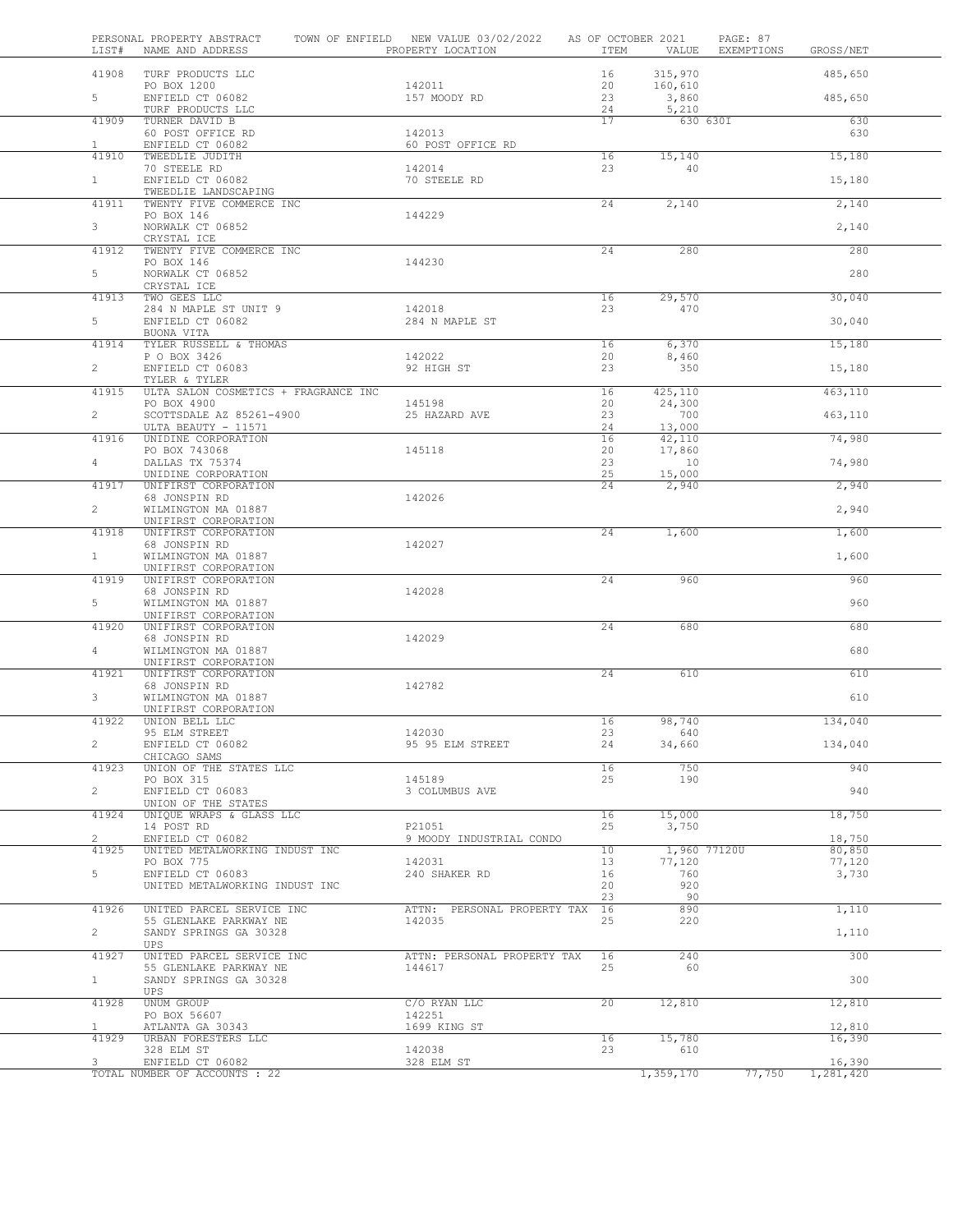| 41908<br>TURF PRODUCTS LLC<br>16<br>315,970                                                                     |                     |
|-----------------------------------------------------------------------------------------------------------------|---------------------|
|                                                                                                                 | 485,650             |
| PO BOX 1200<br>142011<br>20<br>160,610                                                                          |                     |
| 5<br>ENFIELD CT 06082<br>23<br>157 MOODY RD<br>3,860<br>TURF PRODUCTS LLC<br>5,210<br>24                        | 485,650             |
| 41909<br>TURNER DAVID B<br>17<br>630 630I                                                                       | 630                 |
| 142013<br>60 POST OFFICE RD<br>ENFIELD CT 06082<br>60 POST OFFICE RD<br>$\mathbf{1}$                            | 630                 |
| 41910<br>TWEEDLIE JUDITH<br>16<br>15,140                                                                        | 15,180              |
| 23<br>70 STEELE RD<br>142014<br>40                                                                              |                     |
| 1<br>ENFIELD CT 06082<br>70 STEELE RD<br>TWEEDLIE LANDSCAPING                                                   | 15,180              |
| 41911<br>TWENTY FIVE COMMERCE INC<br>24<br>2,140                                                                | 2,140               |
| PO BOX 146<br>144229                                                                                            |                     |
| 3 <sup>7</sup><br>NORWALK CT 06852<br>CRYSTAL ICE                                                               | 2,140               |
| 41912<br>TWENTY FIVE COMMERCE INC<br>24<br>280                                                                  | 280                 |
| PO BOX 146<br>144230<br>$5 -$<br>NORWALK CT 06852                                                               | 280                 |
| CRYSTAL ICE                                                                                                     |                     |
| 41913<br>TWO GEES LLC<br>29,570<br>16                                                                           | 30,040              |
| 284 N MAPLE ST UNIT 9<br>142018<br>23<br>470<br>$5 -$<br>ENFIELD CT 06082<br>284 N MAPLE ST                     |                     |
| BUONA VITA                                                                                                      | 30,040              |
| TYLER RUSSELL & THOMAS<br>6,370<br>41914<br>16                                                                  | 15,180              |
| P O BOX 3426<br>142022<br>20<br>8,460                                                                           |                     |
| $\overline{2}$<br>ENFIELD CT 06083<br>23<br>92 HIGH ST<br>350<br>TYLER & TYLER                                  | 15,180              |
| ULTA SALON COSMETICS + FRAGRANCE INC<br>41915<br>16<br>425,110                                                  | 463,110             |
| 20<br>PO BOX 4900<br>145198<br>24,300                                                                           |                     |
| $\overline{2}$<br>SCOTTSDALE AZ 85261-4900<br>25 HAZARD AVE<br>23<br>700<br>ULTA BEAUTY - 11571<br>24<br>13,000 | 463,110             |
| 41916<br>UNIDINE CORPORATION<br>16<br>42,110                                                                    | 74,980              |
| PO BOX 743068<br>145118<br>20<br>17,860                                                                         |                     |
| $4 -$<br>DALLAS TX 75374<br>23<br>10<br>UNIDINE CORPORATION<br>25<br>15,000                                     | 74,980              |
| UNIFIRST CORPORATION<br>41917<br>24<br>2,940                                                                    | 2,940               |
| 68 JONSPIN RD<br>142026                                                                                         |                     |
| $\overline{2}$<br>WILMINGTON MA 01887<br>UNIFIRST CORPORATION                                                   | 2,940               |
| 41918<br>UNIFIRST CORPORATION<br>24<br>1,600                                                                    | 1,600               |
| 68 JONSPIN RD<br>142027                                                                                         |                     |
| 1<br>WILMINGTON MA 01887                                                                                        | 1,600               |
| UNIFIRST CORPORATION<br>41919<br>UNIFIRST CORPORATION<br>24<br>960                                              | 960                 |
| 68 JONSPIN RD<br>142028                                                                                         |                     |
| 5<br>WILMINGTON MA 01887                                                                                        | 960                 |
| UNIFIRST CORPORATION<br>41920<br>UNIFIRST CORPORATION<br>24<br>680                                              | 680                 |
| 68 JONSPIN RD<br>142029                                                                                         |                     |
| 4<br>WILMINGTON MA 01887                                                                                        | 680                 |
| UNIFIRST CORPORATION<br>41921<br>UNIFIRST CORPORATION<br>24<br>610                                              | 610                 |
| 68 JONSPIN RD<br>142782                                                                                         |                     |
| 3<br>WILMINGTON MA 01887                                                                                        | 610                 |
| UNIFIRST CORPORATION<br>16<br>41922<br>UNION BELL LLC<br>98,740                                                 | 134,040             |
| 142030<br>95 ELM STREET<br>23<br>640                                                                            |                     |
| $\overline{2}$<br>ENFIELD CT 06082<br>95 95 ELM STREET<br>24<br>34,660                                          | 134,040             |
| CHICAGO SAMS<br>750<br>41923<br>UNION OF THE STATES LLC<br>16                                                   | 940                 |
| 145189<br>25<br>190<br>PO BOX 315                                                                               |                     |
| $\overline{2}$<br>ENFIELD CT 06083<br>3 COLUMBUS AVE                                                            | 940                 |
| UNION OF THE STATES<br>41924<br>16<br>15,000<br>UNIQUE WRAPS & GLASS LLC                                        | 18,750              |
| 14 POST RD<br>P21051<br>25<br>3,750                                                                             |                     |
| $\overline{2}$<br>ENFIELD CT 06082<br>9 MOODY INDUSTRIAL CONDO                                                  | 18,750              |
| UNITED METALWORKING INDUST INC<br>10<br>41925<br>1,960 77120U<br>PO BOX 775<br>13<br>77,120<br>142031           | 80,850<br>77,120    |
| ENFIELD CT 06083<br>5<br>240 SHAKER RD<br>760<br>16                                                             | 3,730               |
| UNITED METALWORKING INDUST INC<br>20<br>920                                                                     |                     |
| 90<br>23<br>890<br>41926<br>UNITED PARCEL SERVICE INC<br>ATTN: PERSONAL PROPERTY TAX<br>16                      | 1,110               |
| 55 GLENLAKE PARKWAY NE<br>142035<br>25<br>220                                                                   |                     |
| $\overline{2}$<br>SANDY SPRINGS GA 30328                                                                        | 1,110               |
| UPS<br>240<br>41927<br>16                                                                                       | 300                 |
| UNITED PARCEL SERVICE INC<br>ATTN: PERSONAL PROPERTY TAX<br>55 GLENLAKE PARKWAY NE<br>144617<br>25<br>60        |                     |
| $\mathbf{1}$<br>SANDY SPRINGS GA 30328                                                                          | 300                 |
| UPS                                                                                                             |                     |
| 20<br>41928<br>UNUM GROUP<br>C/O RYAN LLC<br>12,810<br>PO BOX 56607<br>142251                                   | 12,810              |
| ATLANTA GA 30343<br>1699 KING ST<br>$\mathbf{1}$                                                                | 12,810              |
| 15,780<br>41929<br>URBAN FORESTERS LLC<br>16<br>142038<br>23                                                    | 16,390              |
| 328 ELM ST<br>610<br>ENFIELD CT 06082<br>328 ELM ST                                                             | 16,390              |
| TOTAL NUMBER OF ACCOUNTS : 22<br>1,359,170                                                                      | 77,750<br>1,281,420 |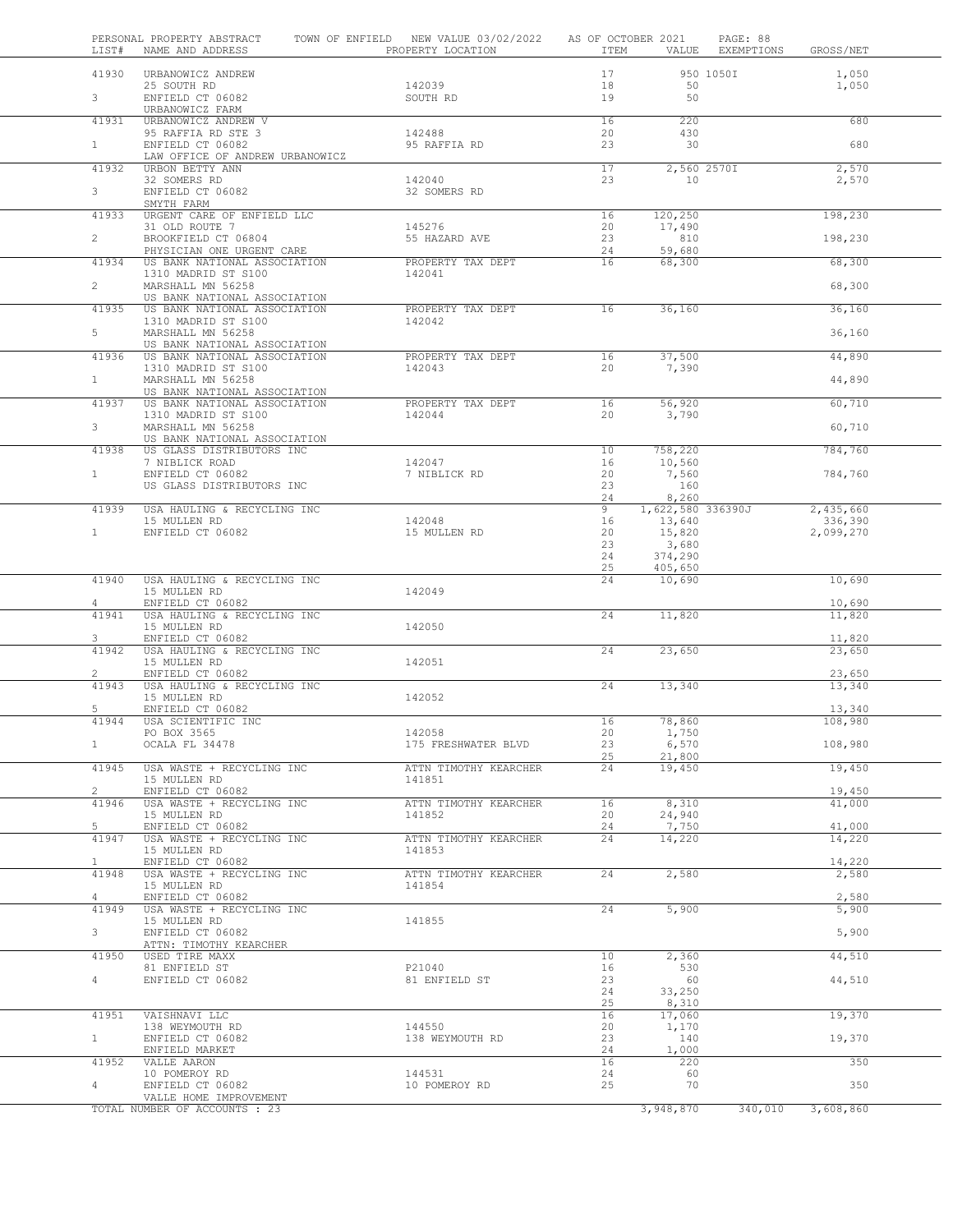| LIST#                          | PERSONAL PROPERTY ABSTRACT<br>NAME AND ADDRESS               | TOWN OF ENFIELD NEW VALUE 03/02/2022<br>PROPERTY LOCATION | AS OF OCTOBER 2021<br>ITEM | VALUE                       | PAGE: 88<br>EXEMPTIONS | GROSS/NET            |  |
|--------------------------------|--------------------------------------------------------------|-----------------------------------------------------------|----------------------------|-----------------------------|------------------------|----------------------|--|
| 41930                          | URBANOWICZ ANDREW<br>25 SOUTH RD                             | 142039                                                    | 17<br>18                   | 50                          | 950 1050I              | 1,050<br>1,050       |  |
| $\mathbf{3}$                   | ENFIELD CT 06082<br>URBANOWICZ FARM                          | SOUTH RD                                                  | 19                         | 50                          |                        |                      |  |
| 41931                          | URBANOWICZ ANDREW V                                          |                                                           | 16                         | 220                         |                        | 680                  |  |
| $\mathbf{1}$                   | 95 RAFFIA RD STE 3<br>ENFIELD CT 06082                       | 142488<br>95 RAFFIA RD                                    | 20<br>23                   | 430<br>30                   |                        | 680                  |  |
| 41932                          | LAW OFFICE OF ANDREW URBANOWICZ<br>URBON BETTY ANN           |                                                           | 17                         | 2,560 2570I                 |                        | 2,570                |  |
|                                | 32 SOMERS RD                                                 | 142040                                                    | 23                         | 10                          |                        | 2,570                |  |
| 3                              | ENFIELD CT 06082<br>SMYTH FARM                               | 32 SOMERS RD                                              |                            |                             |                        |                      |  |
| 41933                          | URGENT CARE OF ENFIELD LLC                                   |                                                           | 16                         | 120,250                     |                        | 198,230              |  |
| $\overline{2}$                 | 31 OLD ROUTE 7<br>BROOKFIELD CT 06804                        | 145276<br>55 HAZARD AVE                                   | 20<br>23                   | 17,490<br>810               |                        | 198,230              |  |
|                                | PHYSICIAN ONE URGENT CARE                                    |                                                           | 24                         | 59,680                      |                        |                      |  |
| 41934                          | US BANK NATIONAL ASSOCIATION<br>1310 MADRID ST S100          | PROPERTY TAX DEPT<br>142041                               | 16                         | 68,300                      |                        | 68,300               |  |
| $\overline{2}$                 | MARSHALL MN 56258<br>US BANK NATIONAL ASSOCIATION            |                                                           |                            |                             |                        | 68,300               |  |
| 41935                          | US BANK NATIONAL ASSOCIATION                                 | PROPERTY TAX DEPT                                         | 16                         | 36,160                      |                        | 36,160               |  |
| 5                              | 1310 MADRID ST S100<br>MARSHALL MN 56258                     | 142042                                                    |                            |                             |                        | 36,160               |  |
|                                | US BANK NATIONAL ASSOCIATION                                 |                                                           |                            |                             |                        |                      |  |
| 41936                          | US BANK NATIONAL ASSOCIATION<br>1310 MADRID ST S100          | PROPERTY TAX DEPT<br>142043                               | 16<br>20                   | 37,500<br>7,390             |                        | 44,890               |  |
| $\mathbf{1}$                   | MARSHALL MN 56258                                            |                                                           |                            |                             |                        | 44,890               |  |
| 41937                          | US BANK NATIONAL ASSOCIATION<br>US BANK NATIONAL ASSOCIATION | PROPERTY TAX DEPT                                         | 16                         | 56,920                      |                        | 60,710               |  |
| 3 <sup>7</sup>                 | 1310 MADRID ST S100<br>MARSHALL MN 56258                     | 142044                                                    | 20                         | 3,790                       |                        | 60,710               |  |
|                                | US BANK NATIONAL ASSOCIATION                                 |                                                           |                            |                             |                        |                      |  |
| 41938                          | US GLASS DISTRIBUTORS INC<br>7 NIBLICK ROAD                  | 142047                                                    | 10<br>16                   | 758,220<br>10,560           |                        | 784,760              |  |
| $\mathbf{1}$                   | ENFIELD CT 06082                                             | 7 NIBLICK RD                                              | 20                         | 7,560                       |                        | 784,760              |  |
|                                | US GLASS DISTRIBUTORS INC                                    |                                                           | 23<br>24                   | 160<br>8,260                |                        |                      |  |
| 41939                          | USA HAULING & RECYCLING INC<br>15 MULLEN RD                  | 142048                                                    | 9<br>16                    | 1,622,580 336390J<br>13,640 |                        | 2,435,660<br>336,390 |  |
| $\mathbf{1}$                   | ENFIELD CT 06082                                             | 15 MULLEN RD                                              | 20                         | 15,820                      |                        | 2,099,270            |  |
|                                |                                                              |                                                           | 23<br>24                   | 3,680<br>374,290            |                        |                      |  |
|                                |                                                              |                                                           | 25                         | 405,650                     |                        |                      |  |
| 41940                          | USA HAULING & RECYCLING INC<br>15 MULLEN RD                  | 142049                                                    | 24                         | 10,690                      |                        | 10,690               |  |
| 4<br>41941                     | ENFIELD CT 06082<br>USA HAULING & RECYCLING INC              |                                                           | 24                         | 11,820                      |                        | 10,690<br>11,820     |  |
|                                | 15 MULLEN RD                                                 | 142050                                                    |                            |                             |                        |                      |  |
| 3<br>41942                     | ENFIELD CT 06082<br>USA HAULING & RECYCLING INC              |                                                           | 24                         | 23,650                      |                        | 11,820<br>23,650     |  |
|                                | 15 MULLEN RD                                                 | 142051                                                    |                            |                             |                        |                      |  |
| $\mathbf{2}^{\prime}$<br>41943 | ENFIELD CT 06082<br>USA HAULING & RECYCLING INC              |                                                           | 24                         | 13,340                      |                        | 23,650<br>13,340     |  |
|                                | 15 MULLEN RD                                                 | 142052                                                    |                            |                             |                        |                      |  |
| 5<br>41944                     | ENFIELD CT 06082<br>USA SCIENTIFIC INC                       |                                                           | 16                         | 78,860                      |                        | 13,340<br>108,980    |  |
| $\mathbf{1}$                   | PO BOX 3565<br>OCALA FL 34478                                | 142058<br>175 FRESHWATER BLVD                             | 20<br>23                   | 1,750<br>6,570              |                        | 108,980              |  |
|                                |                                                              |                                                           | 25                         | 21,800                      |                        |                      |  |
| 41945                          | USA WASTE + RECYCLING INC<br>15 MULLEN RD                    | ATTN TIMOTHY KEARCHER<br>141851                           | 24                         | 19,450                      |                        | 19,450               |  |
| $\overline{2}$                 | ENFIELD CT 06082                                             |                                                           |                            |                             |                        | 19,450               |  |
| 41946                          | USA WASTE + RECYCLING INC<br>15 MULLEN RD                    | ATTN TIMOTHY KEARCHER<br>141852                           | 16<br>20                   | 8,310<br>24,940             |                        | 41,000               |  |
| 5<br>41947                     | ENFIELD CT 06082<br>USA WASTE + RECYCLING INC                | ATTN TIMOTHY KEARCHER                                     | 24<br>24                   | 7,750<br>14,220             |                        | 41,000<br>14,220     |  |
|                                | 15 MULLEN RD                                                 | 141853                                                    |                            |                             |                        |                      |  |
| $\mathbf{1}$<br>41948          | ENFIELD CT 06082<br>USA WASTE + RECYCLING INC                | ATTN TIMOTHY KEARCHER                                     | 24                         | 2,580                       |                        | 14,220<br>2,580      |  |
|                                | 15 MULLEN RD                                                 | 141854                                                    |                            |                             |                        |                      |  |
| $\overline{4}$<br>41949        | ENFIELD CT 06082<br>USA WASTE + RECYCLING INC                |                                                           | 24                         | 5,900                       |                        | 2,580<br>5,900       |  |
|                                | 15 MULLEN RD                                                 | 141855                                                    |                            |                             |                        |                      |  |
| 3                              | ENFIELD CT 06082<br>ATTN: TIMOTHY KEARCHER                   |                                                           |                            |                             |                        | 5,900                |  |
| 41950                          | USED TIRE MAXX<br>81 ENFIELD ST                              | P21040                                                    | 10<br>16                   | 2,360<br>530                |                        | 44,510               |  |
| $4 -$                          | ENFIELD CT 06082                                             | 81 ENFIELD ST                                             | 23                         | 60                          |                        | 44,510               |  |
|                                |                                                              |                                                           | 24<br>25                   | 33,250<br>8,310             |                        |                      |  |
| 41951                          | VAISHNAVI LLC                                                |                                                           | 16                         | 17,060                      |                        | 19,370               |  |
| 1                              | 138 WEYMOUTH RD<br>ENFIELD CT 06082                          | 144550<br>138 WEYMOUTH RD                                 | 20<br>23                   | 1,170<br>140                |                        | 19,370               |  |
| 41952                          | ENFIELD MARKET<br>VALLE AARON                                |                                                           | 24<br>16                   | 1,000<br>220                |                        | 350                  |  |
|                                | 10 POMEROY RD                                                | 144531                                                    | 24                         | 60                          |                        |                      |  |
| 4                              | ENFIELD CT 06082<br>VALLE HOME IMPROVEMENT                   | 10 POMEROY RD                                             | 25                         | 70                          |                        | 350                  |  |
|                                | TOTAL NUMBER OF ACCOUNTS : 23                                |                                                           |                            | 3,948,870                   | 340,010                | 3,608,860            |  |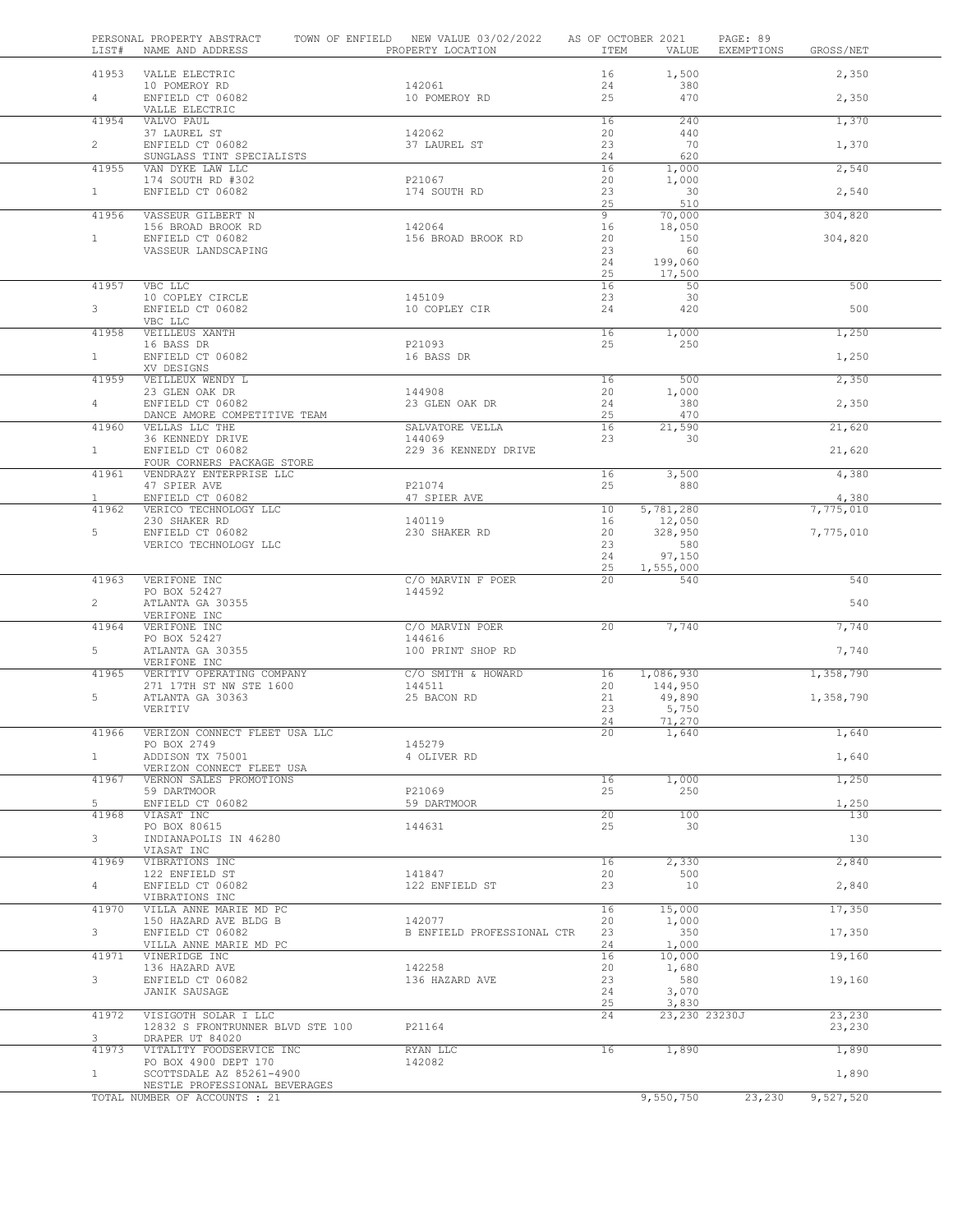|                | LIST# | PERSONAL PROPERTY ABSTRACT<br>NAME AND ADDRESS            | TOWN OF ENFIELD NEW VALUE 03/02/2022<br>PROPERTY LOCATION | AS OF OCTOBER 2021<br>ITEM | VALUE                  | PAGE: 89<br>EXEMPTIONS | GROSS/NET |  |
|----------------|-------|-----------------------------------------------------------|-----------------------------------------------------------|----------------------------|------------------------|------------------------|-----------|--|
|                | 41953 | VALLE ELECTRIC                                            |                                                           | 16                         | 1,500                  |                        | 2,350     |  |
| 4              |       | 10 POMEROY RD<br>ENFIELD CT 06082                         | 142061<br>10 POMEROY RD                                   | 24<br>25                   | 380<br>470             |                        | 2,350     |  |
|                |       | VALLE ELECTRIC                                            |                                                           |                            |                        |                        |           |  |
|                | 41954 | VALVO PAUL<br>37 LAUREL ST                                | 142062                                                    | 16<br>20                   | 240<br>440             |                        | 1,370     |  |
| $\overline{2}$ |       | ENFIELD CT 06082<br>SUNGLASS TINT SPECIALISTS             | 37 LAUREL ST                                              | 23<br>24                   | 70<br>620              |                        | 1,370     |  |
|                | 41955 | VAN DYKE LAW LLC                                          |                                                           | 16                         | 1,000                  |                        | 2,540     |  |
| $\mathbf{1}$   |       | 174 SOUTH RD #302<br>ENFIELD CT 06082                     | P21067<br>174 SOUTH RD                                    | 20<br>23                   | 1,000<br>30            |                        |           |  |
|                |       |                                                           |                                                           | 25                         | 510                    |                        | 2,540     |  |
|                | 41956 | VASSEUR GILBERT N<br>156 BROAD BROOK RD                   | 142064                                                    | $\overline{9}$<br>16       | 70,000<br>18,050       |                        | 304,820   |  |
| $\mathbf{1}$   |       | ENFIELD CT 06082                                          | 156 BROAD BROOK RD                                        | 20                         | 150                    |                        | 304,820   |  |
|                |       | VASSEUR LANDSCAPING                                       |                                                           | 23<br>24                   | 60<br>199,060          |                        |           |  |
|                |       |                                                           |                                                           | 25                         | 17,500                 |                        |           |  |
|                | 41957 | VBC LLC<br>10 COPLEY CIRCLE                               | 145109                                                    | 16<br>23                   | 50<br>30               |                        | 500       |  |
| 3              |       | ENFIELD CT 06082                                          | 10 COPLEY CIR                                             | 24                         | 420                    |                        | 500       |  |
|                | 41958 | VBC LLC<br>VEILLEUS XANTH                                 |                                                           | 16                         | 1,000                  |                        | 1,250     |  |
|                |       | 16 BASS DR                                                | P21093                                                    | 25                         | 250                    |                        |           |  |
| 1              |       | ENFIELD CT 06082<br>XV DESIGNS                            | 16 BASS DR                                                |                            |                        |                        | 1,250     |  |
|                | 41959 | VEILLEUX WENDY L                                          |                                                           | 16                         | 500                    |                        | 2,350     |  |
|                |       | 23 GLEN OAK DR<br>ENFIELD CT 06082                        | 144908<br>23 GLEN OAK DR                                  | 20                         | 1,000<br>380           |                        |           |  |
| 4              |       | DANCE AMORE COMPETITIVE TEAM                              |                                                           | 24<br>25                   | 470                    |                        | 2,350     |  |
|                | 41960 | VELLAS LLC THE                                            | SALVATORE VELLA<br>144069                                 | 16<br>23                   | 21,590<br>30           |                        | 21,620    |  |
| 1              |       | 36 KENNEDY DRIVE<br>ENFIELD CT 06082                      | 229 36 KENNEDY DRIVE                                      |                            |                        |                        | 21,620    |  |
|                |       | FOUR CORNERS PACKAGE STORE                                |                                                           |                            |                        |                        |           |  |
|                | 41961 | VENDRAZY ENTERPRISE LLC<br>47 SPIER AVE                   | P21074                                                    | 16<br>25                   | 3,500<br>880           |                        | 4,380     |  |
| $\mathbf{1}$   |       | ENFIELD CT 06082                                          | 47 SPIER AVE                                              |                            |                        |                        | 4,380     |  |
|                | 41962 | VERICO TECHNOLOGY LLC<br>230 SHAKER RD                    | 140119                                                    | 10<br>16                   | 5,781,280<br>12,050    |                        | 7,775,010 |  |
| 5              |       | ENFIELD CT 06082                                          | 230 SHAKER RD                                             | 20                         | 328,950                |                        | 7,775,010 |  |
|                |       | VERICO TECHNOLOGY LLC                                     |                                                           | 23<br>24                   | 580<br>97,150          |                        |           |  |
|                |       |                                                           |                                                           | 25                         | 1,555,000              |                        |           |  |
|                | 41963 | VERIFONE INC<br>PO BOX 52427                              | C/O MARVIN F POER<br>144592                               | 20                         | 540                    |                        | 540       |  |
| $\overline{2}$ |       | ATLANTA GA 30355                                          |                                                           |                            |                        |                        | 540       |  |
|                | 41964 | VERIFONE INC<br>VERIFONE INC                              | C/O MARVIN POER                                           | 20                         | 7,740                  |                        | 7,740     |  |
|                |       | PO BOX 52427                                              | 144616                                                    |                            |                        |                        |           |  |
| 5              |       | ATLANTA GA 30355<br>VERIFONE INC                          | 100 PRINT SHOP RD                                         |                            |                        |                        | 7,740     |  |
|                | 41965 | VERITIV OPERATING COMPANY                                 | C/O SMITH & HOWARD                                        | 16                         | 1,086,930              |                        | 1,358,790 |  |
| 5              |       | 271 17TH ST NW STE 1600<br>ATLANTA GA 30363               | 144511<br>25 BACON RD                                     | 20<br>21                   | 144,950<br>49,890      |                        | 1,358,790 |  |
|                |       | VERITIV                                                   |                                                           | 23                         | 5,750                  |                        |           |  |
|                | 41966 | VERIZON CONNECT FLEET USA LLC                             |                                                           | 24<br>20                   | 71,270<br>1,640        |                        | 1,640     |  |
|                |       | PO BOX 2749                                               | 145279                                                    |                            |                        |                        |           |  |
| $\mathbf{1}$   |       | ADDISON TX 75001<br>VERIZON CONNECT FLEET USA             | 4 OLIVER RD                                               |                            |                        |                        | 1,640     |  |
|                | 41967 | VERNON SALES PROMOTIONS                                   |                                                           | 16                         | 1,000                  |                        | 1,250     |  |
| 5              |       | 59 DARTMOOR<br>ENFIELD CT 06082                           | P21069<br>59 DARTMOOR                                     | 25                         | 250                    |                        | 1,250     |  |
|                | 41968 | VIASAT INC                                                |                                                           | $\overline{20}$            | 100                    |                        | 130       |  |
| 3              |       | PO BOX 80615<br>INDIANAPOLIS IN 46280                     | 144631                                                    | 25                         | 30                     |                        | 130       |  |
|                |       | VIASAT INC                                                |                                                           |                            |                        |                        |           |  |
|                | 41969 | VIBRATIONS INC<br>122 ENFIELD ST                          | 141847                                                    | 16<br>20                   | 2,330<br>500           |                        | 2,840     |  |
| 4              |       | ENFIELD CT 06082                                          | 122 ENFIELD ST                                            | 23                         | 10                     |                        | 2,840     |  |
|                | 41970 | VIBRATIONS INC<br>VILLA ANNE MARIE MD PC                  |                                                           | 16                         | 15,000                 |                        | 17,350    |  |
|                |       | 150 HAZARD AVE BLDG B                                     | 142077                                                    | 20                         | 1,000                  |                        |           |  |
| 3              |       | ENFIELD CT 06082<br>VILLA ANNE MARIE MD PC                | B ENFIELD PROFESSIONAL CTR                                | 23<br>24                   | 350<br>1,000           |                        | 17,350    |  |
|                | 41971 | VINERIDGE INC                                             |                                                           | 16                         | 10,000                 |                        | 19,160    |  |
| 3              |       | 136 HAZARD AVE<br>ENFIELD CT 06082                        | 142258<br>136 HAZARD AVE                                  | 20<br>23                   | 1,680<br>580           |                        | 19,160    |  |
|                |       | JANIK SAUSAGE                                             |                                                           | 24                         | 3,070                  |                        |           |  |
|                | 41972 | VISIGOTH SOLAR I LLC                                      |                                                           | 25<br>24                   | 3,830<br>23,230 23230J |                        | 23,230    |  |
|                |       | 12832 S FRONTRUNNER BLVD STE 100                          | P21164                                                    |                            |                        |                        | 23,230    |  |
| 3              | 41973 | DRAPER UT 84020<br>VITALITY FOODSERVICE INC               | RYAN LLC                                                  | 16                         | 1,890                  |                        | 1,890     |  |
|                |       | PO BOX 4900 DEPT 170                                      | 142082                                                    |                            |                        |                        |           |  |
| $\mathbf{1}$   |       | SCOTTSDALE AZ 85261-4900<br>NESTLE PROFESSIONAL BEVERAGES |                                                           |                            |                        |                        | 1,890     |  |
|                |       | TOTAL NUMBER OF ACCOUNTS : 21                             |                                                           |                            | 9,550,750              | 23,230                 | 9,527,520 |  |
|                |       |                                                           |                                                           |                            |                        |                        |           |  |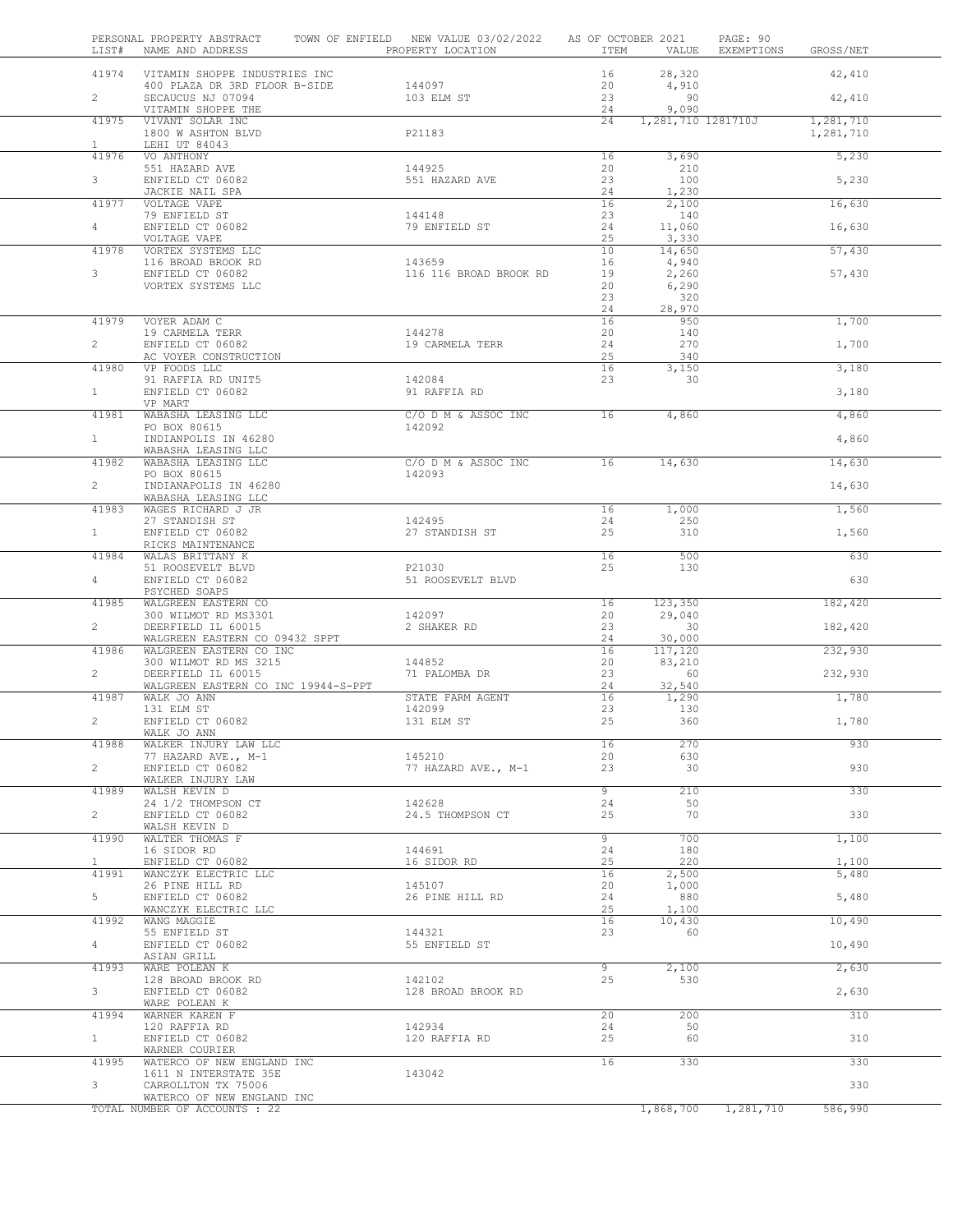| LIST#                 | PERSONAL PROPERTY ABSTRACT<br>NAME AND ADDRESS            | TOWN OF ENFIELD NEW VALUE 03/02/2022 AS OF OCTOBER 2021<br>PROPERTY LOCATION | ITEM           |                    | PAGE: 90<br>VALUE EXEMPTIONS | GROSS/NET              |  |
|-----------------------|-----------------------------------------------------------|------------------------------------------------------------------------------|----------------|--------------------|------------------------------|------------------------|--|
|                       | 41974 VITAMIN SHOPPE INDUSTRIES INC                       |                                                                              | 16             | 28,320             |                              | 42,410                 |  |
| $\overline{2}$        | 400 PLAZA DR 3RD FLOOR B-SIDE<br>SECAUCUS NJ 07094        | 144097<br>103 ELM ST                                                         | 20<br>23       | 4,910<br>90        |                              | 42,410                 |  |
|                       | VITAMIN SHOPPE THE                                        |                                                                              | 24             | 9,090              |                              |                        |  |
| 41975                 | VIVANT SOLAR INC<br>1800 W ASHTON BLVD                    | P21183                                                                       | 24             | 1,281,710 1281710J |                              | 1,281,710<br>1,281,710 |  |
| $\mathbf{1}$<br>41976 | LEHI UT 84043<br>VO ANTHONY                               |                                                                              | 16             | 3,690              |                              | 5,230                  |  |
|                       | 551 HAZARD AVE                                            | 144925                                                                       | 20             | 210                |                              |                        |  |
| $3 -$                 | ENFIELD CT 06082                                          | 551 HAZARD AVE                                                               | 23             | 100                |                              | 5,230                  |  |
| 41977                 | JACKIE NAIL SPA<br>VOLTAGE VAPE                           |                                                                              | 24<br>16       | 1,230<br>2,100     |                              | 16,630                 |  |
|                       | 79 ENFIELD ST                                             | 144148                                                                       | 23             | 140                |                              |                        |  |
| $4 -$                 | ENFIELD CT 06082<br>VOLTAGE VAPE                          | 79 ENFIELD ST                                                                | 24<br>25       | 11,060<br>3,330    |                              | 16,630                 |  |
| 41978                 | VORTEX SYSTEMS LLC                                        |                                                                              | 10             | 14,650             |                              | 57,430                 |  |
| 3                     | 116 BROAD BROOK RD<br>ENFIELD CT 06082                    | 143659<br>116 116 BROAD BROOK RD                                             | 16<br>19       | 4,940<br>2,260     |                              | 57,430                 |  |
|                       | VORTEX SYSTEMS LLC                                        |                                                                              | 20             | 6,290              |                              |                        |  |
|                       |                                                           |                                                                              | 23<br>24       | 320<br>28,970      |                              |                        |  |
| 41979                 | VOYER ADAM C                                              |                                                                              | 16             | 950                |                              | 1,700                  |  |
| $\overline{2}$        | 19 CARMELA TERR<br>ENFIELD CT 06082                       | 144278<br>19 CARMELA TERR                                                    | 20<br>24       | 140<br>270         |                              | 1,700                  |  |
|                       | AC VOYER CONSTRUCTION                                     |                                                                              | 25             | 340                |                              |                        |  |
| 41980                 | VP FOODS LLC<br>91 RAFFIA RD UNIT5                        | 142084                                                                       | 16<br>23       | 3,150<br>30        |                              | 3,180                  |  |
| $\mathbf{1}$          | ENFIELD CT 06082                                          | 91 RAFFIA RD                                                                 |                |                    |                              | 3,180                  |  |
|                       | VP MART                                                   |                                                                              |                |                    |                              |                        |  |
| 41981                 | WABASHA LEASING LLC<br>PO BOX 80615                       | C/O D M & ASSOC INC<br>142092                                                | 16             | 4,860              |                              | 4,860                  |  |
| $\mathbf{1}$          | INDIANPOLIS IN 46280                                      |                                                                              |                |                    |                              | 4,860                  |  |
| 41982                 | WABASHA LEASING LLC<br>WABASHA LEASING LLC                | C/O D M & ASSOC INC                                                          | 16             | 14,630             |                              | 14,630                 |  |
|                       | PO BOX 80615                                              | 142093                                                                       |                |                    |                              |                        |  |
| $\overline{2}$        | INDIANAPOLIS IN 46280<br>WABASHA LEASING LLC              |                                                                              |                |                    |                              | 14,630                 |  |
| 41983                 | WAGES RICHARD J JR                                        |                                                                              | 16             | 1,000              |                              | 1,560                  |  |
| 1                     | 27 STANDISH ST<br>ENFIELD CT 06082                        | 142495<br>27 STANDISH ST                                                     | 24<br>25       | 250<br>310         |                              | 1,560                  |  |
|                       | RICKS MAINTENANCE                                         |                                                                              |                |                    |                              |                        |  |
| 41984                 | WALAS BRITTANY K                                          |                                                                              | 16             | 500                |                              | 630                    |  |
| $4 -$                 | 51 ROOSEVELT BLVD<br>ENFIELD CT 06082                     | P21030<br>51 ROOSEVELT BLVD                                                  | 25             | 130                |                              | 630                    |  |
|                       | PSYCHED SOAPS                                             |                                                                              |                |                    |                              |                        |  |
| 41985                 | WALGREEN EASTERN CO<br>300 WILMOT RD MS3301               | 142097                                                                       | 16<br>20       | 123,350<br>29,040  |                              | 182,420                |  |
| $\overline{2}$        | DEERFIELD IL 60015                                        | 2 SHAKER RD                                                                  | 23             | 30                 |                              | 182,420                |  |
| 41986                 | WALGREEN EASTERN CO 09432 SPPT<br>WALGREEN EASTERN CO INC |                                                                              | 24<br>16       | 30,000<br>117,120  |                              | 232,930                |  |
|                       | 300 WILMOT RD MS 3215                                     | 144852                                                                       | 20             | 83,210             |                              |                        |  |
| $\overline{2}$        | DEERFIELD IL 60015<br>WALGREEN EASTERN CO INC 19944-S-PPT | 71 PALOMBA DR                                                                | 23<br>24       | 60<br>32,540       |                              | 232,930                |  |
| 41987                 | WALK JO ANN                                               | STATE FARM AGENT                                                             | 16             | 1,290              |                              | 1,780                  |  |
| $\overline{2}$        | 131 ELM ST<br>ENFIELD CT 06082                            | 142099                                                                       | 23<br>25       | 130<br>360         |                              |                        |  |
|                       | WALK JO ANN                                               | 131 ELM ST                                                                   |                |                    |                              | 1,780                  |  |
| 41988                 | WALKER INJURY LAW LLC                                     |                                                                              | 16             | 270                |                              | 930                    |  |
| $\overline{2}$        | 77 HAZARD AVE., M-1<br>ENFIELD CT 06082                   | 145210<br>77 HAZARD AVE., M-1                                                | 20<br>23       | 630<br>30          |                              | 930                    |  |
|                       | WALKER INJURY LAW                                         |                                                                              |                |                    |                              |                        |  |
| 41989                 | WALSH KEVIN D<br>24 1/2 THOMPSON CT                       | 142628                                                                       | 9<br>24        | 210<br>50          |                              | 330                    |  |
| $\overline{2}$        | ENFIELD CT 06082                                          | 24.5 THOMPSON CT                                                             | 25             | 70                 |                              | 330                    |  |
| 41990                 | WALSH KEVIN D<br>WALTER THOMAS F                          |                                                                              | $\overline{9}$ | 700                |                              | 1,100                  |  |
|                       | 16 SIDOR RD                                               | 144691                                                                       | 24             | 180                |                              |                        |  |
| $\mathbf{1}$<br>41991 | ENFIELD CT 06082<br>WANCZYK ELECTRIC LLC                  | 16 SIDOR RD                                                                  | 25<br>16       | 220<br>2,500       |                              | 1,100<br>5,480         |  |
|                       | 26 PINE HILL RD                                           | 145107                                                                       | 20             | 1,000              |                              |                        |  |
| 5                     | ENFIELD CT 06082<br>WANCZYK ELECTRIC LLC                  | 26 PINE HILL RD                                                              | 24<br>25       | 880<br>1,100       |                              | 5,480                  |  |
| 41992                 | WANG MAGGIE                                               |                                                                              | 16             | 10,430             |                              | 10,490                 |  |
| $4 -$                 | 55 ENFIELD ST<br>ENFIELD CT 06082                         | 144321<br>55 ENFIELD ST                                                      | 23             | 60                 |                              | 10,490                 |  |
|                       | ASIAN GRILL                                               |                                                                              |                |                    |                              |                        |  |
| 41993                 | WARE POLEAN K                                             |                                                                              | 9              | 2,100              |                              | 2,630                  |  |
| $3 -$                 | 128 BROAD BROOK RD<br>ENFIELD CT 06082                    | 142102<br>128 BROAD BROOK RD                                                 | 25             | 530                |                              | 2,630                  |  |
|                       | WARE POLEAN K                                             |                                                                              |                |                    |                              |                        |  |
| 41994                 | WARNER KAREN F<br>120 RAFFIA RD                           | 142934                                                                       | 20<br>24       | 200<br>50          |                              | 310                    |  |
| 1                     | ENFIELD CT 06082                                          | 120 RAFFIA RD                                                                | 25             | 60                 |                              | 310                    |  |
| 41995                 | WARNER COURIER<br>WATERCO OF NEW ENGLAND INC              |                                                                              | 16             | 330                |                              | 330                    |  |
|                       | 1611 N INTERSTATE 35E                                     | 143042                                                                       |                |                    |                              |                        |  |
| 3                     | CARROLLTON TX 75006<br>WATERCO OF NEW ENGLAND INC         |                                                                              |                |                    |                              | 330                    |  |
|                       | TOTAL NUMBER OF ACCOUNTS : 22                             |                                                                              |                | 1,868,700          | 1,281,710                    | 586,990                |  |
|                       |                                                           |                                                                              |                |                    |                              |                        |  |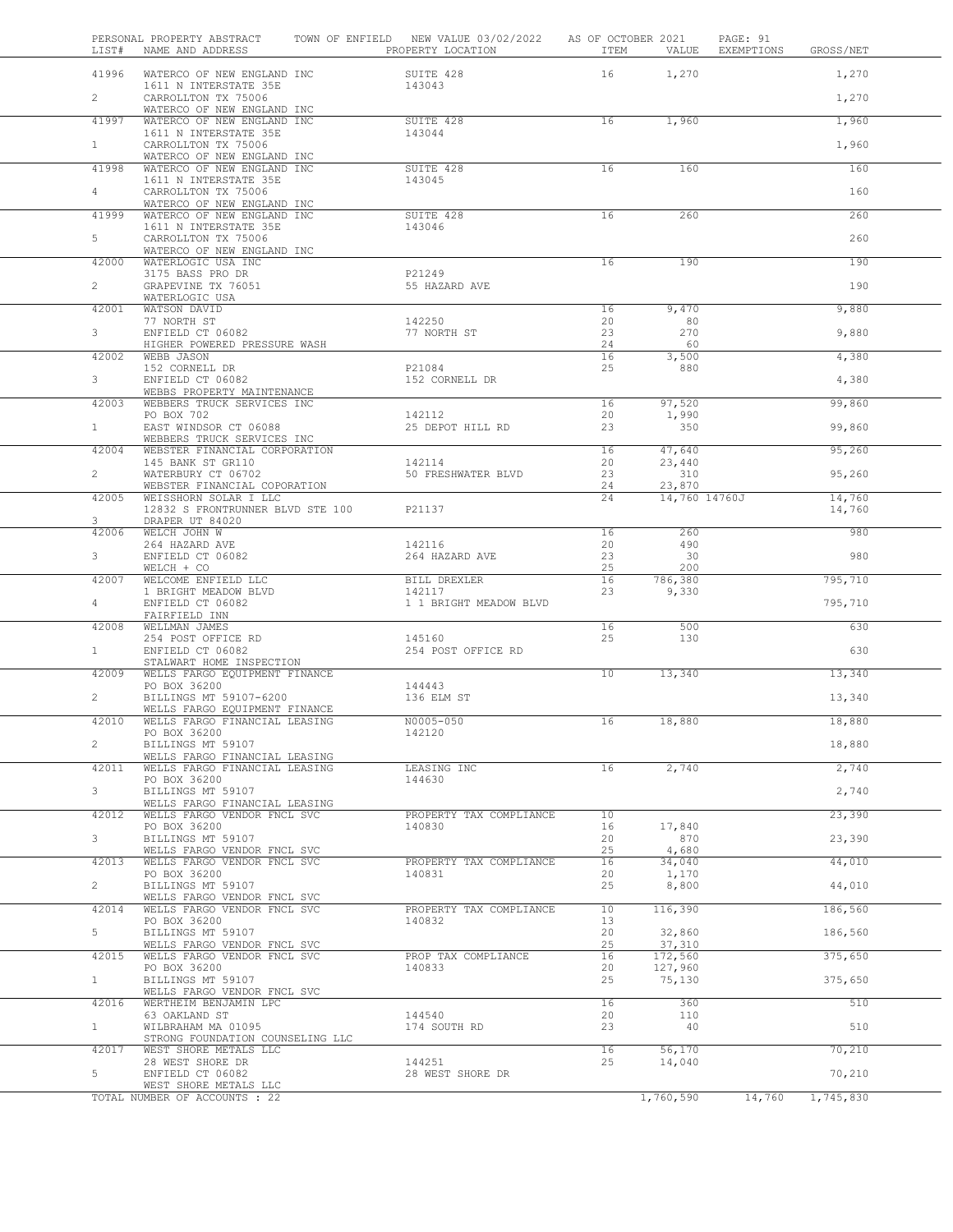| LIST#          | PERSONAL PROPERTY ABSTRACT<br>NAME AND ADDRESS                 | TOWN OF ENFIELD NEW VALUE 03/02/2022<br>PROPERTY LOCATION | AS OF OCTOBER 2021<br>ITEM | VALUE              | PAGE: 91<br>EXEMPTIONS | GROSS/NET |
|----------------|----------------------------------------------------------------|-----------------------------------------------------------|----------------------------|--------------------|------------------------|-----------|
| 41996          | WATERCO OF NEW ENGLAND INC                                     | SUITE 428                                                 | 16                         | 1,270              |                        | 1,270     |
| $\overline{2}$ | 1611 N INTERSTATE 35E<br>CARROLLTON TX 75006                   | 143043                                                    |                            |                    |                        | 1,270     |
|                | WATERCO OF NEW ENGLAND INC                                     |                                                           |                            |                    |                        |           |
| 41997          | WATERCO OF NEW ENGLAND INC<br>1611 N INTERSTATE 35E            | SUITE 428<br>143044                                       | 16                         | 1,960              |                        | 1,960     |
| $\mathbf{1}$   | CARROLLTON TX 75006                                            |                                                           |                            |                    |                        | 1,960     |
| 41998          | WATERCO OF NEW ENGLAND INC<br>WATERCO OF NEW ENGLAND INC       | SUITE 428                                                 | 16                         | 160                |                        | 160       |
|                | 1611 N INTERSTATE 35E                                          | 143045                                                    |                            |                    |                        |           |
| $\overline{4}$ | CARROLLTON TX 75006<br>WATERCO OF NEW ENGLAND INC              |                                                           |                            |                    |                        | 160       |
| 41999          | WATERCO OF NEW ENGLAND INC                                     | SUITE 428                                                 | 16                         | 260                |                        | 260       |
| 5              | 1611 N INTERSTATE 35E<br>CARROLLTON TX 75006                   | 143046                                                    |                            |                    |                        | 260       |
|                | WATERCO OF NEW ENGLAND INC                                     |                                                           | 16                         | 190                |                        | 190       |
| 42000          | WATERLOGIC USA INC<br>3175 BASS PRO DR                         | P21249                                                    |                            |                    |                        |           |
| $\overline{2}$ | GRAPEVINE TX 76051                                             | 55 HAZARD AVE                                             |                            |                    |                        | 190       |
| 42001          | WATERLOGIC USA<br>WATSON DAVID                                 |                                                           | 16                         | 9,470              |                        | 9,880     |
|                | 77 NORTH ST                                                    | 142250                                                    | 20                         | 80                 |                        |           |
| 3              | ENFIELD CT 06082<br>HIGHER POWERED PRESSURE WASH               | 77 NORTH ST                                               | 23<br>24                   | 270<br>60          |                        | 9,880     |
| 42002          | WEBB JASON                                                     |                                                           | 16                         | 3,500              |                        | 4,380     |
| 3              | 152 CORNELL DR<br>ENFIELD CT 06082                             | P21084<br>152 CORNELL DR                                  | 25                         | 880                |                        | 4,380     |
|                | WEBBS PROPERTY MAINTENANCE                                     |                                                           |                            |                    |                        |           |
| 42003          | WEBBERS TRUCK SERVICES INC<br>PO BOX 702                       | 142112                                                    | 16<br>20                   | 97,520<br>1,990    |                        | 99,860    |
| $\mathbf{1}$   | EAST WINDSOR CT 06088                                          | 25 DEPOT HILL RD                                          | 23                         | 350                |                        | 99,860    |
| 42004          | WEBBERS TRUCK SERVICES INC<br>WEBSTER FINANCIAL CORPORATION    |                                                           | 16                         | 47,640             |                        | 95,260    |
|                | 145 BANK ST GR110                                              | 142114                                                    | 20                         | 23,440             |                        |           |
| $\overline{2}$ | WATERBURY CT 06702<br>WEBSTER FINANCIAL COPORATION             | 50 FRESHWATER BLVD                                        | 23<br>24                   | 310<br>23,870      |                        | 95,260    |
| 42005          | WEISSHORN SOLAR I LLC                                          |                                                           | 24                         | 14,760 14760J      |                        | 14,760    |
| 3              | 12832 S FRONTRUNNER BLVD STE 100<br>DRAPER UT 84020            | P21137                                                    |                            |                    |                        | 14,760    |
| 42006          | WELCH JOHN W                                                   |                                                           | 16                         | 260                |                        | 980       |
| 3              | 264 HAZARD AVE<br>ENFIELD CT 06082                             | 142116<br>264 HAZARD AVE                                  | 20<br>23                   | 490<br>30          |                        | 980       |
|                | WELCH + CO                                                     |                                                           | 25                         | 200                |                        |           |
| 42007          | WELCOME ENFIELD LLC<br>1 BRIGHT MEADOW BLVD                    | BILL DREXLER<br>142117                                    | 16<br>23                   | 786,380<br>9,330   |                        | 795,710   |
| 4              | ENFIELD CT 06082                                               | 1 1 BRIGHT MEADOW BLVD                                    |                            |                    |                        | 795,710   |
| 42008          | FAIRFIELD INN<br>WELLMAN JAMES                                 |                                                           | 16                         | 500                |                        | 630       |
|                | 254 POST OFFICE RD                                             | 145160                                                    | 25                         | 130                |                        |           |
| 1              | ENFIELD CT 06082<br>STALWART HOME INSPECTION                   | 254 POST OFFICE RD                                        |                            |                    |                        | 630       |
| 42009          | WELLS FARGO EQUIPMENT FINANCE                                  |                                                           | 10                         | 13,340             |                        | 13,340    |
| $\overline{2}$ | PO BOX 36200                                                   | 144443<br>136 ELM ST                                      |                            |                    |                        |           |
|                | BILLINGS MT 59107-6200<br>WELLS FARGO EQUIPMENT FINANCE        |                                                           |                            |                    |                        | 13,340    |
| 42010          | WELLS FARGO FINANCIAL LEASING                                  | N0005-050                                                 | 16                         | 18,880             |                        | 18,880    |
| $\mathbf{2}$   | PO BOX 36200<br>BILLINGS MT 59107                              | 142120                                                    |                            |                    |                        | 18,880    |
|                | WELLS FARGO FINANCIAL LEASING<br>WELLS FARGO FINANCIAL LEASING |                                                           |                            |                    |                        |           |
| 42011          | PO BOX 36200                                                   | LEASING INC<br>144630                                     | 16                         | 2,740              |                        | 2,740     |
| 3              | BILLINGS MT 59107                                              |                                                           |                            |                    |                        | 2,740     |
| 42012          | WELLS FARGO FINANCIAL LEASING<br>WELLS FARGO VENDOR FNCL SVC   | PROPERTY TAX COMPLIANCE                                   | 10                         |                    |                        | 23,390    |
|                | PO BOX 36200                                                   | 140830                                                    | 16                         | 17,840             |                        |           |
| 3              | BILLINGS MT 59107<br>WELLS FARGO VENDOR FNCL SVC               |                                                           | 20<br>25                   | 870<br>4,680       |                        | 23,390    |
| 42013          | WELLS FARGO VENDOR FNCL SVC                                    | PROPERTY TAX COMPLIANCE                                   | 16                         | 34,040             |                        | 44,010    |
| $\overline{2}$ | PO BOX 36200<br>BILLINGS MT 59107                              | 140831                                                    | 20<br>25                   | 1,170<br>8,800     |                        | 44,010    |
|                | WELLS FARGO VENDOR FNCL SVC                                    |                                                           |                            |                    |                        |           |
| 42014          | WELLS FARGO VENDOR FNCL SVC<br>PO BOX 36200                    | PROPERTY TAX COMPLIANCE<br>140832                         | 10<br>13                   | 116,390            |                        | 186,560   |
|                | BILLINGS MT 59107                                              |                                                           | 20                         | 32,860             |                        | 186,560   |
| 5              |                                                                |                                                           | 25                         | 37,310             |                        | 375,650   |
| 42015          | WELLS FARGO VENDOR FNCL SVC                                    | PROP TAX COMPLIANCE                                       | 16                         |                    |                        |           |
|                | WELLS FARGO VENDOR FNCL SVC<br>PO BOX 36200                    | 140833                                                    | 20                         | 172,560<br>127,960 |                        |           |
| 1              | BILLINGS MT 59107                                              |                                                           | 25                         | 75,130             |                        | 375,650   |
| 42016          | WELLS FARGO VENDOR FNCL SVC<br>WERTHEIM BENJAMIN LPC           |                                                           | 16                         | 360                |                        | 510       |
|                | 63 OAKLAND ST                                                  | 144540                                                    | 20                         | 110                |                        |           |
| $\mathbf{1}$   | WILBRAHAM MA 01095<br>STRONG FOUNDATION COUNSELING LLC         | 174 SOUTH RD                                              | 23                         | 40                 |                        | 510       |
| 42017          | WEST SHORE METALS LLC                                          |                                                           | 16                         | 56,170             |                        | 70,210    |
| 5              | 28 WEST SHORE DR<br>ENFIELD CT 06082                           | 144251<br>28 WEST SHORE DR                                | 25                         | 14,040             |                        | 70,210    |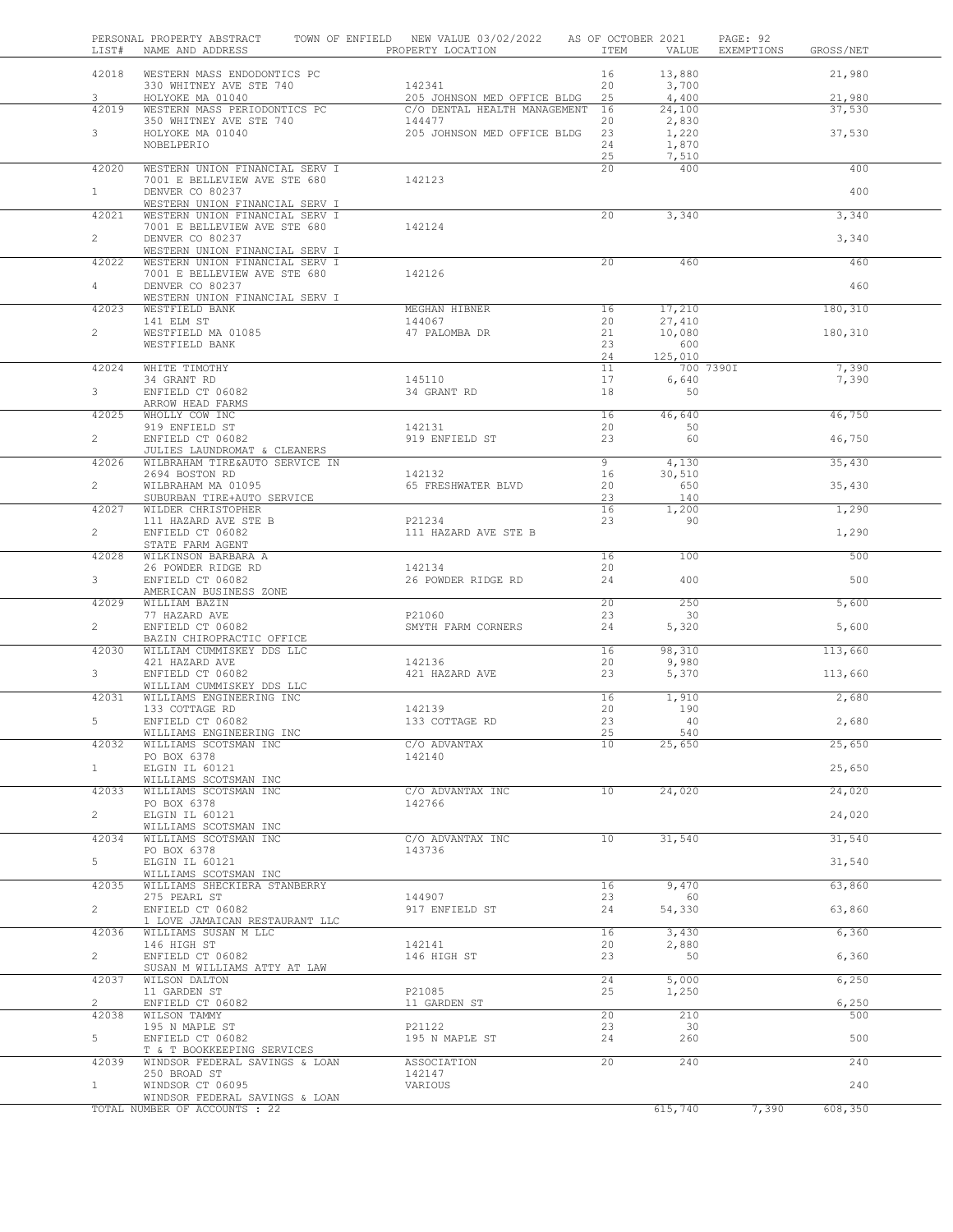| LIST#                   | PERSONAL PROPERTY ABSTRACT<br>NAME AND ADDRESS                   | TOWN OF ENFIELD NEW VALUE 03/02/2022 AS OF OCTOBER 2021<br>PROPERTY LOCATION | ITEM            | VALUE                   | PAGE: 92<br>EXEMPTIONS<br>GROSS/NET |
|-------------------------|------------------------------------------------------------------|------------------------------------------------------------------------------|-----------------|-------------------------|-------------------------------------|
|                         | 42018 WESTERN MASS ENDODONTICS PC<br>330 WHITNEY AVE STE 740     | 142341                                                                       | 16<br>20        | 13,880<br>3,700         | 21,980                              |
| $\mathbf{3}$<br>42019   | HOLYOKE MA 01040<br>WESTERN MASS PERIODONTICS PC                 | 205 JOHNSON MED OFFICE BLDG<br>C/O DENTAL HEALTH MANAGEMENT 16               | 25              | 4,400<br>24,100         | 21,980<br>37,530                    |
|                         |                                                                  | 144477                                                                       | 20              | 2,830                   |                                     |
| $\mathbf{3}$            | 350 WHITNEY AVE STE 740<br>HOLYOKE MA 01040<br>NOBELPERIO        | 205 JOHNSON MED OFFICE BLDG                                                  | 23<br>24<br>25  | 1,220<br>1,870<br>7,510 | 37,530                              |
| 42020                   | WESTERN UNION FINANCIAL SERV I                                   |                                                                              | 20 <sup>°</sup> | 400                     | 400                                 |
| 1                       | 7001 E BELLEVIEW AVE STE 680<br>DENVER CO 80237                  | 142123                                                                       |                 |                         | 400                                 |
| 42021                   | WESTERN UNION FINANCIAL SERV I<br>WESTERN UNION FINANCIAL SERV I |                                                                              |                 |                         |                                     |
|                         | 7001 E BELLEVIEW AVE STE 680                                     | 142124                                                                       | 20              | 3,340                   | 3,340                               |
| $\overline{2}$          | DENVER CO 80237<br>WESTERN UNION FINANCIAL SERV I                |                                                                              |                 |                         | 3,340                               |
| 42022                   | WESTERN UNION FINANCIAL SERV I<br>7001 E BELLEVIEW AVE STE 680   | 142126                                                                       | 20 <sub>o</sub> | 460                     | 460                                 |
| $4 -$                   | DENVER CO 80237                                                  |                                                                              |                 |                         | 460                                 |
| 42023                   | WESTERN UNION FINANCIAL SERV I<br>WESTFIELD BANK                 | MEGHAN HIBNER                                                                | 16              | 17,210                  | 180,310                             |
|                         | 141 ELM ST                                                       | 144067                                                                       | 20              | 27,410                  |                                     |
| $\overline{2}$          | WESTFIELD MA 01085                                               | 47 PALOMBA DR                                                                | 21              | 10,080                  | 180,310                             |
|                         | WESTFIELD BANK                                                   |                                                                              | 23<br>24        | 600<br>125,010          |                                     |
| 42024                   | WHITE TIMOTHY                                                    |                                                                              | 11              |                         | 7,390<br>700 7390I                  |
|                         | 34 GRANT RD                                                      | 145110                                                                       | 17              | 6,640                   | 7,390                               |
| 3                       | ENFIELD CT 06082                                                 | 34 GRANT RD                                                                  | 18              | 50                      |                                     |
|                         | ARROW HEAD FARMS                                                 |                                                                              |                 |                         |                                     |
| 42025                   | WHOLLY COW INC<br>919 ENFIELD ST                                 | 142131                                                                       | 16<br>20        | 46,640<br>50            | 46,750                              |
| $\overline{2}$          | ENFIELD CT 06082                                                 | 919 ENFIELD ST                                                               | 23              | 60                      | 46,750                              |
| 42026                   | JULIES LAUNDROMAT & CLEANERS<br>WILBRAHAM TIRE&AUTO SERVICE IN   |                                                                              | 9               | 4,130                   | 35,430                              |
|                         | 2694 BOSTON RD                                                   | 142132                                                                       | 16              | 30,510                  |                                     |
| $\overline{2}$          | WILBRAHAM MA 01095                                               | 65 FRESHWATER BLVD                                                           | 20              | 650                     | 35,430                              |
| 42027                   | SUBURBAN TIRE+AUTO SERVICE<br>WILDER CHRISTOPHER                 |                                                                              | 23<br>16        | 140<br>1,200            | 1,290                               |
|                         | 111 HAZARD AVE STE B                                             | P21234                                                                       | 23              | 90                      |                                     |
| $\overline{2}$          | ENFIELD CT 06082                                                 | 111 HAZARD AVE STE B                                                         |                 |                         | 1,290                               |
| 42028                   | STATE FARM AGENT<br>WILKINSON BARBARA A                          |                                                                              | 16              | 100                     | 500                                 |
|                         | 26 POWDER RIDGE RD                                               | 142134                                                                       | 20              |                         |                                     |
| 3 <sup>7</sup>          | ENFIELD CT 06082<br>AMERICAN BUSINESS ZONE                       | 26 POWDER RIDGE RD                                                           | 24              | 400                     | 500                                 |
| 42029                   | WILLIAM BAZIN                                                    |                                                                              | 20              | 250                     | 5,600                               |
| $\overline{2}$          | 77 HAZARD AVE<br>ENFIELD CT 06082                                | P21060<br>SMYTH FARM CORNERS                                                 | 23<br>24        | 30<br>5,320             | 5,600                               |
|                         | BAZIN CHIROPRACTIC OFFICE                                        |                                                                              |                 |                         |                                     |
| 42030                   | WILLIAM CUMMISKEY DDS LLC                                        |                                                                              | 16              | 98,310                  | 113,660                             |
| 3 <sup>7</sup>          | 421 HAZARD AVE<br>ENFIELD CT 06082                               | 142136<br>421 HAZARD AVE                                                     | 20<br>23        | 9,980<br>5,370          | 113,660                             |
|                         | WILLIAM CUMMISKEY DDS LLC                                        |                                                                              |                 |                         |                                     |
| 42031                   | WILLIAMS ENGINEERING INC<br>133 COTTAGE RD                       | 142139                                                                       | 16<br>20        | 1,910<br>190            | 2,680                               |
| 5                       | ENFIELD CT 06082                                                 | 133 COTTAGE RD                                                               | 23              | 40                      | 2,680                               |
|                         | WILLIAMS ENGINEERING INC                                         |                                                                              | 25              | 540                     |                                     |
| 42032                   | WILLIAMS SCOTSMAN INC                                            | C/O ADVANTAX                                                                 | 10              | 25,650                  | 25,650                              |
| 1                       | PO BOX 6378<br>ELGIN IL 60121                                    | 142140                                                                       |                 |                         | 25,650                              |
|                         | WILLIAMS SCOTSMAN INC                                            |                                                                              |                 |                         |                                     |
| 42033                   | WILLIAMS SCOTSMAN INC                                            | C/O ADVANTAX INC<br>142766                                                   | 10              | 24,020                  | 24,020                              |
| $2^{\circ}$             | PO BOX 6378<br>ELGIN IL 60121                                    |                                                                              |                 |                         | 24,020                              |
| 42034                   | WILLIAMS SCOTSMAN INC<br>WILLIAMS SCOTSMAN INC                   | C/O ADVANTAX INC                                                             | 10 <sub>1</sub> | 31,540                  | 31,540                              |
|                         | PO BOX 6378                                                      | 143736                                                                       |                 |                         |                                     |
| 5                       | ELGIN IL 60121<br>WILLIAMS SCOTSMAN INC                          |                                                                              |                 |                         | 31,540                              |
| 42035                   | WILLIAMS SHECKIERA STANBERRY                                     |                                                                              | 16              | 9,470                   | 63,860                              |
| $\overline{a}$          | 275 PEARL ST<br>ENFIELD CT 06082                                 | 144907<br>917 ENFIELD ST                                                     | 23<br>24        | 60<br>54,330            | 63,860                              |
|                         | 1 LOVE JAMAICAN RESTAURANT LLC                                   |                                                                              |                 |                         |                                     |
| 42036                   | WILLIAMS SUSAN M LLC<br>146 HIGH ST                              | 142141                                                                       | 16<br>20        | 3,430<br>2,880          | 6,360                               |
| $\overline{2}$          | ENFIELD CT 06082                                                 | 146 HIGH ST                                                                  | 23              | 50                      | 6,360                               |
| 42037                   | SUSAN M WILLIAMS ATTY AT LAW<br>WILSON DALTON                    |                                                                              | 24              | 5,000                   | 6,250                               |
|                         | 11 GARDEN ST                                                     | P21085                                                                       | 25              | 1,250                   |                                     |
| $\overline{2}$<br>42038 | ENFIELD CT 06082<br>WILSON TAMMY                                 | 11 GARDEN ST                                                                 | 20              | 210                     | 6,250<br>500                        |
|                         | 195 N MAPLE ST                                                   | P21122                                                                       | 23              | 30                      |                                     |
| 5                       | ENFIELD CT 06082<br>T & T BOOKKEEPING SERVICES                   | 195 N MAPLE ST                                                               | 24              | 260                     | 500                                 |
| 42039                   | WINDSOR FEDERAL SAVINGS & LOAN                                   | <b>ASSOCIATION</b>                                                           | 20              | 240                     | 240                                 |
| 1                       | 250 BROAD ST                                                     | 142147                                                                       |                 |                         | 240                                 |
|                         | WINDSOR CT 06095<br>WINDSOR FEDERAL SAVINGS & LOAN               | VARIOUS                                                                      |                 |                         |                                     |
|                         | TOTAL NUMBER OF ACCOUNTS : 22                                    |                                                                              |                 | 615,740                 | 7,390<br>608,350                    |
|                         |                                                                  |                                                                              |                 |                         |                                     |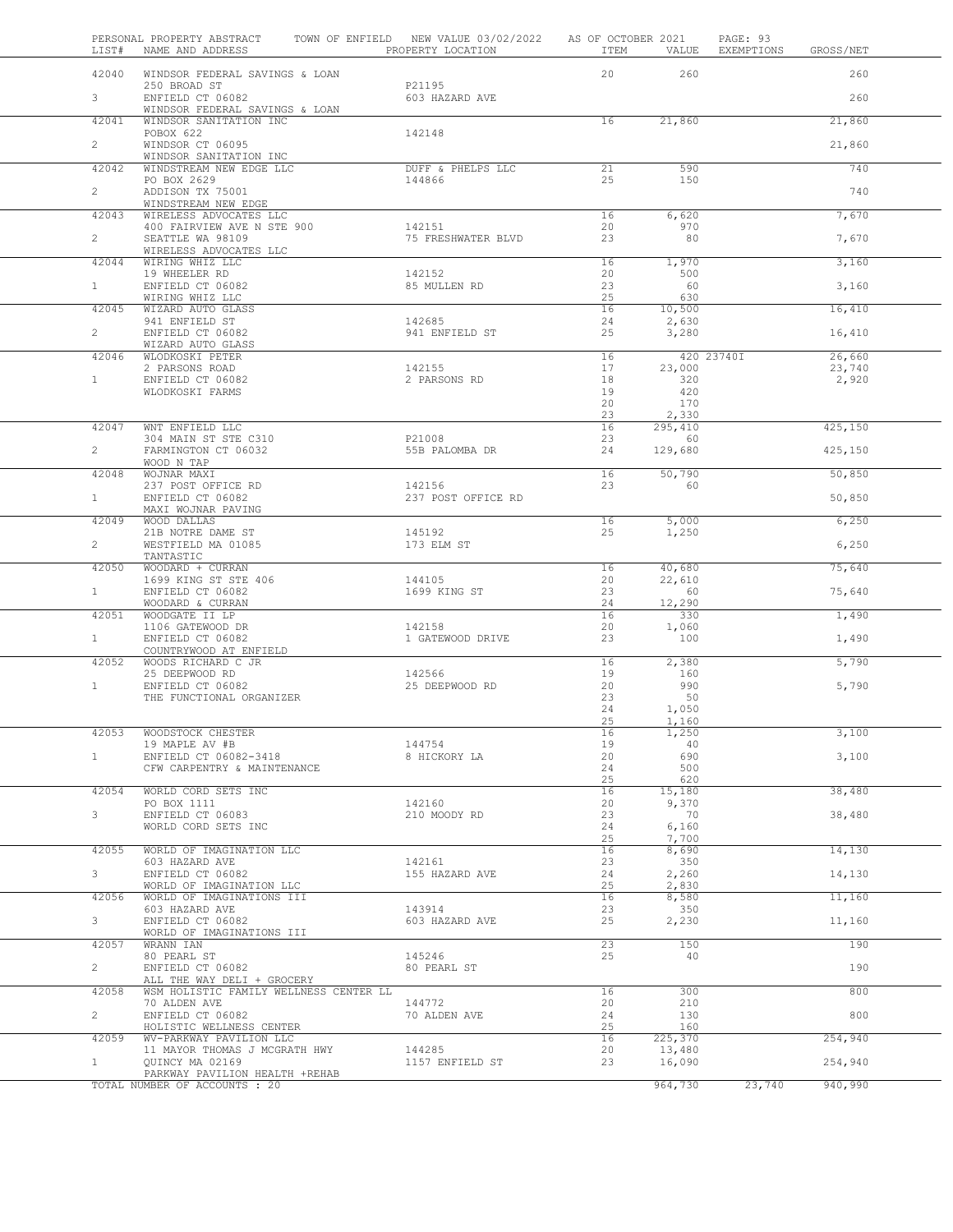| LIST#          | PERSONAL PROPERTY ABSTRACT<br>NAME AND ADDRESS                       | TOWN OF ENFIELD NEW VALUE 03/02/2022<br>PROPERTY LOCATION | AS OF OCTOBER 2021<br>ITEM | VALUE          | PAGE: 93<br>EXEMPTIONS | GROSS/NET       |  |
|----------------|----------------------------------------------------------------------|-----------------------------------------------------------|----------------------------|----------------|------------------------|-----------------|--|
| 42040          | WINDSOR FEDERAL SAVINGS & LOAN                                       |                                                           | 20                         | 260            |                        | 260             |  |
| $3 -$          | 250 BROAD ST                                                         | P21195                                                    |                            |                |                        |                 |  |
|                | ENFIELD CT 06082<br>WINDSOR FEDERAL SAVINGS & LOAN                   | 603 HAZARD AVE                                            |                            |                |                        | 260             |  |
| 42041          | WINDSOR SANITATION INC                                               |                                                           | 16                         | 21,860         |                        | 21,860          |  |
| $\overline{2}$ | POBOX 622<br>WINDSOR CT 06095                                        | 142148                                                    |                            |                |                        | 21,860          |  |
|                | WINDSOR SANITATION INC                                               |                                                           | 21                         |                |                        | 740             |  |
| 42042          | WINDSTREAM NEW EDGE LLC<br>PO BOX 2629                               | DUFF & PHELPS LLC<br>144866                               | 25                         | 590<br>150     |                        |                 |  |
| $\mathbf{2}$   | ADDISON TX 75001<br>WINDSTREAM NEW EDGE                              |                                                           |                            |                |                        | 740             |  |
| 42043          | WIRELESS ADVOCATES LLC                                               |                                                           | 16                         | 6,620          |                        | 7,670           |  |
| $\overline{2}$ | 400 FAIRVIEW AVE N STE 900<br>SEATTLE WA 98109                       | 142151<br>75 FRESHWATER BLVD                              | 20<br>23                   | 970<br>80      |                        | 7,670           |  |
|                | WIRELESS ADVOCATES LLC                                               |                                                           |                            |                |                        |                 |  |
| 42044          | WIRING WHIZ LLC<br>19 WHEELER RD                                     | 142152                                                    | 16<br>20                   | 1,970<br>500   |                        | 3,160           |  |
| $\mathbf{1}$   | ENFIELD CT 06082                                                     | 85 MULLEN RD                                              | 23                         | 60             |                        | 3,160           |  |
| 42045          | WIRING WHIZ LLC<br>WIZARD AUTO GLASS                                 |                                                           | 25<br>16                   | 630<br>10,500  |                        | 16,410          |  |
|                | 941 ENFIELD ST                                                       | 142685                                                    | 24                         | 2,630          |                        |                 |  |
| $\overline{2}$ | ENFIELD CT 06082<br>WIZARD AUTO GLASS                                | 941 ENFIELD ST                                            | 25                         | 3,280          |                        | 16,410          |  |
| 42046          | WLODKOSKI PETER                                                      |                                                           | 16                         |                | 420 23740I             | 26,660          |  |
| $\mathbf{1}$   | 2 PARSONS ROAD<br>ENFIELD CT 06082                                   | 142155<br>2 PARSONS RD                                    | 17<br>18                   | 23,000<br>320  |                        | 23,740<br>2,920 |  |
|                | WLODKOSKI FARMS                                                      |                                                           | 19                         | 420            |                        |                 |  |
|                |                                                                      |                                                           | 20<br>23                   | 170<br>2,330   |                        |                 |  |
| 42047          | WNT ENFIELD LLC                                                      |                                                           | 16                         | 295,410        |                        | 425,150         |  |
| $\overline{2}$ | 304 MAIN ST STE C310<br>FARMINGTON CT 06032                          | P21008<br>55B PALOMBA DR                                  | 23<br>24                   | 60<br>129,680  |                        | 425,150         |  |
|                | WOOD N TAP                                                           |                                                           |                            |                |                        |                 |  |
| 42048          | WOJNAR MAXI<br>237 POST OFFICE RD                                    | 142156                                                    | 16<br>23                   | 50,790<br>60   |                        | 50,850          |  |
| 1              | ENFIELD CT 06082                                                     | 237 POST OFFICE RD                                        |                            |                |                        | 50,850          |  |
| 42049          | MAXI WOJNAR PAVING<br>WOOD DALLAS                                    |                                                           | 16                         | 5,000          |                        | 6,250           |  |
|                | 21B NOTRE DAME ST                                                    | 145192                                                    | 25                         | 1,250          |                        |                 |  |
| $\overline{2}$ | WESTFIELD MA 01085<br>TANTASTIC                                      | 173 ELM ST                                                |                            |                |                        | 6,250           |  |
| 42050          | WOODARD + CURRAN                                                     |                                                           | 16                         | 40,680         |                        | 75,640          |  |
| 1              | 1699 KING ST STE 406<br>ENFIELD CT 06082                             | 144105<br>1699 KING ST                                    | 20<br>23                   | 22,610<br>60   |                        | 75,640          |  |
|                | WOODARD & CURRAN                                                     |                                                           | 24                         | 12,290         |                        |                 |  |
| 42051          | WOODGATE II LP<br>1106 GATEWOOD DR                                   | 142158                                                    | 16<br>20                   | 330<br>1,060   |                        | 1,490           |  |
| 1              | ENFIELD CT 06082                                                     | 1 GATEWOOD DRIVE                                          | 23                         | 100            |                        | 1,490           |  |
| 42052          | COUNTRYWOOD AT ENFIELD<br>WOODS RICHARD C JR                         |                                                           | 16                         | 2,380          |                        | 5,790           |  |
|                | 25 DEEPWOOD RD                                                       | 142566                                                    | 19                         | 160            |                        |                 |  |
| $\mathbf{1}$   | ENFIELD CT 06082<br>THE FUNCTIONAL ORGANIZER                         | 25 DEEPWOOD RD                                            | 20<br>23                   | 990<br>50      |                        | 5,790           |  |
|                |                                                                      |                                                           | 24                         | 1,050          |                        |                 |  |
|                |                                                                      |                                                           | 25                         | 1,160          |                        |                 |  |
| 42053          | WOODSTOCK CHESTER<br>19 MAPLE AV #B                                  | 144754                                                    | 16<br>19                   | 1,250<br>40    |                        | 3,100           |  |
| $\mathbf{1}$   | ENFIELD CT 06082-3418                                                | 8 HICKORY LA                                              | 20                         | 690            |                        | 3,100           |  |
|                | CFW CARPENTRY & MAINTENANCE                                          |                                                           | 24<br>25                   | 500<br>620     |                        |                 |  |
| 42054          | WORLD CORD SETS INC                                                  |                                                           | 16                         | 15,180         |                        | 38,480          |  |
| 3              | PO BOX 1111<br>ENFIELD CT 06083                                      | 142160<br>210 MOODY RD                                    | 20<br>23                   | 9,370<br>70    |                        | 38,480          |  |
|                | WORLD CORD SETS INC                                                  |                                                           | 24                         | 6,160          |                        |                 |  |
| 42055          | WORLD OF IMAGINATION LLC                                             |                                                           | 25<br>16                   | 7,700<br>8,690 |                        | 14,130          |  |
|                | 603 HAZARD AVE                                                       | 142161                                                    | 23                         | 350            |                        |                 |  |
| 3              | ENFIELD CT 06082<br>WORLD OF IMAGINATION LLC                         | 155 HAZARD AVE                                            | 24<br>25                   | 2,260<br>2,830 |                        | 14,130          |  |
| 42056          | WORLD OF IMAGINATIONS III                                            |                                                           | 16                         | 8,580          |                        | 11,160          |  |
| 3              | 603 HAZARD AVE<br>ENFIELD CT 06082                                   | 143914<br>603 HAZARD AVE                                  | 23<br>25                   | 350<br>2,230   |                        | 11,160          |  |
|                | WORLD OF IMAGINATIONS III                                            |                                                           |                            |                |                        |                 |  |
| 42057          | WRANN IAN<br>80 PEARL ST                                             | 145246                                                    | 23<br>25                   | 150<br>40      |                        | 190             |  |
| $\overline{2}$ | ENFIELD CT 06082                                                     | 80 PEARL ST                                               |                            |                |                        | 190             |  |
| 42058          | ALL THE WAY DELI + GROCERY<br>WSM HOLISTIC FAMILY WELLNESS CENTER LL |                                                           | 16                         | 300            |                        | 800             |  |
|                | 70 ALDEN AVE                                                         | 144772                                                    | 20                         | 210            |                        |                 |  |
| $\overline{c}$ | ENFIELD CT 06082                                                     | 70 ALDEN AVE                                              | 24                         | 130            |                        | 800             |  |
| 42059          | HOLISTIC WELLNESS CENTER<br>WV-PARKWAY PAVILION LLC                  |                                                           | 25<br>16                   | 160<br>225,370 |                        | 254,940         |  |
| $\mathbf{1}$   | 11 MAYOR THOMAS J MCGRATH HWY                                        | 144285                                                    | 20<br>23                   | 13,480         |                        |                 |  |
|                | QUINCY MA 02169<br>PARKWAY PAVILION HEALTH +REHAB                    | 1157 ENFIELD ST                                           |                            | 16,090         |                        | 254,940         |  |
|                | TOTAL NUMBER OF ACCOUNTS : 20                                        |                                                           |                            | 964,730        | 23,740                 | 940,990         |  |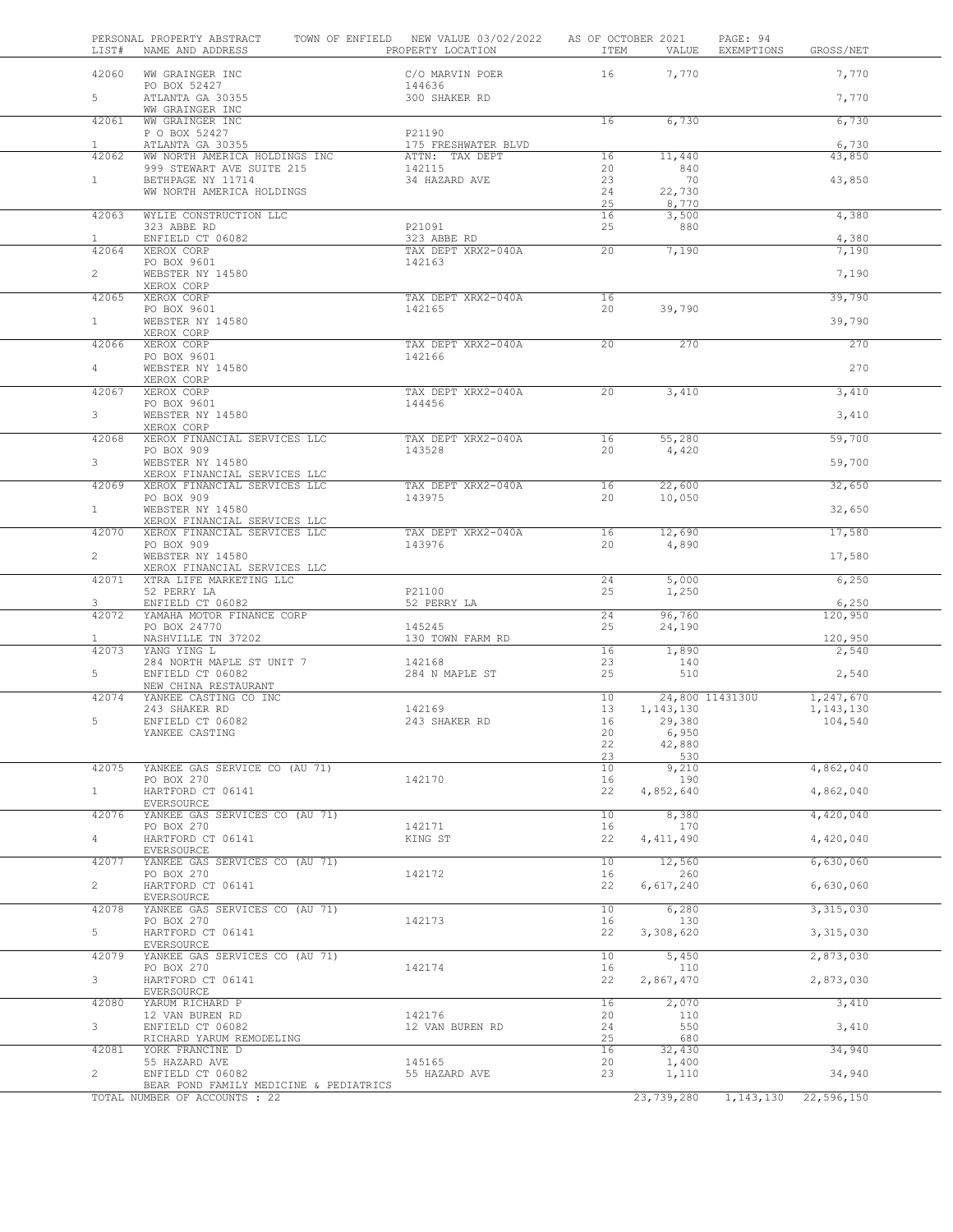| LIST#                 | PERSONAL PROPERTY ABSTRACT<br>NAME AND ADDRESS                          | TOWN OF ENFIELD NEW VALUE 03/02/2022<br>PROPERTY LOCATION | ITEM            | AS OF OCTOBER 2021<br>VALUE | PAGE: 94<br>EXEMPTIONS<br>GROSS/NET       |
|-----------------------|-------------------------------------------------------------------------|-----------------------------------------------------------|-----------------|-----------------------------|-------------------------------------------|
| 42060                 | WW GRAINGER INC                                                         | C/O MARVIN POER                                           | 16              | 7,770                       | 7,770                                     |
| 5                     | PO BOX 52427<br>ATLANTA GA 30355<br>WW GRAINGER INC                     | 144636<br>300 SHAKER RD                                   |                 |                             | 7,770                                     |
| 42061                 | WW GRAINGER INC<br>P O BOX 52427                                        | P21190                                                    | 16              | 6,730                       | 6,730                                     |
| $\mathbf{1}$          | ATLANTA GA 30355                                                        | 175 FRESHWATER BLVD                                       |                 |                             | 6,730                                     |
| 42062                 | WW NORTH AMERICA HOLDINGS INC                                           | ATTN: TAX DEPT                                            | 16              | 11,440                      | 43,850                                    |
| 1                     | 999 STEWART AVE SUITE 215<br>BETHPAGE NY 11714                          | 142115<br>34 HAZARD AVE                                   | 20<br>23        | 840<br>70                   | 43,850                                    |
|                       | WW NORTH AMERICA HOLDINGS                                               |                                                           | 24<br>25        | 22,730<br>8,770             |                                           |
| 42063                 | WYLIE CONSTRUCTION LLC<br>323 ABBE RD                                   | P21091                                                    | 16<br>25        | 3,500<br>880                | 4,380                                     |
| $\mathbf{1}$<br>42064 | ENFIELD CT 06082<br>XEROX CORP                                          | 323 ABBE RD<br>TAX DEPT XRX2-040A                         | 20              | 7,190                       | 4,380<br>7,190                            |
| $\overline{2}$        | PO BOX 9601<br>WEBSTER NY 14580                                         | 142163                                                    |                 |                             | 7,190                                     |
|                       | XEROX CORP                                                              |                                                           |                 |                             |                                           |
| 42065                 | XEROX CORP<br>PO BOX 9601                                               | TAX DEPT XRX2-040A<br>142165                              | 16<br>20        | 39,790                      | 39,790                                    |
| 1                     | WEBSTER NY 14580<br>XEROX CORP                                          |                                                           |                 |                             | 39,790                                    |
| 42066                 | XEROX CORP<br>PO BOX 9601                                               | TAX DEPT XRX2-040A<br>142166                              | $\overline{20}$ | 270                         | 270                                       |
| $\overline{4}$        | WEBSTER NY 14580                                                        |                                                           |                 |                             | 270                                       |
| 42067                 | XEROX CORP<br>XEROX CORP                                                | TAX DEPT XRX2-040A                                        | 20              | 3,410                       | 3,410                                     |
| 3                     | PO BOX 9601<br>WEBSTER NY 14580                                         | 144456                                                    |                 |                             | 3,410                                     |
|                       | XEROX CORP                                                              |                                                           |                 |                             |                                           |
| 42068                 | XEROX FINANCIAL SERVICES LLC<br>PO BOX 909                              | TAX DEPT XRX2-040A<br>143528                              | 16<br>20        | 55,280<br>4,420             | 59,700                                    |
| 3                     | WEBSTER NY 14580<br>XEROX FINANCIAL SERVICES LLC                        |                                                           |                 |                             | 59,700                                    |
| 42069                 | XEROX FINANCIAL SERVICES LLC<br>PO BOX 909                              | TAX DEPT XRX2-040A<br>143975                              | 16<br>20        | 22,600                      | 32,650                                    |
| 1                     | WEBSTER NY 14580                                                        |                                                           |                 | 10,050                      | 32,650                                    |
| 42070                 | XEROX FINANCIAL SERVICES LLC<br>XEROX FINANCIAL SERVICES LLC            | TAX DEPT XRX2-040A                                        | 16              | 12,690                      | 17,580                                    |
| $\overline{a}$        | PO BOX 909<br>WEBSTER NY 14580                                          | 143976                                                    | 20              | 4,890                       | 17,580                                    |
|                       | XEROX FINANCIAL SERVICES LLC                                            |                                                           |                 |                             |                                           |
| 42071                 | XTRA LIFE MARKETING LLC<br>52 PERRY LA                                  | P21100                                                    | 24<br>25        | 5,000<br>1,250              | 6,250                                     |
| 3<br>42072            | ENFIELD CT 06082<br>YAMAHA MOTOR FINANCE CORP                           | 52 PERRY LA                                               | 24              | 96,760                      | 6,250<br>120,950                          |
| $\mathbf{1}$          | PO BOX 24770<br>NASHVILLE TN 37202                                      | 145245<br>130 TOWN FARM RD                                | 25              | 24,190                      |                                           |
| 42073                 | YANG YING L                                                             |                                                           | 16              | 1,890                       | 120,950<br>2,540                          |
| 5                     | 284 NORTH MAPLE ST UNIT 7<br>ENFIELD CT 06082                           | 142168<br>284 N MAPLE ST                                  | 23<br>25        | 140<br>510                  | 2,540                                     |
|                       | NEW CHINA RESTAURANT                                                    |                                                           |                 |                             |                                           |
| 42074                 | YANKEE CASTING CO INC<br>243 SHAKER RD                                  | 142169                                                    | 10<br>13        | 1, 143, 130                 | 24,800 1143130U<br>1,247,670<br>1,143,130 |
| 5                     | ENFIELD CT 06082                                                        | 243 SHAKER RD                                             | 16              | 29,380                      | 104,540                                   |
|                       | YANKEE CASTING                                                          |                                                           | 20              | 6,950                       |                                           |
|                       |                                                                         |                                                           | 22<br>23        | 42,880<br>530               |                                           |
| 42075                 | YANKEE GAS SERVICE CO (AU 71)                                           |                                                           | 10              | 9,210                       | 4,862,040                                 |
| 1                     | PO BOX 270<br>HARTFORD CT 06141                                         | 142170                                                    | 16<br>22        | 190<br>4,852,640            | 4,862,040                                 |
| 42076                 | EVERSOURCE<br>YANKEE GAS SERVICES CO (AU 71)                            |                                                           | 10              | 8,380                       | 4,420,040                                 |
|                       | PO BOX 270                                                              | 142171                                                    | 16              | 170                         |                                           |
| $\overline{4}$        | HARTFORD CT 06141<br>EVERSOURCE                                         | KING ST                                                   | 22              | 4, 411, 490                 | 4,420,040                                 |
| 42077                 | YANKEE GAS SERVICES CO (AU 71)<br>PO BOX 270                            | 142172                                                    | 10<br>16        | 12,560<br>260               | 6,630,060                                 |
| $\overline{2}$        | HARTFORD CT 06141<br>EVERSOURCE                                         |                                                           | 22              | 6,617,240                   | 6,630,060                                 |
| 42078                 | YANKEE GAS SERVICES CO (AU 71)                                          |                                                           | 10              | 6,280                       | 3,315,030                                 |
| 5                     | PO BOX 270<br>HARTFORD CT 06141                                         | 142173                                                    | 16<br>22        | 130<br>3,308,620            | 3,315,030                                 |
| 42079                 | EVERSOURCE<br>YANKEE GAS SERVICES CO (AU 71)                            |                                                           | 10              | 5,450                       | 2,873,030                                 |
| 3                     | PO BOX 270<br>HARTFORD CT 06141                                         | 142174                                                    | 16<br>22        | 110<br>2,867,470            | 2,873,030                                 |
| 42080                 | EVERSOURCE<br>YARUM RICHARD P                                           |                                                           | 16              | 2,070                       | 3,410                                     |
|                       | 12 VAN BUREN RD                                                         | 142176                                                    | 20              | 110                         |                                           |
| 3                     | ENFIELD CT 06082<br>RICHARD YARUM REMODELING                            | 12 VAN BUREN RD                                           | 24<br>25        | 550<br>680                  | 3,410                                     |
| 42081                 | YORK FRANCINE D                                                         |                                                           | 16              | 32,430                      | 34,940                                    |
| $\overline{2}$        | 55 HAZARD AVE<br>ENFIELD CT 06082                                       | 145165<br>55 HAZARD AVE                                   | 20<br>23        | 1,400<br>1,110              | 34,940                                    |
|                       | BEAR POND FAMILY MEDICINE & PEDIATRICS<br>TOTAL NUMBER OF ACCOUNTS : 22 |                                                           |                 | 23,739,280                  | 1, 143, 130<br>22,596,150                 |
|                       |                                                                         |                                                           |                 |                             |                                           |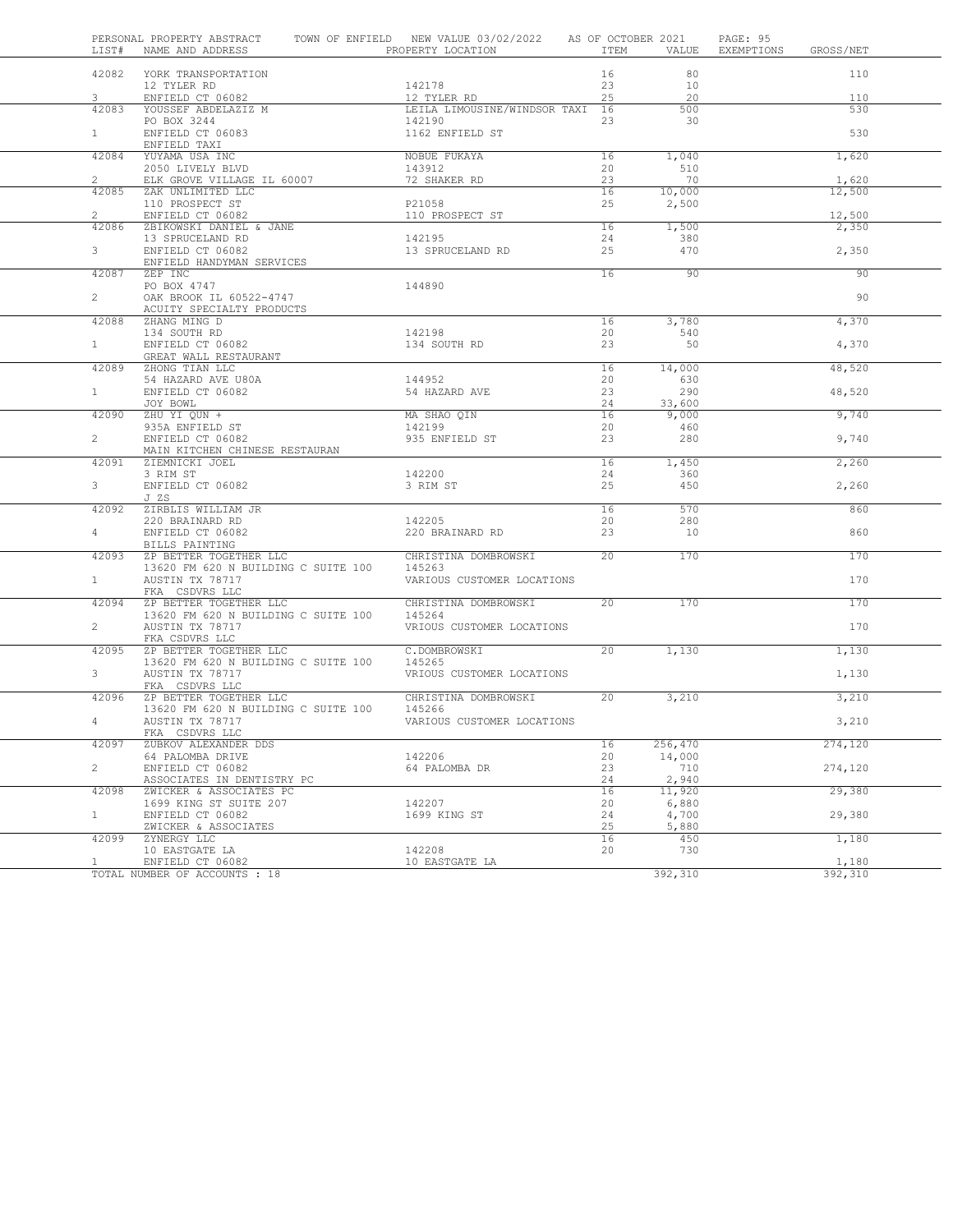| LIST#                   | PERSONAL PROPERTY ABSTRACT<br>NAME AND ADDRESS                | TOWN OF ENFIELD NEW VALUE 03/02/2022<br>PROPERTY LOCATION | AS OF OCTOBER 2021<br>ITEM | VALUE.          | PAGE: 95<br>EXEMPTIONS | GROSS/NET       |  |
|-------------------------|---------------------------------------------------------------|-----------------------------------------------------------|----------------------------|-----------------|------------------------|-----------------|--|
| 42082                   |                                                               |                                                           | 16                         | 80              |                        | 110             |  |
|                         | YORK TRANSPORTATION<br>12 TYLER RD                            | 142178                                                    | 23                         | 10              |                        |                 |  |
| 3                       | ENFIELD CT 06082                                              | 12 TYLER RD                                               | 25                         | 20              |                        | 110             |  |
| 42083                   | YOUSSEF ABDELAZIZ M                                           | LEILA LIMOUSINE/WINDSOR TAXI 16                           |                            | 500             |                        | 530             |  |
|                         | PO BOX 3244                                                   | 142190                                                    | 23                         | 30              |                        |                 |  |
| $\mathbf{1}$            | ENFIELD CT 06083<br>ENFIELD TAXI                              | 1162 ENFIELD ST                                           |                            |                 |                        | 530             |  |
| 42084                   | YUYAMA USA INC                                                | NOBUE FUKAYA                                              | 16                         | 1,040           |                        | 1,620           |  |
|                         | 2050 LIVELY BLVD                                              | 143912                                                    | 20                         | 510             |                        |                 |  |
| $\overline{2}$<br>42085 | ELK GROVE VILLAGE IL 60007<br>ZAK UNLIMITED LLC               | 72 SHAKER RD                                              | 23<br>16                   | 70<br>10,000    |                        | 1,620<br>12,500 |  |
|                         | 110 PROSPECT ST                                               | P21058                                                    | 25                         | 2,500           |                        |                 |  |
| $\mathbf{2}^{\prime}$   | ENFIELD CT 06082                                              | 110 PROSPECT ST                                           |                            |                 |                        | 12,500          |  |
| 42086                   | ZBIKOWSKI DANIEL & JANE                                       |                                                           | 16                         | 1,500           |                        | 2,350           |  |
| 3                       | 13 SPRUCELAND RD<br>ENFIELD CT 06082                          | 142195<br>13 SPRUCELAND RD                                | 24<br>25                   | 380<br>470      |                        |                 |  |
|                         | ENFIELD HANDYMAN SERVICES                                     |                                                           |                            |                 |                        | 2,350           |  |
| 42087                   | ZEP INC                                                       |                                                           | 16                         | 90              |                        | 90              |  |
|                         | PO BOX 4747                                                   | 144890                                                    |                            |                 |                        |                 |  |
| $\mathbf{2}$            | OAK BROOK IL 60522-4747<br>ACUITY SPECIALTY PRODUCTS          |                                                           |                            |                 |                        | 90              |  |
| 42088                   | ZHANG MING D                                                  |                                                           | 16                         | 3,780           |                        | 4,370           |  |
|                         | 134 SOUTH RD                                                  | 142198                                                    | 20                         | 540             |                        |                 |  |
| $\mathbf{1}$            | ENFIELD CT 06082                                              | 134 SOUTH RD                                              | 23                         | 50              |                        | 4,370           |  |
| 42089                   | GREAT WALL RESTAURANT<br>ZHONG TIAN LLC                       |                                                           | 16                         | 14,000          |                        | 48,520          |  |
|                         | 54 HAZARD AVE U80A                                            | 144952                                                    | 20                         | 630             |                        |                 |  |
| 1                       | ENFIELD CT 06082                                              | 54 HAZARD AVE                                             | 23                         | 290             |                        | 48,520          |  |
| 42090                   | JOY BOWL<br>ZHU YI QUN +                                      | MA SHAO QIN                                               | 24<br>16                   | 33,600<br>9,000 |                        | 9,740           |  |
|                         | 935A ENFIELD ST                                               | 142199                                                    | 20                         | 460             |                        |                 |  |
| $\mathbf{2}^{\prime}$   | ENFIELD CT 06082                                              | 935 ENFIELD ST                                            | 23                         | 280             |                        | 9,740           |  |
| 42091                   | MAIN KITCHEN CHINESE RESTAURAN<br>ZIEMNICKI JOEL              |                                                           | 16                         | 1,450           |                        | 2,260           |  |
|                         | 3 RIM ST                                                      | 142200                                                    | 24                         | 360             |                        |                 |  |
| 3                       | ENFIELD CT 06082                                              | 3 RIM ST                                                  | 25                         | 450             |                        | 2,260           |  |
|                         | J ZS                                                          |                                                           |                            |                 |                        |                 |  |
| 42092                   | ZIRBLIS WILLIAM JR<br>220 BRAINARD RD                         | 142205                                                    | 16<br>20                   | 570<br>280      |                        | 860             |  |
| 4                       | ENFIELD CT 06082                                              | 220 BRAINARD RD                                           | 23                         | 10              |                        | 860             |  |
|                         | BILLS PAINTING                                                |                                                           |                            |                 |                        |                 |  |
| 42093                   | ZP BETTER TOGETHER LLC<br>13620 FM 620 N BUILDING C SUITE 100 | CHRISTINA DOMBROWSKI<br>145263                            | 20                         | 170             |                        | 170             |  |
| $\mathbf{1}$            | AUSTIN TX 78717                                               | VARIOUS CUSTOMER LOCATIONS                                |                            |                 |                        | 170             |  |
|                         | FKA CSDVRS LLC                                                |                                                           |                            |                 |                        |                 |  |
| 42094                   | ZP BETTER TOGETHER LLC                                        | CHRISTINA DOMBROWSKI                                      | 20                         | 170             |                        | 170             |  |
| $\overline{2}$          | 13620 FM 620 N BUILDING C SUITE 100<br>AUSTIN TX 78717        | 145264<br>VRIOUS CUSTOMER LOCATIONS                       |                            |                 |                        | 170             |  |
|                         | FKA CSDVRS LLC                                                |                                                           |                            |                 |                        |                 |  |
| 42095                   | ZP BETTER TOGETHER LLC                                        | C.DOMBROWSKI                                              | 20                         | 1,130           |                        | 1,130           |  |
| 3                       | 13620 FM 620 N BUILDING C SUITE 100<br>AUSTIN TX 78717        | 145265<br>VRIOUS CUSTOMER LOCATIONS                       |                            |                 |                        | 1,130           |  |
|                         | FKA CSDVRS LLC                                                |                                                           |                            |                 |                        |                 |  |
| 42096                   | ZP BETTER TOGETHER LLC                                        | CHRISTINA DOMBROWSKI                                      | 20                         | 3,210           |                        | 3,210           |  |
|                         | 13620 FM 620 N BUILDING C SUITE 100                           | 145266                                                    |                            |                 |                        |                 |  |
| 4                       | AUSTIN TX 78717<br>FKA CSDVRS LLC                             | VARIOUS CUSTOMER LOCATIONS                                |                            |                 |                        | 3,210           |  |
| 42097                   | ZUBKOV ALEXANDER DDS                                          |                                                           | 16                         | 256,470         |                        | 274,120         |  |
|                         | 64 PALOMBA DRIVE                                              | 142206                                                    | 20                         | 14,000          |                        |                 |  |
| $\overline{2}$          | ENFIELD CT 06082<br>ASSOCIATES IN DENTISTRY PC                | 64 PALOMBA DR                                             | 23<br>24                   | 710<br>2,940    |                        | 274,120         |  |
| 42098                   | ZWICKER & ASSOCIATES PC                                       |                                                           | 16                         | 11,920          |                        | 29,380          |  |
|                         | 1699 KING ST SUITE 207                                        | 142207                                                    | 20                         | 6,880           |                        |                 |  |
| $\mathbf{1}$            | ENFIELD CT 06082<br>ZWICKER & ASSOCIATES                      | 1699 KING ST                                              | 24<br>25                   | 4,700<br>5,880  |                        | 29,380          |  |
| 42099                   | ZYNERGY LLC                                                   |                                                           | 16                         | 450             |                        | 1,180           |  |
|                         | 10 EASTGATE LA                                                | 142208                                                    | 20                         | 730             |                        |                 |  |
| 1                       | ENFIELD CT 06082                                              | 10 EASTGATE LA                                            |                            |                 |                        | 1,180           |  |
|                         | TOTAL NUMBER OF ACCOUNTS : 18                                 |                                                           |                            | 392,310         |                        | 392,310         |  |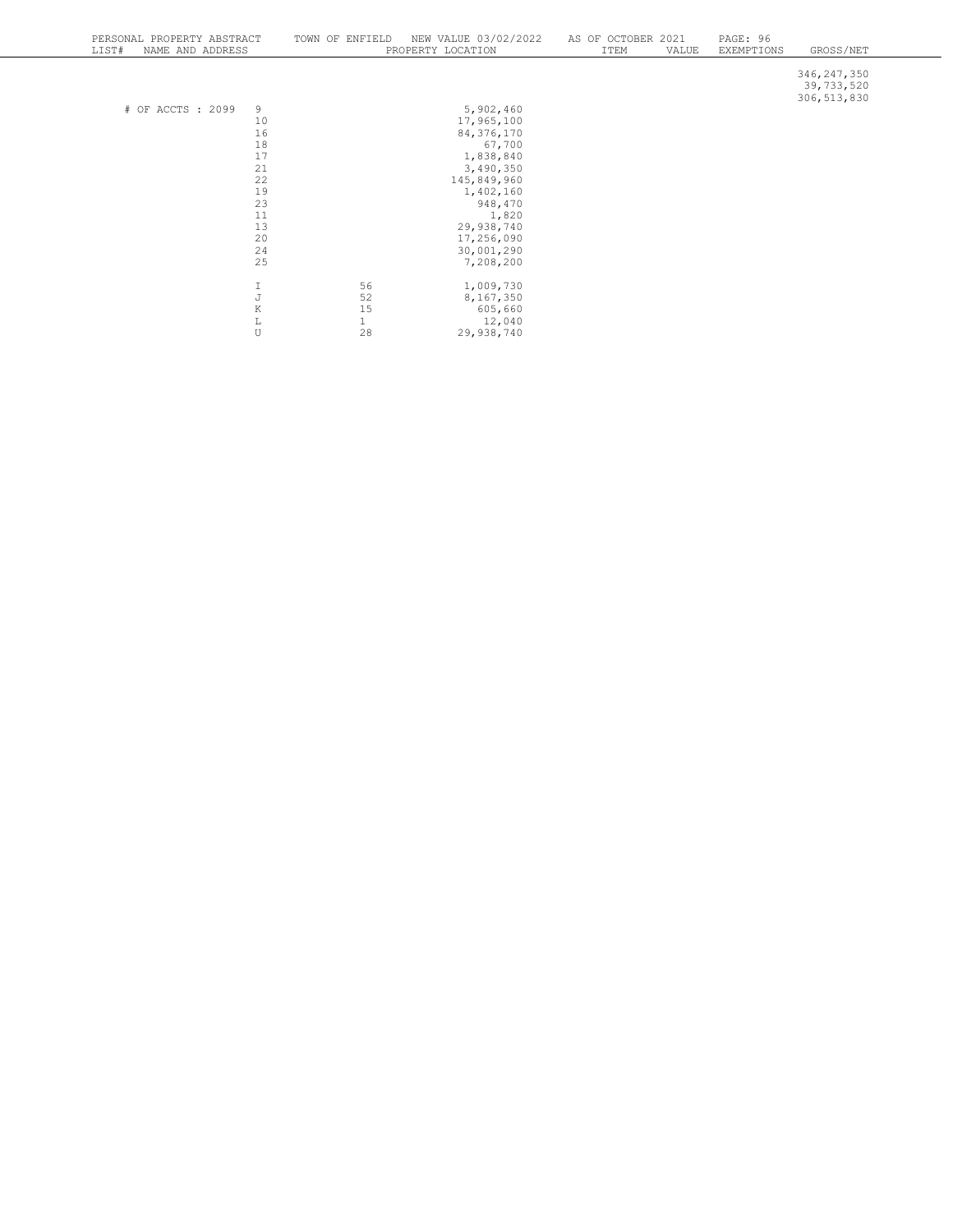| PERSONAL PROPERTY ABSTRACT<br>NAME AND ADDRESS<br>LIST# | NEW VALUE 03/02/2022<br>TOWN OF ENFIELD<br>PROPERTY LOCATION | AS OF OCTOBER 2021<br>ITEM<br>VALUE | PAGE: 96<br>GROSS/NET<br>EXEMPTIONS          |
|---------------------------------------------------------|--------------------------------------------------------------|-------------------------------------|----------------------------------------------|
|                                                         |                                                              |                                     | 346, 247, 350<br>39,733,520<br>306, 513, 830 |
| 9<br># OF ACCTS : 2099                                  | 5,902,460                                                    |                                     |                                              |
| 10                                                      | 17,965,100                                                   |                                     |                                              |
| 16                                                      | 84,376,170                                                   |                                     |                                              |
| 18                                                      | 67,700                                                       |                                     |                                              |
| 17                                                      | 1,838,840                                                    |                                     |                                              |
| 21                                                      | 3,490,350                                                    |                                     |                                              |
| 22                                                      | 145,849,960                                                  |                                     |                                              |
| 19                                                      | 1,402,160                                                    |                                     |                                              |
| 23                                                      | 948,470                                                      |                                     |                                              |
| 11                                                      | 1,820                                                        |                                     |                                              |
| 13                                                      | 29,938,740                                                   |                                     |                                              |
| 20                                                      | 17,256,090                                                   |                                     |                                              |
| 24                                                      | 30,001,290                                                   |                                     |                                              |
| 25                                                      | 7,208,200                                                    |                                     |                                              |
|                                                         |                                                              |                                     |                                              |
| $\mathbb{J}$                                            | 56<br>1,009,730                                              |                                     |                                              |
|                                                         | 52<br>8,167,350                                              |                                     |                                              |
| $\,$ K                                                  | 15<br>605,660                                                |                                     |                                              |
| $\mathbb L$                                             | $\mathbf 1$<br>12,040                                        |                                     |                                              |
| U                                                       | 28<br>29,938,740                                             |                                     |                                              |
|                                                         |                                                              |                                     |                                              |